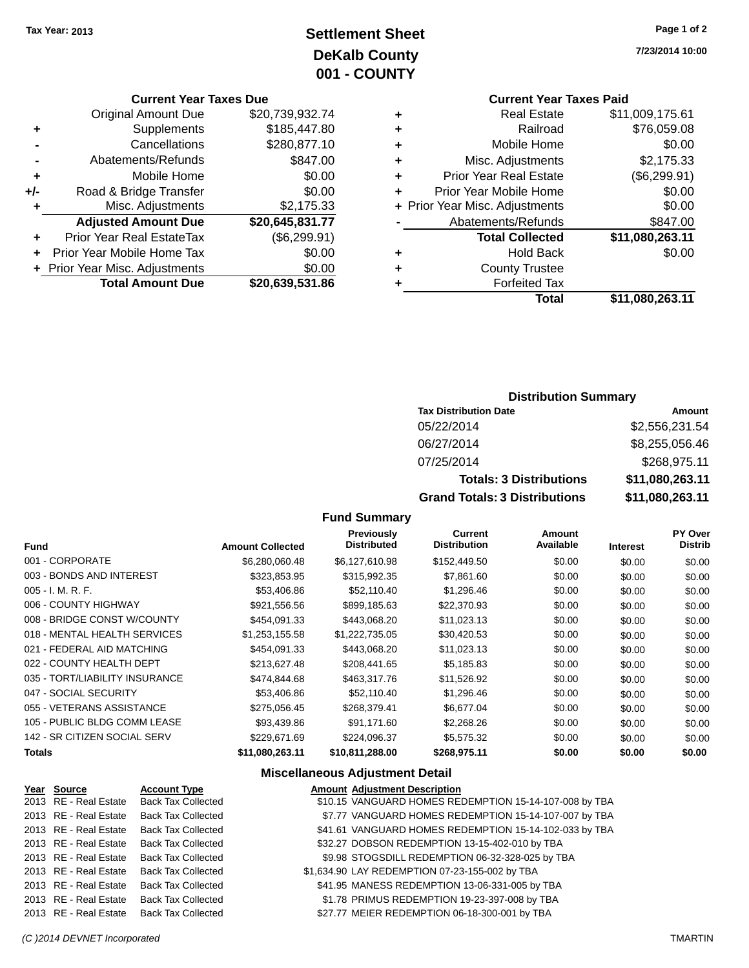## **Settlement Sheet Tax Year: 2013 Page 1 of 2 DeKalb County 001 - COUNTY**

#### **Current Year Taxes Due**

|       | <b>Original Amount Due</b>       | \$20,739,932.74 |
|-------|----------------------------------|-----------------|
| ٠     | Supplements                      | \$185,447.80    |
|       | Cancellations                    | \$280,877.10    |
|       | Abatements/Refunds               | \$847.00        |
| ٠     | Mobile Home                      | \$0.00          |
| $+/-$ | Road & Bridge Transfer           | \$0.00          |
| ٠     | Misc. Adjustments                | \$2,175.33      |
|       | <b>Adjusted Amount Due</b>       | \$20,645,831.77 |
| ÷     | <b>Prior Year Real EstateTax</b> | (\$6,299.91)    |
|       | Prior Year Mobile Home Tax       | \$0.00          |
|       | + Prior Year Misc. Adjustments   | \$0.00          |
|       | <b>Total Amount Due</b>          | \$20,639,531.86 |
|       |                                  |                 |

**7/23/2014 10:00**

# **Current Year Taxes Paid**

| ٠ | <b>Real Estate</b>             | \$11,009,175.61 |
|---|--------------------------------|-----------------|
| ٠ | Railroad                       | \$76,059.08     |
| ٠ | Mobile Home                    | \$0.00          |
| ٠ | Misc. Adjustments              | \$2,175.33      |
| ٠ | <b>Prior Year Real Estate</b>  | (\$6,299.91)    |
| ٠ | Prior Year Mobile Home         | \$0.00          |
|   | + Prior Year Misc. Adjustments | \$0.00          |
|   | Abatements/Refunds             | \$847.00        |
|   | <b>Total Collected</b>         | \$11,080,263.11 |
| ٠ | <b>Hold Back</b>               | \$0.00          |
| ٠ | <b>County Trustee</b>          |                 |
| ٠ | <b>Forfeited Tax</b>           |                 |
|   | Total                          | \$11,080,263.11 |
|   |                                |                 |

### **Distribution Summary**

| <b>Tax Distribution Date</b>         | Amount          |
|--------------------------------------|-----------------|
| 05/22/2014                           | \$2,556,231.54  |
| 06/27/2014                           | \$8,255,056.46  |
| 07/25/2014                           | \$268,975.11    |
| <b>Totals: 3 Distributions</b>       | \$11,080,263.11 |
| <b>Grand Totals: 3 Distributions</b> | \$11,080,263.11 |

### **Fund Summary**

| <b>Fund</b>                    | <b>Amount Collected</b> | <b>Previously</b><br><b>Distributed</b> | Current<br><b>Distribution</b> | Amount<br>Available | <b>Interest</b> | <b>PY Over</b><br>Distrib |
|--------------------------------|-------------------------|-----------------------------------------|--------------------------------|---------------------|-----------------|---------------------------|
| 001 - CORPORATE                | \$6,280,060.48          | \$6,127,610.98                          | \$152,449.50                   | \$0.00              | \$0.00          | \$0.00                    |
| 003 - BONDS AND INTEREST       | \$323,853.95            | \$315,992.35                            | \$7,861.60                     | \$0.00              | \$0.00          | \$0.00                    |
| $005 - I. M. R. F.$            | \$53,406.86             | \$52,110.40                             | \$1,296.46                     | \$0.00              | \$0.00          | \$0.00                    |
| 006 - COUNTY HIGHWAY           | \$921,556.56            | \$899.185.63                            | \$22,370.93                    | \$0.00              | \$0.00          | \$0.00                    |
| 008 - BRIDGE CONST W/COUNTY    | \$454,091.33            | \$443,068.20                            | \$11,023.13                    | \$0.00              | \$0.00          | \$0.00                    |
| 018 - MENTAL HEALTH SERVICES   | \$1,253,155.58          | \$1,222,735.05                          | \$30,420.53                    | \$0.00              | \$0.00          | \$0.00                    |
| 021 - FEDERAL AID MATCHING     | \$454.091.33            | \$443,068.20                            | \$11,023.13                    | \$0.00              | \$0.00          | \$0.00                    |
| 022 - COUNTY HEALTH DEPT       | \$213,627.48            | \$208,441.65                            | \$5,185.83                     | \$0.00              | \$0.00          | \$0.00                    |
| 035 - TORT/LIABILITY INSURANCE | \$474,844,68            | \$463,317,76                            | \$11,526.92                    | \$0.00              | \$0.00          | \$0.00                    |
| 047 - SOCIAL SECURITY          | \$53,406.86             | \$52,110.40                             | \$1,296.46                     | \$0.00              | \$0.00          | \$0.00                    |
| 055 - VETERANS ASSISTANCE      | \$275,056.45            | \$268,379.41                            | \$6,677.04                     | \$0.00              | \$0.00          | \$0.00                    |
| 105 - PUBLIC BLDG COMM LEASE   | \$93,439.86             | \$91.171.60                             | \$2,268.26                     | \$0.00              | \$0.00          | \$0.00                    |
| 142 - SR CITIZEN SOCIAL SERV   | \$229,671.69            | \$224,096.37                            | \$5,575.32                     | \$0.00              | \$0.00          | \$0.00                    |
| <b>Totals</b>                  | \$11,080,263.11         | \$10,811,288.00                         | \$268.975.11                   | \$0.00              | \$0.00          | \$0.00                    |

### **Miscellaneous Adjustment Detail**

| Year Source           | <b>Account Type</b>                      | <b>Amount Adjustment Description</b>                   |
|-----------------------|------------------------------------------|--------------------------------------------------------|
| 2013 RE - Real Estate | <b>Back Tax Collected</b>                | \$10.15 VANGUARD HOMES REDEMPTION 15-14-107-008 by TBA |
| 2013 RE - Real Estate | <b>Back Tax Collected</b>                | \$7.77 VANGUARD HOMES REDEMPTION 15-14-107-007 by TBA  |
| 2013 RE - Real Estate | <b>Back Tax Collected</b>                | \$41.61 VANGUARD HOMES REDEMPTION 15-14-102-033 by TBA |
| 2013 RE - Real Estate | <b>Back Tax Collected</b>                | \$32.27 DOBSON REDEMPTION 13-15-402-010 by TBA         |
| 2013 RE - Real Estate | Back Tax Collected                       | \$9.98 STOGSDILL REDEMPTION 06-32-328-025 by TBA       |
| 2013 RE - Real Estate | <b>Back Tax Collected</b>                | \$1,634.90 LAY REDEMPTION 07-23-155-002 by TBA         |
| 2013 RE - Real Estate | <b>Back Tax Collected</b>                | \$41.95 MANESS REDEMPTION 13-06-331-005 by TBA         |
| 2013 RE - Real Estate | Back Tax Collected                       | \$1.78 PRIMUS REDEMPTION 19-23-397-008 by TBA          |
|                       | 2013 RE - Real Estate Back Tax Collected | \$27.77 MEIER REDEMPTION 06-18-300-001 by TBA          |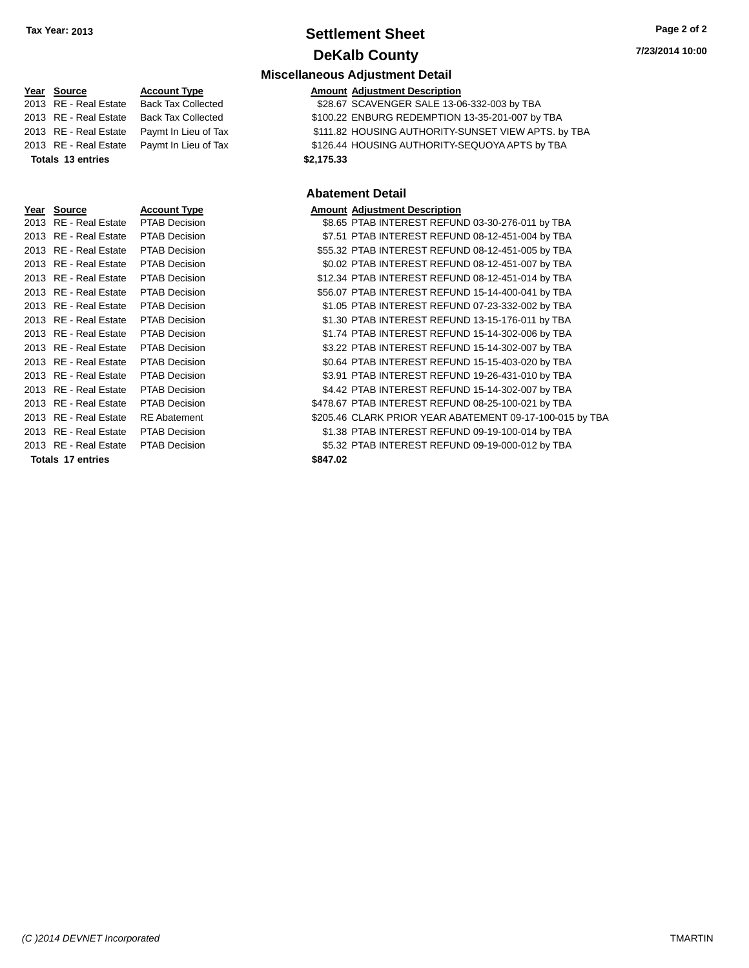### **Settlement Sheet Tax Year: 2013 Page 2 of 2 DeKalb County**

**Miscellaneous Adjustment Detail**

### **Year** Source **Account Type Account Adjustment Description** 2013 RE - Real Estate Back Tax Collected \$28.67 SCAVENGER SALE 13-06-332-003 by TBA 2013 RE - Real Estate Back Tax Collected \$100.22 ENBURG REDEMPTION 13-35-201-007 by TBA 2013 RE - Real Estate Paymt In Lieu of Tax \$111.82 HOUSING AUTHORITY-SUNSET VIEW APTS. by TBA 2013 RE - Real Estate Paymt In Lieu of Tax \$126.44 HOUSING AUTHORITY-SEQUOYA APTS by TBA **Totals 13 entries \$2,175.33 Year Source Account Type And Amount Adjustment Description** 2013 RE - Real Estate PTAB Decision 2013 RE - Real Estate PTAB Decision 2013 RE - Real Estate PTAB Decision 2013 RE - Real Estate PTAB Decision 2013 RE - Real Estate PTAB Decision 2013 RE - Real Estate PTAB Decision 2013 RE - Real Estate PTAB Decision 2013 RE - Real Estate PTAB Decision 2013 RE - Real Estate PTAB Decision 2013 RE - Real Estate PTAB Decision 2013 RE - Real Estate PTAB Decision 2013 RE - Real Estate PTAB Decision

2013 RE - Real Estate PTAB Decision 2013 RE - Real Estate PTAB Decision \$478.67 PTAB INTEREST REFUND 0.47 2013 RE - Real Estate RE Abatement \$ 2013 RE - Real Estate PTAB Decision 2013 RE - Real Estate PTAB Decision

**Totals 17 entries \$847.02**

#### **Abatement Detail**

|        | unoant Aujustment Description                          |
|--------|--------------------------------------------------------|
|        | \$8.65 PTAB INTEREST REFUND 03-30-276-011 by TBA       |
|        | \$7.51 PTAB INTEREST REFUND 08-12-451-004 by TBA       |
|        | \$55.32 PTAB INTEREST REFUND 08-12-451-005 by TBA      |
|        | \$0.02 PTAB INTEREST REFUND 08-12-451-007 by TBA       |
|        | \$12.34 PTAB INTEREST REFUND 08-12-451-014 by TBA      |
|        | \$56.07 PTAB INTEREST REFUND 15-14-400-041 by TBA      |
|        | \$1.05 PTAB INTEREST REFUND 07-23-332-002 by TBA       |
|        | \$1.30 PTAB INTEREST REFUND 13-15-176-011 by TBA       |
|        | \$1.74 PTAB INTEREST REFUND 15-14-302-006 by TBA       |
|        | \$3.22 PTAB INTEREST REFUND 15-14-302-007 by TBA       |
|        | \$0.64 PTAB INTEREST REFUND 15-15-403-020 by TBA       |
|        | \$3.91 PTAB INTEREST REFUND 19-26-431-010 by TBA       |
|        | \$4.42 PTAB INTEREST REFUND 15-14-302-007 by TBA       |
|        | 478.67 PTAB INTEREST REFUND 08-25-100-021 by TBA       |
|        | 205.46 CLARK PRIOR YEAR ABATEMENT 09-17-100-015 by TBA |
|        | \$1.38 PTAB INTEREST REFUND 09-19-100-014 by TBA       |
|        | \$5.32 PTAB INTEREST REFUND 09-19-000-012 by TBA       |
| 847.02 |                                                        |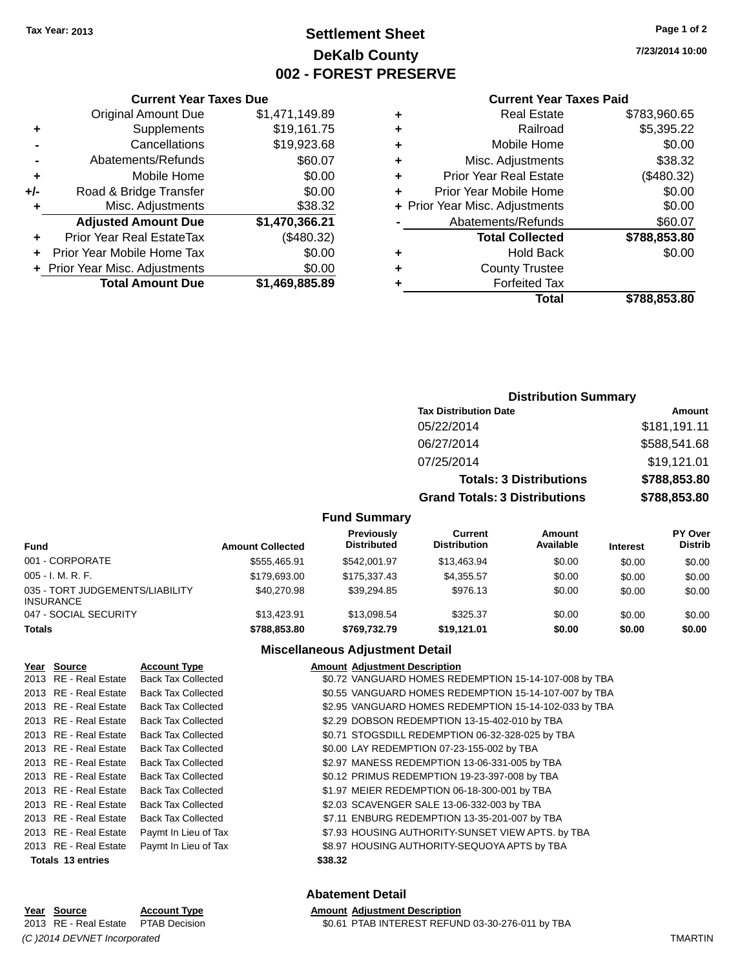### **Settlement Sheet Tax Year: 2013 Page 1 of 2 DeKalb County 002 - FOREST PRESERVE**

**7/23/2014 10:00**

#### **Current Year Taxes Paid**

|     | <b>Current Year Taxes Due</b>            |                |  |  |  |
|-----|------------------------------------------|----------------|--|--|--|
|     | <b>Original Amount Due</b>               | \$1,471,149.89 |  |  |  |
| ٠   | Supplements                              | \$19,161.75    |  |  |  |
|     | Cancellations                            | \$19,923.68    |  |  |  |
|     | Abatements/Refunds                       | \$60.07        |  |  |  |
| ٠   | Mobile Home                              | \$0.00         |  |  |  |
| +/- | Road & Bridge Transfer                   | \$0.00         |  |  |  |
| ٠   | Misc. Adjustments                        | \$38.32        |  |  |  |
|     | <b>Adjusted Amount Due</b>               | \$1,470,366.21 |  |  |  |
|     | Prior Year Real EstateTax                | (\$480.32)     |  |  |  |
|     | Prior Year Mobile Home Tax               | \$0.00         |  |  |  |
|     | \$0.00<br>+ Prior Year Misc. Adjustments |                |  |  |  |
|     | <b>Total Amount Due</b>                  | \$1.469.885.89 |  |  |  |

### **Distribution Summary**

| <b>Tax Distribution Date</b>         | Amount       |
|--------------------------------------|--------------|
| 05/22/2014                           | \$181,191.11 |
| 06/27/2014                           | \$588,541.68 |
| 07/25/2014                           | \$19,121.01  |
| <b>Totals: 3 Distributions</b>       | \$788,853.80 |
| <b>Grand Totals: 3 Distributions</b> | \$788,853.80 |

### **Fund Summary**

| <b>Fund</b>                                         | <b>Amount Collected</b> | Previously<br><b>Distributed</b> | Current<br><b>Distribution</b> | Amount<br>Available | <b>Interest</b> | PY Over<br><b>Distrib</b> |
|-----------------------------------------------------|-------------------------|----------------------------------|--------------------------------|---------------------|-----------------|---------------------------|
| 001 - CORPORATE                                     | \$555.465.91            | \$542,001.97                     | \$13,463.94                    | \$0.00              | \$0.00          | \$0.00                    |
| $005 - I. M. R. F.$                                 | \$179,693,00            | \$175.337.43                     | \$4.355.57                     | \$0.00              | \$0.00          | \$0.00                    |
| 035 - TORT JUDGEMENTS/LIABILITY<br><b>INSURANCE</b> | \$40,270.98             | \$39.294.85                      | \$976.13                       | \$0.00              | \$0.00          | \$0.00                    |
| 047 - SOCIAL SECURITY                               | \$13,423.91             | \$13,098.54                      | \$325.37                       | \$0.00              | \$0.00          | \$0.00                    |
| <b>Totals</b>                                       | \$788,853,80            | \$769,732,79                     | \$19.121.01                    | \$0.00              | \$0.00          | \$0.00                    |

### **Miscellaneous Adjustment Detail**

| Year Source           | <b>Account Type</b>       |         | <b>Amount Adjustment Description</b>                  |
|-----------------------|---------------------------|---------|-------------------------------------------------------|
| 2013 RE - Real Estate | <b>Back Tax Collected</b> |         | \$0.72 VANGUARD HOMES REDEMPTION 15-14-107-008 by TBA |
| 2013 RE - Real Estate | <b>Back Tax Collected</b> |         | \$0.55 VANGUARD HOMES REDEMPTION 15-14-107-007 by TBA |
| 2013 RE - Real Estate | <b>Back Tax Collected</b> |         | \$2.95 VANGUARD HOMES REDEMPTION 15-14-102-033 by TBA |
| 2013 RE - Real Estate | <b>Back Tax Collected</b> |         | \$2.29 DOBSON REDEMPTION 13-15-402-010 by TBA         |
| 2013 RE - Real Estate | <b>Back Tax Collected</b> |         | \$0.71 STOGSDILL REDEMPTION 06-32-328-025 by TBA      |
| 2013 RE - Real Estate | <b>Back Tax Collected</b> |         | \$0.00 LAY REDEMPTION 07-23-155-002 by TBA            |
| 2013 RE - Real Estate | <b>Back Tax Collected</b> |         | \$2.97 MANESS REDEMPTION 13-06-331-005 by TBA         |
| 2013 RE - Real Estate | <b>Back Tax Collected</b> |         | \$0.12 PRIMUS REDEMPTION 19-23-397-008 by TBA         |
| 2013 RE - Real Estate | <b>Back Tax Collected</b> |         | \$1.97 MEIER REDEMPTION 06-18-300-001 by TBA          |
| 2013 RE - Real Estate | <b>Back Tax Collected</b> |         | \$2.03 SCAVENGER SALE 13-06-332-003 by TBA            |
| 2013 RE - Real Estate | <b>Back Tax Collected</b> |         | \$7.11 ENBURG REDEMPTION 13-35-201-007 by TBA         |
| 2013 RE - Real Estate | Paymt In Lieu of Tax      |         | \$7.93 HOUSING AUTHORITY-SUNSET VIEW APTS. by TBA     |
| 2013 RE - Real Estate | Paymt In Lieu of Tax      |         | \$8.97 HOUSING AUTHORITY-SEQUOYA APTS by TBA          |
| Totals 13 entries     |                           | \$38.32 |                                                       |

#### **Abatement Detail**

\$0.61 PTAB INTEREST REFUND 03-30-276-011 by TBA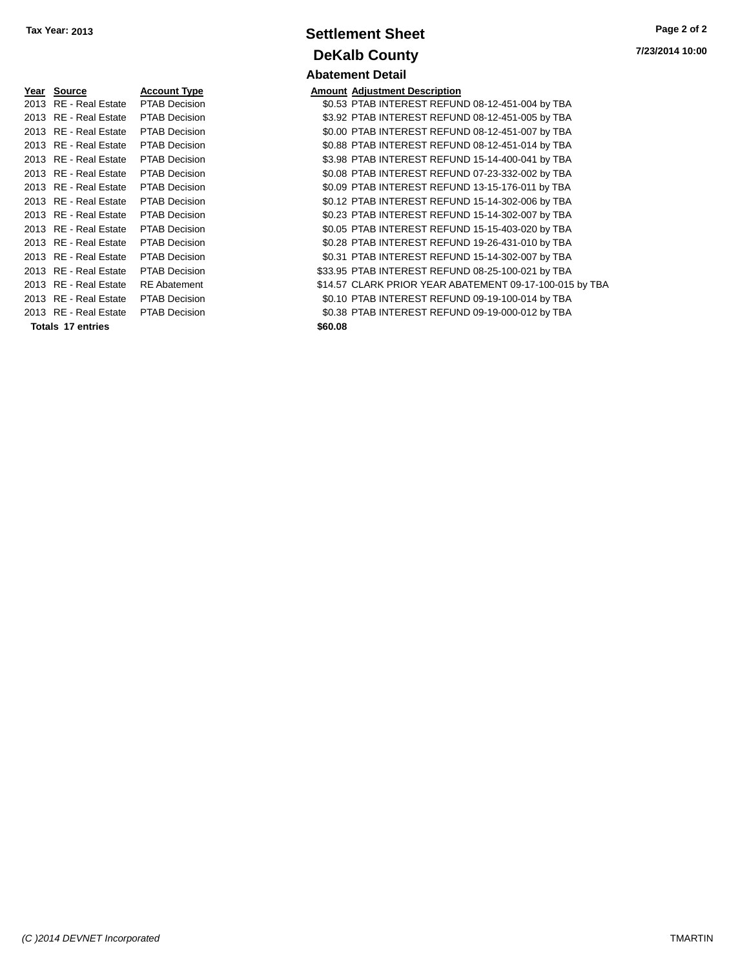| Year | <b>Source</b>         | Account Type         | <b>Amount</b> |
|------|-----------------------|----------------------|---------------|
| 2013 | RE - Real Estate      | <b>PTAB Decision</b> | \$0.53        |
| 2013 | RE - Real Estate      | <b>PTAB Decision</b> | \$3.92        |
| 2013 | RE - Real Estate      | <b>PTAB Decision</b> | \$0.00        |
| 2013 | RE - Real Estate      | <b>PTAB Decision</b> | \$0.88        |
|      | 2013 RE - Real Estate | <b>PTAB Decision</b> | \$3.98        |
|      | 2013 RE - Real Estate | <b>PTAB Decision</b> | \$0.08        |
|      | 2013 RE - Real Estate | <b>PTAB Decision</b> | \$0.09        |
|      | 2013 RE - Real Estate | <b>PTAB Decision</b> | \$0.12        |
| 2013 | RE - Real Estate      | <b>PTAB Decision</b> | \$0.23        |
| 2013 | RE - Real Estate      | <b>PTAB Decision</b> | \$0.05        |
|      | 2013 RE - Real Estate | <b>PTAB Decision</b> | \$0.28        |
|      | 2013 RE - Real Estate | <b>PTAB Decision</b> | \$0.31        |
| 2013 | RE - Real Estate      | <b>PTAB Decision</b> | \$33.95       |
| 2013 | RE - Real Estate      | <b>RE</b> Abatement  | \$14.57       |
|      | 2013 RE - Real Estate | <b>PTAB Decision</b> | \$0.10        |
|      | 2013 RE - Real Estate | <b>PTAB Decision</b> | \$0.38        |
|      | Totals 17 entries     |                      | \$60.08       |

### **Settlement Sheet Tax Year: 2013 Page 2 of 2 DeKalb County Abatement Detail**

**7/23/2014 10:00**

### **Amount Adjustment Description**

\$0.53 PTAB INTEREST REFUND 08-12-451-004 by TBA \$3.92 PTAB INTEREST REFUND 08-12-451-005 by TBA \$0.00 PTAB INTEREST REFUND 08-12-451-007 by TBA \$0.88 PTAB INTEREST REFUND 08-12-451-014 by TBA \$3.98 PTAB INTEREST REFUND 15-14-400-041 by TBA \$0.08 PTAB INTEREST REFUND 07-23-332-002 by TBA \$0.09 PTAB INTEREST REFUND 13-15-176-011 by TBA \$0.12 PTAB INTEREST REFUND 15-14-302-006 by TBA \$0.23 PTAB INTEREST REFUND 15-14-302-007 by TBA \$0.05 PTAB INTEREST REFUND 15-15-403-020 by TBA \$0.28 PTAB INTEREST REFUND 19-26-431-010 by TBA \$0.31 PTAB INTEREST REFUND 15-14-302-007 by TBA 01213 B2013 REAL ESTATE PTAB INTEREST REFUND 08-25-100-021 by TBA \$14.57 CLARK PRIOR YEAR ABATEMENT 09-17-100-015 by TBA \$0.10 PTAB INTEREST REFUND 09-19-100-014 by TBA \$0.38 PTAB INTEREST REFUND 09-19-000-012 by TBA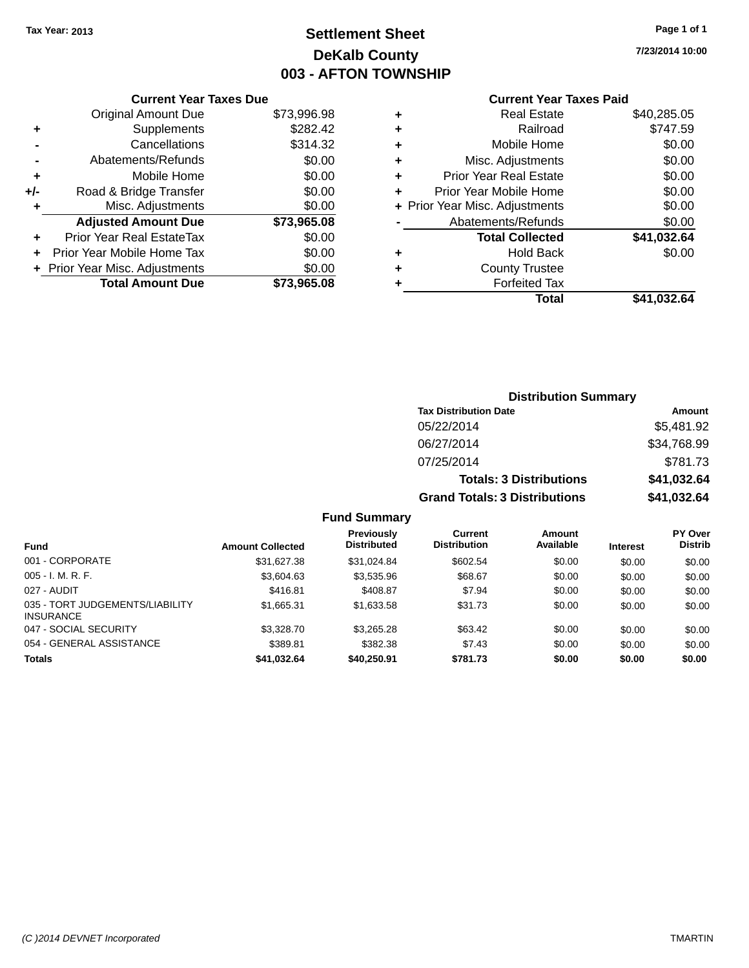## **Settlement Sheet Tax Year: 2013 Page 1 of 1 DeKalb County 003 - AFTON TOWNSHIP**

**7/23/2014 10:00**

### **Current Year Taxes Paid**

|     | <b>Current Year Taxes Due</b>  |             |
|-----|--------------------------------|-------------|
|     | <b>Original Amount Due</b>     | \$73,996.98 |
| ٠   | Supplements                    | \$282.42    |
|     | Cancellations                  | \$314.32    |
|     | Abatements/Refunds             | \$0.00      |
| ٠   | Mobile Home                    | \$0.00      |
| +/- | Road & Bridge Transfer         | \$0.00      |
| ٠   | Misc. Adjustments              | \$0.00      |
|     | <b>Adjusted Amount Due</b>     | \$73,965.08 |
| ٠   | Prior Year Real EstateTax      | \$0.00      |
|     | Prior Year Mobile Home Tax     | \$0.00      |
|     | + Prior Year Misc. Adjustments | \$0.00      |
|     | <b>Total Amount Due</b>        | \$73.965.08 |
|     |                                |             |

| ٠ | <b>Real Estate</b>             | \$40,285.05 |
|---|--------------------------------|-------------|
| ٠ | Railroad                       | \$747.59    |
| ٠ | Mobile Home                    | \$0.00      |
| ٠ | Misc. Adjustments              | \$0.00      |
| ٠ | <b>Prior Year Real Estate</b>  | \$0.00      |
| ٠ | Prior Year Mobile Home         | \$0.00      |
|   | + Prior Year Misc. Adjustments | \$0.00      |
|   | Abatements/Refunds             | \$0.00      |
|   | <b>Total Collected</b>         | \$41,032.64 |
| ٠ | <b>Hold Back</b>               | \$0.00      |
| ٠ | <b>County Trustee</b>          |             |
| ٠ | <b>Forfeited Tax</b>           |             |
|   | Total                          | \$41,032.64 |
|   |                                |             |

| <b>Distribution Summary</b>          |             |
|--------------------------------------|-------------|
| <b>Tax Distribution Date</b>         | Amount      |
| 05/22/2014                           | \$5,481.92  |
| 06/27/2014                           | \$34,768.99 |
| 07/25/2014                           | \$781.73    |
| <b>Totals: 3 Distributions</b>       | \$41,032.64 |
| <b>Grand Totals: 3 Distributions</b> | \$41,032.64 |

### **Fund Summary**

| <b>Fund</b>                                         | <b>Amount Collected</b> | <b>Previously</b><br><b>Distributed</b> | <b>Current</b><br><b>Distribution</b> | Amount<br>Available | <b>Interest</b> | <b>PY Over</b><br><b>Distrib</b> |
|-----------------------------------------------------|-------------------------|-----------------------------------------|---------------------------------------|---------------------|-----------------|----------------------------------|
| 001 - CORPORATE                                     | \$31,627.38             | \$31,024.84                             | \$602.54                              | \$0.00              | \$0.00          | \$0.00                           |
| $005 - I. M. R. F.$                                 | \$3,604.63              | \$3,535.96                              | \$68.67                               | \$0.00              | \$0.00          | \$0.00                           |
| 027 - AUDIT                                         | \$416.81                | \$408.87                                | \$7.94                                | \$0.00              | \$0.00          | \$0.00                           |
| 035 - TORT JUDGEMENTS/LIABILITY<br><b>INSURANCE</b> | \$1,665.31              | \$1,633.58                              | \$31.73                               | \$0.00              | \$0.00          | \$0.00                           |
| 047 - SOCIAL SECURITY                               | \$3,328,70              | \$3,265.28                              | \$63.42                               | \$0.00              | \$0.00          | \$0.00                           |
| 054 - GENERAL ASSISTANCE                            | \$389.81                | \$382.38                                | \$7.43                                | \$0.00              | \$0.00          | \$0.00                           |
| <b>Totals</b>                                       | \$41,032.64             | \$40,250.91                             | \$781.73                              | \$0.00              | \$0.00          | \$0.00                           |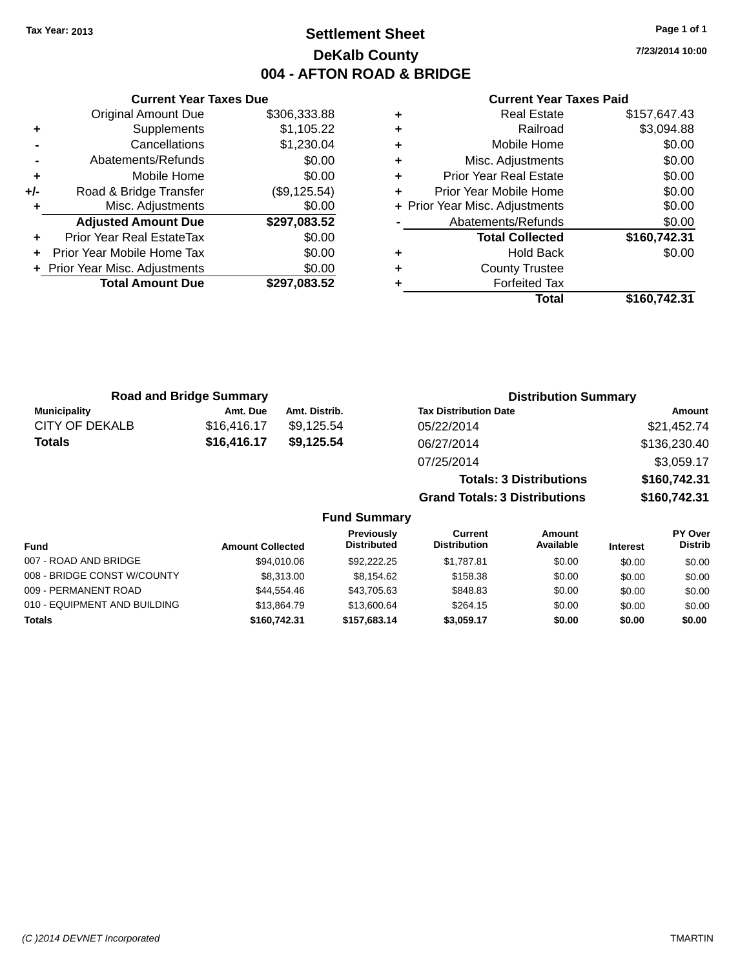### **Settlement Sheet Tax Year: 2013 Page 1 of 1 DeKalb County 004 - AFTON ROAD & BRIDGE**

**7/23/2014 10:00**

#### **Current Year Taxes Paid**

|     | <b>Original Amount Due</b>     | \$306,333.88 |
|-----|--------------------------------|--------------|
| ٠   | Supplements                    | \$1,105.22   |
|     | Cancellations                  | \$1,230.04   |
|     | Abatements/Refunds             | \$0.00       |
| ÷   | Mobile Home                    | \$0.00       |
| +/- | Road & Bridge Transfer         | (\$9,125.54) |
| ٠   | Misc. Adjustments              | \$0.00       |
|     | <b>Adjusted Amount Due</b>     | \$297,083.52 |
| ÷   | Prior Year Real EstateTax      | \$0.00       |
| ÷   | Prior Year Mobile Home Tax     | \$0.00       |
|     | + Prior Year Misc. Adjustments | \$0.00       |
|     | <b>Total Amount Due</b>        | \$297,083.52 |
|     |                                |              |

**Current Year Taxes Due**

|   | <b>Real Estate</b>             | \$157,647.43 |
|---|--------------------------------|--------------|
| ٠ | Railroad                       | \$3,094.88   |
| ٠ | Mobile Home                    | \$0.00       |
| ٠ | Misc. Adjustments              | \$0.00       |
| ٠ | <b>Prior Year Real Estate</b>  | \$0.00       |
| ٠ | Prior Year Mobile Home         | \$0.00       |
|   | + Prior Year Misc. Adjustments | \$0.00       |
|   | Abatements/Refunds             | \$0.00       |
|   | <b>Total Collected</b>         | \$160,742.31 |
| ٠ | <b>Hold Back</b>               | \$0.00       |
| ٠ | <b>County Trustee</b>          |              |
| ٠ | <b>Forfeited Tax</b>           |              |
|   | Total                          | \$160,742.31 |
|   |                                |              |

**Totals: 3 Distributions \$160,742.31**

**Grand Totals: 3 Distributions \$160,742.31**

| <b>Road and Bridge Summary</b> |             |               | <b>Distribution Summary</b>  |              |  |
|--------------------------------|-------------|---------------|------------------------------|--------------|--|
| <b>Municipality</b>            | Amt. Due    | Amt. Distrib. | <b>Tax Distribution Date</b> | Amount       |  |
| CITY OF DEKALB                 | \$16,416.17 | \$9.125.54    | 05/22/2014                   | \$21,452.74  |  |
| Totals                         | \$16,416.17 | \$9.125.54    | 06/27/2014                   | \$136,230.40 |  |
|                                |             |               | 07/25/2014                   | \$3,059.17   |  |

#### **Fund Summary Fund Interest Amount Collected Distributed PY Over Distrib Amount Available Current Distribution Previously** 007 - ROAD AND BRIDGE 60.00 \$94,010.06 \$92,222.25 \$1,787.81 \$0.00 \$0.00 \$0.00 \$0.00 008 - BRIDGE CONST W/COUNTY  $$8,313.00$   $$8,154.62$   $$158.38$   $$0.00$   $$0.00$   $$0.00$ 009 - PERMANENT ROAD \$44,554.46 \$43,705.63 \$848.83 \$0.00 \$0.00 \$0.00 010 - EQUIPMENT AND BUILDING \$13,864.79 \$13,600.64 \$264.15 \$0.00 \$0.00 \$0.00 **Totals \$160,742.31 \$157,683.14 \$3,059.17 \$0.00 \$0.00 \$0.00**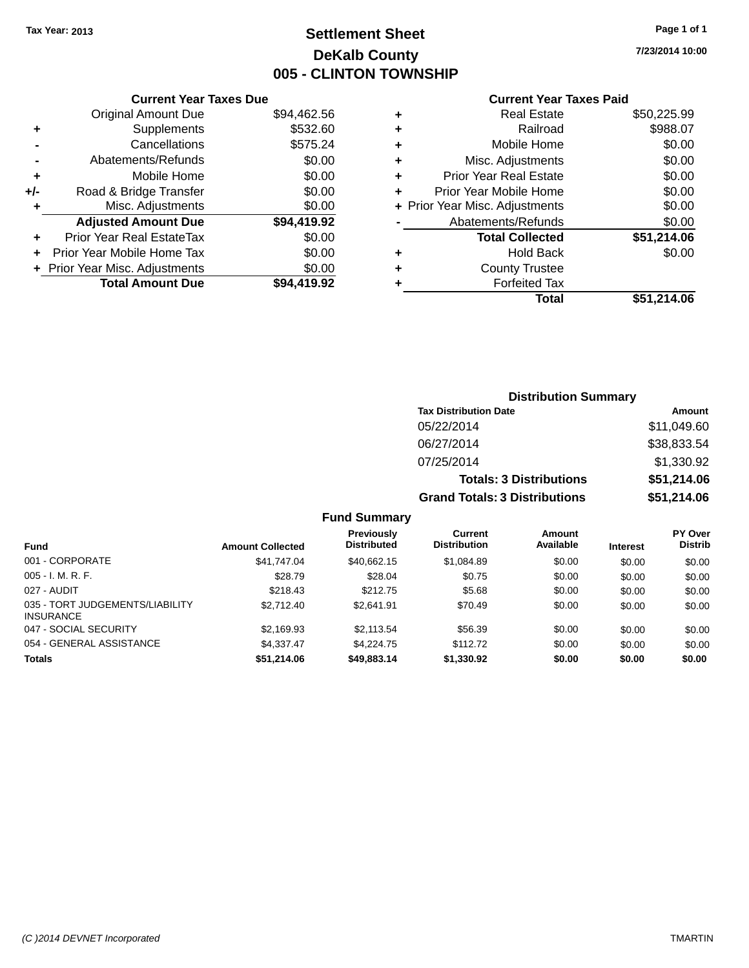### **Settlement Sheet Tax Year: 2013 Page 1 of 1 DeKalb County 005 - CLINTON TOWNSHIP**

**7/23/2014 10:00**

### **Current Year Taxes Paid**

| <b>Current Year Taxes Due</b> |                         |  |  |  |
|-------------------------------|-------------------------|--|--|--|
| <b>Original Amount Due</b>    | \$94,462.56             |  |  |  |
| Supplements                   | \$532.60                |  |  |  |
| \$575.24<br>Cancellations     |                         |  |  |  |
| \$0.00<br>Abatements/Refunds  |                         |  |  |  |
| Mobile Home                   | \$0.00                  |  |  |  |
| Road & Bridge Transfer        | \$0.00                  |  |  |  |
| Misc. Adjustments             | \$0.00                  |  |  |  |
| <b>Adjusted Amount Due</b>    | \$94,419.92             |  |  |  |
| Prior Year Real EstateTax     | \$0.00                  |  |  |  |
| Prior Year Mobile Home Tax    | \$0.00                  |  |  |  |
| Prior Year Misc. Adjustments  | \$0.00                  |  |  |  |
|                               | \$94.419.92             |  |  |  |
|                               | <b>Total Amount Due</b> |  |  |  |

|       | \$50,225.99                                                                                                                                                                                                                                                                          |
|-------|--------------------------------------------------------------------------------------------------------------------------------------------------------------------------------------------------------------------------------------------------------------------------------------|
|       | \$988.07                                                                                                                                                                                                                                                                             |
|       | \$0.00                                                                                                                                                                                                                                                                               |
|       | \$0.00                                                                                                                                                                                                                                                                               |
|       | \$0.00                                                                                                                                                                                                                                                                               |
|       | \$0.00                                                                                                                                                                                                                                                                               |
|       | \$0.00                                                                                                                                                                                                                                                                               |
|       | \$0.00                                                                                                                                                                                                                                                                               |
|       | \$51,214.06                                                                                                                                                                                                                                                                          |
|       | \$0.00                                                                                                                                                                                                                                                                               |
|       |                                                                                                                                                                                                                                                                                      |
|       |                                                                                                                                                                                                                                                                                      |
| Total | \$51,214.06                                                                                                                                                                                                                                                                          |
|       | <b>Real Estate</b><br>Railroad<br>Mobile Home<br>Misc. Adjustments<br><b>Prior Year Real Estate</b><br>Prior Year Mobile Home<br>+ Prior Year Misc. Adjustments<br>Abatements/Refunds<br><b>Total Collected</b><br><b>Hold Back</b><br><b>County Trustee</b><br><b>Forfeited Tax</b> |

| <b>Distribution Summary</b>          |             |
|--------------------------------------|-------------|
| <b>Tax Distribution Date</b>         | Amount      |
| 05/22/2014                           | \$11,049.60 |
| 06/27/2014                           | \$38,833.54 |
| 07/25/2014                           | \$1,330.92  |
| <b>Totals: 3 Distributions</b>       | \$51,214.06 |
| <b>Grand Totals: 3 Distributions</b> | \$51,214.06 |

### **Fund Summary**

| <b>Fund</b>                                         | <b>Amount Collected</b> | <b>Previously</b><br><b>Distributed</b> | Current<br><b>Distribution</b> | Amount<br>Available | <b>Interest</b> | <b>PY Over</b><br><b>Distrib</b> |
|-----------------------------------------------------|-------------------------|-----------------------------------------|--------------------------------|---------------------|-----------------|----------------------------------|
| 001 - CORPORATE                                     | \$41,747.04             | \$40.662.15                             | \$1,084.89                     | \$0.00              | \$0.00          | \$0.00                           |
| $005 - I. M. R. F.$                                 | \$28.79                 | \$28.04                                 | \$0.75                         | \$0.00              | \$0.00          | \$0.00                           |
| 027 - AUDIT                                         | \$218.43                | \$212.75                                | \$5.68                         | \$0.00              | \$0.00          | \$0.00                           |
| 035 - TORT JUDGEMENTS/LIABILITY<br><b>INSURANCE</b> | \$2.712.40              | \$2.641.91                              | \$70.49                        | \$0.00              | \$0.00          | \$0.00                           |
| 047 - SOCIAL SECURITY                               | \$2,169.93              | \$2,113.54                              | \$56.39                        | \$0.00              | \$0.00          | \$0.00                           |
| 054 - GENERAL ASSISTANCE                            | \$4.337.47              | \$4.224.75                              | \$112.72                       | \$0.00              | \$0.00          | \$0.00                           |
| <b>Totals</b>                                       | \$51,214.06             | \$49,883.14                             | \$1,330.92                     | \$0.00              | \$0.00          | \$0.00                           |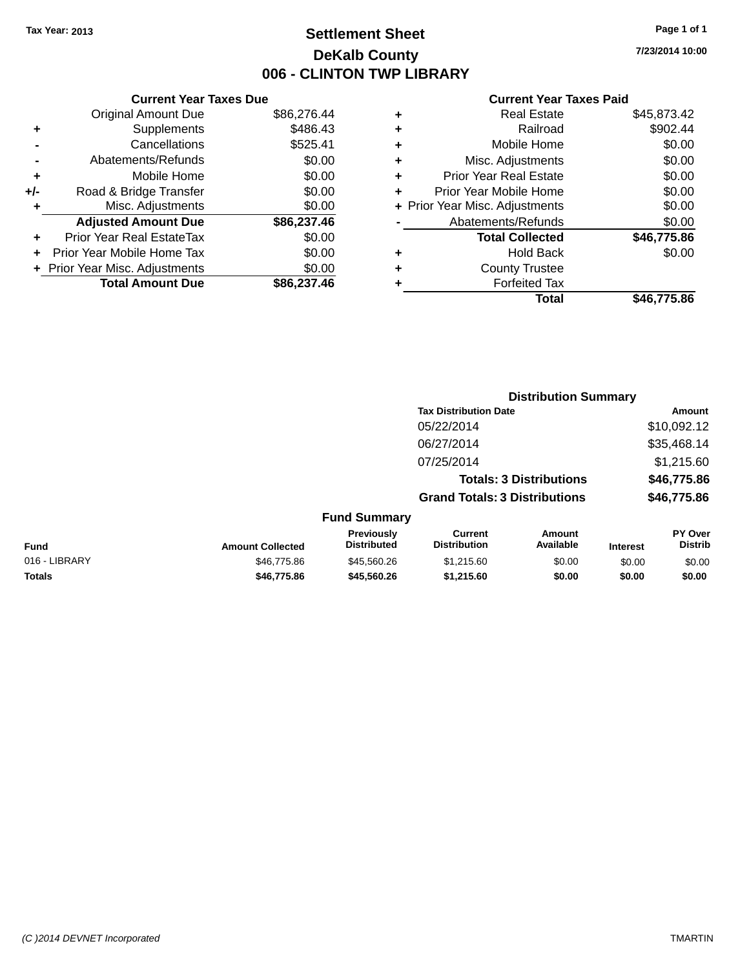### **Settlement Sheet Tax Year: 2013 Page 1 of 1 DeKalb County 006 - CLINTON TWP LIBRARY**

**7/23/2014 10:00**

|     | <b>Current Year Taxes Due</b>  |             |
|-----|--------------------------------|-------------|
|     | <b>Original Amount Due</b>     | \$86,276.44 |
| ٠   | Supplements                    | \$486.43    |
|     | Cancellations                  | \$525.41    |
|     | Abatements/Refunds             | \$0.00      |
| ٠   | Mobile Home                    | \$0.00      |
| +/- | Road & Bridge Transfer         | \$0.00      |
|     | Misc. Adjustments              | \$0.00      |
|     | <b>Adjusted Amount Due</b>     | \$86,237.46 |
| ÷   | Prior Year Real EstateTax      | \$0.00      |
|     | Prior Year Mobile Home Tax     | \$0.00      |
|     | + Prior Year Misc. Adjustments | \$0.00      |
|     | <b>Total Amount Due</b>        | \$86,237.46 |
|     |                                |             |

|   | <b>Real Estate</b>             | \$45,873.42 |
|---|--------------------------------|-------------|
| ٠ | Railroad                       | \$902.44    |
| ٠ | Mobile Home                    | \$0.00      |
| ٠ | Misc. Adjustments              | \$0.00      |
| ٠ | <b>Prior Year Real Estate</b>  | \$0.00      |
| ÷ | Prior Year Mobile Home         | \$0.00      |
|   | + Prior Year Misc. Adjustments | \$0.00      |
|   | Abatements/Refunds             | \$0.00      |
|   | <b>Total Collected</b>         | \$46,775.86 |
| ٠ | Hold Back                      | \$0.00      |
| ٠ | <b>County Trustee</b>          |             |
| ٠ | <b>Forfeited Tax</b>           |             |
|   | Total                          | \$46,775.86 |
|   |                                |             |

|               |                         |                                  |                                       | <b>Distribution Summary</b>    |                 |                           |
|---------------|-------------------------|----------------------------------|---------------------------------------|--------------------------------|-----------------|---------------------------|
|               |                         |                                  | <b>Tax Distribution Date</b>          | Amount                         |                 |                           |
|               |                         |                                  | 05/22/2014                            |                                |                 | \$10,092.12               |
|               |                         |                                  | 06/27/2014                            |                                |                 | \$35,468.14               |
|               |                         |                                  | 07/25/2014                            |                                |                 | \$1,215.60                |
|               |                         |                                  |                                       | <b>Totals: 3 Distributions</b> |                 | \$46,775.86               |
|               |                         |                                  | <b>Grand Totals: 3 Distributions</b>  |                                |                 | \$46,775.86               |
|               |                         | <b>Fund Summary</b>              |                                       |                                |                 |                           |
| <b>Fund</b>   | <b>Amount Collected</b> | Previously<br><b>Distributed</b> | <b>Current</b><br><b>Distribution</b> | Amount<br>Available            | <b>Interest</b> | PY Over<br><b>Distrib</b> |
| 016 - LIBRARY | \$46,775.86             | \$45,560.26                      | \$1,215.60                            | \$0.00                         | \$0.00          | \$0.00                    |
| <b>Totals</b> | \$46,775.86             | \$45,560.26                      | \$1,215.60                            | \$0.00                         | \$0.00          | \$0.00                    |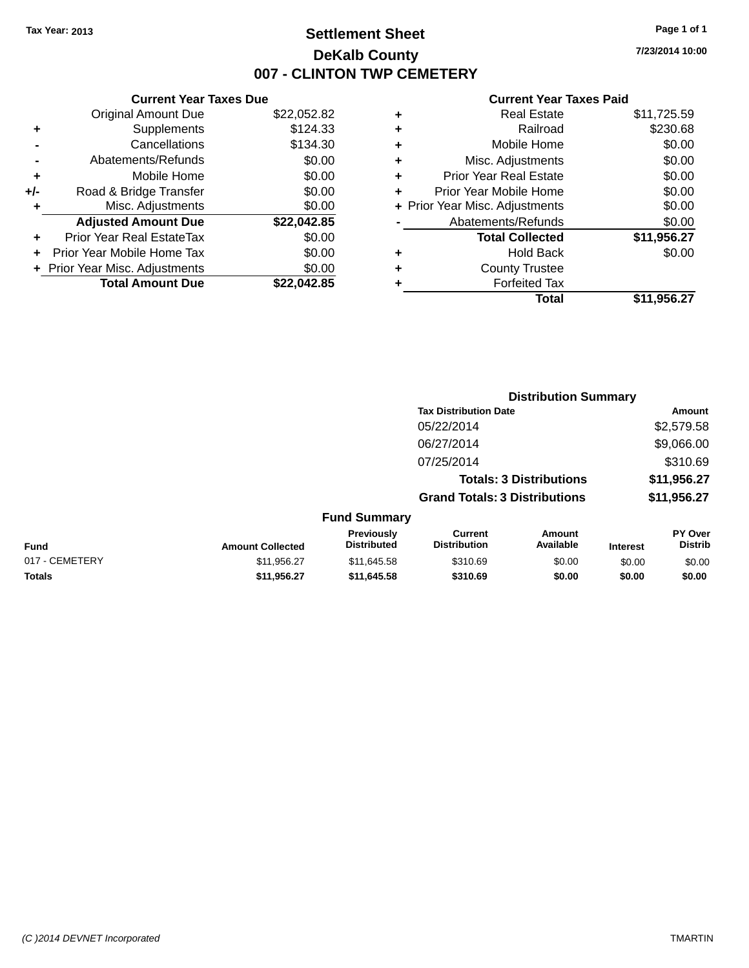### **Settlement Sheet Tax Year: 2013 Page 1 of 1 DeKalb County 007 - CLINTON TWP CEMETERY**

**7/23/2014 10:00**

#### **Current Year Taxes Paid**

|     | <b>Current Year Taxes Due</b>  |             |
|-----|--------------------------------|-------------|
|     | <b>Original Amount Due</b>     | \$22,052.82 |
| ٠   | Supplements                    | \$124.33    |
|     | Cancellations                  | \$134.30    |
|     | Abatements/Refunds             | \$0.00      |
| ٠   | Mobile Home                    | \$0.00      |
| +/- | Road & Bridge Transfer         | \$0.00      |
| ٠   | Misc. Adjustments              | \$0.00      |
|     | <b>Adjusted Amount Due</b>     | \$22,042.85 |
| ٠   | Prior Year Real EstateTax      | \$0.00      |
|     | Prior Year Mobile Home Tax     | \$0.00      |
|     | + Prior Year Misc. Adjustments | \$0.00      |
|     | <b>Total Amount Due</b>        | \$22.042.85 |
|     |                                |             |

|   | <b>Real Estate</b>             | \$11,725.59 |
|---|--------------------------------|-------------|
| ÷ | Railroad                       | \$230.68    |
| ÷ | Mobile Home                    | \$0.00      |
| ٠ | Misc. Adjustments              | \$0.00      |
| ٠ | <b>Prior Year Real Estate</b>  | \$0.00      |
| ٠ | Prior Year Mobile Home         | \$0.00      |
|   | + Prior Year Misc. Adjustments | \$0.00      |
|   | Abatements/Refunds             | \$0.00      |
|   | <b>Total Collected</b>         | \$11,956.27 |
| ٠ | <b>Hold Back</b>               | \$0.00      |
| ٠ | <b>County Trustee</b>          |             |
|   | <b>Forfeited Tax</b>           |             |
|   | Total                          | \$11,956.27 |
|   |                                |             |

|                |                         |                                  | <b>Distribution Summary</b>           |                            |                 |                           |
|----------------|-------------------------|----------------------------------|---------------------------------------|----------------------------|-----------------|---------------------------|
|                |                         | <b>Tax Distribution Date</b>     |                                       |                            |                 | Amount                    |
|                |                         |                                  | 05/22/2014                            |                            |                 | \$2,579.58                |
|                |                         |                                  | 06/27/2014                            |                            |                 | \$9,066.00                |
|                |                         |                                  | 07/25/2014                            |                            |                 | \$310.69                  |
|                |                         | <b>Totals: 3 Distributions</b>   |                                       |                            | \$11,956.27     |                           |
|                |                         |                                  | <b>Grand Totals: 3 Distributions</b>  |                            |                 | \$11,956.27               |
|                |                         | <b>Fund Summary</b>              |                                       |                            |                 |                           |
| <b>Fund</b>    | <b>Amount Collected</b> | Previously<br><b>Distributed</b> | <b>Current</b><br><b>Distribution</b> | <b>Amount</b><br>Available | <b>Interest</b> | PY Over<br><b>Distrib</b> |
| 017 - CEMETERY | \$11,956.27             | \$11,645.58                      | \$310.69                              | \$0.00                     | \$0.00          | \$0.00                    |
|                |                         |                                  |                                       |                            |                 |                           |

**Totals \$11,956.27 \$11,645.58 \$310.69 \$0.00 \$0.00 \$0.00**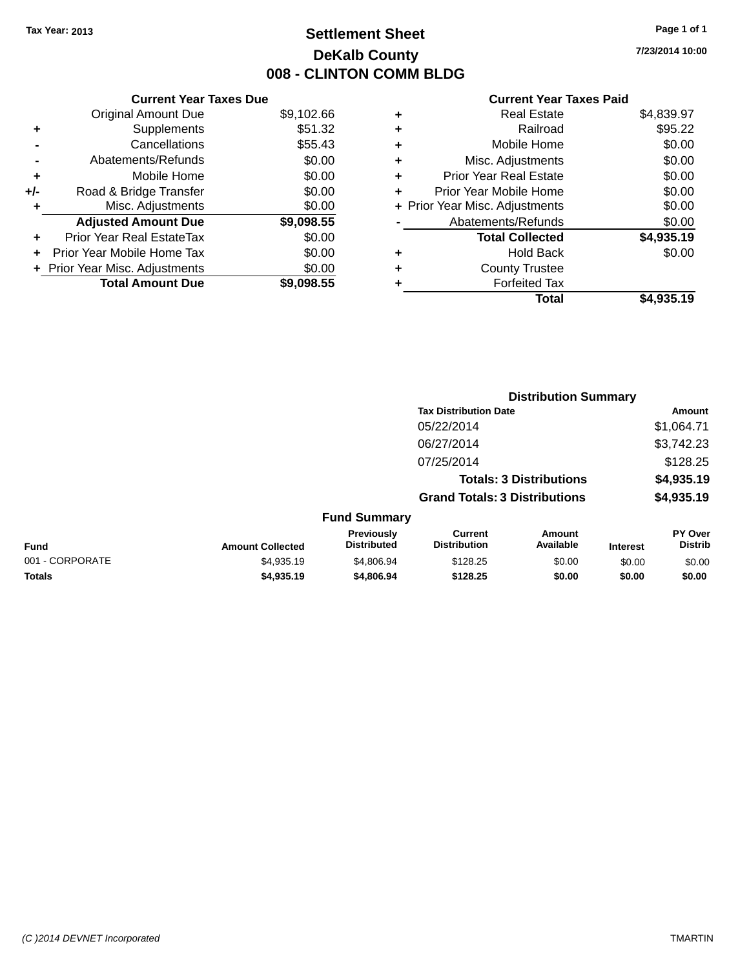### **Settlement Sheet Tax Year: 2013 Page 1 of 1 DeKalb County 008 - CLINTON COMM BLDG**

**7/23/2014 10:00**

| <b>Current Year Taxes Due</b>  |            |  |  |  |  |  |
|--------------------------------|------------|--|--|--|--|--|
| <b>Original Amount Due</b>     | \$9,102.66 |  |  |  |  |  |
| Supplements                    | \$51.32    |  |  |  |  |  |
| Cancellations                  | \$55.43    |  |  |  |  |  |
| Abatements/Refunds             | \$0.00     |  |  |  |  |  |
| Mobile Home                    | \$0.00     |  |  |  |  |  |
| Road & Bridge Transfer         | \$0.00     |  |  |  |  |  |
| Misc. Adjustments              | \$0.00     |  |  |  |  |  |
| <b>Adjusted Amount Due</b>     | \$9,098.55 |  |  |  |  |  |
| Prior Year Real EstateTax      | \$0.00     |  |  |  |  |  |
| Prior Year Mobile Home Tax     | \$0.00     |  |  |  |  |  |
| + Prior Year Misc. Adjustments | \$0.00     |  |  |  |  |  |
| <b>Total Amount Due</b>        | \$9,098.55 |  |  |  |  |  |
|                                |            |  |  |  |  |  |

|   | <b>Real Estate</b>             | \$4,839.97 |
|---|--------------------------------|------------|
| ٠ | Railroad                       | \$95.22    |
| ٠ | Mobile Home                    | \$0.00     |
| ٠ | Misc. Adjustments              | \$0.00     |
| ٠ | <b>Prior Year Real Estate</b>  | \$0.00     |
| ÷ | Prior Year Mobile Home         | \$0.00     |
|   | + Prior Year Misc. Adjustments | \$0.00     |
|   | Abatements/Refunds             | \$0.00     |
|   | <b>Total Collected</b>         | \$4,935.19 |
| ٠ | Hold Back                      | \$0.00     |
| ٠ | <b>County Trustee</b>          |            |
| ٠ | <b>Forfeited Tax</b>           |            |
|   | Total                          | \$4,935.19 |
|   |                                |            |

|                 |                         | <b>Distribution Summary</b>             |                                       |                                |                 |                           |
|-----------------|-------------------------|-----------------------------------------|---------------------------------------|--------------------------------|-----------------|---------------------------|
|                 |                         |                                         | <b>Tax Distribution Date</b>          |                                |                 | Amount                    |
|                 |                         |                                         | 05/22/2014                            |                                |                 | \$1,064.71                |
|                 |                         |                                         | 06/27/2014                            |                                |                 | \$3,742.23                |
|                 |                         |                                         | 07/25/2014                            |                                |                 | \$128.25                  |
|                 |                         |                                         |                                       | <b>Totals: 3 Distributions</b> |                 | \$4,935.19                |
|                 |                         |                                         | <b>Grand Totals: 3 Distributions</b>  |                                |                 | \$4,935.19                |
|                 |                         | <b>Fund Summary</b>                     |                                       |                                |                 |                           |
| <b>Fund</b>     | <b>Amount Collected</b> | <b>Previously</b><br><b>Distributed</b> | <b>Current</b><br><b>Distribution</b> | Amount<br>Available            | <b>Interest</b> | PY Over<br><b>Distrib</b> |
| 001 - CORPORATE | \$4,935.19              | \$4,806.94                              | \$128.25                              | \$0.00                         | \$0.00          | \$0.00                    |
| <b>Totals</b>   | \$4,935.19              | \$4,806.94                              | \$128.25                              | \$0.00                         | \$0.00          | \$0.00                    |
|                 |                         |                                         |                                       |                                |                 |                           |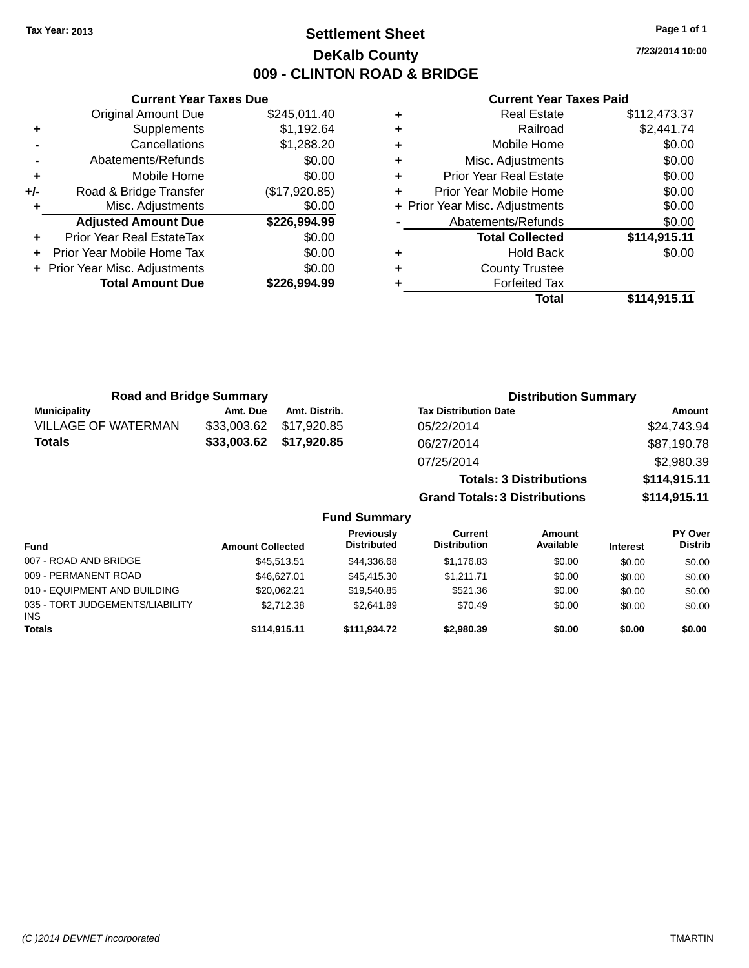### **Settlement Sheet Tax Year: 2013 Page 1 of 1 DeKalb County 009 - CLINTON ROAD & BRIDGE**

**7/23/2014 10:00**

|     | <b>Current Year Taxes Due</b>  |               |  |  |  |  |
|-----|--------------------------------|---------------|--|--|--|--|
|     | <b>Original Amount Due</b>     | \$245,011.40  |  |  |  |  |
| ٠   | Supplements                    | \$1,192.64    |  |  |  |  |
|     | Cancellations                  | \$1,288.20    |  |  |  |  |
|     | Abatements/Refunds             | \$0.00        |  |  |  |  |
| ٠   | Mobile Home                    | \$0.00        |  |  |  |  |
| +/- | Road & Bridge Transfer         | (\$17,920.85) |  |  |  |  |
|     | Misc. Adjustments              | \$0.00        |  |  |  |  |
|     | <b>Adjusted Amount Due</b>     | \$226,994.99  |  |  |  |  |
| ٠   | Prior Year Real EstateTax      | \$0.00        |  |  |  |  |
|     | Prior Year Mobile Home Tax     | \$0.00        |  |  |  |  |
|     | + Prior Year Misc. Adjustments | \$0.00        |  |  |  |  |
|     | <b>Total Amount Due</b>        | \$226.994.99  |  |  |  |  |
|     |                                |               |  |  |  |  |

| ٠ | <b>Real Estate</b>             | \$112,473.37 |
|---|--------------------------------|--------------|
| ٠ | Railroad                       | \$2,441.74   |
| ٠ | Mobile Home                    | \$0.00       |
| ٠ | Misc. Adjustments              | \$0.00       |
| ٠ | <b>Prior Year Real Estate</b>  | \$0.00       |
| ٠ | Prior Year Mobile Home         | \$0.00       |
|   | + Prior Year Misc. Adjustments | \$0.00       |
|   | Abatements/Refunds             | \$0.00       |
|   | <b>Total Collected</b>         | \$114,915.11 |
| ٠ | <b>Hold Back</b>               | \$0.00       |
| ٠ | <b>County Trustee</b>          |              |
|   | <b>Forfeited Tax</b>           |              |
|   | Total                          | \$114,915.11 |

| <b>Road and Bridge Summary</b> |             |               | <b>Distribution Summary</b>          |              |  |  |  |
|--------------------------------|-------------|---------------|--------------------------------------|--------------|--|--|--|
| <b>Municipality</b>            | Amt. Due    | Amt. Distrib. | <b>Tax Distribution Date</b>         | Amount       |  |  |  |
| <b>VILLAGE OF WATERMAN</b>     | \$33,003.62 | \$17.920.85   | 05/22/2014                           | \$24,743.94  |  |  |  |
| <b>Totals</b>                  | \$33,003.62 | \$17,920.85   | 06/27/2014                           | \$87,190.78  |  |  |  |
|                                |             |               | 07/25/2014                           | \$2,980.39   |  |  |  |
|                                |             |               | <b>Totals: 3 Distributions</b>       | \$114,915.11 |  |  |  |
|                                |             |               | <b>Grand Totals: 3 Distributions</b> | \$114,915.11 |  |  |  |
| <b>Fund Summary</b>            |             |               |                                      |              |  |  |  |

| <b>Fund</b>                                   | <b>Amount Collected</b> | <b>Previously</b><br><b>Distributed</b> | Current<br><b>Distribution</b> | Amount<br>Available | <b>Interest</b> | PY Over<br><b>Distrib</b> |
|-----------------------------------------------|-------------------------|-----------------------------------------|--------------------------------|---------------------|-----------------|---------------------------|
| 007 - ROAD AND BRIDGE                         | \$45,513,51             | \$44,336,68                             | \$1,176.83                     | \$0.00              | \$0.00          | \$0.00                    |
| 009 - PERMANENT ROAD                          | \$46,627,01             | \$45,415,30                             | \$1.211.71                     | \$0.00              | \$0.00          | \$0.00                    |
| 010 - EQUIPMENT AND BUILDING                  | \$20.062.21             | \$19,540.85                             | \$521.36                       | \$0.00              | \$0.00          | \$0.00                    |
| 035 - TORT JUDGEMENTS/LIABILITY<br><b>INS</b> | \$2,712.38              | \$2.641.89                              | \$70.49                        | \$0.00              | \$0.00          | \$0.00                    |
| <b>Totals</b>                                 | \$114,915.11            | \$111.934.72                            | \$2,980,39                     | \$0.00              | \$0.00          | \$0.00                    |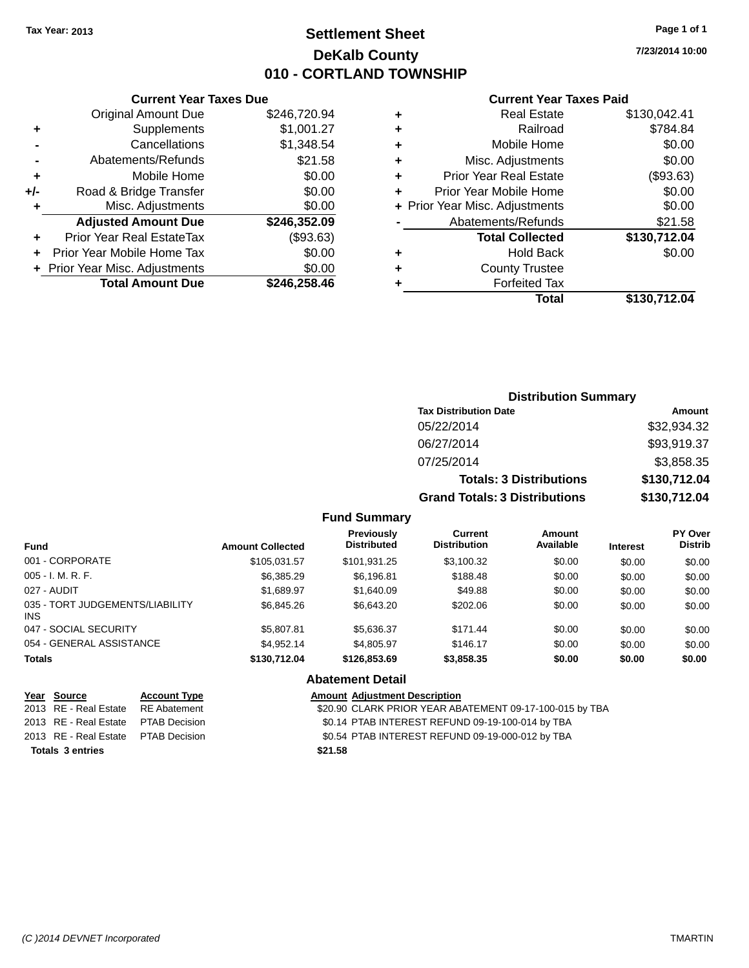### **Settlement Sheet Tax Year: 2013 Page 1 of 1 DeKalb County 010 - CORTLAND TOWNSHIP**

**7/23/2014 10:00**

| <b>Current Year Taxes Paid</b> |  |  |  |
|--------------------------------|--|--|--|
|--------------------------------|--|--|--|

|     | <b>Current Year Taxes Due</b>  |              |
|-----|--------------------------------|--------------|
|     | <b>Original Amount Due</b>     | \$246,720.94 |
| ٠   | Supplements                    | \$1,001.27   |
|     | Cancellations                  | \$1,348.54   |
|     | Abatements/Refunds             | \$21.58      |
| ٠   | Mobile Home                    | \$0.00       |
| +/- | Road & Bridge Transfer         | \$0.00       |
| ٠   | Misc. Adjustments              | \$0.00       |
|     | <b>Adjusted Amount Due</b>     | \$246,352.09 |
| ÷   | Prior Year Real EstateTax      | (\$93.63)    |
|     | Prior Year Mobile Home Tax     | \$0.00       |
|     | + Prior Year Misc. Adjustments | \$0.00       |
|     | <b>Total Amount Due</b>        | \$246,258.46 |

| ٠ | <b>Real Estate</b>             | \$130,042.41 |
|---|--------------------------------|--------------|
| ٠ | Railroad                       | \$784.84     |
| ٠ | Mobile Home                    | \$0.00       |
| ٠ | Misc. Adjustments              | \$0.00       |
| ٠ | <b>Prior Year Real Estate</b>  | (\$93.63)    |
| ٠ | Prior Year Mobile Home         | \$0.00       |
|   | + Prior Year Misc. Adjustments | \$0.00       |
|   | Abatements/Refunds             | \$21.58      |
|   | <b>Total Collected</b>         | \$130,712.04 |
| ٠ | <b>Hold Back</b>               | \$0.00       |
| ٠ | <b>County Trustee</b>          |              |
| ٠ | <b>Forfeited Tax</b>           |              |
|   | Total                          | \$130,712.04 |
|   |                                |              |

| <b>Distribution Summary</b>          |              |
|--------------------------------------|--------------|
| <b>Tax Distribution Date</b>         | Amount       |
| 05/22/2014                           | \$32,934.32  |
| 06/27/2014                           | \$93,919.37  |
| 07/25/2014                           | \$3,858.35   |
| <b>Totals: 3 Distributions</b>       | \$130,712.04 |
| <b>Grand Totals: 3 Distributions</b> | \$130,712.04 |

### **Fund Summary**

| <b>Fund</b>                                   | <b>Amount Collected</b> | <b>Previously</b><br><b>Distributed</b> | Current<br><b>Distribution</b> | Amount<br>Available | <b>Interest</b> | PY Over<br><b>Distrib</b> |
|-----------------------------------------------|-------------------------|-----------------------------------------|--------------------------------|---------------------|-----------------|---------------------------|
| 001 - CORPORATE                               | \$105.031.57            | \$101.931.25                            | \$3,100.32                     | \$0.00              | \$0.00          | \$0.00                    |
| $005 - I. M. R. F.$                           | \$6.385.29              | \$6.196.81                              | \$188.48                       | \$0.00              | \$0.00          | \$0.00                    |
| 027 - AUDIT                                   | \$1.689.97              | \$1,640.09                              | \$49.88                        | \$0.00              | \$0.00          | \$0.00                    |
| 035 - TORT JUDGEMENTS/LIABILITY<br><b>INS</b> | \$6,845.26              | \$6,643.20                              | \$202.06                       | \$0.00              | \$0.00          | \$0.00                    |
| 047 - SOCIAL SECURITY                         | \$5,807.81              | \$5.636.37                              | \$171.44                       | \$0.00              | \$0.00          | \$0.00                    |
| 054 - GENERAL ASSISTANCE                      | \$4.952.14              | \$4,805.97                              | \$146.17                       | \$0.00              | \$0.00          | \$0.00                    |
| <b>Totals</b>                                 | \$130,712.04            | \$126,853.69                            | \$3,858.35                     | \$0.00              | \$0.00          | \$0.00                    |

### **Abatement Detail Year** Source **Account Type Account Type Amount Adjustment Description**

|  |  | \$20.90 CLARK PRIOR YEAR ABATEMENT 09-17-100-015 by TBA |  |
|--|--|---------------------------------------------------------|--|

2013 RE - Real Estate PTAB Decision \$0.14 PTAB INTEREST REFUND 09-19-100-014 by TBA

- 2013 RE Real Estate PTAB Decision \$0.54 PTAB INTEREST REFUND 09-19-000-012 by TBA
- **Totals 3 entries \$21.58**

 $\overline{2013}$  RE - Real Estate RE Abatement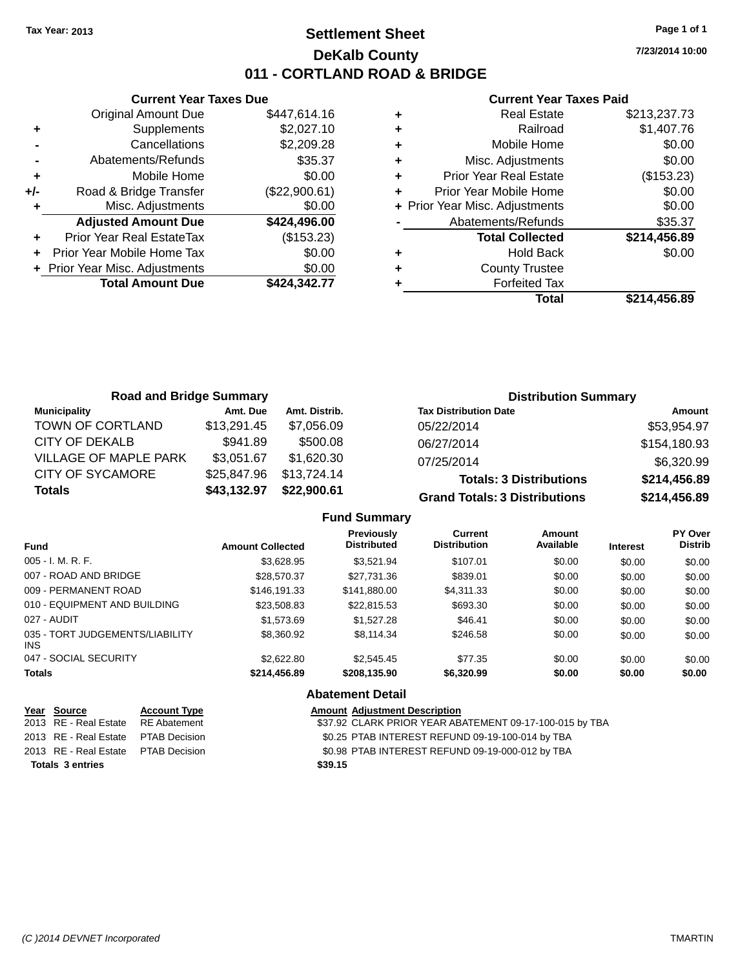### **Settlement Sheet Tax Year: 2013 Page 1 of 1 DeKalb County 011 - CORTLAND ROAD & BRIDGE**

**Current Year Taxes Due** Original Amount Due \$447,614.16 **+** Supplements \$2,027.10 **-** Cancellations \$2,209.28 **-** Abatements/Refunds \$35.37 **+** Mobile Home \$0.00 **+/-** Road & Bridge Transfer (\$22,900.61) **+** Misc. Adjustments \$0.00 **Adjusted Amount Due \$424,496.00 +** Prior Year Real EstateTax (\$153.23) **+** Prior Year Mobile Home Tax \$0.00 **+** Prior Year Misc. Adjustments \$0.00<br>Total Amount Due \$424,342.77 **Total Amount Due** 

#### **Current Year Taxes Paid**

|   | <b>Real Estate</b>             | \$213,237.73 |
|---|--------------------------------|--------------|
| ٠ | Railroad                       | \$1,407.76   |
| ٠ | Mobile Home                    | \$0.00       |
| ٠ | Misc. Adjustments              | \$0.00       |
| ٠ | <b>Prior Year Real Estate</b>  | (\$153.23)   |
|   | Prior Year Mobile Home         | \$0.00       |
|   | + Prior Year Misc. Adjustments | \$0.00       |
|   | Abatements/Refunds             | \$35.37      |
|   | <b>Total Collected</b>         | \$214,456.89 |
| ٠ | <b>Hold Back</b>               | \$0.00       |
| ٠ | <b>County Trustee</b>          |              |
|   | <b>Forfeited Tax</b>           |              |
|   | Total                          | \$214,456.89 |
|   |                                |              |

| <b>Road and Bridge Summary</b> |             |               | <b>Distribution Summary</b>          |              |  |
|--------------------------------|-------------|---------------|--------------------------------------|--------------|--|
| <b>Municipality</b>            | Amt. Due    | Amt. Distrib. | <b>Tax Distribution Date</b>         | Amount       |  |
| TOWN OF CORTLAND               | \$13,291.45 | \$7.056.09    | 05/22/2014                           | \$53,954.97  |  |
| CITY OF DEKALB                 | \$941.89    | \$500.08      | 06/27/2014                           | \$154,180.93 |  |
| <b>VILLAGE OF MAPLE PARK</b>   | \$3,051.67  | \$1,620.30    | 07/25/2014                           | \$6,320.99   |  |
| <b>CITY OF SYCAMORE</b>        | \$25,847.96 | \$13,724.14   | <b>Totals: 3 Distributions</b>       | \$214,456.89 |  |
| <b>Totals</b>                  | \$43,132.97 | \$22,900.61   | <b>Grand Totals: 3 Distributions</b> | \$214,456.89 |  |

### **Fund Summary**

| <b>Fund</b>                             | <b>Amount Collected</b> | <b>Previously</b><br><b>Distributed</b> | Current<br><b>Distribution</b> | Amount<br>Available | <b>Interest</b> | PY Over<br><b>Distrib</b> |
|-----------------------------------------|-------------------------|-----------------------------------------|--------------------------------|---------------------|-----------------|---------------------------|
| $005 - I. M. R. F.$                     | \$3.628.95              | \$3.521.94                              | \$107.01                       | \$0.00              | \$0.00          | \$0.00                    |
| 007 - ROAD AND BRIDGE                   | \$28,570.37             | \$27,731.36                             | \$839.01                       | \$0.00              | \$0.00          | \$0.00                    |
| 009 - PERMANENT ROAD                    | \$146.191.33            | \$141,880.00                            | \$4,311.33                     | \$0.00              | \$0.00          | \$0.00                    |
| 010 - EQUIPMENT AND BUILDING            | \$23,508.83             | \$22,815.53                             | \$693.30                       | \$0.00              | \$0.00          | \$0.00                    |
| 027 - AUDIT                             | \$1,573.69              | \$1,527,28                              | \$46.41                        | \$0.00              | \$0.00          | \$0.00                    |
| 035 - TORT JUDGEMENTS/LIABILITY<br>INS. | \$8,360.92              | \$8,114.34                              | \$246.58                       | \$0.00              | \$0.00          | \$0.00                    |
| 047 - SOCIAL SECURITY                   | \$2,622,80              | \$2,545.45                              | \$77.35                        | \$0.00              | \$0.00          | \$0.00                    |
| <b>Totals</b>                           | \$214,456.89            | \$208,135.90                            | \$6,320.99                     | \$0.00              | \$0.00          | \$0.00                    |

### **Abatement Detail**

| Year Source                         | <b>Account Type</b> | <b>Amount Adjustment Description</b>                    |
|-------------------------------------|---------------------|---------------------------------------------------------|
| 2013 RE - Real Estate               | RE Abatement        | \$37.92 CLARK PRIOR YEAR ABATEMENT 09-17-100-015 by TBA |
| 2013 RE - Real Estate PTAB Decision |                     | \$0.25 PTAB INTEREST REFUND 09-19-100-014 by TBA        |
| 2013 RE - Real Estate PTAB Decision |                     | \$0.98 PTAB INTEREST REFUND 09-19-000-012 by TBA        |
| <b>Totals 3 entries</b>             |                     | \$39.15                                                 |

**7/23/2014 10:00**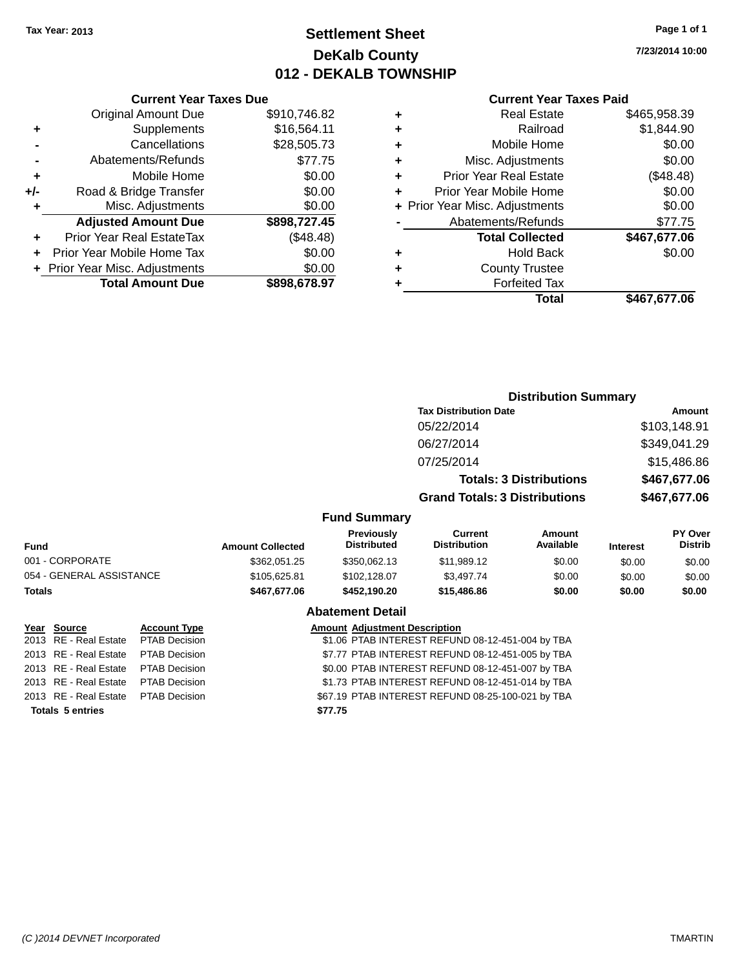### **Settlement Sheet Tax Year: 2013 Page 1 of 1 DeKalb County 012 - DEKALB TOWNSHIP**

**7/23/2014 10:00**

#### **Current Year Taxes Paid**

| <b>Current Year Taxes Due</b> |                                |
|-------------------------------|--------------------------------|
| <b>Original Amount Due</b>    | \$910,746.82                   |
| Supplements                   | \$16,564.11                    |
| Cancellations                 | \$28,505.73                    |
| Abatements/Refunds            | \$77.75                        |
| Mobile Home                   | \$0.00                         |
| Road & Bridge Transfer        | \$0.00                         |
| Misc. Adjustments             | \$0.00                         |
| <b>Adjusted Amount Due</b>    | \$898,727.45                   |
| Prior Year Real EstateTax     | (\$48.48)                      |
| Prior Year Mobile Home Tax    | \$0.00                         |
|                               | \$0.00                         |
| <b>Total Amount Due</b>       | \$898.678.97                   |
|                               | + Prior Year Misc. Adjustments |

|   | <b>Real Estate</b>             | \$465,958.39 |
|---|--------------------------------|--------------|
| ٠ | Railroad                       | \$1,844.90   |
| ٠ | Mobile Home                    | \$0.00       |
| ٠ | Misc. Adjustments              | \$0.00       |
| ٠ | <b>Prior Year Real Estate</b>  | (\$48.48)    |
| ÷ | Prior Year Mobile Home         | \$0.00       |
|   | + Prior Year Misc. Adjustments | \$0.00       |
|   | Abatements/Refunds             | \$77.75      |
|   | <b>Total Collected</b>         | \$467,677.06 |
| ٠ | <b>Hold Back</b>               | \$0.00       |
| ٠ | <b>County Trustee</b>          |              |
| ٠ | <b>Forfeited Tax</b>           |              |
|   | Total                          | \$467,677.06 |
|   |                                |              |

|                         |                                         |                                |                     |                                                                                                        | <b>Amount</b>                    |
|-------------------------|-----------------------------------------|--------------------------------|---------------------|--------------------------------------------------------------------------------------------------------|----------------------------------|
|                         |                                         | 05/22/2014                     |                     |                                                                                                        | \$103,148.91                     |
|                         |                                         | 06/27/2014                     |                     |                                                                                                        | \$349,041.29                     |
|                         |                                         | 07/25/2014                     |                     |                                                                                                        | \$15,486.86                      |
|                         |                                         |                                |                     |                                                                                                        | \$467,677.06                     |
|                         |                                         |                                |                     |                                                                                                        | \$467,677.06                     |
|                         | <b>Fund Summary</b>                     |                                |                     |                                                                                                        |                                  |
| <b>Amount Collected</b> | <b>Previously</b><br><b>Distributed</b> | Current<br><b>Distribution</b> | Amount<br>Available | <b>Interest</b>                                                                                        | <b>PY Over</b><br><b>Distrib</b> |
| \$362,051.25            | \$350,062.13                            | \$11,989.12                    | \$0.00              | \$0.00                                                                                                 | \$0.00                           |
| \$105.625.81            | \$102.128.07                            | \$3.497.74                     | \$0.00              | \$0.00                                                                                                 | \$0.00                           |
|                         |                                         |                                |                     | <b>Tax Distribution Date</b><br><b>Totals: 3 Distributions</b><br><b>Grand Totals: 3 Distributions</b> | <b>Distribution Summary</b>      |

**Totals \$467,677.06 \$452,190.20 \$15,486.86 \$0.00 \$0.00 \$0.00**

|                                     | <b>Abatement Detail</b> |                                                   |  |
|-------------------------------------|-------------------------|---------------------------------------------------|--|
| Year Source                         | <b>Account Type</b>     | <b>Amount Adjustment Description</b>              |  |
| 2013 RE - Real Estate PTAB Decision |                         | \$1.06 PTAB INTEREST REFUND 08-12-451-004 by TBA  |  |
| 2013 RE - Real Estate PTAB Decision |                         | \$7.77 PTAB INTEREST REFUND 08-12-451-005 by TBA  |  |
| 2013 RE - Real Estate PTAB Decision |                         | \$0.00 PTAB INTEREST REFUND 08-12-451-007 by TBA  |  |
| 2013 RE - Real Estate PTAB Decision |                         | \$1.73 PTAB INTEREST REFUND 08-12-451-014 by TBA  |  |
| 2013 RE - Real Estate PTAB Decision |                         | \$67.19 PTAB INTEREST REFUND 08-25-100-021 by TBA |  |
| <b>Totals 5 entries</b>             |                         | \$77.75                                           |  |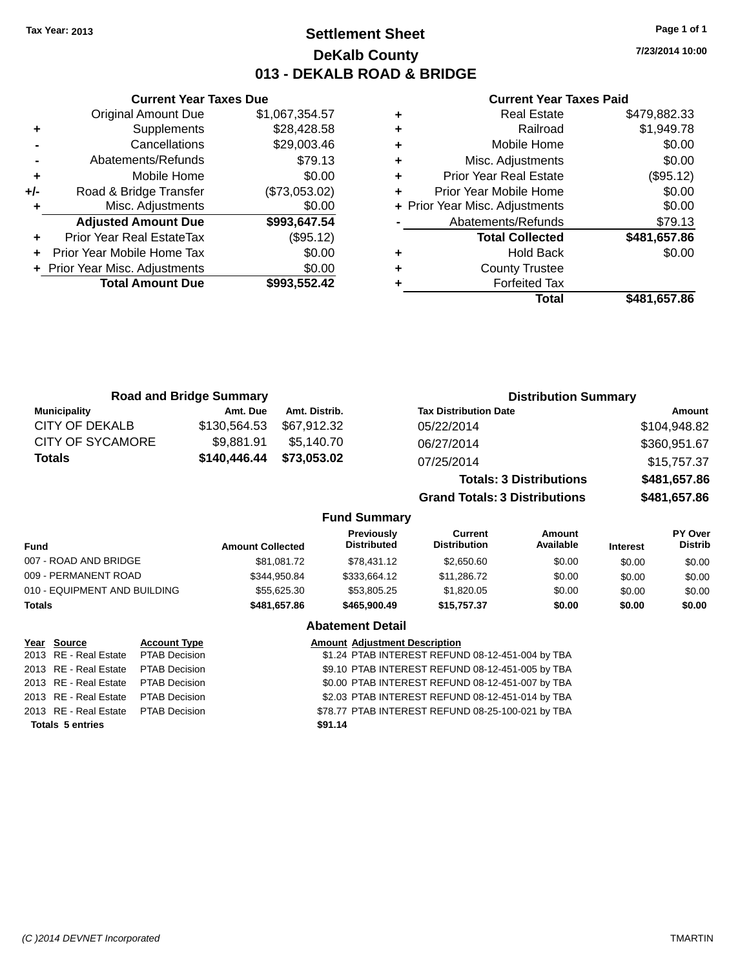**Current Year Taxes Due** Original Amount Due \$1,067,354.57

**Adjusted Amount Due \$993,647.54**

**Total Amount Due \$993,552.42**

**+** Supplements \$28,428.58 **-** Cancellations \$29,003.46 **-** Abatements/Refunds \$79.13 **+** Mobile Home \$0.00 **+/-** Road & Bridge Transfer (\$73,053.02) **+** Misc. Adjustments \$0.00

**+** Prior Year Real EstateTax (\$95.12) **+** Prior Year Mobile Home Tax \$0.00 **+ Prior Year Misc. Adjustments**  $$0.00$ 

### **Settlement Sheet Tax Year: 2013 Page 1 of 1 DeKalb County 013 - DEKALB ROAD & BRIDGE**

**7/23/2014 10:00**

#### **Current Year Taxes Paid**

|                              | <b>Road and Bridge Summary</b> |               |                                  |                                       | <b>Distribution Summary</b>    |                 |                           |
|------------------------------|--------------------------------|---------------|----------------------------------|---------------------------------------|--------------------------------|-----------------|---------------------------|
| <b>Municipality</b>          | Amt. Due                       | Amt. Distrib. |                                  | <b>Tax Distribution Date</b>          |                                |                 | Amount                    |
| <b>CITY OF DEKALB</b>        | \$130,564.53                   | \$67,912.32   |                                  | 05/22/2014                            |                                |                 | \$104,948.82              |
| CITY OF SYCAMORE             | \$9,881.91                     | \$5.140.70    |                                  | 06/27/2014                            |                                |                 | \$360,951.67              |
| <b>Totals</b>                | \$140,446.44                   | \$73,053.02   |                                  | 07/25/2014                            |                                |                 | \$15,757.37               |
|                              |                                |               |                                  |                                       | <b>Totals: 3 Distributions</b> |                 | \$481,657.86              |
|                              |                                |               |                                  | <b>Grand Totals: 3 Distributions</b>  |                                |                 | \$481,657.86              |
|                              |                                |               | <b>Fund Summary</b>              |                                       |                                |                 |                           |
| <b>Fund</b>                  | <b>Amount Collected</b>        |               | Previously<br><b>Distributed</b> | <b>Current</b><br><b>Distribution</b> | Amount<br>Available            | <b>Interest</b> | PY Over<br><b>Distrib</b> |
| 007 - ROAD AND BRIDGE        |                                | \$81,081.72   | \$78.431.12                      | \$2,650.60                            | \$0.00                         | \$0.00          | \$0.00                    |
| 009 - PERMANENT ROAD         |                                | \$344.950.84  | \$333.664.12                     | \$11,286.72                           | \$0.00                         | \$0.00          | \$0.00                    |
| 010 - EQUIPMENT AND BUILDING |                                | \$55.625.30   | \$53.805.25                      | \$1,820.05                            | \$0.00                         | \$0.00          | \$0.00                    |
|                              |                                |               |                                  |                                       |                                |                 |                           |

**Totals \$481,657.86 \$465,900.49 \$15,757.37 \$0.00 \$0.00 \$0.00**

|                                     |                      | <b>Abatement Detail</b>                           |
|-------------------------------------|----------------------|---------------------------------------------------|
| Year Source                         | <b>Account Type</b>  | <b>Amount Adjustment Description</b>              |
| 2013 RE - Real Estate PTAB Decision |                      | \$1.24 PTAB INTEREST REFUND 08-12-451-004 by TBA  |
| 2013 RE - Real Estate               | <b>PTAB Decision</b> | \$9.10 PTAB INTEREST REFUND 08-12-451-005 by TBA  |
| 2013 RE - Real Estate PTAB Decision |                      | \$0.00 PTAB INTEREST REFUND 08-12-451-007 by TBA  |
| 2013 RE - Real Estate               | <b>PTAB Decision</b> | \$2.03 PTAB INTEREST REFUND 08-12-451-014 by TBA  |
| 2013 RE - Real Estate PTAB Decision |                      | \$78.77 PTAB INTEREST REFUND 08-25-100-021 by TBA |
| <b>Totals 5 entries</b>             |                      | \$91.14                                           |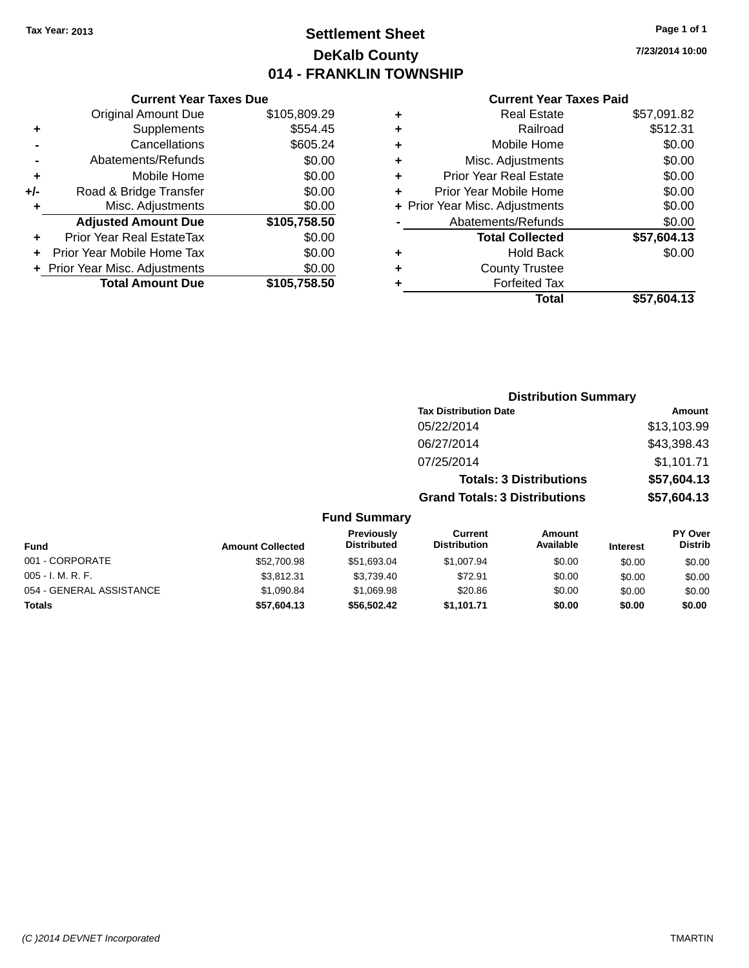### **Settlement Sheet Tax Year: 2013 Page 1 of 1 DeKalb County 014 - FRANKLIN TOWNSHIP**

**7/23/2014 10:00**

### **Current Year Taxes Paid**

|     | <b>Current Year Taxes Due</b>  |              |
|-----|--------------------------------|--------------|
|     | <b>Original Amount Due</b>     | \$105,809.29 |
| ٠   | Supplements                    | \$554.45     |
|     | Cancellations                  | \$605.24     |
|     | Abatements/Refunds             | \$0.00       |
| ٠   | Mobile Home                    | \$0.00       |
| +/- | Road & Bridge Transfer         | \$0.00       |
|     | Misc. Adjustments              | \$0.00       |
|     | <b>Adjusted Amount Due</b>     | \$105,758.50 |
| ٠   | Prior Year Real EstateTax      | \$0.00       |
|     | Prior Year Mobile Home Tax     | \$0.00       |
|     | + Prior Year Misc. Adjustments | \$0.00       |
|     | <b>Total Amount Due</b>        | \$105,758.50 |
|     |                                |              |

|   | <b>Real Estate</b>             | \$57,091.82 |
|---|--------------------------------|-------------|
| ٠ | Railroad                       | \$512.31    |
| ٠ | Mobile Home                    | \$0.00      |
| ٠ | Misc. Adjustments              | \$0.00      |
| ٠ | <b>Prior Year Real Estate</b>  | \$0.00      |
| ٠ | Prior Year Mobile Home         | \$0.00      |
|   | + Prior Year Misc. Adjustments | \$0.00      |
|   | Abatements/Refunds             | \$0.00      |
|   | <b>Total Collected</b>         | \$57,604.13 |
|   | <b>Hold Back</b>               | \$0.00      |
| ٠ | <b>County Trustee</b>          |             |
|   | <b>Forfeited Tax</b>           |             |
|   | Total                          | \$57,604.13 |
|   |                                |             |

|                          |                         |                                  |                                       | <b>Distribution Summary</b>    |                 |                           |
|--------------------------|-------------------------|----------------------------------|---------------------------------------|--------------------------------|-----------------|---------------------------|
|                          |                         |                                  | <b>Tax Distribution Date</b>          |                                |                 | <b>Amount</b>             |
|                          |                         |                                  | 05/22/2014                            |                                |                 | \$13,103.99               |
|                          |                         |                                  | 06/27/2014                            |                                |                 | \$43,398.43               |
|                          |                         |                                  | 07/25/2014                            |                                |                 | \$1,101.71                |
|                          |                         |                                  |                                       | <b>Totals: 3 Distributions</b> |                 | \$57,604.13               |
|                          |                         |                                  | <b>Grand Totals: 3 Distributions</b>  |                                |                 | \$57,604.13               |
|                          |                         | <b>Fund Summary</b>              |                                       |                                |                 |                           |
| <b>Fund</b>              | <b>Amount Collected</b> | Previously<br><b>Distributed</b> | <b>Current</b><br><b>Distribution</b> | Amount<br>Available            | <b>Interest</b> | PY Over<br><b>Distrib</b> |
| 001 - CORPORATE          | \$52,700.98             | \$51,693.04                      | \$1,007.94                            | \$0.00                         | \$0.00          | \$0.00                    |
| $005 - I. M. R. F.$      | \$3,812.31              | \$3,739.40                       | \$72.91                               | \$0.00                         | \$0.00          | \$0.00                    |
| 054 - GENERAL ASSISTANCE | \$1,090.84              | \$1,069.98                       | \$20.86                               | \$0.00                         | \$0.00          | \$0.00                    |
| <b>Totals</b>            | \$57,604.13             | \$56,502.42                      | \$1,101.71                            | \$0.00                         | \$0.00          | \$0.00                    |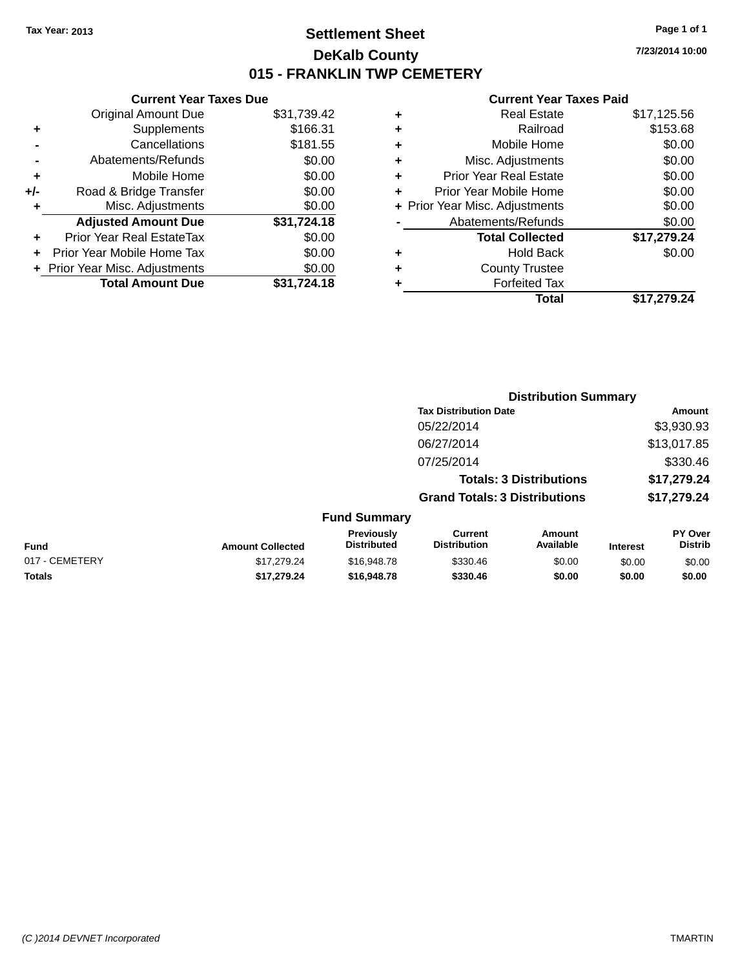### **Settlement Sheet Tax Year: 2013 Page 1 of 1 DeKalb County 015 - FRANKLIN TWP CEMETERY**

**7/23/2014 10:00**

|     | <b>Current Year Taxes Due</b>  |             |
|-----|--------------------------------|-------------|
|     | <b>Original Amount Due</b>     | \$31,739.42 |
| ٠   | Supplements                    | \$166.31    |
|     | Cancellations                  | \$181.55    |
|     | Abatements/Refunds             | \$0.00      |
| ٠   | Mobile Home                    | \$0.00      |
| +/- | Road & Bridge Transfer         | \$0.00      |
|     | Misc. Adjustments              | \$0.00      |
|     | <b>Adjusted Amount Due</b>     | \$31,724.18 |
| ٠   | Prior Year Real EstateTax      | \$0.00      |
|     | Prior Year Mobile Home Tax     | \$0.00      |
|     | + Prior Year Misc. Adjustments | \$0.00      |
|     | <b>Total Amount Due</b>        | \$31.724.18 |
|     |                                |             |

| ٠ | <b>Real Estate</b>             | \$17,125.56 |
|---|--------------------------------|-------------|
| ٠ | Railroad                       | \$153.68    |
| ٠ | Mobile Home                    | \$0.00      |
| ٠ | Misc. Adjustments              | \$0.00      |
| ٠ | <b>Prior Year Real Estate</b>  | \$0.00      |
| ٠ | Prior Year Mobile Home         | \$0.00      |
|   | + Prior Year Misc. Adjustments | \$0.00      |
|   | Abatements/Refunds             | \$0.00      |
|   | <b>Total Collected</b>         | \$17,279.24 |
| ٠ | <b>Hold Back</b>               | \$0.00      |
| ٠ | <b>County Trustee</b>          |             |
| ٠ | <b>Forfeited Tax</b>           |             |
|   | Total                          | \$17,279.24 |
|   |                                |             |

| <b>Tax Distribution Date</b><br>05/22/2014                                                                                                                           | <b>Amount</b>             |
|----------------------------------------------------------------------------------------------------------------------------------------------------------------------|---------------------------|
|                                                                                                                                                                      |                           |
|                                                                                                                                                                      | \$3,930.93                |
| 06/27/2014                                                                                                                                                           | \$13,017.85               |
| 07/25/2014                                                                                                                                                           | \$330.46                  |
| <b>Totals: 3 Distributions</b>                                                                                                                                       | \$17,279.24               |
| <b>Grand Totals: 3 Distributions</b>                                                                                                                                 | \$17,279.24               |
| <b>Fund Summary</b>                                                                                                                                                  |                           |
| <b>Previously</b><br><b>Current</b><br>Amount<br><b>Distributed</b><br>Available<br><b>Distribution</b><br><b>Fund</b><br><b>Amount Collected</b><br><b>Interest</b> | PY Over<br><b>Distrib</b> |
| 017 - CEMETERY<br>\$17,279.24<br>\$330.46<br>\$16,948.78<br>\$0.00<br>\$0.00                                                                                         | \$0.00                    |
| <b>Totals</b><br>\$17,279.24<br>\$16,948.78<br>\$330.46<br>\$0.00<br>\$0.00                                                                                          | \$0.00                    |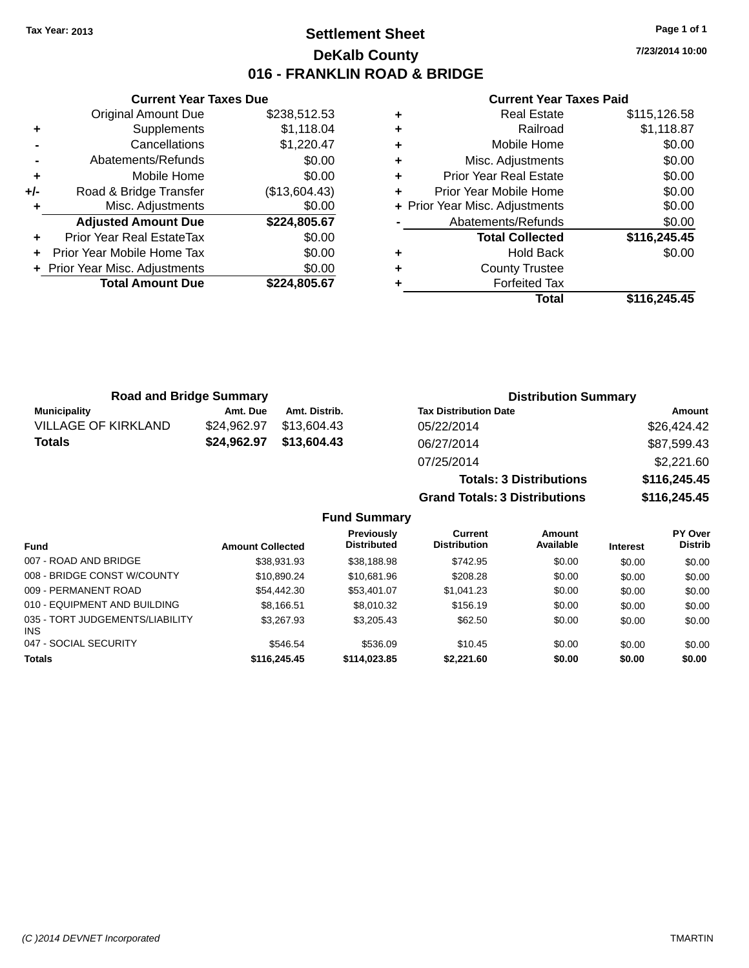### **Settlement Sheet Tax Year: 2013 Page 1 of 1 DeKalb County 016 - FRANKLIN ROAD & BRIDGE**

**7/23/2014 10:00**

### **Current Year Taxes Paid**

|       | <b>Current Year Taxes Due</b>  |               |  |  |  |
|-------|--------------------------------|---------------|--|--|--|
|       | Original Amount Due            | \$238,512.53  |  |  |  |
| ٠     | Supplements                    | \$1,118.04    |  |  |  |
|       | Cancellations                  | \$1,220.47    |  |  |  |
|       | Abatements/Refunds             | \$0.00        |  |  |  |
| ٠     | Mobile Home                    | \$0.00        |  |  |  |
| $+/-$ | Road & Bridge Transfer         | (\$13,604.43) |  |  |  |
|       | Misc. Adjustments              | \$0.00        |  |  |  |
|       | <b>Adjusted Amount Due</b>     | \$224,805.67  |  |  |  |
| ٠     | Prior Year Real EstateTax      | \$0.00        |  |  |  |
|       | Prior Year Mobile Home Tax     | \$0.00        |  |  |  |
|       | + Prior Year Misc. Adjustments | \$0.00        |  |  |  |
|       | <b>Total Amount Due</b>        | \$224,805.67  |  |  |  |
|       |                                |               |  |  |  |

| ٠ | <b>Real Estate</b>             | \$115,126.58 |
|---|--------------------------------|--------------|
| ٠ | Railroad                       | \$1,118.87   |
| ٠ | Mobile Home                    | \$0.00       |
| ٠ | Misc. Adjustments              | \$0.00       |
| ٠ | <b>Prior Year Real Estate</b>  | \$0.00       |
| ٠ | Prior Year Mobile Home         | \$0.00       |
|   | + Prior Year Misc. Adjustments | \$0.00       |
|   | Abatements/Refunds             | \$0.00       |
|   | <b>Total Collected</b>         | \$116,245.45 |
| ٠ | <b>Hold Back</b>               | \$0.00       |
| ٠ | <b>County Trustee</b>          |              |
| ٠ | <b>Forfeited Tax</b>           |              |
|   | Total                          | \$116.245.45 |

| <b>Road and Bridge Summary</b> |             |               | <b>Distribution Summary</b>    |              |  |
|--------------------------------|-------------|---------------|--------------------------------|--------------|--|
| <b>Municipality</b>            | Amt. Due    | Amt. Distrib. | <b>Tax Distribution Date</b>   | Amount       |  |
| <b>VILLAGE OF KIRKLAND</b>     | \$24,962.97 | \$13,604.43   | 05/22/2014                     | \$26,424.42  |  |
| <b>Totals</b>                  | \$24,962.97 | \$13,604.43   | 06/27/2014                     | \$87,599.43  |  |
|                                |             |               | 07/25/2014                     | \$2,221.60   |  |
|                                |             |               | <b>Totals: 3 Distributions</b> | \$116,245.45 |  |

**Grand Totals: 3 Distributions \$116,245.45**

**Fund Summary**

|                                         |                         | Previously         | Current             | Amount    |                 | <b>PY Over</b> |
|-----------------------------------------|-------------------------|--------------------|---------------------|-----------|-----------------|----------------|
| <b>Fund</b>                             | <b>Amount Collected</b> | <b>Distributed</b> | <b>Distribution</b> | Available | <b>Interest</b> | <b>Distrib</b> |
| 007 - ROAD AND BRIDGE                   | \$38.931.93             | \$38,188.98        | \$742.95            | \$0.00    | \$0.00          | \$0.00         |
| 008 - BRIDGE CONST W/COUNTY             | \$10.890.24             | \$10.681.96        | \$208.28            | \$0.00    | \$0.00          | \$0.00         |
| 009 - PERMANENT ROAD                    | \$54,442.30             | \$53,401.07        | \$1.041.23          | \$0.00    | \$0.00          | \$0.00         |
| 010 - EQUIPMENT AND BUILDING            | \$8.166.51              | \$8,010.32         | \$156.19            | \$0.00    | \$0.00          | \$0.00         |
| 035 - TORT JUDGEMENTS/LIABILITY<br>INS. | \$3.267.93              | \$3.205.43         | \$62.50             | \$0.00    | \$0.00          | \$0.00         |
| 047 - SOCIAL SECURITY                   | \$546.54                | \$536.09           | \$10.45             | \$0.00    | \$0.00          | \$0.00         |
| <b>Totals</b>                           | \$116,245.45            | \$114,023.85       | \$2,221.60          | \$0.00    | \$0.00          | \$0.00         |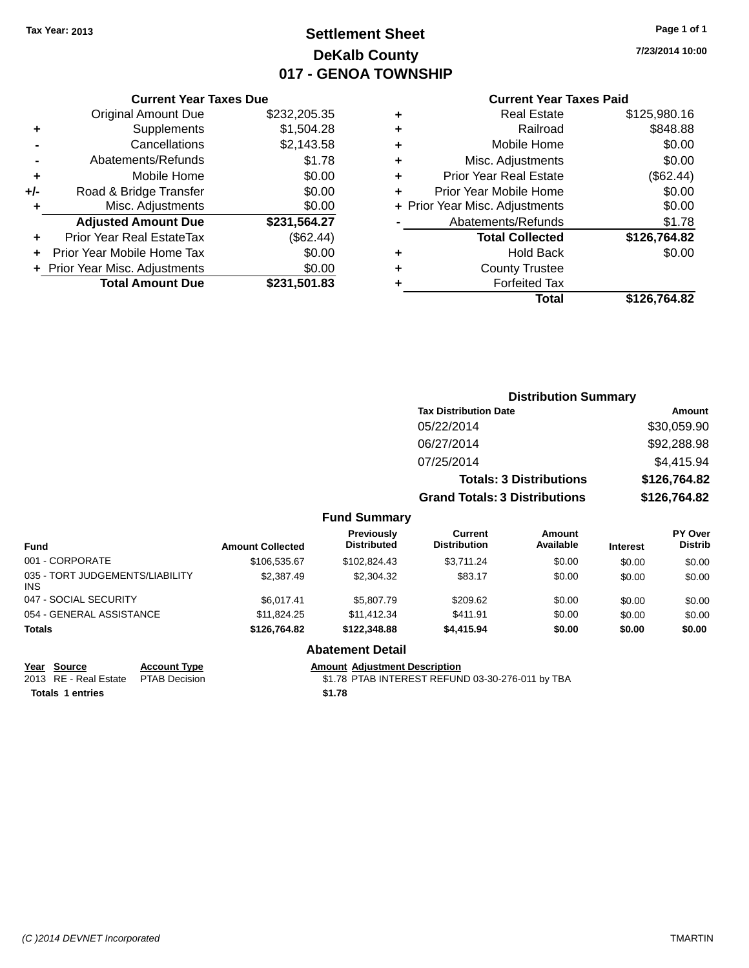## **Settlement Sheet Tax Year: 2013 Page 1 of 1 DeKalb County 017 - GENOA TOWNSHIP**

**7/23/2014 10:00**

#### **Current Year Taxes Paid**

|     | <b>Current Year Taxes Due</b>  |              |  |  |
|-----|--------------------------------|--------------|--|--|
|     | <b>Original Amount Due</b>     | \$232,205.35 |  |  |
| ÷   | Supplements                    | \$1,504.28   |  |  |
|     | Cancellations                  | \$2,143.58   |  |  |
|     | Abatements/Refunds             | \$1.78       |  |  |
| ٠   | Mobile Home                    | \$0.00       |  |  |
| +/- | Road & Bridge Transfer         | \$0.00       |  |  |
|     | Misc. Adjustments              | \$0.00       |  |  |
|     | <b>Adjusted Amount Due</b>     | \$231,564.27 |  |  |
| ٠   | Prior Year Real EstateTax      | (\$62.44)    |  |  |
|     | Prior Year Mobile Home Tax     | \$0.00       |  |  |
|     | + Prior Year Misc. Adjustments | \$0.00       |  |  |
|     | <b>Total Amount Due</b>        | \$231,501.83 |  |  |
|     |                                |              |  |  |

| ٠ | <b>Real Estate</b>             | \$125,980.16 |
|---|--------------------------------|--------------|
| ٠ | Railroad                       | \$848.88     |
| ٠ | Mobile Home                    | \$0.00       |
| ٠ | Misc. Adjustments              | \$0.00       |
| ٠ | <b>Prior Year Real Estate</b>  | (\$62.44)    |
| ٠ | Prior Year Mobile Home         | \$0.00       |
|   | + Prior Year Misc. Adjustments | \$0.00       |
|   | Abatements/Refunds             | \$1.78       |
|   | <b>Total Collected</b>         | \$126,764.82 |
| ٠ | <b>Hold Back</b>               | \$0.00       |
| ٠ | <b>County Trustee</b>          |              |
| ٠ | <b>Forfeited Tax</b>           |              |
|   | Total                          | \$126,764.82 |
|   |                                |              |

|                     | <b>Distribution Summary</b>          |               |  |
|---------------------|--------------------------------------|---------------|--|
|                     | <b>Tax Distribution Date</b>         | <b>Amount</b> |  |
|                     | 05/22/2014                           | \$30,059.90   |  |
|                     | 06/27/2014                           | \$92,288.98   |  |
|                     | 07/25/2014                           | \$4,415.94    |  |
|                     | <b>Totals: 3 Distributions</b>       | \$126,764.82  |  |
|                     | <b>Grand Totals: 3 Distributions</b> | \$126,764.82  |  |
| <b>Fund Summary</b> |                                      |               |  |

| <b>Fund</b>                                   | <b>Amount Collected</b> | <b>Previously</b><br><b>Distributed</b> | Current<br><b>Distribution</b> | Amount<br>Available | <b>Interest</b> | PY Over<br><b>Distrib</b> |
|-----------------------------------------------|-------------------------|-----------------------------------------|--------------------------------|---------------------|-----------------|---------------------------|
| 001 - CORPORATE                               | \$106,535.67            | \$102.824.43                            | \$3.711.24                     | \$0.00              | \$0.00          | \$0.00                    |
| 035 - TORT JUDGEMENTS/LIABILITY<br><b>INS</b> | \$2,387.49              | \$2,304.32                              | \$83.17                        | \$0.00              | \$0.00          | \$0.00                    |
| 047 - SOCIAL SECURITY                         | \$6.017.41              | \$5,807.79                              | \$209.62                       | \$0.00              | \$0.00          | \$0.00                    |
| 054 - GENERAL ASSISTANCE                      | \$11.824.25             | \$11,412.34                             | \$411.91                       | \$0.00              | \$0.00          | \$0.00                    |
| <b>Totals</b>                                 | \$126,764.82            | \$122,348,88                            | \$4.415.94                     | \$0.00              | \$0.00          | \$0.00                    |

**Year Source Account Type Account Type Amount Adjustment Description**<br>2013 RE - Real Estate PTAB Decision **Amount Adjustment Description** 

**Totals 1 entries \$1.78**

**Abatement Detail**

\$1.78 PTAB INTEREST REFUND 03-30-276-011 by TBA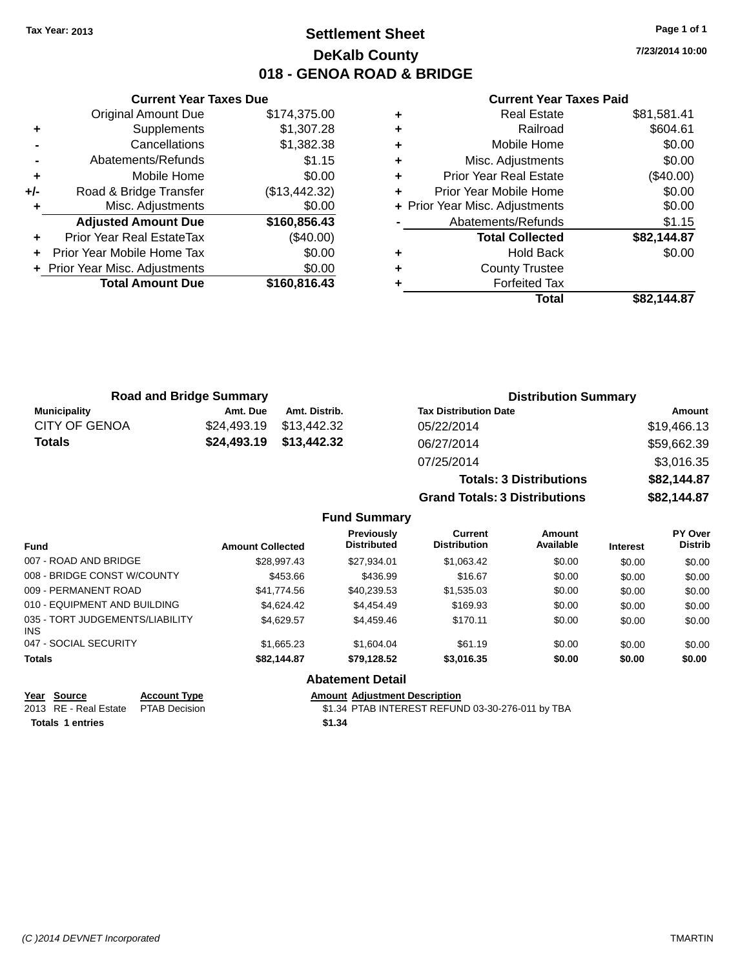### **Settlement Sheet Tax Year: 2013 Page 1 of 1 DeKalb County 018 - GENOA ROAD & BRIDGE**

**7/23/2014 10:00**

#### **Current Year Taxes Paid**

|     | <b>Original Amount Due</b>     | \$174,375.00  |
|-----|--------------------------------|---------------|
| ٠   | Supplements                    | \$1,307.28    |
|     | Cancellations                  | \$1,382.38    |
|     | Abatements/Refunds             | \$1.15        |
| ٠   | Mobile Home                    | \$0.00        |
| +/- | Road & Bridge Transfer         | (\$13,442.32) |
|     | Misc. Adjustments              | \$0.00        |
|     | <b>Adjusted Amount Due</b>     | \$160,856.43  |
| ÷   | Prior Year Real EstateTax      | (\$40.00)     |
| ÷   | Prior Year Mobile Home Tax     | \$0.00        |
|     | + Prior Year Misc. Adjustments | \$0.00        |
|     | <b>Total Amount Due</b>        | \$160,816.43  |
|     |                                |               |

**Current Year Taxes Due**

| <b>Real Estate</b>             | \$81,581.41 |
|--------------------------------|-------------|
| Railroad                       | \$604.61    |
| Mobile Home                    | \$0.00      |
| Misc. Adjustments              | \$0.00      |
| <b>Prior Year Real Estate</b>  | $(\$40.00)$ |
| Prior Year Mobile Home         | \$0.00      |
| + Prior Year Misc. Adjustments | \$0.00      |
| Abatements/Refunds             | \$1.15      |
| <b>Total Collected</b>         | \$82,144.87 |
| <b>Hold Back</b>               | \$0.00      |
| <b>County Trustee</b>          |             |
| <b>Forfeited Tax</b>           |             |
| Total                          | \$82.144.87 |
|                                |             |

**Totals: 3 Distributions \$82,144.87**

**Grand Totals: 3 Distributions \$82,144.87**

| <b>Road and Bridge Summary</b> |          |                         | <b>Distribution Summary</b>  |             |  |
|--------------------------------|----------|-------------------------|------------------------------|-------------|--|
| Municipality                   | Amt. Due | Amt. Distrib.           | <b>Tax Distribution Date</b> | Amount      |  |
| <b>CITY OF GENOA</b>           |          | \$24.493.19 \$13.442.32 | 05/22/2014                   | \$19,466.13 |  |
| <b>Totals</b>                  |          | \$24,493.19 \$13,442.32 | 06/27/2014                   | \$59,662.39 |  |
|                                |          |                         | 07/25/2014                   | \$3,016.35  |  |

**Fund Summary Fund Interest Amount Collected Distributed PY Over Distrib Amount Available Current Distribution Previously** 007 - ROAD AND BRIDGE \$28,997.43 \$27,934.01 \$1,063.42 \$0.00 \$0.00 \$0.00 \$0.00 008 - BRIDGE CONST W/COUNTY  $\begin{array}{cccc} $453.66 & $436.99 & $16.67 & $0.00 & $0.00 \end{array}$ 009 - PERMANENT ROAD \$41,774.56 \$40,239.53 \$1,535.03 \$0.00 \$0.00 \$0.00 \$0.00 \$0.00 \$0.00 \$0.00 \$0.00 \$ 010 - EQUIPMENT AND BUILDING \$4,624.42 \$4,454.49 \$169.93 \$0.00 \$0.00 \$0.00 \$0.00 035 - TORT JUDGEMENTS/LIABILITY INS \$4,629.57 \$4,459.46 \$170.11 \$0.00 \$0.00 \$0.00 047 - SOCIAL SECURITY \$1,665.23 \$1,604.04 \$61.19 \$0.00 \$0.00 \$0.00 **Totals \$82,144.87 \$79,128.52 \$3,016.35 \$0.00 \$0.00 \$0.00 Abatement Detail**

| Year Source                         | <b>Account Type</b> | Amount |
|-------------------------------------|---------------------|--------|
| 2013 RE - Real Estate PTAB Decision |                     | \$1.34 |
| <b>Totals 1 entries</b>             |                     | \$1.34 |

**Amount Adjustment Description** 

\$1.34 PTAB INTEREST REFUND 03-30-276-011 by TBA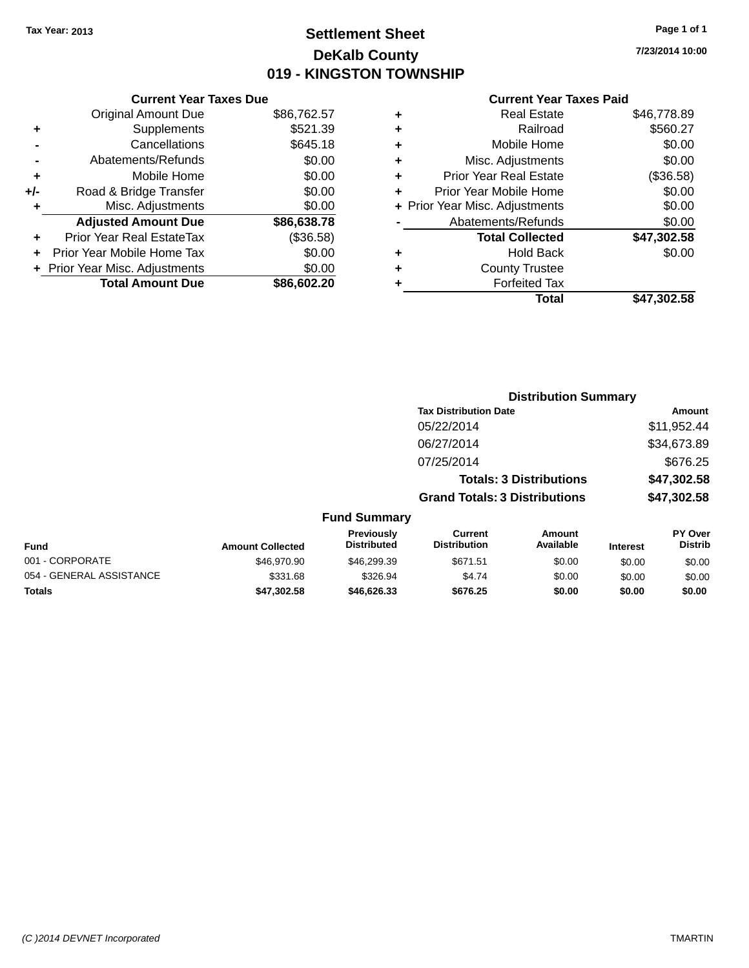### **Settlement Sheet Tax Year: 2013 Page 1 of 1 DeKalb County 019 - KINGSTON TOWNSHIP**

**7/23/2014 10:00**

|       | <b>Current Year Taxes Due</b>  |             |
|-------|--------------------------------|-------------|
|       | <b>Original Amount Due</b>     | \$86,762.57 |
| ٠     | Supplements                    | \$521.39    |
|       | Cancellations                  | \$645.18    |
|       | Abatements/Refunds             | \$0.00      |
| ٠     | Mobile Home                    | \$0.00      |
| $+/-$ | Road & Bridge Transfer         | \$0.00      |
|       | Misc. Adjustments              | \$0.00      |
|       | <b>Adjusted Amount Due</b>     | \$86,638.78 |
| ÷     | Prior Year Real EstateTax      | (\$36.58)   |
|       | Prior Year Mobile Home Tax     | \$0.00      |
|       | + Prior Year Misc. Adjustments | \$0.00      |
|       | <b>Total Amount Due</b>        | \$86,602.20 |
|       |                                |             |

| ٠ | <b>Real Estate</b>             | \$46,778.89 |
|---|--------------------------------|-------------|
| ٠ | Railroad                       | \$560.27    |
| ٠ | Mobile Home                    | \$0.00      |
| ٠ | Misc. Adjustments              | \$0.00      |
| ٠ | <b>Prior Year Real Estate</b>  | (\$36.58)   |
| ÷ | Prior Year Mobile Home         | \$0.00      |
|   | + Prior Year Misc. Adjustments | \$0.00      |
|   | Abatements/Refunds             | \$0.00      |
|   | <b>Total Collected</b>         | \$47,302.58 |
| ٠ | <b>Hold Back</b>               | \$0.00      |
|   | <b>County Trustee</b>          |             |
| ٠ | <b>Forfeited Tax</b>           |             |
|   | Total                          | \$47,302.58 |
|   |                                |             |

|                          |                         |                                  | <b>Distribution Summary</b>           |                                |                 |                           |
|--------------------------|-------------------------|----------------------------------|---------------------------------------|--------------------------------|-----------------|---------------------------|
|                          |                         |                                  | <b>Tax Distribution Date</b>          |                                |                 | Amount                    |
|                          |                         |                                  | 05/22/2014                            |                                |                 | \$11,952.44               |
|                          |                         |                                  | 06/27/2014                            |                                |                 | \$34,673.89               |
|                          |                         |                                  | 07/25/2014                            |                                |                 | \$676.25                  |
|                          |                         |                                  |                                       | <b>Totals: 3 Distributions</b> |                 | \$47,302.58               |
|                          |                         |                                  | <b>Grand Totals: 3 Distributions</b>  |                                |                 | \$47,302.58               |
|                          |                         | <b>Fund Summary</b>              |                                       |                                |                 |                           |
| <b>Fund</b>              | <b>Amount Collected</b> | Previously<br><b>Distributed</b> | <b>Current</b><br><b>Distribution</b> | Amount<br>Available            | <b>Interest</b> | PY Over<br><b>Distrib</b> |
| 001 - CORPORATE          | \$46,970.90             | \$46,299.39                      | \$671.51                              | \$0.00                         | \$0.00          | \$0.00                    |
| 054 - GENERAL ASSISTANCE | \$331.68                | \$326.94                         | \$4.74                                | \$0.00                         | \$0.00          | \$0.00                    |
| <b>Totals</b>            | \$47,302.58             | \$46,626.33                      | \$676.25                              | \$0.00                         | \$0.00          | \$0.00                    |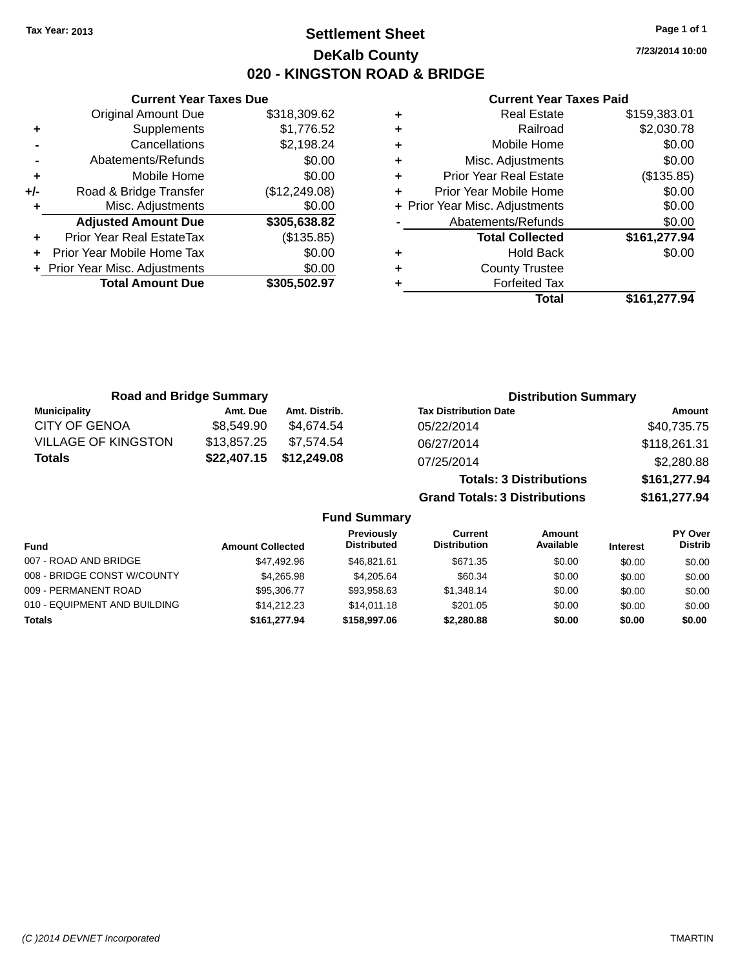### **Settlement Sheet Tax Year: 2013 Page 1 of 1 DeKalb County 020 - KINGSTON ROAD & BRIDGE**

**7/23/2014 10:00**

#### **Current Year Taxes Paid**

|     | <b>Current Year Taxes Due</b> |               |  |  |  |
|-----|-------------------------------|---------------|--|--|--|
|     | Original Amount Due           | \$318,309.62  |  |  |  |
| ٠   | Supplements                   | \$1,776.52    |  |  |  |
|     | Cancellations                 | \$2,198.24    |  |  |  |
|     | \$0.00<br>Abatements/Refunds  |               |  |  |  |
| ٠   | Mobile Home                   | \$0.00        |  |  |  |
| +/- | Road & Bridge Transfer        | (\$12,249.08) |  |  |  |
|     | Misc. Adjustments             | \$0.00        |  |  |  |
|     | <b>Adjusted Amount Due</b>    | \$305,638.82  |  |  |  |
| ٠   | Prior Year Real EstateTax     | (\$135.85)    |  |  |  |
|     | Prior Year Mobile Home Tax    | \$0.00        |  |  |  |
|     | Prior Year Misc. Adjustments  | \$0.00        |  |  |  |
|     | <b>Total Amount Due</b>       | \$305,502.97  |  |  |  |
|     |                               |               |  |  |  |

| ٠ | <b>Real Estate</b>             | \$159,383.01 |
|---|--------------------------------|--------------|
| ٠ | Railroad                       | \$2,030.78   |
| ٠ | Mobile Home                    | \$0.00       |
| ٠ | Misc. Adjustments              | \$0.00       |
| ٠ | Prior Year Real Estate         | (\$135.85)   |
| ٠ | Prior Year Mobile Home         | \$0.00       |
|   | + Prior Year Misc. Adjustments | \$0.00       |
|   | Abatements/Refunds             | \$0.00       |
|   | <b>Total Collected</b>         | \$161,277.94 |
| ٠ | <b>Hold Back</b>               | \$0.00       |
| ٠ | <b>County Trustee</b>          |              |
|   | <b>Forfeited Tax</b>           |              |
|   | Total                          | \$161,277.94 |

| <b>Road and Bridge Summary</b> |             |               | <b>Distribution Summary</b>    |              |  |
|--------------------------------|-------------|---------------|--------------------------------|--------------|--|
| <b>Municipality</b>            | Amt. Due    | Amt. Distrib. | <b>Tax Distribution Date</b>   | Amount       |  |
| <b>CITY OF GENOA</b>           | \$8,549.90  | \$4.674.54    | 05/22/2014                     | \$40,735.75  |  |
| <b>VILLAGE OF KINGSTON</b>     | \$13,857.25 | \$7.574.54    | 06/27/2014                     | \$118,261.31 |  |
| Totals                         | \$22,407.15 | \$12,249.08   | 07/25/2014                     | \$2,280.88   |  |
|                                |             |               | <b>Totals: 3 Distributions</b> | \$161,277.94 |  |

**Grand Totals: 3 Distributions \$161,277.94**

#### **Fund Summary**

| <b>Fund</b>                  | <b>Amount Collected</b> | <b>Previously</b><br><b>Distributed</b> | Current<br><b>Distribution</b> | Amount<br>Available | <b>Interest</b> | PY Over<br><b>Distrib</b> |
|------------------------------|-------------------------|-----------------------------------------|--------------------------------|---------------------|-----------------|---------------------------|
| 007 - ROAD AND BRIDGE        | \$47,492.96             | \$46.821.61                             | \$671.35                       | \$0.00              | \$0.00          | \$0.00                    |
| 008 - BRIDGE CONST W/COUNTY  | \$4.265.98              | \$4,205.64                              | \$60.34                        | \$0.00              | \$0.00          | \$0.00                    |
| 009 - PERMANENT ROAD         | \$95,306,77             | \$93,958.63                             | \$1.348.14                     | \$0.00              | \$0.00          | \$0.00                    |
| 010 - EQUIPMENT AND BUILDING | \$14.212.23             | \$14,011.18                             | \$201.05                       | \$0.00              | \$0.00          | \$0.00                    |
| Totals                       | \$161,277,94            | \$158,997.06                            | \$2,280.88                     | \$0.00              | \$0.00          | \$0.00                    |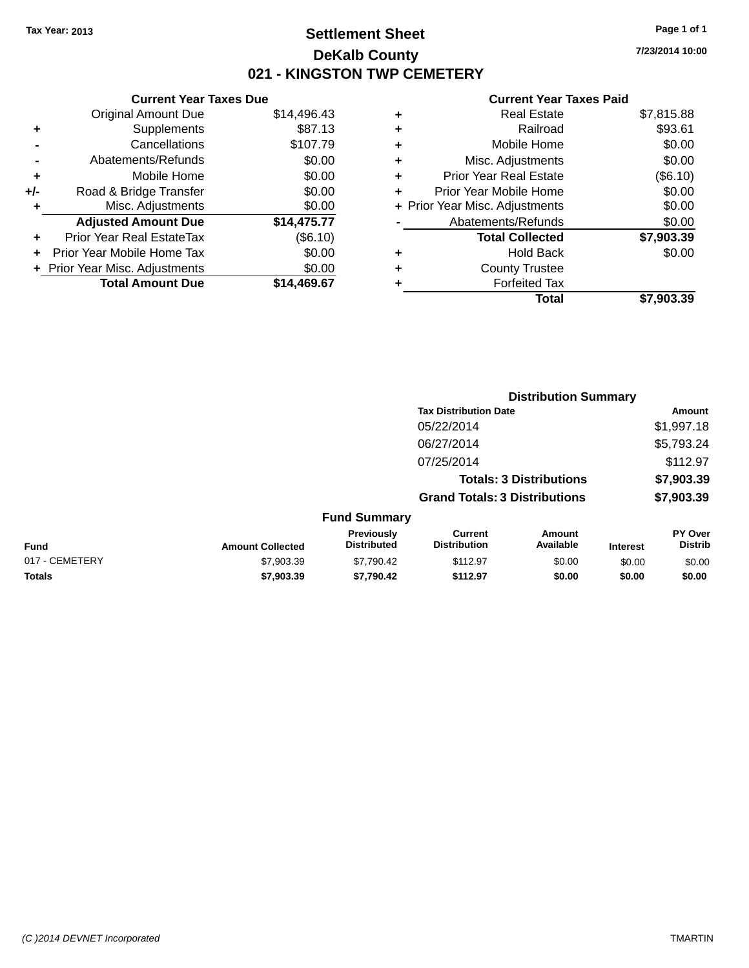### **Settlement Sheet Tax Year: 2013 Page 1 of 1 DeKalb County 021 - KINGSTON TWP CEMETERY**

**7/23/2014 10:00**

|       | <b>Current Year Taxes Due</b> |             |  |  |  |  |
|-------|-------------------------------|-------------|--|--|--|--|
|       | <b>Original Amount Due</b>    | \$14,496.43 |  |  |  |  |
| ٠     | Supplements                   | \$87.13     |  |  |  |  |
|       | Cancellations                 | \$107.79    |  |  |  |  |
|       | Abatements/Refunds            | \$0.00      |  |  |  |  |
| ÷     | Mobile Home                   | \$0.00      |  |  |  |  |
| $+/-$ | Road & Bridge Transfer        | \$0.00      |  |  |  |  |
|       | Misc. Adjustments             | \$0.00      |  |  |  |  |
|       | <b>Adjusted Amount Due</b>    | \$14,475.77 |  |  |  |  |
| ÷     | Prior Year Real EstateTax     | (\$6.10)    |  |  |  |  |
| ÷     | Prior Year Mobile Home Tax    | \$0.00      |  |  |  |  |
|       | Prior Year Misc. Adjustments  | \$0.00      |  |  |  |  |
|       | <b>Total Amount Due</b>       | \$14.469.67 |  |  |  |  |
|       |                               |             |  |  |  |  |

|   | <b>Real Estate</b>             | \$7,815.88 |
|---|--------------------------------|------------|
| ٠ | Railroad                       | \$93.61    |
| ٠ | Mobile Home                    | \$0.00     |
| ٠ | Misc. Adjustments              | \$0.00     |
| ٠ | <b>Prior Year Real Estate</b>  | (\$6.10)   |
|   | Prior Year Mobile Home         | \$0.00     |
|   | + Prior Year Misc. Adjustments | \$0.00     |
|   | Abatements/Refunds             | \$0.00     |
|   | <b>Total Collected</b>         | \$7,903.39 |
| ٠ | <b>Hold Back</b>               | \$0.00     |
| ٠ | <b>County Trustee</b>          |            |
|   | <b>Forfeited Tax</b>           |            |
|   | Total                          | \$7,903.39 |
|   |                                |            |

|                |                         |                                  |                                       | <b>Distribution Summary</b>    |                 |                           |  |
|----------------|-------------------------|----------------------------------|---------------------------------------|--------------------------------|-----------------|---------------------------|--|
|                |                         |                                  | <b>Tax Distribution Date</b>          |                                |                 | Amount                    |  |
|                |                         |                                  | 05/22/2014                            |                                |                 | \$1,997.18                |  |
|                |                         |                                  | 06/27/2014                            |                                |                 | \$5,793.24                |  |
|                |                         |                                  | 07/25/2014                            |                                |                 | \$112.97                  |  |
|                |                         |                                  |                                       | <b>Totals: 3 Distributions</b> |                 | \$7,903.39                |  |
|                |                         |                                  | <b>Grand Totals: 3 Distributions</b>  |                                |                 | \$7,903.39                |  |
|                |                         | <b>Fund Summary</b>              |                                       |                                |                 |                           |  |
| Fund           | <b>Amount Collected</b> | Previously<br><b>Distributed</b> | <b>Current</b><br><b>Distribution</b> | Amount<br>Available            | <b>Interest</b> | PY Over<br><b>Distrib</b> |  |
| 017 - CEMETERY | \$7,903.39              | \$7,790.42                       | \$112.97                              | \$0.00                         | \$0.00          | \$0.00                    |  |
| <b>Totals</b>  | \$7,903.39              | \$7,790.42                       | \$112.97                              | \$0.00                         | \$0.00          | \$0.00                    |  |
|                |                         |                                  |                                       |                                |                 |                           |  |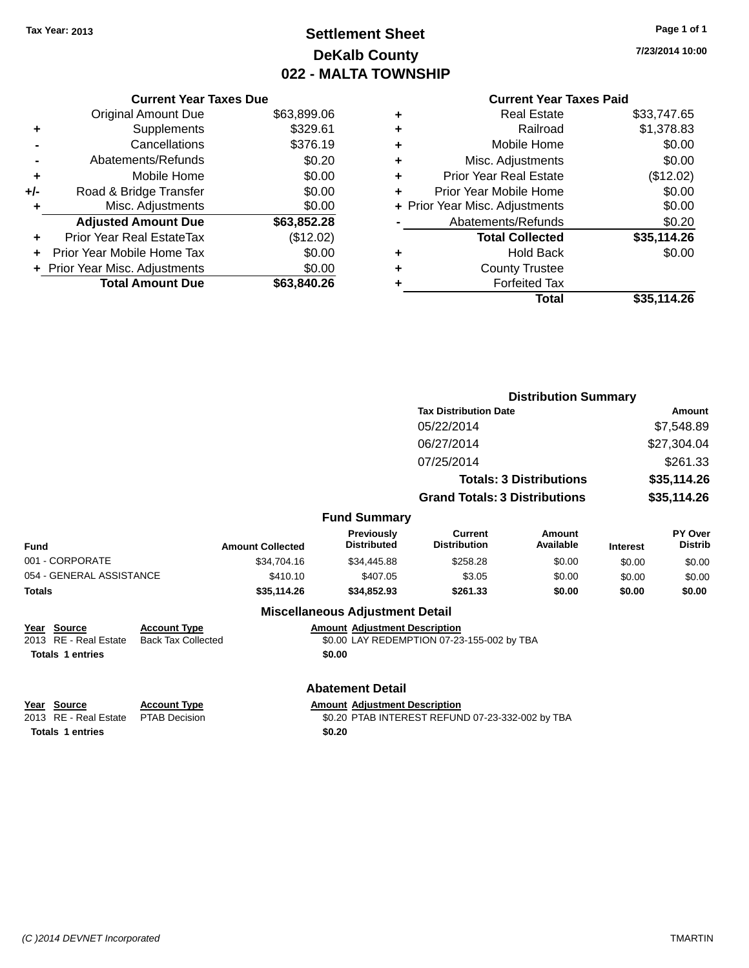## **Settlement Sheet Tax Year: 2013 Page 1 of 1 DeKalb County 022 - MALTA TOWNSHIP**

**7/23/2014 10:00**

| <b>Current Year Taxes Paid</b> |  |  |
|--------------------------------|--|--|
|                                |  |  |

|     | <b>Current Year Taxes Due</b> |             |
|-----|-------------------------------|-------------|
|     | <b>Original Amount Due</b>    | \$63,899.06 |
| ٠   | Supplements                   | \$329.61    |
|     | Cancellations                 | \$376.19    |
|     | Abatements/Refunds            | \$0.20      |
| ٠   | Mobile Home                   | \$0.00      |
| +/- | Road & Bridge Transfer        | \$0.00      |
| ٠   | Misc. Adjustments             | \$0.00      |
|     | <b>Adjusted Amount Due</b>    | \$63,852.28 |
|     | Prior Year Real EstateTax     | (\$12.02)   |
|     | Prior Year Mobile Home Tax    | \$0.00      |
|     | Prior Year Misc. Adjustments  | \$0.00      |
|     | <b>Total Amount Due</b>       | \$63,840,26 |
|     |                               |             |

| ٠ | <b>Real Estate</b>             | \$33,747.65 |
|---|--------------------------------|-------------|
| ٠ | Railroad                       | \$1,378.83  |
| ٠ | Mobile Home                    | \$0.00      |
| ٠ | Misc. Adjustments              | \$0.00      |
| ٠ | <b>Prior Year Real Estate</b>  | (\$12.02)   |
| ٠ | Prior Year Mobile Home         | \$0.00      |
|   | + Prior Year Misc. Adjustments | \$0.00      |
|   | Abatements/Refunds             | \$0.20      |
|   | <b>Total Collected</b>         | \$35,114.26 |
| ٠ | <b>Hold Back</b>               | \$0.00      |
| ٠ | <b>County Trustee</b>          |             |
| ٠ | <b>Forfeited Tax</b>           |             |
|   | Total                          | \$35,114.26 |
|   |                                |             |

|                          |                     |                         |                                         | <b>Distribution Summary</b>           |                                |                 |                           |
|--------------------------|---------------------|-------------------------|-----------------------------------------|---------------------------------------|--------------------------------|-----------------|---------------------------|
|                          |                     |                         |                                         | <b>Tax Distribution Date</b>          |                                | Amount          |                           |
|                          |                     |                         |                                         | 05/22/2014                            |                                |                 | \$7,548.89                |
|                          |                     |                         |                                         | 06/27/2014                            |                                |                 | \$27,304.04               |
|                          |                     |                         |                                         | 07/25/2014                            |                                |                 | \$261.33                  |
|                          |                     |                         |                                         |                                       | <b>Totals: 3 Distributions</b> |                 | \$35,114.26               |
|                          |                     |                         |                                         | <b>Grand Totals: 3 Distributions</b>  |                                |                 | \$35,114.26               |
|                          |                     |                         | <b>Fund Summary</b>                     |                                       |                                |                 |                           |
| <b>Fund</b>              |                     | <b>Amount Collected</b> | <b>Previously</b><br><b>Distributed</b> | <b>Current</b><br><b>Distribution</b> | Amount<br>Available            | <b>Interest</b> | PY Over<br><b>Distrib</b> |
| 001 - CORPORATE          |                     | \$34.704.16             | \$34,445.88                             | \$258.28                              | \$0.00                         | \$0.00          | \$0.00                    |
| 054 - GENERAL ASSISTANCE |                     | \$410.10                | \$407.05                                | \$3.05                                | \$0.00                         | \$0.00          | \$0.00                    |
| <b>Totals</b>            |                     | \$35,114.26             | \$34,852.93                             | \$261.33                              | \$0.00                         | \$0.00          | \$0.00                    |
|                          |                     |                         | <b>Miscellaneous Adjustment Detail</b>  |                                       |                                |                 |                           |
| Year Source              | <b>Account Type</b> |                         | <b>Amount Adjustment Description</b>    |                                       |                                |                 |                           |

2013 RE - Real Estate Back Tax Collected \$0.00 LAY REDEMPTION 07-23-155-002 by TBA **Totals 1 entries \$0.00**

### **Abatement Detail**

**Year** Source **Account Type Account Adjustment Description** 

**Totals 1 entries \$0.20**

2013 RE - Real Estate PTAB Decision \$0.20 PTAB INTEREST REFUND 07-23-332-002 by TBA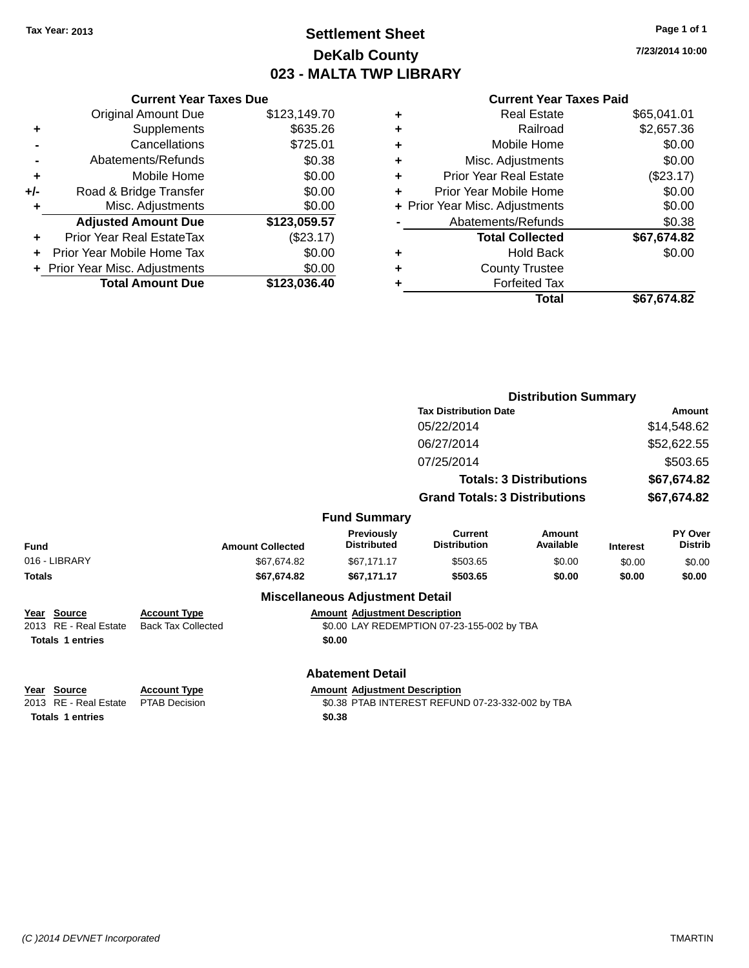### **Settlement Sheet Tax Year: 2013 Page 1 of 1 DeKalb County 023 - MALTA TWP LIBRARY**

**7/23/2014 10:00**

#### **Current Year Taxes Paid**

|     | <b>Current Year Taxes Due</b>            |              |  |  |  |  |  |
|-----|------------------------------------------|--------------|--|--|--|--|--|
|     | <b>Original Amount Due</b>               | \$123,149.70 |  |  |  |  |  |
| ٠   | Supplements                              | \$635.26     |  |  |  |  |  |
|     | Cancellations                            | \$725.01     |  |  |  |  |  |
|     | Abatements/Refunds                       | \$0.38       |  |  |  |  |  |
| ٠   | Mobile Home                              | \$0.00       |  |  |  |  |  |
| +/- | Road & Bridge Transfer                   | \$0.00       |  |  |  |  |  |
|     | Misc. Adjustments                        | \$0.00       |  |  |  |  |  |
|     | <b>Adjusted Amount Due</b>               | \$123,059.57 |  |  |  |  |  |
| ٠   | Prior Year Real EstateTax                | (\$23.17)    |  |  |  |  |  |
|     | Prior Year Mobile Home Tax               | \$0.00       |  |  |  |  |  |
|     | \$0.00<br>+ Prior Year Misc. Adjustments |              |  |  |  |  |  |
|     | <b>Total Amount Due</b>                  | \$123,036.40 |  |  |  |  |  |
|     |                                          |              |  |  |  |  |  |

| ٠ | <b>Real Estate</b>             | \$65,041.01 |
|---|--------------------------------|-------------|
| ٠ | Railroad                       | \$2,657.36  |
| ٠ | Mobile Home                    | \$0.00      |
| ٠ | Misc. Adjustments              | \$0.00      |
| ٠ | Prior Year Real Estate         | (\$23.17)   |
| ÷ | Prior Year Mobile Home         | \$0.00      |
|   | + Prior Year Misc. Adjustments | \$0.00      |
|   | Abatements/Refunds             | \$0.38      |
|   | <b>Total Collected</b>         | \$67,674.82 |
| ٠ | <b>Hold Back</b>               | \$0.00      |
| ٠ | <b>County Trustee</b>          |             |
| ٠ | <b>Forfeited Tax</b>           |             |
|   | Total                          | \$67,674.82 |
|   |                                |             |

|                         |                                          |                         |                                        | <b>Distribution Summary</b>                |                                |                 |                                  |  |
|-------------------------|------------------------------------------|-------------------------|----------------------------------------|--------------------------------------------|--------------------------------|-----------------|----------------------------------|--|
|                         |                                          |                         |                                        | <b>Tax Distribution Date</b>               |                                | Amount          |                                  |  |
|                         |                                          |                         |                                        | 05/22/2014                                 |                                |                 | \$14,548.62                      |  |
|                         |                                          |                         |                                        | 06/27/2014                                 |                                | \$52,622.55     |                                  |  |
|                         |                                          |                         |                                        | 07/25/2014                                 |                                | \$503.65        |                                  |  |
|                         |                                          |                         |                                        |                                            | <b>Totals: 3 Distributions</b> | \$67,674.82     |                                  |  |
|                         |                                          |                         |                                        | <b>Grand Totals: 3 Distributions</b>       |                                | \$67,674.82     |                                  |  |
|                         |                                          |                         | <b>Fund Summary</b>                    |                                            |                                |                 |                                  |  |
| Fund                    |                                          | <b>Amount Collected</b> | Previously<br><b>Distributed</b>       | Current<br><b>Distribution</b>             | Amount<br>Available            | <b>Interest</b> | <b>PY Over</b><br><b>Distrib</b> |  |
| 016 - LIBRARY           |                                          | \$67,674.82             | \$67,171.17                            | \$503.65                                   | \$0.00                         | \$0.00          | \$0.00                           |  |
| Totals                  |                                          | \$67,674.82             | \$67,171.17                            | \$503.65                                   | \$0.00                         | \$0.00          | \$0.00                           |  |
|                         |                                          |                         | <b>Miscellaneous Adjustment Detail</b> |                                            |                                |                 |                                  |  |
| Year Source             | <b>Account Type</b>                      |                         | <b>Amount Adjustment Description</b>   |                                            |                                |                 |                                  |  |
| 2013 RE - Real Estate   | <b>Back Tax Collected</b>                |                         |                                        | \$0.00 LAY REDEMPTION 07-23-155-002 by TBA |                                |                 |                                  |  |
| <b>Totals 1 entries</b> |                                          |                         | \$0.00                                 |                                            |                                |                 |                                  |  |
|                         |                                          |                         | <b>Abatement Detail</b>                |                                            |                                |                 |                                  |  |
| <u>Year Source</u>      | <b>Account Type</b><br><b>PEAR PRIMA</b> |                         | <b>Amount Adjustment Description</b>   |                                            |                                |                 |                                  |  |

**Totals 1 entries \$0.38**

2013 RE - Real Estate PTAB Decision \$0.38 PTAB INTEREST REFUND 07-23-332-002 by TBA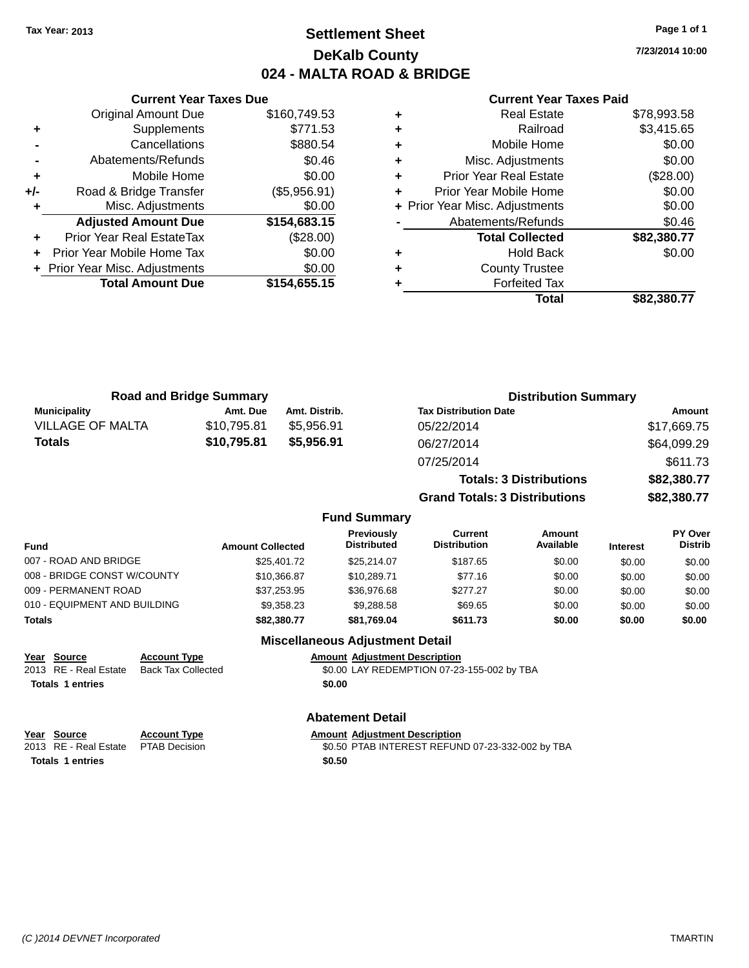### **Settlement Sheet Tax Year: 2013 Page 1 of 1 DeKalb County 024 - MALTA ROAD & BRIDGE**

**7/23/2014 10:00**

|     | <b>Current Year Taxes Due</b>  |              |
|-----|--------------------------------|--------------|
|     | <b>Original Amount Due</b>     | \$160,749.53 |
| ٠   | Supplements                    | \$771.53     |
|     | Cancellations                  | \$880.54     |
|     | Abatements/Refunds             | \$0.46       |
| ٠   | Mobile Home                    | \$0.00       |
| +/- | Road & Bridge Transfer         | (\$5,956.91) |
|     | Misc. Adjustments              | \$0.00       |
|     | <b>Adjusted Amount Due</b>     | \$154,683.15 |
| ٠   | Prior Year Real EstateTax      | (\$28.00)    |
|     | Prior Year Mobile Home Tax     | \$0.00       |
|     | + Prior Year Misc. Adjustments | \$0.00       |
|     | <b>Total Amount Due</b>        | \$154,655.15 |
|     |                                |              |

#### **Current Year Taxes Paid**

|   | <b>Real Estate</b>             | \$78,993.58 |
|---|--------------------------------|-------------|
| ٠ | Railroad                       | \$3,415.65  |
| ٠ | Mobile Home                    | \$0.00      |
| ٠ | Misc. Adjustments              | \$0.00      |
| ٠ | Prior Year Real Estate         | (\$28.00)   |
| ٠ | Prior Year Mobile Home         | \$0.00      |
|   | + Prior Year Misc. Adjustments | \$0.00      |
|   | Abatements/Refunds             | \$0.46      |
|   | <b>Total Collected</b>         | \$82,380.77 |
| ٠ | <b>Hold Back</b>               | \$0.00      |
| ٠ | <b>County Trustee</b>          |             |
| ٠ | <b>Forfeited Tax</b>           |             |
|   | Total                          | \$82.380.77 |
|   |                                |             |

| <b>Road and Bridge Summary</b> |             |               | <b>Distribution Summary</b>    |             |  |
|--------------------------------|-------------|---------------|--------------------------------|-------------|--|
| <b>Municipality</b>            | Amt. Due    | Amt. Distrib. | <b>Tax Distribution Date</b>   | Amount      |  |
| <b>VILLAGE OF MALTA</b>        | \$10.795.81 | \$5.956.91    | 05/22/2014                     | \$17,669.75 |  |
| <b>Totals</b>                  | \$10,795.81 | \$5,956.91    | 06/27/2014                     | \$64,099.29 |  |
|                                |             |               | 07/25/2014                     | \$611.73    |  |
|                                |             |               | <b>Totals: 3 Distributions</b> | \$82,380.77 |  |

**Grand Totals: 3 Distributions \$82,380.77**

### **Fund Summary**

| Fund                         | <b>Amount Collected</b> | <b>Previously</b><br><b>Distributed</b> | Current<br><b>Distribution</b> | Amount<br>Available | <b>Interest</b> | <b>PY Over</b><br><b>Distrib</b> |
|------------------------------|-------------------------|-----------------------------------------|--------------------------------|---------------------|-----------------|----------------------------------|
| 007 - ROAD AND BRIDGE        | \$25,401.72             | \$25,214.07                             | \$187.65                       | \$0.00              | \$0.00          | \$0.00                           |
| 008 - BRIDGE CONST W/COUNTY  | \$10.366.87             | \$10,289.71                             | \$77.16                        | \$0.00              | \$0.00          | \$0.00                           |
| 009 - PERMANENT ROAD         | \$37.253.95             | \$36,976.68                             | \$277.27                       | \$0.00              | \$0.00          | \$0.00                           |
| 010 - EQUIPMENT AND BUILDING | \$9.358.23              | \$9.288.58                              | \$69.65                        | \$0.00              | \$0.00          | \$0.00                           |
| Totals                       | \$82,380,77             | \$81.769.04                             | \$611.73                       | \$0.00              | \$0.00          | \$0.00                           |

### **Miscellaneous Adjustment Detail**

**Year Source Account Type Amount Adjustment Description**

2013 RE - Real Estate Back Tax Collected \$0.00 LAY REDEMPTION 07-23-155-002 by TBA **Totals 1 entries \$0.00**

#### **Abatement Detail**

| <u>Year Source</u>                  | <b>Account Type</b> | <b>Amount Adiustment Description</b>             |
|-------------------------------------|---------------------|--------------------------------------------------|
| 2013 RE - Real Estate PTAB Decision |                     | \$0.50 PTAB INTEREST REFUND 07-23-332-002 by TBA |
| <b>Totals 1 entries</b>             |                     | \$0.50                                           |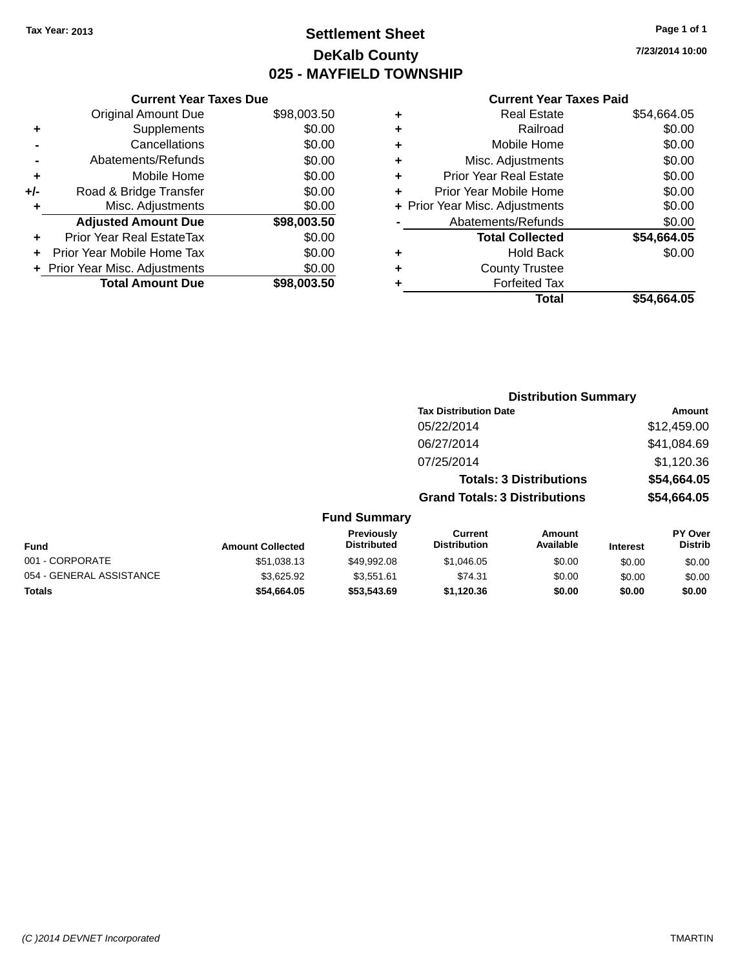### **Settlement Sheet Tax Year: 2013 Page 1 of 1 DeKalb County 025 - MAYFIELD TOWNSHIP**

**7/23/2014 10:00**

|     | <b>Current Year Taxes Due</b>  |             |
|-----|--------------------------------|-------------|
|     | <b>Original Amount Due</b>     | \$98,003.50 |
| ٠   | Supplements                    | \$0.00      |
|     | Cancellations                  | \$0.00      |
|     | Abatements/Refunds             | \$0.00      |
| ٠   | Mobile Home                    | \$0.00      |
| +/- | Road & Bridge Transfer         | \$0.00      |
| ٠   | Misc. Adjustments              | \$0.00      |
|     | <b>Adjusted Amount Due</b>     | \$98,003.50 |
| ٠   | Prior Year Real EstateTax      | \$0.00      |
|     | Prior Year Mobile Home Tax     | \$0.00      |
|     | + Prior Year Misc. Adjustments | \$0.00      |
|     | <b>Total Amount Due</b>        | \$98,003,50 |
|     |                                |             |

| ٠ | Real Estate                    | \$54,664.05 |
|---|--------------------------------|-------------|
| ٠ | Railroad                       | \$0.00      |
| ٠ | Mobile Home                    | \$0.00      |
| ٠ | Misc. Adjustments              | \$0.00      |
| ٠ | <b>Prior Year Real Estate</b>  | \$0.00      |
| ٠ | Prior Year Mobile Home         | \$0.00      |
|   | + Prior Year Misc. Adjustments | \$0.00      |
|   | Abatements/Refunds             | \$0.00      |
|   | <b>Total Collected</b>         | \$54,664.05 |
| ٠ | <b>Hold Back</b>               | \$0.00      |
| ٠ | <b>County Trustee</b>          |             |
| ٠ | <b>Forfeited Tax</b>           |             |
|   | Total                          | \$54,664.05 |
|   |                                |             |

|                          |                         |                                  | <b>Distribution Summary</b>           |                                |                 |                           |
|--------------------------|-------------------------|----------------------------------|---------------------------------------|--------------------------------|-----------------|---------------------------|
|                          |                         |                                  | <b>Tax Distribution Date</b>          |                                |                 | Amount                    |
|                          |                         |                                  | 05/22/2014                            |                                |                 | \$12,459.00               |
|                          |                         |                                  | 06/27/2014                            |                                |                 | \$41,084.69               |
|                          |                         |                                  | 07/25/2014                            |                                |                 | \$1,120.36                |
|                          |                         |                                  |                                       | <b>Totals: 3 Distributions</b> |                 | \$54,664.05               |
|                          |                         |                                  | <b>Grand Totals: 3 Distributions</b>  |                                |                 | \$54,664.05               |
|                          |                         | <b>Fund Summary</b>              |                                       |                                |                 |                           |
| <b>Fund</b>              | <b>Amount Collected</b> | Previously<br><b>Distributed</b> | <b>Current</b><br><b>Distribution</b> | Amount<br>Available            | <b>Interest</b> | PY Over<br><b>Distrib</b> |
| 001 - CORPORATE          | \$51,038.13             | \$49,992.08                      | \$1,046.05                            | \$0.00                         | \$0.00          | \$0.00                    |
| 054 - GENERAL ASSISTANCE | \$3,625.92              | \$3,551.61                       | \$74.31                               | \$0.00                         | \$0.00          | \$0.00                    |

**Totals \$54,664.05 \$53,543.69 \$1,120.36 \$0.00 \$0.00 \$0.00**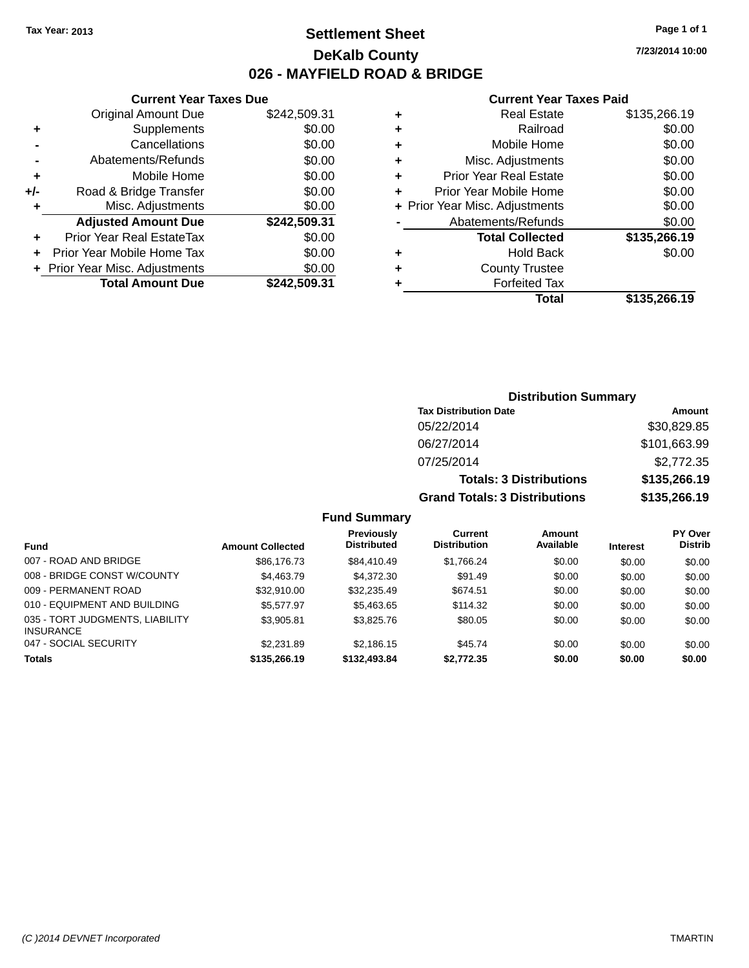### **Settlement Sheet Tax Year: 2013 Page 1 of 1 DeKalb County 026 - MAYFIELD ROAD & BRIDGE**

**7/23/2014 10:00**

### **Current Year Taxes Paid**

|     | <b>Current Year Taxes Due</b>  |              |
|-----|--------------------------------|--------------|
|     | <b>Original Amount Due</b>     | \$242,509.31 |
| ٠   | Supplements                    | \$0.00       |
|     | Cancellations                  | \$0.00       |
|     | Abatements/Refunds             | \$0.00       |
| ٠   | Mobile Home                    | \$0.00       |
| +/- | Road & Bridge Transfer         | \$0.00       |
| ٠   | Misc. Adjustments              | \$0.00       |
|     | <b>Adjusted Amount Due</b>     | \$242,509.31 |
|     | Prior Year Real EstateTax      | \$0.00       |
|     | Prior Year Mobile Home Tax     | \$0.00       |
|     | + Prior Year Misc. Adjustments | \$0.00       |
|     | <b>Total Amount Due</b>        | \$242.509.31 |
|     |                                |              |

| ٠ | <b>Real Estate</b>             | \$135,266.19 |
|---|--------------------------------|--------------|
| ٠ | Railroad                       | \$0.00       |
| ٠ | Mobile Home                    | \$0.00       |
| ٠ | Misc. Adjustments              | \$0.00       |
| ٠ | <b>Prior Year Real Estate</b>  | \$0.00       |
| ٠ | Prior Year Mobile Home         | \$0.00       |
|   | + Prior Year Misc. Adjustments | \$0.00       |
|   | Abatements/Refunds             | \$0.00       |
|   | <b>Total Collected</b>         | \$135,266.19 |
| ٠ | <b>Hold Back</b>               | \$0.00       |
| ٠ | <b>County Trustee</b>          |              |
| ٠ | <b>Forfeited Tax</b>           |              |
|   | Total                          | \$135,266.19 |
|   |                                |              |

| <b>Distribution Summary</b>          |              |
|--------------------------------------|--------------|
| <b>Tax Distribution Date</b>         | Amount       |
| 05/22/2014                           | \$30,829.85  |
| 06/27/2014                           | \$101,663.99 |
| 07/25/2014                           | \$2,772.35   |
| <b>Totals: 3 Distributions</b>       | \$135,266.19 |
| <b>Grand Totals: 3 Distributions</b> | \$135,266.19 |

### **Fund Summary**

| <b>Fund</b>                                         | <b>Amount Collected</b> | <b>Previously</b><br><b>Distributed</b> | Current<br><b>Distribution</b> | Amount<br>Available | <b>Interest</b> | <b>PY Over</b><br><b>Distrib</b> |
|-----------------------------------------------------|-------------------------|-----------------------------------------|--------------------------------|---------------------|-----------------|----------------------------------|
| 007 - ROAD AND BRIDGE                               | \$86,176,73             | \$84,410.49                             | \$1,766.24                     | \$0.00              | \$0.00          | \$0.00                           |
| 008 - BRIDGE CONST W/COUNTY                         | \$4,463.79              | \$4,372,30                              | \$91.49                        | \$0.00              | \$0.00          | \$0.00                           |
| 009 - PERMANENT ROAD                                | \$32,910.00             | \$32,235.49                             | \$674.51                       | \$0.00              | \$0.00          | \$0.00                           |
| 010 - EQUIPMENT AND BUILDING                        | \$5,577.97              | \$5,463.65                              | \$114.32                       | \$0.00              | \$0.00          | \$0.00                           |
| 035 - TORT JUDGMENTS, LIABILITY<br><b>INSURANCE</b> | \$3,905.81              | \$3,825.76                              | \$80.05                        | \$0.00              | \$0.00          | \$0.00                           |
| 047 - SOCIAL SECURITY                               | \$2,231.89              | \$2.186.15                              | \$45.74                        | \$0.00              | \$0.00          | \$0.00                           |
| <b>Totals</b>                                       | \$135,266.19            | \$132,493,84                            | \$2,772.35                     | \$0.00              | \$0.00          | \$0.00                           |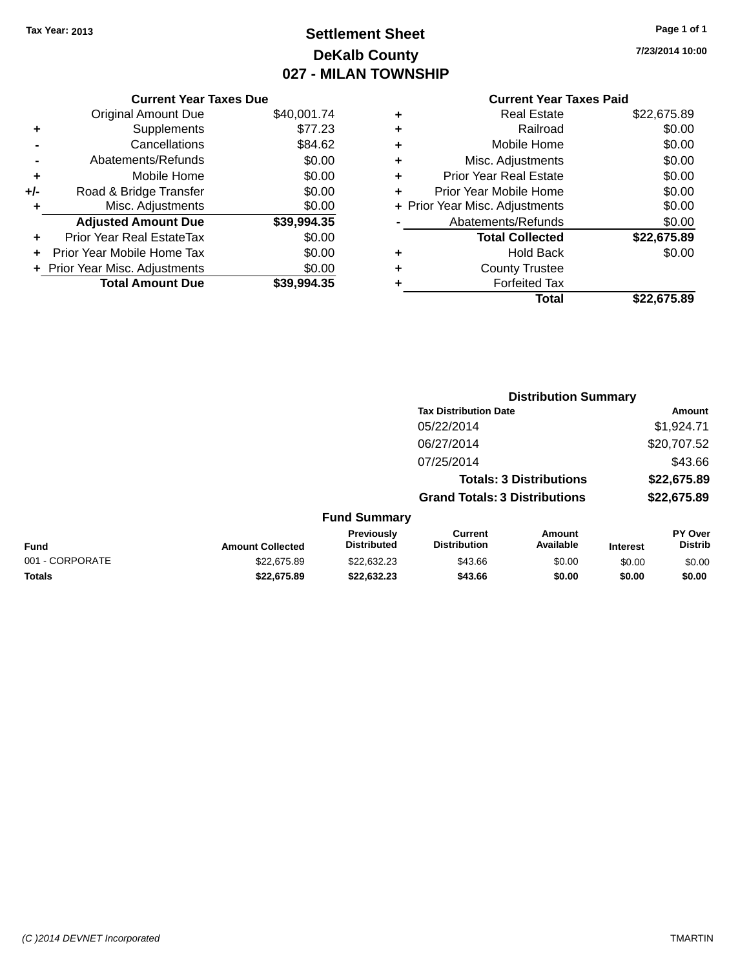## **Settlement Sheet Tax Year: 2013 Page 1 of 1 DeKalb County 027 - MILAN TOWNSHIP**

**7/23/2014 10:00**

|       | <b>Current Year Taxes Due</b>  |             |
|-------|--------------------------------|-------------|
|       | Original Amount Due            | \$40,001.74 |
| ٠     | Supplements                    | \$77.23     |
|       | Cancellations                  | \$84.62     |
|       | Abatements/Refunds             | \$0.00      |
| ٠     | Mobile Home                    | \$0.00      |
| $+/-$ | Road & Bridge Transfer         | \$0.00      |
| ٠     | Misc. Adjustments              | \$0.00      |
|       | <b>Adjusted Amount Due</b>     | \$39,994.35 |
| ٠     | Prior Year Real EstateTax      | \$0.00      |
|       | Prior Year Mobile Home Tax     | \$0.00      |
|       | + Prior Year Misc. Adjustments | \$0.00      |
|       | <b>Total Amount Due</b>        | \$39,994.35 |
|       |                                |             |

| ٠ | <b>Real Estate</b>             | \$22,675.89 |
|---|--------------------------------|-------------|
| ٠ | Railroad                       | \$0.00      |
| ٠ | Mobile Home                    | \$0.00      |
| ٠ | Misc. Adjustments              | \$0.00      |
| ٠ | <b>Prior Year Real Estate</b>  | \$0.00      |
| ٠ | Prior Year Mobile Home         | \$0.00      |
|   | + Prior Year Misc. Adjustments | \$0.00      |
|   | Abatements/Refunds             | \$0.00      |
|   | <b>Total Collected</b>         | \$22,675.89 |
| ٠ | <b>Hold Back</b>               | \$0.00      |
| ٠ | <b>County Trustee</b>          |             |
| ٠ | <b>Forfeited Tax</b>           |             |
|   | Total                          | \$22,675.89 |
|   |                                |             |

|                 |                         |                                  | <b>Distribution Summary</b>           |                                |                 |                           |
|-----------------|-------------------------|----------------------------------|---------------------------------------|--------------------------------|-----------------|---------------------------|
|                 |                         |                                  | <b>Tax Distribution Date</b>          |                                |                 | Amount                    |
|                 |                         |                                  | 05/22/2014                            |                                |                 | \$1,924.71                |
|                 |                         |                                  | 06/27/2014                            |                                |                 | \$20,707.52               |
|                 |                         |                                  | 07/25/2014                            |                                |                 | \$43.66                   |
|                 |                         |                                  |                                       | <b>Totals: 3 Distributions</b> |                 | \$22,675.89               |
|                 |                         |                                  | <b>Grand Totals: 3 Distributions</b>  |                                |                 | \$22,675.89               |
|                 |                         | <b>Fund Summary</b>              |                                       |                                |                 |                           |
| Fund            | <b>Amount Collected</b> | Previously<br><b>Distributed</b> | <b>Current</b><br><b>Distribution</b> | Amount<br>Available            | <b>Interest</b> | PY Over<br><b>Distrib</b> |
| 001 - CORPORATE | \$22,675.89             | \$22,632.23                      | \$43.66                               | \$0.00                         | \$0.00          | \$0.00                    |
| <b>Totals</b>   | \$22.675.89             | \$22.632.23                      | \$43.66                               | \$0.00                         | \$0.00          | \$0.00                    |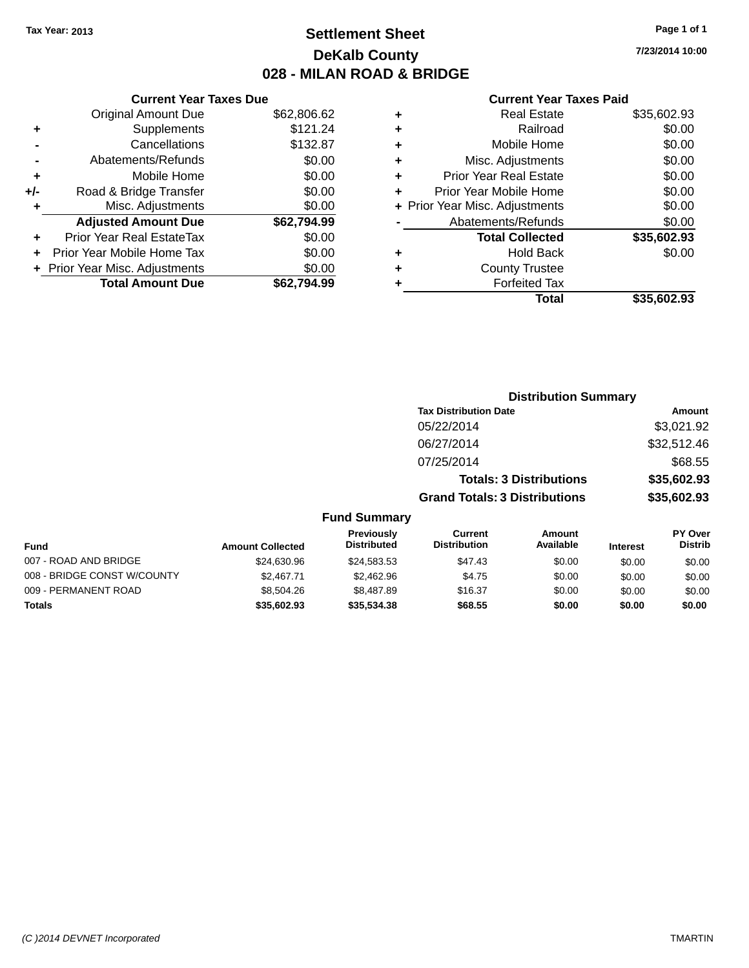### **Settlement Sheet Tax Year: 2013 Page 1 of 1 DeKalb County 028 - MILAN ROAD & BRIDGE**

**7/23/2014 10:00**

#### **Current Year Taxes Paid**

|     | <b>Current Year Taxes Due</b>  |             |
|-----|--------------------------------|-------------|
|     | <b>Original Amount Due</b>     | \$62,806.62 |
| ٠   | Supplements                    | \$121.24    |
|     | Cancellations                  | \$132.87    |
|     | Abatements/Refunds             | \$0.00      |
| ٠   | Mobile Home                    | \$0.00      |
| +/- | Road & Bridge Transfer         | \$0.00      |
|     | Misc. Adjustments              | \$0.00      |
|     | <b>Adjusted Amount Due</b>     | \$62,794.99 |
| ٠   | Prior Year Real EstateTax      | \$0.00      |
|     | Prior Year Mobile Home Tax     | \$0.00      |
|     | + Prior Year Misc. Adjustments | \$0.00      |
|     | <b>Total Amount Due</b>        | \$62.794.99 |
|     |                                |             |

| ٠ | <b>Real Estate</b>             | \$35,602.93 |
|---|--------------------------------|-------------|
| ٠ | Railroad                       | \$0.00      |
| ٠ | Mobile Home                    | \$0.00      |
| ٠ | Misc. Adjustments              | \$0.00      |
| ٠ | <b>Prior Year Real Estate</b>  | \$0.00      |
| ٠ | Prior Year Mobile Home         | \$0.00      |
|   | + Prior Year Misc. Adjustments | \$0.00      |
|   | Abatements/Refunds             | \$0.00      |
|   | <b>Total Collected</b>         | \$35,602.93 |
| ٠ | <b>Hold Back</b>               | \$0.00      |
| ٠ | <b>County Trustee</b>          |             |
| ٠ | <b>Forfeited Tax</b>           |             |
|   | Total                          | \$35,602.93 |
|   |                                |             |

|                             |                         |                                  |                                       | <b>Distribution Summary</b>    |                 |                           |
|-----------------------------|-------------------------|----------------------------------|---------------------------------------|--------------------------------|-----------------|---------------------------|
|                             |                         |                                  | <b>Tax Distribution Date</b>          |                                | <b>Amount</b>   |                           |
|                             |                         |                                  | 05/22/2014                            |                                |                 | \$3,021.92                |
|                             |                         |                                  | 06/27/2014                            |                                |                 | \$32,512.46               |
|                             |                         |                                  | 07/25/2014                            |                                |                 | \$68.55                   |
|                             |                         |                                  |                                       | <b>Totals: 3 Distributions</b> |                 | \$35,602.93               |
|                             |                         |                                  | <b>Grand Totals: 3 Distributions</b>  |                                |                 | \$35,602.93               |
|                             |                         | <b>Fund Summary</b>              |                                       |                                |                 |                           |
| <b>Fund</b>                 | <b>Amount Collected</b> | Previously<br><b>Distributed</b> | <b>Current</b><br><b>Distribution</b> | <b>Amount</b><br>Available     | <b>Interest</b> | PY Over<br><b>Distrib</b> |
| 007 - ROAD AND BRIDGE       | \$24,630.96             | \$24,583.53                      | \$47.43                               | \$0.00                         | \$0.00          | \$0.00                    |
| 008 - BRIDGE CONST W/COUNTY | \$2,467.71              | \$2,462.96                       | \$4.75                                | \$0.00                         | \$0.00          | \$0.00                    |
| 009 - PERMANENT ROAD        | \$8,504.26              | \$8,487.89                       | \$16.37                               | \$0.00                         | \$0.00          | \$0.00                    |
| <b>Totals</b>               | \$35,602.93             | \$35,534.38                      | \$68.55                               | \$0.00                         | \$0.00          | \$0.00                    |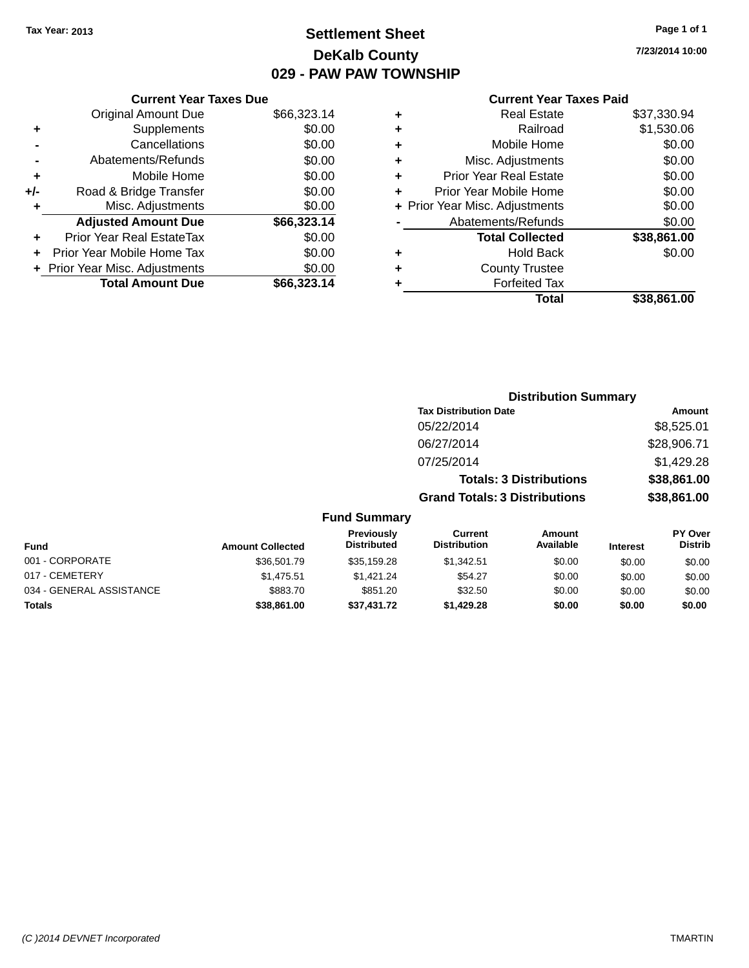## **Settlement Sheet Tax Year: 2013 Page 1 of 1 DeKalb County 029 - PAW PAW TOWNSHIP**

**7/23/2014 10:00**

|     | <b>Current Year Taxes Due</b>  |             |
|-----|--------------------------------|-------------|
|     | <b>Original Amount Due</b>     | \$66,323.14 |
| ٠   | Supplements                    | \$0.00      |
|     | Cancellations                  | \$0.00      |
|     | Abatements/Refunds             | \$0.00      |
| ٠   | Mobile Home                    | \$0.00      |
| +/- | Road & Bridge Transfer         | \$0.00      |
| ٠   | Misc. Adjustments              | \$0.00      |
|     | <b>Adjusted Amount Due</b>     | \$66,323.14 |
|     | Prior Year Real EstateTax      | \$0.00      |
| ٠   | Prior Year Mobile Home Tax     | \$0.00      |
|     | + Prior Year Misc. Adjustments | \$0.00      |
|     | <b>Total Amount Due</b>        | \$66,323.14 |
|     |                                |             |

| ٠ | <b>Real Estate</b>             | \$37,330.94 |
|---|--------------------------------|-------------|
| ٠ | Railroad                       | \$1,530.06  |
| ÷ | Mobile Home                    | \$0.00      |
| ٠ | Misc. Adjustments              | \$0.00      |
| ٠ | <b>Prior Year Real Estate</b>  | \$0.00      |
| ٠ | Prior Year Mobile Home         | \$0.00      |
|   | + Prior Year Misc. Adjustments | \$0.00      |
|   | Abatements/Refunds             | \$0.00      |
|   | <b>Total Collected</b>         | \$38,861.00 |
| ٠ | <b>Hold Back</b>               | \$0.00      |
| ٠ | <b>County Trustee</b>          |             |
| ٠ | <b>Forfeited Tax</b>           |             |
|   | Total                          | \$38,861.00 |
|   |                                |             |

|                                                                                                                                                                                                                                                           |                                      | <b>Distribution Summary</b>    |                |
|-----------------------------------------------------------------------------------------------------------------------------------------------------------------------------------------------------------------------------------------------------------|--------------------------------------|--------------------------------|----------------|
|                                                                                                                                                                                                                                                           | <b>Tax Distribution Date</b>         |                                | Amount         |
|                                                                                                                                                                                                                                                           | 05/22/2014                           |                                | \$8,525.01     |
|                                                                                                                                                                                                                                                           | 06/27/2014                           |                                | \$28,906.71    |
|                                                                                                                                                                                                                                                           | 07/25/2014                           |                                | \$1,429.28     |
|                                                                                                                                                                                                                                                           |                                      | <b>Totals: 3 Distributions</b> | \$38,861.00    |
|                                                                                                                                                                                                                                                           | <b>Grand Totals: 3 Distributions</b> |                                | \$38,861.00    |
| <b>Fund Summary</b>                                                                                                                                                                                                                                       |                                      |                                |                |
| <b>Previously</b><br><b>Property of the contract of the contract of the contract of the contract of the contract of the contract of the contract of the contract of the contract of the contract of the contract of the contract of the contract of t</b> | Current                              | Amount                         | <b>PY Over</b> |

| Fund                     | <b>Amount Collected</b> | <b>Previously</b><br><b>Distributed</b> | Current<br><b>Distribution</b> | Amount<br>Available | <b>Interest</b> | <b>PY Over</b><br><b>Distrib</b> |
|--------------------------|-------------------------|-----------------------------------------|--------------------------------|---------------------|-----------------|----------------------------------|
| 001 - CORPORATE          | \$36,501.79             | \$35,159.28                             | \$1.342.51                     | \$0.00              | \$0.00          | \$0.00                           |
| 017 - CEMETERY           | \$1.475.51              | \$1.421.24                              | \$54.27                        | \$0.00              | \$0.00          | \$0.00                           |
| 034 - GENERAL ASSISTANCE | \$883.70                | \$851.20                                | \$32.50                        | \$0.00              | \$0.00          | \$0.00                           |
| <b>Totals</b>            | \$38,861,00             | \$37,431.72                             | \$1.429.28                     | \$0.00              | \$0.00          | \$0.00                           |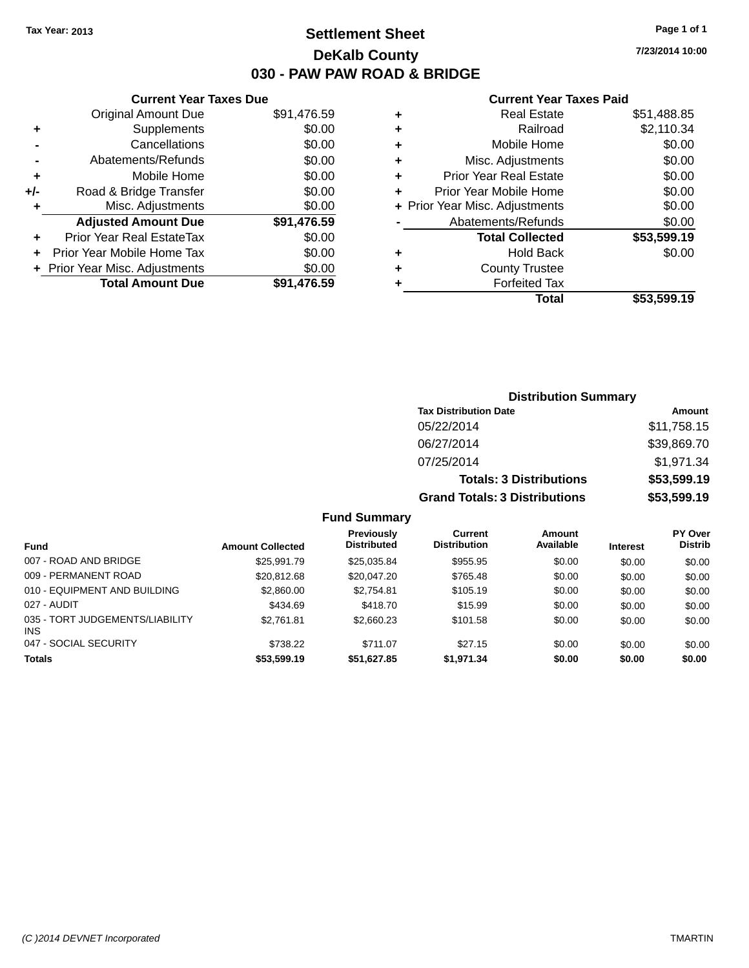### **Settlement Sheet Tax Year: 2013 Page 1 of 1 DeKalb County 030 - PAW PAW ROAD & BRIDGE**

**7/23/2014 10:00**

#### **Current Year Taxes Paid**

|     | <b>Current Year Taxes Due</b>  |             |  |  |  |
|-----|--------------------------------|-------------|--|--|--|
|     | <b>Original Amount Due</b>     | \$91,476.59 |  |  |  |
| ٠   | Supplements                    | \$0.00      |  |  |  |
|     | Cancellations                  | \$0.00      |  |  |  |
|     | Abatements/Refunds             | \$0.00      |  |  |  |
| ٠   | Mobile Home                    | \$0.00      |  |  |  |
| +/- | Road & Bridge Transfer         | \$0.00      |  |  |  |
|     | Misc. Adjustments              |             |  |  |  |
|     | <b>Adjusted Amount Due</b>     | \$91,476.59 |  |  |  |
| ٠   | Prior Year Real EstateTax      | \$0.00      |  |  |  |
|     | Prior Year Mobile Home Tax     | \$0.00      |  |  |  |
|     | + Prior Year Misc. Adjustments | \$0.00      |  |  |  |
|     | <b>Total Amount Due</b>        | \$91,476.59 |  |  |  |
|     |                                |             |  |  |  |

| ٠ | <b>Real Estate</b>             | \$51,488.85 |
|---|--------------------------------|-------------|
| ٠ | Railroad                       | \$2,110.34  |
| ٠ | Mobile Home                    | \$0.00      |
| ٠ | Misc. Adjustments              | \$0.00      |
| ٠ | <b>Prior Year Real Estate</b>  | \$0.00      |
| ٠ | Prior Year Mobile Home         | \$0.00      |
|   | + Prior Year Misc. Adjustments | \$0.00      |
|   | Abatements/Refunds             | \$0.00      |
|   | <b>Total Collected</b>         | \$53,599.19 |
| ٠ | <b>Hold Back</b>               | \$0.00      |
| ٠ | <b>County Trustee</b>          |             |
| ٠ | <b>Forfeited Tax</b>           |             |
|   | Total                          | \$53,599.19 |
|   |                                |             |

| <b>Distribution Summary</b>          |             |  |  |  |
|--------------------------------------|-------------|--|--|--|
| <b>Tax Distribution Date</b>         | Amount      |  |  |  |
| 05/22/2014                           | \$11,758.15 |  |  |  |
| 06/27/2014                           | \$39,869.70 |  |  |  |
| 07/25/2014                           | \$1,971.34  |  |  |  |
| <b>Totals: 3 Distributions</b>       | \$53,599.19 |  |  |  |
| <b>Grand Totals: 3 Distributions</b> | \$53,599.19 |  |  |  |

### **Fund Summary**

|                                        |                         | Previously         | Current             | Amount    |                 | <b>PY Over</b> |
|----------------------------------------|-------------------------|--------------------|---------------------|-----------|-----------------|----------------|
| Fund                                   | <b>Amount Collected</b> | <b>Distributed</b> | <b>Distribution</b> | Available | <b>Interest</b> | <b>Distrib</b> |
| 007 - ROAD AND BRIDGE                  | \$25.991.79             | \$25,035.84        | \$955.95            | \$0.00    | \$0.00          | \$0.00         |
| 009 - PERMANENT ROAD                   | \$20,812.68             | \$20,047.20        | \$765.48            | \$0.00    | \$0.00          | \$0.00         |
| 010 - EQUIPMENT AND BUILDING           | \$2,860.00              | \$2,754.81         | \$105.19            | \$0.00    | \$0.00          | \$0.00         |
| 027 - AUDIT                            | \$434.69                | \$418.70           | \$15.99             | \$0.00    | \$0.00          | \$0.00         |
| 035 - TORT JUDGEMENTS/LIABILITY<br>INS | \$2,761.81              | \$2,660.23         | \$101.58            | \$0.00    | \$0.00          | \$0.00         |
| 047 - SOCIAL SECURITY                  | \$738.22                | \$711.07           | \$27.15             | \$0.00    | \$0.00          | \$0.00         |
| <b>Totals</b>                          | \$53,599.19             | \$51,627.85        | \$1.971.34          | \$0.00    | \$0.00          | \$0.00         |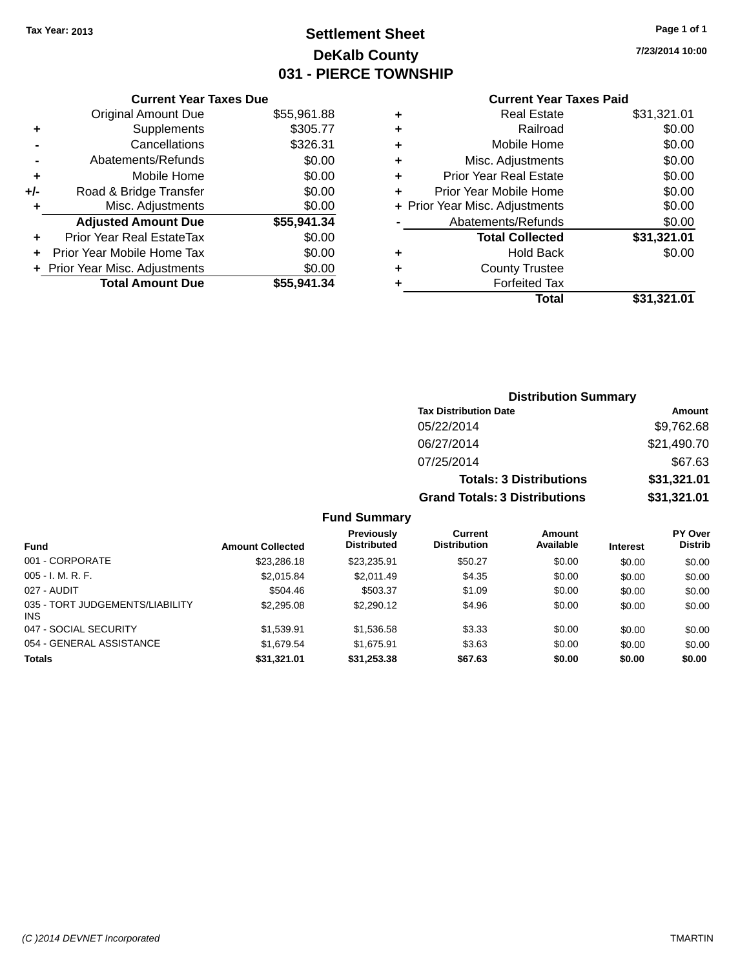## **Settlement Sheet Tax Year: 2013 Page 1 of 1 DeKalb County 031 - PIERCE TOWNSHIP**

**7/23/2014 10:00**

|     | <b>Current Year Taxes Due</b>  |             |  |  |  |
|-----|--------------------------------|-------------|--|--|--|
|     | <b>Original Amount Due</b>     | \$55,961.88 |  |  |  |
| ٠   | Supplements                    | \$305.77    |  |  |  |
|     | Cancellations                  | \$326.31    |  |  |  |
|     | Abatements/Refunds             | \$0.00      |  |  |  |
| ٠   | Mobile Home                    | \$0.00      |  |  |  |
| +/- | Road & Bridge Transfer         | \$0.00      |  |  |  |
| ٠   | Misc. Adjustments              | \$0.00      |  |  |  |
|     | <b>Adjusted Amount Due</b>     | \$55,941.34 |  |  |  |
| ٠   | Prior Year Real EstateTax      | \$0.00      |  |  |  |
|     | Prior Year Mobile Home Tax     | \$0.00      |  |  |  |
|     | + Prior Year Misc. Adjustments | \$0.00      |  |  |  |
|     | <b>Total Amount Due</b>        | \$55,941.34 |  |  |  |
|     |                                |             |  |  |  |

| ٠ | <b>Real Estate</b>             | \$31,321.01 |
|---|--------------------------------|-------------|
| ٠ | Railroad                       | \$0.00      |
| ٠ | Mobile Home                    | \$0.00      |
| ٠ | Misc. Adjustments              | \$0.00      |
| ٠ | <b>Prior Year Real Estate</b>  | \$0.00      |
| ÷ | Prior Year Mobile Home         | \$0.00      |
|   | + Prior Year Misc. Adjustments | \$0.00      |
|   | Abatements/Refunds             | \$0.00      |
|   | <b>Total Collected</b>         | \$31,321.01 |
| ٠ | <b>Hold Back</b>               | \$0.00      |
|   | <b>County Trustee</b>          |             |
| ٠ | <b>Forfeited Tax</b>           |             |
|   | Total                          | \$31,321.01 |
|   |                                |             |

|                     | <b>Distribution Summary</b>          |               |
|---------------------|--------------------------------------|---------------|
|                     | <b>Tax Distribution Date</b>         | <b>Amount</b> |
|                     | 05/22/2014                           | \$9,762.68    |
|                     | 06/27/2014                           | \$21,490.70   |
|                     | 07/25/2014                           | \$67.63       |
|                     | <b>Totals: 3 Distributions</b>       | \$31,321.01   |
|                     | <b>Grand Totals: 3 Distributions</b> | \$31,321.01   |
| <b>Fund Summary</b> |                                      |               |

| <b>Fund</b>                             | <b>Amount Collected</b> | <b>Previously</b><br><b>Distributed</b> | Current<br><b>Distribution</b> | Amount<br>Available | <b>Interest</b> | <b>PY Over</b><br><b>Distrib</b> |
|-----------------------------------------|-------------------------|-----------------------------------------|--------------------------------|---------------------|-----------------|----------------------------------|
| 001 - CORPORATE                         | \$23,286.18             | \$23.235.91                             | \$50.27                        | \$0.00              | \$0.00          | \$0.00                           |
| $005 - I. M. R. F.$                     | \$2,015.84              | \$2.011.49                              | \$4.35                         | \$0.00              | \$0.00          | \$0.00                           |
| 027 - AUDIT                             | \$504.46                | \$503.37                                | \$1.09                         | \$0.00              | \$0.00          | \$0.00                           |
| 035 - TORT JUDGEMENTS/LIABILITY<br>INS. | \$2,295.08              | \$2,290.12                              | \$4.96                         | \$0.00              | \$0.00          | \$0.00                           |
| 047 - SOCIAL SECURITY                   | \$1.539.91              | \$1,536.58                              | \$3.33                         | \$0.00              | \$0.00          | \$0.00                           |
| 054 - GENERAL ASSISTANCE                | \$1,679.54              | \$1.675.91                              | \$3.63                         | \$0.00              | \$0.00          | \$0.00                           |
| <b>Totals</b>                           | \$31,321.01             | \$31,253.38                             | \$67.63                        | \$0.00              | \$0.00          | \$0.00                           |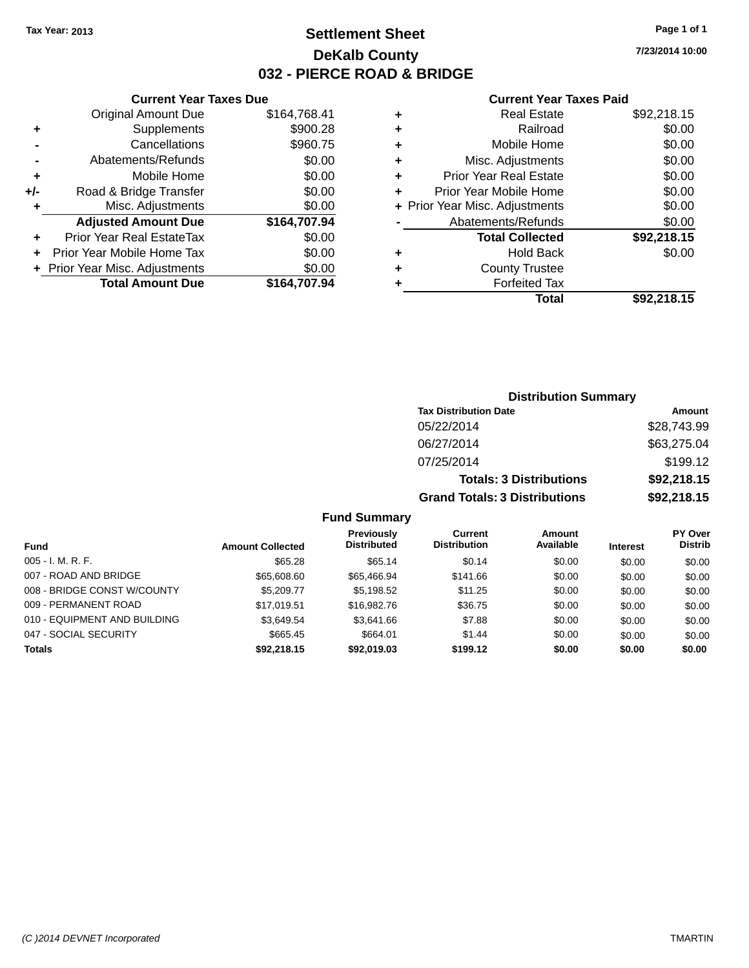### **Settlement Sheet Tax Year: 2013 Page 1 of 1 DeKalb County 032 - PIERCE ROAD & BRIDGE**

**7/23/2014 10:00**

#### **Current Year Taxes Paid**

|     | <b>Current Year Taxes Due</b>  |              |  |  |  |
|-----|--------------------------------|--------------|--|--|--|
|     | <b>Original Amount Due</b>     | \$164,768.41 |  |  |  |
| ٠   | \$900.28<br>Supplements        |              |  |  |  |
|     | Cancellations                  | \$960.75     |  |  |  |
|     | Abatements/Refunds             | \$0.00       |  |  |  |
| ٠   | Mobile Home                    | \$0.00       |  |  |  |
| +/- | Road & Bridge Transfer         | \$0.00       |  |  |  |
| ٠   | Misc. Adjustments              | \$0.00       |  |  |  |
|     | <b>Adjusted Amount Due</b>     | \$164,707.94 |  |  |  |
|     | Prior Year Real EstateTax      | \$0.00       |  |  |  |
|     | Prior Year Mobile Home Tax     | \$0.00       |  |  |  |
|     | + Prior Year Misc. Adjustments | \$0.00       |  |  |  |
|     | <b>Total Amount Due</b>        | \$164,707.94 |  |  |  |
|     |                                |              |  |  |  |

| ٠ | <b>Real Estate</b>             | \$92,218.15 |
|---|--------------------------------|-------------|
| ٠ | Railroad                       | \$0.00      |
| ٠ | Mobile Home                    | \$0.00      |
| ٠ | Misc. Adjustments              | \$0.00      |
| ٠ | <b>Prior Year Real Estate</b>  | \$0.00      |
| ÷ | Prior Year Mobile Home         | \$0.00      |
|   | + Prior Year Misc. Adjustments | \$0.00      |
|   | Abatements/Refunds             | \$0.00      |
|   | <b>Total Collected</b>         | \$92,218.15 |
| ٠ | <b>Hold Back</b>               | \$0.00      |
| ٠ | <b>County Trustee</b>          |             |
|   | <b>Forfeited Tax</b>           |             |
|   | Total                          | \$92,218.15 |
|   |                                |             |

| <b>Distribution Summary</b>          |             |  |  |  |
|--------------------------------------|-------------|--|--|--|
| <b>Tax Distribution Date</b>         | Amount      |  |  |  |
| 05/22/2014                           | \$28,743.99 |  |  |  |
| 06/27/2014                           | \$63,275.04 |  |  |  |
| 07/25/2014                           | \$199.12    |  |  |  |
| <b>Totals: 3 Distributions</b>       | \$92,218.15 |  |  |  |
| <b>Grand Totals: 3 Distributions</b> | \$92,218.15 |  |  |  |

### **Fund Summary**

| Fund                         | <b>Amount Collected</b> | Previously<br><b>Distributed</b> | <b>Current</b><br><b>Distribution</b> | Amount<br>Available | <b>Interest</b> | <b>PY Over</b><br><b>Distrib</b> |
|------------------------------|-------------------------|----------------------------------|---------------------------------------|---------------------|-----------------|----------------------------------|
| $005 - I. M. R. F.$          | \$65.28                 | \$65.14                          | \$0.14                                | \$0.00              | \$0.00          | \$0.00                           |
| 007 - ROAD AND BRIDGE        | \$65,608,60             | \$65,466,94                      | \$141.66                              | \$0.00              | \$0.00          | \$0.00                           |
| 008 - BRIDGE CONST W/COUNTY  | \$5,209,77              | \$5,198.52                       | \$11.25                               | \$0.00              | \$0.00          | \$0.00                           |
| 009 - PERMANENT ROAD         | \$17.019.51             | \$16,982.76                      | \$36.75                               | \$0.00              | \$0.00          | \$0.00                           |
| 010 - EQUIPMENT AND BUILDING | \$3,649.54              | \$3.641.66                       | \$7.88                                | \$0.00              | \$0.00          | \$0.00                           |
| 047 - SOCIAL SECURITY        | \$665.45                | \$664.01                         | \$1.44                                | \$0.00              | \$0.00          | \$0.00                           |
| <b>Totals</b>                | \$92,218.15             | \$92,019.03                      | \$199.12                              | \$0.00              | \$0.00          | \$0.00                           |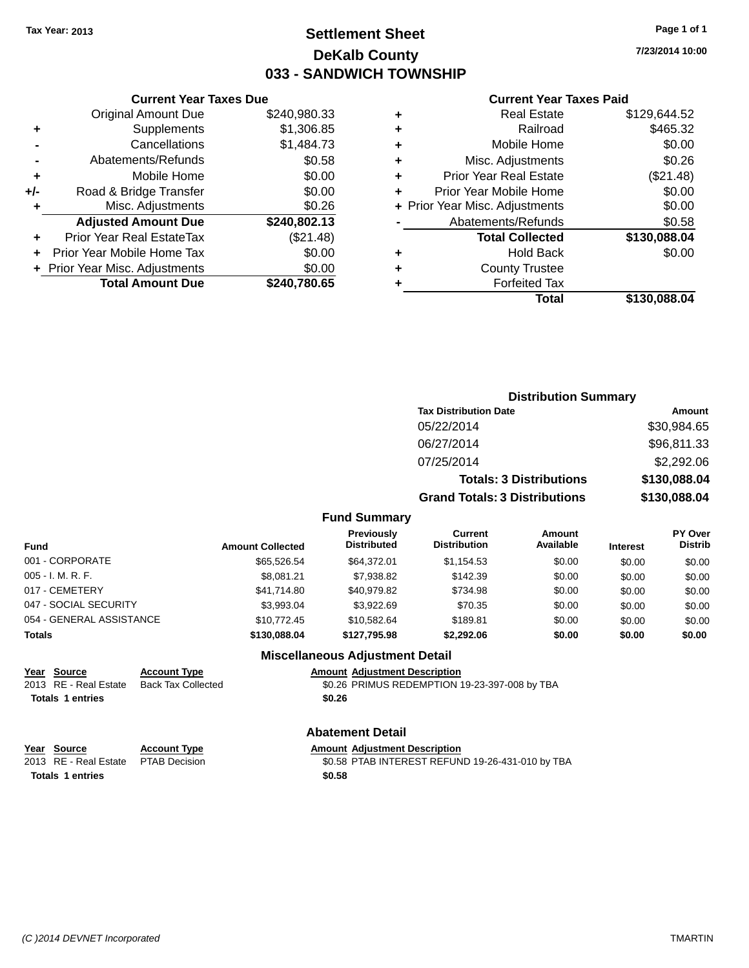### **Settlement Sheet Tax Year: 2013 Page 1 of 1 DeKalb County 033 - SANDWICH TOWNSHIP**

**7/23/2014 10:00**

#### **Current Year Taxes Paid**

|     | <b>Current Year Taxes Due</b>  |              |  |  |
|-----|--------------------------------|--------------|--|--|
|     | <b>Original Amount Due</b>     | \$240,980.33 |  |  |
| ٠   | Supplements                    | \$1,306.85   |  |  |
|     | Cancellations                  | \$1,484.73   |  |  |
|     | Abatements/Refunds             | \$0.58       |  |  |
| ٠   | Mobile Home                    | \$0.00       |  |  |
| +/- | Road & Bridge Transfer         | \$0.00       |  |  |
| ٠   | Misc. Adjustments              | \$0.26       |  |  |
|     | <b>Adjusted Amount Due</b>     | \$240,802.13 |  |  |
| ٠   | Prior Year Real EstateTax      | (\$21.48)    |  |  |
| ÷   | Prior Year Mobile Home Tax     | \$0.00       |  |  |
|     | + Prior Year Misc. Adjustments | \$0.00       |  |  |
|     | <b>Total Amount Due</b>        | \$240.780.65 |  |  |
|     |                                |              |  |  |

| ٠ | <b>Real Estate</b>             | \$129,644.52 |
|---|--------------------------------|--------------|
| ٠ | Railroad                       | \$465.32     |
| ٠ | Mobile Home                    | \$0.00       |
| ٠ | Misc. Adjustments              | \$0.26       |
| ٠ | <b>Prior Year Real Estate</b>  | (\$21.48)    |
| ٠ | Prior Year Mobile Home         | \$0.00       |
|   | + Prior Year Misc. Adjustments | \$0.00       |
|   | Abatements/Refunds             | \$0.58       |
|   | <b>Total Collected</b>         | \$130,088.04 |
| ٠ | Hold Back                      | \$0.00       |
| ٠ | <b>County Trustee</b>          |              |
| ٠ | <b>Forfeited Tax</b>           |              |
|   | Total                          | \$130,088.04 |
|   |                                |              |

|          | <b>Distribution Summary</b>          |              |
|----------|--------------------------------------|--------------|
|          | <b>Tax Distribution Date</b>         | Amount       |
|          | 05/22/2014                           | \$30,984.65  |
|          | 06/27/2014                           | \$96,811.33  |
|          | 07/25/2014                           | \$2,292.06   |
|          | <b>Totals: 3 Distributions</b>       | \$130,088.04 |
|          | <b>Grand Totals: 3 Distributions</b> | \$130,088.04 |
| -------- |                                      |              |

### **Fund Summary**

| Fund                     | <b>Amount Collected</b> | <b>Previously</b><br><b>Distributed</b> | Current<br><b>Distribution</b> | <b>Amount</b><br>Available | <b>Interest</b> | <b>PY Over</b><br><b>Distrib</b> |
|--------------------------|-------------------------|-----------------------------------------|--------------------------------|----------------------------|-----------------|----------------------------------|
| 001 - CORPORATE          | \$65,526,54             | \$64.372.01                             | \$1,154.53                     | \$0.00                     | \$0.00          | \$0.00                           |
| 005 - I. M. R. F.        | \$8.081.21              | \$7,938.82                              | \$142.39                       | \$0.00                     | \$0.00          | \$0.00                           |
| 017 - CEMETERY           | \$41,714.80             | \$40,979.82                             | \$734.98                       | \$0.00                     | \$0.00          | \$0.00                           |
| 047 - SOCIAL SECURITY    | \$3.993.04              | \$3.922.69                              | \$70.35                        | \$0.00                     | \$0.00          | \$0.00                           |
| 054 - GENERAL ASSISTANCE | \$10,772.45             | \$10.582.64                             | \$189.81                       | \$0.00                     | \$0.00          | \$0.00                           |
| Totals                   | \$130,088,04            | \$127.795.98                            | \$2,292.06                     | \$0.00                     | \$0.00          | \$0.00                           |

#### **Miscellaneous Adjustment Detail**

| Year Source             | <b>Account Type</b> | <b>Amount Adjustment Description</b>          |
|-------------------------|---------------------|-----------------------------------------------|
| 2013 RE - Real Estate   | Back Tax Collected  | \$0.26 PRIMUS REDEMPTION 19-23-397-008 by TBA |
| <b>Totals 1 entries</b> |                     | \$0.26                                        |

#### **Abatement Detail**

| Year Source | <b>Account Type</b> | <b>Amount Adiustment Description</b> |  |
|-------------|---------------------|--------------------------------------|--|
|             |                     |                                      |  |

**Totals 1 entries \$0.58**

2013 RE - Real Estate PTAB Decision \$0.58 PTAB INTEREST REFUND 19-26-431-010 by TBA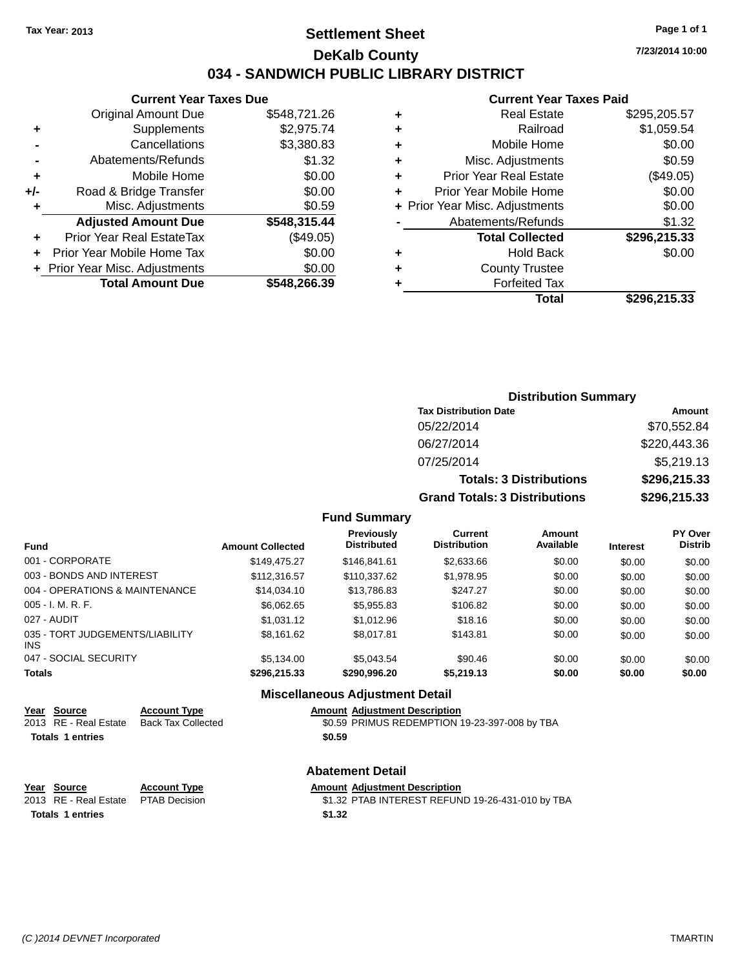### **Settlement Sheet Tax Year: 2013 Page 1 of 1 DeKalb County 034 - SANDWICH PUBLIC LIBRARY DISTRICT**

**7/23/2014 10:00**

# **Current Year Taxes Paid**

|     | <b>Current Year Taxes Due</b>  |              |
|-----|--------------------------------|--------------|
|     | <b>Original Amount Due</b>     | \$548,721.26 |
| ٠   | Supplements                    | \$2,975.74   |
|     | Cancellations                  | \$3,380.83   |
|     | Abatements/Refunds             | \$1.32       |
| ٠   | Mobile Home                    | \$0.00       |
| +/- | Road & Bridge Transfer         | \$0.00       |
| ٠   | Misc. Adjustments              | \$0.59       |
|     | <b>Adjusted Amount Due</b>     | \$548,315.44 |
| ٠   | Prior Year Real EstateTax      | (\$49.05)    |
|     | Prior Year Mobile Home Tax     | \$0.00       |
|     | + Prior Year Misc. Adjustments | \$0.00       |
|     | <b>Total Amount Due</b>        | \$548,266.39 |
|     |                                |              |

| ٠ | <b>Real Estate</b>             | \$295,205.57 |
|---|--------------------------------|--------------|
| ٠ | Railroad                       | \$1,059.54   |
| ٠ | Mobile Home                    | \$0.00       |
| ٠ | Misc. Adjustments              | \$0.59       |
| ÷ | <b>Prior Year Real Estate</b>  | (\$49.05)    |
| ٠ | Prior Year Mobile Home         | \$0.00       |
|   | + Prior Year Misc. Adjustments | \$0.00       |
|   | Abatements/Refunds             | \$1.32       |
|   | <b>Total Collected</b>         | \$296,215.33 |
| ٠ | Hold Back                      | \$0.00       |
| ٠ | <b>County Trustee</b>          |              |
| ٠ | <b>Forfeited Tax</b>           |              |
|   | Total                          | \$296,215.33 |
|   |                                |              |

| <b>Distribution Summary</b>          |              |
|--------------------------------------|--------------|
| <b>Tax Distribution Date</b>         | Amount       |
| 05/22/2014                           | \$70,552.84  |
| 06/27/2014                           | \$220,443.36 |
| 07/25/2014                           | \$5,219.13   |
| <b>Totals: 3 Distributions</b>       | \$296,215.33 |
| <b>Grand Totals: 3 Distributions</b> | \$296,215.33 |

### **Fund Summary**

| <b>Fund</b>                             | <b>Amount Collected</b> | Previously<br><b>Distributed</b> | Current<br><b>Distribution</b> | Amount<br>Available | <b>Interest</b> | <b>PY Over</b><br><b>Distrib</b> |
|-----------------------------------------|-------------------------|----------------------------------|--------------------------------|---------------------|-----------------|----------------------------------|
| 001 - CORPORATE                         | \$149.475.27            | \$146.841.61                     | \$2,633,66                     | \$0.00              | \$0.00          | \$0.00                           |
| 003 - BONDS AND INTEREST                | \$112,316.57            | \$110,337.62                     | \$1,978.95                     | \$0.00              | \$0.00          | \$0.00                           |
| 004 - OPERATIONS & MAINTENANCE          | \$14.034.10             | \$13,786.83                      | \$247.27                       | \$0.00              | \$0.00          | \$0.00                           |
| $005 - I. M. R. F.$                     | \$6,062.65              | \$5,955.83                       | \$106.82                       | \$0.00              | \$0.00          | \$0.00                           |
| 027 - AUDIT                             | \$1.031.12              | \$1,012.96                       | \$18.16                        | \$0.00              | \$0.00          | \$0.00                           |
| 035 - TORT JUDGEMENTS/LIABILITY<br>INS. | \$8,161.62              | \$8.017.81                       | \$143.81                       | \$0.00              | \$0.00          | \$0.00                           |
| 047 - SOCIAL SECURITY                   | \$5,134,00              | \$5.043.54                       | \$90.46                        | \$0.00              | \$0.00          | \$0.00                           |
| <b>Totals</b>                           | \$296,215.33            | \$290,996.20                     | \$5,219.13                     | \$0.00              | \$0.00          | \$0.00                           |

### **Miscellaneous Adjustment Detail**

| Year Source | <b>Account Type</b>                        | <b>Amount Adiustment Description</b> |
|-------------|--------------------------------------------|--------------------------------------|
|             | 2013 RE - Real Estate - Rack Tax Collected | CA 50 DRIMI IS REDEMPTION            |

**Totals 1 entries \$0.59**

2013 RE - Real Estate Back Tax Collected \$0.59 PRIMUS REDEMPTION 19-23-397-008 by TBA

#### **Abatement Detail**

| Year Source                         | <b>Account Type</b> | Amount |
|-------------------------------------|---------------------|--------|
| 2013 RE - Real Estate PTAB Decision |                     | \$1.32 |
| <b>Totals 1 entries</b>             |                     | \$1.32 |

**Year Source Account Type Amount Adjustment Description**

ecision **2013 REAL ESTATE STAB INTEREST REFUND 19-26-431-010 by TBA**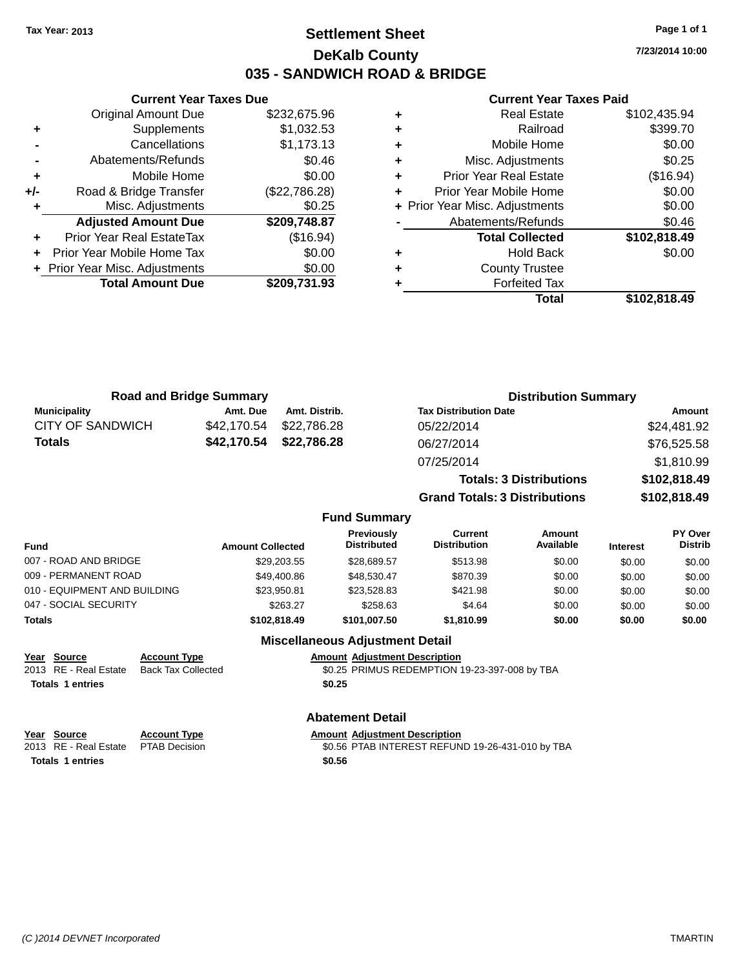### **Settlement Sheet Tax Year: 2013 Page 1 of 1 DeKalb County 035 - SANDWICH ROAD & BRIDGE**

**Current Year Taxes Due** Original Amount Due \$232,675.96 **+** Supplements \$1,032.53 **-** Cancellations \$1,173.13 **-** Abatements/Refunds \$0.46 **+** Mobile Home \$0.00 **+/-** Road & Bridge Transfer (\$22,786.28) **+** Misc. Adjustments \$0.25 **Adjusted Amount Due \$209,748.87 +** Prior Year Real EstateTax (\$16.94) **+** Prior Year Mobile Home Tax \$0.00 **+** Prior Year Misc. Adjustments  $$0.00$ **Total Amount Due \$209,731.93**

#### **Current Year Taxes Paid**

|   | <b>Real Estate</b>             | \$102,435.94 |
|---|--------------------------------|--------------|
| ٠ | Railroad                       | \$399.70     |
| ÷ | Mobile Home                    | \$0.00       |
| ٠ | Misc. Adjustments              | \$0.25       |
| ٠ | <b>Prior Year Real Estate</b>  | (\$16.94)    |
| ÷ | Prior Year Mobile Home         | \$0.00       |
|   | + Prior Year Misc. Adjustments | \$0.00       |
|   | Abatements/Refunds             | \$0.46       |
|   | <b>Total Collected</b>         | \$102,818.49 |
| ٠ | <b>Hold Back</b>               | \$0.00       |
| ٠ | <b>County Trustee</b>          |              |
|   | <b>Forfeited Tax</b>           |              |
|   | Total                          | \$102,818.49 |
|   |                                |              |

| <b>Road and Bridge Summary</b> |             |               | <b>Distribution Summary</b>    |              |  |
|--------------------------------|-------------|---------------|--------------------------------|--------------|--|
| <b>Municipality</b>            | Amt. Due    | Amt. Distrib. | <b>Tax Distribution Date</b>   | Amount       |  |
| <b>CITY OF SANDWICH</b>        | \$42.170.54 | \$22.786.28   | 05/22/2014                     | \$24,481.92  |  |
| <b>Totals</b>                  | \$42,170.54 | \$22,786.28   | 06/27/2014                     | \$76,525.58  |  |
|                                |             |               | 07/25/2014                     | \$1,810.99   |  |
|                                |             |               | <b>Totals: 3 Distributions</b> | \$102,818.49 |  |

**Grand Totals: 3 Distributions \$102,818.49**

#### **Fund Summary**

| Fund                         | <b>Amount Collected</b> | <b>Previously</b><br><b>Distributed</b> | Current<br><b>Distribution</b> | Amount<br>Available | <b>Interest</b> | <b>PY Over</b><br><b>Distrib</b> |
|------------------------------|-------------------------|-----------------------------------------|--------------------------------|---------------------|-----------------|----------------------------------|
| 007 - ROAD AND BRIDGE        | \$29,203.55             | \$28.689.57                             | \$513.98                       | \$0.00              | \$0.00          | \$0.00                           |
| 009 - PERMANENT ROAD         | \$49,400.86             | \$48,530.47                             | \$870.39                       | \$0.00              | \$0.00          | \$0.00                           |
| 010 - EQUIPMENT AND BUILDING | \$23,950.81             | \$23.528.83                             | \$421.98                       | \$0.00              | \$0.00          | \$0.00                           |
| 047 - SOCIAL SECURITY        | \$263.27                | \$258.63                                | \$4.64                         | \$0.00              | \$0.00          | \$0.00                           |
| Totals                       | \$102,818,49            | \$101.007.50                            | \$1.810.99                     | \$0.00              | \$0.00          | \$0.00                           |

#### **Miscellaneous Adjustment Detail**

#### **Year Source Account Type Amount Adjustment Description**

2013 RE - Real Estate Back Tax Collected \$0.25 PRIMUS REDEMPTION 19-23-397-008 by TBA **Totals 1 entries \$0.25**

#### **Abatement Detail**

| <u>Year Source</u>                  | <b>Account Type</b> | <b>Amount Adiustment Description</b>             |
|-------------------------------------|---------------------|--------------------------------------------------|
| 2013 RE - Real Estate PTAB Decision |                     | \$0.56 PTAB INTEREST REFUND 19-26-431-010 by TBA |
| <b>Totals 1 entries</b>             |                     | \$0.56                                           |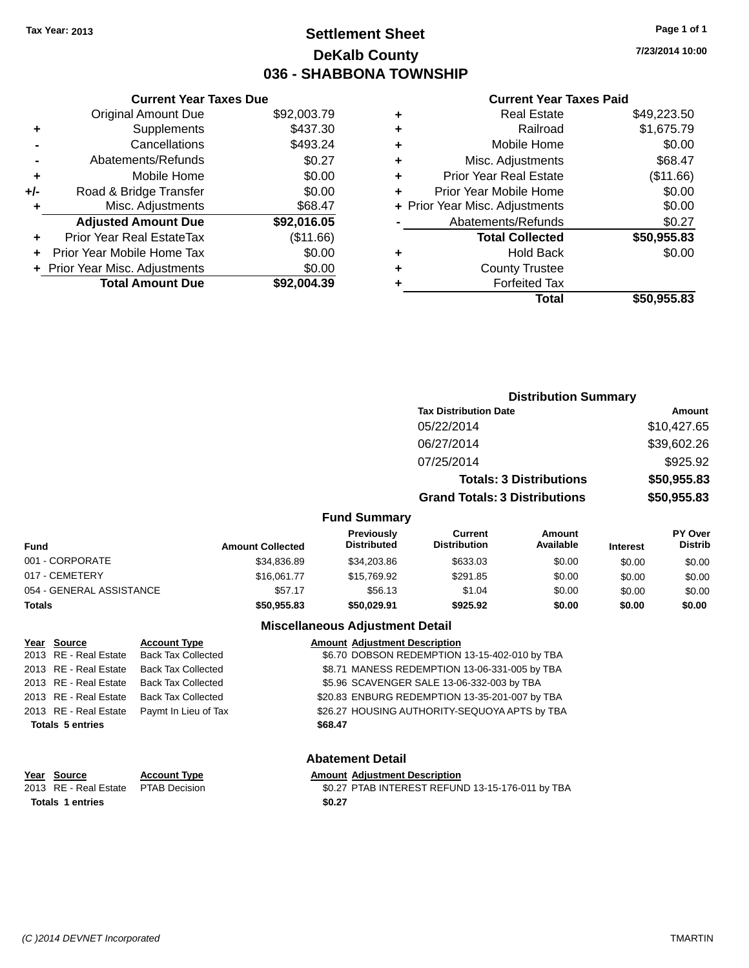### **Settlement Sheet Tax Year: 2013 Page 1 of 1 DeKalb County 036 - SHABBONA TOWNSHIP**

**7/23/2014 10:00**

#### **Current Year Taxes Paid**

|     | <b>Total Amount Due</b>        | \$92,004.39 |
|-----|--------------------------------|-------------|
|     | + Prior Year Misc. Adjustments | \$0.00      |
| ٠   | Prior Year Mobile Home Tax     | \$0.00      |
| ٠   | Prior Year Real EstateTax      | (\$11.66)   |
|     | <b>Adjusted Amount Due</b>     | \$92,016.05 |
| ٠   | Misc. Adjustments              | \$68.47     |
| +/- | Road & Bridge Transfer         | \$0.00      |
| ٠   | Mobile Home                    | \$0.00      |
|     | Abatements/Refunds             | \$0.27      |
|     | Cancellations                  | \$493.24    |
| ٠   | Supplements                    | \$437.30    |
|     | <b>Original Amount Due</b>     | \$92,003.79 |
|     |                                |             |

**Current Year Taxes Due**

| ٠ | <b>Real Estate</b>             | \$49,223.50 |
|---|--------------------------------|-------------|
| ٠ | Railroad                       | \$1,675.79  |
| ٠ | Mobile Home                    | \$0.00      |
| ٠ | Misc. Adjustments              | \$68.47     |
| ٠ | <b>Prior Year Real Estate</b>  | (\$11.66)   |
| ٠ | Prior Year Mobile Home         | \$0.00      |
|   | + Prior Year Misc. Adjustments | \$0.00      |
|   | Abatements/Refunds             | \$0.27      |
|   | <b>Total Collected</b>         | \$50,955.83 |
| ٠ | Hold Back                      | \$0.00      |
|   | <b>County Trustee</b>          |             |
| ٠ | <b>Forfeited Tax</b>           |             |
|   | Total                          | \$50,955.83 |
|   |                                |             |

|                          |                         |                                  |                                      | <b>Distribution Summary</b>    |                 |                           |
|--------------------------|-------------------------|----------------------------------|--------------------------------------|--------------------------------|-----------------|---------------------------|
|                          |                         |                                  | <b>Tax Distribution Date</b>         |                                | Amount          |                           |
|                          |                         |                                  | 05/22/2014                           |                                |                 | \$10,427.65               |
|                          |                         |                                  | 06/27/2014                           |                                |                 | \$39,602.26               |
|                          |                         |                                  | 07/25/2014                           |                                |                 | \$925.92                  |
|                          |                         |                                  |                                      | <b>Totals: 3 Distributions</b> |                 | \$50,955.83               |
|                          |                         |                                  | <b>Grand Totals: 3 Distributions</b> |                                |                 | \$50,955.83               |
|                          |                         | <b>Fund Summary</b>              |                                      |                                |                 |                           |
| <b>Fund</b>              | <b>Amount Collected</b> | Previously<br><b>Distributed</b> | Current<br><b>Distribution</b>       | Amount<br>Available            | <b>Interest</b> | PY Over<br><b>Distrib</b> |
| 001 - CORPORATE          | \$34,836.89             | \$34,203.86                      | \$633.03                             | \$0.00                         | \$0.00          | \$0.00                    |
| 017 - CEMETERY           | \$16,061.77             | \$15,769.92                      | \$291.85                             | \$0.00                         | \$0.00          | \$0.00                    |
| 054 - GENERAL ASSISTANCE | \$57.17                 | \$56.13                          | \$1.04                               | \$0.00                         | \$0.00          | \$0.00                    |
| <b>Totals</b>            | \$50,955.83             | \$50,029.91                      | \$925.92                             | \$0.00                         | \$0.00          | \$0.00                    |

#### **Miscellaneous Adjustment Detail**

| Year Source             | <b>Account Type</b>       |         | <b>Amount Adjustment Description</b>           |
|-------------------------|---------------------------|---------|------------------------------------------------|
| 2013 RE - Real Estate   | <b>Back Tax Collected</b> |         | \$6.70 DOBSON REDEMPTION 13-15-402-010 by TBA  |
| 2013 RE - Real Estate   | <b>Back Tax Collected</b> |         | \$8.71 MANESS REDEMPTION 13-06-331-005 by TBA  |
| 2013 RE - Real Estate   | <b>Back Tax Collected</b> |         | \$5.96 SCAVENGER SALE 13-06-332-003 by TBA     |
| 2013 RE - Real Estate   | <b>Back Tax Collected</b> |         | \$20.83 ENBURG REDEMPTION 13-35-201-007 by TBA |
| 2013 RE - Real Estate   | Paymt In Lieu of Tax      |         | \$26.27 HOUSING AUTHORITY-SEQUOYA APTS by TBA  |
| <b>Totals 5 entries</b> |                           | \$68.47 |                                                |
|                         |                           |         |                                                |

#### **Abatement Detail**

**Year Source Account Type Amount Adjustment Description**<br>2013 RE - Real Estate PTAB Decision **60.27 PTAB INTEREST REFUN** \$0.27 PTAB INTEREST REFUND 13-15-176-011 by TBA **Totals 1 entries \$0.27**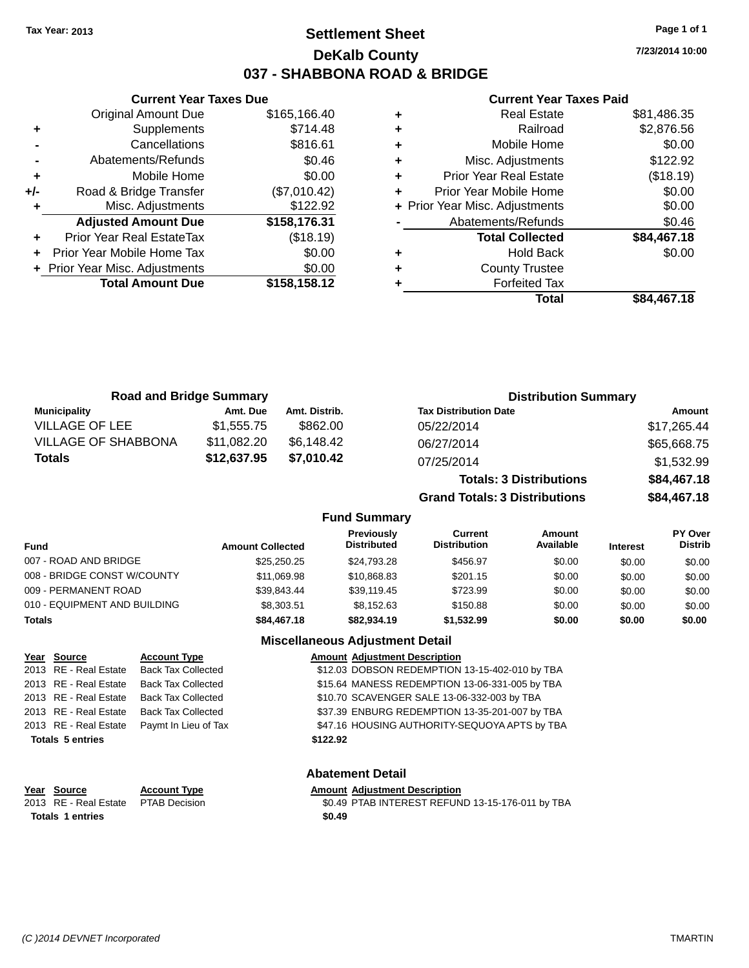### **Settlement Sheet Tax Year: 2013 Page 1 of 1 DeKalb County 037 - SHABBONA ROAD & BRIDGE**

**7/23/2014 10:00**

#### **Current Year Taxes Paid**

|     | <b>Current Year Taxes Due</b>  |              |  |  |  |  |
|-----|--------------------------------|--------------|--|--|--|--|
|     | <b>Original Amount Due</b>     | \$165,166.40 |  |  |  |  |
| ٠   | Supplements                    | \$714.48     |  |  |  |  |
|     | Cancellations                  | \$816.61     |  |  |  |  |
|     | Abatements/Refunds             | \$0.46       |  |  |  |  |
| ٠   | Mobile Home                    | \$0.00       |  |  |  |  |
| +/- | Road & Bridge Transfer         | (\$7,010.42) |  |  |  |  |
|     | Misc. Adjustments              | \$122.92     |  |  |  |  |
|     | <b>Adjusted Amount Due</b>     | \$158,176.31 |  |  |  |  |
|     | Prior Year Real EstateTax      | (\$18.19)    |  |  |  |  |
|     | Prior Year Mobile Home Tax     | \$0.00       |  |  |  |  |
|     | + Prior Year Misc. Adjustments | \$0.00       |  |  |  |  |
|     | <b>Total Amount Due</b>        | \$158,158.12 |  |  |  |  |
|     |                                |              |  |  |  |  |

| <b>Real Estate</b>             | \$81,486.35 |
|--------------------------------|-------------|
| Railroad                       | \$2,876.56  |
| Mobile Home                    | \$0.00      |
| Misc. Adjustments              | \$122.92    |
| <b>Prior Year Real Estate</b>  | (\$18.19)   |
| Prior Year Mobile Home         | \$0.00      |
| + Prior Year Misc. Adjustments | \$0.00      |
| Abatements/Refunds             | \$0.46      |
| <b>Total Collected</b>         | \$84,467.18 |
| <b>Hold Back</b>               | \$0.00      |
| <b>County Trustee</b>          |             |
| <b>Forfeited Tax</b>           |             |
| Total                          | \$84,467.18 |
|                                |             |

| <b>Road and Bridge Summary</b> |             |               | <b>Distribution Summary</b>    |             |
|--------------------------------|-------------|---------------|--------------------------------|-------------|
| <b>Municipality</b>            | Amt. Due    | Amt. Distrib. | <b>Tax Distribution Date</b>   | Amount      |
| <b>VILLAGE OF LEE</b>          | \$1.555.75  | \$862.00      | 05/22/2014                     | \$17,265.44 |
| <b>VILLAGE OF SHABBONA</b>     | \$11,082.20 | \$6,148.42    | 06/27/2014                     | \$65,668.75 |
| <b>Totals</b>                  | \$12,637.95 | \$7,010.42    | 07/25/2014                     | \$1,532.99  |
|                                |             |               | <b>Totals: 3 Distributions</b> | \$84,467.18 |

**Grand Totals: 3 Distributions \$84,467.18**

#### **Fund Summary**

| Fund                         | <b>Amount Collected</b> | <b>Previously</b><br><b>Distributed</b> | Current<br><b>Distribution</b> | Amount<br>Available | <b>Interest</b> | <b>PY Over</b><br><b>Distrib</b> |
|------------------------------|-------------------------|-----------------------------------------|--------------------------------|---------------------|-----------------|----------------------------------|
| 007 - ROAD AND BRIDGE        | \$25,250,25             | \$24.793.28                             | \$456.97                       | \$0.00              | \$0.00          | \$0.00                           |
| 008 - BRIDGE CONST W/COUNTY  | \$11,069.98             | \$10,868.83                             | \$201.15                       | \$0.00              | \$0.00          | \$0.00                           |
| 009 - PERMANENT ROAD         | \$39.843.44             | \$39.119.45                             | \$723.99                       | \$0.00              | \$0.00          | \$0.00                           |
| 010 - EQUIPMENT AND BUILDING | \$8,303.51              | \$8.152.63                              | \$150.88                       | \$0.00              | \$0.00          | \$0.00                           |
| Totals                       | \$84,467.18             | \$82,934,19                             | \$1.532.99                     | \$0.00              | \$0.00          | \$0.00                           |

### **Miscellaneous Adjustment Detail**

| Year Source             | <b>Account Type</b>       |          | <b>Amount Adjustment Description</b>           |
|-------------------------|---------------------------|----------|------------------------------------------------|
| 2013 RE - Real Estate   | <b>Back Tax Collected</b> |          | \$12.03 DOBSON REDEMPTION 13-15-402-010 by TBA |
| 2013 RE - Real Estate   | <b>Back Tax Collected</b> |          | \$15.64 MANESS REDEMPTION 13-06-331-005 by TBA |
| 2013 RE - Real Estate   | <b>Back Tax Collected</b> |          | \$10.70 SCAVENGER SALE 13-06-332-003 by TBA    |
| 2013 RE - Real Estate   | <b>Back Tax Collected</b> |          | \$37.39 ENBURG REDEMPTION 13-35-201-007 by TBA |
| 2013 RE - Real Estate   | Paymt In Lieu of Tax      |          | \$47.16 HOUSING AUTHORITY-SEQUOYA APTS by TBA  |
| <b>Totals 5 entries</b> |                           | \$122.92 |                                                |
|                         |                           |          |                                                |
|                         |                           |          | <b>Abatement Detail</b>                        |

### **Year Source Account Type Amount Adjustment Description Totals 1 entries \$0.49**

2013 RE - Real Estate PTAB Decision \$0.49 PTAB INTEREST REFUND 13-15-176-011 by TBA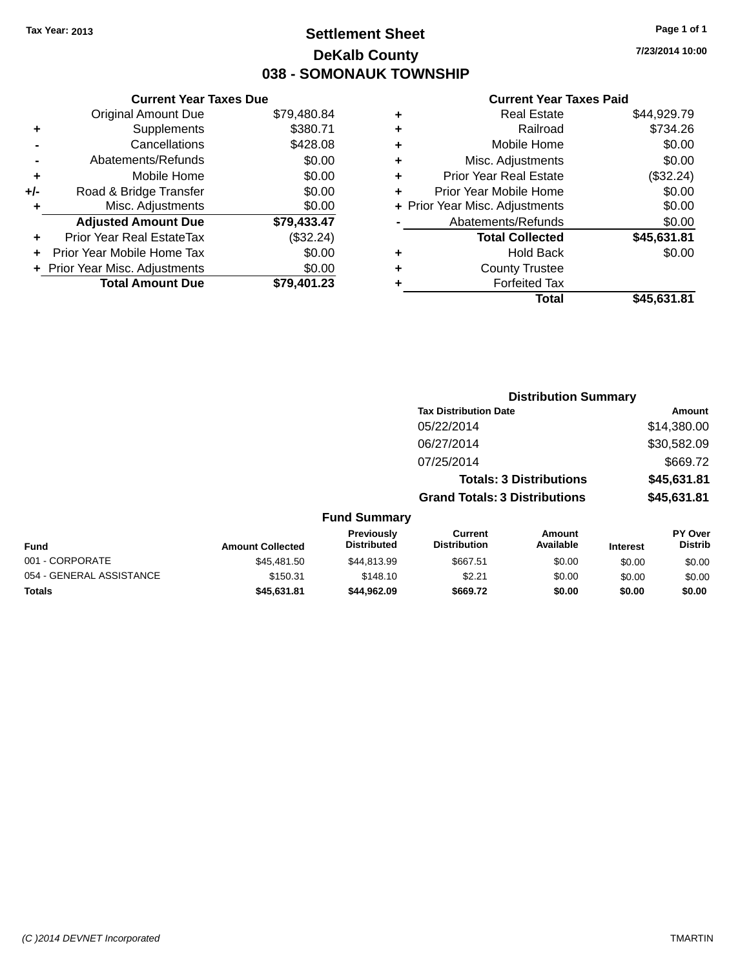### **Settlement Sheet Tax Year: 2013 Page 1 of 1 DeKalb County 038 - SOMONAUK TOWNSHIP**

**7/23/2014 10:00**

#### **Current Year Taxes Paid**

| <b>Current Year Taxes Due</b> |                                |
|-------------------------------|--------------------------------|
| <b>Original Amount Due</b>    | \$79,480.84                    |
| Supplements                   | \$380.71                       |
| Cancellations                 | \$428.08                       |
| Abatements/Refunds            | \$0.00                         |
| Mobile Home                   | \$0.00                         |
| Road & Bridge Transfer        | \$0.00                         |
| Misc. Adjustments             | \$0.00                         |
| <b>Adjusted Amount Due</b>    | \$79,433.47                    |
| Prior Year Real EstateTax     | (\$32.24)                      |
| Prior Year Mobile Home Tax    | \$0.00                         |
|                               | \$0.00                         |
| <b>Total Amount Due</b>       | \$79,401.23                    |
|                               | + Prior Year Misc. Adjustments |

| ٠ | <b>Real Estate</b>             | \$44,929.79 |
|---|--------------------------------|-------------|
| ٠ | Railroad                       | \$734.26    |
| ٠ | Mobile Home                    | \$0.00      |
| ٠ | Misc. Adjustments              | \$0.00      |
| ٠ | <b>Prior Year Real Estate</b>  | (\$32.24)   |
| ٠ | Prior Year Mobile Home         | \$0.00      |
|   | + Prior Year Misc. Adjustments | \$0.00      |
|   | Abatements/Refunds             | \$0.00      |
|   | <b>Total Collected</b>         | \$45,631.81 |
| ٠ | Hold Back                      | \$0.00      |
| ٠ | <b>County Trustee</b>          |             |
| ٠ | <b>Forfeited Tax</b>           |             |
|   | Total                          | \$45,631.81 |
|   |                                |             |

|                          |                         |                                         | <b>Distribution Summary</b>           |                                |                 |                           |
|--------------------------|-------------------------|-----------------------------------------|---------------------------------------|--------------------------------|-----------------|---------------------------|
|                          |                         |                                         | <b>Tax Distribution Date</b>          |                                |                 | <b>Amount</b>             |
|                          |                         |                                         | 05/22/2014                            |                                |                 | \$14,380.00               |
|                          |                         |                                         | 06/27/2014                            |                                |                 | \$30,582.09               |
|                          |                         |                                         | 07/25/2014                            |                                |                 | \$669.72                  |
|                          |                         |                                         |                                       | <b>Totals: 3 Distributions</b> |                 | \$45,631.81               |
|                          |                         |                                         | <b>Grand Totals: 3 Distributions</b>  |                                |                 | \$45,631.81               |
|                          |                         | <b>Fund Summary</b>                     |                                       |                                |                 |                           |
| <b>Fund</b>              | <b>Amount Collected</b> | <b>Previously</b><br><b>Distributed</b> | <b>Current</b><br><b>Distribution</b> | Amount<br>Available            | <b>Interest</b> | PY Over<br><b>Distrib</b> |
| 001 - CORPORATE          | \$45,481.50             | \$44,813.99                             | \$667.51                              | \$0.00                         | \$0.00          | \$0.00                    |
| 054 - GENERAL ASSISTANCE | \$150.31                | \$148.10                                | \$2.21                                | \$0.00                         | \$0.00          | \$0.00                    |
| <b>Totals</b>            | \$45,631.81             | \$44,962.09                             | \$669.72                              | \$0.00                         | \$0.00          | \$0.00                    |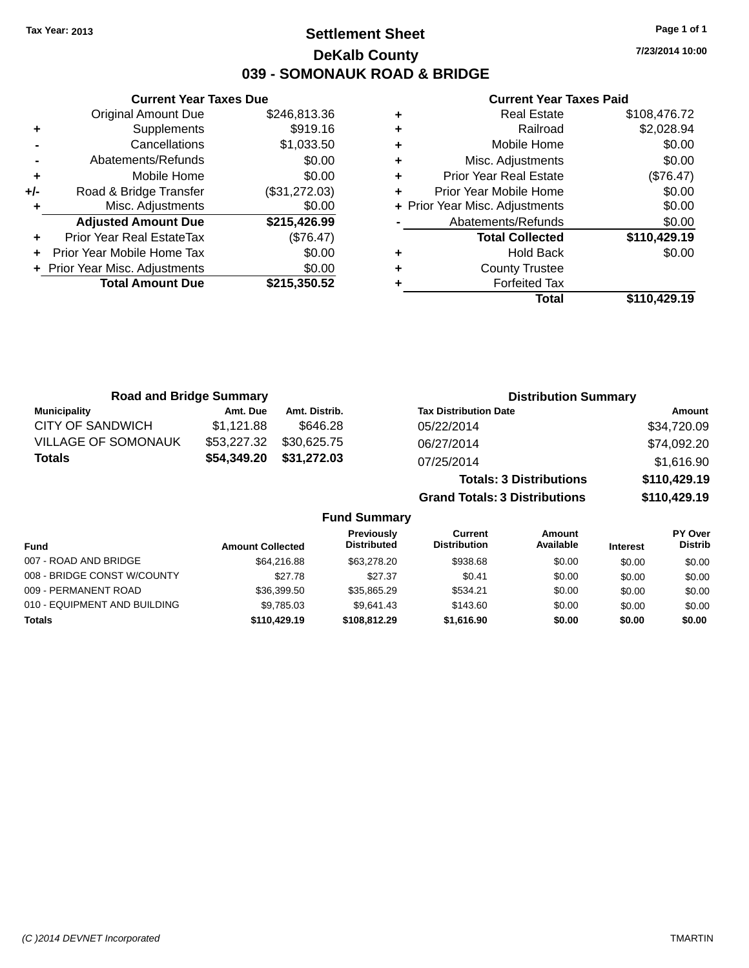### **Settlement Sheet Tax Year: 2013 Page 1 of 1 DeKalb County 039 - SOMONAUK ROAD & BRIDGE**

**7/23/2014 10:00**

#### **Current Year Taxes Paid**

|     | <b>Current Year Taxes Due</b>  |               |  |  |  |  |
|-----|--------------------------------|---------------|--|--|--|--|
|     | <b>Original Amount Due</b>     | \$246,813.36  |  |  |  |  |
| ٠   | Supplements                    | \$919.16      |  |  |  |  |
|     | Cancellations                  | \$1,033.50    |  |  |  |  |
|     | Abatements/Refunds             | \$0.00        |  |  |  |  |
| ٠   | Mobile Home                    | \$0.00        |  |  |  |  |
| +/- | Road & Bridge Transfer         | (\$31,272.03) |  |  |  |  |
|     | Misc. Adjustments              | \$0.00        |  |  |  |  |
|     | <b>Adjusted Amount Due</b>     | \$215,426.99  |  |  |  |  |
| ÷   | Prior Year Real EstateTax      | (\$76.47)     |  |  |  |  |
|     | Prior Year Mobile Home Tax     | \$0.00        |  |  |  |  |
|     | + Prior Year Misc. Adjustments | \$0.00        |  |  |  |  |
|     | <b>Total Amount Due</b>        | \$215,350.52  |  |  |  |  |
|     |                                |               |  |  |  |  |

| ٠ | <b>Real Estate</b>             | \$108,476.72 |
|---|--------------------------------|--------------|
| ٠ | Railroad                       | \$2,028.94   |
| ٠ | Mobile Home                    | \$0.00       |
| ٠ | Misc. Adjustments              | \$0.00       |
| ٠ | <b>Prior Year Real Estate</b>  | (\$76.47)    |
| ٠ | Prior Year Mobile Home         | \$0.00       |
|   | + Prior Year Misc. Adjustments | \$0.00       |
|   | Abatements/Refunds             | \$0.00       |
|   | <b>Total Collected</b>         | \$110,429.19 |
| ٠ | Hold Back                      | \$0.00       |
| ٠ | <b>County Trustee</b>          |              |
| ٠ | <b>Forfeited Tax</b>           |              |
|   | Total                          | \$110,429.19 |
|   |                                |              |

| <b>Road and Bridge Summary</b> |             |               | <b>Distribution Summary</b>    |              |
|--------------------------------|-------------|---------------|--------------------------------|--------------|
| <b>Municipality</b>            | Amt. Due    | Amt. Distrib. | <b>Tax Distribution Date</b>   | Amount       |
| <b>CITY OF SANDWICH</b>        | \$1,121.88  | \$646.28      | 05/22/2014                     | \$34,720.09  |
| <b>VILLAGE OF SOMONAUK</b>     | \$53,227.32 | \$30,625.75   | 06/27/2014                     | \$74,092.20  |
| <b>Totals</b>                  | \$54,349.20 | \$31,272.03   | 07/25/2014                     | \$1,616.90   |
|                                |             |               | <b>Totals: 3 Distributions</b> | \$110,429.19 |

**Grand Totals: 3 Distributions \$110,429.19**

| Fund                         | <b>Amount Collected</b> | <b>Previously</b><br><b>Distributed</b> | Current<br><b>Distribution</b> | Amount<br>Available | <b>Interest</b> | <b>PY Over</b><br><b>Distrib</b> |
|------------------------------|-------------------------|-----------------------------------------|--------------------------------|---------------------|-----------------|----------------------------------|
| 007 - ROAD AND BRIDGE        | \$64,216.88             | \$63,278.20                             | \$938.68                       | \$0.00              | \$0.00          | \$0.00                           |
| 008 - BRIDGE CONST W/COUNTY  | \$27.78                 | \$27.37                                 | \$0.41                         | \$0.00              | \$0.00          | \$0.00                           |
| 009 - PERMANENT ROAD         | \$36,399.50             | \$35,865,29                             | \$534.21                       | \$0.00              | \$0.00          | \$0.00                           |
| 010 - EQUIPMENT AND BUILDING | \$9,785.03              | \$9.641.43                              | \$143.60                       | \$0.00              | \$0.00          | \$0.00                           |
| Totals                       | \$110,429.19            | \$108,812,29                            | \$1,616.90                     | \$0.00              | \$0.00          | \$0.00                           |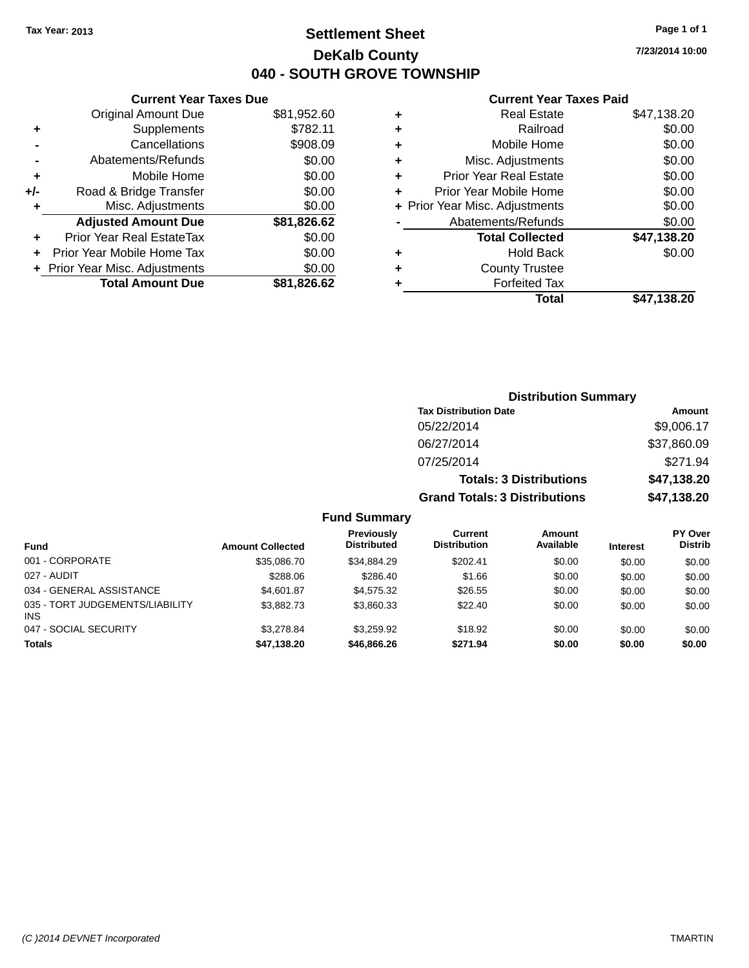### **Settlement Sheet Tax Year: 2013 Page 1 of 1 DeKalb County 040 - SOUTH GROVE TOWNSHIP**

**7/23/2014 10:00**

#### **Current Year Taxes Paid**

|     | <b>Current Year Taxes Due</b>  |             |
|-----|--------------------------------|-------------|
|     | <b>Original Amount Due</b>     | \$81,952.60 |
| ٠   | Supplements                    | \$782.11    |
|     | Cancellations                  | \$908.09    |
|     | Abatements/Refunds             | \$0.00      |
| ٠   | Mobile Home                    | \$0.00      |
| +/- | Road & Bridge Transfer         | \$0.00      |
| ٠   | Misc. Adjustments              | \$0.00      |
|     | <b>Adjusted Amount Due</b>     | \$81,826.62 |
| ٠   | Prior Year Real EstateTax      | \$0.00      |
|     | Prior Year Mobile Home Tax     | \$0.00      |
|     | + Prior Year Misc. Adjustments | \$0.00      |
|     | <b>Total Amount Due</b>        | \$81.826.62 |
|     |                                |             |

| ٠ | <b>Real Estate</b>             | \$47,138.20 |
|---|--------------------------------|-------------|
| ٠ | Railroad                       | \$0.00      |
| ٠ | Mobile Home                    | \$0.00      |
| ٠ | Misc. Adjustments              | \$0.00      |
| ٠ | <b>Prior Year Real Estate</b>  | \$0.00      |
| ٠ | Prior Year Mobile Home         | \$0.00      |
|   | + Prior Year Misc. Adjustments | \$0.00      |
|   | Abatements/Refunds             | \$0.00      |
|   | <b>Total Collected</b>         | \$47,138.20 |
| ٠ | <b>Hold Back</b>               | \$0.00      |
| ٠ | <b>County Trustee</b>          |             |
| ٠ | <b>Forfeited Tax</b>           |             |
|   | Total                          | \$47,138.20 |
|   |                                |             |

|                     | <b>Distribution Summary</b>          |               |
|---------------------|--------------------------------------|---------------|
|                     | <b>Tax Distribution Date</b>         | <b>Amount</b> |
|                     | 05/22/2014                           | \$9,006.17    |
|                     | 06/27/2014                           | \$37,860.09   |
|                     | 07/25/2014                           | \$271.94      |
|                     | <b>Totals: 3 Distributions</b>       | \$47,138.20   |
|                     | <b>Grand Totals: 3 Distributions</b> | \$47,138.20   |
| <b>Fund Summary</b> |                                      |               |

| <b>Fund</b>                                   | <b>Amount Collected</b> | Previously<br><b>Distributed</b> | Current<br><b>Distribution</b> | Amount<br>Available | <b>Interest</b> | <b>PY Over</b><br><b>Distrib</b> |
|-----------------------------------------------|-------------------------|----------------------------------|--------------------------------|---------------------|-----------------|----------------------------------|
| 001 - CORPORATE                               | \$35,086.70             | \$34.884.29                      | \$202.41                       | \$0.00              | \$0.00          | \$0.00                           |
| 027 - AUDIT                                   | \$288.06                | \$286.40                         | \$1.66                         | \$0.00              | \$0.00          | \$0.00                           |
| 034 - GENERAL ASSISTANCE                      | \$4,601.87              | \$4.575.32                       | \$26.55                        | \$0.00              | \$0.00          | \$0.00                           |
| 035 - TORT JUDGEMENTS/LIABILITY<br><b>INS</b> | \$3,882.73              | \$3.860.33                       | \$22.40                        | \$0.00              | \$0.00          | \$0.00                           |
| 047 - SOCIAL SECURITY                         | \$3.278.84              | \$3.259.92                       | \$18.92                        | \$0.00              | \$0.00          | \$0.00                           |
| <b>Totals</b>                                 | \$47,138.20             | \$46,866.26                      | \$271.94                       | \$0.00              | \$0.00          | \$0.00                           |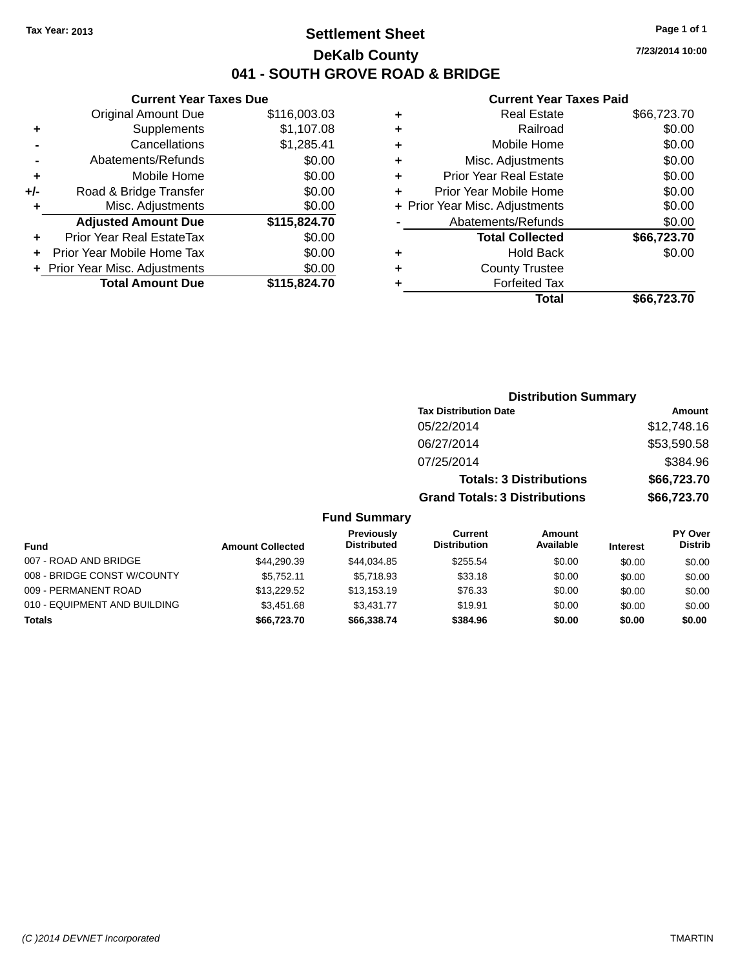### **Settlement Sheet Tax Year: 2013 Page 1 of 1 DeKalb County 041 - SOUTH GROVE ROAD & BRIDGE**

**7/23/2014 10:00**

### **Current Year Taxes Paid**

|       | <b>Current Year Taxes Due</b>              |              |  |  |  |  |  |
|-------|--------------------------------------------|--------------|--|--|--|--|--|
|       | \$116,003.03<br><b>Original Amount Due</b> |              |  |  |  |  |  |
| ٠     | Supplements                                | \$1,107.08   |  |  |  |  |  |
|       | Cancellations                              | \$1,285.41   |  |  |  |  |  |
|       | Abatements/Refunds                         | \$0.00       |  |  |  |  |  |
| ٠     | Mobile Home                                | \$0.00       |  |  |  |  |  |
| $+/-$ | Road & Bridge Transfer                     | \$0.00       |  |  |  |  |  |
| ٠     | \$0.00<br>Misc. Adjustments                |              |  |  |  |  |  |
|       | <b>Adjusted Amount Due</b>                 | \$115,824.70 |  |  |  |  |  |
| ٠     | Prior Year Real EstateTax                  | \$0.00       |  |  |  |  |  |
|       | Prior Year Mobile Home Tax                 | \$0.00       |  |  |  |  |  |
|       | + Prior Year Misc. Adjustments             | \$0.00       |  |  |  |  |  |
|       | <b>Total Amount Due</b>                    | \$115,824.70 |  |  |  |  |  |
|       |                                            |              |  |  |  |  |  |

|   | <b>Real Estate</b>             | \$66,723.70 |
|---|--------------------------------|-------------|
| ٠ | Railroad                       | \$0.00      |
| ٠ | Mobile Home                    | \$0.00      |
| ٠ | Misc. Adjustments              | \$0.00      |
| ٠ | <b>Prior Year Real Estate</b>  | \$0.00      |
| ٠ | Prior Year Mobile Home         | \$0.00      |
|   | + Prior Year Misc. Adjustments | \$0.00      |
|   | Abatements/Refunds             | \$0.00      |
|   | <b>Total Collected</b>         | \$66,723.70 |
| ٠ | <b>Hold Back</b>               | \$0.00      |
| ٠ | <b>County Trustee</b>          |             |
| ٠ | <b>Forfeited Tax</b>           |             |
|   | Total                          | \$66,723.70 |

|                     | <b>Distribution Summary</b>          |             |
|---------------------|--------------------------------------|-------------|
|                     | <b>Tax Distribution Date</b>         | Amount      |
|                     | 05/22/2014                           | \$12,748.16 |
|                     | 06/27/2014                           | \$53,590.58 |
|                     | 07/25/2014                           | \$384.96    |
|                     | <b>Totals: 3 Distributions</b>       | \$66,723.70 |
|                     | <b>Grand Totals: 3 Distributions</b> | \$66,723.70 |
| <b>Fund Summary</b> |                                      |             |

| <b>Fund</b>                  | <b>Amount Collected</b> | <b>Previously</b><br><b>Distributed</b> | Current<br><b>Distribution</b> | Amount<br>Available | <b>Interest</b> | <b>PY Over</b><br><b>Distrib</b> |
|------------------------------|-------------------------|-----------------------------------------|--------------------------------|---------------------|-----------------|----------------------------------|
| 007 - ROAD AND BRIDGE        | \$44,290.39             | \$44,034.85                             | \$255.54                       | \$0.00              | \$0.00          | \$0.00                           |
| 008 - BRIDGE CONST W/COUNTY  | \$5.752.11              | \$5.718.93                              | \$33.18                        | \$0.00              | \$0.00          | \$0.00                           |
| 009 - PERMANENT ROAD         | \$13.229.52             | \$13.153.19                             | \$76.33                        | \$0.00              | \$0.00          | \$0.00                           |
| 010 - EQUIPMENT AND BUILDING | \$3,451.68              | \$3,431,77                              | \$19.91                        | \$0.00              | \$0.00          | \$0.00                           |
| <b>Totals</b>                | \$66,723,70             | \$66,338.74                             | \$384.96                       | \$0.00              | \$0.00          | \$0.00                           |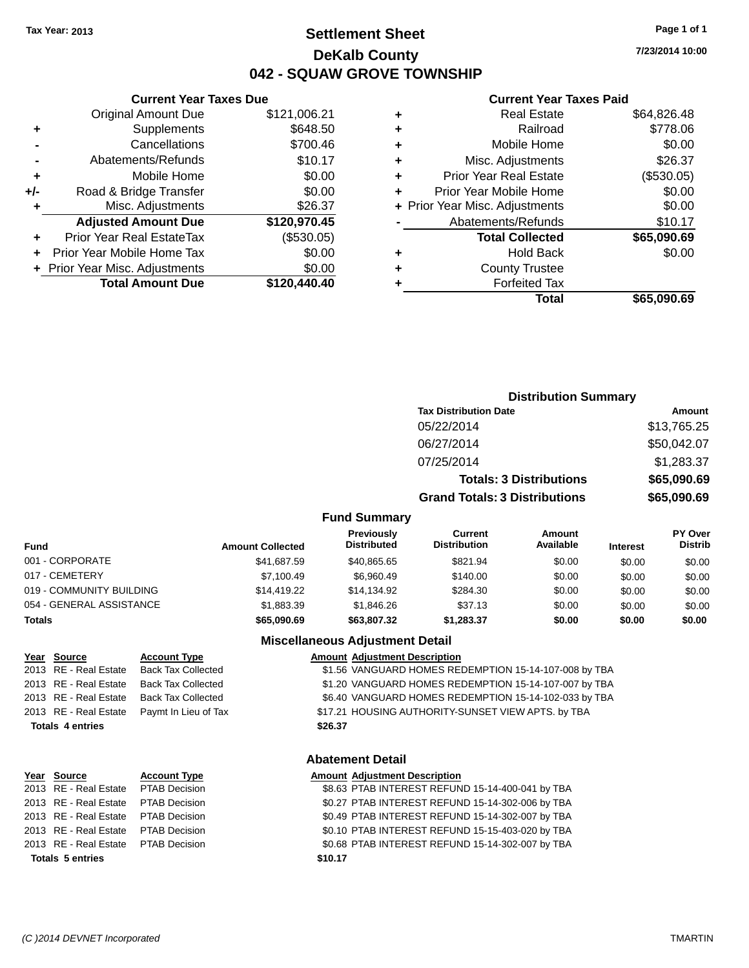**-** Abatements/Refunds **+** Mobile Home **+/-** Road & Bridge Transfer **+** Misc. Adjustments

**Current Year Taxes Due**

### **Settlement Sheet Tax Year: 2013 Page 1 of 1 DeKalb County 042 - SQUAW GROVE TOWNSHIP**

**7/23/2014 10:00**

#### **Current Year Taxes Paid**

|    |                                |              |   | <b>Total</b>                   | \$65,090.69 |
|----|--------------------------------|--------------|---|--------------------------------|-------------|
|    | <b>Total Amount Due</b>        | \$120,440.40 |   | <b>Forfeited Tax</b>           |             |
|    | + Prior Year Misc. Adjustments | \$0.00       | ٠ | <b>County Trustee</b>          |             |
|    | + Prior Year Mobile Home Tax   | \$0.00       | ٠ | <b>Hold Back</b>               | \$0.00      |
| ÷  | Prior Year Real EstateTax      | (\$530.05)   |   | <b>Total Collected</b>         | \$65,090.69 |
|    | <b>Adjusted Amount Due</b>     | \$120,970.45 |   | Abatements/Refunds             | \$10.17     |
| ٠  | Misc. Adjustments              | \$26.37      |   | + Prior Year Misc. Adjustments | \$0.00      |
| /- | Road & Bridge Transfer         | \$0.00       | ٠ | Prior Year Mobile Home         | \$0.00      |
| ٠  | Mobile Home                    | \$0.00       |   | <b>Prior Year Real Estate</b>  | (\$530.05)  |
|    | Abatements/Refunds             | \$10.17      | ٠ | Misc. Adjustments              | \$26.37     |
|    | Cancellations                  | \$700.46     | ٠ | Mobile Home                    | \$0.00      |
| ٠  | Supplements                    | \$648.50     | ٠ | Railroad                       | \$778.06    |
|    | <b>Original Amount Due</b>     | \$121,006.21 | ٠ | <b>Real Estate</b>             | \$64,826.48 |
|    |                                |              |   |                                |             |

## **Distribution Summary Tax Distribution Date Amount** 05/22/2014 \$13,765.25 06/27/2014 \$50,042.07 07/25/2014 \$1,283.37 **Totals: 3 Distributions \$65,090.69 Grand Totals: 3 Distributions \$65,090.69**

#### **Fund Summary**

| Fund                     | <b>Amount Collected</b> | Previously<br><b>Distributed</b> | Current<br><b>Distribution</b> | Amount<br>Available | <b>Interest</b> | PY Over<br><b>Distrib</b> |
|--------------------------|-------------------------|----------------------------------|--------------------------------|---------------------|-----------------|---------------------------|
| 001 - CORPORATE          | \$41,687.59             | \$40,865.65                      | \$821.94                       | \$0.00              | \$0.00          | \$0.00                    |
| 017 - CEMETERY           | \$7.100.49              | \$6,960.49                       | \$140.00                       | \$0.00              | \$0.00          | \$0.00                    |
| 019 - COMMUNITY BUILDING | \$14.419.22             | \$14,134.92                      | \$284.30                       | \$0.00              | \$0.00          | \$0.00                    |
| 054 - GENERAL ASSISTANCE | \$1,883,39              | \$1,846.26                       | \$37.13                        | \$0.00              | \$0.00          | \$0.00                    |
| <b>Totals</b>            | \$65,090.69             | \$63,807.32                      | \$1.283.37                     | \$0.00              | \$0.00          | \$0.00                    |

#### **Miscellaneous Adjustment Detail**

#### **Year Source Account Type Amount Adjustment Description**

2013 RE - Real Estate Back Tax Collected \$1.56 VANGUARD HOMES REDEMPTION 15-14-107-008 by TBA 2013 RE - Real Estate Back Tax Collected \$1.20 VANGUARD HOMES REDEMPTION 15-14-107-007 by TBA 2013 RE - Real Estate Back Tax Collected \$6.40 VANGUARD HOMES REDEMPTION 15-14-102-033 by TBA 2013 RE - Real Estate Paymt In Lieu of Tax \$17.21 HOUSING AUTHORITY-SUNSET VIEW APTS. by TBA

#### **Abatement Detail**

#### **Type Amount Adjustment Description**

| 2013 RE - Real Estate PTAB Decision | \$8.63 PTAB INTEREST REFUND 15-14-400-041 by TBA |
|-------------------------------------|--------------------------------------------------|
| 2013 RE - Real Estate PTAB Decision | \$0.27 PTAB INTEREST REFUND 15-14-302-006 by TBA |
| 2013 RE - Real Estate PTAB Decision | \$0.49 PTAB INTEREST REFUND 15-14-302-007 by TBA |
| 2013 RE - Real Estate PTAB Decision | \$0.10 PTAB INTEREST REFUND 15-15-403-020 by TBA |
| 2013 RE - Real Estate PTAB Decision | \$0.68 PTAB INTEREST REFUND 15-14-302-007 by TBA |
| <b>Totals 5 entries</b>             | \$10.17                                          |

#### **Totals 4 entries \$26.37**

|                  | Year Source           | <b>Account</b> |  |  |  |
|------------------|-----------------------|----------------|--|--|--|
|                  | 2013 RE - Real Estate | PTAB De        |  |  |  |
|                  | 2013 RE - Real Estate | PTAB De        |  |  |  |
|                  | 2013 RE - Real Estate | PTAB De        |  |  |  |
|                  | 2013 RE - Real Estate | PTAB De        |  |  |  |
|                  | 2013 RE - Real Estate | PTAB De        |  |  |  |
| Totals 5 entries |                       |                |  |  |  |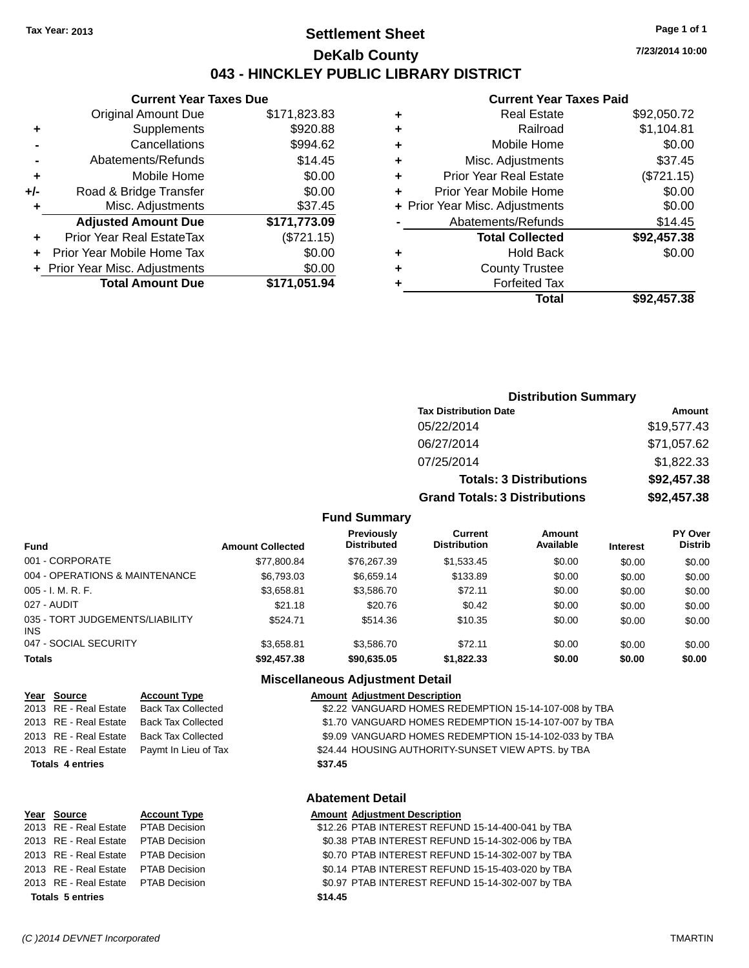### **Settlement Sheet Tax Year: 2013 Page 1 of 1 DeKalb County 043 - HINCKLEY PUBLIC LIBRARY DISTRICT**

**7/23/2014 10:00**

#### **Current Year Taxes Paid**

|     | <b>Current Year Taxes Due</b>  |              |  |  |
|-----|--------------------------------|--------------|--|--|
|     | <b>Original Amount Due</b>     | \$171,823.83 |  |  |
| ٠   | Supplements                    | \$920.88     |  |  |
|     | Cancellations                  | \$994.62     |  |  |
|     | Abatements/Refunds             | \$14.45      |  |  |
| ٠   | Mobile Home                    | \$0.00       |  |  |
| +/- | Road & Bridge Transfer         | \$0.00       |  |  |
| ٠   | \$37.45<br>Misc. Adjustments   |              |  |  |
|     | <b>Adjusted Amount Due</b>     | \$171,773.09 |  |  |
| ٠   | Prior Year Real EstateTax      | (\$721.15)   |  |  |
|     | Prior Year Mobile Home Tax     | \$0.00       |  |  |
|     | + Prior Year Misc. Adjustments | \$0.00       |  |  |
|     | <b>Total Amount Due</b>        | \$171.051.94 |  |  |
|     |                                |              |  |  |

|   | <b>Real Estate</b>             | \$92,050.72 |
|---|--------------------------------|-------------|
| ٠ | Railroad                       | \$1,104.81  |
| ٠ | Mobile Home                    | \$0.00      |
| ٠ | Misc. Adjustments              | \$37.45     |
| ٠ | <b>Prior Year Real Estate</b>  | (\$721.15)  |
| ÷ | Prior Year Mobile Home         | \$0.00      |
|   | + Prior Year Misc. Adjustments | \$0.00      |
|   | Abatements/Refunds             | \$14.45     |
|   | <b>Total Collected</b>         | \$92,457.38 |
| ٠ | <b>Hold Back</b>               | \$0.00      |
| ٠ | <b>County Trustee</b>          |             |
|   | <b>Forfeited Tax</b>           |             |
|   | Total                          | \$92,457,38 |
|   |                                |             |

### **Distribution Summary Tax Distribution Date Amount** 05/22/2014 \$19,577.43 06/27/2014 \$71,057.62 07/25/2014 \$1,822.33 **Totals: 3 Distributions \$92,457.38 Grand Totals: 3 Distributions \$92,457.38**

#### **Fund Summary**

| <b>Fund</b>                                   | <b>Amount Collected</b> | Previously<br><b>Distributed</b> | Current<br><b>Distribution</b> | Amount<br>Available | <b>Interest</b> | <b>PY Over</b><br><b>Distrib</b> |
|-----------------------------------------------|-------------------------|----------------------------------|--------------------------------|---------------------|-----------------|----------------------------------|
| 001 - CORPORATE                               | \$77,800.84             | \$76,267.39                      | \$1,533.45                     | \$0.00              | \$0.00          | \$0.00                           |
| 004 - OPERATIONS & MAINTENANCE                | \$6,793.03              | \$6.659.14                       | \$133.89                       | \$0.00              | \$0.00          | \$0.00                           |
| $005 - I. M. R. F.$                           | \$3,658.81              | \$3,586.70                       | \$72.11                        | \$0.00              | \$0.00          | \$0.00                           |
| 027 - AUDIT                                   | \$21.18                 | \$20.76                          | \$0.42                         | \$0.00              | \$0.00          | \$0.00                           |
| 035 - TORT JUDGEMENTS/LIABILITY<br><b>INS</b> | \$524.71                | \$514.36                         | \$10.35                        | \$0.00              | \$0.00          | \$0.00                           |
| 047 - SOCIAL SECURITY                         | \$3.658.81              | \$3,586.70                       | \$72.11                        | \$0.00              | \$0.00          | \$0.00                           |
| <b>Totals</b>                                 | \$92,457.38             | \$90,635.05                      | \$1,822.33                     | \$0.00              | \$0.00          | \$0.00                           |

#### **Miscellaneous Adjustment Detail**

| Year Source             | <b>Account Type</b>       |         | <b>Amount Adjustment Description</b>                  |
|-------------------------|---------------------------|---------|-------------------------------------------------------|
| 2013 RE - Real Estate   | <b>Back Tax Collected</b> |         | \$2.22 VANGUARD HOMES REDEMPTION 15-14-107-008 by TBA |
| 2013 RE - Real Estate   | <b>Back Tax Collected</b> |         | \$1.70 VANGUARD HOMES REDEMPTION 15-14-107-007 by TBA |
| 2013 RE - Real Estate   | <b>Back Tax Collected</b> |         | \$9.09 VANGUARD HOMES REDEMPTION 15-14-102-033 by TBA |
| 2013 RE - Real Estate   | Paymt In Lieu of Tax      |         | \$24.44 HOUSING AUTHORITY-SUNSET VIEW APTS. by TBA    |
| <b>Totals 4 entries</b> |                           | \$37.45 |                                                       |
|                         |                           |         |                                                       |

#### **Abatement Detail**

|                         | Year Source                         | <b>Account Type</b> | <b>Amount Adjustment Description</b>              |
|-------------------------|-------------------------------------|---------------------|---------------------------------------------------|
|                         | 2013 RE - Real Estate PTAB Decision |                     | \$12.26 PTAB INTEREST REFUND 15-14-400-041 by TBA |
|                         | 2013 RE - Real Estate PTAB Decision |                     | \$0.38 PTAB INTEREST REFUND 15-14-302-006 by TBA  |
|                         | 2013 RE - Real Estate PTAB Decision |                     | \$0.70 PTAB INTEREST REFUND 15-14-302-007 by TBA  |
|                         | 2013 RE - Real Estate PTAB Decision |                     | \$0.14 PTAB INTEREST REFUND 15-15-403-020 by TBA  |
|                         | 2013 RE - Real Estate PTAB Decision |                     | \$0.97 PTAB INTEREST REFUND 15-14-302-007 by TBA  |
| <b>Totals 5 entries</b> |                                     |                     | \$14.45                                           |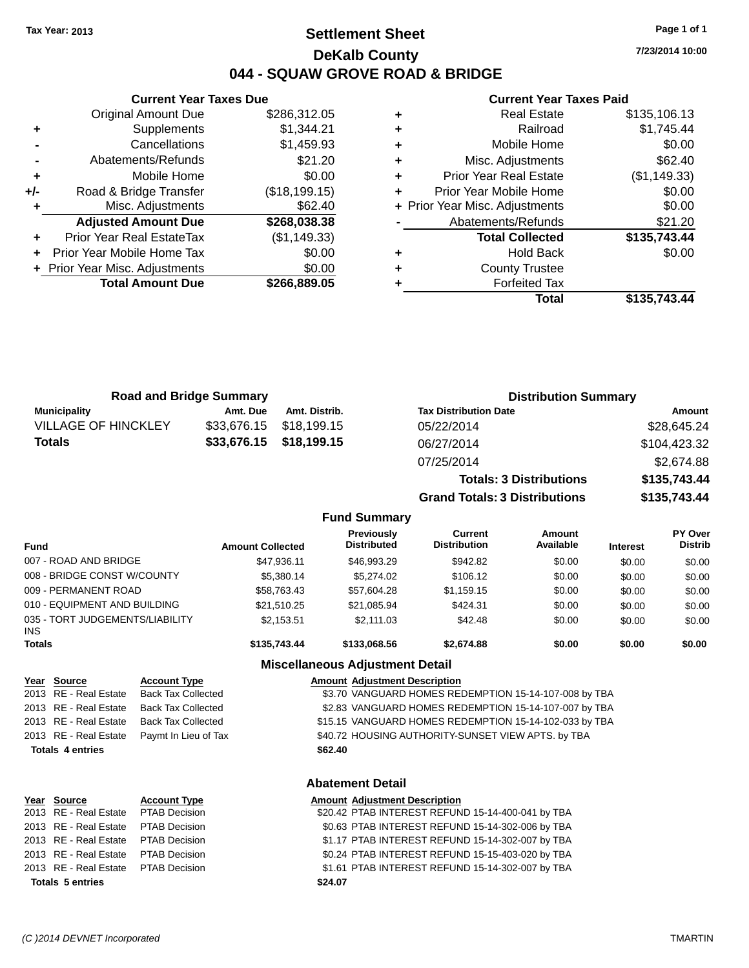### **Settlement Sheet Tax Year: 2013 Page 1 of 1 DeKalb County 044 - SQUAW GROVE ROAD & BRIDGE**

**7/23/2014 10:00**

## **Current Year Taxes Paid**

|     | <b>Current Year Taxes Due</b>  |               |
|-----|--------------------------------|---------------|
|     | <b>Original Amount Due</b>     | \$286,312.05  |
| ٠   | Supplements                    | \$1,344.21    |
|     | Cancellations                  | \$1,459.93    |
|     | Abatements/Refunds             | \$21.20       |
| ٠   | Mobile Home                    | \$0.00        |
| +/- | Road & Bridge Transfer         | (\$18,199.15) |
|     | Misc. Adjustments              | \$62.40       |
|     | <b>Adjusted Amount Due</b>     | \$268,038.38  |
| ٠   | Prior Year Real EstateTax      | (\$1,149.33)  |
|     | Prior Year Mobile Home Tax     | \$0.00        |
|     | + Prior Year Misc. Adjustments | \$0.00        |
|     | <b>Total Amount Due</b>        | \$266.889.05  |
|     |                                |               |

|   | <b>Real Estate</b>             | \$135,106.13 |
|---|--------------------------------|--------------|
| ٠ | Railroad                       | \$1,745.44   |
| ٠ | Mobile Home                    | \$0.00       |
| ÷ | Misc. Adjustments              | \$62.40      |
| ٠ | <b>Prior Year Real Estate</b>  | (\$1,149.33) |
| ٠ | Prior Year Mobile Home         | \$0.00       |
|   | + Prior Year Misc. Adjustments | \$0.00       |
|   | Abatements/Refunds             | \$21.20      |
|   | <b>Total Collected</b>         | \$135,743.44 |
| ٠ | <b>Hold Back</b>               | \$0.00       |
| ٠ | <b>County Trustee</b>          |              |
|   | <b>Forfeited Tax</b>           |              |
|   | Total                          | \$135,743.44 |
|   |                                |              |

**Totals: 3 Distributions \$135,743.44**

**Grand Totals: 3 Distributions \$135,743.44**

| <b>Road and Bridge Summary</b> |          |                         | <b>Distribution Summary</b>  |              |  |
|--------------------------------|----------|-------------------------|------------------------------|--------------|--|
| Municipality                   | Amt. Due | Amt. Distrib.           | <b>Tax Distribution Date</b> | Amount       |  |
| <b>VILLAGE OF HINCKLEY</b>     |          | \$33,676.15 \$18,199.15 | 05/22/2014                   | \$28,645.24  |  |
| <b>Totals</b>                  |          | \$33,676.15 \$18,199.15 | 06/27/2014                   | \$104,423.32 |  |
|                                |          |                         | 07/25/2014                   | \$2.674.88   |  |

#### **Fund Summary Fund Interest Amount Collected Distributed PY Over Distrib Amount Available Current Distribution Previously** 007 - ROAD AND BRIDGE \$47,936.11 \$46,993.29 \$942.82 \$0.00 \$0.00 \$0.00 008 - BRIDGE CONST W/COUNTY  $$5,380.14$   $$5,274.02$   $$106.12$   $$0.00$   $$0.00$   $$0.00$ 009 - PERMANENT ROAD \$58,763.43 \$57,604.28 \$1,159.15 \$0.00 \$0.00 \$0.00 010 - EQUIPMENT AND BUILDING \$21,510.25 \$21,085.94 \$424.31 \$0.00 \$0.00 \$0.00 \$0.00 035 - TORT JUDGEMENTS/LIABILITY INS \$2,153.51 \$2,111.03 \$42.48 \$0.00 \$0.00 \$0.00 **Totals \$135,743.44 \$133,068.56 \$2,674.88 \$0.00 \$0.00 \$0.00**

### **Miscellaneous Adjustment Detail**

| Year Source             | <b>Account Type</b>       |         | <b>Amount Adjustment Description</b>                   |
|-------------------------|---------------------------|---------|--------------------------------------------------------|
| 2013 RE - Real Estate   | <b>Back Tax Collected</b> |         | \$3.70 VANGUARD HOMES REDEMPTION 15-14-107-008 by TBA  |
| 2013 RE - Real Estate   | <b>Back Tax Collected</b> |         | \$2.83 VANGUARD HOMES REDEMPTION 15-14-107-007 by TBA  |
| 2013 RE - Real Estate   | <b>Back Tax Collected</b> |         | \$15.15 VANGUARD HOMES REDEMPTION 15-14-102-033 by TBA |
| 2013 RE - Real Estate   | Paymt In Lieu of Tax      |         | \$40.72 HOUSING AUTHORITY-SUNSET VIEW APTS. by TBA     |
| <b>Totals 4 entries</b> |                           | \$62.40 |                                                        |
|                         |                           |         |                                                        |
|                         |                           |         |                                                        |

#### **Abatement Detail**

|                         | Year Source                         | <b>Account Type</b> | <b>Amount Adjustment Description</b>              |
|-------------------------|-------------------------------------|---------------------|---------------------------------------------------|
|                         | 2013 RE - Real Estate PTAB Decision |                     | \$20.42 PTAB INTEREST REFUND 15-14-400-041 by TBA |
|                         | 2013 RE - Real Estate               | PTAB Decision       | \$0.63 PTAB INTEREST REFUND 15-14-302-006 by TBA  |
|                         | 2013 RE - Real Estate PTAB Decision |                     | \$1.17 PTAB INTEREST REFUND 15-14-302-007 by TBA  |
|                         | 2013 RE - Real Estate PTAB Decision |                     | \$0.24 PTAB INTEREST REFUND 15-15-403-020 by TBA  |
|                         | 2013 RE - Real Estate PTAB Decision |                     | \$1.61 PTAB INTEREST REFUND 15-14-302-007 by TBA  |
| <b>Totals 5 entries</b> |                                     |                     | \$24.07                                           |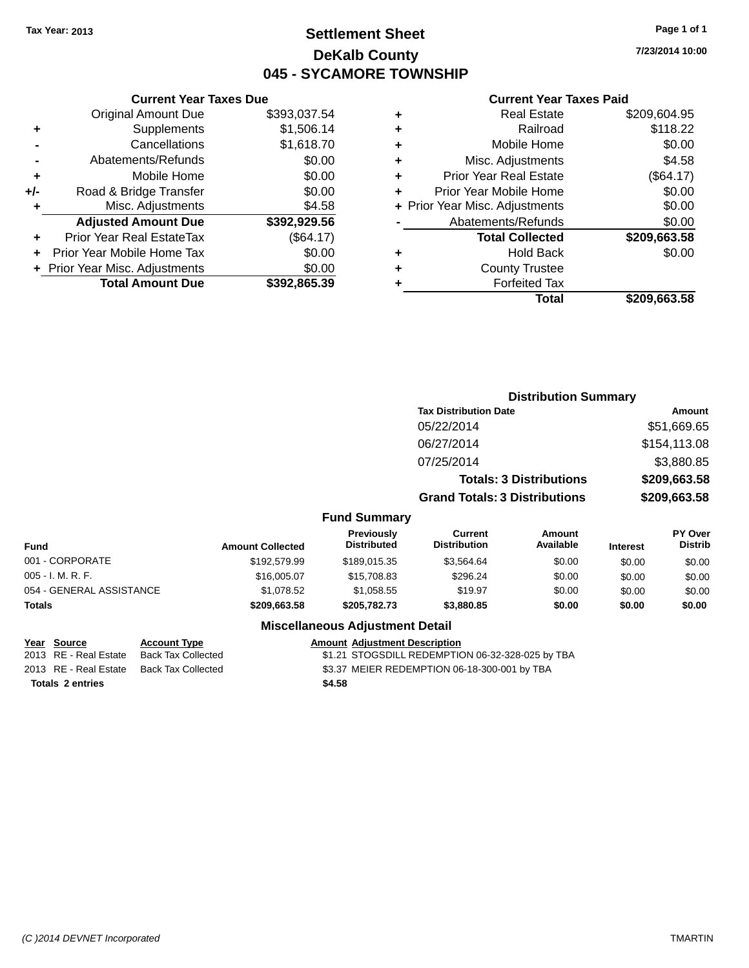### **Settlement Sheet Tax Year: 2013 Page 1 of 1 DeKalb County 045 - SYCAMORE TOWNSHIP**

**7/23/2014 10:00**

#### **Current Year Taxes Paid**

|       | <b>Original Amount Due</b>     | \$393,037.54 |
|-------|--------------------------------|--------------|
| ٠     | Supplements                    | \$1,506.14   |
|       | Cancellations                  | \$1,618.70   |
|       | Abatements/Refunds             | \$0.00       |
| ÷     | Mobile Home                    | \$0.00       |
| $+/-$ | Road & Bridge Transfer         | \$0.00       |
| ٠     | Misc. Adjustments              | \$4.58       |
|       | <b>Adjusted Amount Due</b>     | \$392,929.56 |
| ÷     | Prior Year Real EstateTax      | (\$64.17)    |
|       | Prior Year Mobile Home Tax     | \$0.00       |
|       | + Prior Year Misc. Adjustments | \$0.00       |
|       | <b>Total Amount Due</b>        | \$392,865.39 |
|       |                                |              |

**Current Year Taxes Due**

| ٠ | <b>Real Estate</b>             | \$209,604.95 |
|---|--------------------------------|--------------|
| ٠ | Railroad                       | \$118.22     |
| ٠ | Mobile Home                    | \$0.00       |
| ٠ | Misc. Adjustments              | \$4.58       |
| ٠ | <b>Prior Year Real Estate</b>  | (\$64.17)    |
| ٠ | Prior Year Mobile Home         | \$0.00       |
|   | + Prior Year Misc. Adjustments | \$0.00       |
|   | Abatements/Refunds             | \$0.00       |
|   | <b>Total Collected</b>         | \$209,663.58 |
| ٠ | Hold Back                      | \$0.00       |
| ٠ | <b>County Trustee</b>          |              |
| ٠ | <b>Forfeited Tax</b>           |              |
|   | Total                          | \$209,663.58 |
|   |                                |              |

|                          |                         |                                         | <b>Distribution Summary</b>           |                                |                 |                           |
|--------------------------|-------------------------|-----------------------------------------|---------------------------------------|--------------------------------|-----------------|---------------------------|
|                          |                         |                                         | <b>Tax Distribution Date</b>          |                                |                 | Amount                    |
|                          |                         |                                         | 05/22/2014                            |                                |                 | \$51,669.65               |
|                          |                         |                                         | 06/27/2014                            |                                |                 | \$154,113.08              |
|                          |                         |                                         | 07/25/2014                            |                                |                 | \$3,880.85                |
|                          |                         |                                         |                                       | <b>Totals: 3 Distributions</b> |                 | \$209,663.58              |
|                          |                         |                                         | <b>Grand Totals: 3 Distributions</b>  |                                |                 | \$209,663.58              |
|                          |                         | <b>Fund Summary</b>                     |                                       |                                |                 |                           |
| <b>Fund</b>              | <b>Amount Collected</b> | <b>Previously</b><br><b>Distributed</b> | <b>Current</b><br><b>Distribution</b> | Amount<br>Available            | <b>Interest</b> | PY Over<br><b>Distrib</b> |
| 001 - CORPORATE          | \$192,579.99            | \$189,015.35                            | \$3,564.64                            | \$0.00                         | \$0.00          | \$0.00                    |
| $005 - I. M. R. F.$      | \$16,005.07             | \$15,708.83                             | \$296.24                              | \$0.00                         | \$0.00          | \$0.00                    |
| 054 - GENERAL ASSISTANCE | \$1,078.52              | \$1,058.55                              | \$19.97                               | \$0.00                         | \$0.00          | \$0.00                    |
| <b>Totals</b>            | \$209,663.58            | \$205,782.73                            | \$3,880.85                            | \$0.00                         | \$0.00          | \$0.00                    |

#### **Miscellaneous Adjustment Detail**

#### **Year** Source **Account Type Account Adjustment Description**

2013 RE - Real Estate Back Tax Collected \$1.21 STOGSDILL REDEMPTION 06-32-328-025 by TBA 2013 RE - Real Estate Back Tax Collected \$3.37 MEIER REDEMPTION 06-18-300-001 by TBA

**Totals 2 entries \$4.58**

*(C )2014 DEVNET Incorporated* TMARTIN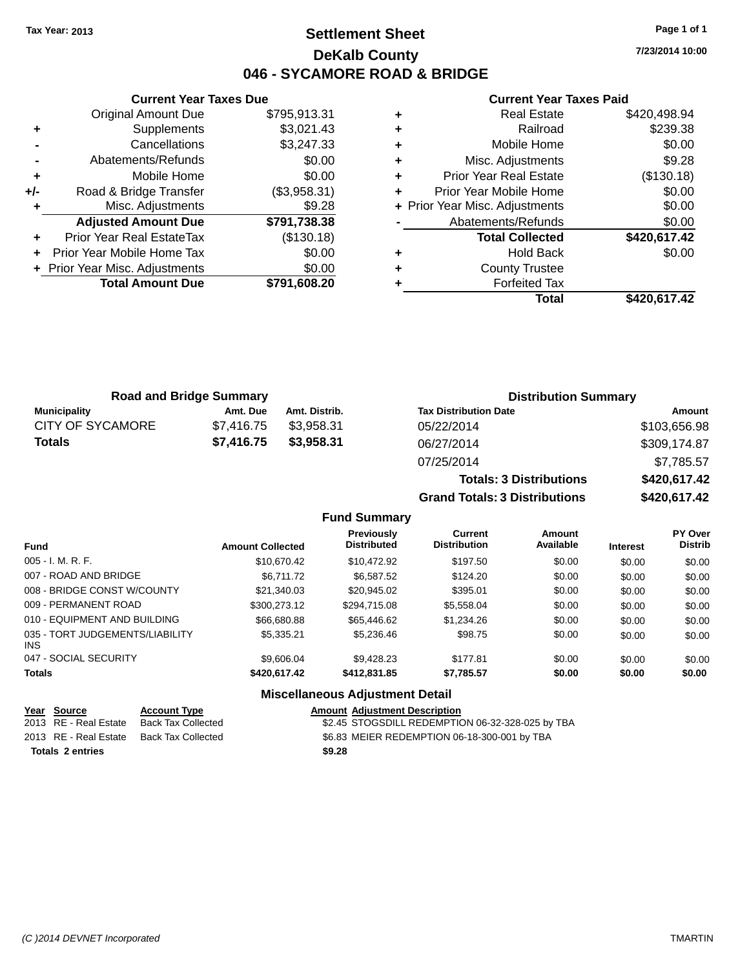### **Settlement Sheet Tax Year: 2013 Page 1 of 1 DeKalb County 046 - SYCAMORE ROAD & BRIDGE**

**7/23/2014 10:00**

#### **Current Year Taxes Paid**

|     | <b>Current Year Taxes Due</b>  |              |
|-----|--------------------------------|--------------|
|     | <b>Original Amount Due</b>     | \$795,913.31 |
| ٠   | Supplements                    | \$3,021.43   |
|     | Cancellations                  | \$3,247.33   |
|     | Abatements/Refunds             | \$0.00       |
| ٠   | Mobile Home                    | \$0.00       |
| +/- | Road & Bridge Transfer         | (\$3,958.31) |
|     | Misc. Adjustments              | \$9.28       |
|     | <b>Adjusted Amount Due</b>     | \$791,738.38 |
|     | Prior Year Real EstateTax      | (\$130.18)   |
|     | Prior Year Mobile Home Tax     | \$0.00       |
|     | + Prior Year Misc. Adjustments | \$0.00       |
|     | <b>Total Amount Due</b>        | \$791,608.20 |
|     |                                |              |

| ٠ | <b>Real Estate</b>             | \$420,498.94 |
|---|--------------------------------|--------------|
| ٠ | Railroad                       | \$239.38     |
| ٠ | Mobile Home                    | \$0.00       |
| ٠ | Misc. Adjustments              | \$9.28       |
| ٠ | <b>Prior Year Real Estate</b>  | (\$130.18)   |
| ٠ | Prior Year Mobile Home         | \$0.00       |
|   | + Prior Year Misc. Adjustments | \$0.00       |
|   | Abatements/Refunds             | \$0.00       |
|   | <b>Total Collected</b>         | \$420,617.42 |
| ٠ | <b>Hold Back</b>               | \$0.00       |
| ٠ | <b>County Trustee</b>          |              |
|   | <b>Forfeited Tax</b>           |              |
|   | Total                          | \$420,617.42 |

| <b>Road and Bridge Summary</b> |            |               | <b>Distribution Summary</b>  |              |  |
|--------------------------------|------------|---------------|------------------------------|--------------|--|
| <b>Municipality</b>            | Amt. Due   | Amt. Distrib. | <b>Tax Distribution Date</b> | Amount       |  |
| <b>CITY OF SYCAMORE</b>        | \$7.416.75 | \$3.958.31    | 05/22/2014                   | \$103,656.98 |  |
| <b>Totals</b>                  | \$7.416.75 | \$3,958,31    | 06/27/2014                   | \$309,174.87 |  |
|                                |            |               | 07/25/2014                   | \$7,785.57   |  |

# **Totals: 3 Distributions \$420,617.42 Grand Totals: 3 Distributions \$420,617.42**

#### **Fund Summary**

| <b>Fund</b>                             | <b>Amount Collected</b> | <b>Previously</b><br><b>Distributed</b> | Current<br><b>Distribution</b> | Amount<br>Available | <b>Interest</b> | <b>PY Over</b><br><b>Distrib</b> |
|-----------------------------------------|-------------------------|-----------------------------------------|--------------------------------|---------------------|-----------------|----------------------------------|
| $005 - I. M. R. F.$                     | \$10,670.42             | \$10,472.92                             | \$197.50                       | \$0.00              | \$0.00          | \$0.00                           |
| 007 - ROAD AND BRIDGE                   | \$6.711.72              | \$6.587.52                              | \$124.20                       | \$0.00              | \$0.00          | \$0.00                           |
| 008 - BRIDGE CONST W/COUNTY             | \$21,340.03             | \$20,945.02                             | \$395.01                       | \$0.00              | \$0.00          | \$0.00                           |
| 009 - PERMANENT ROAD                    | \$300,273.12            | \$294,715.08                            | \$5.558.04                     | \$0.00              | \$0.00          | \$0.00                           |
| 010 - EQUIPMENT AND BUILDING            | \$66,680.88             | \$65,446.62                             | \$1.234.26                     | \$0.00              | \$0.00          | \$0.00                           |
| 035 - TORT JUDGEMENTS/LIABILITY<br>INS. | \$5,335,21              | \$5,236.46                              | \$98.75                        | \$0.00              | \$0.00          | \$0.00                           |
| 047 - SOCIAL SECURITY                   | \$9,606.04              | \$9,428.23                              | \$177.81                       | \$0.00              | \$0.00          | \$0.00                           |
| <b>Totals</b>                           | \$420,617.42            | \$412,831.85                            | \$7,785.57                     | \$0.00              | \$0.00          | \$0.00                           |

### **Miscellaneous Adjustment Detail**

| Year Source           | <b>Account Type</b> | <b>Amount Adjustment Description</b>             |
|-----------------------|---------------------|--------------------------------------------------|
| 2013 RE - Real Estate | Back Tax Collected  | \$2.45 STOGSDILL REDEMPTION 06-32-328-025 by TBA |
| 2013 RE - Real Estate | Back Tax Collected  | \$6.83 MEIER REDEMPTION 06-18-300-001 by TBA     |
| Totals 2 entries      |                     | \$9.28                                           |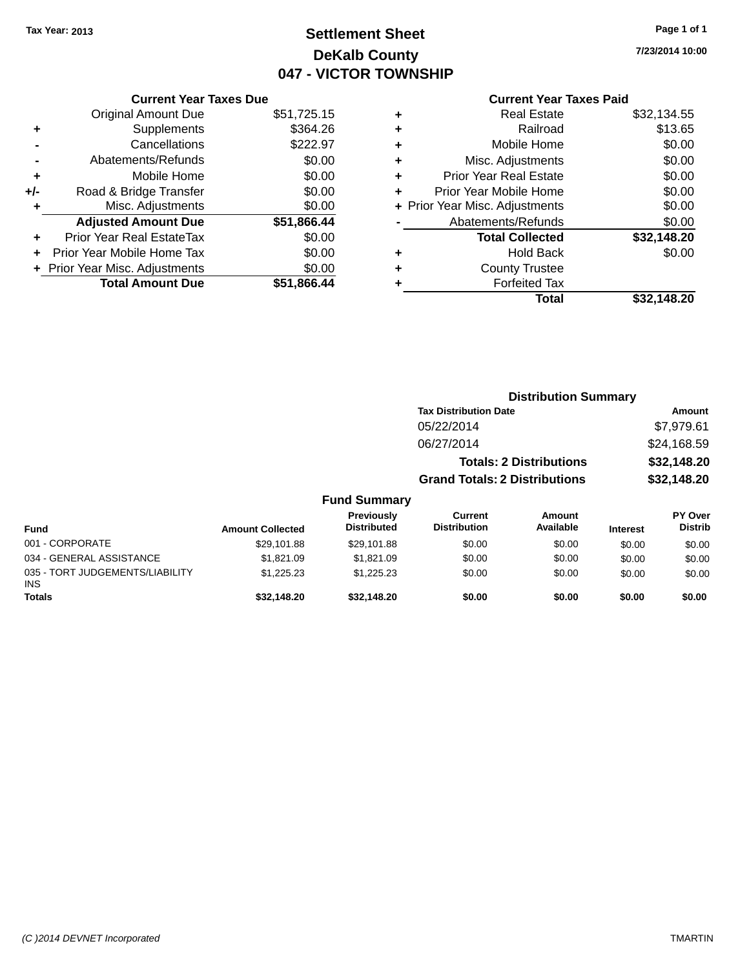## **Settlement Sheet Tax Year: 2013 Page 1 of 1 DeKalb County 047 - VICTOR TOWNSHIP**

**7/23/2014 10:00**

### **Current Year Taxes Paid**

| <b>Current Year Taxes Due</b>  |             |
|--------------------------------|-------------|
| <b>Original Amount Due</b>     | \$51,725.15 |
| Supplements                    | \$364.26    |
| Cancellations                  | \$222.97    |
| Abatements/Refunds             | \$0.00      |
| Mobile Home                    | \$0.00      |
| Road & Bridge Transfer         | \$0.00      |
| Misc. Adjustments              | \$0.00      |
| <b>Adjusted Amount Due</b>     | \$51,866.44 |
| Prior Year Real EstateTax      | \$0.00      |
| Prior Year Mobile Home Tax     | \$0.00      |
| + Prior Year Misc. Adjustments | \$0.00      |
| <b>Total Amount Due</b>        | \$51.866.44 |
|                                |             |

| ٠ | <b>Real Estate</b>             | \$32,134.55 |
|---|--------------------------------|-------------|
| ٠ | Railroad                       | \$13.65     |
| ٠ | Mobile Home                    | \$0.00      |
| ٠ | Misc. Adjustments              | \$0.00      |
| ٠ | <b>Prior Year Real Estate</b>  | \$0.00      |
| ÷ | Prior Year Mobile Home         | \$0.00      |
|   | + Prior Year Misc. Adjustments | \$0.00      |
|   | Abatements/Refunds             | \$0.00      |
|   | <b>Total Collected</b>         | \$32,148.20 |
| ٠ | <b>Hold Back</b>               | \$0.00      |
| ٠ | <b>County Trustee</b>          |             |
|   | <b>Forfeited Tax</b>           |             |
|   | Total                          | \$32.148.20 |
|   |                                |             |

|                                 |                         |                                  | <b>Distribution Summary</b>          |                                |          |                           |
|---------------------------------|-------------------------|----------------------------------|--------------------------------------|--------------------------------|----------|---------------------------|
|                                 |                         |                                  | <b>Tax Distribution Date</b>         |                                | Amount   |                           |
|                                 |                         |                                  | 05/22/2014                           |                                |          | \$7,979.61                |
|                                 |                         |                                  | 06/27/2014                           |                                |          | \$24,168.59               |
|                                 |                         |                                  |                                      | <b>Totals: 2 Distributions</b> |          | \$32,148.20               |
|                                 |                         |                                  | <b>Grand Totals: 2 Distributions</b> |                                |          | \$32,148.20               |
|                                 |                         | <b>Fund Summary</b>              |                                      |                                |          |                           |
| <b>Fund</b>                     | <b>Amount Collected</b> | Previously<br><b>Distributed</b> | Current<br><b>Distribution</b>       | Amount<br>Available            | Interest | PY Over<br><b>Distrib</b> |
| 001 - CORPORATE                 | \$29.101.88             | \$29.101.88                      | \$0.00                               | \$0.00                         | \$0.00   | \$0.00                    |
| 034 - GENERAL ASSISTANCE        | \$1.821.09              | \$1,821.09                       | \$0.00                               | \$0.00                         | \$0.00   | \$0.00                    |
| 035 - TORT JUDGEMENTS/LIABILITY | \$1,225.23              | \$1,225.23                       | \$0.00                               | \$0.00                         | \$0.00   | \$0.00                    |

**Totals \$32,148.20 \$32,148.20 \$0.00 \$0.00 \$0.00 \$0.00**

INS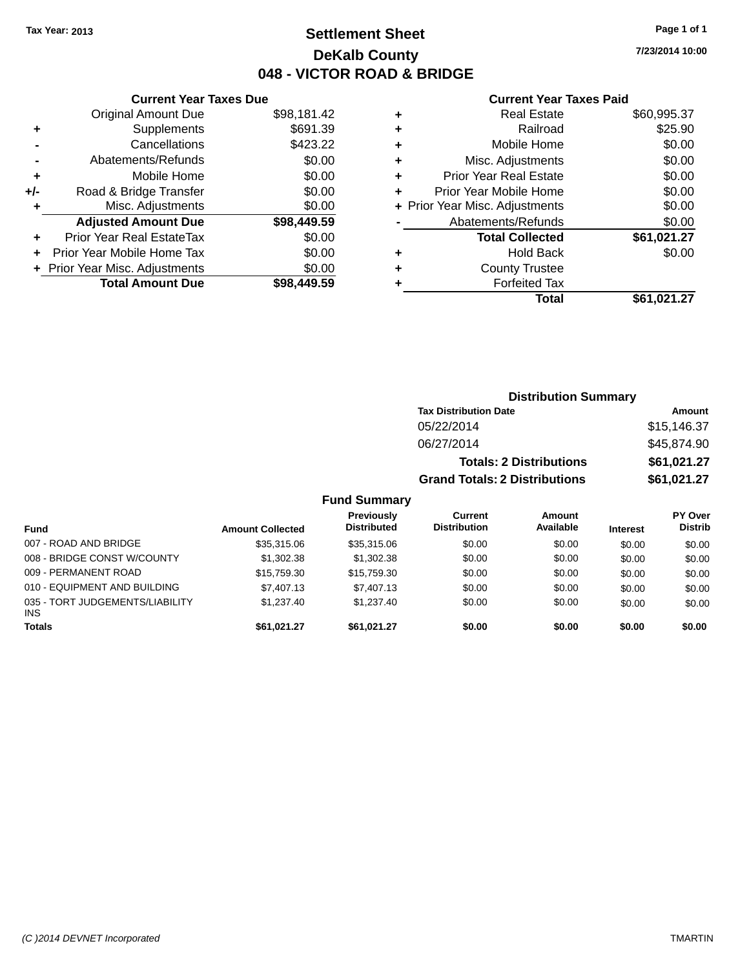### **Settlement Sheet Tax Year: 2013 Page 1 of 1 DeKalb County 048 - VICTOR ROAD & BRIDGE**

**7/23/2014 10:00**

#### **Current Year Taxes Paid**

|       | <b>Current Year Taxes Due</b>  |             |
|-------|--------------------------------|-------------|
|       | <b>Original Amount Due</b>     | \$98,181.42 |
| ٠     | Supplements                    | \$691.39    |
|       | Cancellations                  | \$423.22    |
|       | Abatements/Refunds             | \$0.00      |
| ٠     | Mobile Home                    | \$0.00      |
| $+/-$ | Road & Bridge Transfer         | \$0.00      |
|       | Misc. Adjustments              | \$0.00      |
|       | <b>Adjusted Amount Due</b>     | \$98,449.59 |
| ٠     | Prior Year Real EstateTax      | \$0.00      |
|       | Prior Year Mobile Home Tax     | \$0.00      |
|       | + Prior Year Misc. Adjustments | \$0.00      |
|       | <b>Total Amount Due</b>        | \$98.449.59 |
|       |                                |             |

|   | <b>Real Estate</b>             | \$60,995.37 |
|---|--------------------------------|-------------|
| ٠ | Railroad                       | \$25.90     |
| ٠ | Mobile Home                    | \$0.00      |
| ٠ | Misc. Adjustments              | \$0.00      |
| ٠ | <b>Prior Year Real Estate</b>  | \$0.00      |
| ٠ | Prior Year Mobile Home         | \$0.00      |
|   | + Prior Year Misc. Adjustments | \$0.00      |
|   | Abatements/Refunds             | \$0.00      |
|   | <b>Total Collected</b>         | \$61,021.27 |
| ٠ | Hold Back                      | \$0.00      |
| ٠ | <b>County Trustee</b>          |             |
| ٠ | <b>Forfeited Tax</b>           |             |
|   | Total                          | \$61,021.27 |
|   |                                |             |

| <b>Distribution Summary</b>          |             |
|--------------------------------------|-------------|
| <b>Tax Distribution Date</b>         | Amount      |
| 05/22/2014                           | \$15,146.37 |
| 06/27/2014                           | \$45,874.90 |
| <b>Totals: 2 Distributions</b>       | \$61,021.27 |
| <b>Grand Totals: 2 Distributions</b> | \$61,021.27 |

| Fund                                          | <b>Amount Collected</b> | Previously<br><b>Distributed</b> | Current<br><b>Distribution</b> | <b>Amount</b><br>Available | <b>Interest</b> | PY Over<br><b>Distrib</b> |
|-----------------------------------------------|-------------------------|----------------------------------|--------------------------------|----------------------------|-----------------|---------------------------|
| 007 - ROAD AND BRIDGE                         | \$35,315,06             | \$35,315,06                      | \$0.00                         | \$0.00                     | \$0.00          | \$0.00                    |
| 008 - BRIDGE CONST W/COUNTY                   | \$1,302.38              | \$1.302.38                       | \$0.00                         | \$0.00                     | \$0.00          | \$0.00                    |
| 009 - PERMANENT ROAD                          | \$15,759.30             | \$15,759.30                      | \$0.00                         | \$0.00                     | \$0.00          | \$0.00                    |
| 010 - EQUIPMENT AND BUILDING                  | \$7,407.13              | \$7,407.13                       | \$0.00                         | \$0.00                     | \$0.00          | \$0.00                    |
| 035 - TORT JUDGEMENTS/LIABILITY<br><b>INS</b> | \$1,237.40              | \$1,237.40                       | \$0.00                         | \$0.00                     | \$0.00          | \$0.00                    |
| Totals                                        | \$61.021.27             | \$61.021.27                      | \$0.00                         | \$0.00                     | \$0.00          | \$0.00                    |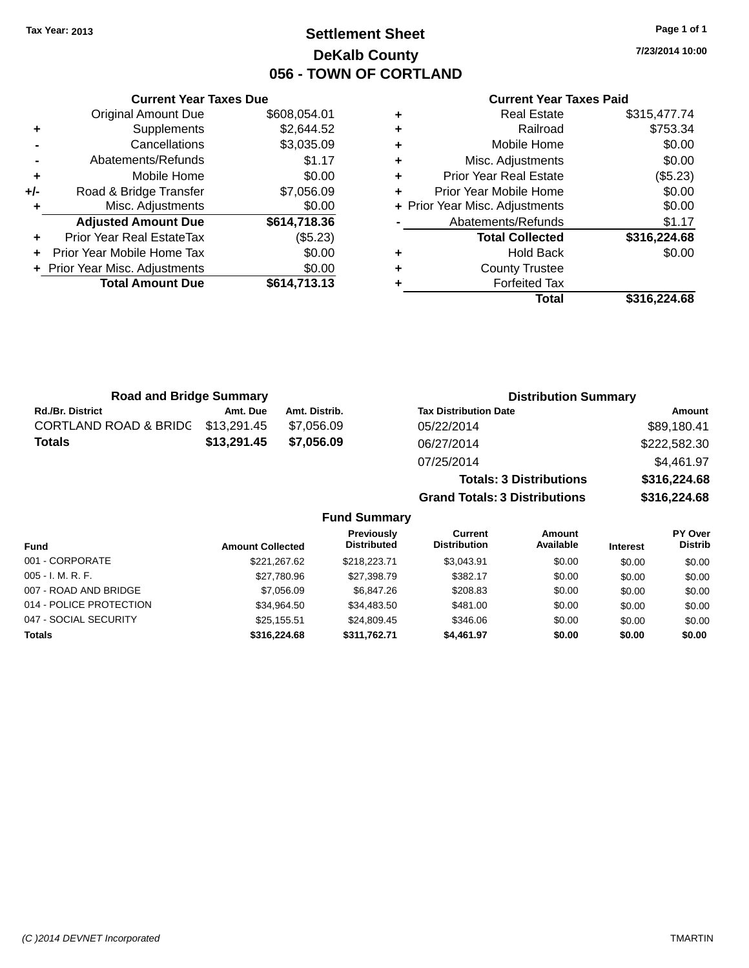### **Settlement Sheet Tax Year: 2013 Page 1 of 1 DeKalb County 056 - TOWN OF CORTLAND**

**7/23/2014 10:00**

#### **Current Year Taxes Paid**

|     | <b>Current Year Taxes Due</b>  |              |           |
|-----|--------------------------------|--------------|-----------|
|     | <b>Original Amount Due</b>     | \$608,054.01 | ٠         |
|     | Supplements                    | \$2,644.52   | ٠         |
|     | Cancellations                  | \$3,035.09   | ٠         |
|     | Abatements/Refunds             | \$1.17       | ٠         |
|     | Mobile Home                    | \$0.00       | ٠         |
| +/- | Road & Bridge Transfer         | \$7,056.09   | Pı        |
|     | Misc. Adjustments              | \$0.00       | + Prior Y |
|     | <b>Adjusted Amount Due</b>     | \$614,718.36 |           |
|     | Prior Year Real EstateTax      | (\$5.23)     |           |
|     | Prior Year Mobile Home Tax     | \$0.00       | ٠         |
|     | + Prior Year Misc. Adjustments | \$0.00       | ٠         |
|     | <b>Total Amount Due</b>        | \$614,713.13 |           |
|     |                                |              |           |

|   | <b>Real Estate</b>             | \$315,477.74 |
|---|--------------------------------|--------------|
| ÷ | Railroad                       | \$753.34     |
| ٠ | Mobile Home                    | \$0.00       |
| ٠ | Misc. Adjustments              | \$0.00       |
| ٠ | <b>Prior Year Real Estate</b>  | (\$5.23)     |
|   | Prior Year Mobile Home         | \$0.00       |
|   | + Prior Year Misc. Adjustments | \$0.00       |
|   | Abatements/Refunds             | \$1.17       |
|   | <b>Total Collected</b>         | \$316,224.68 |
|   | <b>Hold Back</b>               | \$0.00       |
| ٠ | <b>County Trustee</b>          |              |
|   | <b>Forfeited Tax</b>           |              |
|   | Total                          | \$316,224.68 |
|   |                                |              |

| <b>Road and Bridge Summary</b> |             |               | <b>Distribution Summary</b>    |              |  |
|--------------------------------|-------------|---------------|--------------------------------|--------------|--|
| <b>Rd./Br. District</b>        | Amt. Due    | Amt. Distrib. | <b>Tax Distribution Date</b>   | Amount       |  |
| CORTLAND ROAD & BRIDG          | \$13,291.45 | \$7.056.09    | 05/22/2014                     | \$89,180.41  |  |
| <b>Totals</b>                  | \$13,291.45 | \$7.056.09    | 06/27/2014                     | \$222,582.30 |  |
|                                |             |               | 07/25/2014                     | \$4,461.97   |  |
|                                |             |               | <b>Totals: 3 Distributions</b> | \$316,224.68 |  |

**Grand Totals: 3 Distributions \$316,224.68**

| <b>Fund</b>             | <b>Amount Collected</b> | <b>Previously</b><br><b>Distributed</b> | <b>Current</b><br><b>Distribution</b> | <b>Amount</b><br>Available | <b>Interest</b> | <b>PY Over</b><br><b>Distrib</b> |
|-------------------------|-------------------------|-----------------------------------------|---------------------------------------|----------------------------|-----------------|----------------------------------|
| 001 - CORPORATE         | \$221.267.62            | \$218,223,71                            | \$3.043.91                            | \$0.00                     | \$0.00          | \$0.00                           |
| $005 - I. M. R. F.$     | \$27.780.96             | \$27,398.79                             | \$382.17                              | \$0.00                     | \$0.00          | \$0.00                           |
| 007 - ROAD AND BRIDGE   | \$7,056.09              | \$6.847.26                              | \$208.83                              | \$0.00                     | \$0.00          | \$0.00                           |
| 014 - POLICE PROTECTION | \$34.964.50             | \$34,483.50                             | \$481.00                              | \$0.00                     | \$0.00          | \$0.00                           |
| 047 - SOCIAL SECURITY   | \$25.155.51             | \$24.809.45                             | \$346.06                              | \$0.00                     | \$0.00          | \$0.00                           |
| Totals                  | \$316,224,68            | \$311,762.71                            | \$4,461.97                            | \$0.00                     | \$0.00          | \$0.00                           |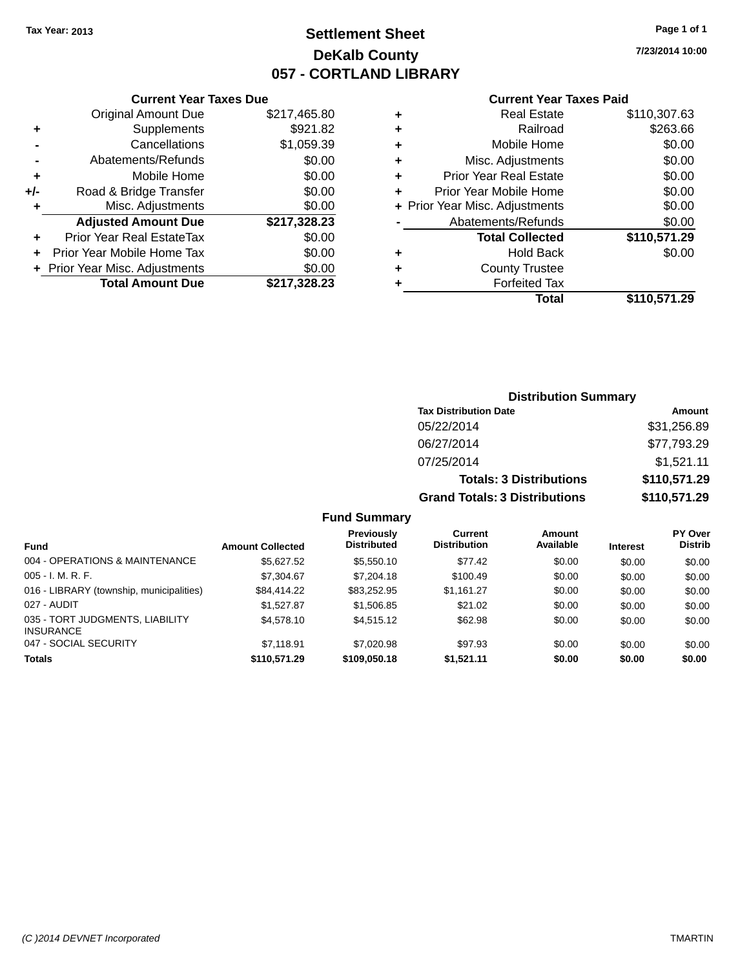### **Settlement Sheet Tax Year: 2013 Page 1 of 1 DeKalb County 057 - CORTLAND LIBRARY**

**7/23/2014 10:00**

#### **Current Year Taxes Paid**

|     | <b>Current Year Taxes Due</b>  |              |
|-----|--------------------------------|--------------|
|     | <b>Original Amount Due</b>     | \$217,465.80 |
| ٠   | Supplements                    | \$921.82     |
|     | Cancellations                  | \$1,059.39   |
|     | Abatements/Refunds             | \$0.00       |
| ٠   | Mobile Home                    | \$0.00       |
| +/- | Road & Bridge Transfer         | \$0.00       |
| ٠   | Misc. Adjustments              | \$0.00       |
|     | <b>Adjusted Amount Due</b>     | \$217,328.23 |
| ٠   | Prior Year Real EstateTax      | \$0.00       |
|     | Prior Year Mobile Home Tax     | \$0.00       |
|     | + Prior Year Misc. Adjustments | \$0.00       |
|     | <b>Total Amount Due</b>        | \$217,328.23 |
|     |                                |              |

| ٠ | <b>Real Estate</b>             | \$110,307.63 |
|---|--------------------------------|--------------|
| ٠ | Railroad                       | \$263.66     |
| ٠ | Mobile Home                    | \$0.00       |
| ٠ | Misc. Adjustments              | \$0.00       |
| ٠ | <b>Prior Year Real Estate</b>  | \$0.00       |
| ٠ | Prior Year Mobile Home         | \$0.00       |
|   | + Prior Year Misc. Adjustments | \$0.00       |
|   | Abatements/Refunds             | \$0.00       |
|   | <b>Total Collected</b>         | \$110,571.29 |
| ٠ | <b>Hold Back</b>               | \$0.00       |
| ٠ | <b>County Trustee</b>          |              |
|   | <b>Forfeited Tax</b>           |              |
|   | Total                          | \$110,571.29 |
|   |                                |              |

### **Distribution Summary Tax Distribution Date Amount** 05/22/2014 \$31,256.89 06/27/2014 \$77,793.29 07/25/2014 \$1,521.11 **Totals: 3 Distributions \$110,571.29 Grand Totals: 3 Distributions \$110,571.29**

|                                                     |                         | <b>Previously</b>  | Current             | Amount    |                 | <b>PY Over</b> |
|-----------------------------------------------------|-------------------------|--------------------|---------------------|-----------|-----------------|----------------|
| <b>Fund</b>                                         | <b>Amount Collected</b> | <b>Distributed</b> | <b>Distribution</b> | Available | <b>Interest</b> | <b>Distrib</b> |
| 004 - OPERATIONS & MAINTENANCE                      | \$5.627.52              | \$5,550.10         | \$77.42             | \$0.00    | \$0.00          | \$0.00         |
| $005 - I. M. R. F.$                                 | \$7,304.67              | \$7,204.18         | \$100.49            | \$0.00    | \$0.00          | \$0.00         |
| 016 - LIBRARY (township, municipalities)            | \$84,414.22             | \$83.252.95        | \$1.161.27          | \$0.00    | \$0.00          | \$0.00         |
| 027 - AUDIT                                         | \$1.527.87              | \$1,506.85         | \$21.02             | \$0.00    | \$0.00          | \$0.00         |
| 035 - TORT JUDGMENTS, LIABILITY<br><b>INSURANCE</b> | \$4,578.10              | \$4,515.12         | \$62.98             | \$0.00    | \$0.00          | \$0.00         |
| 047 - SOCIAL SECURITY                               | \$7.118.91              | \$7,020.98         | \$97.93             | \$0.00    | \$0.00          | \$0.00         |
| <b>Totals</b>                                       | \$110.571.29            | \$109,050.18       | \$1.521.11          | \$0.00    | \$0.00          | \$0.00         |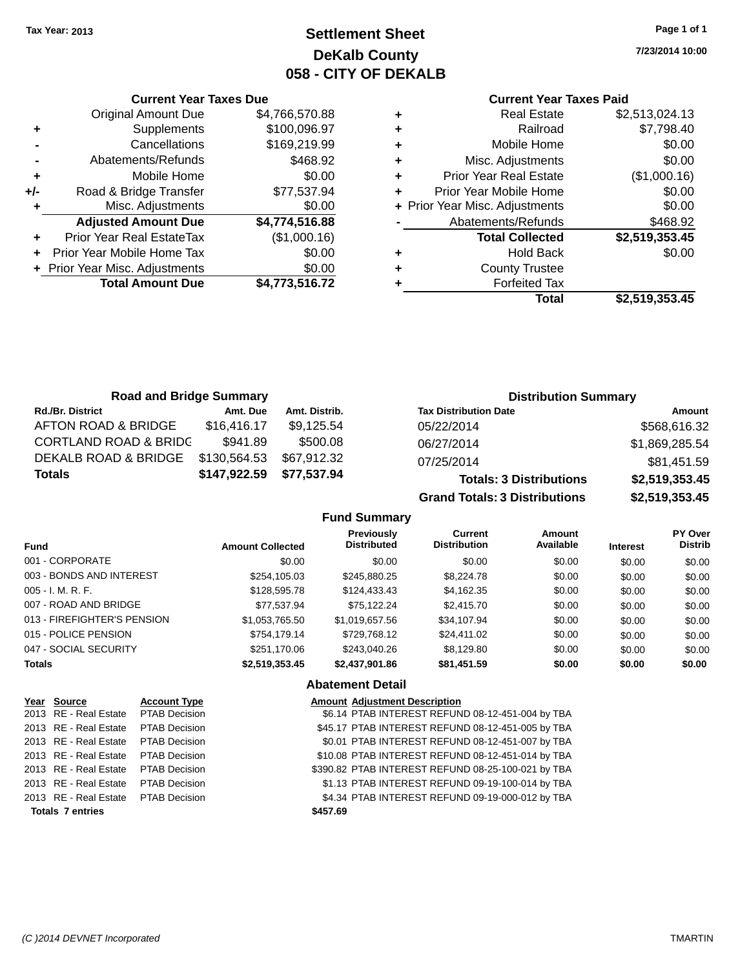**Current Year Taxes Due**

### **Settlement Sheet Tax Year: 2013 Page 1 of 1 DeKalb County 058 - CITY OF DEKALB**

**7/23/2014 10:00**

#### **Current Year Taxes Paid**

|                                  |                                |                                | Total                         | \$2,519,353.45 |
|----------------------------------|--------------------------------|--------------------------------|-------------------------------|----------------|
| <b>Total Amount Due</b>          | \$4,773,516.72                 |                                | <b>Forfeited Tax</b>          |                |
|                                  | \$0.00                         | ٠                              | <b>County Trustee</b>         |                |
| Prior Year Mobile Home Tax       | \$0.00                         | ٠                              | <b>Hold Back</b>              | \$0.00         |
| <b>Prior Year Real EstateTax</b> | (\$1,000.16)                   |                                | <b>Total Collected</b>        | \$2,519,353.45 |
| <b>Adjusted Amount Due</b>       | \$4,774,516.88                 |                                | Abatements/Refunds            | \$468.92       |
| Misc. Adjustments                | \$0.00                         | + Prior Year Misc. Adjustments |                               | \$0.00         |
| Road & Bridge Transfer           | \$77,537.94                    | ٠                              | Prior Year Mobile Home        | \$0.00         |
| Mobile Home                      | \$0.00                         | ٠                              | <b>Prior Year Real Estate</b> | (\$1,000.16)   |
| Abatements/Refunds               | \$468.92                       |                                | Misc. Adjustments             | \$0.00         |
| Cancellations                    | \$169,219.99                   | ٠                              | Mobile Home                   | \$0.00         |
| Supplements                      | \$100,096.97                   | ٠                              | Railroad                      | \$7,798.40     |
| <b>Original Amount Due</b>       | \$4,766,570.88                 | ٠                              | <b>Real Estate</b>            | \$2,513,024.13 |
|                                  | + Prior Year Misc. Adjustments |                                |                               | ÷              |

| <b>Road and Bridge Summary</b>   |              |               | <b>Distribution Summary</b>    |                |  |
|----------------------------------|--------------|---------------|--------------------------------|----------------|--|
| <b>Rd./Br. District</b>          | Amt. Due     | Amt. Distrib. | <b>Tax Distribution Date</b>   | Amount         |  |
| AFTON ROAD & BRIDGE              | \$16,416.17  | \$9,125.54    | 05/22/2014                     | \$568,616.32   |  |
| <b>CORTLAND ROAD &amp; BRIDC</b> | \$941.89     | \$500.08      | 06/27/2014                     | \$1,869,285.54 |  |
| DEKALB ROAD & BRIDGE             | \$130,564.53 | \$67,912.32   | 07/25/2014                     | \$81,451.59    |  |
| <b>Totals</b>                    | \$147,922.59 | \$77,537.94   | <b>Totals: 3 Distributions</b> | \$2,519,353.45 |  |

**Grand Totals: 3 Distributions \$2,519,353.45**

**Fund Summary**

| <b>Fund</b>                 | <b>Amount Collected</b> | <b>Previously</b><br><b>Distributed</b> | <b>Current</b><br><b>Distribution</b> | Amount<br>Available | <b>Interest</b> | PY Over<br><b>Distrib</b> |
|-----------------------------|-------------------------|-----------------------------------------|---------------------------------------|---------------------|-----------------|---------------------------|
| 001 - CORPORATE             | \$0.00                  | \$0.00                                  | \$0.00                                | \$0.00              | \$0.00          |                           |
|                             |                         |                                         |                                       |                     |                 | \$0.00                    |
| 003 - BONDS AND INTEREST    | \$254.105.03            | \$245,880.25                            | \$8,224.78                            | \$0.00              | \$0.00          | \$0.00                    |
| $005 - I. M. R. F.$         | \$128,595.78            | \$124,433,43                            | \$4,162.35                            | \$0.00              | \$0.00          | \$0.00                    |
| 007 - ROAD AND BRIDGE       | \$77.537.94             | \$75.122.24                             | \$2,415.70                            | \$0.00              | \$0.00          | \$0.00                    |
| 013 - FIREFIGHTER'S PENSION | \$1,053,765.50          | \$1.019.657.56                          | \$34.107.94                           | \$0.00              | \$0.00          | \$0.00                    |
| 015 - POLICE PENSION        | \$754.179.14            | \$729,768.12                            | \$24,411.02                           | \$0.00              | \$0.00          | \$0.00                    |
| 047 - SOCIAL SECURITY       | \$251,170.06            | \$243.040.26                            | \$8.129.80                            | \$0.00              | \$0.00          | \$0.00                    |
| <b>Totals</b>               | \$2,519,353.45          | \$2,437,901.86                          | \$81,451.59                           | \$0.00              | \$0.00          | \$0.00                    |

**Abatement Detail**

| <u>Year Source</u>                  | <b>Account Type</b>  |          | <b>Amount Adjustment Description</b>               |
|-------------------------------------|----------------------|----------|----------------------------------------------------|
| 2013 RE - Real Estate               | <b>PTAB Decision</b> |          | \$6.14 PTAB INTEREST REFUND 08-12-451-004 by TBA   |
| 2013 RE - Real Estate               | PTAB Decision        |          | \$45.17 PTAB INTEREST REFUND 08-12-451-005 by TBA  |
| 2013 RE - Real Estate               | <b>PTAB Decision</b> |          | \$0.01 PTAB INTEREST REFUND 08-12-451-007 by TBA   |
| 2013 RE - Real Estate PTAB Decision |                      |          | \$10.08 PTAB INTEREST REFUND 08-12-451-014 by TBA  |
| 2013 RE - Real Estate               | <b>PTAB Decision</b> |          | \$390.82 PTAB INTEREST REFUND 08-25-100-021 by TBA |
| 2013 RE - Real Estate               | <b>PTAB Decision</b> |          | \$1.13 PTAB INTEREST REFUND 09-19-100-014 by TBA   |
| 2013 RE - Real Estate PTAB Decision |                      |          | \$4.34 PTAB INTEREST REFUND 09-19-000-012 by TBA   |
| <b>Totals 7 entries</b>             |                      | \$457.69 |                                                    |
|                                     |                      |          |                                                    |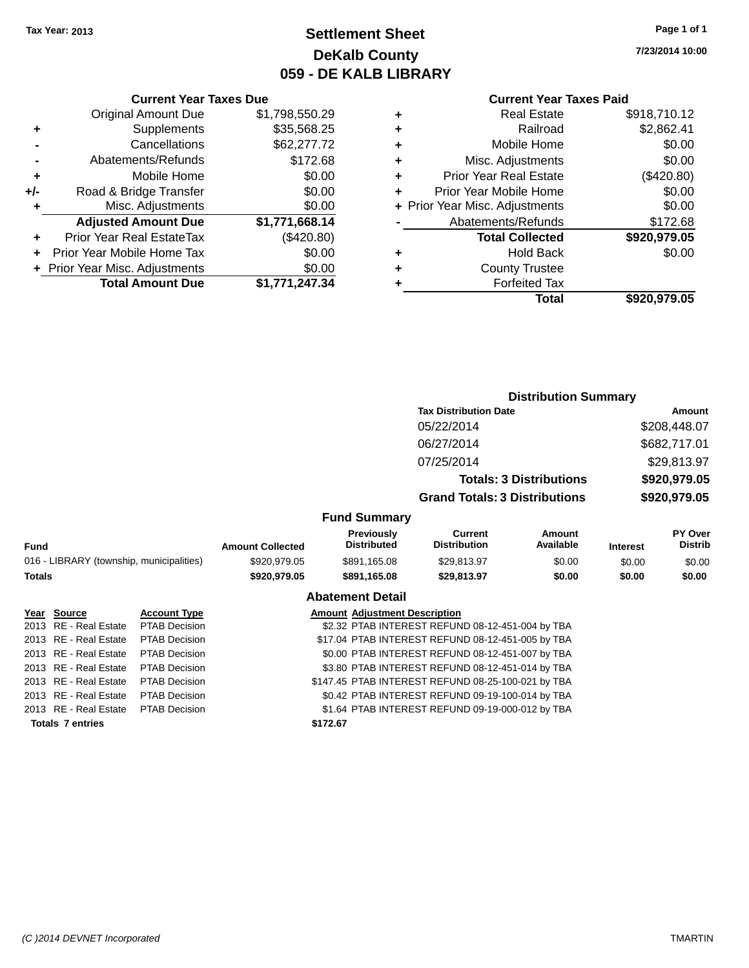### **Settlement Sheet Tax Year: 2013 Page 1 of 1 DeKalb County 059 - DE KALB LIBRARY**

**7/23/2014 10:00**

#### **Current Year Taxes Due**

|       | <b>Original Amount Due</b>     | \$1,798,550.29 |
|-------|--------------------------------|----------------|
| ٠     | Supplements                    | \$35,568.25    |
|       | Cancellations                  | \$62,277.72    |
|       | Abatements/Refunds             | \$172.68       |
| ÷     | Mobile Home                    | \$0.00         |
| $+/-$ | Road & Bridge Transfer         | \$0.00         |
| ٠     | Misc. Adjustments              | \$0.00         |
|       | <b>Adjusted Amount Due</b>     | \$1,771,668.14 |
|       | Prior Year Real EstateTax      | (\$420.80)     |
|       | Prior Year Mobile Home Tax     | \$0.00         |
|       | + Prior Year Misc. Adjustments | \$0.00         |
|       | <b>Total Amount Due</b>        | \$1,771,247.34 |

**Totals 7 entries \$172.67**

#### **Current Year Taxes Paid**

| ٠ | <b>Real Estate</b>             | \$918,710.12 |
|---|--------------------------------|--------------|
| ٠ | Railroad                       | \$2,862.41   |
| ٠ | Mobile Home                    | \$0.00       |
| ٠ | Misc. Adjustments              | \$0.00       |
| ٠ | <b>Prior Year Real Estate</b>  | (\$420.80)   |
| ٠ | Prior Year Mobile Home         | \$0.00       |
|   | + Prior Year Misc. Adjustments | \$0.00       |
|   | Abatements/Refunds             | \$172.68     |
|   | <b>Total Collected</b>         | \$920,979.05 |
| ٠ | <b>Hold Back</b>               | \$0.00       |
| ٠ | <b>County Trustee</b>          |              |
| ٠ | <b>Forfeited Tax</b>           |              |
|   | Total                          | \$920,979.05 |
|   |                                |              |

#### **Distribution Summary Tax Distribution Date Amount** 05/22/2014 \$208,448.07 06/27/2014 \$682,717.01 07/25/2014 \$29,813.97 **Totals: 3 Distributions \$920,979.05 Grand Totals: 3 Distributions \$920,979.05 Fund Summary PY Over Distrib Amount Available Current Distribution Previously Amount Collected Distributed**

| <b>Fund</b>                              |                       |                      | <b>Amount Collected</b> | <b>Distributed</b>                   | Distribution                                       | Available | <b>Interest</b> | Distrib |
|------------------------------------------|-----------------------|----------------------|-------------------------|--------------------------------------|----------------------------------------------------|-----------|-----------------|---------|
| 016 - LIBRARY (township, municipalities) |                       | \$920,979.05         | \$891,165.08            | \$29,813.97                          | \$0.00                                             | \$0.00    | \$0.00          |         |
| Totals                                   |                       |                      | \$920,979.05            | \$891,165.08                         | \$29,813.97                                        | \$0.00    | \$0.00          | \$0.00  |
|                                          |                       |                      |                         | <b>Abatement Detail</b>              |                                                    |           |                 |         |
|                                          | Year Source           | <b>Account Type</b>  |                         | <b>Amount Adjustment Description</b> |                                                    |           |                 |         |
|                                          | 2013 RE - Real Estate | PTAB Decision        |                         |                                      | \$2.32 PTAB INTEREST REFUND 08-12-451-004 by TBA   |           |                 |         |
|                                          | 2013 RE - Real Estate | <b>PTAB Decision</b> |                         |                                      | \$17.04 PTAB INTEREST REFUND 08-12-451-005 by TBA  |           |                 |         |
|                                          | 2013 RE - Real Estate | PTAB Decision        |                         |                                      | \$0.00 PTAB INTEREST REFUND 08-12-451-007 by TBA   |           |                 |         |
|                                          | 2013 RE - Real Estate | PTAB Decision        |                         |                                      | \$3.80 PTAB INTEREST REFUND 08-12-451-014 by TBA   |           |                 |         |
|                                          | 2013 RE - Real Estate | <b>PTAB Decision</b> |                         |                                      | \$147.45 PTAB INTEREST REFUND 08-25-100-021 by TBA |           |                 |         |
|                                          | 2013 RE - Real Estate | <b>PTAB Decision</b> |                         |                                      | \$0.42 PTAB INTEREST REFUND 09-19-100-014 by TBA   |           |                 |         |

2013 RE - Real Estate PTAB Decision \$1.64 PTAB INTEREST REFUND 09-19-000-012 by TBA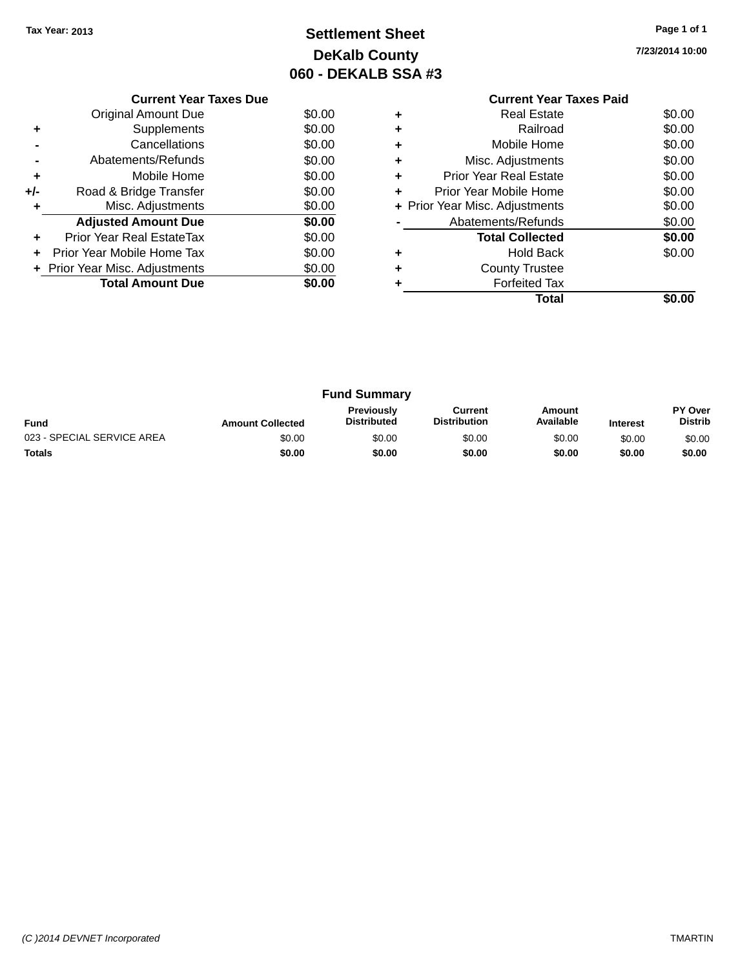## **Settlement Sheet Tax Year: 2013 Page 1 of 1 DeKalb County 060 - DEKALB SSA #3**

**7/23/2014 10:00**

|     | <b>Current Year Taxes Due</b>  |        |
|-----|--------------------------------|--------|
|     | Original Amount Due            | \$0.00 |
| ٠   | Supplements                    | \$0.00 |
|     | Cancellations                  | \$0.00 |
|     | Abatements/Refunds             | \$0.00 |
| ٠   | Mobile Home                    | \$0.00 |
| +/- | Road & Bridge Transfer         | \$0.00 |
| ٠   | Misc. Adjustments              | \$0.00 |
|     | <b>Adjusted Amount Due</b>     | \$0.00 |
| ÷   | Prior Year Real EstateTax      | \$0.00 |
|     | Prior Year Mobile Home Tax     | \$0.00 |
|     | + Prior Year Misc. Adjustments | \$0.00 |
|     | <b>Total Amount Due</b>        | \$0.00 |
|     |                                |        |

# **Current Year Taxes Paid**

|   | Total                          | \$0.00 |
|---|--------------------------------|--------|
|   | <b>Forfeited Tax</b>           |        |
| ٠ | <b>County Trustee</b>          |        |
|   | <b>Hold Back</b>               | \$0.00 |
|   | <b>Total Collected</b>         | \$0.00 |
|   | Abatements/Refunds             | \$0.00 |
|   | + Prior Year Misc. Adjustments | \$0.00 |
|   | Prior Year Mobile Home         | \$0.00 |
| ٠ | <b>Prior Year Real Estate</b>  | \$0.00 |
|   | Misc. Adjustments              | \$0.00 |
|   | Mobile Home                    | \$0.00 |
| ٠ | Railroad                       | \$0.00 |
| ٠ | <b>Real Estate</b>             | \$0.00 |

|                            |                         | <b>Fund Summary</b>                     |                                |                     |                 |                           |
|----------------------------|-------------------------|-----------------------------------------|--------------------------------|---------------------|-----------------|---------------------------|
| <b>Fund</b>                | <b>Amount Collected</b> | <b>Previously</b><br><b>Distributed</b> | Current<br><b>Distribution</b> | Amount<br>Available | <b>Interest</b> | PY Over<br><b>Distrib</b> |
| 023 - SPECIAL SERVICE AREA | \$0.00                  | \$0.00                                  | \$0.00                         | \$0.00              | \$0.00          | \$0.00                    |
| <b>Totals</b>              | \$0.00                  | \$0.00                                  | \$0.00                         | \$0.00              | \$0.00          | \$0.00                    |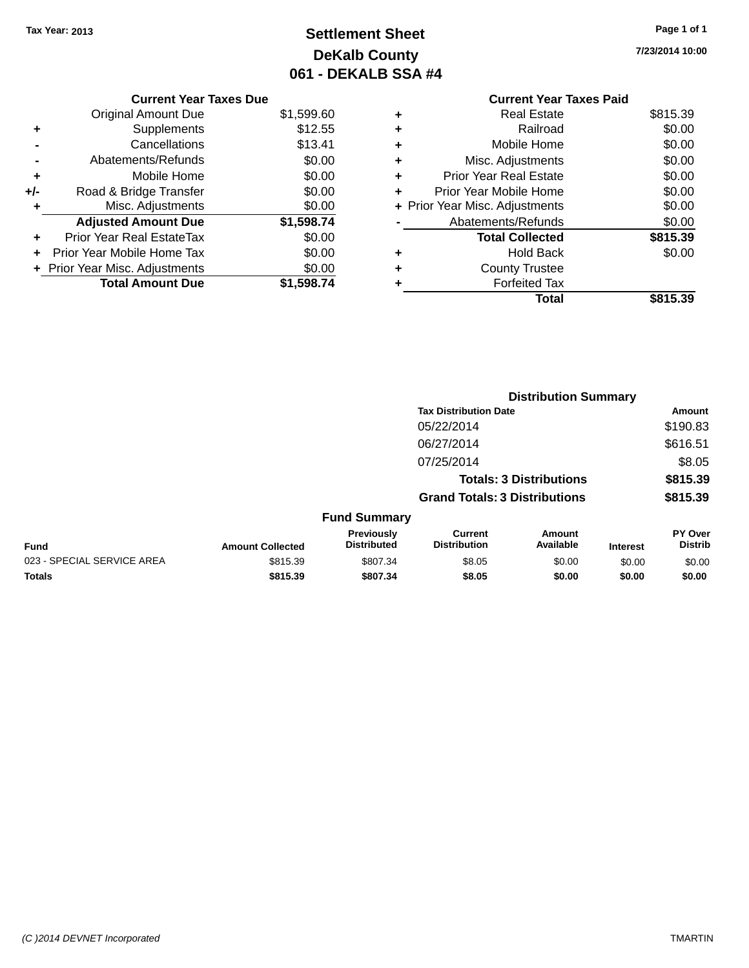## **Settlement Sheet Tax Year: 2013 Page 1 of 1 DeKalb County 061 - DEKALB SSA #4**

**7/23/2014 10:00**

|     | <b>Current Year Taxes Due</b>  |            |
|-----|--------------------------------|------------|
|     | <b>Original Amount Due</b>     | \$1,599.60 |
| ٠   | Supplements                    | \$12.55    |
|     | Cancellations                  | \$13.41    |
|     | Abatements/Refunds             | \$0.00     |
| ٠   | Mobile Home                    | \$0.00     |
| +/- | Road & Bridge Transfer         | \$0.00     |
| ٠   | Misc. Adjustments              | \$0.00     |
|     | <b>Adjusted Amount Due</b>     | \$1,598.74 |
| ٠   | Prior Year Real EstateTax      | \$0.00     |
| ٠   | Prior Year Mobile Home Tax     | \$0.00     |
|     | + Prior Year Misc. Adjustments | \$0.00     |
|     | <b>Total Amount Due</b>        | \$1,598.74 |
|     |                                |            |

|   | <b>Current Year Taxes Paid</b> |          |
|---|--------------------------------|----------|
|   | Real Estate                    | \$815.39 |
| ٠ | Railroad                       | \$0.00   |
|   | Mobile Home                    | \$0.00   |
| ٠ | Misc. Adjustments              | \$0.00   |
| ٠ | <b>Prior Year Real Estate</b>  | \$0.00   |
|   | Prior Year Mobile Home         | \$0.00   |
|   | + Prior Year Misc. Adjustments | \$0.00   |
|   | Abatements/Refunds             | \$0.00   |
|   | <b>Total Collected</b>         | \$815.39 |
|   | Hold Back                      | \$0.00   |
|   | <b>County Trustee</b>          |          |
|   | <b>Forfeited Tax</b>           |          |
|   | Total                          | \$815.39 |
|   |                                |          |

|                            |                         |                                         |                                       | <b>Distribution Summary</b>    |                 |                                  |
|----------------------------|-------------------------|-----------------------------------------|---------------------------------------|--------------------------------|-----------------|----------------------------------|
|                            |                         |                                         | <b>Tax Distribution Date</b>          |                                |                 | Amount                           |
|                            |                         |                                         | 05/22/2014                            |                                |                 | \$190.83                         |
|                            |                         |                                         | 06/27/2014                            |                                |                 | \$616.51                         |
|                            |                         |                                         | 07/25/2014                            |                                |                 | \$8.05                           |
|                            |                         |                                         |                                       | <b>Totals: 3 Distributions</b> |                 | \$815.39                         |
|                            |                         |                                         | <b>Grand Totals: 3 Distributions</b>  |                                |                 | \$815.39                         |
|                            |                         | <b>Fund Summary</b>                     |                                       |                                |                 |                                  |
| <b>Fund</b>                | <b>Amount Collected</b> | <b>Previously</b><br><b>Distributed</b> | <b>Current</b><br><b>Distribution</b> | Amount<br>Available            | <b>Interest</b> | <b>PY Over</b><br><b>Distrib</b> |
| 023 - SPECIAL SERVICE AREA | \$815.39                | \$807.34                                | \$8.05                                | \$0.00                         | \$0.00          | \$0.00                           |
| <b>Totals</b>              | \$815.39                | \$807.34                                | \$8.05                                | \$0.00                         | \$0.00          | \$0.00                           |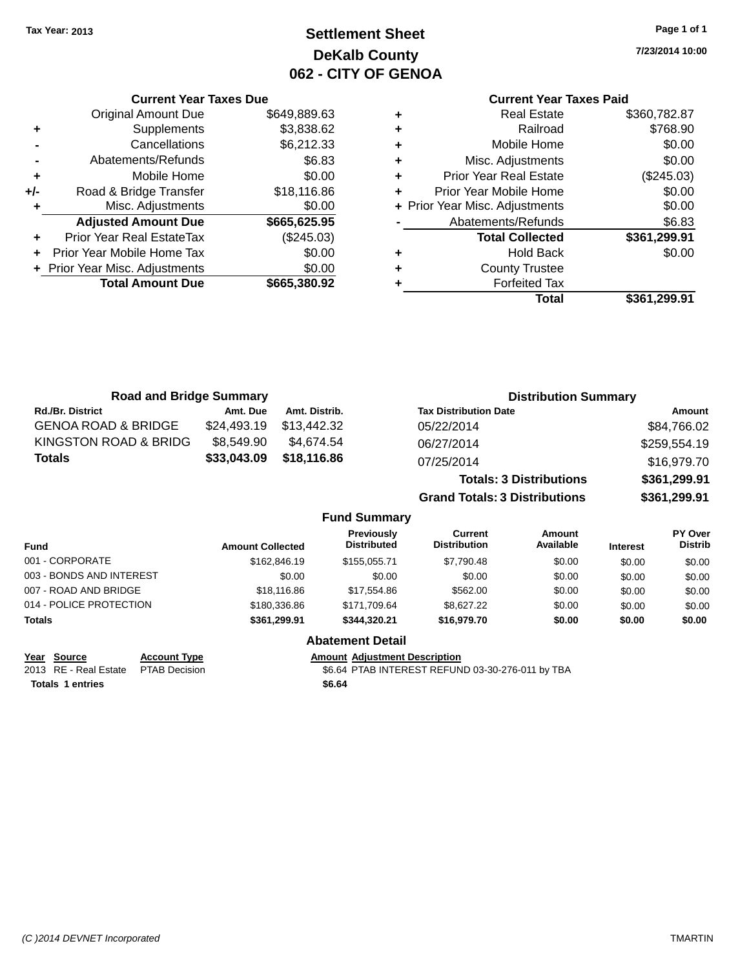## **Settlement Sheet Tax Year: 2013 Page 1 of 1 DeKalb County 062 - CITY OF GENOA**

**7/23/2014 10:00**

### **Current Year Taxes Paid**

| ٠ | <b>Real Estate</b>             | \$360,782.87 |
|---|--------------------------------|--------------|
|   | Railroad                       | \$768.90     |
| ٠ | Mobile Home                    | \$0.00       |
| ٠ | Misc. Adjustments              | \$0.00       |
| ÷ | <b>Prior Year Real Estate</b>  | (\$245.03)   |
|   | Prior Year Mobile Home         | \$0.00       |
|   | + Prior Year Misc. Adjustments | \$0.00       |
|   | Abatements/Refunds             | \$6.83       |
|   | <b>Total Collected</b>         | \$361,299.91 |
| ÷ | <b>Hold Back</b>               | \$0.00       |
|   | <b>County Trustee</b>          |              |
|   | <b>Forfeited Tax</b>           |              |
|   | Total                          | \$361,299.91 |
|   |                                |              |

| <b>Road and Bridge Summary</b> |                         |               |                                  |                                       | <b>Distribution Summary</b>    |          |                                  |
|--------------------------------|-------------------------|---------------|----------------------------------|---------------------------------------|--------------------------------|----------|----------------------------------|
| <b>Rd./Br. District</b>        | Amt. Due                | Amt. Distrib. |                                  | <b>Tax Distribution Date</b>          |                                |          | Amount                           |
| <b>GENOA ROAD &amp; BRIDGE</b> | \$24,493.19             | \$13,442,32   |                                  | 05/22/2014                            |                                |          | \$84,766.02                      |
| KINGSTON ROAD & BRIDG          | \$8,549.90              | \$4,674.54    |                                  | 06/27/2014                            |                                |          | \$259,554.19                     |
| <b>Totals</b>                  | \$33,043.09             | \$18,116.86   |                                  | 07/25/2014                            |                                |          | \$16,979.70                      |
|                                |                         |               |                                  |                                       | <b>Totals: 3 Distributions</b> |          | \$361,299.91                     |
|                                |                         |               |                                  | <b>Grand Totals: 3 Distributions</b>  |                                |          | \$361,299.91                     |
|                                |                         |               | <b>Fund Summary</b>              |                                       |                                |          |                                  |
| <b>Fund</b>                    | <b>Amount Collected</b> |               | Previously<br><b>Distributed</b> | <b>Current</b><br><b>Distribution</b> | <b>Amount</b><br>Available     | Interest | <b>PY Over</b><br><b>Distrib</b> |

| Fund                     | <b>Amount Collected</b> | <b>Distributed</b>      | DISTRIDUTION | Available | Interest | <b>DISTIID</b> |
|--------------------------|-------------------------|-------------------------|--------------|-----------|----------|----------------|
| 001 - CORPORATE          | \$162,846.19            | \$155,055.71            | \$7,790.48   | \$0.00    | \$0.00   | \$0.00         |
| 003 - BONDS AND INTEREST | \$0.00                  | \$0.00                  | \$0.00       | \$0.00    | \$0.00   | \$0.00         |
| 007 - ROAD AND BRIDGE    | \$18,116.86             | \$17.554.86             | \$562.00     | \$0.00    | \$0.00   | \$0.00         |
| 014 - POLICE PROTECTION  | \$180,336.86            | \$171.709.64            | \$8,627,22   | \$0.00    | \$0.00   | \$0.00         |
| Totals                   | \$361.299.91            | \$344.320.21            | \$16,979.70  | \$0.00    | \$0.00   | \$0.00         |
|                          |                         | <b>Abatement Detail</b> |              |           |          |                |

**Totals 1 entries \$6.64**

**Current Year Taxes Due** Original Amount Due \$649,889.63

**Adjusted Amount Due \$665,625.95**

**Total Amount Due \$665,380.92**

**+** Supplements \$3,838.62 **-** Cancellations \$6,212.33 **-** Abatements/Refunds \$6.83 **+** Mobile Home \$0.00 **+/-** Road & Bridge Transfer \$18,116.86 **+** Misc. Adjustments \$0.00

**+** Prior Year Real EstateTax (\$245.03) **+** Prior Year Mobile Home Tax \$0.00 **+ Prior Year Misc. Adjustments**  $$0.00$ 

**Year Source Account Type Amount Adjustment Description** 2013 RE - Real Estate PTAB Decision \$6.64 PTAB INTEREST REFUND 03-30-276-011 by TBA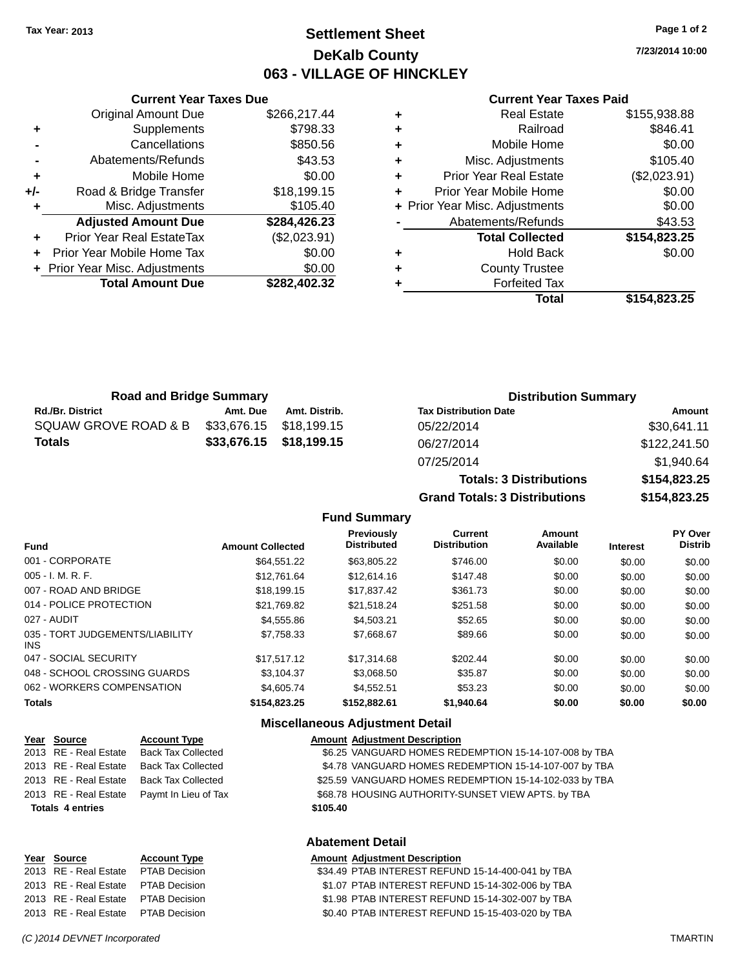### **Settlement Sheet Tax Year: 2013 Page 1 of 2 DeKalb County 063 - VILLAGE OF HINCKLEY**

**7/23/2014 10:00**

#### **Current Year Taxes Paid**

|     | <b>Current Year Taxes Due</b>  |              |
|-----|--------------------------------|--------------|
|     | Original Amount Due            | \$266,217.44 |
| ٠   | Supplements                    | \$798.33     |
|     | Cancellations                  | \$850.56     |
|     | Abatements/Refunds             | \$43.53      |
| ٠   | Mobile Home                    | \$0.00       |
| +/- | Road & Bridge Transfer         | \$18,199.15  |
| ٠   | Misc. Adjustments              | \$105.40     |
|     | <b>Adjusted Amount Due</b>     | \$284,426.23 |
| ٠   | Prior Year Real EstateTax      | (\$2,023.91) |
| ٠   | Prior Year Mobile Home Tax     | \$0.00       |
|     | + Prior Year Misc. Adjustments | \$0.00       |
|     | <b>Total Amount Due</b>        | \$282,402.32 |
|     |                                |              |

|   | <b>Real Estate</b>             | \$155,938.88 |
|---|--------------------------------|--------------|
| ÷ | Railroad                       | \$846.41     |
| ٠ | Mobile Home                    | \$0.00       |
| ٠ | Misc. Adjustments              | \$105.40     |
| ٠ | <b>Prior Year Real Estate</b>  | (\$2,023.91) |
| ٠ | Prior Year Mobile Home         | \$0.00       |
|   | + Prior Year Misc. Adjustments | \$0.00       |
|   | Abatements/Refunds             | \$43.53      |
|   | <b>Total Collected</b>         | \$154,823.25 |
| ٠ | <b>Hold Back</b>               | \$0.00       |
| ٠ | <b>County Trustee</b>          |              |
|   | <b>Forfeited Tax</b>           |              |
|   | Total                          | \$154,823.25 |

| <b>Road and Bridge Summary</b> |                         |                         | <b>Distribution Summary</b>  |                   |  |
|--------------------------------|-------------------------|-------------------------|------------------------------|-------------------|--|
| <b>Rd./Br. District</b>        | Amt. Due                | Amt. Distrib.           | <b>Tax Distribution Date</b> | Amount            |  |
| SQUAW GROVE ROAD & B           | \$33,676.15 \$18,199.15 |                         | 05/22/2014                   | \$30,641.11       |  |
| <b>Totals</b>                  |                         | \$33,676.15 \$18,199.15 | 06/27/2014                   | \$122,241.50      |  |
|                                |                         |                         | 07/25/2014                   | $Q_1 Q_2 Q_3 Q_4$ |  |

| 06/27/2014                           | \$122,241.50 |
|--------------------------------------|--------------|
| 07/25/2014                           | \$1,940.64   |
| <b>Totals: 3 Distributions</b>       | \$154,823.25 |
| <b>Grand Totals: 3 Distributions</b> | \$154.823.25 |
|                                      |              |

#### **Fund Summary**

|                                         |                         | <b>Previously</b>  | Current             | Amount    |                 | PY Over        |
|-----------------------------------------|-------------------------|--------------------|---------------------|-----------|-----------------|----------------|
| <b>Fund</b>                             | <b>Amount Collected</b> | <b>Distributed</b> | <b>Distribution</b> | Available | <b>Interest</b> | <b>Distrib</b> |
| 001 - CORPORATE                         | \$64,551.22             | \$63,805.22        | \$746.00            | \$0.00    | \$0.00          | \$0.00         |
| $005 - I. M. R. F.$                     | \$12.761.64             | \$12,614.16        | \$147.48            | \$0.00    | \$0.00          | \$0.00         |
| 007 - ROAD AND BRIDGE                   | \$18,199.15             | \$17,837.42        | \$361.73            | \$0.00    | \$0.00          | \$0.00         |
| 014 - POLICE PROTECTION                 | \$21.769.82             | \$21,518.24        | \$251.58            | \$0.00    | \$0.00          | \$0.00         |
| 027 - AUDIT                             | \$4,555.86              | \$4,503.21         | \$52.65             | \$0.00    | \$0.00          | \$0.00         |
| 035 - TORT JUDGEMENTS/LIABILITY<br>INS. | \$7,758.33              | \$7,668.67         | \$89.66             | \$0.00    | \$0.00          | \$0.00         |
| 047 - SOCIAL SECURITY                   | \$17,517.12             | \$17.314.68        | \$202.44            | \$0.00    | \$0.00          | \$0.00         |
| 048 - SCHOOL CROSSING GUARDS            | \$3,104.37              | \$3,068.50         | \$35.87             | \$0.00    | \$0.00          | \$0.00         |
| 062 - WORKERS COMPENSATION              | \$4,605.74              | \$4.552.51         | \$53.23             | \$0.00    | \$0.00          | \$0.00         |
| <b>Totals</b>                           | \$154,823.25            | \$152,882.61       | \$1,940.64          | \$0.00    | \$0.00          | \$0.00         |

#### **Miscellaneous Adjustment Detail**

| Year Source             | <b>Account Type</b>       |          | <b>Amount Adjustment Description</b>                   |
|-------------------------|---------------------------|----------|--------------------------------------------------------|
| 2013 RE - Real Estate   | <b>Back Tax Collected</b> |          | \$6.25 VANGUARD HOMES REDEMPTION 15-14-107-008 by TBA  |
| 2013 RE - Real Estate   | <b>Back Tax Collected</b> |          | \$4.78 VANGUARD HOMES REDEMPTION 15-14-107-007 by TBA  |
| 2013 RE - Real Estate   | <b>Back Tax Collected</b> |          | \$25.59 VANGUARD HOMES REDEMPTION 15-14-102-033 by TBA |
| 2013 RE - Real Estate   | Paymt In Lieu of Tax      |          | \$68.78 HOUSING AUTHORITY-SUNSET VIEW APTS. by TBA     |
| <b>Totals 4 entries</b> |                           | \$105.40 |                                                        |
|                         |                           |          |                                                        |

#### **Abatement Detail**

#### **Year** Source **Account Type Account Type Amount Adjustment Description**

| 2013 RE - Real Estate PTAB Decision | \$34.49 PTAB INTEREST REFUND 15-14-400-041 by TBA |
|-------------------------------------|---------------------------------------------------|
| 2013 RE - Real Estate PTAB Decision | \$1.07 PTAB INTEREST REFUND 15-14-302-006 by TBA  |
| 2013 RE - Real Estate PTAB Decision | \$1.98 PTAB INTEREST REFUND 15-14-302-007 by TBA  |
| 2013 RE - Real Estate PTAB Decision | \$0.40 PTAB INTEREST REFUND 15-15-403-020 by TBA  |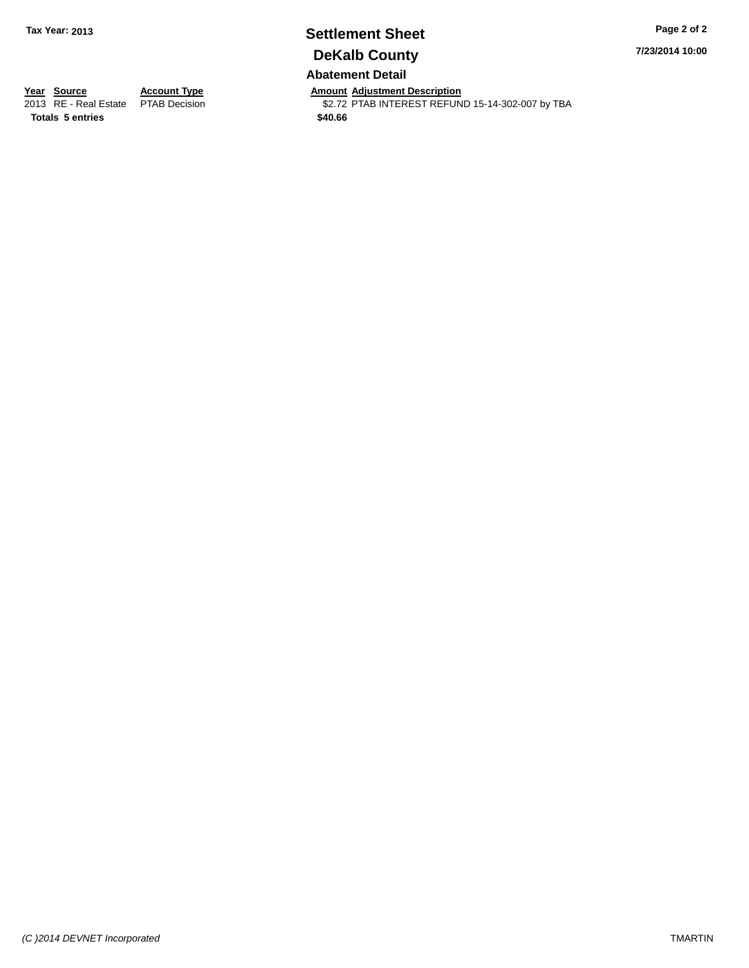# **Settlement Sheet Tax Year: 2013 Page 2 of 2 DeKalb County**

**7/23/2014 10:00**

### **Abatement Detail**

**Totals 5 entries \$40.66**

**Year Source Account Type Anneurs Amount Adjustment Description**<br>
2013 RE - Real Estate PTAB Decision **Amount Adjustment Description** \$2.72 PTAB INTEREST REFUND 15-14-302-007 by TBA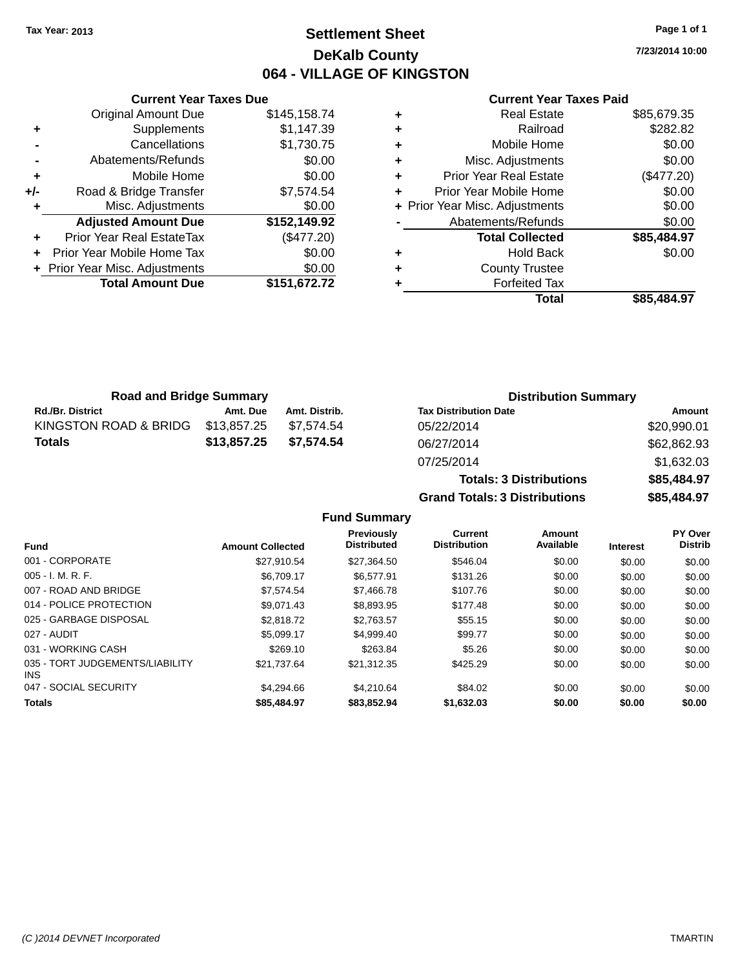### **Settlement Sheet Tax Year: 2013 Page 1 of 1 DeKalb County 064 - VILLAGE OF KINGSTON**

**7/23/2014 10:00**

|     | <b>Current Year Taxes Due</b>    |              |
|-----|----------------------------------|--------------|
|     | <b>Original Amount Due</b>       | \$145,158.74 |
| ٠   | Supplements                      | \$1,147.39   |
|     | Cancellations                    | \$1,730.75   |
|     | Abatements/Refunds               | \$0.00       |
| ٠   | Mobile Home                      | \$0.00       |
| +/- | Road & Bridge Transfer           | \$7,574.54   |
| ٠   | Misc. Adjustments                | \$0.00       |
|     | <b>Adjusted Amount Due</b>       | \$152,149.92 |
| ٠   | <b>Prior Year Real EstateTax</b> | (\$477.20)   |
|     | Prior Year Mobile Home Tax       | \$0.00       |
|     | + Prior Year Misc. Adjustments   | \$0.00       |
|     | <b>Total Amount Due</b>          | \$151,672.72 |
|     |                                  |              |

#### **Current Year Taxes Paid**

| ٠ | <b>Real Estate</b>             | \$85,679.35 |
|---|--------------------------------|-------------|
| ٠ | Railroad                       | \$282.82    |
| ٠ | Mobile Home                    | \$0.00      |
| ٠ | Misc. Adjustments              | \$0.00      |
| ٠ | <b>Prior Year Real Estate</b>  | (\$477.20)  |
| ٠ | Prior Year Mobile Home         | \$0.00      |
|   | + Prior Year Misc. Adjustments | \$0.00      |
|   | Abatements/Refunds             | \$0.00      |
|   | <b>Total Collected</b>         | \$85,484.97 |
| ٠ | <b>Hold Back</b>               | \$0.00      |
| ٠ | <b>County Trustee</b>          |             |
| ٠ | <b>Forfeited Tax</b>           |             |
|   | Total                          | \$85,484.97 |
|   |                                |             |

| <b>Road and Bridge Summary</b> |             |               | <b>Distribution Summary</b>  |             |
|--------------------------------|-------------|---------------|------------------------------|-------------|
| <b>Rd./Br. District</b>        | Amt. Due    | Amt. Distrib. | <b>Tax Distribution Date</b> | Amount      |
| KINGSTON ROAD & BRIDG          | \$13,857.25 | \$7.574.54    | 05/22/2014                   | \$20,990.01 |
| <b>Totals</b>                  | \$13,857.25 | \$7,574.54    | 06/27/2014                   | \$62,862.93 |
|                                |             |               | 07/25/2014                   | \$163203    |

## 07/25/2014 \$1,632.03 **Totals: 3 Distributions \$85,484.97 Grand Totals: 3 Distributions \$85,484.97**

|                                         |                         | <b>Previously</b><br><b>Distributed</b> | Current<br><b>Distribution</b> | Amount<br>Available |                 | PY Over<br><b>Distrib</b> |
|-----------------------------------------|-------------------------|-----------------------------------------|--------------------------------|---------------------|-----------------|---------------------------|
| <b>Fund</b>                             | <b>Amount Collected</b> |                                         |                                |                     | <b>Interest</b> |                           |
| 001 - CORPORATE                         | \$27.910.54             | \$27.364.50                             | \$546.04                       | \$0.00              | \$0.00          | \$0.00                    |
| $005 - I. M. R. F.$                     | \$6.709.17              | \$6.577.91                              | \$131.26                       | \$0.00              | \$0.00          | \$0.00                    |
| 007 - ROAD AND BRIDGE                   | \$7.574.54              | \$7,466.78                              | \$107.76                       | \$0.00              | \$0.00          | \$0.00                    |
| 014 - POLICE PROTECTION                 | \$9.071.43              | \$8,893.95                              | \$177.48                       | \$0.00              | \$0.00          | \$0.00                    |
| 025 - GARBAGE DISPOSAL                  | \$2,818.72              | \$2.763.57                              | \$55.15                        | \$0.00              | \$0.00          | \$0.00                    |
| 027 - AUDIT                             | \$5.099.17              | \$4,999.40                              | \$99.77                        | \$0.00              | \$0.00          | \$0.00                    |
| 031 - WORKING CASH                      | \$269.10                | \$263.84                                | \$5.26                         | \$0.00              | \$0.00          | \$0.00                    |
| 035 - TORT JUDGEMENTS/LIABILITY<br>INS. | \$21.737.64             | \$21,312.35                             | \$425.29                       | \$0.00              | \$0.00          | \$0.00                    |
| 047 - SOCIAL SECURITY                   | \$4,294.66              | \$4.210.64                              | \$84.02                        | \$0.00              | \$0.00          | \$0.00                    |
| <b>Totals</b>                           | \$85,484.97             | \$83,852.94                             | \$1.632.03                     | \$0.00              | \$0.00          | \$0.00                    |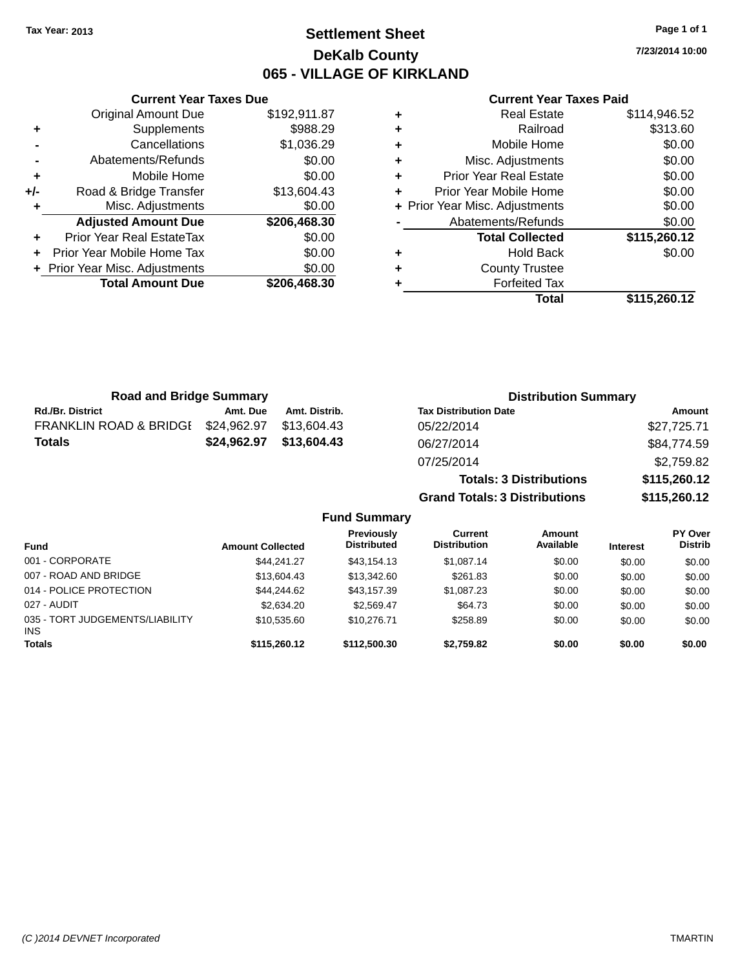### **Settlement Sheet Tax Year: 2013 Page 1 of 1 DeKalb County 065 - VILLAGE OF KIRKLAND**

**7/23/2014 10:00**

#### **Current Year Taxes Paid**

|                | <b>Original Amount Due</b>     | \$192,911.87 |
|----------------|--------------------------------|--------------|
| ٠              | Supplements                    | \$988.29     |
|                | Cancellations                  | \$1,036.29   |
| $\blacksquare$ | Abatements/Refunds             | \$0.00       |
| ÷              | Mobile Home                    | \$0.00       |
| +/-            | Road & Bridge Transfer         | \$13,604.43  |
|                | Misc. Adjustments              | \$0.00       |
|                | <b>Adjusted Amount Due</b>     | \$206,468.30 |
| ÷              | Prior Year Real EstateTax      | \$0.00       |
| ÷              | Prior Year Mobile Home Tax     | \$0.00       |
|                | + Prior Year Misc. Adjustments | \$0.00       |
|                | <b>Total Amount Due</b>        | \$206,468.30 |
|                |                                |              |

**Current Year Taxes Due**

| ٠ | <b>Real Estate</b>             | \$114,946.52 |
|---|--------------------------------|--------------|
| ÷ | Railroad                       | \$313.60     |
| ٠ | Mobile Home                    | \$0.00       |
| ٠ | Misc. Adjustments              | \$0.00       |
| ٠ | <b>Prior Year Real Estate</b>  | \$0.00       |
| ٠ | Prior Year Mobile Home         | \$0.00       |
|   | + Prior Year Misc. Adjustments | \$0.00       |
|   | Abatements/Refunds             | \$0.00       |
|   | <b>Total Collected</b>         | \$115,260.12 |
| ٠ | <b>Hold Back</b>               | \$0.00       |
| ٠ | <b>County Trustee</b>          |              |
| ٠ | <b>Forfeited Tax</b>           |              |
|   | Total                          | \$115,260.12 |
|   |                                |              |

**Grand Totals: 3 Distributions \$115,260.12**

| <b>Road and Bridge Summary</b>    |             |               | <b>Distribution Summary</b>    |              |  |
|-----------------------------------|-------------|---------------|--------------------------------|--------------|--|
| <b>Rd./Br. District</b>           | Amt. Due    | Amt. Distrib. | <b>Tax Distribution Date</b>   | Amount       |  |
| <b>FRANKLIN ROAD &amp; BRIDGI</b> | \$24,962.97 | \$13.604.43   | 05/22/2014                     | \$27,725.71  |  |
| Totals                            | \$24,962.97 | \$13,604.43   | 06/27/2014                     | \$84,774.59  |  |
|                                   |             |               | 07/25/2014                     | \$2,759.82   |  |
|                                   |             |               | <b>Totals: 3 Distributions</b> | \$115,260.12 |  |

**Fund Summary Fund Interest Amount Collected Distributed PY Over Distrib Amount Available Current Distribution Previously** 001 - CORPORATE 6 644,241.27 \$43,154.13 \$1,087.14 \$0.00 \$0.00 \$0.00 \$0.00 007 - ROAD AND BRIDGE 60.00 \$13,604.43 \$13,604.43 \$13,342.60 \$261.83 \$0.00 \$0.00 \$0.00 \$0.00 014 - POLICE PROTECTION \$44,244.62 \$43,157.39 \$1,087.23 \$0.00 \$0.00 \$0.00 \$0.00 027 - AUDIT \$2,634.20 \$2,569.47 \$64.73 \$0.00 \$0.00 \$0.00 035 - TORT JUDGEMENTS/LIABILITY INS \$10,535.60 \$10,276.71 \$258.89 \$0.00 \$0.00 \$0.00 **Totals \$115,260.12 \$112,500.30 \$2,759.82 \$0.00 \$0.00 \$0.00**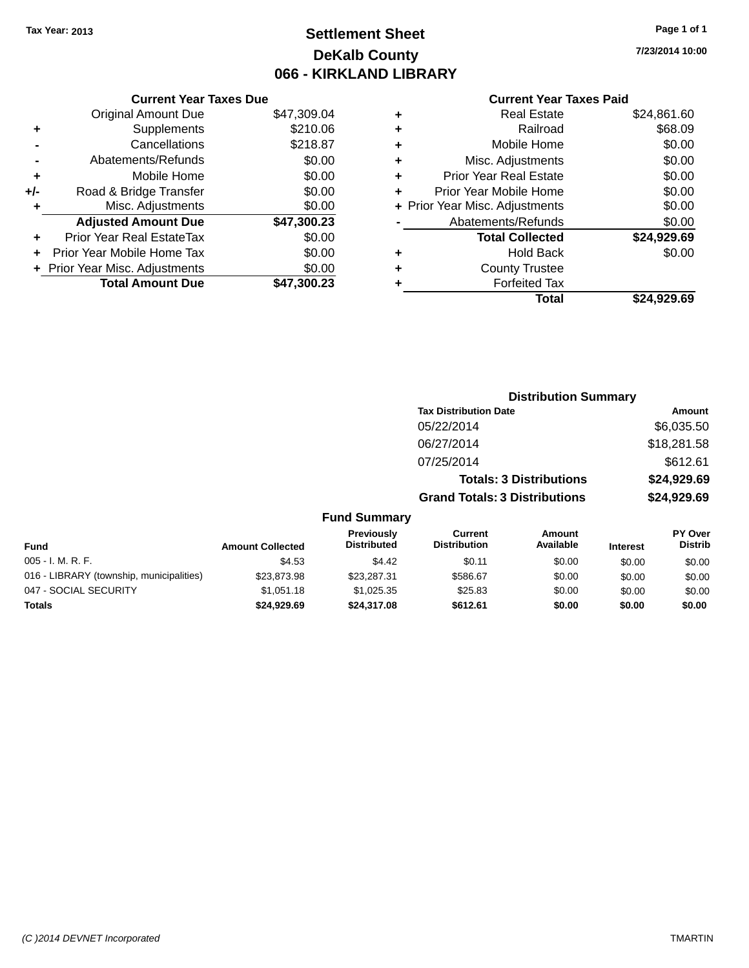## **Settlement Sheet Tax Year: 2013 Page 1 of 1 DeKalb County 066 - KIRKLAND LIBRARY**

**7/23/2014 10:00**

#### **Current Year Taxes Paid**

|     | <b>Current Year Taxes Due</b>  |             |
|-----|--------------------------------|-------------|
|     | <b>Original Amount Due</b>     | \$47,309.04 |
| ÷   | Supplements                    | \$210.06    |
|     | Cancellations                  | \$218.87    |
|     | Abatements/Refunds             | \$0.00      |
| ٠   | Mobile Home                    | \$0.00      |
| +/- | Road & Bridge Transfer         | \$0.00      |
|     | Misc. Adjustments              | \$0.00      |
|     | <b>Adjusted Amount Due</b>     | \$47,300.23 |
| ÷   | Prior Year Real EstateTax      | \$0.00      |
|     | Prior Year Mobile Home Tax     | \$0.00      |
|     | + Prior Year Misc. Adjustments | \$0.00      |
|     | <b>Total Amount Due</b>        | \$47.300.23 |
|     |                                |             |

| ٠ | <b>Real Estate</b>             | \$24,861.60 |
|---|--------------------------------|-------------|
| ٠ | Railroad                       | \$68.09     |
| ٠ | Mobile Home                    | \$0.00      |
| ٠ | Misc. Adjustments              | \$0.00      |
| ٠ | <b>Prior Year Real Estate</b>  | \$0.00      |
| ٠ | Prior Year Mobile Home         | \$0.00      |
|   | + Prior Year Misc. Adjustments | \$0.00      |
|   | Abatements/Refunds             | \$0.00      |
|   | <b>Total Collected</b>         | \$24,929.69 |
| ٠ | <b>Hold Back</b>               | \$0.00      |
|   | <b>County Trustee</b>          |             |
| ٠ | <b>Forfeited Tax</b>           |             |
|   | Total                          | \$24,929.69 |
|   |                                |             |

|       |                                         |                                       | <b>Distribution Summary</b>    |                 |                                  |
|-------|-----------------------------------------|---------------------------------------|--------------------------------|-----------------|----------------------------------|
|       |                                         | <b>Tax Distribution Date</b>          |                                |                 | Amount                           |
|       |                                         | 05/22/2014                            |                                |                 | \$6,035.50                       |
|       |                                         | 06/27/2014                            |                                |                 | \$18,281.58                      |
|       |                                         | 07/25/2014                            |                                |                 | \$612.61                         |
|       |                                         |                                       | <b>Totals: 3 Distributions</b> |                 | \$24,929.69                      |
|       |                                         | <b>Grand Totals: 3 Distributions</b>  |                                |                 | \$24,929.69                      |
|       | <b>Fund Summary</b>                     |                                       |                                |                 |                                  |
| ected | <b>Previously</b><br><b>Distributed</b> | <b>Current</b><br><b>Distribution</b> | Amount<br>Available            | <b>Interest</b> | <b>PY Over</b><br><b>Distrib</b> |

| <b>Fund</b>                              | <b>Amount Collected</b> | <b>Previously</b><br><b>Distributed</b> | Current<br><b>Distribution</b> | Amount<br>Available | <b>Interest</b> | r ı over<br>Distrib |
|------------------------------------------|-------------------------|-----------------------------------------|--------------------------------|---------------------|-----------------|---------------------|
| $005 - I. M. R. F.$                      | \$4.53                  | \$4.42                                  | \$0.11                         | \$0.00              | \$0.00          | \$0.00              |
| 016 - LIBRARY (township, municipalities) | \$23.873.98             | \$23,287.31                             | \$586.67                       | \$0.00              | \$0.00          | \$0.00              |
| 047 - SOCIAL SECURITY                    | \$1.051.18              | \$1.025.35                              | \$25.83                        | \$0.00              | \$0.00          | \$0.00              |
| <b>Totals</b>                            | \$24.929.69             | \$24,317.08                             | \$612.61                       | \$0.00              | \$0.00          | \$0.00              |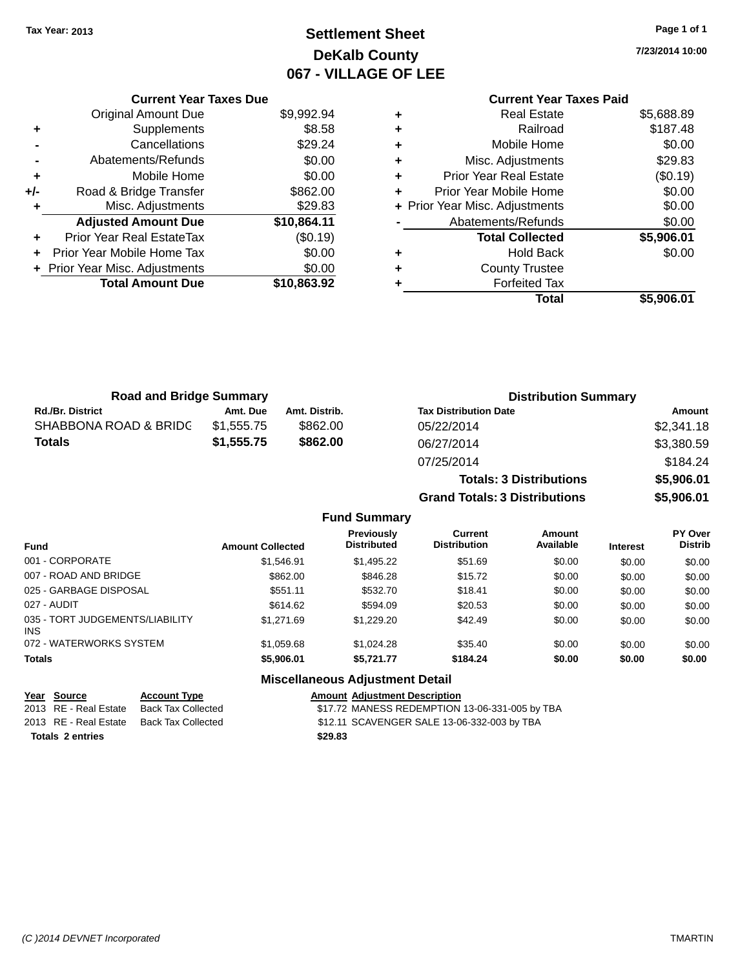## **Settlement Sheet Tax Year: 2013 Page 1 of 1 DeKalb County 067 - VILLAGE OF LEE**

**7/23/2014 10:00**

|     | <b>Current Year Taxes Due</b>  |             |
|-----|--------------------------------|-------------|
|     | Original Amount Due            | \$9,992.94  |
| ٠   | Supplements                    | \$8.58      |
|     | Cancellations                  | \$29.24     |
|     | Abatements/Refunds             | \$0.00      |
| ÷   | Mobile Home                    | \$0.00      |
| +/- | Road & Bridge Transfer         | \$862.00    |
| ٠   | Misc. Adjustments              | \$29.83     |
|     | <b>Adjusted Amount Due</b>     | \$10,864.11 |
| ٠   | Prior Year Real EstateTax      | (\$0.19)    |
| ÷   | Prior Year Mobile Home Tax     | \$0.00      |
|     | + Prior Year Misc. Adjustments | \$0.00      |
|     | <b>Total Amount Due</b>        | \$10,863.92 |
|     |                                |             |

#### **Current Year Taxes Paid +** Real Estate \$5,688.89 **+** Railroad \$187.48 **+** Mobile Home \$0.00 **+** Misc. Adjustments \$29.83 **+** Prior Year Real Estate (\$0.19) **+** Prior Year Mobile Home \$0.00<br> **+** Prior Year Misc. Adjustments \$0.00 **+ Prior Year Misc. Adjustments -** Abatements/Refunds \$0.00 **Total Collected \$5,906.01 +** Hold Back \$0.00 **+** County Trustee **+** Forfeited Tax **Total \$5,906.01**

| <b>Road and Bridge Summary</b> |            |               | <b>Distribution Summary</b>    |            |  |
|--------------------------------|------------|---------------|--------------------------------|------------|--|
| <b>Rd./Br. District</b>        | Amt. Due   | Amt. Distrib. | <b>Tax Distribution Date</b>   | Amount     |  |
| SHABBONA ROAD & BRIDC          | \$1.555.75 | \$862.00      | 05/22/2014                     | \$2,341.18 |  |
| <b>Totals</b>                  | \$1,555.75 | \$862,00      | 06/27/2014                     | \$3,380.59 |  |
|                                |            |               | 07/25/2014                     | \$184.24   |  |
|                                |            |               | <b>Totals: 3 Distributions</b> | \$5,906.01 |  |

**Grand Totals: 3 Distributions \$5,906.01**

#### **Fund Summary**

| <b>Fund</b>                                   | <b>Amount Collected</b> | <b>Previously</b><br><b>Distributed</b> | Current<br><b>Distribution</b> | Amount<br>Available | <b>Interest</b> | <b>PY Over</b><br><b>Distrib</b> |
|-----------------------------------------------|-------------------------|-----------------------------------------|--------------------------------|---------------------|-----------------|----------------------------------|
| 001 - CORPORATE                               | \$1.546.91              | \$1,495.22                              | \$51.69                        | \$0.00              | \$0.00          | \$0.00                           |
| 007 - ROAD AND BRIDGE                         | \$862.00                | \$846.28                                | \$15.72                        | \$0.00              | \$0.00          | \$0.00                           |
| 025 - GARBAGE DISPOSAL                        | \$551.11                | \$532.70                                | \$18.41                        | \$0.00              | \$0.00          | \$0.00                           |
| 027 - AUDIT                                   | \$614.62                | \$594.09                                | \$20.53                        | \$0.00              | \$0.00          | \$0.00                           |
| 035 - TORT JUDGEMENTS/LIABILITY<br><b>INS</b> | \$1,271.69              | \$1,229.20                              | \$42.49                        | \$0.00              | \$0.00          | \$0.00                           |
| 072 - WATERWORKS SYSTEM                       | \$1.059.68              | \$1,024.28                              | \$35.40                        | \$0.00              | \$0.00          | \$0.00                           |
| <b>Totals</b>                                 | \$5,906.01              | \$5.721.77                              | \$184.24                       | \$0.00              | \$0.00          | \$0.00                           |

#### **Miscellaneous Adjustment Detail**

| Year Source             | <b>Account Type</b> |         | <b>Amount Adiustment Description</b>           |
|-------------------------|---------------------|---------|------------------------------------------------|
| 2013 RE - Real Estate   | Back Tax Collected  |         | \$17.72 MANESS REDEMPTION 13-06-331-005 by TBA |
| 2013 RE - Real Estate   | Back Tax Collected  |         | \$12.11 SCAVENGER SALE 13-06-332-003 by TBA    |
| <b>Totals 2 entries</b> |                     | \$29.83 |                                                |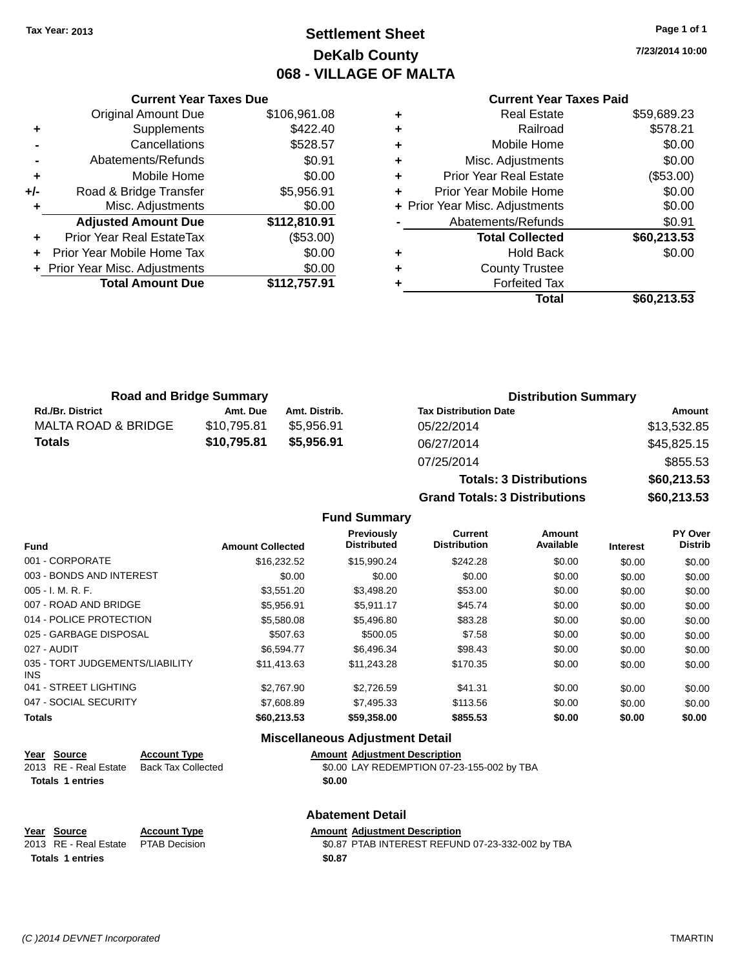## **Settlement Sheet Tax Year: 2013 Page 1 of 1 DeKalb County 068 - VILLAGE OF MALTA**

**7/23/2014 10:00**

#### **Current Year Taxes Paid**

| <b>Current Year Taxes Due</b> |                                  |              |  |  |  |  |
|-------------------------------|----------------------------------|--------------|--|--|--|--|
|                               | <b>Original Amount Due</b>       | \$106,961.08 |  |  |  |  |
| ٠                             | Supplements                      | \$422.40     |  |  |  |  |
|                               | \$528.57<br>Cancellations        |              |  |  |  |  |
|                               | Abatements/Refunds               | \$0.91       |  |  |  |  |
| ٠                             | Mobile Home                      | \$0.00       |  |  |  |  |
| +/-                           | Road & Bridge Transfer           | \$5,956.91   |  |  |  |  |
|                               | Misc. Adjustments                | \$0.00       |  |  |  |  |
|                               | <b>Adjusted Amount Due</b>       | \$112,810.91 |  |  |  |  |
|                               | <b>Prior Year Real EstateTax</b> | (\$53.00)    |  |  |  |  |
|                               | Prior Year Mobile Home Tax       | \$0.00       |  |  |  |  |
|                               | + Prior Year Misc. Adjustments   | \$0.00       |  |  |  |  |
|                               | <b>Total Amount Due</b>          | \$112,757.91 |  |  |  |  |
|                               |                                  |              |  |  |  |  |

|   | <b>Real Estate</b>             | \$59,689.23 |
|---|--------------------------------|-------------|
| ٠ | Railroad                       | \$578.21    |
| ٠ | Mobile Home                    | \$0.00      |
| ٠ | Misc. Adjustments              | \$0.00      |
| ٠ | <b>Prior Year Real Estate</b>  | (\$53.00)   |
| ٠ | Prior Year Mobile Home         | \$0.00      |
|   | + Prior Year Misc. Adjustments | \$0.00      |
|   | Abatements/Refunds             | \$0.91      |
|   | <b>Total Collected</b>         | \$60,213.53 |
| ٠ | Hold Back                      | \$0.00      |
| ٠ | <b>County Trustee</b>          |             |
| ٠ | <b>Forfeited Tax</b>           |             |
|   | Total                          | \$60,213.53 |
|   |                                |             |

| <b>Road and Bridge Summary</b> |             |               | <b>Distribution Summary</b>  |             |  |
|--------------------------------|-------------|---------------|------------------------------|-------------|--|
| <b>Rd./Br. District</b>        | Amt. Due    | Amt. Distrib. | <b>Tax Distribution Date</b> | Amount      |  |
| MALTA ROAD & BRIDGE            | \$10.795.81 | \$5.956.91    | 05/22/2014                   | \$13,532.85 |  |
| Totals                         | \$10,795.81 | \$5.956.91    | 06/27/2014                   | \$45,825.15 |  |
|                                |             |               | 07/25/2014                   | \$855.53    |  |

| 07/25/2014                           | \$855.53    |  |  |
|--------------------------------------|-------------|--|--|
| <b>Totals: 3 Distributions</b>       | \$60,213.53 |  |  |
| <b>Grand Totals: 3 Distributions</b> | \$60,213.53 |  |  |
|                                      |             |  |  |

#### **Fund Summary**

| <b>Fund</b>                             | <b>Amount Collected</b> | <b>Previously</b><br><b>Distributed</b> | <b>Current</b><br><b>Distribution</b> | Amount<br>Available | <b>Interest</b> | PY Over<br><b>Distrib</b> |
|-----------------------------------------|-------------------------|-----------------------------------------|---------------------------------------|---------------------|-----------------|---------------------------|
| 001 - CORPORATE                         | \$16,232.52             | \$15,990.24                             | \$242.28                              | \$0.00              | \$0.00          | \$0.00                    |
| 003 - BONDS AND INTEREST                | \$0.00                  | \$0.00                                  | \$0.00                                | \$0.00              | \$0.00          | \$0.00                    |
| $005 - I. M. R. F.$                     | \$3,551.20              | \$3,498.20                              | \$53.00                               | \$0.00              | \$0.00          | \$0.00                    |
| 007 - ROAD AND BRIDGE                   | \$5.956.91              | \$5.911.17                              | \$45.74                               | \$0.00              | \$0.00          | \$0.00                    |
| 014 - POLICE PROTECTION                 | \$5,580.08              | \$5,496.80                              | \$83.28                               | \$0.00              | \$0.00          | \$0.00                    |
| 025 - GARBAGE DISPOSAL                  | \$507.63                | \$500.05                                | \$7.58                                | \$0.00              | \$0.00          | \$0.00                    |
| 027 - AUDIT                             | \$6,594,77              | \$6,496.34                              | \$98.43                               | \$0.00              | \$0.00          | \$0.00                    |
| 035 - TORT JUDGEMENTS/LIABILITY<br>INS. | \$11,413.63             | \$11,243.28                             | \$170.35                              | \$0.00              | \$0.00          | \$0.00                    |
| 041 - STREET LIGHTING                   | \$2,767.90              | \$2,726.59                              | \$41.31                               | \$0.00              | \$0.00          | \$0.00                    |
| 047 - SOCIAL SECURITY                   | \$7,608.89              | \$7,495.33                              | \$113.56                              | \$0.00              | \$0.00          | \$0.00                    |
| <b>Totals</b>                           | \$60,213.53             | \$59,358.00                             | \$855.53                              | \$0.00              | \$0.00          | \$0.00                    |

#### **Miscellaneous Adjustment Detail**

| Year Source             | <b>Account Type</b> |        | <b>Amount Adjustment Description</b>       |
|-------------------------|---------------------|--------|--------------------------------------------|
| 2013 RE - Real Estate   | Back Tax Collected  |        | \$0.00 LAY REDEMPTION 07-23-155-002 by TBA |
| <b>Totals 1 entries</b> |                     | \$0.00 |                                            |

|                         |                     | <b>Abatement Detail</b>                          |
|-------------------------|---------------------|--------------------------------------------------|
| Year Source             | <b>Account Type</b> | <b>Amount Adiustment Description</b>             |
| 2013 RE - Real Estate   | PTAB Decision       | \$0.87 PTAB INTEREST REFUND 07-23-332-002 by TBA |
| <b>Totals 1 entries</b> |                     | \$0.87                                           |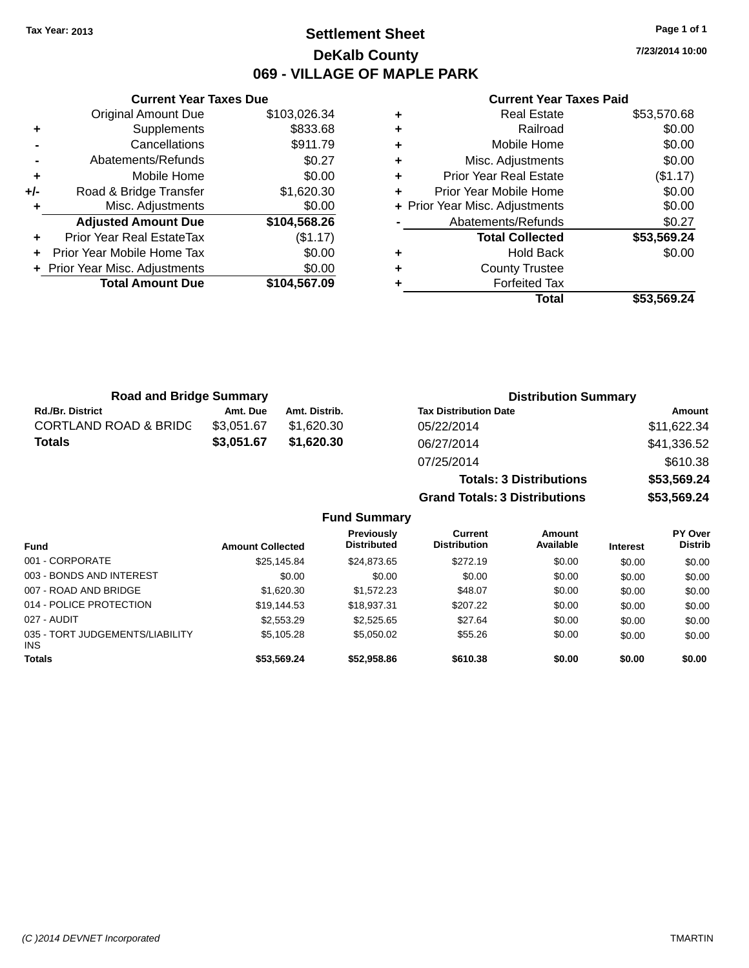### **Settlement Sheet Tax Year: 2013 Page 1 of 1 DeKalb County 069 - VILLAGE OF MAPLE PARK**

**7/23/2014 10:00**

|     | <b>Current Year Taxes Due</b>  |              |
|-----|--------------------------------|--------------|
|     | <b>Original Amount Due</b>     | \$103,026.34 |
| ٠   | Supplements                    | \$833.68     |
|     | Cancellations                  | \$911.79     |
|     | Abatements/Refunds             | \$0.27       |
| ٠   | Mobile Home                    | \$0.00       |
| +/- | Road & Bridge Transfer         | \$1,620.30   |
| ٠   | Misc. Adjustments              | \$0.00       |
|     | <b>Adjusted Amount Due</b>     | \$104,568.26 |
| ٠   | Prior Year Real EstateTax      | (\$1.17)     |
| ÷   | Prior Year Mobile Home Tax     | \$0.00       |
|     | + Prior Year Misc. Adjustments | \$0.00       |
|     | <b>Total Amount Due</b>        | \$104,567.09 |
|     |                                |              |

#### **Current Year Taxes Paid**

|   | <b>Real Estate</b>             | \$53,570.68 |
|---|--------------------------------|-------------|
| ٠ | Railroad                       | \$0.00      |
| ٠ | Mobile Home                    | \$0.00      |
| ٠ | Misc. Adjustments              | \$0.00      |
| ٠ | <b>Prior Year Real Estate</b>  | (\$1.17)    |
| ٠ | Prior Year Mobile Home         | \$0.00      |
|   | + Prior Year Misc. Adjustments | \$0.00      |
|   | Abatements/Refunds             | \$0.27      |
|   | <b>Total Collected</b>         | \$53,569.24 |
| ٠ | Hold Back                      | \$0.00      |
| ٠ | <b>County Trustee</b>          |             |
| ٠ | <b>Forfeited Tax</b>           |             |
|   | Total                          | \$53,569.24 |
|   |                                |             |

**Totals: 3 Distributions \$53,569.24**

**Grand Totals: 3 Distributions \$53,569.24**

| <b>Road and Bridge Summary</b>   |            |               | <b>Distribution Summary</b>  |             |  |
|----------------------------------|------------|---------------|------------------------------|-------------|--|
| <b>Rd./Br. District</b>          | Amt. Due   | Amt. Distrib. | <b>Tax Distribution Date</b> | Amount      |  |
| <b>CORTLAND ROAD &amp; BRIDC</b> | \$3.051.67 | \$1.620.30    | 05/22/2014                   | \$11,622.34 |  |
| <b>Totals</b>                    | \$3,051.67 | \$1,620.30    | 06/27/2014                   | \$41,336.52 |  |
|                                  |            |               | 07/25/2014                   | \$610.38    |  |

#### **Fund Summary Fund Interest Amount Collected Distributed PY Over Distrib Amount Available Current Distribution Previously** 001 - CORPORATE \$25,145.84 \$24,873.65 \$272.19 \$0.00 \$0.00 \$0.00 003 - BONDS AND INTEREST 60.00 \$0.00 \$0.00 \$0.00 \$0.00 \$0.00 \$0.00 \$0.00 \$0.00 007 - ROAD AND BRIDGE \$1,620.30 \$1,572.23 \$48.07 \$0.00 \$0.00 \$0.00 \$0.00 014 - POLICE PROTECTION \$19,144.53 \$18,937.31 \$207.22 \$0.00 \$0.00 \$0.00 \$0.00 027 - AUDIT \$2,553.29 \$2,525.65 \$27.64 \$0.00 \$0.00 \$0.00 035 - TORT JUDGEMENTS/LIABILITY INS \$5,105.28 \$5,050.02 \$55.26 \$0.00 \$0.00 \$0.00 **Totals \$53,569.24 \$52,958.86 \$610.38 \$0.00 \$0.00 \$0.00**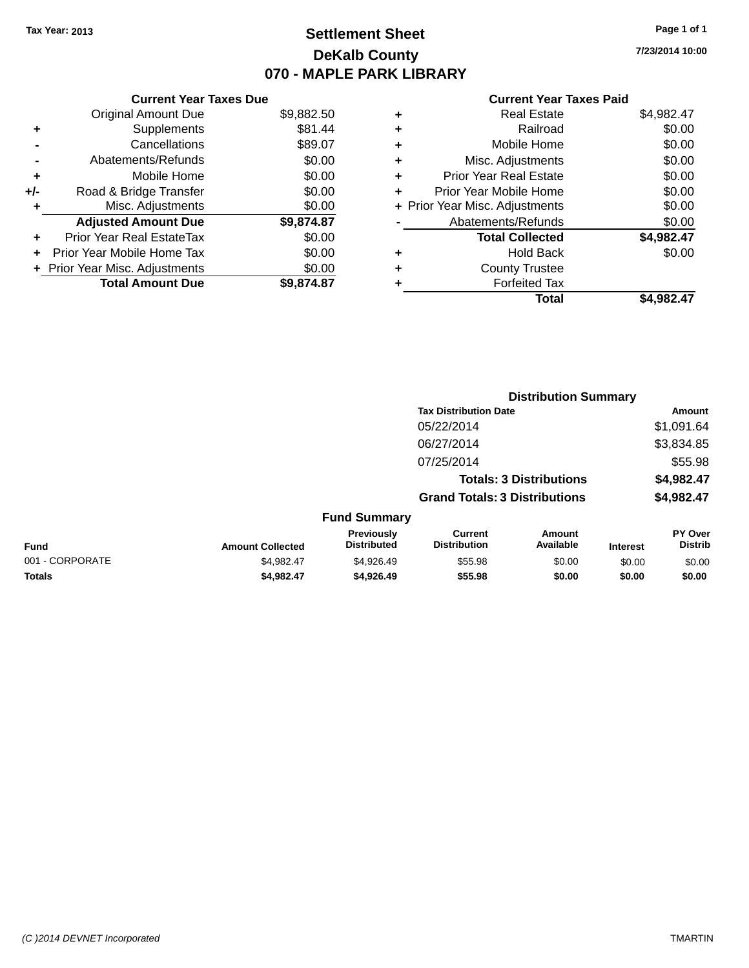### **Settlement Sheet Tax Year: 2013 Page 1 of 1 DeKalb County 070 - MAPLE PARK LIBRARY**

**7/23/2014 10:00**

#### **Current Year Taxes Paid**

| <b>Original Amount Due</b>      | \$9,882.50 |
|---------------------------------|------------|
|                                 |            |
| Supplements<br>٠                | \$81.44    |
| Cancellations                   | \$89.07    |
| Abatements/Refunds              | \$0.00     |
| Mobile Home<br>٠                | \$0.00     |
| Road & Bridge Transfer<br>+/-   | \$0.00     |
| Misc. Adjustments<br>٠          | \$0.00     |
| <b>Adjusted Amount Due</b>      | \$9,874.87 |
| Prior Year Real EstateTax       | \$0.00     |
| Prior Year Mobile Home Tax<br>٠ | \$0.00     |
| + Prior Year Misc. Adjustments  | \$0.00     |
| <b>Total Amount Due</b>         | \$9,874.87 |
|                                 |            |

| \$4,982.47 |
|------------|
| \$0.00     |
| \$0.00     |
| \$0.00     |
| \$0.00     |
| \$0.00     |
| \$0.00     |
| \$0.00     |
| \$4,982.47 |
| \$0.00     |
|            |
|            |
| \$4.982.47 |
|            |

|                 |                         |                                         |                                       | <b>Distribution Summary</b>    |                 |                                  |
|-----------------|-------------------------|-----------------------------------------|---------------------------------------|--------------------------------|-----------------|----------------------------------|
|                 |                         |                                         | <b>Tax Distribution Date</b>          |                                |                 | <b>Amount</b>                    |
|                 |                         |                                         | 05/22/2014                            |                                |                 | \$1,091.64                       |
|                 |                         |                                         | 06/27/2014                            |                                |                 | \$3,834.85                       |
|                 |                         |                                         | 07/25/2014                            |                                |                 | \$55.98                          |
|                 |                         |                                         |                                       | <b>Totals: 3 Distributions</b> |                 | \$4,982.47                       |
|                 |                         |                                         | <b>Grand Totals: 3 Distributions</b>  |                                |                 | \$4,982.47                       |
|                 |                         | <b>Fund Summary</b>                     |                                       |                                |                 |                                  |
| <b>Fund</b>     | <b>Amount Collected</b> | <b>Previously</b><br><b>Distributed</b> | <b>Current</b><br><b>Distribution</b> | Amount<br>Available            | <b>Interest</b> | <b>PY Over</b><br><b>Distrib</b> |
| 001 - CORPORATE | \$4,982.47              | \$4,926.49                              | \$55.98                               | \$0.00                         | \$0.00          | \$0.00                           |
| <b>Totals</b>   | \$4,982.47              | \$4,926.49                              | \$55.98                               | \$0.00                         | \$0.00          | \$0.00                           |
|                 |                         |                                         |                                       |                                |                 |                                  |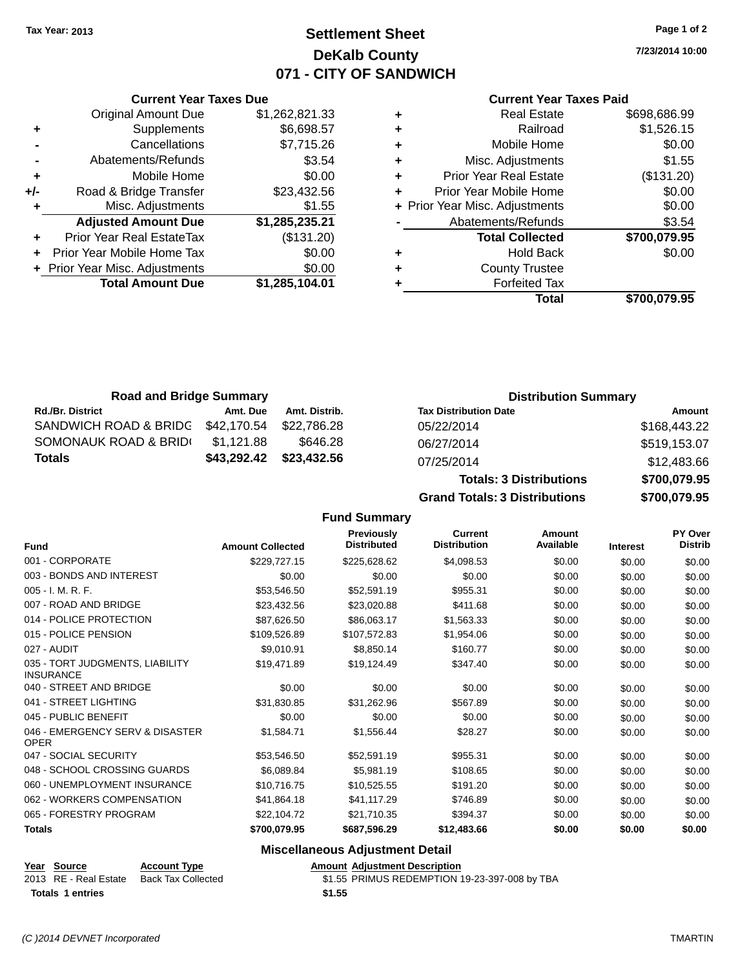### **Settlement Sheet Tax Year: 2013 Page 1 of 2 DeKalb County 071 - CITY OF SANDWICH**

**7/23/2014 10:00**

#### **Current Year Taxes Paid**

|     | <b>Original Amount Due</b>       | \$1,262,821.33 |
|-----|----------------------------------|----------------|
| ٠   | Supplements                      | \$6,698.57     |
|     | Cancellations                    | \$7,715.26     |
|     | Abatements/Refunds               | \$3.54         |
| ÷   | Mobile Home                      | \$0.00         |
| +/- | Road & Bridge Transfer           | \$23,432.56    |
| ٠   | Misc. Adjustments                | \$1.55         |
|     | <b>Adjusted Amount Due</b>       | \$1,285,235.21 |
| ٠   | <b>Prior Year Real EstateTax</b> | (\$131.20)     |
| ÷   | Prior Year Mobile Home Tax       | \$0.00         |
|     | + Prior Year Misc. Adjustments   | \$0.00         |
|     | <b>Total Amount Due</b>          | \$1,285,104.01 |
|     |                                  |                |

**Current Year Taxes Due**

|   | <b>Real Estate</b>             | \$698,686.99 |
|---|--------------------------------|--------------|
| ٠ | Railroad                       | \$1,526.15   |
| ٠ | Mobile Home                    | \$0.00       |
| ٠ | Misc. Adjustments              | \$1.55       |
| ٠ | <b>Prior Year Real Estate</b>  | (\$131.20)   |
| ٠ | Prior Year Mobile Home         | \$0.00       |
|   | + Prior Year Misc. Adjustments | \$0.00       |
|   | Abatements/Refunds             | \$3.54       |
|   | <b>Total Collected</b>         | \$700,079.95 |
| ٠ | <b>Hold Back</b>               | \$0.00       |
| ٠ | <b>County Trustee</b>          |              |
| ٠ | <b>Forfeited Tax</b>           |              |
|   | Total                          | \$700,079.95 |
|   |                                |              |

**Totals: 3 Distributions \$700,079.95**

**Grand Totals: 3 Distributions \$700,079.95**

| <b>Road and Bridge Summary</b> |             |               | <b>Distribution Summary</b>  |              |
|--------------------------------|-------------|---------------|------------------------------|--------------|
| <b>Rd./Br. District</b>        | Amt. Due    | Amt. Distrib. | <b>Tax Distribution Date</b> | Amount       |
| SANDWICH ROAD & BRIDG          | \$42,170.54 | \$22.786.28   | 05/22/2014                   | \$168,443.22 |
| SOMONAUK ROAD & BRID(          | \$1.121.88  | \$646.28      | 06/27/2014                   | \$519,153.07 |
| <b>Totals</b>                  | \$43,292.42 | \$23,432.56   | 07/25/2014                   | \$12,483.66  |

**Fund Summary Fund Interest Amount Collected Distributed PY Over Distrib Amount Available Current Distribution Previously** 001 - CORPORATE \$229,727.15 \$225,628.62 \$4,098.53 \$0.00 \$0.00 \$0.00 003 - BONDS AND INTEREST  $$0.00$   $$0.00$   $$0.00$   $$0.00$   $$0.00$   $$0.00$   $$0.00$   $$0.00$ 005 - I. M. R. F. \$53,546.50 \$52,591.19 \$955.31 \$0.00 \$0.00 \$0.00 007 - ROAD AND BRIDGE 60.00 \$23,432.56 \$23,020.88 \$411.68 \$0.00 \$0.00 \$0.00 \$0.00 014 - POLICE PROTECTION **\$87,626.50** \$86,063.17 \$1,563.33 \$0.00 \$0.00 \$0.00 \$0.00 015 - POLICE PENSION \$109,526.89 \$107,572.83 \$1,954.06 \$0.00 \$0.00 \$0.00 \$0.00 027 - AUDIT \$9,010.91 \$8,850.14 \$160.77 \$0.00 \$0.00 \$0.00 035 - TORT JUDGMENTS, LIABILITY INSURANCE \$19,471.89 \$19,124.49 \$347.40 \$0.00 \$0.00 \$0.00 040 - STREET AND BRIDGE  $$0.00$   $$0.00$   $$0.00$   $$0.00$   $$0.00$   $$0.00$   $$0.00$   $$0.00$ 041 - STREET LIGHTING \$31,830.85 \$31,262.96 \$567.89 \$0.00 \$0.00 \$0.00 045 - PUBLIC BENEFIT \$0.00 \$0.00 \$0.00 \$0.00 \$0.00 \$0.00 046 - EMERGENCY SERV & DISASTER OPER \$1,584.71 \$1,556.44 \$28.27 \$0.00 \$0.00 \$0.00 047 - SOCIAL SECURITY 663,546,50 \$52,591.19 \$955.31 \$0.00 \$0.00 \$0.00 \$0.00 \$0.00 048 - SCHOOL CROSSING GUARDS \$6,089.84 \$5,981.19 \$108.65 \$0.00 \$0.00 \$0.00 \$0.00 060 - UNEMPLOYMENT INSURANCE \$10,716.75 \$10,525.55 \$191.20 \$0.00 \$0.00 \$0.00 \$0.00 062 - WORKERS COMPENSATION \$41,864.18 \$41,117.29 \$746.89 \$0.00 \$0.00 \$0.00 \$0.00 065 - FORESTRY PROGRAM \$22,104.72 \$21,710.35 \$394.37 \$0.00 \$0.00 \$0.00 \$0.00 **Totals \$700,079.95 \$687,596.29 \$12,483.66 \$0.00 \$0.00 \$0.00**

#### **Miscellaneous Adjustment Detail**

| Year Source             | <b>Account Type</b> |        | <b>Amount Adjustment Description</b>          |
|-------------------------|---------------------|--------|-----------------------------------------------|
| 2013 RE - Real Estate   | Back Tax Collected  |        | \$1.55 PRIMUS REDEMPTION 19-23-397-008 by TBA |
| <b>Totals 1 entries</b> |                     | \$1.55 |                                               |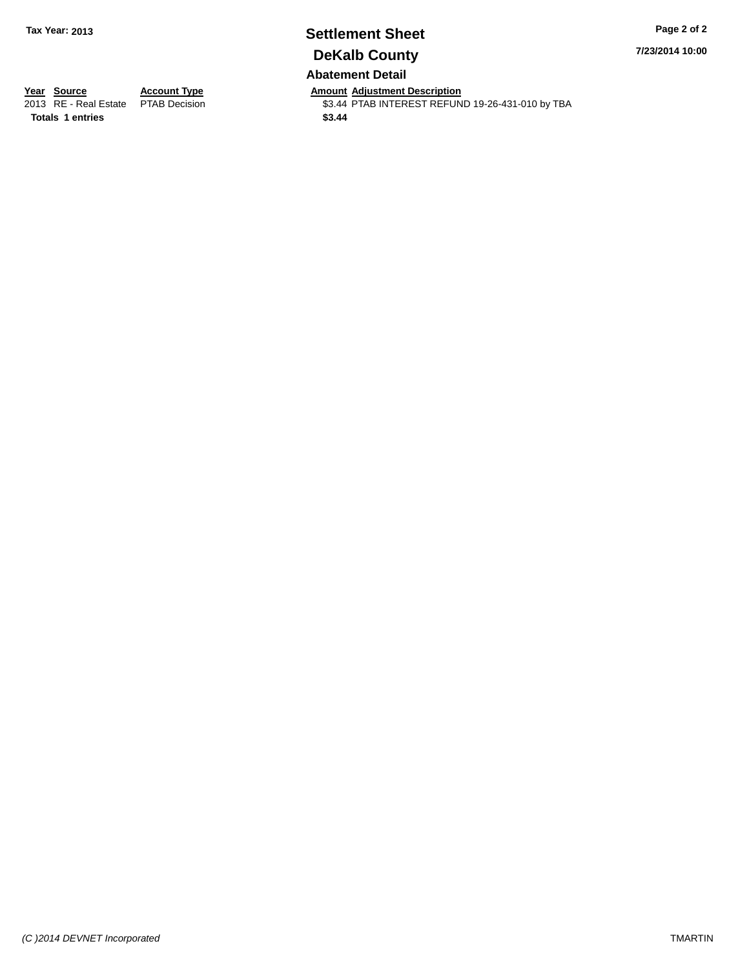# **Settlement Sheet Tax Year: 2013 Page 2 of 2 DeKalb County**

**7/23/2014 10:00**

**Abatement Detail**

**Totals 1 entries \$3.44**

**Year Source Account Type Anneunt Adjustment Description**<br>
2013 RE - Real Estate PTAB Decision **Amount Adjustment Description** \$3.44 PTAB INTEREST REFUND 19-26-431-010 by TBA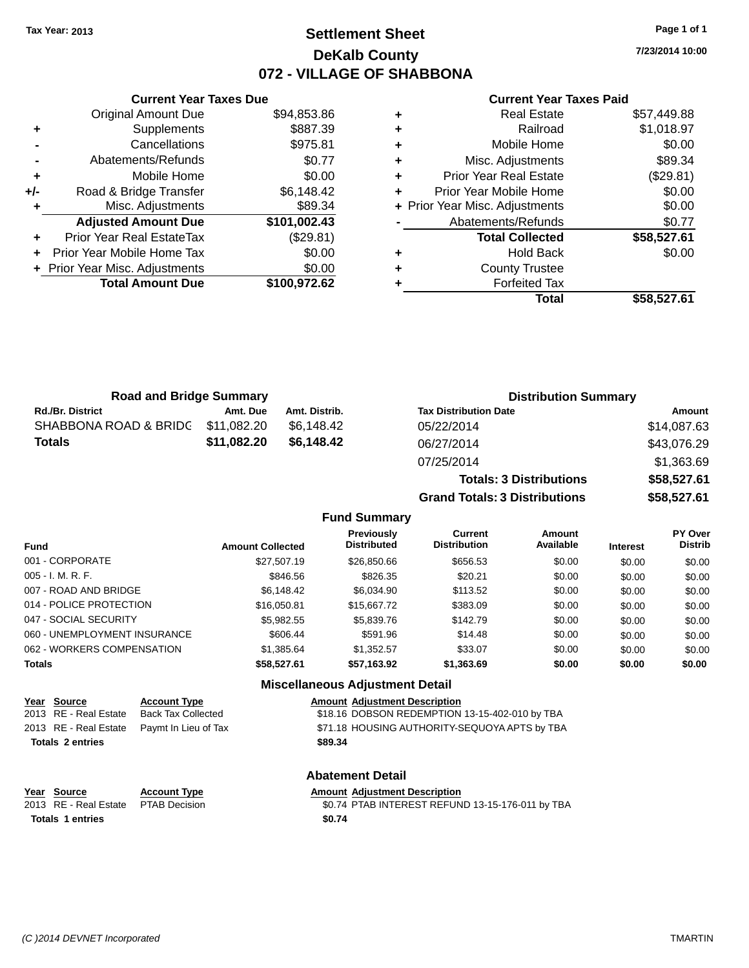### **Settlement Sheet Tax Year: 2013 Page 1 of 1 DeKalb County 072 - VILLAGE OF SHABBONA**

**7/23/2014 10:00**

#### **Current Year Taxes Paid**

|     | <b>Original Amount Due</b>     | \$94,853.86  |
|-----|--------------------------------|--------------|
| ÷   | Supplements                    | \$887.39     |
|     | Cancellations                  | \$975.81     |
|     | Abatements/Refunds             | \$0.77       |
| ٠   | Mobile Home                    | \$0.00       |
| +/- | Road & Bridge Transfer         | \$6,148.42   |
| ٠   | Misc. Adjustments              | \$89.34      |
|     | <b>Adjusted Amount Due</b>     | \$101,002.43 |
| ÷   | Prior Year Real EstateTax      | (\$29.81)    |
|     | Prior Year Mobile Home Tax     | \$0.00       |
|     | + Prior Year Misc. Adjustments | \$0.00       |
|     | <b>Total Amount Due</b>        | \$100,972.62 |
|     |                                |              |

**Current Year Taxes Due**

| <b>Real Estate</b>            | \$57,449.88                    |
|-------------------------------|--------------------------------|
| Railroad                      | \$1,018.97                     |
| Mobile Home                   | \$0.00                         |
| Misc. Adjustments             | \$89.34                        |
| <b>Prior Year Real Estate</b> | (\$29.81)                      |
| Prior Year Mobile Home        | \$0.00                         |
|                               | \$0.00                         |
| Abatements/Refunds            | \$0.77                         |
| <b>Total Collected</b>        | \$58,527.61                    |
| <b>Hold Back</b>              | \$0.00                         |
| <b>County Trustee</b>         |                                |
| <b>Forfeited Tax</b>          |                                |
| Total                         | \$58,527.61                    |
|                               | + Prior Year Misc. Adjustments |

**Totals: 3 Distributions \$58,527.61**

**Grand Totals: 3 Distributions \$58,527.61**

| <b>Road and Bridge Summary</b> |             |               | <b>Distribution Summary</b>  |             |
|--------------------------------|-------------|---------------|------------------------------|-------------|
| <b>Rd./Br. District</b>        | Amt. Due    | Amt. Distrib. | <b>Tax Distribution Date</b> | Amount      |
| SHABBONA ROAD & BRIDC          | \$11,082.20 | \$6.148.42    | 05/22/2014                   | \$14,087.63 |
| <b>Totals</b>                  | \$11,082.20 | \$6,148.42    | 06/27/2014                   | \$43,076.29 |
|                                |             |               | 07/25/2014                   | \$1,363.69  |

#### **Fund Summary Fund Interest Amount Collected Distributed PY Over Distrib Amount Available Current Distribution Previously** 001 - CORPORATE \$27,507.19 \$26,850.66 \$656.53 \$0.00 \$0.00 \$0.00 005 - I. M. R. F. \$846.56 \$826.35 \$20.21 \$0.00 \$0.00 \$0.00 007 - ROAD AND BRIDGE 60.00 \$6,148.42 \$6,034.90 \$113.52 \$0.00 \$0.00 \$0.00 \$0.00 014 - POLICE PROTECTION \$16,050.81 \$15,667.72 \$383.09 \$0.00 \$0.00 \$0.00 \$0.00 047 - SOCIAL SECURITY \$5,982.55 \$5,839.76 \$142.79 \$0.00 \$0.00 \$0.00 060 - UNEMPLOYMENT INSURANCE \$606.44 \$591.96 \$14.48 \$0.00 \$0.00 \$0.00 \$0.00 062 - WORKERS COMPENSATION \$1,385.64 \$1,352.57 \$33.07 \$0.00 \$0.00 \$0.00 \$0.00 **Totals \$58,527.61 \$57,163.92 \$1,363.69 \$0.00 \$0.00 \$0.00 Miscellaneous Adjustment Detail**

| Year Source             | <b>Account Type</b>                        |         | <b>Amount Adjustment Description</b> |
|-------------------------|--------------------------------------------|---------|--------------------------------------|
| 2013 RE - Real Estate   | <b>Back Tax Collected</b>                  |         | \$18.16 DOBSON REDEMPTION            |
|                         | 2013 RE - Real Estate Paymt In Lieu of Tax |         | \$71.18 HOUSING AUTHORITY-9          |
| <b>Totals 2 entries</b> |                                            | \$89.34 |                                      |
|                         |                                            |         | Ahatamant Datail                     |

| Year Source                         | <b>Account Type</b> | Amount |
|-------------------------------------|---------------------|--------|
| 2013 RE - Real Estate PTAB Decision |                     | \$0.74 |
| <b>Totals 1 entries</b>             |                     | \$0.74 |

FION 13-15-402-010 by TBA ITY-SEQUOYA APTS by TBA

#### **Abatement Detail**

#### **Amount Adjustment Description**

\$0.74 PTAB INTEREST REFUND 13-15-176-011 by TBA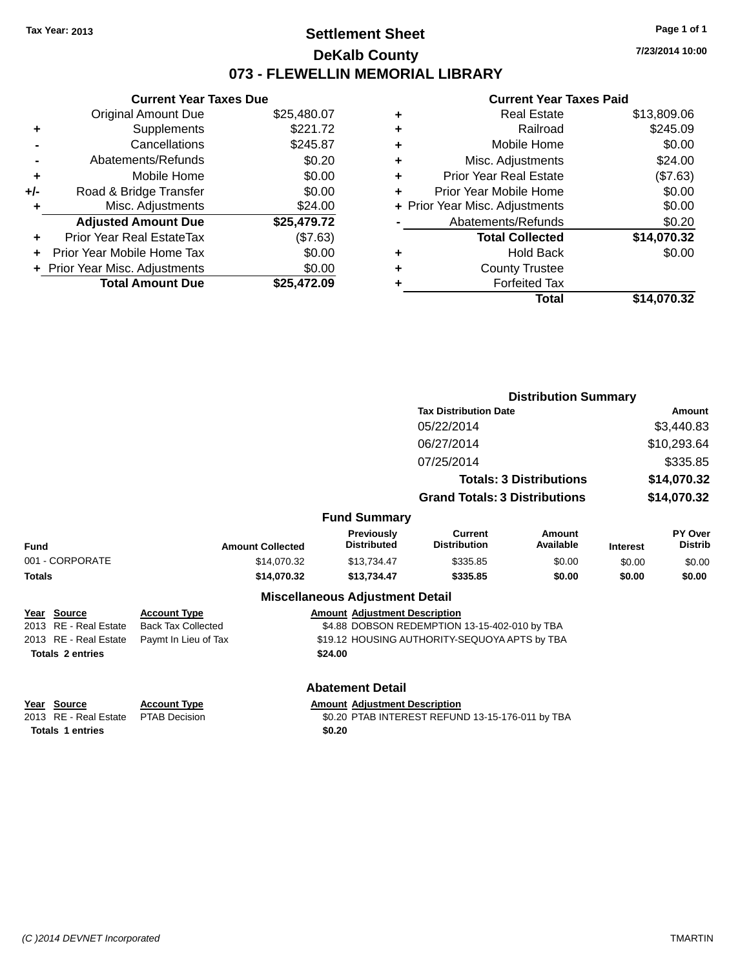### **Settlement Sheet Tax Year: 2013 Page 1 of 1 DeKalb County 073 - FLEWELLIN MEMORIAL LIBRARY**

**7/23/2014 10:00**

#### **Current Year Taxes Paid**

|     | <b>Current Year Taxes Due</b>  |             |
|-----|--------------------------------|-------------|
|     | <b>Original Amount Due</b>     | \$25,480.07 |
| ٠   | Supplements                    | \$221.72    |
|     | Cancellations                  | \$245.87    |
|     | Abatements/Refunds             | \$0.20      |
| ٠   | Mobile Home                    | \$0.00      |
| +/- | Road & Bridge Transfer         | \$0.00      |
|     | Misc. Adjustments              | \$24.00     |
|     | <b>Adjusted Amount Due</b>     | \$25,479.72 |
| ٠   | Prior Year Real EstateTax      | (\$7.63)    |
|     | Prior Year Mobile Home Tax     | \$0.00      |
|     | + Prior Year Misc. Adjustments | \$0.00      |
|     | <b>Total Amount Due</b>        | \$25,472.09 |
|     |                                |             |

| ٠ | <b>Real Estate</b>             | \$13,809.06 |
|---|--------------------------------|-------------|
| ٠ | Railroad                       | \$245.09    |
| ٠ | Mobile Home                    | \$0.00      |
| ٠ | Misc. Adjustments              | \$24.00     |
| ٠ | <b>Prior Year Real Estate</b>  | (\$7.63)    |
| ÷ | Prior Year Mobile Home         | \$0.00      |
|   | + Prior Year Misc. Adjustments | \$0.00      |
|   | Abatements/Refunds             | \$0.20      |
|   | <b>Total Collected</b>         | \$14,070.32 |
| ٠ | Hold Back                      | \$0.00      |
| ٠ | <b>County Trustee</b>          |             |
| ٠ | <b>Forfeited Tax</b>           |             |
|   | Total                          | \$14,070.32 |
|   |                                |             |

|                          |                           |                                         |                                                  | <b>Distribution Summary</b>    |                 |                           |  |
|--------------------------|---------------------------|-----------------------------------------|--------------------------------------------------|--------------------------------|-----------------|---------------------------|--|
|                          |                           |                                         | <b>Tax Distribution Date</b>                     |                                |                 | Amount                    |  |
|                          |                           |                                         | 05/22/2014                                       |                                |                 | \$3,440.83                |  |
|                          |                           |                                         | 06/27/2014                                       |                                |                 | \$10,293.64               |  |
|                          |                           |                                         | 07/25/2014                                       |                                |                 | \$335.85                  |  |
|                          |                           |                                         |                                                  | <b>Totals: 3 Distributions</b> |                 | \$14,070.32               |  |
|                          |                           |                                         | <b>Grand Totals: 3 Distributions</b>             |                                |                 | \$14,070.32               |  |
|                          |                           | <b>Fund Summary</b>                     |                                                  |                                |                 |                           |  |
| <b>Fund</b>              | <b>Amount Collected</b>   | <b>Previously</b><br><b>Distributed</b> | Current<br><b>Distribution</b>                   | Amount<br>Available            | <b>Interest</b> | PY Over<br><b>Distrib</b> |  |
| 001 - CORPORATE          | \$14,070.32               | \$13,734.47                             | \$335.85                                         | \$0.00                         | \$0.00          | \$0.00                    |  |
| <b>Totals</b>            | \$14,070.32               | \$13,734.47                             | \$335.85                                         | \$0.00                         | \$0.00          | \$0.00                    |  |
|                          |                           | <b>Miscellaneous Adjustment Detail</b>  |                                                  |                                |                 |                           |  |
| Source<br>Year           | <b>Account Type</b>       | <b>Amount Adjustment Description</b>    |                                                  |                                |                 |                           |  |
| 2013<br>RE - Real Estate | <b>Back Tax Collected</b> |                                         | \$4.88 DOBSON REDEMPTION 13-15-402-010 by TBA    |                                |                 |                           |  |
| 2013 RE - Real Estate    | Paymt In Lieu of Tax      |                                         | \$19.12 HOUSING AUTHORITY-SEQUOYA APTS by TBA    |                                |                 |                           |  |
| <b>Totals 2 entries</b>  |                           | \$24.00                                 |                                                  |                                |                 |                           |  |
|                          |                           | <b>Abatement Detail</b>                 |                                                  |                                |                 |                           |  |
| <b>Source</b><br>Year    | <b>Account Type</b>       | <b>Amount Adjustment Description</b>    |                                                  |                                |                 |                           |  |
| 2013 RE - Real Estate    | <b>PTAB Decision</b>      |                                         | \$0.20 PTAB INTEREST REFUND 13-15-176-011 by TBA |                                |                 |                           |  |

**Totals 1 entries \$0.20**

\$0.20 PTAB INTEREST REFUND 13-15-176-011 by TBA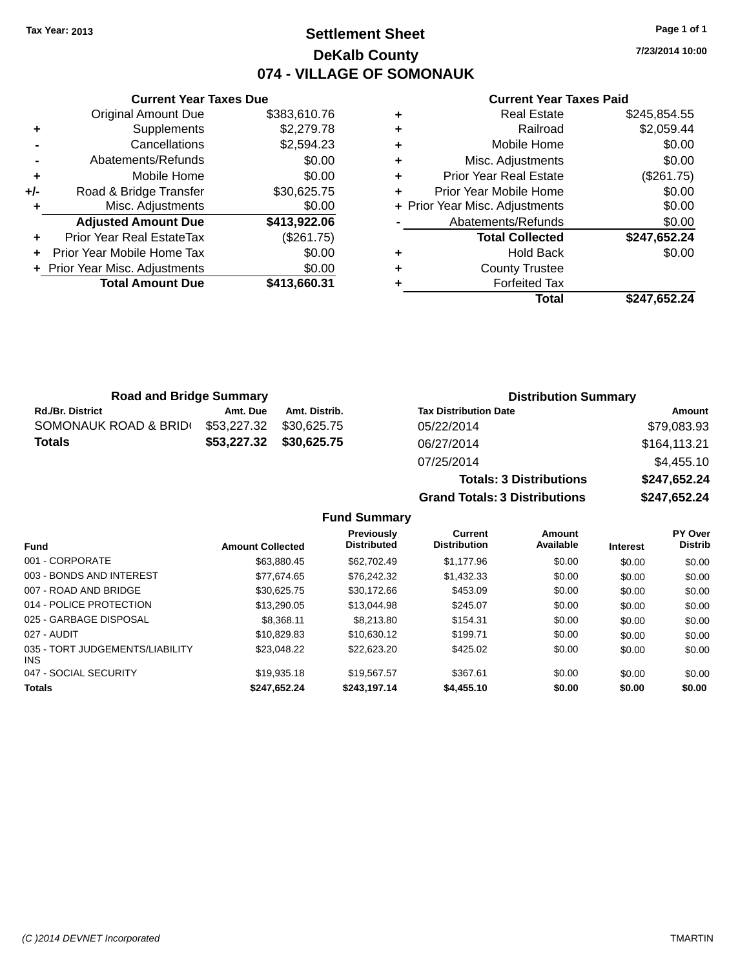### **Settlement Sheet Tax Year: 2013 Page 1 of 1 DeKalb County 074 - VILLAGE OF SOMONAUK**

**7/23/2014 10:00**

#### **Current Year Taxes Paid**

|     | <b>Current Year Taxes Due</b>  |              |
|-----|--------------------------------|--------------|
|     | <b>Original Amount Due</b>     | \$383,610.76 |
| ٠   | Supplements                    | \$2,279.78   |
|     | Cancellations                  | \$2,594.23   |
|     | Abatements/Refunds             | \$0.00       |
| ٠   | Mobile Home                    | \$0.00       |
| +/- | Road & Bridge Transfer         | \$30,625.75  |
|     | Misc. Adjustments              | \$0.00       |
|     | <b>Adjusted Amount Due</b>     | \$413,922.06 |
|     | Prior Year Real EstateTax      | (\$261.75)   |
|     | Prior Year Mobile Home Tax     | \$0.00       |
|     | + Prior Year Misc. Adjustments | \$0.00       |
|     | <b>Total Amount Due</b>        | \$413,660.31 |
|     |                                |              |

| ٠ | <b>Real Estate</b>             | \$245,854.55 |
|---|--------------------------------|--------------|
| ٠ | Railroad                       | \$2,059.44   |
| ٠ | Mobile Home                    | \$0.00       |
| ٠ | Misc. Adjustments              | \$0.00       |
| ٠ | <b>Prior Year Real Estate</b>  | (\$261.75)   |
| ٠ | Prior Year Mobile Home         | \$0.00       |
|   | + Prior Year Misc. Adjustments | \$0.00       |
|   | Abatements/Refunds             | \$0.00       |
|   | <b>Total Collected</b>         | \$247,652.24 |
| ٠ | <b>Hold Back</b>               | \$0.00       |
| ٠ | <b>County Trustee</b>          |              |
|   | <b>Forfeited Tax</b>           |              |
|   | Total                          | \$247,652.24 |

| <b>Road and Bridge Summary</b> |             |                         | <b>Distribution Summary</b>  |              |
|--------------------------------|-------------|-------------------------|------------------------------|--------------|
| <b>Rd./Br. District</b>        | Amt. Due    | Amt. Distrib.           | <b>Tax Distribution Date</b> | Amount       |
| SOMONAUK ROAD & BRID(          | \$53.227.32 | \$30.625.75             | 05/22/2014                   | \$79,083.93  |
| <b>Totals</b>                  |             | \$53,227.32 \$30,625.75 | 06/27/2014                   | \$164,113.21 |
|                                |             |                         | 07/25/2014                   | \$4,455.10   |

# **Totals: 3 Distributions \$247,652.24 Grand Totals: 3 Distributions \$247,652.24**

|                                               |                         | <b>Previously</b>  | Current             | Amount    |                 | <b>PY Over</b> |
|-----------------------------------------------|-------------------------|--------------------|---------------------|-----------|-----------------|----------------|
| <b>Fund</b>                                   | <b>Amount Collected</b> | <b>Distributed</b> | <b>Distribution</b> | Available | <b>Interest</b> | <b>Distrib</b> |
| 001 - CORPORATE                               | \$63.880.45             | \$62,702.49        | \$1,177.96          | \$0.00    | \$0.00          | \$0.00         |
| 003 - BONDS AND INTEREST                      | \$77.674.65             | \$76.242.32        | \$1,432.33          | \$0.00    | \$0.00          | \$0.00         |
| 007 - ROAD AND BRIDGE                         | \$30.625.75             | \$30,172.66        | \$453.09            | \$0.00    | \$0.00          | \$0.00         |
| 014 - POLICE PROTECTION                       | \$13,290.05             | \$13,044.98        | \$245.07            | \$0.00    | \$0.00          | \$0.00         |
| 025 - GARBAGE DISPOSAL                        | \$8,368.11              | \$8,213,80         | \$154.31            | \$0.00    | \$0.00          | \$0.00         |
| 027 - AUDIT                                   | \$10.829.83             | \$10.630.12        | \$199.71            | \$0.00    | \$0.00          | \$0.00         |
| 035 - TORT JUDGEMENTS/LIABILITY<br><b>INS</b> | \$23,048.22             | \$22,623.20        | \$425.02            | \$0.00    | \$0.00          | \$0.00         |
| 047 - SOCIAL SECURITY                         | \$19,935.18             | \$19.567.57        | \$367.61            | \$0.00    | \$0.00          | \$0.00         |
| <b>Totals</b>                                 | \$247,652.24            | \$243,197.14       | \$4,455.10          | \$0.00    | \$0.00          | \$0.00         |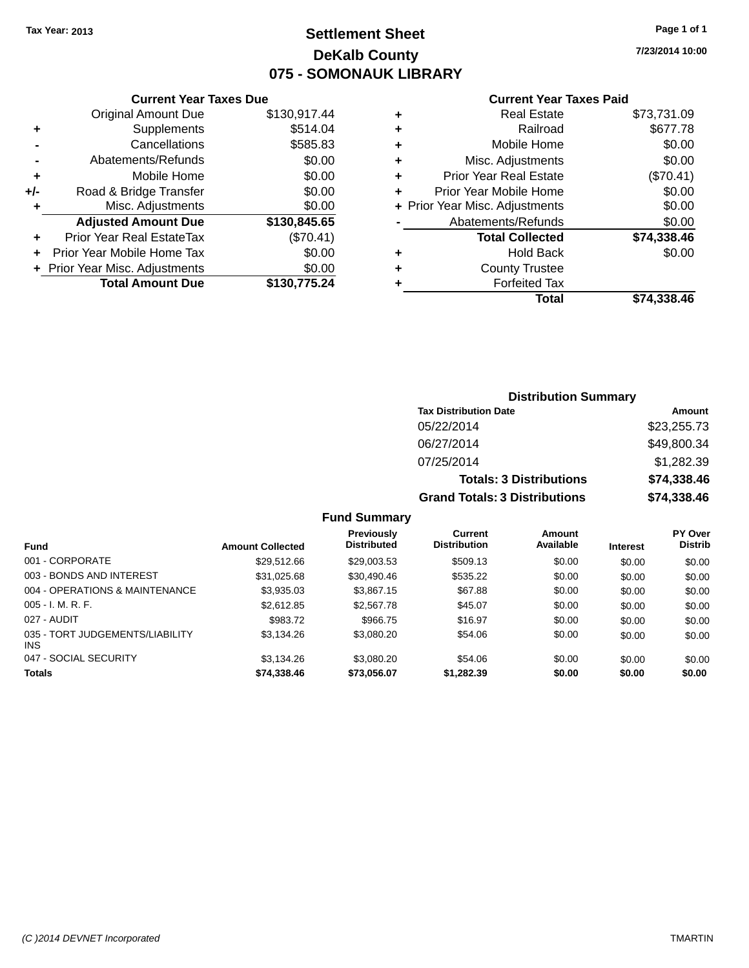## **Settlement Sheet Tax Year: 2013 Page 1 of 1 DeKalb County 075 - SOMONAUK LIBRARY**

**7/23/2014 10:00**

|     | <b>Current Year Taxes Due</b>  |              |
|-----|--------------------------------|--------------|
|     | <b>Original Amount Due</b>     | \$130,917.44 |
| ٠   | Supplements                    | \$514.04     |
|     | Cancellations                  | \$585.83     |
|     | Abatements/Refunds             | \$0.00       |
| ٠   | Mobile Home                    | \$0.00       |
| +/- | Road & Bridge Transfer         | \$0.00       |
| ٠   | Misc. Adjustments              | \$0.00       |
|     | <b>Adjusted Amount Due</b>     | \$130,845.65 |
|     | Prior Year Real EstateTax      | (\$70.41)    |
| ÷   | Prior Year Mobile Home Tax     | \$0.00       |
|     | + Prior Year Misc. Adjustments | \$0.00       |
|     | <b>Total Amount Due</b>        | \$130,775.24 |
|     |                                |              |

#### **Current Year Taxes Paid**

|   | Total                          | \$74,338.46 |
|---|--------------------------------|-------------|
| ٠ | <b>Forfeited Tax</b>           |             |
| ٠ | <b>County Trustee</b>          |             |
| ٠ | Hold Back                      | \$0.00      |
|   | <b>Total Collected</b>         | \$74,338.46 |
|   | Abatements/Refunds             | \$0.00      |
|   | + Prior Year Misc. Adjustments | \$0.00      |
| ٠ | Prior Year Mobile Home         | \$0.00      |
| ٠ | <b>Prior Year Real Estate</b>  | (\$70.41)   |
| ٠ | Misc. Adjustments              | \$0.00      |
| ٠ | Mobile Home                    | \$0.00      |
| ٠ | Railroad                       | \$677.78    |
| ٠ | <b>Real Estate</b>             | \$73,731.09 |

### **Distribution Summary Tax Distribution Date Amount** 05/22/2014 \$23,255.73 06/27/2014 \$49,800.34 07/25/2014 \$1,282.39 **Totals: 3 Distributions \$74,338.46 Grand Totals: 3 Distributions \$74,338.46**

| <b>Fund</b>                                   | <b>Amount Collected</b> | Previously<br><b>Distributed</b> | Current<br><b>Distribution</b> | Amount<br>Available | <b>Interest</b> | <b>PY Over</b><br><b>Distrib</b> |
|-----------------------------------------------|-------------------------|----------------------------------|--------------------------------|---------------------|-----------------|----------------------------------|
| 001 - CORPORATE                               | \$29.512.66             | \$29,003.53                      | \$509.13                       | \$0.00              | \$0.00          | \$0.00                           |
| 003 - BONDS AND INTEREST                      | \$31,025.68             | \$30,490.46                      | \$535.22                       | \$0.00              | \$0.00          | \$0.00                           |
| 004 - OPERATIONS & MAINTENANCE                | \$3,935.03              | \$3,867.15                       | \$67.88                        | \$0.00              | \$0.00          | \$0.00                           |
| $005 - I. M. R. F.$                           | \$2,612.85              | \$2,567.78                       | \$45.07                        | \$0.00              | \$0.00          | \$0.00                           |
| 027 - AUDIT                                   | \$983.72                | \$966.75                         | \$16.97                        | \$0.00              | \$0.00          | \$0.00                           |
| 035 - TORT JUDGEMENTS/LIABILITY<br><b>INS</b> | \$3.134.26              | \$3,080.20                       | \$54.06                        | \$0.00              | \$0.00          | \$0.00                           |
| 047 - SOCIAL SECURITY                         | \$3.134.26              | \$3,080.20                       | \$54.06                        | \$0.00              | \$0.00          | \$0.00                           |
| <b>Totals</b>                                 | \$74,338.46             | \$73.056.07                      | \$1,282.39                     | \$0.00              | \$0.00          | \$0.00                           |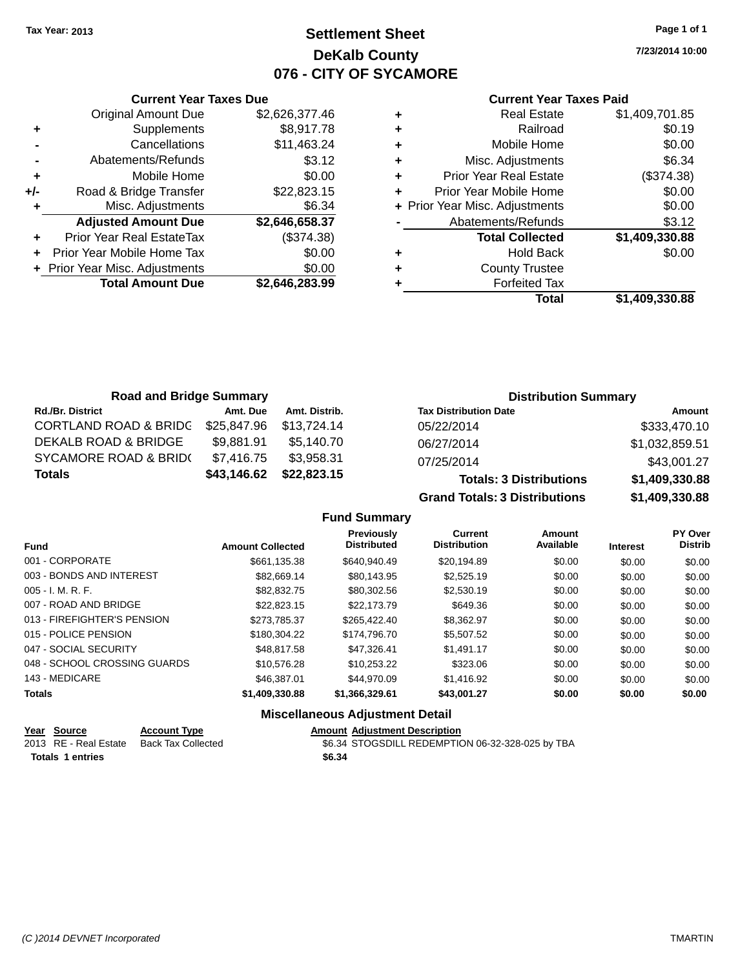# **Settlement Sheet Tax Year: 2013 Page 1 of 1 DeKalb County 076 - CITY OF SYCAMORE**

**7/23/2014 10:00**

### **Current Year Taxes Paid**

|     | <b>Current Year Taxes Due</b>  |                |
|-----|--------------------------------|----------------|
|     | <b>Original Amount Due</b>     | \$2,626,377.46 |
| ٠   | Supplements                    | \$8,917.78     |
|     | Cancellations                  | \$11,463.24    |
|     | Abatements/Refunds             | \$3.12         |
| ٠   | Mobile Home                    | \$0.00         |
| +/- | Road & Bridge Transfer         | \$22,823.15    |
|     | Misc. Adjustments              | \$6.34         |
|     | <b>Adjusted Amount Due</b>     | \$2,646,658.37 |
| ÷   | Prior Year Real EstateTax      | (\$374.38)     |
|     | Prior Year Mobile Home Tax     | \$0.00         |
|     | + Prior Year Misc. Adjustments | \$0.00         |
|     | <b>Total Amount Due</b>        | \$2,646,283.99 |
|     |                                |                |

| ٠ | <b>Real Estate</b>             | \$1,409,701.85 |
|---|--------------------------------|----------------|
| ٠ | Railroad                       | \$0.19         |
| ٠ | Mobile Home                    | \$0.00         |
| ٠ | Misc. Adjustments              | \$6.34         |
| ٠ | <b>Prior Year Real Estate</b>  | (\$374.38)     |
| ٠ | Prior Year Mobile Home         | \$0.00         |
|   | + Prior Year Misc. Adjustments | \$0.00         |
|   | Abatements/Refunds             | \$3.12         |
|   | <b>Total Collected</b>         | \$1,409,330.88 |
| ٠ | Hold Back                      | \$0.00         |
| ٠ | <b>County Trustee</b>          |                |
| ٠ | <b>Forfeited Tax</b>           |                |
|   | Total                          | \$1,409,330.88 |
|   |                                |                |

| <b>Road and Bridge Summary</b>   |             |               | <b>Distribution Summary</b>    |                |  |
|----------------------------------|-------------|---------------|--------------------------------|----------------|--|
| <b>Rd./Br. District</b>          | Amt. Due    | Amt. Distrib. | <b>Tax Distribution Date</b>   | Amount         |  |
| <b>CORTLAND ROAD &amp; BRIDG</b> | \$25,847.96 | \$13,724.14   | 05/22/2014                     | \$333,470.10   |  |
| DEKALB ROAD & BRIDGE             | \$9,881.91  | \$5.140.70    | 06/27/2014                     | \$1,032,859.51 |  |
| <b>SYCAMORE ROAD &amp; BRID(</b> | \$7,416.75  | \$3.958.31    | 07/25/2014                     | \$43,001.27    |  |
| <b>Totals</b>                    | \$43,146.62 | \$22,823.15   | <b>Totals: 3 Distributions</b> | \$1,409,330.88 |  |

**Grand Totals: 3 Distributions \$1,409,330.88**

## **Fund Summary**

| <b>Fund</b>                  | <b>Amount Collected</b> | Previously<br><b>Distributed</b> | <b>Current</b><br><b>Distribution</b> | Amount<br>Available | <b>Interest</b> | <b>PY Over</b><br><b>Distrib</b> |
|------------------------------|-------------------------|----------------------------------|---------------------------------------|---------------------|-----------------|----------------------------------|
| 001 - CORPORATE              | \$661.135.38            | \$640.940.49                     | \$20.194.89                           | \$0.00              | \$0.00          | \$0.00                           |
| 003 - BONDS AND INTEREST     | \$82.669.14             | \$80.143.95                      | \$2.525.19                            | \$0.00              | \$0.00          | \$0.00                           |
| $005 - I. M. R. F.$          | \$82.832.75             | \$80,302.56                      | \$2,530.19                            | \$0.00              | \$0.00          | \$0.00                           |
| 007 - ROAD AND BRIDGE        | \$22.823.15             | \$22.173.79                      | \$649.36                              | \$0.00              | \$0.00          | \$0.00                           |
| 013 - FIREFIGHTER'S PENSION  | \$273.785.37            | \$265,422,40                     | \$8.362.97                            | \$0.00              | \$0.00          | \$0.00                           |
| 015 - POLICE PENSION         | \$180,304.22            | \$174,796.70                     | \$5,507.52                            | \$0.00              | \$0.00          | \$0.00                           |
| 047 - SOCIAL SECURITY        | \$48,817.58             | \$47.326.41                      | \$1.491.17                            | \$0.00              | \$0.00          | \$0.00                           |
| 048 - SCHOOL CROSSING GUARDS | \$10,576.28             | \$10.253.22                      | \$323.06                              | \$0.00              | \$0.00          | \$0.00                           |
| 143 - MEDICARE               | \$46,387.01             | \$44,970.09                      | \$1.416.92                            | \$0.00              | \$0.00          | \$0.00                           |
| <b>Totals</b>                | \$1,409,330.88          | \$1,366,329.61                   | \$43,001.27                           | \$0.00              | \$0.00          | \$0.00                           |

## **Miscellaneous Adjustment Detail**

| Year Source             | <b>Account Type</b> | <b>Amount Adiustment Description</b>             |
|-------------------------|---------------------|--------------------------------------------------|
| 2013 RE - Real Estate   | Back Tax Collected  | \$6.34 STOGSDILL REDEMPTION 06-32-328-025 by TBA |
| <b>Totals 1 entries</b> |                     | \$6.34                                           |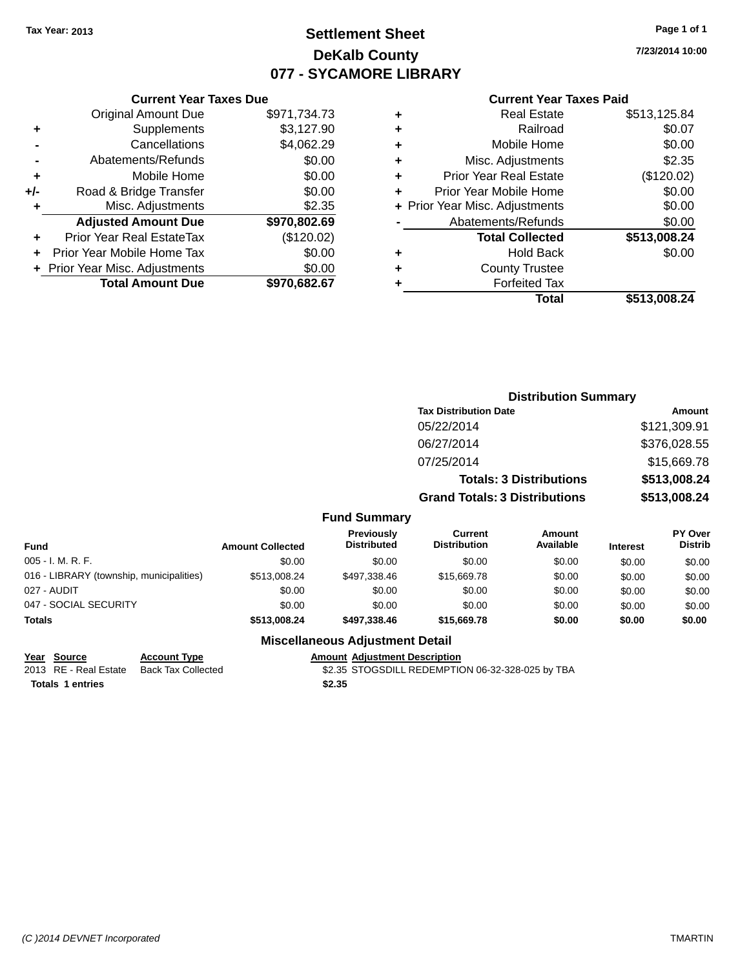# **Settlement Sheet Tax Year: 2013 Page 1 of 1 DeKalb County 077 - SYCAMORE LIBRARY**

**7/23/2014 10:00**

### **Current Year Taxes Paid**

|     | <b>Original Amount Due</b>     | \$971,734.73 |
|-----|--------------------------------|--------------|
| ٠   | Supplements                    | \$3,127.90   |
|     | Cancellations                  | \$4,062.29   |
|     | Abatements/Refunds             | \$0.00       |
| ÷   | Mobile Home                    | \$0.00       |
| +/- | Road & Bridge Transfer         | \$0.00       |
| ٠   | Misc. Adjustments              | \$2.35       |
|     | <b>Adjusted Amount Due</b>     | \$970,802.69 |
| ÷   | Prior Year Real EstateTax      | (\$120.02)   |
|     | Prior Year Mobile Home Tax     | \$0.00       |
|     | + Prior Year Misc. Adjustments | \$0.00       |
|     | <b>Total Amount Due</b>        | \$970,682.67 |
|     |                                |              |

**Current Year Taxes Due**

| ٠ | <b>Real Estate</b>             | \$513,125.84 |
|---|--------------------------------|--------------|
| ٠ | Railroad                       | \$0.07       |
| ٠ | Mobile Home                    | \$0.00       |
| ٠ | Misc. Adjustments              | \$2.35       |
| ٠ | <b>Prior Year Real Estate</b>  | (\$120.02)   |
| ٠ | Prior Year Mobile Home         | \$0.00       |
|   | + Prior Year Misc. Adjustments | \$0.00       |
|   | Abatements/Refunds             | \$0.00       |
|   | <b>Total Collected</b>         | \$513,008.24 |
| ٠ | <b>Hold Back</b>               | \$0.00       |
| ٠ | <b>County Trustee</b>          |              |
| ٠ | <b>Forfeited Tax</b>           |              |
|   | Total                          | \$513,008.24 |
|   |                                |              |

# **Distribution Summary Tax Distribution Date Amount** 05/22/2014 \$121,309.91 06/27/2014 \$376,028.55 07/25/2014 \$15,669.78 **Totals: 3 Distributions \$513,008.24 Grand Totals: 3 Distributions \$513,008.24 Fund Summary**

| <b>Fund</b>                              | <b>Amount Collected</b> | <b>Previously</b><br><b>Distributed</b> | Current<br><b>Distribution</b> | Amount<br>Available | <b>Interest</b> | PY Over<br><b>Distrib</b> |
|------------------------------------------|-------------------------|-----------------------------------------|--------------------------------|---------------------|-----------------|---------------------------|
| $005 - I. M. R. F.$                      | \$0.00                  | \$0.00                                  | \$0.00                         | \$0.00              | \$0.00          | \$0.00                    |
| 016 - LIBRARY (township, municipalities) | \$513,008.24            | \$497.338.46                            | \$15,669.78                    | \$0.00              | \$0.00          | \$0.00                    |
| 027 - AUDIT                              | \$0.00                  | \$0.00                                  | \$0.00                         | \$0.00              | \$0.00          | \$0.00                    |
| 047 - SOCIAL SECURITY                    | \$0.00                  | \$0.00                                  | \$0.00                         | \$0.00              | \$0.00          | \$0.00                    |
| <b>Totals</b>                            | \$513,008.24            | \$497,338.46                            | \$15,669.78                    | \$0.00              | \$0.00          | \$0.00                    |

## **Miscellaneous Adjustment Detail**

### **Year Source Account Type Amount Adjustment Description**

2013 RE - Real Estate Back Tax Collected \$2.35 STOGSDILL REDEMPTION 06-32-328-025 by TBA **Totals 1 entries \$2.35**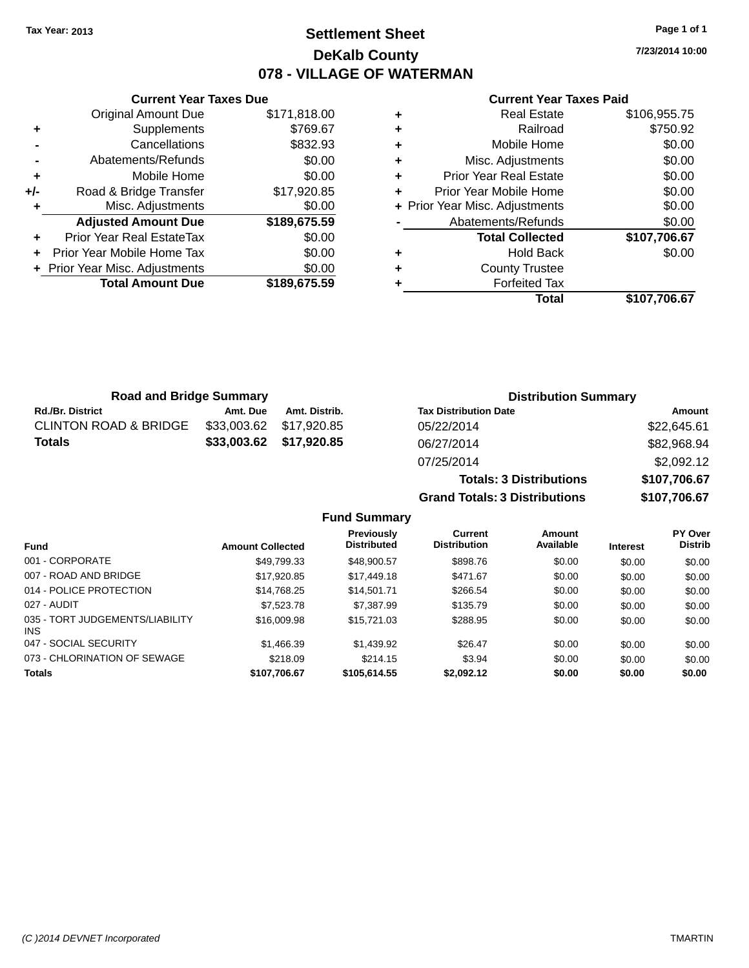# **Settlement Sheet Tax Year: 2013 Page 1 of 1 DeKalb County 078 - VILLAGE OF WATERMAN**

**7/23/2014 10:00**

## **Current Year Taxes Paid**

|     | <b>Current Year Taxes Due</b>  |              |
|-----|--------------------------------|--------------|
|     | <b>Original Amount Due</b>     | \$171,818.00 |
| ٠   | Supplements                    | \$769.67     |
|     | Cancellations                  | \$832.93     |
|     | Abatements/Refunds             | \$0.00       |
| ٠   | Mobile Home                    | \$0.00       |
| +/- | Road & Bridge Transfer         | \$17,920.85  |
|     | Misc. Adjustments              | \$0.00       |
|     | <b>Adjusted Amount Due</b>     | \$189,675.59 |
| ٠   | Prior Year Real EstateTax      | \$0.00       |
|     | Prior Year Mobile Home Tax     | \$0.00       |
|     | + Prior Year Misc. Adjustments | \$0.00       |
|     | <b>Total Amount Due</b>        | \$189,675.59 |
|     |                                |              |

| <b>Real Estate</b>             | \$106,955.75 |
|--------------------------------|--------------|
| Railroad                       | \$750.92     |
| Mobile Home                    | \$0.00       |
| Misc. Adjustments              | \$0.00       |
| <b>Prior Year Real Estate</b>  | \$0.00       |
| Prior Year Mobile Home         | \$0.00       |
| + Prior Year Misc. Adjustments | \$0.00       |
| Abatements/Refunds             | \$0.00       |
| <b>Total Collected</b>         | \$107,706.67 |
| <b>Hold Back</b>               | \$0.00       |
| <b>County Trustee</b>          |              |
| <b>Forfeited Tax</b>           |              |
| Total                          | \$107,706.67 |
|                                |              |

| <b>Road and Bridge Summary</b>   |             |                         | <b>Distribution Summary</b>    |              |  |
|----------------------------------|-------------|-------------------------|--------------------------------|--------------|--|
| <b>Rd./Br. District</b>          | Amt. Due    | Amt. Distrib.           | <b>Tax Distribution Date</b>   | Amount       |  |
| <b>CLINTON ROAD &amp; BRIDGE</b> | \$33,003.62 | \$17,920.85             | 05/22/2014                     | \$22,645.61  |  |
| Totals                           |             | \$33,003.62 \$17,920.85 | 06/27/2014                     | \$82,968.94  |  |
|                                  |             |                         | 07/25/2014                     | \$2,092.12   |  |
|                                  |             |                         | <b>Totals: 3 Distributions</b> | \$107,706.67 |  |

**Grand Totals: 3 Distributions \$107,706.67**

| <b>Fund</b>                             | <b>Amount Collected</b> | Previously<br><b>Distributed</b> | Current<br><b>Distribution</b> | Amount<br>Available | <b>Interest</b> | PY Over<br><b>Distrib</b> |
|-----------------------------------------|-------------------------|----------------------------------|--------------------------------|---------------------|-----------------|---------------------------|
| 001 - CORPORATE                         | \$49,799.33             | \$48,900.57                      | \$898.76                       | \$0.00              | \$0.00          | \$0.00                    |
| 007 - ROAD AND BRIDGE                   | \$17,920.85             | \$17,449.18                      | \$471.67                       | \$0.00              | \$0.00          | \$0.00                    |
| 014 - POLICE PROTECTION                 | \$14,768.25             | \$14,501.71                      | \$266.54                       | \$0.00              | \$0.00          | \$0.00                    |
| 027 - AUDIT                             | \$7,523,78              | \$7,387.99                       | \$135.79                       | \$0.00              | \$0.00          | \$0.00                    |
| 035 - TORT JUDGEMENTS/LIABILITY<br>INS. | \$16,009.98             | \$15,721.03                      | \$288.95                       | \$0.00              | \$0.00          | \$0.00                    |
| 047 - SOCIAL SECURITY                   | \$1,466.39              | \$1,439.92                       | \$26.47                        | \$0.00              | \$0.00          | \$0.00                    |
| 073 - CHLORINATION OF SEWAGE            | \$218.09                | \$214.15                         | \$3.94                         | \$0.00              | \$0.00          | \$0.00                    |
| <b>Totals</b>                           | \$107,706.67            | \$105,614.55                     | \$2,092.12                     | \$0.00              | \$0.00          | \$0.00                    |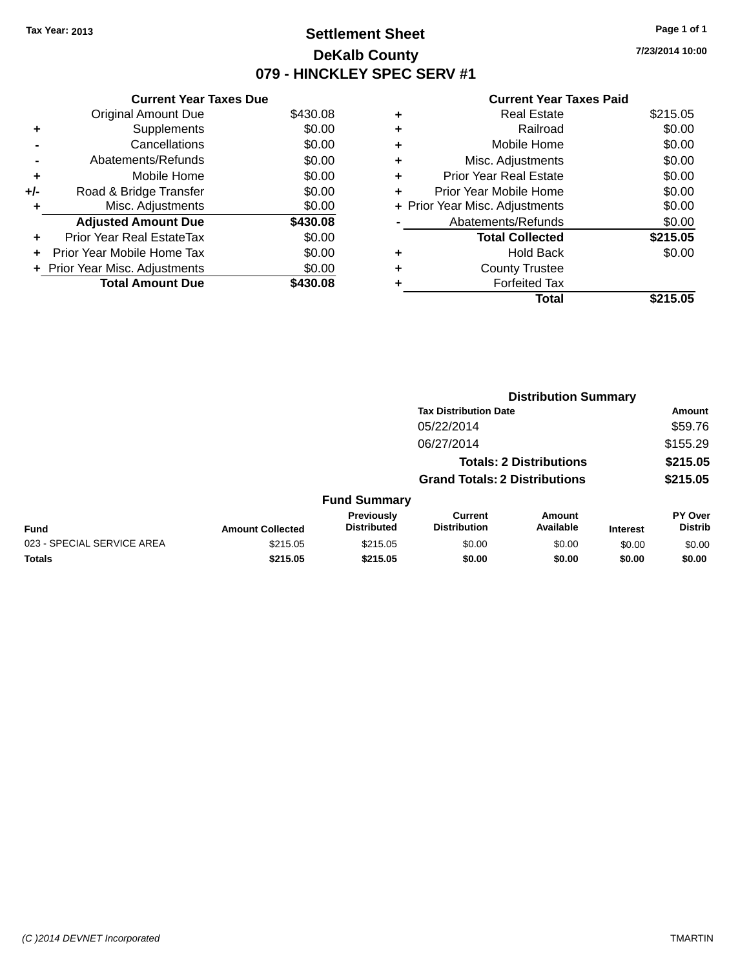# **Settlement Sheet Tax Year: 2013 Page 1 of 1 DeKalb County 079 - HINCKLEY SPEC SERV #1**

**7/23/2014 10:00**

### **Current Year Taxes Paid**

| <b>Current Year Taxes Due</b> |                              |
|-------------------------------|------------------------------|
| <b>Original Amount Due</b>    | \$430.08                     |
| Supplements                   | \$0.00                       |
| Cancellations                 | \$0.00                       |
| Abatements/Refunds            | \$0.00                       |
| Mobile Home                   | \$0.00                       |
| Road & Bridge Transfer        | \$0.00                       |
| Misc. Adjustments             | \$0.00                       |
| <b>Adjusted Amount Due</b>    | \$430.08                     |
| Prior Year Real EstateTax     | \$0.00                       |
| Prior Year Mobile Home Tax    | \$0.00                       |
|                               | \$0.00                       |
| <b>Total Amount Due</b>       | \$430.08                     |
|                               | Prior Year Misc. Adjustments |

|   | Total                          | \$215.05 |
|---|--------------------------------|----------|
|   | <b>Forfeited Tax</b>           |          |
| ٠ | <b>County Trustee</b>          |          |
| ٠ | <b>Hold Back</b>               | \$0.00   |
|   | <b>Total Collected</b>         | \$215.05 |
|   | Abatements/Refunds             | \$0.00   |
|   | + Prior Year Misc. Adjustments | \$0.00   |
| ٠ | Prior Year Mobile Home         | \$0.00   |
| ÷ | <b>Prior Year Real Estate</b>  | \$0.00   |
| ٠ | Misc. Adjustments              | \$0.00   |
| ÷ | Mobile Home                    | \$0.00   |
| ٠ | Railroad                       | \$0.00   |
| ٠ | <b>Real Estate</b>             | \$215.05 |
|   |                                |          |

|                            |                         |                                  |                                       | <b>Distribution Summary</b>    |                 |                           |
|----------------------------|-------------------------|----------------------------------|---------------------------------------|--------------------------------|-----------------|---------------------------|
|                            |                         |                                  | <b>Tax Distribution Date</b>          |                                |                 | Amount                    |
|                            |                         |                                  | 05/22/2014                            |                                |                 | \$59.76                   |
|                            |                         |                                  | 06/27/2014                            |                                |                 | \$155.29                  |
|                            |                         |                                  |                                       | <b>Totals: 2 Distributions</b> |                 | \$215.05                  |
|                            |                         |                                  | <b>Grand Totals: 2 Distributions</b>  |                                |                 | \$215.05                  |
|                            |                         | <b>Fund Summary</b>              |                                       |                                |                 |                           |
| <b>Fund</b>                | <b>Amount Collected</b> | Previously<br><b>Distributed</b> | <b>Current</b><br><b>Distribution</b> | <b>Amount</b><br>Available     | <b>Interest</b> | PY Over<br><b>Distrib</b> |
| 023 - SPECIAL SERVICE AREA | \$215.05                | \$215.05                         | \$0.00                                | \$0.00                         | \$0.00          | \$0.00                    |
| <b>Totals</b>              | \$215.05                | \$215.05                         | \$0.00                                | \$0.00                         | \$0.00          | \$0.00                    |
|                            |                         |                                  |                                       |                                |                 |                           |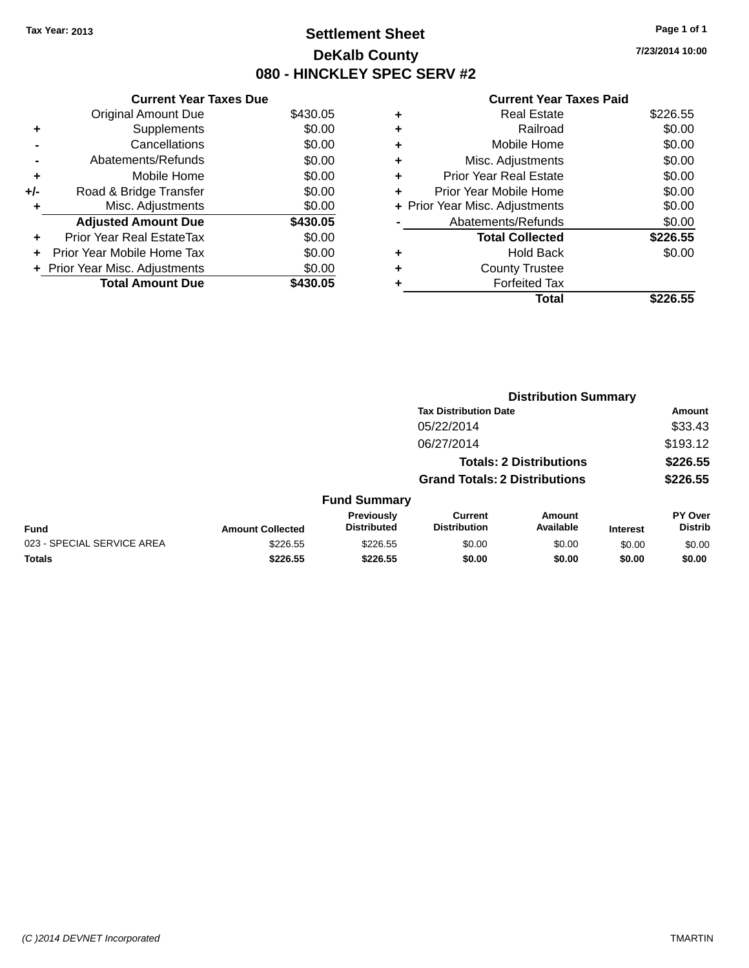# **Settlement Sheet Tax Year: 2013 Page 1 of 1 DeKalb County 080 - HINCKLEY SPEC SERV #2**

**7/23/2014 10:00**

### **Current Year Taxes Paid**

|     | <b>Current Year Taxes Due</b>    |          |
|-----|----------------------------------|----------|
|     | <b>Original Amount Due</b>       | \$430.05 |
| ٠   | Supplements                      | \$0.00   |
|     | Cancellations                    | \$0.00   |
|     | Abatements/Refunds               | \$0.00   |
| ٠   | Mobile Home                      | \$0.00   |
| +/- | Road & Bridge Transfer           | \$0.00   |
| ٠   | Misc. Adjustments                | \$0.00   |
|     | <b>Adjusted Amount Due</b>       | \$430.05 |
| ٠   | <b>Prior Year Real EstateTax</b> | \$0.00   |
| ٠   | Prior Year Mobile Home Tax       | \$0.00   |
|     | + Prior Year Misc. Adjustments   | \$0.00   |
|     | <b>Total Amount Due</b>          | \$430.05 |

|   | <b>Real Estate</b>             | \$226.55 |
|---|--------------------------------|----------|
| ٠ | Railroad                       | \$0.00   |
| ٠ | Mobile Home                    | \$0.00   |
| ٠ | Misc. Adjustments              | \$0.00   |
| ٠ | <b>Prior Year Real Estate</b>  | \$0.00   |
| ٠ | Prior Year Mobile Home         | \$0.00   |
|   | + Prior Year Misc. Adjustments | \$0.00   |
|   | Abatements/Refunds             | \$0.00   |
|   | <b>Total Collected</b>         | \$226.55 |
| ٠ | Hold Back                      | \$0.00   |
|   | <b>County Trustee</b>          |          |
| ٠ | <b>Forfeited Tax</b>           |          |
|   | Total                          | \$226.55 |
|   |                                |          |

|                            |                         |                                  |                                       | <b>Distribution Summary</b>    |                 |                           |
|----------------------------|-------------------------|----------------------------------|---------------------------------------|--------------------------------|-----------------|---------------------------|
|                            |                         |                                  | <b>Tax Distribution Date</b>          |                                |                 | <b>Amount</b>             |
|                            |                         |                                  | 05/22/2014                            |                                |                 | \$33.43                   |
|                            |                         |                                  | 06/27/2014                            |                                |                 | \$193.12                  |
|                            |                         |                                  |                                       | <b>Totals: 2 Distributions</b> |                 | \$226.55                  |
|                            |                         |                                  | <b>Grand Totals: 2 Distributions</b>  |                                |                 | \$226.55                  |
|                            |                         | <b>Fund Summary</b>              |                                       |                                |                 |                           |
| <b>Fund</b>                | <b>Amount Collected</b> | Previously<br><b>Distributed</b> | <b>Current</b><br><b>Distribution</b> | <b>Amount</b><br>Available     | <b>Interest</b> | PY Over<br><b>Distrib</b> |
| 023 - SPECIAL SERVICE AREA | \$226.55                | \$226.55                         | \$0.00                                | \$0.00                         | \$0.00          | \$0.00                    |
| <b>Totals</b>              | \$226.55                | \$226.55                         | \$0.00                                | \$0.00                         | \$0.00          | \$0.00                    |
|                            |                         |                                  |                                       |                                |                 |                           |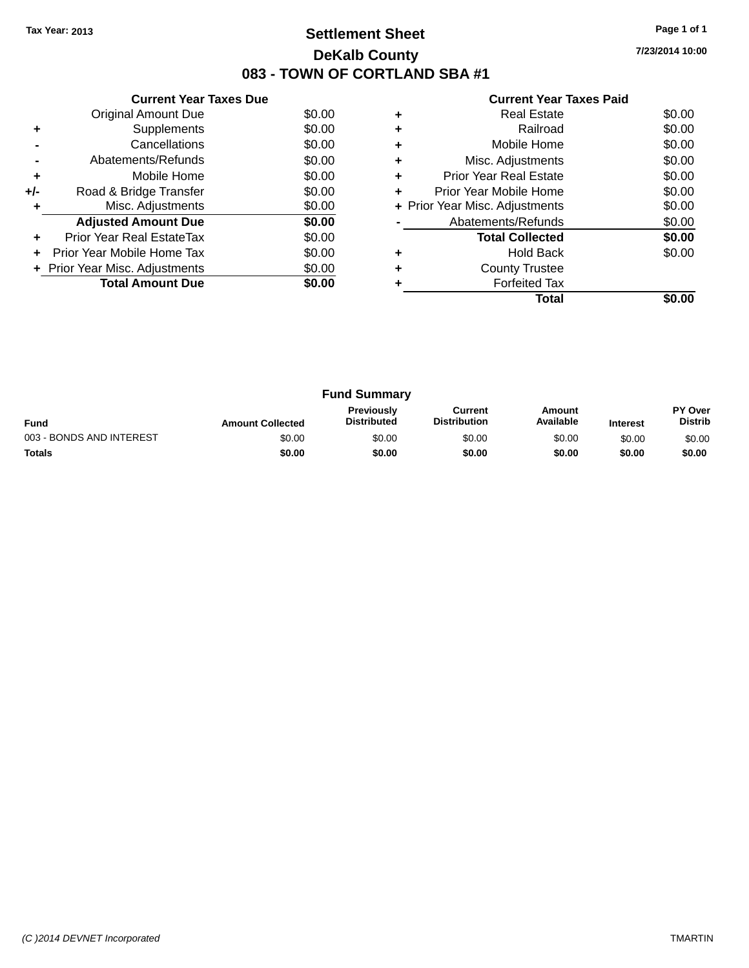# **Settlement Sheet Tax Year: 2013 Page 1 of 1 DeKalb County 083 - TOWN OF CORTLAND SBA #1**

**7/23/2014 10:00**

|       | <b>Current Year Taxes Due</b>  |        |
|-------|--------------------------------|--------|
|       | Original Amount Due            | \$0.00 |
|       | Supplements                    | \$0.00 |
|       | Cancellations                  | \$0.00 |
|       | Abatements/Refunds             | \$0.00 |
| ٠     | Mobile Home                    | \$0.00 |
| $+/-$ | Road & Bridge Transfer         | \$0.00 |
|       | Misc. Adjustments              | \$0.00 |
|       | <b>Adjusted Amount Due</b>     | \$0.00 |
|       | Prior Year Real EstateTax      | \$0.00 |
|       | Prior Year Mobile Home Tax     | \$0.00 |
|       | + Prior Year Misc. Adjustments | \$0.00 |
|       | <b>Total Amount Due</b>        | \$0.00 |
|       |                                |        |

|   | <b>Current Year Taxes Paid</b> |        |
|---|--------------------------------|--------|
| ٠ | <b>Real Estate</b>             | \$0.00 |
|   | Railroad                       | \$0.00 |
|   | Mobile Home                    | \$0.00 |
| ٠ | Misc. Adjustments              | \$0.00 |
| ÷ | <b>Prior Year Real Estate</b>  | \$0.00 |
| ÷ | Prior Year Mobile Home         | \$0.00 |
|   | + Prior Year Misc. Adjustments | \$0.00 |
|   | Abatements/Refunds             | \$0.00 |
|   | <b>Total Collected</b>         | \$0.00 |
|   | <b>Hold Back</b>               | \$0.00 |
|   | <b>County Trustee</b>          |        |
|   | <b>Forfeited Tax</b>           |        |
|   | Total                          |        |

| <b>Fund Summary</b>                                                                                                                                           |        |        |        |        |                                  |        |
|---------------------------------------------------------------------------------------------------------------------------------------------------------------|--------|--------|--------|--------|----------------------------------|--------|
| <b>Previously</b><br>Amount<br>Current<br>Available<br><b>Distribution</b><br><b>Distributed</b><br><b>Fund</b><br><b>Amount Collected</b><br><b>Interest</b> |        |        |        |        | <b>PY Over</b><br><b>Distrib</b> |        |
| 003 - BONDS AND INTEREST                                                                                                                                      | \$0.00 | \$0.00 | \$0.00 | \$0.00 | \$0.00                           | \$0.00 |
| <b>Totals</b>                                                                                                                                                 | \$0.00 | \$0.00 | \$0.00 | \$0.00 | \$0.00                           | \$0.00 |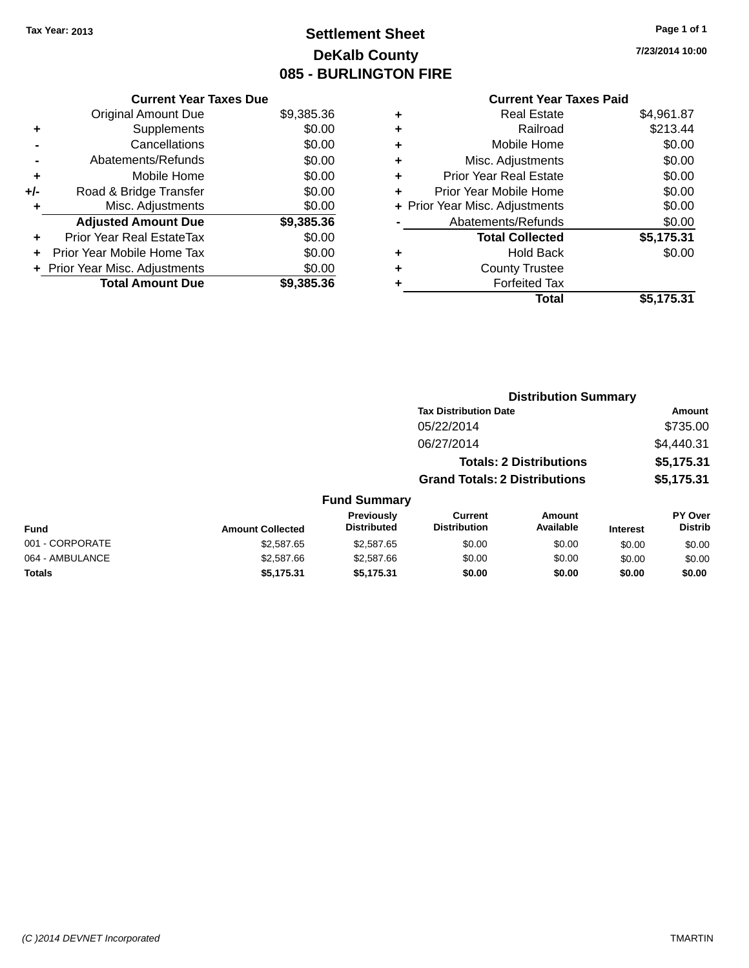# **Settlement Sheet Tax Year: 2013 Page 1 of 1 DeKalb County 085 - BURLINGTON FIRE**

**7/23/2014 10:00**

| <b>Current Year Taxes Paid</b> |  |  |
|--------------------------------|--|--|
|                                |  |  |

|     | <b>Current Year Taxes Due</b>  |            |
|-----|--------------------------------|------------|
|     | <b>Original Amount Due</b>     | \$9,385.36 |
| ٠   | Supplements                    | \$0.00     |
|     | Cancellations                  | \$0.00     |
|     | Abatements/Refunds             | \$0.00     |
| ٠   | Mobile Home                    | \$0.00     |
| +/- | Road & Bridge Transfer         | \$0.00     |
| ٠   | Misc. Adjustments              | \$0.00     |
|     | <b>Adjusted Amount Due</b>     | \$9,385.36 |
| ÷   | Prior Year Real EstateTax      | \$0.00     |
| ÷   | Prior Year Mobile Home Tax     | \$0.00     |
|     | + Prior Year Misc. Adjustments | \$0.00     |
|     | <b>Total Amount Due</b>        | \$9.385.36 |

| ٠ | <b>Real Estate</b>             | \$4,961.87 |
|---|--------------------------------|------------|
| ٠ | Railroad                       | \$213.44   |
| ٠ | Mobile Home                    | \$0.00     |
| ٠ | Misc. Adjustments              | \$0.00     |
| ٠ | <b>Prior Year Real Estate</b>  | \$0.00     |
| ٠ | Prior Year Mobile Home         | \$0.00     |
|   | + Prior Year Misc. Adjustments | \$0.00     |
|   | Abatements/Refunds             | \$0.00     |
|   | <b>Total Collected</b>         | \$5,175.31 |
| ٠ | Hold Back                      | \$0.00     |
| ٠ | <b>County Trustee</b>          |            |
| ٠ | <b>Forfeited Tax</b>           |            |
|   | Total                          | \$5,175.31 |
|   |                                |            |

|                 |                         |                                  | <b>Distribution Summary</b>          |                                |                 |                           |
|-----------------|-------------------------|----------------------------------|--------------------------------------|--------------------------------|-----------------|---------------------------|
|                 |                         |                                  | <b>Tax Distribution Date</b>         |                                |                 | Amount                    |
|                 |                         |                                  | 05/22/2014                           |                                |                 | \$735.00                  |
|                 |                         |                                  | 06/27/2014                           |                                |                 | \$4,440.31                |
|                 |                         |                                  |                                      | <b>Totals: 2 Distributions</b> |                 | \$5,175.31                |
|                 |                         |                                  | <b>Grand Totals: 2 Distributions</b> |                                |                 | \$5,175.31                |
|                 |                         | <b>Fund Summary</b>              |                                      |                                |                 |                           |
| <b>Fund</b>     | <b>Amount Collected</b> | Previously<br><b>Distributed</b> | Current<br><b>Distribution</b>       | Amount<br>Available            | <b>Interest</b> | PY Over<br><b>Distrib</b> |
| 001 - CORPORATE | \$2,587.65              | \$2,587.65                       | \$0.00                               | \$0.00                         | \$0.00          | \$0.00                    |
| 064 - AMBULANCE | \$2,587.66              | \$2,587.66                       | \$0.00                               | \$0.00                         | \$0.00          | \$0.00                    |
| <b>Totals</b>   | \$5.175.31              | \$5,175.31                       | \$0.00                               | \$0.00                         | \$0.00          | \$0.00                    |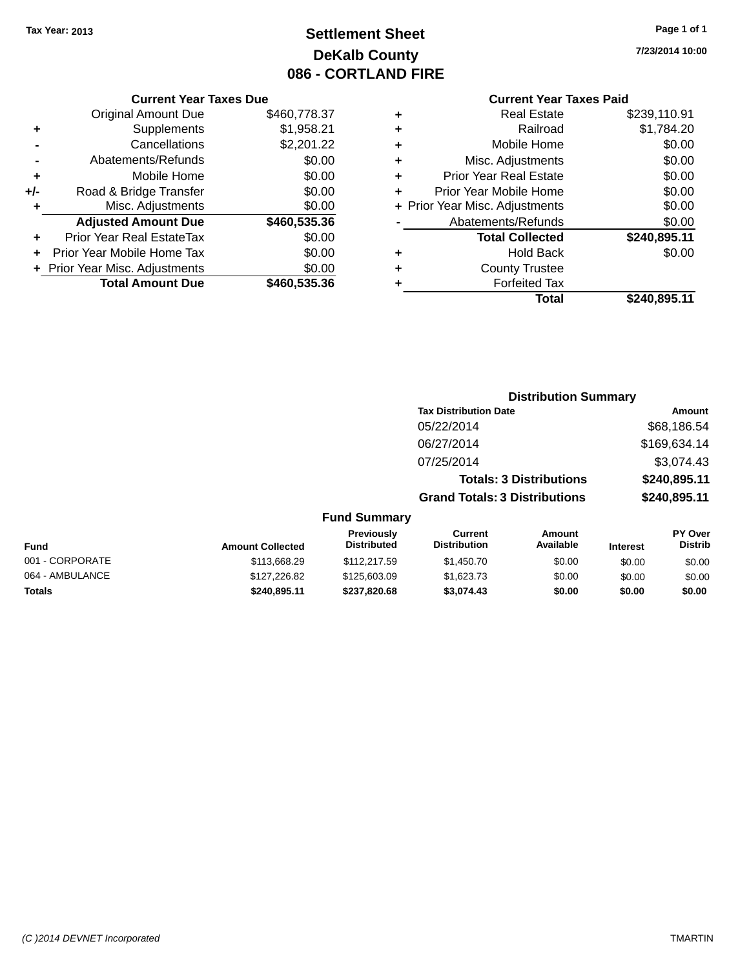# **Settlement Sheet Tax Year: 2013 Page 1 of 1 DeKalb County 086 - CORTLAND FIRE**

#### **Current Year Taxes Due**

|     | <b>Original Amount Due</b>       | \$460,778.37 |
|-----|----------------------------------|--------------|
| ٠   | Supplements                      | \$1,958.21   |
|     | Cancellations                    | \$2,201.22   |
|     | Abatements/Refunds               | \$0.00       |
| ÷   | Mobile Home                      | \$0.00       |
| +/- | Road & Bridge Transfer           | \$0.00       |
| ٠   | Misc. Adjustments                | \$0.00       |
|     | <b>Adjusted Amount Due</b>       | \$460,535.36 |
| ÷   | <b>Prior Year Real EstateTax</b> | \$0.00       |
| ÷   | Prior Year Mobile Home Tax       | \$0.00       |
|     | + Prior Year Misc. Adjustments   | \$0.00       |
|     | <b>Total Amount Due</b>          | \$460,535.36 |
|     |                                  |              |

## **Current Year Taxes Paid**

| <b>Real Estate</b>             | \$239,110.91 |
|--------------------------------|--------------|
| Railroad                       | \$1,784.20   |
| Mobile Home                    | \$0.00       |
| Misc. Adjustments              | \$0.00       |
| <b>Prior Year Real Estate</b>  | \$0.00       |
| Prior Year Mobile Home         | \$0.00       |
| + Prior Year Misc. Adjustments | \$0.00       |
| Abatements/Refunds             | \$0.00       |
| <b>Total Collected</b>         | \$240,895.11 |
| <b>Hold Back</b>               | \$0.00       |
| <b>County Trustee</b>          |              |
| <b>Forfeited Tax</b>           |              |
| <b>Total</b>                   | \$240,895.11 |
|                                |              |

# **Distribution Summary Tax Distribution Date Amount** 05/22/2014 \$68,186.54 06/27/2014 \$169,634.14 07/25/2014 \$3,074.43 **Totals: 3 Distributions \$240,895.11 Grand Totals: 3 Distributions \$240,895.11 Fund Summary**

| <b>Fund</b>     | <b>Amount Collected</b> | <b>Previously</b><br><b>Distributed</b> | Current<br><b>Distribution</b> | Amount<br>Available | <b>Interest</b> | <b>PY Over</b><br><b>Distrib</b> |
|-----------------|-------------------------|-----------------------------------------|--------------------------------|---------------------|-----------------|----------------------------------|
| 001 - CORPORATE | \$113,668,29            | \$112,217.59                            | \$1,450.70                     | \$0.00              | \$0.00          | \$0.00                           |
| 064 - AMBULANCE | \$127,226.82            | \$125,603.09                            | \$1,623,73                     | \$0.00              | \$0.00          | \$0.00                           |
| <b>Totals</b>   | \$240.895.11            | \$237.820.68                            | \$3.074.43                     | \$0.00              | \$0.00          | \$0.00                           |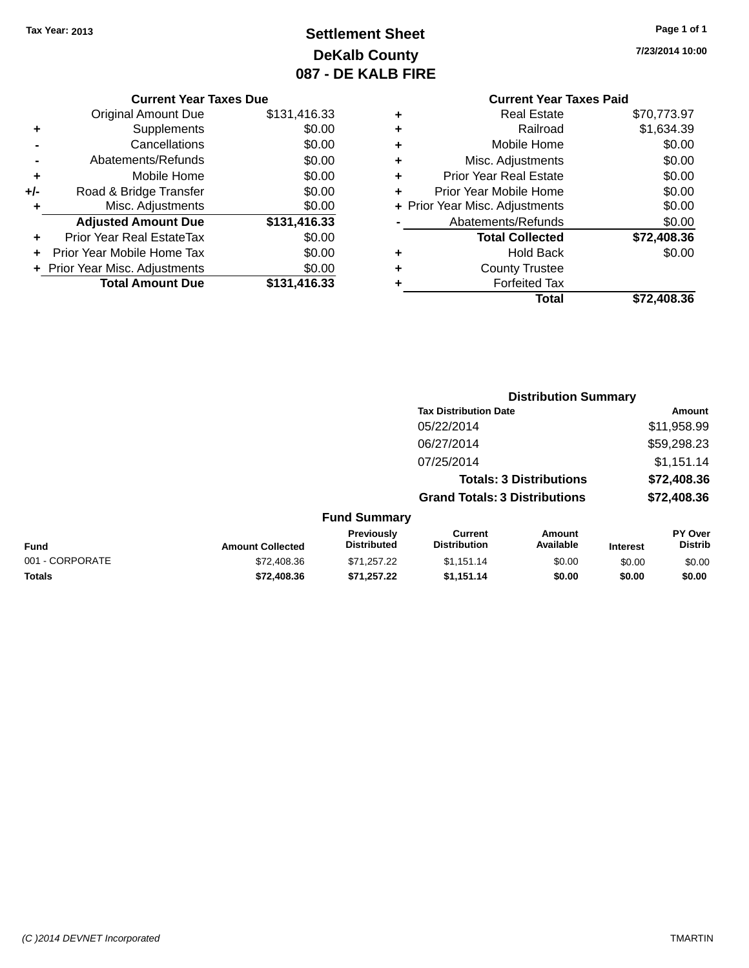# **Settlement Sheet Tax Year: 2013 Page 1 of 1 DeKalb County 087 - DE KALB FIRE**

**7/23/2014 10:00**

## **Current Year Taxes Due**

| <b>Original Amount Due</b> | \$131,416.33                   |
|----------------------------|--------------------------------|
| Supplements                | \$0.00                         |
| Cancellations              | \$0.00                         |
| Abatements/Refunds         | \$0.00                         |
| Mobile Home                | \$0.00                         |
| Road & Bridge Transfer     | \$0.00                         |
| Misc. Adjustments          | \$0.00                         |
| <b>Adjusted Amount Due</b> | \$131,416.33                   |
| Prior Year Real EstateTax  | \$0.00                         |
| Prior Year Mobile Home Tax | \$0.00                         |
|                            | \$0.00                         |
| <b>Total Amount Due</b>    | \$131,416.33                   |
|                            | + Prior Year Misc. Adjustments |

# **Current Year Taxes Paid**

|   | <b>Real Estate</b>             | \$70,773.97 |
|---|--------------------------------|-------------|
| ٠ | Railroad                       | \$1,634.39  |
| ٠ | Mobile Home                    | \$0.00      |
| ٠ | Misc. Adjustments              | \$0.00      |
| ٠ | <b>Prior Year Real Estate</b>  | \$0.00      |
| ÷ | Prior Year Mobile Home         | \$0.00      |
|   | + Prior Year Misc. Adjustments | \$0.00      |
|   | Abatements/Refunds             | \$0.00      |
|   | <b>Total Collected</b>         | \$72,408.36 |
|   | <b>Hold Back</b>               | \$0.00      |
| ٠ | <b>County Trustee</b>          |             |
|   | <b>Forfeited Tax</b>           |             |
|   | Total                          | \$72,408,36 |
|   |                                |             |

|                 |                         |                                  | <b>Distribution Summary</b>           |                     |                 |                                  |  |
|-----------------|-------------------------|----------------------------------|---------------------------------------|---------------------|-----------------|----------------------------------|--|
|                 |                         |                                  | <b>Tax Distribution Date</b>          |                     |                 | Amount                           |  |
|                 |                         |                                  | 05/22/2014                            |                     |                 | \$11,958.99                      |  |
|                 |                         |                                  | 06/27/2014                            |                     |                 | \$59,298.23                      |  |
|                 |                         |                                  | 07/25/2014                            |                     |                 | \$1,151.14                       |  |
|                 |                         | <b>Totals: 3 Distributions</b>   |                                       | \$72,408.36         |                 |                                  |  |
|                 |                         |                                  | <b>Grand Totals: 3 Distributions</b>  |                     |                 | \$72,408.36                      |  |
|                 |                         | <b>Fund Summary</b>              |                                       |                     |                 |                                  |  |
| <b>Fund</b>     | <b>Amount Collected</b> | Previously<br><b>Distributed</b> | <b>Current</b><br><b>Distribution</b> | Amount<br>Available | <b>Interest</b> | <b>PY Over</b><br><b>Distrib</b> |  |
| 001 - CORPORATE | \$72,408.36             | \$71,257.22                      | \$1,151.14                            | \$0.00              | \$0.00          | \$0.00                           |  |

**Totals \$72,408.36 \$71,257.22 \$1,151.14 \$0.00 \$0.00 \$0.00**

*(C )2014 DEVNET Incorporated* TMARTIN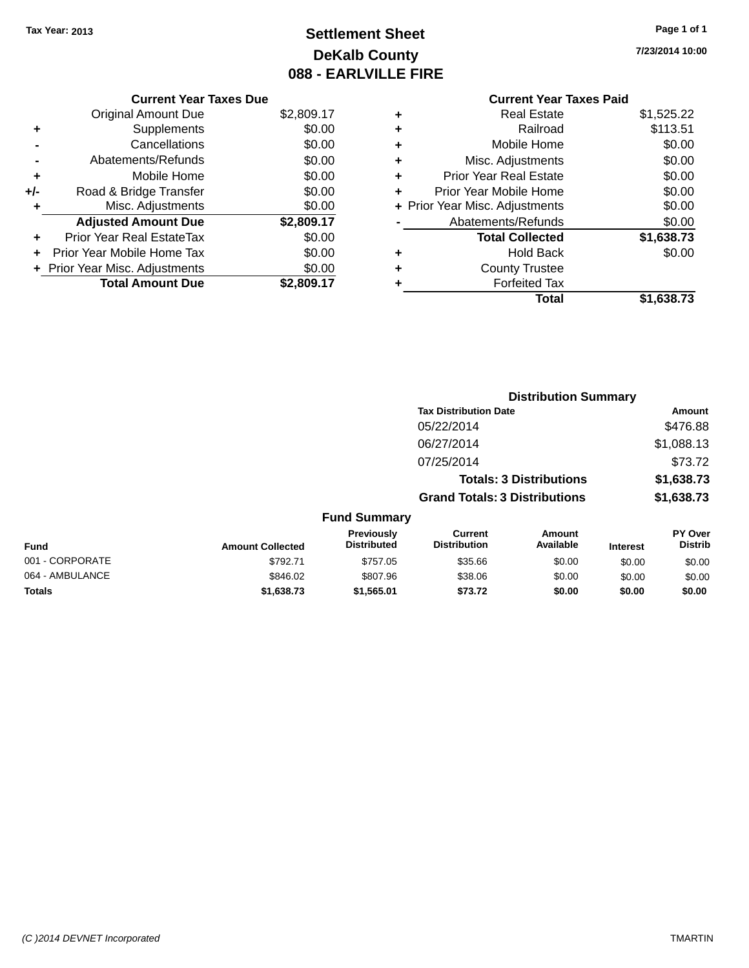# **Settlement Sheet Tax Year: 2013 Page 1 of 1 DeKalb County 088 - EARLVILLE FIRE**

**7/23/2014 10:00**

# **Current Year Taxes Paid +** Real Estate \$1,525.22 **+** Railroad \$113.51 **+** Mobile Home \$0.00 **+** Misc. Adjustments \$0.00 **+** Prior Year Real Estate \$0.00 **+** Prior Year Mobile Home \$0.00<br> **+** Prior Year Misc Adjustments \$0.00 **Prior Year Misc. Adjustments**

|   | Total                          | \$1,638.73   |
|---|--------------------------------|--------------|
|   | <b>Forfeited Tax</b>           |              |
|   | <b>County Trustee</b>          |              |
| ٠ | <b>Hold Back</b>               | \$0.00       |
|   | <b>Total Collected</b>         | \$1,638.73   |
|   | Abatements/Refunds             | \$0.00       |
|   | + Prior rear Misc. Adjustments | <b>JU.UU</b> |

| <b>Distribution Summary</b>    |            |
|--------------------------------|------------|
| <b>Tax Distribution Date</b>   | Amount     |
| 05/22/2014                     | \$476.88   |
| 06/27/2014                     | \$1,088.13 |
| 07/25/2014                     | \$73.72    |
| <b>Totals: 3 Distributions</b> | \$1,638.73 |

**Grand Totals: 3 Distributions \$1,638.73**

| <b>Fund</b>     | <b>Amount Collected</b> | <b>Previously</b><br><b>Distributed</b> | Current<br><b>Distribution</b> | Amount<br>Available | <b>Interest</b> | <b>PY Over</b><br><b>Distrib</b> |
|-----------------|-------------------------|-----------------------------------------|--------------------------------|---------------------|-----------------|----------------------------------|
| 001 - CORPORATE | \$792.71                | \$757.05                                | \$35.66                        | \$0.00              | \$0.00          | \$0.00                           |
| 064 - AMBULANCE | \$846.02                | \$807.96                                | \$38.06                        | \$0.00              | \$0.00          | \$0.00                           |
| <b>Totals</b>   | \$1,638,73              | \$1.565.01                              | \$73.72                        | \$0.00              | \$0.00          | \$0.00                           |

|     | <b>Current Year Taxes Due</b>  |            |
|-----|--------------------------------|------------|
|     | <b>Original Amount Due</b>     | \$2,809.17 |
| ٠   | Supplements                    | \$0.00     |
|     | Cancellations                  | \$0.00     |
|     | Abatements/Refunds             | \$0.00     |
| ÷   | Mobile Home                    | \$0.00     |
| +/- | Road & Bridge Transfer         | \$0.00     |
| ÷   | Misc. Adjustments              | \$0.00     |
|     | <b>Adjusted Amount Due</b>     | \$2,809.17 |
|     | Prior Year Real EstateTax      | \$0.00     |
|     | Prior Year Mobile Home Tax     | \$0.00     |
|     | + Prior Year Misc. Adjustments | \$0.00     |
|     | <b>Total Amount Due</b>        | \$2,809.17 |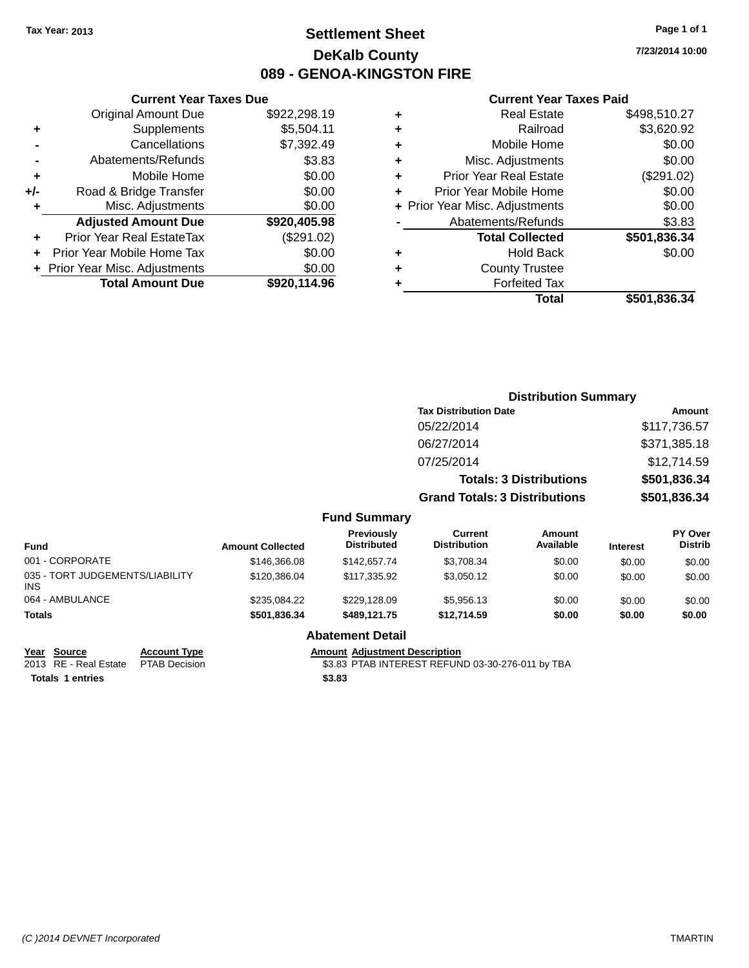# **Settlement Sheet Tax Year: 2013 Page 1 of 1 DeKalb County 089 - GENOA-KINGSTON FIRE**

**7/23/2014 10:00**

### **Current Year Taxes Paid**

|     | <b>Current Year Taxes Due</b>  |              |  |  |
|-----|--------------------------------|--------------|--|--|
|     | <b>Original Amount Due</b>     | \$922,298.19 |  |  |
| ٠   | Supplements                    | \$5,504.11   |  |  |
|     | Cancellations                  | \$7,392.49   |  |  |
|     | Abatements/Refunds             | \$3.83       |  |  |
| ٠   | Mobile Home                    | \$0.00       |  |  |
| +/- | Road & Bridge Transfer         | \$0.00       |  |  |
|     | Misc. Adjustments              | \$0.00       |  |  |
|     | <b>Adjusted Amount Due</b>     | \$920,405.98 |  |  |
| ٠   | Prior Year Real EstateTax      | (\$291.02)   |  |  |
|     | Prior Year Mobile Home Tax     | \$0.00       |  |  |
|     | + Prior Year Misc. Adjustments | \$0.00       |  |  |
|     | <b>Total Amount Due</b>        | \$920,114.96 |  |  |
|     |                                |              |  |  |

|   | <b>Real Estate</b>             | \$498,510.27 |
|---|--------------------------------|--------------|
| ٠ | Railroad                       | \$3,620.92   |
| ÷ | Mobile Home                    | \$0.00       |
| ٠ | Misc. Adjustments              | \$0.00       |
| ٠ | Prior Year Real Estate         | (\$291.02)   |
| ٠ | Prior Year Mobile Home         | \$0.00       |
|   | + Prior Year Misc. Adjustments | \$0.00       |
|   | Abatements/Refunds             | \$3.83       |
|   | <b>Total Collected</b>         | \$501,836.34 |
| ٠ | <b>Hold Back</b>               | \$0.00       |
| ٠ | <b>County Trustee</b>          |              |
| ٠ | <b>Forfeited Tax</b>           |              |
|   | Total                          | \$501,836.34 |

|                                               |                         |                                         |                                       | <b>Distribution Summary</b>    |                 |                           |
|-----------------------------------------------|-------------------------|-----------------------------------------|---------------------------------------|--------------------------------|-----------------|---------------------------|
|                                               |                         |                                         | <b>Tax Distribution Date</b>          |                                |                 | Amount                    |
|                                               |                         |                                         | 05/22/2014                            |                                |                 | \$117,736.57              |
|                                               |                         |                                         | 06/27/2014                            |                                |                 | \$371,385.18              |
|                                               |                         |                                         | 07/25/2014                            |                                |                 | \$12,714.59               |
|                                               |                         |                                         |                                       | <b>Totals: 3 Distributions</b> |                 | \$501,836.34              |
|                                               |                         |                                         | <b>Grand Totals: 3 Distributions</b>  |                                |                 | \$501,836.34              |
|                                               |                         | <b>Fund Summary</b>                     |                                       |                                |                 |                           |
| <b>Fund</b>                                   | <b>Amount Collected</b> | <b>Previously</b><br><b>Distributed</b> | <b>Current</b><br><b>Distribution</b> | <b>Amount</b><br>Available     | <b>Interest</b> | PY Over<br><b>Distrib</b> |
| 001 - CORPORATE                               | \$146,366.08            | \$142,657.74                            | \$3,708.34                            | \$0.00                         | \$0.00          | \$0.00                    |
| 035 - TORT JUDGEMENTS/LIABILITY<br><b>INS</b> | \$120,386.04            | \$117,335.92                            | \$3,050.12                            | \$0.00                         | \$0.00          | \$0.00                    |
| 064 - AMBULANCE                               | \$235,084.22            | \$229,128.09                            | \$5,956.13                            | \$0.00                         | \$0.00          | \$0.00                    |
| Totals                                        | \$501,836.34            | \$489,121.75                            | \$12,714.59                           | \$0.00                         | \$0.00          | \$0.00                    |

# **<u>Year Source</u><br>
2013 RE - Real Estate PTAB Decision**

**Totals 1 entries \$3.83**

# **Abatement Detail**

Amount Adjustment Description<br>\$3.83 PTAB INTEREST REFUND 03-30-276-011 by TBA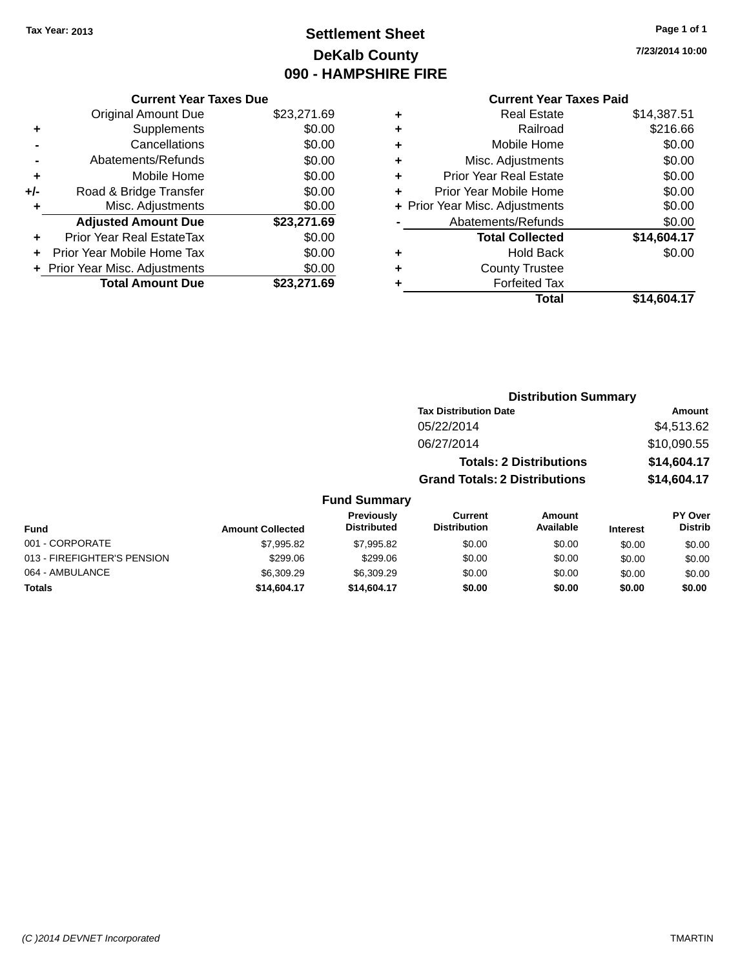# **Settlement Sheet Tax Year: 2013 Page 1 of 1 DeKalb County 090 - HAMPSHIRE FIRE**

**7/23/2014 10:00**

# **Current Year Taxes Paid**

|       | <b>Current Year Taxes Due</b>  |             |
|-------|--------------------------------|-------------|
|       | <b>Original Amount Due</b>     | \$23,271.69 |
| ٠     | Supplements                    | \$0.00      |
|       | Cancellations                  | \$0.00      |
|       | Abatements/Refunds             | \$0.00      |
| ÷     | Mobile Home                    | \$0.00      |
| $+/-$ | Road & Bridge Transfer         | \$0.00      |
|       | Misc. Adjustments              | \$0.00      |
|       | <b>Adjusted Amount Due</b>     | \$23,271.69 |
| ٠     | Prior Year Real EstateTax      | \$0.00      |
|       | Prior Year Mobile Home Tax     | \$0.00      |
|       | + Prior Year Misc. Adjustments | \$0.00      |
|       | <b>Total Amount Due</b>        | \$23,271.69 |
|       |                                |             |

| ٠ | <b>Real Estate</b>             | \$14,387.51 |
|---|--------------------------------|-------------|
| ٠ | Railroad                       | \$216.66    |
| ٠ | Mobile Home                    | \$0.00      |
| ٠ | Misc. Adjustments              | \$0.00      |
| ٠ | <b>Prior Year Real Estate</b>  | \$0.00      |
| ٠ | Prior Year Mobile Home         | \$0.00      |
|   | + Prior Year Misc. Adjustments | \$0.00      |
|   | Abatements/Refunds             | \$0.00      |
|   | <b>Total Collected</b>         | \$14,604.17 |
| ٠ | Hold Back                      | \$0.00      |
| ٠ | <b>County Trustee</b>          |             |
| ٠ | <b>Forfeited Tax</b>           |             |
|   | Total                          | \$14,604.17 |
|   |                                |             |

|                     | <b>Distribution Summary</b>          |             |
|---------------------|--------------------------------------|-------------|
|                     | <b>Tax Distribution Date</b>         | Amount      |
|                     | 05/22/2014                           | \$4,513.62  |
|                     | 06/27/2014                           | \$10,090.55 |
|                     | <b>Totals: 2 Distributions</b>       | \$14,604.17 |
|                     | <b>Grand Totals: 2 Distributions</b> | \$14,604.17 |
| <b>Fund Summary</b> |                                      |             |

| Fund                        | <b>Amount Collected</b> | Previously<br><b>Distributed</b> | Current<br><b>Distribution</b> | Amount<br>Available | <b>Interest</b> | PY Over<br><b>Distrib</b> |
|-----------------------------|-------------------------|----------------------------------|--------------------------------|---------------------|-----------------|---------------------------|
| 001 - CORPORATE             | \$7,995.82              | \$7,995.82                       | \$0.00                         | \$0.00              | \$0.00          | \$0.00                    |
| 013 - FIREFIGHTER'S PENSION | \$299.06                | \$299.06                         | \$0.00                         | \$0.00              | \$0.00          | \$0.00                    |
| 064 - AMBULANCE             | \$6,309.29              | \$6,309.29                       | \$0.00                         | \$0.00              | \$0.00          | \$0.00                    |
| <b>Totals</b>               | \$14,604.17             | \$14,604.17                      | \$0.00                         | \$0.00              | \$0.00          | \$0.00                    |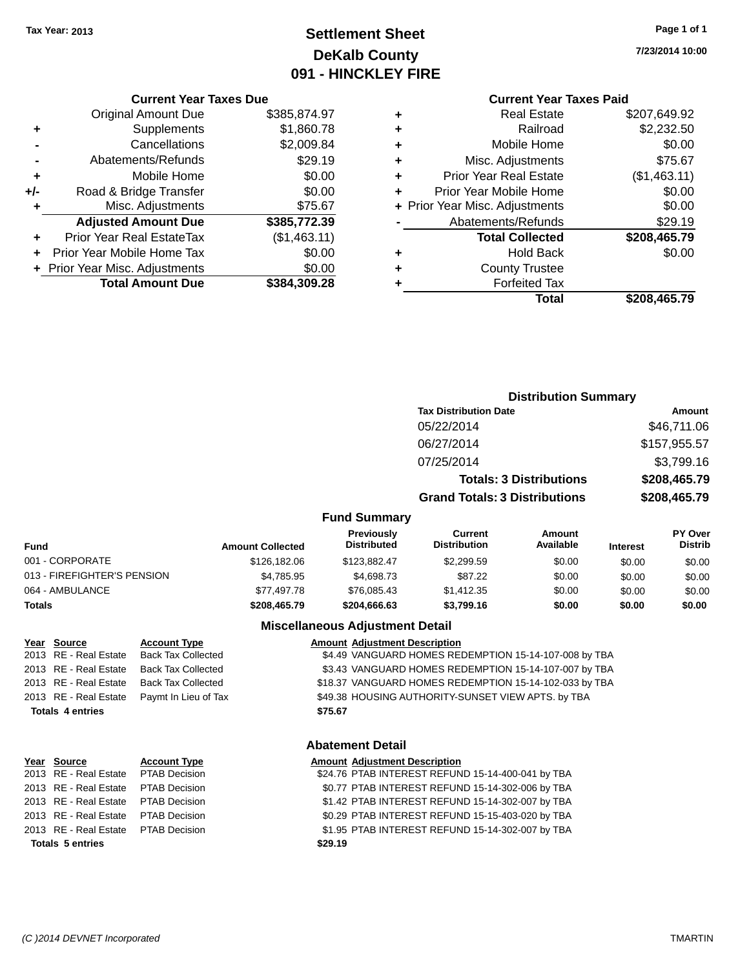# **Settlement Sheet Tax Year: 2013 Page 1 of 1 DeKalb County 091 - HINCKLEY FIRE**

**7/23/2014 10:00**

# **Current Year Taxes Paid**

|       | <b>Current Year Taxes Due</b>  |              |
|-------|--------------------------------|--------------|
|       | <b>Original Amount Due</b>     | \$385,874.97 |
| ٠     | Supplements                    | \$1,860.78   |
|       | Cancellations                  | \$2,009.84   |
|       | Abatements/Refunds             | \$29.19      |
| ٠     | Mobile Home                    | \$0.00       |
| $+/-$ | Road & Bridge Transfer         | \$0.00       |
| ٠     | Misc. Adjustments              | \$75.67      |
|       | <b>Adjusted Amount Due</b>     | \$385,772.39 |
| ٠     | Prior Year Real EstateTax      | (\$1,463.11) |
|       | Prior Year Mobile Home Tax     | \$0.00       |
|       | + Prior Year Misc. Adjustments | \$0.00       |
|       | <b>Total Amount Due</b>        | \$384.309.28 |
|       |                                |              |

|   | <b>Real Estate</b>             | \$207,649.92 |
|---|--------------------------------|--------------|
| ٠ | Railroad                       | \$2,232.50   |
| ٠ | Mobile Home                    | \$0.00       |
| ٠ | Misc. Adjustments              | \$75.67      |
| ٠ | <b>Prior Year Real Estate</b>  | (\$1,463.11) |
| ٠ | Prior Year Mobile Home         | \$0.00       |
|   | + Prior Year Misc. Adjustments | \$0.00       |
|   | Abatements/Refunds             | \$29.19      |
|   | <b>Total Collected</b>         | \$208,465.79 |
| ٠ | <b>Hold Back</b>               | \$0.00       |
| ٠ | <b>County Trustee</b>          |              |
| ٠ | <b>Forfeited Tax</b>           |              |
|   | Total                          | \$208,465.79 |
|   |                                |              |

|                     | <b>Distribution Summary</b>          |              |
|---------------------|--------------------------------------|--------------|
|                     | <b>Tax Distribution Date</b>         | Amount       |
|                     | 05/22/2014                           | \$46,711.06  |
|                     | 06/27/2014                           | \$157,955.57 |
|                     | 07/25/2014                           | \$3,799.16   |
|                     | <b>Totals: 3 Distributions</b>       | \$208,465.79 |
|                     | <b>Grand Totals: 3 Distributions</b> | \$208,465.79 |
| <b>Fund Summary</b> |                                      |              |

| <b>Fund</b>                 | <b>Amount Collected</b> | <b>Previously</b><br><b>Distributed</b> | Current<br><b>Distribution</b> | Amount<br>Available | <b>Interest</b> | PY Over<br><b>Distrib</b> |
|-----------------------------|-------------------------|-----------------------------------------|--------------------------------|---------------------|-----------------|---------------------------|
| 001 - CORPORATE             | \$126,182,06            | \$123.882.47                            | \$2,299.59                     | \$0.00              | \$0.00          | \$0.00                    |
| 013 - FIREFIGHTER'S PENSION | \$4.785.95              | \$4,698.73                              | \$87.22                        | \$0.00              | \$0.00          | \$0.00                    |
| 064 - AMBULANCE             | \$77.497.78             | \$76,085.43                             | \$1.412.35                     | \$0.00              | \$0.00          | \$0.00                    |
| <b>Totals</b>               | \$208,465.79            | \$204.666.63                            | \$3,799.16                     | \$0.00              | \$0.00          | \$0.00                    |

## **Miscellaneous Adjustment Detail**

### **Year Source • Account Type Amount Adjustment Description**

2013 RE - Real Estate Back Tax Collected \$4.49 VANGUARD HOMES REDEMPTION 15-14-107-008 by TBA 2013 RE - Real Estate Back Tax Collected \$3.43 VANGUARD HOMES REDEMPTION 15-14-107-007 by TBA 2013 RE - Real Estate Back Tax Collected \$18.37 VANGUARD HOMES REDEMPTION 15-14-102-033 by TBA 2013 RE - Real Estate Paymt In Lieu of Tax \$49.38 HOUSING AUTHORITY-SUNSET VIEW APTS. by TBA **Totals 4 entries \$75.67**

## **Abatement Detail**

### **Year Source Account Type Amount Adjustment Description**

|         |  | \$24.76 PTAB INTEREST REFUND 15-14-400-041 by TBA |
|---------|--|---------------------------------------------------|
|         |  | \$0.77 PTAB INTEREST REFUND 15-14-302-006 by TBA  |
|         |  | \$1.42 PTAB INTEREST REFUND 15-14-302-007 by TBA  |
|         |  | \$0.29 PTAB INTEREST REFUND 15-15-403-020 by TBA  |
|         |  | \$1.95 PTAB INTEREST REFUND 15-14-302-007 by TBA  |
| \$29.19 |  |                                                   |

2013 RE - Real Estate PTAB Decision 2013 RE - Real Estate PTAB Decision 2013 RE - Real Estate PTAB Decision 2013 RE - Real Estate PTAB Decision 2013 RE - Real Estate PTAB Decision **Totals 5** entries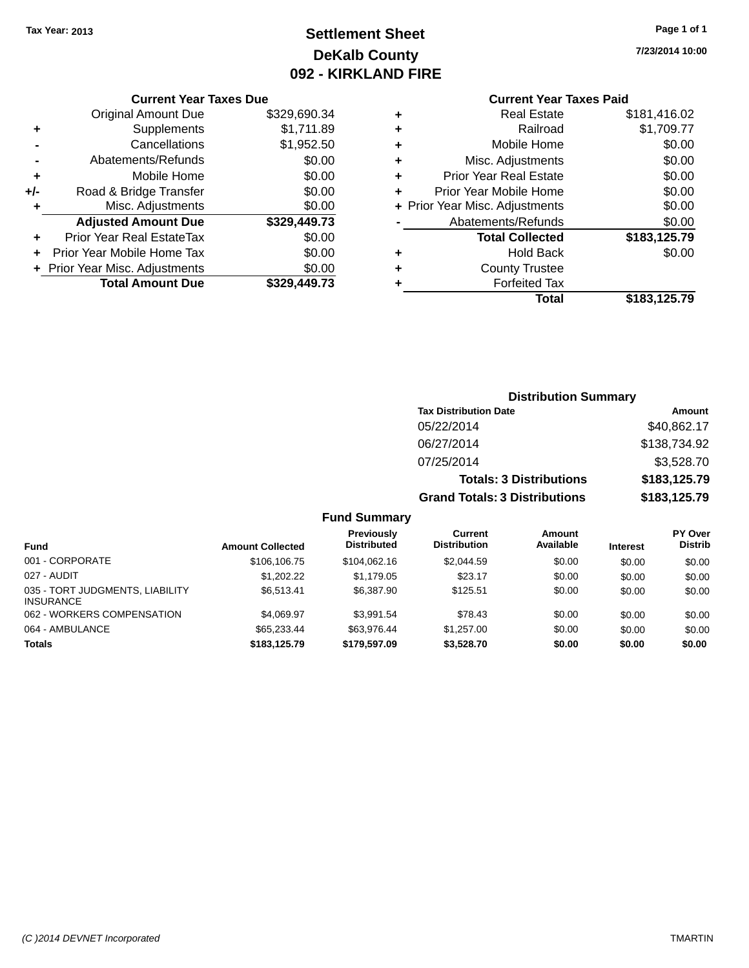# **Settlement Sheet Tax Year: 2013 Page 1 of 1 DeKalb County 092 - KIRKLAND FIRE**

**7/23/2014 10:00**

## **Current Year Taxes Paid**

|       | <b>Current Year Taxes Due</b>  |              |  |  |  |
|-------|--------------------------------|--------------|--|--|--|
|       | <b>Original Amount Due</b>     | \$329,690.34 |  |  |  |
| ٠     | Supplements                    | \$1,711.89   |  |  |  |
|       | Cancellations                  | \$1,952.50   |  |  |  |
|       | Abatements/Refunds             | \$0.00       |  |  |  |
| ٠     | Mobile Home                    | \$0.00       |  |  |  |
| $+/-$ | Road & Bridge Transfer         | \$0.00       |  |  |  |
| ÷     | Misc. Adjustments              | \$0.00       |  |  |  |
|       | <b>Adjusted Amount Due</b>     | \$329,449.73 |  |  |  |
| ÷     | Prior Year Real EstateTax      | \$0.00       |  |  |  |
|       | Prior Year Mobile Home Tax     | \$0.00       |  |  |  |
|       | + Prior Year Misc. Adjustments | \$0.00       |  |  |  |
|       | <b>Total Amount Due</b>        | \$329.449.73 |  |  |  |
|       |                                |              |  |  |  |

|   | Total                          | \$183,125.79 |
|---|--------------------------------|--------------|
| ٠ | <b>Forfeited Tax</b>           |              |
| ٠ | <b>County Trustee</b>          |              |
| ٠ | <b>Hold Back</b>               | \$0.00       |
|   | <b>Total Collected</b>         | \$183,125.79 |
|   | Abatements/Refunds             | \$0.00       |
|   | + Prior Year Misc. Adjustments | \$0.00       |
| ٠ | Prior Year Mobile Home         | \$0.00       |
| ٠ | <b>Prior Year Real Estate</b>  | \$0.00       |
| ٠ | Misc. Adjustments              | \$0.00       |
| ٠ | Mobile Home                    | \$0.00       |
| ٠ | Railroad                       | \$1,709.77   |
| ٠ | Real Estate                    | \$181,416.02 |
|   |                                |              |

# **Distribution Summary Tax Distribution Date Amount** 05/22/2014 \$40,862.17 06/27/2014 \$138,734.92 07/25/2014 \$3,528.70 **Totals: 3 Distributions \$183,125.79 Grand Totals: 3 Distributions \$183,125.79 Fund Summary**

| <b>Fund</b>                                         | <b>Amount Collected</b> | Previously<br><b>Distributed</b> | Current<br><b>Distribution</b> | Amount<br>Available | <b>Interest</b> | PY Over<br><b>Distrib</b> |
|-----------------------------------------------------|-------------------------|----------------------------------|--------------------------------|---------------------|-----------------|---------------------------|
| 001 - CORPORATE                                     | \$106,106.75            | \$104.062.16                     | \$2,044.59                     | \$0.00              | \$0.00          | \$0.00                    |
| 027 - AUDIT                                         | \$1,202.22              | \$1,179.05                       | \$23.17                        | \$0.00              | \$0.00          | \$0.00                    |
| 035 - TORT JUDGMENTS, LIABILITY<br><b>INSURANCE</b> | \$6.513.41              | \$6,387.90                       | \$125.51                       | \$0.00              | \$0.00          | \$0.00                    |
| 062 - WORKERS COMPENSATION                          | \$4.069.97              | \$3.991.54                       | \$78.43                        | \$0.00              | \$0.00          | \$0.00                    |
| 064 - AMBULANCE                                     | \$65,233,44             | \$63.976.44                      | \$1.257.00                     | \$0.00              | \$0.00          | \$0.00                    |
| <b>Totals</b>                                       | \$183,125,79            | \$179,597.09                     | \$3,528.70                     | \$0.00              | \$0.00          | \$0.00                    |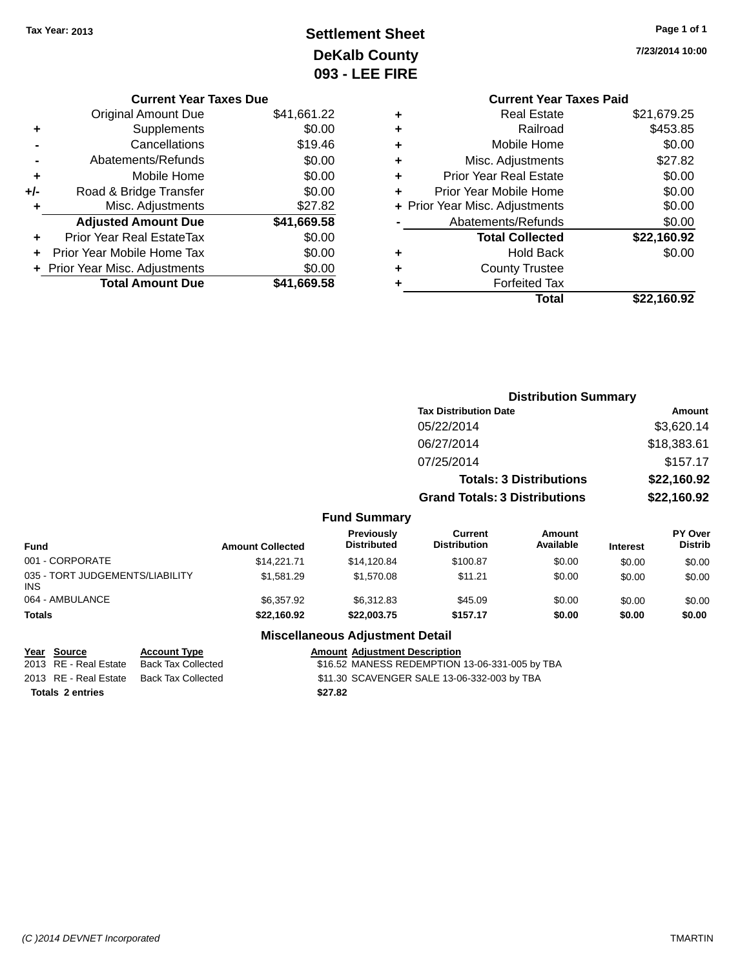# **Settlement Sheet Tax Year: 2013 Page 1 of 1 DeKalb County 093 - LEE FIRE**

**7/23/2014 10:00**

|   | <b>Current Year Taxes Paid</b> |             |
|---|--------------------------------|-------------|
| ٠ | <b>Real Estate</b>             | \$21,679.25 |
| ٠ | Railroad                       | \$453.85    |
| ٠ | Mobile Home                    | \$0.00      |
| ٠ | Misc. Adjustments              | \$27.82     |
| ٠ | <b>Prior Year Real Estate</b>  | \$0.00      |
| ٠ | Prior Year Mobile Home         | \$0.00      |
|   | + Prior Year Misc. Adjustments | \$0.00      |
|   | Abatements/Refunds             | \$0.00      |
|   | <b>Total Collected</b>         | \$22,160.92 |
| ٠ | <b>Hold Back</b>               | \$0.00      |
| ٠ | <b>County Trustee</b>          |             |
|   | <b>Forfeited Tax</b>           |             |
|   | Total                          | \$22,160.92 |
|   |                                |             |

|     | <b>Current Year Taxes Due</b>  |             |
|-----|--------------------------------|-------------|
|     | Original Amount Due            | \$41,661.22 |
| ٠   | Supplements                    | \$0.00      |
|     | Cancellations                  | \$19.46     |
|     | Abatements/Refunds             | \$0.00      |
| ٠   | Mobile Home                    | \$0.00      |
| +/- | Road & Bridge Transfer         | \$0.00      |
| ٠   | Misc. Adjustments              | \$27.82     |
|     | <b>Adjusted Amount Due</b>     | \$41,669.58 |
|     | Prior Year Real EstateTax      | \$0.00      |
|     | Prior Year Mobile Home Tax     | \$0.00      |
|     | + Prior Year Misc. Adjustments | \$0.00      |
|     | <b>Total Amount Due</b>        | \$41,669.58 |

|                                               |                         |                                  |                                       | <b>Distribution Summary</b>    |                 |                           |
|-----------------------------------------------|-------------------------|----------------------------------|---------------------------------------|--------------------------------|-----------------|---------------------------|
|                                               |                         |                                  | <b>Tax Distribution Date</b>          |                                |                 | Amount                    |
|                                               |                         |                                  | 05/22/2014                            |                                |                 | \$3,620.14                |
|                                               |                         |                                  | 06/27/2014                            |                                |                 | \$18,383.61               |
|                                               |                         |                                  | 07/25/2014                            |                                |                 | \$157.17                  |
|                                               |                         |                                  |                                       | <b>Totals: 3 Distributions</b> |                 | \$22,160.92               |
|                                               |                         |                                  | <b>Grand Totals: 3 Distributions</b>  |                                |                 | \$22,160.92               |
|                                               |                         | <b>Fund Summary</b>              |                                       |                                |                 |                           |
| <b>Fund</b>                                   | <b>Amount Collected</b> | Previously<br><b>Distributed</b> | <b>Current</b><br><b>Distribution</b> | Amount<br>Available            | <b>Interest</b> | PY Over<br><b>Distrib</b> |
| 001 - CORPORATE                               | \$14,221.71             | \$14,120.84                      | \$100.87                              | \$0.00                         | \$0.00          | \$0.00                    |
| 035 - TORT JUDGEMENTS/LIABILITY<br><b>INS</b> | \$1,581.29              | \$1,570.08                       | \$11.21                               | \$0.00                         | \$0.00          | \$0.00                    |
| 064 - AMBULANCE                               | \$6,357.92              | \$6.312.83                       | \$45.09                               | \$0.00                         | \$0.00          | \$0.00                    |

## **Miscellaneous Adjustment Detail**

**Totals \$22,160.92 \$22,003.75 \$157.17 \$0.00 \$0.00 \$0.00**

| Year Source             | <b>Account Type</b> |         | <b>Amount Adiustment Description</b>           |
|-------------------------|---------------------|---------|------------------------------------------------|
| 2013 RE - Real Estate   | Back Tax Collected  |         | \$16.52 MANESS REDEMPTION 13-06-331-005 by TBA |
| 2013 RE - Real Estate   | Back Tax Collected  |         | \$11.30 SCAVENGER SALE 13-06-332-003 by TBA    |
| <b>Totals 2 entries</b> |                     | \$27.82 |                                                |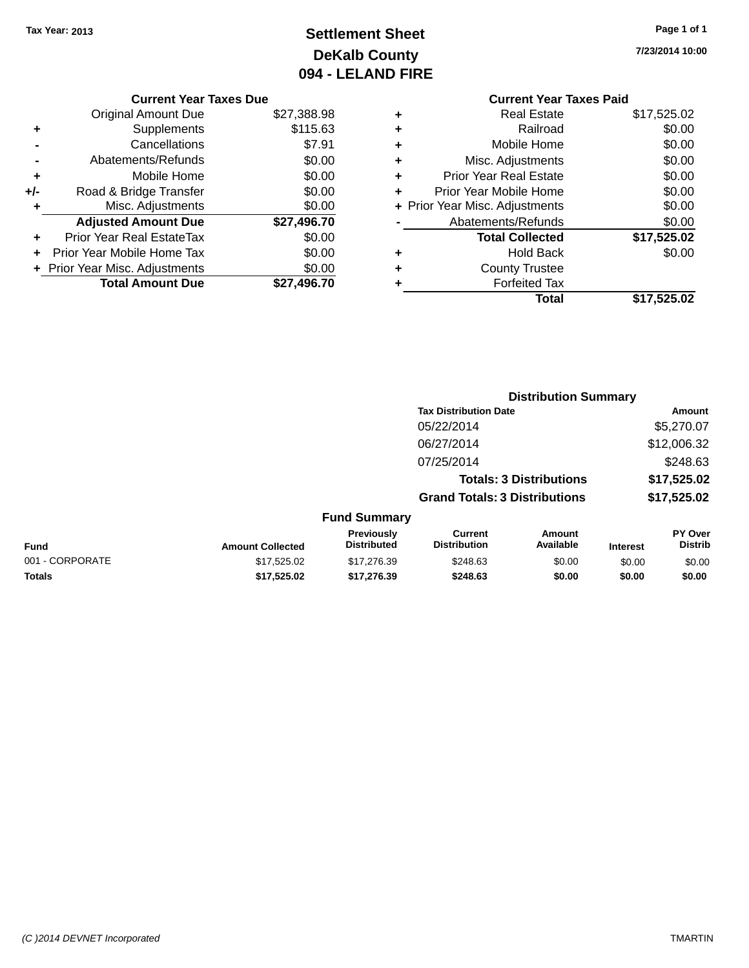# **Settlement Sheet Tax Year: 2013 Page 1 of 1 DeKalb County 094 - LELAND FIRE**

**7/23/2014 10:00**

|     | <b>Current Year Taxes Due</b>  |             |
|-----|--------------------------------|-------------|
|     | <b>Original Amount Due</b>     | \$27,388.98 |
| ٠   | Supplements                    | \$115.63    |
|     | Cancellations                  | \$7.91      |
|     | Abatements/Refunds             | \$0.00      |
| ٠   | Mobile Home                    | \$0.00      |
| +/- | Road & Bridge Transfer         | \$0.00      |
| ٠   | Misc. Adjustments              | \$0.00      |
|     | <b>Adjusted Amount Due</b>     | \$27,496.70 |
| ٠   | Prior Year Real EstateTax      | \$0.00      |
|     | Prior Year Mobile Home Tax     | \$0.00      |
|     | + Prior Year Misc. Adjustments | \$0.00      |
|     | <b>Total Amount Due</b>        | \$27.496.70 |
|     |                                |             |

# **Current Year Taxes Paid +** Real Estate \$17,525.02 **+** Railroad \$0.00

|   | Total                          | \$17,525.02 |
|---|--------------------------------|-------------|
|   | <b>Forfeited Tax</b>           |             |
| ٠ | <b>County Trustee</b>          |             |
|   | <b>Hold Back</b>               | \$0.00      |
|   | <b>Total Collected</b>         | \$17,525.02 |
|   | Abatements/Refunds             | \$0.00      |
|   | + Prior Year Misc. Adjustments | \$0.00      |
|   | Prior Year Mobile Home         | \$0.00      |
| ٠ | <b>Prior Year Real Estate</b>  | \$0.00      |
| ٠ | Misc. Adjustments              | \$0.00      |
|   | Mobile Home                    | \$0.00      |

|                 |                         |                                  |                                      | <b>Distribution Summary</b>    |                 |                           |
|-----------------|-------------------------|----------------------------------|--------------------------------------|--------------------------------|-----------------|---------------------------|
|                 |                         |                                  | <b>Tax Distribution Date</b>         |                                |                 | Amount                    |
|                 |                         |                                  | 05/22/2014                           |                                |                 | \$5,270.07                |
|                 |                         |                                  | 06/27/2014                           |                                |                 | \$12,006.32               |
|                 |                         |                                  | 07/25/2014                           |                                |                 | \$248.63                  |
|                 |                         |                                  |                                      | <b>Totals: 3 Distributions</b> |                 | \$17,525.02               |
|                 |                         |                                  | <b>Grand Totals: 3 Distributions</b> |                                |                 | \$17,525.02               |
|                 |                         | <b>Fund Summary</b>              |                                      |                                |                 |                           |
| <b>Fund</b>     | <b>Amount Collected</b> | Previously<br><b>Distributed</b> | Current<br><b>Distribution</b>       | Amount<br>Available            | <b>Interest</b> | PY Over<br><b>Distrib</b> |
| 001 - CORPORATE | \$17,525.02             | \$17.276.39                      | \$248.63                             | \$0.00                         | \$0.00          | \$0.00                    |

**Totals \$17,525.02 \$17,276.39 \$248.63 \$0.00 \$0.00 \$0.00**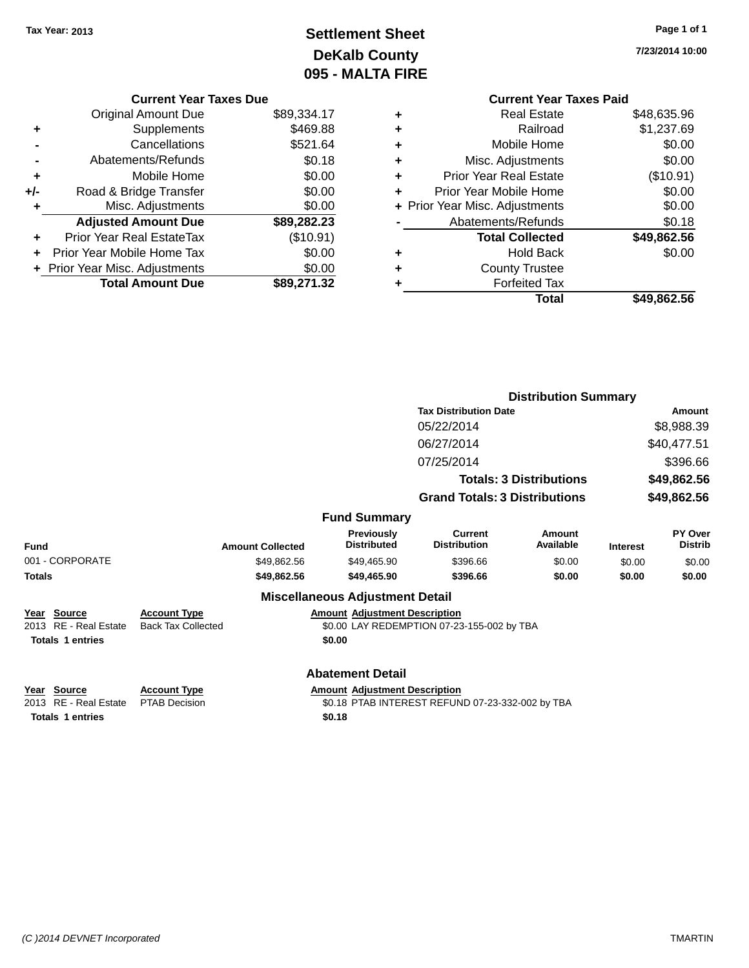# **Settlement Sheet Tax Year: 2013 Page 1 of 1 DeKalb County 095 - MALTA FIRE**

**7/23/2014 10:00**

|   | <b>Current Year Taxes Paid</b> |             |
|---|--------------------------------|-------------|
| ٠ | <b>Real Estate</b>             | \$48,635.96 |
| ٠ | Railroad                       | \$1,237.69  |
| ٠ | Mobile Home                    | \$0.00      |
| ٠ | Misc. Adjustments              | \$0.00      |
| ٠ | <b>Prior Year Real Estate</b>  | $(\$10.91)$ |
| ÷ | Prior Year Mobile Home         | \$0.00      |
|   | + Prior Year Misc. Adjustments | \$0.00      |
|   | Abatements/Refunds             | \$0.18      |
|   | <b>Total Collected</b>         | \$49,862.56 |
| ٠ | <b>Hold Back</b>               | \$0.00      |
| ٠ | <b>County Trustee</b>          |             |
|   | <b>Forfeited Tax</b>           |             |
|   | Total                          | \$49,862.56 |

|     | <b>Current Year Taxes Due</b>  |             |
|-----|--------------------------------|-------------|
|     | <b>Original Amount Due</b>     | \$89,334.17 |
| ٠   | Supplements                    | \$469.88    |
|     | Cancellations                  | \$521.64    |
|     | Abatements/Refunds             | \$0.18      |
| ٠   | Mobile Home                    | \$0.00      |
| +/- | Road & Bridge Transfer         | \$0.00      |
|     | Misc. Adjustments              | \$0.00      |
|     | <b>Adjusted Amount Due</b>     | \$89,282.23 |
| ÷   | Prior Year Real EstateTax      | (\$10.91)   |
|     | Prior Year Mobile Home Tax     | \$0.00      |
|     | + Prior Year Misc. Adjustments | \$0.00      |
|     | <b>Total Amount Due</b>        | \$89,271.32 |
|     |                                |             |

|                                                                 |                                                  |                                                                                                    | <b>Distribution Summary</b>                |                                |                 |                           |
|-----------------------------------------------------------------|--------------------------------------------------|----------------------------------------------------------------------------------------------------|--------------------------------------------|--------------------------------|-----------------|---------------------------|
|                                                                 |                                                  |                                                                                                    | <b>Tax Distribution Date</b>               |                                | Amount          |                           |
|                                                                 |                                                  |                                                                                                    | 05/22/2014                                 |                                |                 | \$8,988.39                |
|                                                                 |                                                  |                                                                                                    | 06/27/2014                                 |                                |                 | \$40,477.51               |
|                                                                 |                                                  |                                                                                                    | 07/25/2014                                 |                                |                 | \$396.66                  |
|                                                                 |                                                  |                                                                                                    |                                            | <b>Totals: 3 Distributions</b> |                 | \$49,862.56               |
|                                                                 |                                                  |                                                                                                    | <b>Grand Totals: 3 Distributions</b>       |                                |                 | \$49,862.56               |
|                                                                 |                                                  | <b>Fund Summary</b>                                                                                |                                            |                                |                 |                           |
| <b>Fund</b>                                                     | <b>Amount Collected</b>                          | <b>Previously</b><br><b>Distributed</b>                                                            | <b>Current</b><br><b>Distribution</b>      | Amount<br>Available            | <b>Interest</b> | PY Over<br><b>Distrib</b> |
| 001 - CORPORATE                                                 | \$49,862.56                                      | \$49,465.90                                                                                        | \$396.66                                   | \$0.00                         | \$0.00          | \$0.00                    |
| <b>Totals</b>                                                   | \$49,862.56                                      | \$49,465.90                                                                                        | \$396.66                                   | \$0.00                         | \$0.00          | \$0.00                    |
|                                                                 |                                                  | <b>Miscellaneous Adjustment Detail</b>                                                             |                                            |                                |                 |                           |
| Year Source<br>2013 RE - Real Estate<br><b>Totals 1 entries</b> | <b>Account Type</b><br><b>Back Tax Collected</b> | <b>Amount Adjustment Description</b><br>\$0.00                                                     | \$0.00 LAY REDEMPTION 07-23-155-002 by TBA |                                |                 |                           |
|                                                                 |                                                  | <b>Abatement Detail</b>                                                                            |                                            |                                |                 |                           |
| Year Source<br>2013 RE - Real Estate<br><b>Totals 1 entries</b> | <b>Account Type</b><br><b>PTAB Decision</b>      | <b>Amount Adjustment Description</b><br>\$0.18 PTAB INTEREST REFUND 07-23-332-002 by TBA<br>\$0.18 |                                            |                                |                 |                           |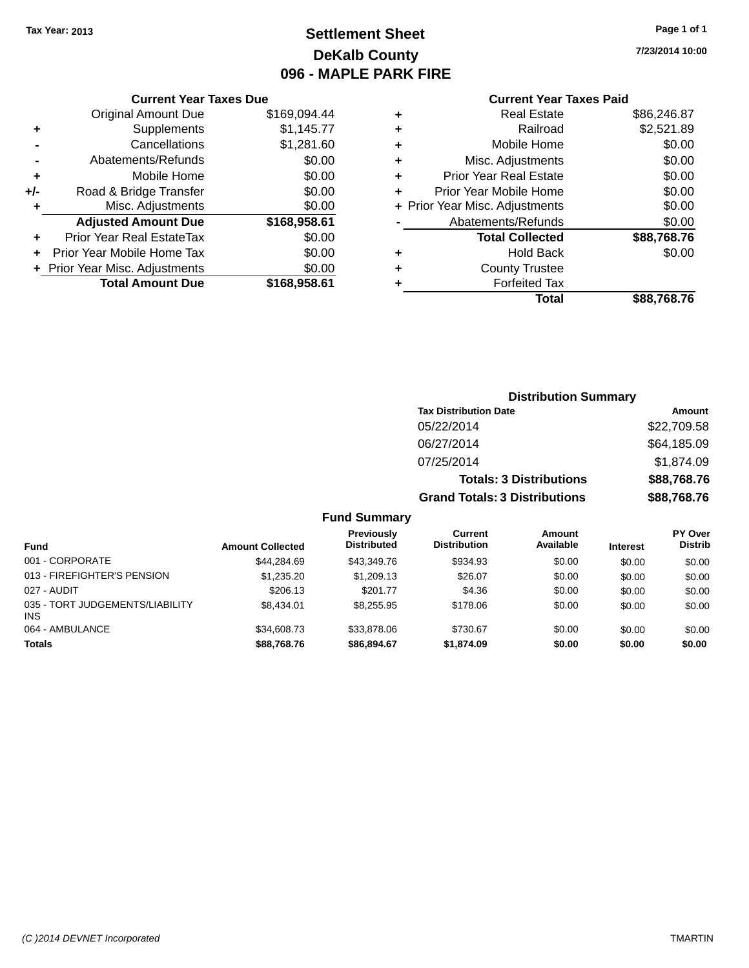# **Settlement Sheet Tax Year: 2013 Page 1 of 1 DeKalb County 096 - MAPLE PARK FIRE**

**7/23/2014 10:00**

## **Current Year Taxes Paid**

| <b>Current Year Taxes Due</b>            |              |  |  |  |  |
|------------------------------------------|--------------|--|--|--|--|
| <b>Original Amount Due</b>               | \$169,094.44 |  |  |  |  |
| Supplements                              | \$1,145.77   |  |  |  |  |
| Cancellations                            | \$1,281.60   |  |  |  |  |
| Abatements/Refunds                       |              |  |  |  |  |
| Mobile Home                              | \$0.00       |  |  |  |  |
| Road & Bridge Transfer                   | \$0.00       |  |  |  |  |
| Misc. Adjustments                        | \$0.00       |  |  |  |  |
| <b>Adjusted Amount Due</b>               | \$168,958.61 |  |  |  |  |
| <b>Prior Year Real EstateTax</b>         | \$0.00       |  |  |  |  |
| Prior Year Mobile Home Tax               | \$0.00       |  |  |  |  |
| \$0.00<br>+ Prior Year Misc. Adjustments |              |  |  |  |  |
| <b>Total Amount Due</b>                  | \$168,958.61 |  |  |  |  |
|                                          |              |  |  |  |  |

| ٠ | Real Estate                    | \$86,246.87 |
|---|--------------------------------|-------------|
| ٠ | Railroad                       | \$2,521.89  |
| ٠ | Mobile Home                    | \$0.00      |
| ٠ | Misc. Adjustments              | \$0.00      |
| ٠ | <b>Prior Year Real Estate</b>  | \$0.00      |
| ٠ | Prior Year Mobile Home         | \$0.00      |
|   | + Prior Year Misc. Adjustments | \$0.00      |
|   | Abatements/Refunds             | \$0.00      |
|   | <b>Total Collected</b>         | \$88,768.76 |
| ٠ | <b>Hold Back</b>               | \$0.00      |
| ٠ | <b>County Trustee</b>          |             |
| ٠ | <b>Forfeited Tax</b>           |             |
|   | Total                          | \$88,768.76 |
|   |                                |             |

|   | <b>Distribution Summary</b>          |             |
|---|--------------------------------------|-------------|
|   | <b>Tax Distribution Date</b>         | Amount      |
|   | 05/22/2014                           | \$22,709.58 |
|   | 06/27/2014                           | \$64,185.09 |
|   | 07/25/2014                           | \$1,874.09  |
|   | <b>Totals: 3 Distributions</b>       | \$88,768.76 |
|   | <b>Grand Totals: 3 Distributions</b> | \$88,768.76 |
| 2 |                                      |             |

| <b>Fund</b>                                   | <b>Amount Collected</b> | <b>Previously</b><br><b>Distributed</b> | Current<br><b>Distribution</b> | Amount<br>Available | <b>Interest</b> | <b>PY Over</b><br><b>Distrib</b> |
|-----------------------------------------------|-------------------------|-----------------------------------------|--------------------------------|---------------------|-----------------|----------------------------------|
| 001 - CORPORATE                               | \$44.284.69             | \$43,349.76                             | \$934.93                       | \$0.00              | \$0.00          | \$0.00                           |
| 013 - FIREFIGHTER'S PENSION                   | \$1,235,20              | \$1,209.13                              | \$26.07                        | \$0.00              | \$0.00          | \$0.00                           |
| 027 - AUDIT                                   | \$206.13                | \$201.77                                | \$4.36                         | \$0.00              | \$0.00          | \$0.00                           |
| 035 - TORT JUDGEMENTS/LIABILITY<br><b>INS</b> | \$8.434.01              | \$8.255.95                              | \$178.06                       | \$0.00              | \$0.00          | \$0.00                           |
| 064 - AMBULANCE                               | \$34,608.73             | \$33,878.06                             | \$730.67                       | \$0.00              | \$0.00          | \$0.00                           |
| <b>Totals</b>                                 | \$88.768.76             | \$86,894,67                             | \$1.874.09                     | \$0.00              | \$0.00          | \$0.00                           |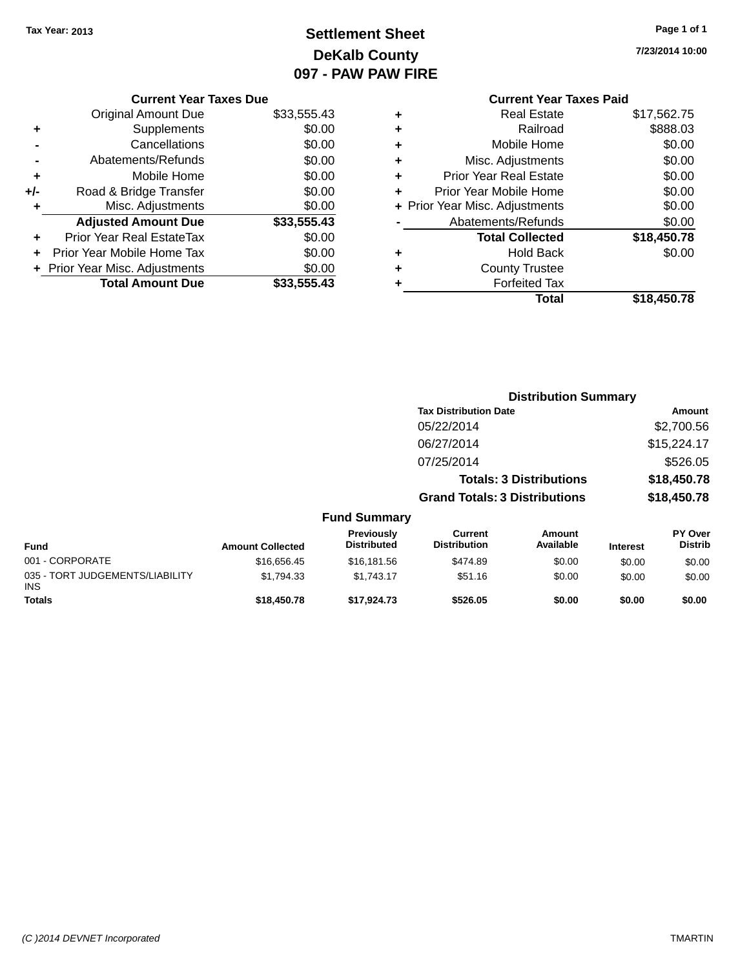# **Settlement Sheet Tax Year: 2013 Page 1 of 1 DeKalb County 097 - PAW PAW FIRE**

**7/23/2014 10:00**

|                | <b>Current Year Taxes Due</b> |             |  |  |  |
|----------------|-------------------------------|-------------|--|--|--|
|                | <b>Original Amount Due</b>    | \$33,555.43 |  |  |  |
| ٠              | Supplements                   | \$0.00      |  |  |  |
|                | Cancellations                 | \$0.00      |  |  |  |
| $\blacksquare$ | Abatements/Refunds            | \$0.00      |  |  |  |
| ٠              | Mobile Home                   | \$0.00      |  |  |  |
| +/-            | Road & Bridge Transfer        | \$0.00      |  |  |  |
| ÷              | Misc. Adjustments             | \$0.00      |  |  |  |
|                | <b>Adjusted Amount Due</b>    | \$33,555.43 |  |  |  |

| <b>Prior Year Real EstateTax</b> | \$0.00      |
|----------------------------------|-------------|
| + Prior Year Mobile Home Tax     | \$0.00      |
| + Prior Year Misc. Adjustments   | \$0.00      |
| <b>Total Amount Due</b>          | \$33,555.43 |

# **Current Year Taxes Paid +** Real Estate \$17,562.75 **+** Railroad \$888.03

|           | Total                          | \$18,450.78 |
|-----------|--------------------------------|-------------|
|           | <b>Forfeited Tax</b>           |             |
| $\ddot{}$ | <b>County Trustee</b>          |             |
| ÷         | <b>Hold Back</b>               | \$0.00      |
|           | <b>Total Collected</b>         | \$18,450.78 |
|           | Abatements/Refunds             | \$0.00      |
|           | + Prior Year Misc. Adjustments | \$0.00      |
| ÷         | Prior Year Mobile Home         | \$0.00      |
| ÷         | <b>Prior Year Real Estate</b>  | \$0.00      |
| $\ddot{}$ | Misc. Adjustments              | \$0.00      |
| ÷         | Mobile Home                    | \$0.00      |

|          |                                  |                                      | <b>Distribution Summary</b>    |           |                                  |
|----------|----------------------------------|--------------------------------------|--------------------------------|-----------|----------------------------------|
|          |                                  | <b>Tax Distribution Date</b>         |                                |           | Amount                           |
|          |                                  | 05/22/2014                           |                                |           | \$2,700.56                       |
|          |                                  | 06/27/2014                           |                                |           | \$15,224.17                      |
|          |                                  | 07/25/2014                           |                                |           | \$526.05                         |
|          |                                  |                                      | <b>Totals: 3 Distributions</b> |           | \$18,450.78                      |
|          |                                  | <b>Grand Totals: 3 Distributions</b> |                                |           | \$18,450.78                      |
|          | <b>Fund Summary</b>              |                                      |                                |           |                                  |
| اممدمماا | <b>Previously</b><br>Distributed | Current<br>Distribution              | Amount<br>Available            | In format | <b>PY Over</b><br><b>Distrib</b> |

| <b>Fund</b>                                   | <b>Amount Collected</b> | <b>Previously</b><br><b>Distributed</b> | Current<br><b>Distribution</b> | Amount<br>Available | <b>Interest</b> | <b>PY Over</b><br><b>Distrib</b> |
|-----------------------------------------------|-------------------------|-----------------------------------------|--------------------------------|---------------------|-----------------|----------------------------------|
| 001 - CORPORATE                               | \$16,656,45             | \$16,181.56                             | \$474.89                       | \$0.00              | \$0.00          | \$0.00                           |
| 035 - TORT JUDGEMENTS/LIABILITY<br><b>INS</b> | \$1.794.33              | \$1.743.17                              | \$51.16                        | \$0.00              | \$0.00          | \$0.00                           |
| <b>Totals</b>                                 | \$18,450.78             | \$17,924.73                             | \$526.05                       | \$0.00              | \$0.00          | \$0.00                           |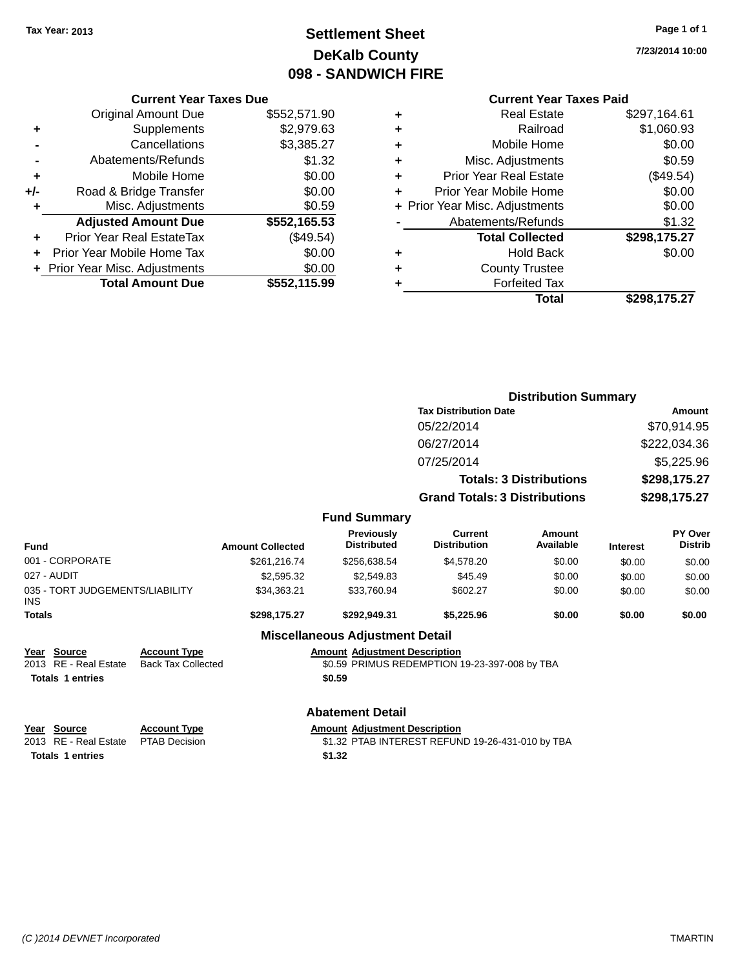# **Settlement Sheet Tax Year: 2013 Page 1 of 1 DeKalb County 098 - SANDWICH FIRE**

**7/23/2014 10:00**

## **Current Year Taxes Paid**

|     | <b>Current Year Taxes Due</b>  |              |  |  |  |  |
|-----|--------------------------------|--------------|--|--|--|--|
|     | <b>Original Amount Due</b>     | \$552,571.90 |  |  |  |  |
| ٠   | Supplements                    | \$2,979.63   |  |  |  |  |
|     | Cancellations                  | \$3,385.27   |  |  |  |  |
|     | Abatements/Refunds             | \$1.32       |  |  |  |  |
| ٠   | Mobile Home                    | \$0.00       |  |  |  |  |
| +/- | Road & Bridge Transfer         | \$0.00       |  |  |  |  |
|     | Misc. Adjustments              | \$0.59       |  |  |  |  |
|     | <b>Adjusted Amount Due</b>     | \$552,165.53 |  |  |  |  |
| ٠   | Prior Year Real EstateTax      | (\$49.54)    |  |  |  |  |
|     | Prior Year Mobile Home Tax     | \$0.00       |  |  |  |  |
|     | + Prior Year Misc. Adjustments | \$0.00       |  |  |  |  |
|     | <b>Total Amount Due</b>        | \$552.115.99 |  |  |  |  |
|     |                                |              |  |  |  |  |

|   | <b>Real Estate</b>             | \$297,164.61 |
|---|--------------------------------|--------------|
| ٠ | Railroad                       | \$1,060.93   |
| ٠ | Mobile Home                    | \$0.00       |
| ٠ | Misc. Adjustments              | \$0.59       |
| ٠ | Prior Year Real Estate         | (\$49.54)    |
| ٠ | Prior Year Mobile Home         | \$0.00       |
|   | + Prior Year Misc. Adjustments | \$0.00       |
|   | Abatements/Refunds             | \$1.32       |
|   | <b>Total Collected</b>         | \$298,175.27 |
| ٠ | <b>Hold Back</b>               | \$0.00       |
|   | <b>County Trustee</b>          |              |
| ٠ | <b>Forfeited Tax</b>           |              |
|   | Total                          | \$298,175.27 |
|   |                                |              |

|                                                          |                                                  |                         |                                         | <b>Distribution Summary</b>                   |                                |                 |                           |
|----------------------------------------------------------|--------------------------------------------------|-------------------------|-----------------------------------------|-----------------------------------------------|--------------------------------|-----------------|---------------------------|
|                                                          |                                                  |                         |                                         | <b>Tax Distribution Date</b>                  |                                |                 | Amount                    |
|                                                          |                                                  |                         |                                         | 05/22/2014                                    |                                | \$70,914.95     |                           |
|                                                          |                                                  |                         |                                         | 06/27/2014                                    |                                |                 | \$222,034.36              |
|                                                          |                                                  |                         |                                         | 07/25/2014                                    |                                |                 | \$5,225.96                |
|                                                          |                                                  |                         |                                         |                                               | <b>Totals: 3 Distributions</b> |                 | \$298,175.27              |
|                                                          |                                                  |                         |                                         | <b>Grand Totals: 3 Distributions</b>          |                                |                 | \$298,175.27              |
|                                                          |                                                  |                         | <b>Fund Summary</b>                     |                                               |                                |                 |                           |
| <b>Fund</b>                                              |                                                  | <b>Amount Collected</b> | <b>Previously</b><br><b>Distributed</b> | <b>Current</b><br><b>Distribution</b>         | Amount<br>Available            | <b>Interest</b> | PY Over<br><b>Distrib</b> |
| 001 - CORPORATE                                          |                                                  | \$261,216.74            | \$256,638.54                            | \$4,578.20                                    | \$0.00                         | \$0.00          | \$0.00                    |
| 027 - AUDIT                                              |                                                  | \$2,595.32              | \$2,549.83                              | \$45.49                                       | \$0.00                         | \$0.00          | \$0.00                    |
| 035 - TORT JUDGEMENTS/LIABILITY<br><b>INS</b>            |                                                  | \$34,363.21             | \$33,760.94                             | \$602.27                                      | \$0.00                         | \$0.00          | \$0.00                    |
| <b>Totals</b>                                            |                                                  | \$298,175.27            | \$292,949.31                            | \$5,225.96                                    | \$0.00                         | \$0.00          | \$0.00                    |
|                                                          |                                                  |                         | <b>Miscellaneous Adjustment Detail</b>  |                                               |                                |                 |                           |
| <b>Source</b><br>Year<br><b>RE</b> - Real Estate<br>2013 | <b>Account Type</b><br><b>Back Tax Collected</b> |                         | <b>Amount Adjustment Description</b>    | \$0.59 PRIMUS REDEMPTION 19-23-397-008 by TBA |                                |                 |                           |
| <b>Totals 1 entries</b>                                  |                                                  |                         | \$0.59                                  |                                               |                                |                 |                           |
|                                                          |                                                  |                         | <b>Abatement Detail</b>                 |                                               |                                |                 |                           |

| Year Source<br>2013 RE - Real Estate  PTAB Decision | <b>Account Type</b> | <b>Amount Adiustment Description</b><br>\$1.32 PTAB INTEREST REFUND 19-26-431-010 by TBA |
|-----------------------------------------------------|---------------------|------------------------------------------------------------------------------------------|
| <b>Totals 1 entries</b>                             |                     | \$1.32                                                                                   |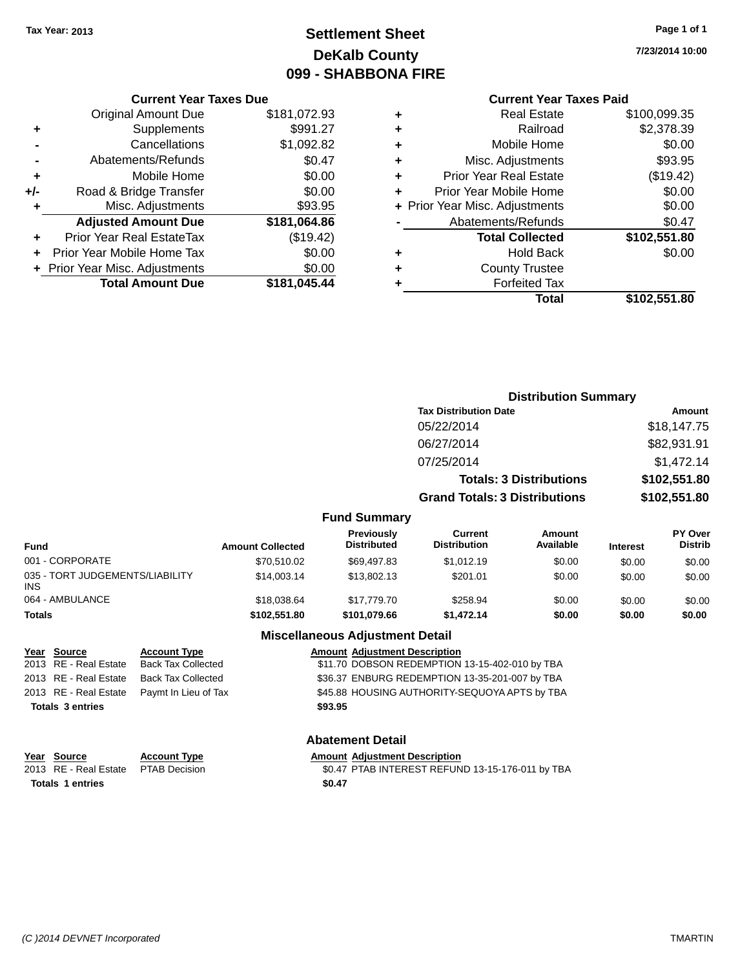# **Settlement Sheet Tax Year: 2013 Page 1 of 1 DeKalb County 099 - SHABBONA FIRE**

**7/23/2014 10:00**

## **Current Year Taxes Due**

|     | <b>Original Amount Due</b>       | \$181,072.93 |
|-----|----------------------------------|--------------|
| ٠   | Supplements                      | \$991.27     |
|     | Cancellations                    | \$1,092.82   |
|     | Abatements/Refunds               | \$0.47       |
| ٠   | Mobile Home                      | \$0.00       |
| +/- | Road & Bridge Transfer           | \$0.00       |
| ٠   | Misc. Adjustments                | \$93.95      |
|     | <b>Adjusted Amount Due</b>       | \$181,064.86 |
| ٠   | <b>Prior Year Real EstateTax</b> | (\$19.42)    |
|     | Prior Year Mobile Home Tax       | \$0.00       |
|     | + Prior Year Misc. Adjustments   | \$0.00       |
|     | <b>Total Amount Due</b>          | \$181,045.44 |

# **Current Year Taxes Paid**

| ٠ | <b>Real Estate</b>             | \$100,099.35 |
|---|--------------------------------|--------------|
| ٠ | Railroad                       | \$2,378.39   |
| ٠ | Mobile Home                    | \$0.00       |
| ٠ | Misc. Adjustments              | \$93.95      |
| ٠ | <b>Prior Year Real Estate</b>  | (\$19.42)    |
| ٠ | Prior Year Mobile Home         | \$0.00       |
|   | + Prior Year Misc. Adjustments | \$0.00       |
|   | Abatements/Refunds             | \$0.47       |
|   | <b>Total Collected</b>         | \$102,551.80 |
| ٠ | <b>Hold Back</b>               | \$0.00       |
| ٠ | <b>County Trustee</b>          |              |
| ٠ | <b>Forfeited Tax</b>           |              |
|   | Total                          | \$102,551.80 |
|   |                                |              |

|                                         |                         |                                  | <b>Distribution Summary</b>          |                                |                 |                           |
|-----------------------------------------|-------------------------|----------------------------------|--------------------------------------|--------------------------------|-----------------|---------------------------|
|                                         |                         |                                  | <b>Tax Distribution Date</b>         |                                | Amount          |                           |
|                                         |                         |                                  | 05/22/2014                           |                                |                 | \$18,147.75               |
|                                         |                         |                                  | 06/27/2014                           |                                |                 | \$82,931.91               |
|                                         |                         |                                  | 07/25/2014                           |                                |                 | \$1,472.14                |
|                                         |                         |                                  |                                      | <b>Totals: 3 Distributions</b> |                 | \$102,551.80              |
|                                         |                         |                                  | <b>Grand Totals: 3 Distributions</b> |                                |                 | \$102,551.80              |
|                                         |                         | <b>Fund Summary</b>              |                                      |                                |                 |                           |
| <b>Fund</b>                             | <b>Amount Collected</b> | Previously<br><b>Distributed</b> | Current<br><b>Distribution</b>       | Amount<br>Available            | <b>Interest</b> | PY Over<br><b>Distrib</b> |
| 001 - CORPORATE                         | \$70,510.02             | \$69,497.83                      | \$1,012.19                           | \$0.00                         | \$0.00          | \$0.00                    |
| 035 - TORT JUDGEMENTS/LIABILITY<br>INS. | \$14,003.14             | \$13,802.13                      | \$201.01                             | \$0.00                         | \$0.00          | \$0.00                    |
| 064 - AMBULANCE                         | \$18,038.64             | \$17,779.70                      | \$258.94                             | \$0.00                         | \$0.00          | \$0.00                    |

## **Totals \$102,551.80 \$101,079.66 \$1,472.14 \$0.00 \$0.00 \$0.00**

## **Miscellaneous Adjustment Detail**

| Year Source             | <b>Account Type</b>                        | <b>Amount Adjustment Description</b>           |
|-------------------------|--------------------------------------------|------------------------------------------------|
| 2013 RE - Real Estate   | <b>Back Tax Collected</b>                  | \$11.70 DOBSON REDEMPTION 13-15-402-010 by TBA |
| 2013 RE - Real Estate   | Back Tax Collected                         | \$36.37 ENBURG REDEMPTION 13-35-201-007 by TBA |
|                         | 2013 RE - Real Estate Paymt In Lieu of Tax | \$45.88 HOUSING AUTHORITY-SEQUOYA APTS by TBA  |
| <b>Totals 3 entries</b> |                                            | \$93.95                                        |
|                         |                                            |                                                |

## **Abatement Detail**

| <u>Year Source</u>      | <b>Account Type</b> | <b>Amount Adjustment Description</b>             |
|-------------------------|---------------------|--------------------------------------------------|
| 2013 RE - Real Estate   | PTAB Decision       | \$0.47 PTAB INTEREST REFUND 13-15-176-011 by TBA |
| <b>Totals 1 entries</b> |                     | \$0.47                                           |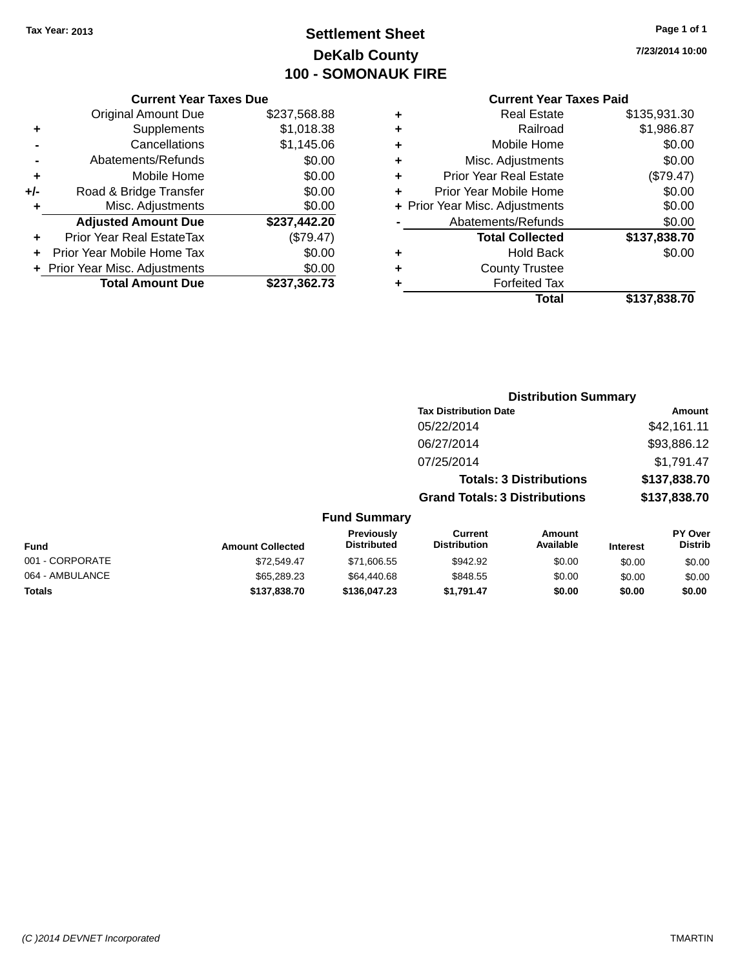# **Settlement Sheet Tax Year: 2013 Page 1 of 1 DeKalb County 100 - SOMONAUK FIRE**

**7/23/2014 10:00**

## **Current Year Taxes Paid**

| \$237,568.88 |
|--------------|
| \$1,018.38   |
| \$1,145.06   |
| \$0.00       |
| \$0.00       |
| \$0.00       |
| \$0.00       |
| \$237,442.20 |
| (\$79.47)    |
| \$0.00       |
| \$0.00       |
| \$237,362.73 |
|              |

|   | <b>Real Estate</b>             | \$135,931.30 |
|---|--------------------------------|--------------|
| ٠ | Railroad                       | \$1,986.87   |
| ٠ | Mobile Home                    | \$0.00       |
| ٠ | Misc. Adjustments              | \$0.00       |
| ٠ | <b>Prior Year Real Estate</b>  | (\$79.47)    |
| ٠ | Prior Year Mobile Home         | \$0.00       |
|   | + Prior Year Misc. Adjustments | \$0.00       |
|   | Abatements/Refunds             | \$0.00       |
|   | <b>Total Collected</b>         | \$137,838.70 |
| ٠ | <b>Hold Back</b>               | \$0.00       |
| ٠ | <b>County Trustee</b>          |              |
| ٠ | <b>Forfeited Tax</b>           |              |
|   | Total                          | \$137,838.70 |
|   |                                |              |

|                     |                                      | <b>Distribution Summary</b>    |                |
|---------------------|--------------------------------------|--------------------------------|----------------|
|                     | <b>Tax Distribution Date</b>         |                                | Amount         |
|                     | 05/22/2014                           |                                | \$42,161.11    |
|                     | 06/27/2014                           |                                | \$93,886.12    |
|                     | 07/25/2014                           |                                | \$1,791.47     |
|                     |                                      | <b>Totals: 3 Distributions</b> | \$137,838.70   |
|                     | <b>Grand Totals: 3 Distributions</b> |                                | \$137,838.70   |
| <b>Fund Summary</b> |                                      |                                |                |
| Previously          | Current                              | Amount                         | <b>PY Over</b> |

| Fund            | <b>Amount Collected</b> | Previously<br><b>Distributed</b> | Current<br><b>Distribution</b> | Amount<br>Available | <b>Interest</b> | PY Over<br><b>Distrib</b> |
|-----------------|-------------------------|----------------------------------|--------------------------------|---------------------|-----------------|---------------------------|
| 001 - CORPORATE | \$72.549.47             | \$71,606.55                      | \$942.92                       | \$0.00              | \$0.00          | \$0.00                    |
| 064 - AMBULANCE | \$65,289,23             | \$64,440.68                      | \$848.55                       | \$0.00              | \$0.00          | \$0.00                    |
| Totals          | \$137,838,70            | \$136,047.23                     | \$1.791.47                     | \$0.00              | \$0.00          | \$0.00                    |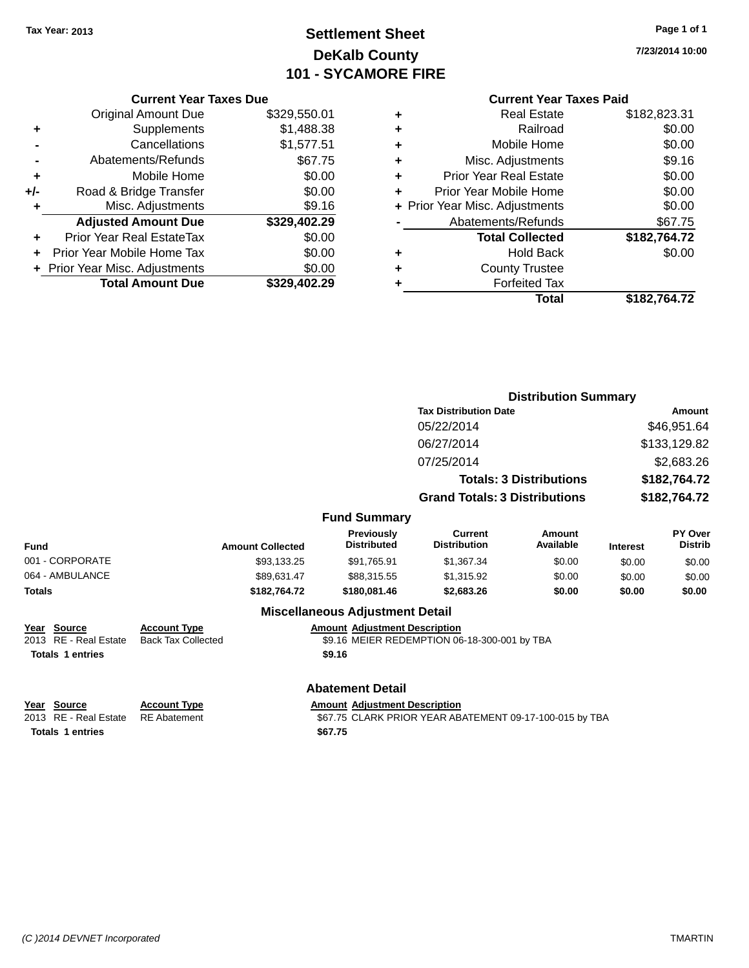# **Settlement Sheet Tax Year: 2013 Page 1 of 1 DeKalb County 101 - SYCAMORE FIRE**

**7/23/2014 10:00**

### **Current Year Taxes Paid**

| \$329,550.01 |
|--------------|
| \$1,488.38   |
| \$1,577.51   |
| \$67.75      |
| \$0.00       |
| \$0.00       |
| \$9.16       |
| \$329,402.29 |
| \$0.00       |
| \$0.00       |
| \$0.00       |
| \$329,402.29 |
|              |

|   | <b>Real Estate</b>             | \$182,823.31 |
|---|--------------------------------|--------------|
| ٠ | Railroad                       | \$0.00       |
| ٠ | Mobile Home                    | \$0.00       |
| ٠ | Misc. Adjustments              | \$9.16       |
| ٠ | <b>Prior Year Real Estate</b>  | \$0.00       |
| ÷ | Prior Year Mobile Home         | \$0.00       |
|   | + Prior Year Misc. Adjustments | \$0.00       |
|   | Abatements/Refunds             | \$67.75      |
|   | <b>Total Collected</b>         | \$182,764.72 |
| ٠ | Hold Back                      | \$0.00       |
|   | <b>County Trustee</b>          |              |
| ٠ | <b>Forfeited Tax</b>           |              |
|   | Total                          | \$182,764.72 |
|   |                                |              |

|                 |                              |                                  | <b>Distribution Summary</b>          |                                |                 |                           |
|-----------------|------------------------------|----------------------------------|--------------------------------------|--------------------------------|-----------------|---------------------------|
|                 | <b>Tax Distribution Date</b> |                                  |                                      |                                | <b>Amount</b>   |                           |
|                 |                              |                                  | 05/22/2014                           |                                |                 | \$46,951.64               |
|                 |                              |                                  | 06/27/2014                           |                                |                 | \$133,129.82              |
|                 |                              |                                  | 07/25/2014                           |                                |                 | \$2,683.26                |
|                 |                              |                                  |                                      | <b>Totals: 3 Distributions</b> |                 | \$182,764.72              |
|                 |                              |                                  | <b>Grand Totals: 3 Distributions</b> |                                | \$182,764.72    |                           |
|                 |                              | <b>Fund Summary</b>              |                                      |                                |                 |                           |
| <b>Fund</b>     | <b>Amount Collected</b>      | Previously<br><b>Distributed</b> | Current<br><b>Distribution</b>       | Amount<br>Available            | <b>Interest</b> | PY Over<br><b>Distrib</b> |
| 001 - CORPORATE | \$93,133.25                  | \$91,765.91                      | \$1,367.34                           | \$0.00                         | \$0.00          | \$0.00                    |
| 064 - AMBULANCE | \$89,631.47                  | \$88,315.55                      | \$1,315.92                           | \$0.00                         | \$0.00          | \$0.00                    |
| Totals          | \$182,764.72                 | \$180,081.46                     | \$2,683.26                           | \$0.00                         | \$0.00          | \$0.00                    |
|                 |                              | Miscellaneous Adjustment Detail  |                                      |                                |                 |                           |

### **Miscellaneous Adjustment Detail**

**Year Source Account Type Amount Adjustment Description Totals 1 entries \$9.16**

# 2013 RE - Real Estate Back Tax Collected \$9.16 MEIER REDEMPTION 06-18-300-001 by TBA

## **Abatement Detail**

**Year** Source **Account Type Account Adjustment Description** 

**Totals 1 entries \$67.75**

2013 RE - Real Estate RE Abatement \$67.75 CLARK PRIOR YEAR ABATEMENT 09-17-100-015 by TBA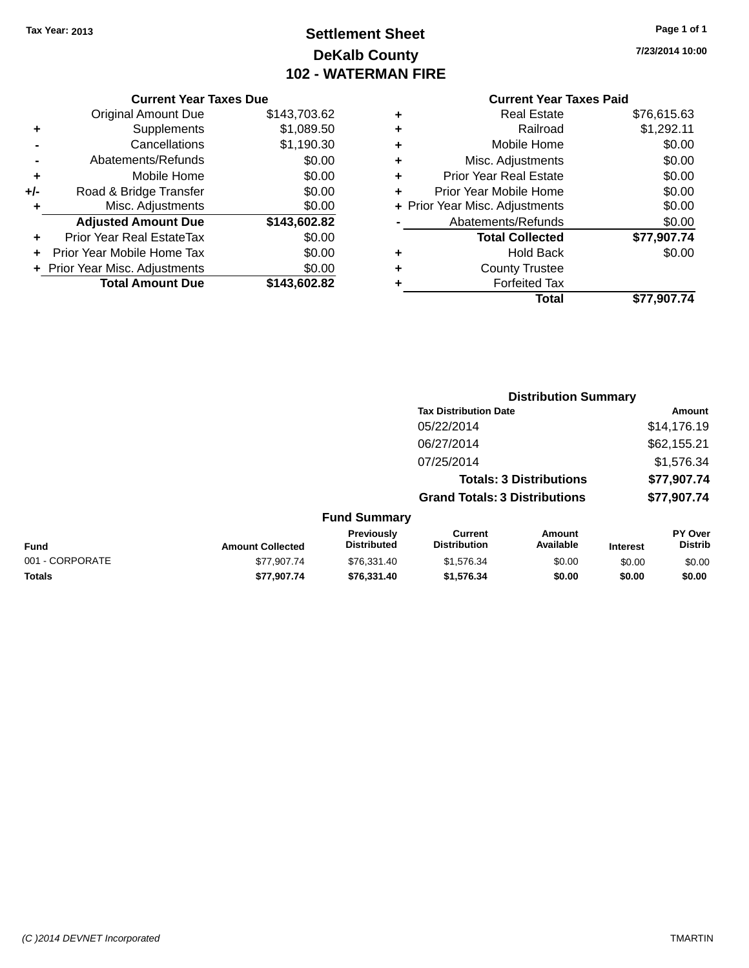# **Settlement Sheet Tax Year: 2013 Page 1 of 1 DeKalb County 102 - WATERMAN FIRE**

**7/23/2014 10:00**

## **Current Year Taxes Due**

|       | <b>Original Amount Due</b>       | \$143,703.62 |
|-------|----------------------------------|--------------|
| ٠     | Supplements                      | \$1,089.50   |
|       | Cancellations                    | \$1,190.30   |
|       | Abatements/Refunds               | \$0.00       |
| ٠     | Mobile Home                      | \$0.00       |
| $+/-$ | Road & Bridge Transfer           | \$0.00       |
| ٠     | Misc. Adjustments                | \$0.00       |
|       | <b>Adjusted Amount Due</b>       | \$143,602.82 |
|       | <b>Prior Year Real EstateTax</b> | \$0.00       |
|       | Prior Year Mobile Home Tax       | \$0.00       |
|       | + Prior Year Misc. Adjustments   | \$0.00       |
|       | <b>Total Amount Due</b>          | \$143.602.82 |

# **Current Year Taxes Paid +** Real Estate \$76,615.63

|   | Railroad                       | \$1,292.11  |
|---|--------------------------------|-------------|
|   | Mobile Home                    | \$0.00      |
| ٠ | Misc. Adjustments              | \$0.00      |
|   | <b>Prior Year Real Estate</b>  | \$0.00      |
|   | Prior Year Mobile Home         | \$0.00      |
|   | + Prior Year Misc. Adjustments | \$0.00      |
|   | Abatements/Refunds             | \$0.00      |
|   | <b>Total Collected</b>         | \$77,907.74 |
|   | <b>Hold Back</b>               | \$0.00      |
| ٠ | <b>County Trustee</b>          |             |
|   | <b>Forfeited Tax</b>           |             |
|   | Total                          | \$77,907.74 |

|                 |                         |                                  |                                       | <b>Distribution Summary</b>    |                 |                           |
|-----------------|-------------------------|----------------------------------|---------------------------------------|--------------------------------|-----------------|---------------------------|
|                 |                         |                                  | <b>Tax Distribution Date</b>          |                                |                 | Amount                    |
|                 |                         |                                  | 05/22/2014                            |                                |                 | \$14,176.19               |
|                 |                         |                                  | 06/27/2014                            |                                |                 | \$62,155.21               |
|                 |                         |                                  | 07/25/2014                            |                                |                 | \$1,576.34                |
|                 |                         |                                  |                                       | <b>Totals: 3 Distributions</b> |                 | \$77,907.74               |
|                 |                         |                                  | <b>Grand Totals: 3 Distributions</b>  |                                |                 | \$77,907.74               |
|                 |                         | <b>Fund Summary</b>              |                                       |                                |                 |                           |
| <b>Fund</b>     | <b>Amount Collected</b> | Previously<br><b>Distributed</b> | <b>Current</b><br><b>Distribution</b> | Amount<br>Available            | <b>Interest</b> | PY Over<br><b>Distrib</b> |
| 001 - CORPORATE | \$77,907.74             | \$76,331.40                      | \$1,576.34                            | \$0.00                         | \$0.00          | \$0.00                    |
| <b>Totals</b>   | \$77.907.74             | \$76.331.40                      | \$1,576,34                            | \$0.00                         | \$0.00          | \$0.00                    |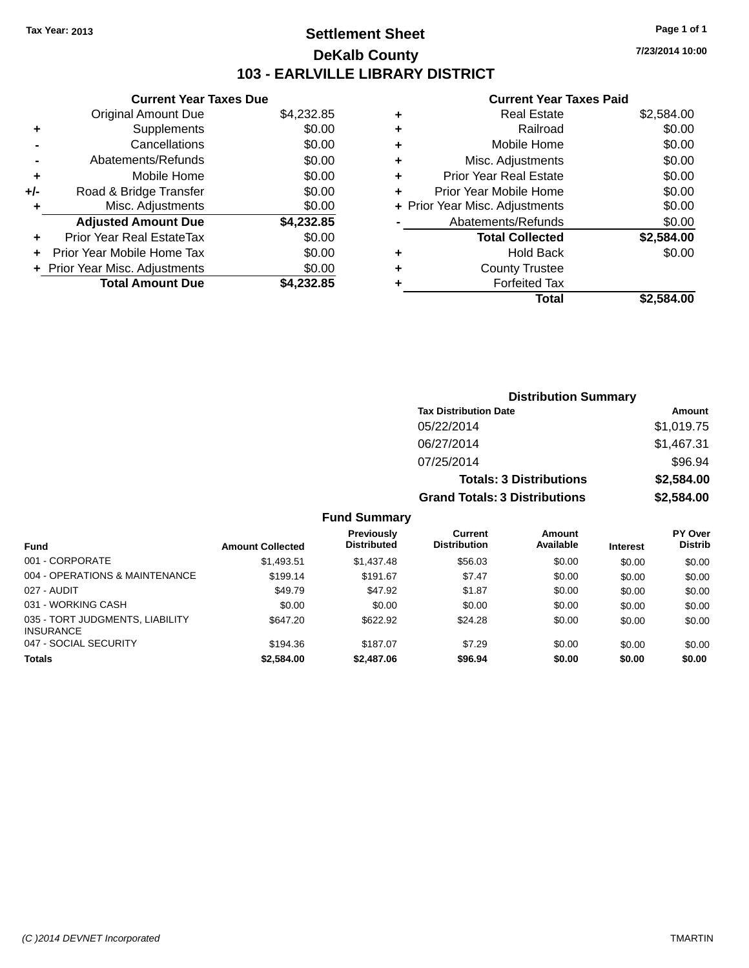# **Settlement Sheet Tax Year: 2013 Page 1 of 1 DeKalb County 103 - EARLVILLE LIBRARY DISTRICT**

**7/23/2014 10:00**

# **Current Year Taxes Paid**

|     | <b>Current Year Taxes Due</b>  |            |
|-----|--------------------------------|------------|
|     | <b>Original Amount Due</b>     | \$4,232.85 |
|     | Supplements                    | \$0.00     |
|     | Cancellations                  | \$0.00     |
|     | Abatements/Refunds             | \$0.00     |
| ÷   | Mobile Home                    | \$0.00     |
| +/- | Road & Bridge Transfer         | \$0.00     |
| ٠   | Misc. Adjustments              | \$0.00     |
|     | <b>Adjusted Amount Due</b>     | \$4,232.85 |
| ٠   | Prior Year Real EstateTax      | \$0.00     |
|     | Prior Year Mobile Home Tax     | \$0.00     |
|     | + Prior Year Misc. Adjustments | \$0.00     |
|     | <b>Total Amount Due</b>        | \$4.232.85 |
|     |                                |            |

| ٠ | <b>Real Estate</b>             | \$2,584.00 |
|---|--------------------------------|------------|
| ٠ | Railroad                       | \$0.00     |
| ٠ | Mobile Home                    | \$0.00     |
| ٠ | Misc. Adjustments              | \$0.00     |
| ٠ | <b>Prior Year Real Estate</b>  | \$0.00     |
| ٠ | Prior Year Mobile Home         | \$0.00     |
|   | + Prior Year Misc. Adjustments | \$0.00     |
|   | Abatements/Refunds             | \$0.00     |
|   | <b>Total Collected</b>         | \$2,584.00 |
| ٠ | Hold Back                      | \$0.00     |
| ٠ | <b>County Trustee</b>          |            |
| ٠ | <b>Forfeited Tax</b>           |            |
|   | <b>Total</b>                   | \$2,584.00 |
|   |                                |            |

| <b>Distribution Summary</b>          |            |  |  |
|--------------------------------------|------------|--|--|
| <b>Tax Distribution Date</b>         | Amount     |  |  |
| 05/22/2014                           | \$1,019.75 |  |  |
| 06/27/2014                           | \$1,467.31 |  |  |
| 07/25/2014                           | \$96.94    |  |  |
| <b>Totals: 3 Distributions</b>       | \$2,584.00 |  |  |
| <b>Grand Totals: 3 Distributions</b> | \$2,584.00 |  |  |

|                                                     |                         | <b>Previously</b>  | Current             | Amount    |                 | <b>PY Over</b> |
|-----------------------------------------------------|-------------------------|--------------------|---------------------|-----------|-----------------|----------------|
| Fund                                                | <b>Amount Collected</b> | <b>Distributed</b> | <b>Distribution</b> | Available | <b>Interest</b> | <b>Distrib</b> |
| 001 - CORPORATE                                     | \$1,493.51              | \$1,437.48         | \$56.03             | \$0.00    | \$0.00          | \$0.00         |
| 004 - OPERATIONS & MAINTENANCE                      | \$199.14                | \$191.67           | \$7.47              | \$0.00    | \$0.00          | \$0.00         |
| 027 - AUDIT                                         | \$49.79                 | \$47.92            | \$1.87              | \$0.00    | \$0.00          | \$0.00         |
| 031 - WORKING CASH                                  | \$0.00                  | \$0.00             | \$0.00              | \$0.00    | \$0.00          | \$0.00         |
| 035 - TORT JUDGMENTS, LIABILITY<br><b>INSURANCE</b> | \$647.20                | \$622.92           | \$24.28             | \$0.00    | \$0.00          | \$0.00         |
| 047 - SOCIAL SECURITY                               | \$194.36                | \$187.07           | \$7.29              | \$0.00    | \$0.00          | \$0.00         |
| <b>Totals</b>                                       | \$2,584.00              | \$2,487.06         | \$96.94             | \$0.00    | \$0.00          | \$0.00         |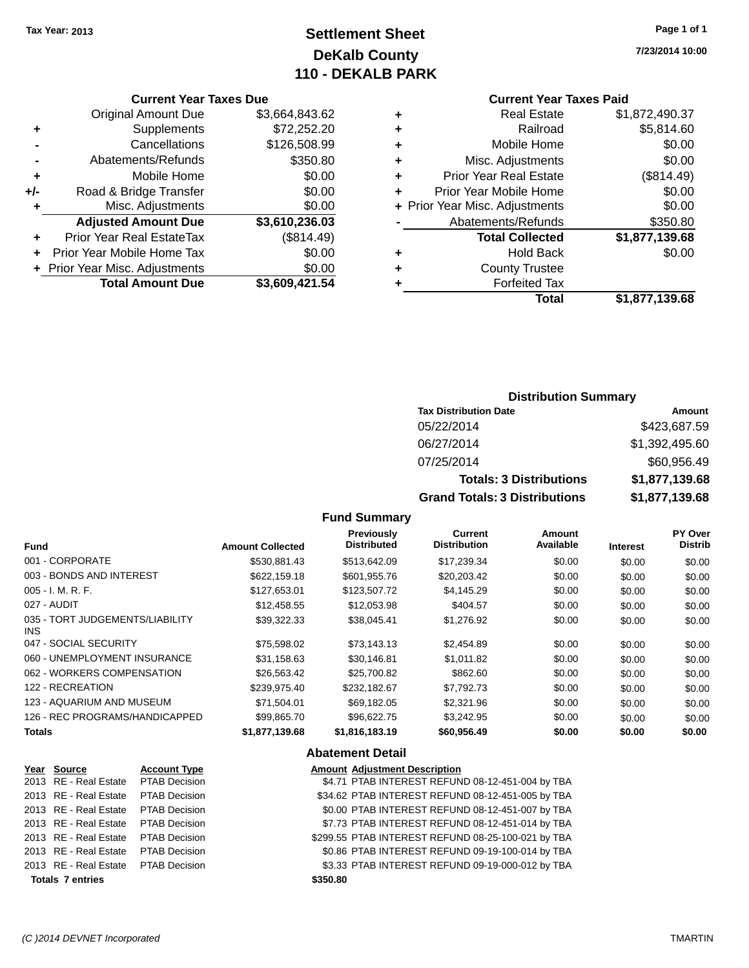# **Settlement Sheet Tax Year: 2013 Page 1 of 1 DeKalb County 110 - DEKALB PARK**

**7/23/2014 10:00**

## **Current Year Taxes Paid**

| <b>Real Estate</b><br>٠            | \$1,872,490.37 |
|------------------------------------|----------------|
| Railroad                           | \$5,814.60     |
| Mobile Home<br>٠                   | \$0.00         |
| Misc. Adjustments<br>٠             | \$0.00         |
| <b>Prior Year Real Estate</b><br>٠ | (\$814.49)     |
| Prior Year Mobile Home             | \$0.00         |
| + Prior Year Misc. Adjustments     | \$0.00         |
| Abatements/Refunds                 | \$350.80       |
| <b>Total Collected</b>             | \$1,877,139.68 |
| <b>Hold Back</b><br>٠              | \$0.00         |
| <b>County Trustee</b><br>٠         |                |
| <b>Forfeited Tax</b>               |                |
| Total                              | \$1,877,139.68 |
|                                    |                |

|     | <b>Current Year Taxes Due</b>    |                |
|-----|----------------------------------|----------------|
|     | <b>Original Amount Due</b>       | \$3,664,843.62 |
| ٠   | Supplements                      | \$72,252.20    |
|     | Cancellations                    | \$126,508.99   |
|     | Abatements/Refunds               | \$350.80       |
| ٠   | Mobile Home                      | \$0.00         |
| +/- | Road & Bridge Transfer           | \$0.00         |
| ٠   | Misc. Adjustments                | \$0.00         |
|     | <b>Adjusted Amount Due</b>       | \$3,610,236.03 |
|     | <b>Prior Year Real EstateTax</b> | (\$814.49)     |
|     | Prior Year Mobile Home Tax       | \$0.00         |
|     | + Prior Year Misc. Adjustments   | \$0.00         |
|     | <b>Total Amount Due</b>          | \$3,609,421.54 |

## **Distribution Summary**

| <b>Tax Distribution Date</b>         | Amount         |
|--------------------------------------|----------------|
| 05/22/2014                           | \$423,687.59   |
| 06/27/2014                           | \$1,392,495.60 |
| 07/25/2014                           | \$60,956.49    |
| <b>Totals: 3 Distributions</b>       | \$1,877,139.68 |
| <b>Grand Totals: 3 Distributions</b> | \$1,877,139.68 |

## **Fund Summary**

| <b>Fund</b>                             | <b>Amount Collected</b> | <b>Previously</b><br><b>Distributed</b> | Current<br><b>Distribution</b> | Amount<br>Available | <b>Interest</b> | PY Over<br><b>Distrib</b> |
|-----------------------------------------|-------------------------|-----------------------------------------|--------------------------------|---------------------|-----------------|---------------------------|
| 001 - CORPORATE                         | \$530,881.43            | \$513,642.09                            | \$17,239.34                    | \$0.00              | \$0.00          | \$0.00                    |
| 003 - BONDS AND INTEREST                | \$622,159.18            | \$601.955.76                            | \$20,203.42                    | \$0.00              | \$0.00          | \$0.00                    |
| $005 - I. M. R. F.$                     | \$127,653.01            | \$123,507.72                            | \$4,145.29                     | \$0.00              | \$0.00          | \$0.00                    |
| 027 - AUDIT                             | \$12.458.55             | \$12.053.98                             | \$404.57                       | \$0.00              | \$0.00          | \$0.00                    |
| 035 - TORT JUDGEMENTS/LIABILITY<br>INS. | \$39,322.33             | \$38,045.41                             | \$1,276.92                     | \$0.00              | \$0.00          | \$0.00                    |
| 047 - SOCIAL SECURITY                   | \$75,598.02             | \$73.143.13                             | \$2,454.89                     | \$0.00              | \$0.00          | \$0.00                    |
| 060 - UNEMPLOYMENT INSURANCE            | \$31,158.63             | \$30,146.81                             | \$1.011.82                     | \$0.00              | \$0.00          | \$0.00                    |
| 062 - WORKERS COMPENSATION              | \$26,563.42             | \$25,700.82                             | \$862.60                       | \$0.00              | \$0.00          | \$0.00                    |
| 122 - RECREATION                        | \$239,975.40            | \$232,182.67                            | \$7,792.73                     | \$0.00              | \$0.00          | \$0.00                    |
| 123 - AQUARIUM AND MUSEUM               | \$71,504.01             | \$69,182.05                             | \$2,321.96                     | \$0.00              | \$0.00          | \$0.00                    |
| 126 - REC PROGRAMS/HANDICAPPED          | \$99.865.70             | \$96.622.75                             | \$3.242.95                     | \$0.00              | \$0.00          | \$0.00                    |
| <b>Totals</b>                           | \$1,877,139.68          | \$1,816,183.19                          | \$60,956.49                    | \$0.00              | \$0.00          | \$0.00                    |
|                                         |                         |                                         |                                |                     |                 |                           |

### **Abatement Detail**

| Year Source             | <b>Account Type</b>  |          | <b>Amount Adjustment Description</b>               |
|-------------------------|----------------------|----------|----------------------------------------------------|
| 2013 RE - Real Estate   | PTAB Decision        |          | \$4.71 PTAB INTEREST REFUND 08-12-451-004 by TBA   |
| 2013 RE - Real Estate   | <b>PTAB Decision</b> |          | \$34.62 PTAB INTEREST REFUND 08-12-451-005 by TBA  |
| 2013 RE - Real Estate   | <b>PTAB Decision</b> |          | \$0.00 PTAB INTEREST REFUND 08-12-451-007 by TBA   |
| 2013 RE - Real Estate   | <b>PTAB Decision</b> |          | \$7.73 PTAB INTEREST REFUND 08-12-451-014 by TBA   |
| 2013 RE - Real Estate   | <b>PTAB Decision</b> |          | \$299.55 PTAB INTEREST REFUND 08-25-100-021 by TBA |
| 2013 RE - Real Estate   | <b>PTAB Decision</b> |          | \$0.86 PTAB INTEREST REFUND 09-19-100-014 by TBA   |
| 2013 RE - Real Estate   | <b>PTAB Decision</b> |          | \$3.33 PTAB INTEREST REFUND 09-19-000-012 by TBA   |
| <b>Totals 7 entries</b> |                      | \$350.80 |                                                    |
|                         |                      |          |                                                    |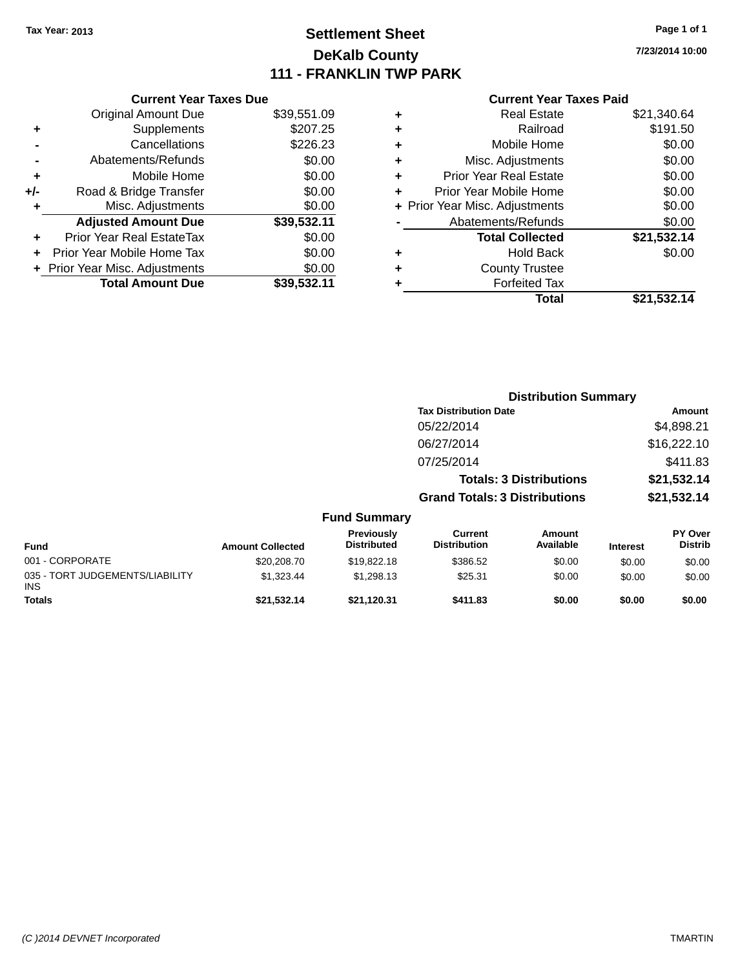# **Settlement Sheet Tax Year: 2013 Page 1 of 1 DeKalb County 111 - FRANKLIN TWP PARK**

**7/23/2014 10:00**

|  | <b>Current Year Taxes Paid</b> |  |  |  |
|--|--------------------------------|--|--|--|
|--|--------------------------------|--|--|--|

|       | <b>Current Year Taxes Due</b>  |             |
|-------|--------------------------------|-------------|
|       | <b>Original Amount Due</b>     | \$39,551.09 |
| ٠     | Supplements                    | \$207.25    |
|       | Cancellations                  | \$226.23    |
|       | Abatements/Refunds             | \$0.00      |
| ٠     | Mobile Home                    | \$0.00      |
| $+/-$ | Road & Bridge Transfer         | \$0.00      |
| ÷     | Misc. Adjustments              | \$0.00      |
|       | <b>Adjusted Amount Due</b>     | \$39,532.11 |
| ٠     | Prior Year Real EstateTax      | \$0.00      |
|       | Prior Year Mobile Home Tax     | \$0.00      |
|       | + Prior Year Misc. Adjustments | \$0.00      |
|       | <b>Total Amount Due</b>        | \$39.532.11 |
|       |                                |             |

|   | <b>Real Estate</b>             | \$21,340.64 |
|---|--------------------------------|-------------|
| ٠ | Railroad                       | \$191.50    |
| ٠ | Mobile Home                    | \$0.00      |
| ٠ | Misc. Adjustments              | \$0.00      |
| ٠ | <b>Prior Year Real Estate</b>  | \$0.00      |
| ÷ | Prior Year Mobile Home         | \$0.00      |
|   | + Prior Year Misc. Adjustments | \$0.00      |
|   | Abatements/Refunds             | \$0.00      |
|   | <b>Total Collected</b>         | \$21,532.14 |
| ٠ | <b>Hold Back</b>               | \$0.00      |
| ٠ | <b>County Trustee</b>          |             |
| ٠ | <b>Forfeited Tax</b>           |             |
|   | Total                          | \$21,532.14 |
|   |                                |             |

|                                         |                         |                                  |                                      | <b>Distribution Summary</b>    |                 |                           |
|-----------------------------------------|-------------------------|----------------------------------|--------------------------------------|--------------------------------|-----------------|---------------------------|
|                                         |                         |                                  | <b>Tax Distribution Date</b>         |                                |                 | Amount                    |
|                                         |                         |                                  | 05/22/2014                           |                                |                 | \$4,898.21                |
|                                         |                         |                                  | 06/27/2014                           |                                |                 | \$16,222.10               |
|                                         |                         |                                  | 07/25/2014                           |                                |                 | \$411.83                  |
|                                         |                         |                                  |                                      | <b>Totals: 3 Distributions</b> |                 | \$21,532.14               |
|                                         |                         |                                  | <b>Grand Totals: 3 Distributions</b> |                                |                 | \$21,532.14               |
|                                         |                         | <b>Fund Summary</b>              |                                      |                                |                 |                           |
| <b>Fund</b>                             | <b>Amount Collected</b> | Previously<br><b>Distributed</b> | Current<br><b>Distribution</b>       | <b>Amount</b><br>Available     | <b>Interest</b> | PY Over<br><b>Distrib</b> |
| 001 - CORPORATE                         | \$20,208.70             | \$19,822.18                      | \$386.52                             | \$0.00                         | \$0.00          | \$0.00                    |
| 035 - TORT JUDGEMENTS/LIABILITY<br>INS. | \$1,323.44              | \$1,298.13                       | \$25.31                              | \$0.00                         | \$0.00          | \$0.00                    |
| <b>Totals</b>                           | \$21.532.14             | \$21,120.31                      | \$411.83                             | \$0.00                         | \$0.00          | \$0.00                    |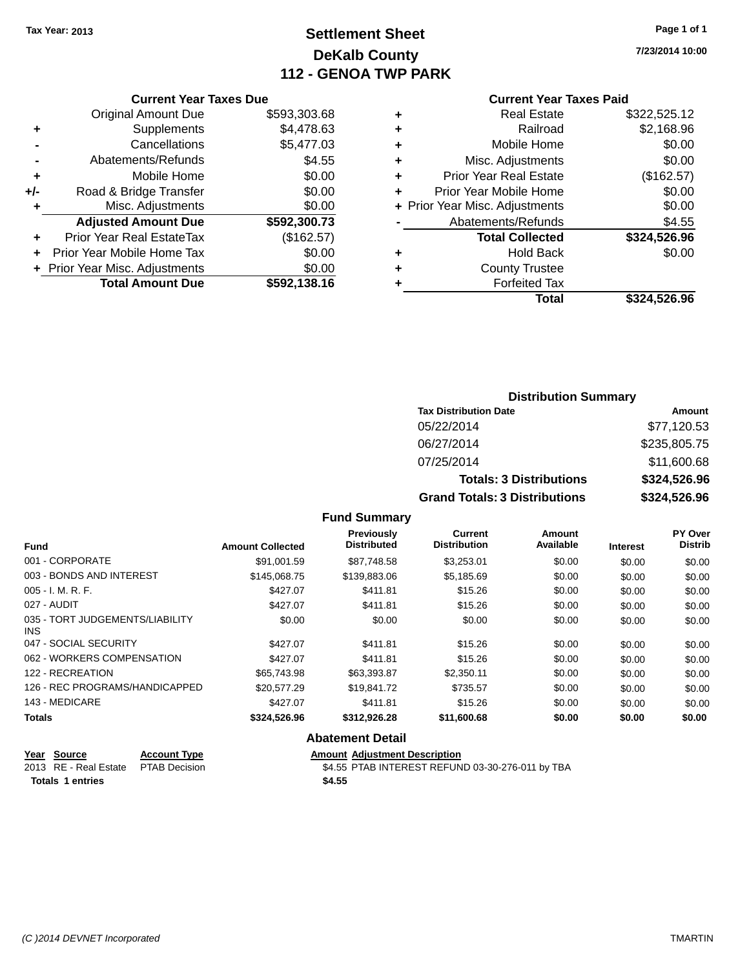# **Settlement Sheet Tax Year: 2013 Page 1 of 1 DeKalb County 112 - GENOA TWP PARK**

**7/23/2014 10:00**

## **Current Year Taxes Paid**

|     | <b>Current Year Taxes Due</b>  |              |
|-----|--------------------------------|--------------|
|     | <b>Original Amount Due</b>     | \$593,303.68 |
| ٠   | Supplements                    | \$4,478.63   |
|     | Cancellations                  | \$5,477.03   |
|     | Abatements/Refunds             | \$4.55       |
| ٠   | Mobile Home                    | \$0.00       |
| +/- | Road & Bridge Transfer         | \$0.00       |
|     | Misc. Adjustments              | \$0.00       |
|     | <b>Adjusted Amount Due</b>     | \$592,300.73 |
| ٠   | Prior Year Real EstateTax      | (\$162.57)   |
|     | Prior Year Mobile Home Tax     | \$0.00       |
|     | + Prior Year Misc. Adjustments | \$0.00       |
|     | <b>Total Amount Due</b>        | \$592,138.16 |
|     |                                |              |

| ٠ | <b>Real Estate</b>             | \$322,525.12 |
|---|--------------------------------|--------------|
| ٠ | Railroad                       | \$2,168.96   |
| ٠ | Mobile Home                    | \$0.00       |
| ٠ | Misc. Adjustments              | \$0.00       |
| ٠ | <b>Prior Year Real Estate</b>  | (\$162.57)   |
| ٠ | Prior Year Mobile Home         | \$0.00       |
|   | + Prior Year Misc. Adjustments | \$0.00       |
|   | Abatements/Refunds             | \$4.55       |
|   | <b>Total Collected</b>         | \$324,526.96 |
| ٠ | <b>Hold Back</b>               | \$0.00       |
| ٠ | <b>County Trustee</b>          |              |
| ٠ | <b>Forfeited Tax</b>           |              |
|   | Total                          | \$324,526.96 |
|   |                                |              |

# **Distribution Summary Tax Distribution Date Amount** 05/22/2014 \$77,120.53 06/27/2014 \$235,805.75 07/25/2014 \$11,600.68 **Totals: 3 Distributions \$324,526.96 Grand Totals: 3 Distributions \$324,526.96**

## **Fund Summary**

| <b>Fund</b>                             | <b>Amount Collected</b> | <b>Previously</b><br><b>Distributed</b> | <b>Current</b><br><b>Distribution</b> | Amount<br>Available | <b>Interest</b> | PY Over<br><b>Distrib</b> |
|-----------------------------------------|-------------------------|-----------------------------------------|---------------------------------------|---------------------|-----------------|---------------------------|
| 001 - CORPORATE                         | \$91.001.59             | \$87.748.58                             | \$3.253.01                            | \$0.00              | \$0.00          | \$0.00                    |
| 003 - BONDS AND INTEREST                | \$145,068.75            | \$139,883.06                            | \$5,185.69                            | \$0.00              | \$0.00          | \$0.00                    |
| 005 - I. M. R. F.                       | \$427.07                | \$411.81                                | \$15.26                               | \$0.00              | \$0.00          | \$0.00                    |
| 027 - AUDIT                             | \$427.07                | \$411.81                                | \$15.26                               | \$0.00              | \$0.00          | \$0.00                    |
| 035 - TORT JUDGEMENTS/LIABILITY<br>INS. | \$0.00                  | \$0.00                                  | \$0.00                                | \$0.00              | \$0.00          | \$0.00                    |
| 047 - SOCIAL SECURITY                   | \$427.07                | \$411.81                                | \$15.26                               | \$0.00              | \$0.00          | \$0.00                    |
| 062 - WORKERS COMPENSATION              | \$427.07                | \$411.81                                | \$15.26                               | \$0.00              | \$0.00          | \$0.00                    |
| 122 - RECREATION                        | \$65,743.98             | \$63,393.87                             | \$2,350.11                            | \$0.00              | \$0.00          | \$0.00                    |
| 126 - REC PROGRAMS/HANDICAPPED          | \$20,577.29             | \$19.841.72                             | \$735.57                              | \$0.00              | \$0.00          | \$0.00                    |
| 143 - MEDICARE                          | \$427.07                | \$411.81                                | \$15.26                               | \$0.00              | \$0.00          | \$0.00                    |
| <b>Totals</b>                           | \$324,526.96            | \$312,926.28                            | \$11,600.68                           | \$0.00              | \$0.00          | \$0.00                    |

## **Abatement Detail**

| Year Source                         | <b>Account Type</b> | <b>Amount Adiustment Description</b>             |
|-------------------------------------|---------------------|--------------------------------------------------|
| 2013 RE - Real Estate PTAB Decision |                     | \$4.55 PTAB INTEREST REFUND 03-30-276-011 by TBA |
| Totals 1 entries                    |                     | \$4.55                                           |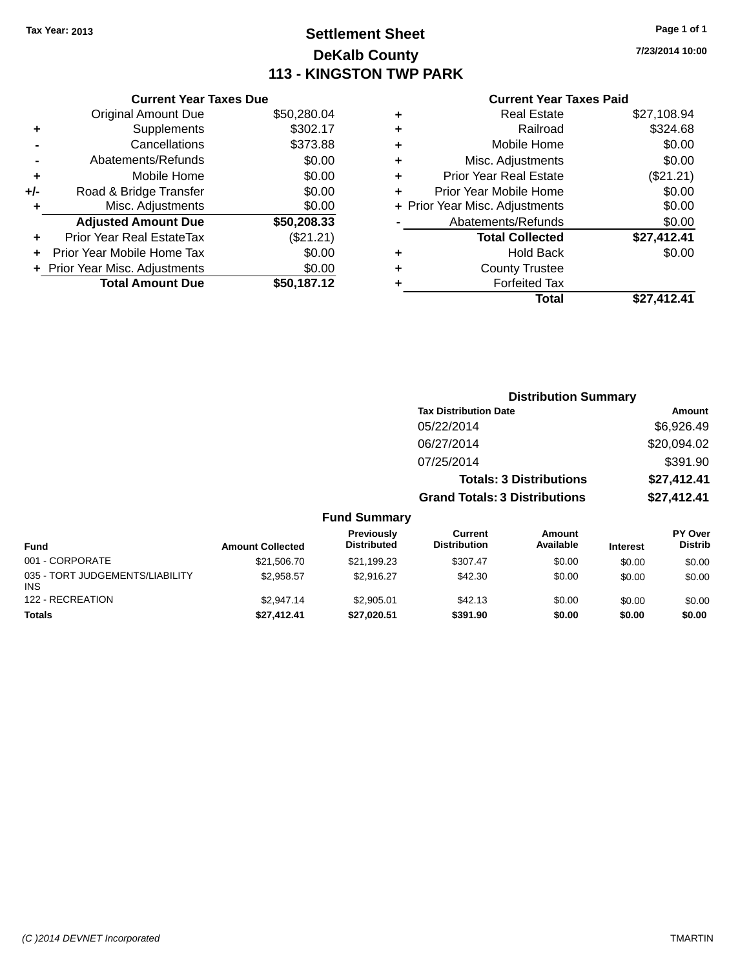# **Settlement Sheet Tax Year: 2013 Page 1 of 1 DeKalb County 113 - KINGSTON TWP PARK**

**7/23/2014 10:00**

|                | <b>Current Year Taxes Due</b> |             |  |
|----------------|-------------------------------|-------------|--|
|                | Original Amount Due           | \$50,280.04 |  |
| ٠.             | Supplements                   | \$302.17    |  |
| $\blacksquare$ | Cancellations                 | \$373.88    |  |

|     | Abatements/Refunds             | \$0.00      |
|-----|--------------------------------|-------------|
| ÷   | Mobile Home                    | \$0.00      |
| +/- | Road & Bridge Transfer         | \$0.00      |
| ÷   | Misc. Adjustments              | \$0.00      |
|     | <b>Adjusted Amount Due</b>     | \$50,208.33 |
| ÷   | Prior Year Real EstateTax      | (\$21.21)   |
|     | Prior Year Mobile Home Tax     | \$0.00      |
|     | + Prior Year Misc. Adjustments | \$0.00      |
|     | <b>Total Amount Due</b>        | \$50,187.12 |

## **Current Year Taxes Paid**

|   | <b>Real Estate</b>             | \$27,108.94 |
|---|--------------------------------|-------------|
| ٠ | Railroad                       | \$324.68    |
| ٠ | Mobile Home                    | \$0.00      |
| ٠ | Misc. Adjustments              | \$0.00      |
| ٠ | <b>Prior Year Real Estate</b>  | (\$21.21)   |
| ٠ | Prior Year Mobile Home         | \$0.00      |
|   | + Prior Year Misc. Adjustments | \$0.00      |
|   | Abatements/Refunds             | \$0.00      |
|   | <b>Total Collected</b>         | \$27,412.41 |
| ٠ | <b>Hold Back</b>               | \$0.00      |
| ٠ | <b>County Trustee</b>          |             |
| ٠ | <b>Forfeited Tax</b>           |             |
|   | Total                          | \$27,412.41 |
|   |                                |             |

|                                   |                                      | <b>Distribution Summary</b>    |                |
|-----------------------------------|--------------------------------------|--------------------------------|----------------|
|                                   | <b>Tax Distribution Date</b>         |                                | Amount         |
|                                   | 05/22/2014                           |                                | \$6,926.49     |
|                                   | 06/27/2014                           |                                | \$20,094.02    |
|                                   | 07/25/2014                           |                                | \$391.90       |
|                                   |                                      | <b>Totals: 3 Distributions</b> | \$27,412.41    |
|                                   | <b>Grand Totals: 3 Distributions</b> |                                | \$27,412.41    |
| <b>Fund Summary</b><br>Previously | Current                              | Amount                         | <b>PY Over</b> |

| <b>Fund</b>                                   | <b>Amount Collected</b> | Previously<br><b>Distributed</b> | Current<br><b>Distribution</b> | Amount<br>Available | <b>Interest</b> | PY Over<br><b>Distrib</b> |
|-----------------------------------------------|-------------------------|----------------------------------|--------------------------------|---------------------|-----------------|---------------------------|
| 001 - CORPORATE                               | \$21,506.70             | \$21,199.23                      | \$307.47                       | \$0.00              | \$0.00          | \$0.00                    |
| 035 - TORT JUDGEMENTS/LIABILITY<br><b>INS</b> | \$2.958.57              | \$2.916.27                       | \$42.30                        | \$0.00              | \$0.00          | \$0.00                    |
| 122 - RECREATION                              | \$2.947.14              | \$2.905.01                       | \$42.13                        | \$0.00              | \$0.00          | \$0.00                    |
| <b>Totals</b>                                 | \$27,412.41             | \$27,020.51                      | \$391.90                       | \$0.00              | \$0.00          | \$0.00                    |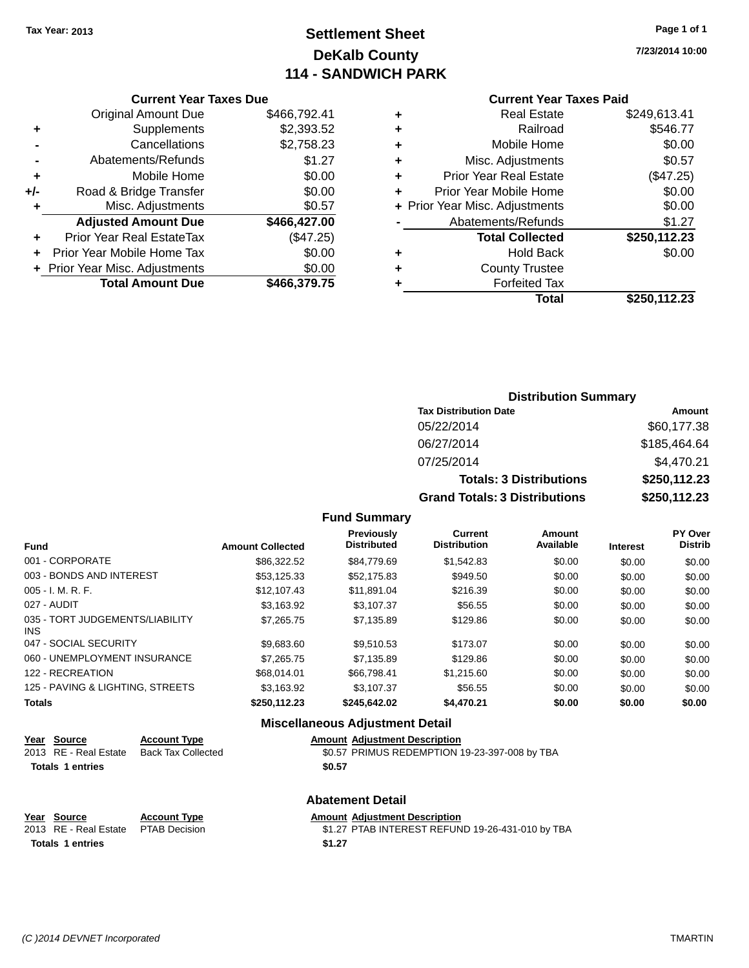# **Settlement Sheet Tax Year: 2013 Page 1 of 1 DeKalb County 114 - SANDWICH PARK**

**7/23/2014 10:00**

### **Current Year Taxes Due**

|       | <b>Original Amount Due</b>       | \$466,792.41 |
|-------|----------------------------------|--------------|
| ٠     | Supplements                      | \$2,393.52   |
|       | Cancellations                    | \$2,758.23   |
|       | Abatements/Refunds               | \$1.27       |
| ٠     | Mobile Home                      | \$0.00       |
| $+/-$ | Road & Bridge Transfer           | \$0.00       |
| ٠     | Misc. Adjustments                | \$0.57       |
|       | <b>Adjusted Amount Due</b>       | \$466,427.00 |
|       | <b>Prior Year Real EstateTax</b> | (\$47.25)    |
|       | Prior Year Mobile Home Tax       | \$0.00       |
|       | + Prior Year Misc. Adjustments   | \$0.00       |
|       | <b>Total Amount Due</b>          | \$466.379.75 |

## **Current Year Taxes Paid**

|   | <b>Real Estate</b>             | \$249,613.41 |
|---|--------------------------------|--------------|
| ٠ | Railroad                       | \$546.77     |
| ÷ | Mobile Home                    | \$0.00       |
| ٠ | Misc. Adjustments              | \$0.57       |
| ٠ | <b>Prior Year Real Estate</b>  | (\$47.25)    |
| ٠ | Prior Year Mobile Home         | \$0.00       |
|   | + Prior Year Misc. Adjustments | \$0.00       |
|   | Abatements/Refunds             | \$1.27       |
|   | <b>Total Collected</b>         | \$250,112.23 |
| ٠ | Hold Back                      | \$0.00       |
| ٠ | <b>County Trustee</b>          |              |
| ٠ | <b>Forfeited Tax</b>           |              |
|   | Total                          | \$250,112.23 |
|   |                                |              |

## **Distribution Summary Tax Distribution Date Amount** 05/22/2014 \$60,177.38 06/27/2014 \$185,464.64 07/25/2014 \$4,470.21 **Totals: 3 Distributions \$250,112.23 Grand Totals: 3 Distributions \$250,112.23**

## **Fund Summary**

| <b>Fund</b>                             | <b>Amount Collected</b> | <b>Previously</b><br><b>Distributed</b> | Current<br><b>Distribution</b> | Amount<br>Available | <b>Interest</b> | <b>PY Over</b><br><b>Distrib</b> |
|-----------------------------------------|-------------------------|-----------------------------------------|--------------------------------|---------------------|-----------------|----------------------------------|
| 001 - CORPORATE                         | \$86,322.52             | \$84,779.69                             | \$1,542.83                     | \$0.00              | \$0.00          | \$0.00                           |
| 003 - BONDS AND INTEREST                | \$53,125.33             | \$52,175.83                             | \$949.50                       | \$0.00              | \$0.00          | \$0.00                           |
| $005 - I. M. R. F.$                     | \$12,107.43             | \$11,891.04                             | \$216.39                       | \$0.00              | \$0.00          | \$0.00                           |
| 027 - AUDIT                             | \$3,163.92              | \$3,107.37                              | \$56.55                        | \$0.00              | \$0.00          | \$0.00                           |
| 035 - TORT JUDGEMENTS/LIABILITY<br>INS. | \$7,265.75              | \$7,135.89                              | \$129.86                       | \$0.00              | \$0.00          | \$0.00                           |
| 047 - SOCIAL SECURITY                   | \$9,683.60              | \$9,510.53                              | \$173.07                       | \$0.00              | \$0.00          | \$0.00                           |
| 060 - UNEMPLOYMENT INSURANCE            | \$7.265.75              | \$7,135.89                              | \$129.86                       | \$0.00              | \$0.00          | \$0.00                           |
| 122 - RECREATION                        | \$68,014.01             | \$66,798,41                             | \$1,215.60                     | \$0.00              | \$0.00          | \$0.00                           |
| 125 - PAVING & LIGHTING, STREETS        | \$3.163.92              | \$3,107.37                              | \$56.55                        | \$0.00              | \$0.00          | \$0.00                           |
| <b>Totals</b>                           | \$250,112.23            | \$245,642.02                            | \$4,470.21                     | \$0.00              | \$0.00          | \$0.00                           |

## **Miscellaneous Adjustment Detail**

| Year Source<br>2013 RE - Real Estate | <b>Account Type</b><br>Back Tax Collected | <b>Amount Adjustment Description</b><br>\$0.57 PRIMUS REDEMPTION 19-23-397-008 by TBA |  |  |
|--------------------------------------|-------------------------------------------|---------------------------------------------------------------------------------------|--|--|
| <b>Totals 1 entries</b>              |                                           | \$0.57                                                                                |  |  |
|                                      |                                           | <b>Abatement Detail</b>                                                               |  |  |

# **Totals 1 entries \$1.27**

# **Year** Source **Account Type Account Adjustment Description**

2013 RE - Real Estate PTAB Decision \$1.27 PTAB INTEREST REFUND 19-26-431-010 by TBA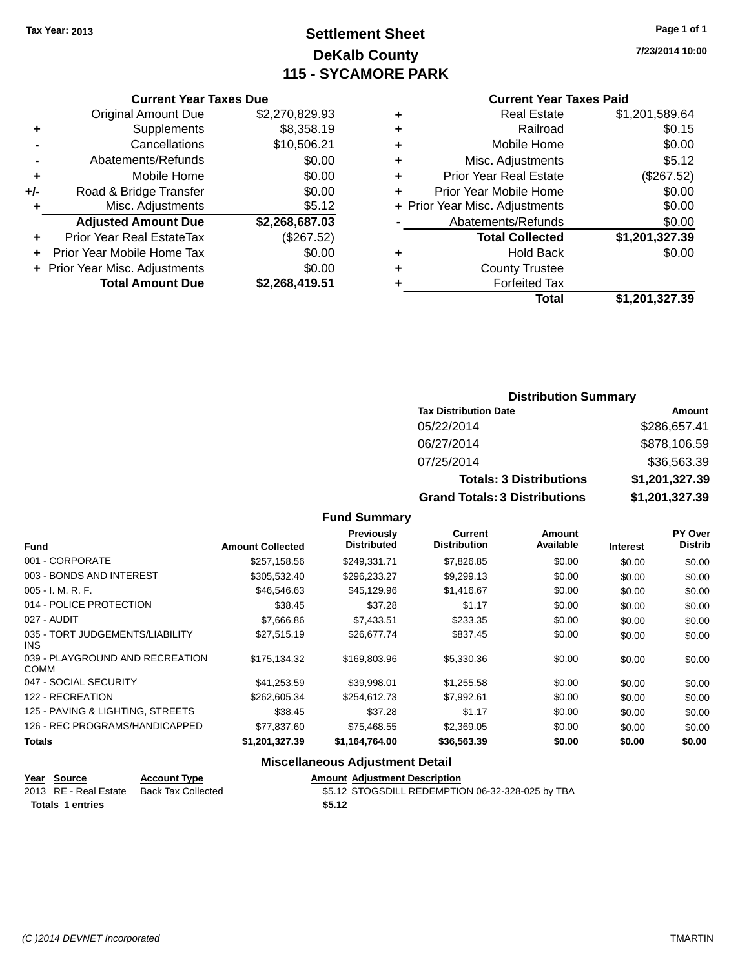# **Settlement Sheet Tax Year: 2013 Page 1 of 1 DeKalb County 115 - SYCAMORE PARK**

**7/23/2014 10:00**

### **Current Year Taxes Paid**

|     | <b>Total Amount Due</b>          | \$2,268,419.51 |  |
|-----|----------------------------------|----------------|--|
|     | + Prior Year Misc. Adjustments   | \$0.00         |  |
|     | Prior Year Mobile Home Tax       | \$0.00         |  |
| ٠   | <b>Prior Year Real EstateTax</b> | (\$267.52)     |  |
|     | <b>Adjusted Amount Due</b>       | \$2,268,687.03 |  |
| ٠   | Misc. Adjustments                | \$5.12         |  |
| +/- | Road & Bridge Transfer           | \$0.00         |  |
| ٠   | Mobile Home                      | \$0.00         |  |
|     | Abatements/Refunds               | \$0.00         |  |
|     | Cancellations                    | \$10,506.21    |  |
| ٠   | Supplements                      | \$8,358.19     |  |
|     | <b>Original Amount Due</b>       | \$2,270,829.93 |  |
|     |                                  |                |  |

**Current Year Taxes Due**

| ٠ | <b>Real Estate</b>             | \$1,201,589.64 |
|---|--------------------------------|----------------|
| ٠ | Railroad                       | \$0.15         |
| ٠ | Mobile Home                    | \$0.00         |
| ٠ | Misc. Adjustments              | \$5.12         |
| ٠ | <b>Prior Year Real Estate</b>  | (\$267.52)     |
| ٠ | Prior Year Mobile Home         | \$0.00         |
|   | + Prior Year Misc. Adjustments | \$0.00         |
|   | Abatements/Refunds             | \$0.00         |
|   | <b>Total Collected</b>         | \$1,201,327.39 |
| ٠ | <b>Hold Back</b>               | \$0.00         |
|   | <b>County Trustee</b>          |                |
|   | <b>Forfeited Tax</b>           |                |
|   | Total                          | \$1,201,327.39 |
|   |                                |                |

# **Distribution Summary Tax Distribution Date Amount** 05/22/2014 \$286,657.41 06/27/2014 \$878,106.59 07/25/2014 \$36,563.39 **Totals: 3 Distributions \$1,201,327.39 Grand Totals: 3 Distributions \$1,201,327.39**

## **Fund Summary**

| <b>Fund</b>                                    | <b>Amount Collected</b> | <b>Previously</b><br><b>Distributed</b> | <b>Current</b><br><b>Distribution</b> | Amount<br>Available | <b>Interest</b> | <b>PY Over</b><br><b>Distrib</b> |
|------------------------------------------------|-------------------------|-----------------------------------------|---------------------------------------|---------------------|-----------------|----------------------------------|
| 001 - CORPORATE                                | \$257,158.56            | \$249.331.71                            | \$7,826.85                            | \$0.00              | \$0.00          | \$0.00                           |
| 003 - BONDS AND INTEREST                       | \$305,532.40            | \$296,233.27                            | \$9,299.13                            | \$0.00              | \$0.00          | \$0.00                           |
| $005 - I. M. R. F.$                            | \$46,546.63             | \$45,129.96                             | \$1,416.67                            | \$0.00              | \$0.00          | \$0.00                           |
| 014 - POLICE PROTECTION                        | \$38.45                 | \$37.28                                 | \$1.17                                | \$0.00              | \$0.00          | \$0.00                           |
| 027 - AUDIT                                    | \$7,666.86              | \$7,433.51                              | \$233.35                              | \$0.00              | \$0.00          | \$0.00                           |
| 035 - TORT JUDGEMENTS/LIABILITY<br>INS.        | \$27,515.19             | \$26,677.74                             | \$837.45                              | \$0.00              | \$0.00          | \$0.00                           |
| 039 - PLAYGROUND AND RECREATION<br><b>COMM</b> | \$175,134,32            | \$169,803.96                            | \$5,330.36                            | \$0.00              | \$0.00          | \$0.00                           |
| 047 - SOCIAL SECURITY                          | \$41,253.59             | \$39,998.01                             | \$1,255.58                            | \$0.00              | \$0.00          | \$0.00                           |
| 122 - RECREATION                               | \$262,605.34            | \$254.612.73                            | \$7.992.61                            | \$0.00              | \$0.00          | \$0.00                           |
| 125 - PAVING & LIGHTING, STREETS               | \$38.45                 | \$37.28                                 | \$1.17                                | \$0.00              | \$0.00          | \$0.00                           |
| 126 - REC PROGRAMS/HANDICAPPED                 | \$77.837.60             | \$75.468.55                             | \$2,369.05                            | \$0.00              | \$0.00          | \$0.00                           |
| <b>Totals</b>                                  | \$1,201,327.39          | \$1,164,764.00                          | \$36,563.39                           | \$0.00              | \$0.00          | \$0.00                           |

## **Miscellaneous Adjustment Detail**

| Year Source             | <b>Account Type</b> | <b>Amount Adjustment Description</b>             |
|-------------------------|---------------------|--------------------------------------------------|
| 2013 RE - Real Estate   | Back Tax Collected  | \$5.12 STOGSDILL REDEMPTION 06-32-328-025 by TBA |
| <b>Totals 1 entries</b> |                     | \$5.12                                           |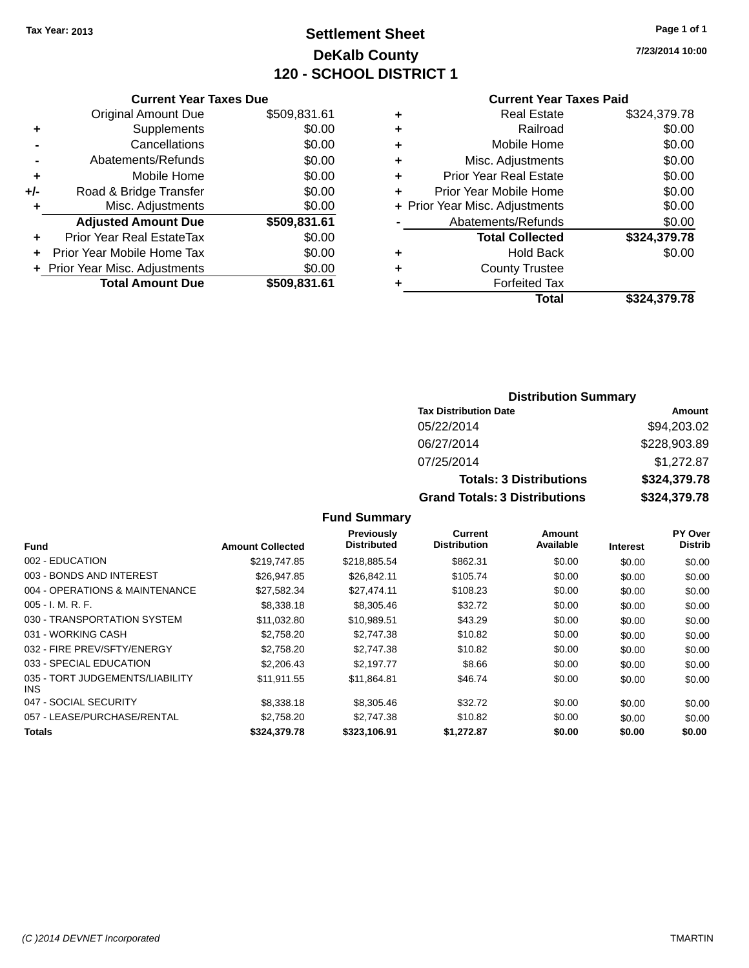# **Settlement Sheet Tax Year: 2013 Page 1 of 1 DeKalb County 120 - SCHOOL DISTRICT 1**

**7/23/2014 10:00**

### **Current Year Taxes Paid**

|       | <b>Current Year Taxes Due</b>  |              |
|-------|--------------------------------|--------------|
|       | <b>Original Amount Due</b>     | \$509,831.61 |
| ٠     | Supplements                    | \$0.00       |
|       | Cancellations                  | \$0.00       |
|       | Abatements/Refunds             | \$0.00       |
| ٠     | Mobile Home                    | \$0.00       |
| $+/-$ | Road & Bridge Transfer         | \$0.00       |
| ٠     | Misc. Adjustments              | \$0.00       |
|       | <b>Adjusted Amount Due</b>     | \$509,831.61 |
| ٠     | Prior Year Real EstateTax      | \$0.00       |
|       | Prior Year Mobile Home Tax     | \$0.00       |
|       | + Prior Year Misc. Adjustments | \$0.00       |
|       | <b>Total Amount Due</b>        | \$509,831.61 |
|       |                                |              |

|   | <b>Real Estate</b>             | \$324,379.78 |
|---|--------------------------------|--------------|
| ٠ | Railroad                       | \$0.00       |
| ٠ | Mobile Home                    | \$0.00       |
| ٠ | Misc. Adjustments              | \$0.00       |
| ٠ | <b>Prior Year Real Estate</b>  | \$0.00       |
| ÷ | Prior Year Mobile Home         | \$0.00       |
|   | + Prior Year Misc. Adjustments | \$0.00       |
|   | Abatements/Refunds             | \$0.00       |
|   | <b>Total Collected</b>         | \$324,379.78 |
| ٠ | <b>Hold Back</b>               | \$0.00       |
| ٠ | <b>County Trustee</b>          |              |
| ٠ | <b>Forfeited Tax</b>           |              |
|   | Total                          | \$324,379.78 |
|   |                                |              |

# **Distribution Summary Tax Distribution Date Amount** 05/22/2014 \$94,203.02 06/27/2014 \$228,903.89 07/25/2014 \$1,272.87 **Totals: 3 Distributions \$324,379.78 Grand Totals: 3 Distributions \$324,379.78**

| <b>Fund</b>                             | <b>Amount Collected</b> | <b>Previously</b><br><b>Distributed</b> | <b>Current</b><br><b>Distribution</b> | Amount<br>Available | <b>Interest</b> | <b>PY Over</b><br><b>Distrib</b> |
|-----------------------------------------|-------------------------|-----------------------------------------|---------------------------------------|---------------------|-----------------|----------------------------------|
| 002 - EDUCATION                         | \$219,747.85            | \$218,885.54                            | \$862.31                              | \$0.00              | \$0.00          | \$0.00                           |
| 003 - BONDS AND INTEREST                | \$26,947.85             | \$26.842.11                             | \$105.74                              | \$0.00              | \$0.00          | \$0.00                           |
| 004 - OPERATIONS & MAINTENANCE          | \$27,582.34             | \$27,474.11                             | \$108.23                              | \$0.00              | \$0.00          | \$0.00                           |
| $005 - I. M. R. F.$                     | \$8,338.18              | \$8,305.46                              | \$32.72                               | \$0.00              | \$0.00          | \$0.00                           |
| 030 - TRANSPORTATION SYSTEM             | \$11.032.80             | \$10.989.51                             | \$43.29                               | \$0.00              | \$0.00          | \$0.00                           |
| 031 - WORKING CASH                      | \$2,758.20              | \$2,747.38                              | \$10.82                               | \$0.00              | \$0.00          | \$0.00                           |
| 032 - FIRE PREV/SFTY/ENERGY             | \$2,758,20              | \$2,747.38                              | \$10.82                               | \$0.00              | \$0.00          | \$0.00                           |
| 033 - SPECIAL EDUCATION                 | \$2,206,43              | \$2.197.77                              | \$8.66                                | \$0.00              | \$0.00          | \$0.00                           |
| 035 - TORT JUDGEMENTS/LIABILITY<br>INS. | \$11.911.55             | \$11.864.81                             | \$46.74                               | \$0.00              | \$0.00          | \$0.00                           |
| 047 - SOCIAL SECURITY                   | \$8,338.18              | \$8,305.46                              | \$32.72                               | \$0.00              | \$0.00          | \$0.00                           |
| 057 - LEASE/PURCHASE/RENTAL             | \$2.758.20              | \$2,747.38                              | \$10.82                               | \$0.00              | \$0.00          | \$0.00                           |
| <b>Totals</b>                           | \$324,379.78            | \$323,106.91                            | \$1.272.87                            | \$0.00              | \$0.00          | \$0.00                           |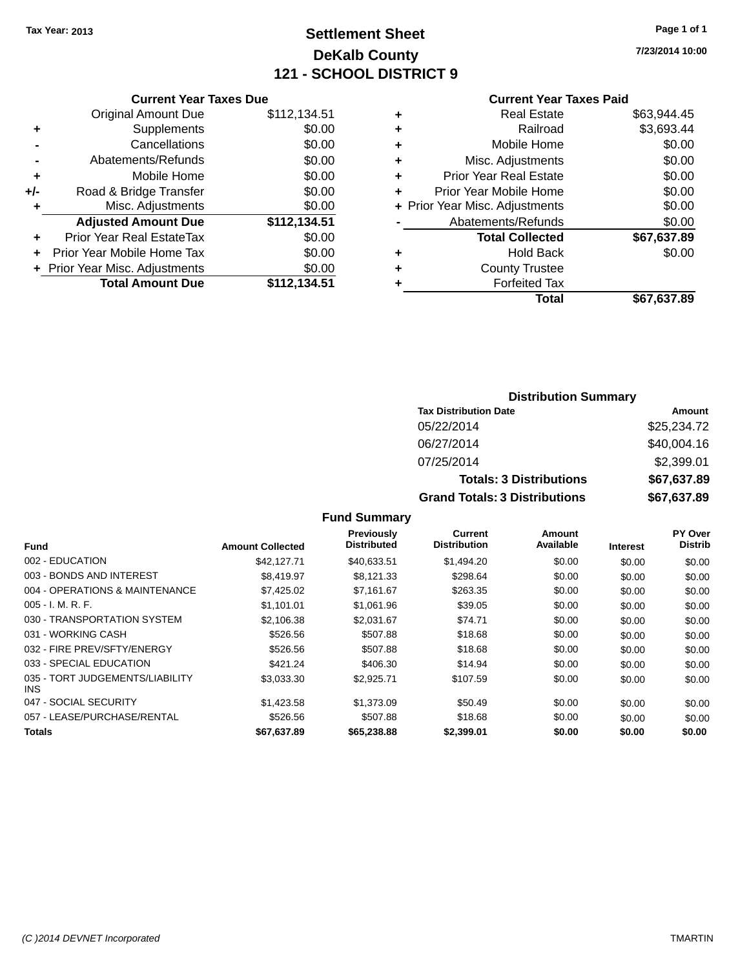# **Settlement Sheet Tax Year: 2013 Page 1 of 1 DeKalb County 121 - SCHOOL DISTRICT 9**

**7/23/2014 10:00**

### **Current Year Taxes Paid**

|     | <b>Current Year Taxes Due</b>  |              |
|-----|--------------------------------|--------------|
|     | <b>Original Amount Due</b>     | \$112,134.51 |
| ÷   | Supplements                    | \$0.00       |
|     | Cancellations                  | \$0.00       |
|     | Abatements/Refunds             | \$0.00       |
| ٠   | Mobile Home                    | \$0.00       |
| +/- | Road & Bridge Transfer         | \$0.00       |
| ٠   | Misc. Adjustments              | \$0.00       |
|     | <b>Adjusted Amount Due</b>     | \$112,134.51 |
| ÷   | Prior Year Real EstateTax      | \$0.00       |
| ÷   | Prior Year Mobile Home Tax     | \$0.00       |
|     | + Prior Year Misc. Adjustments | \$0.00       |
|     | <b>Total Amount Due</b>        | \$112,134.51 |
|     |                                |              |

| ٠ | <b>Real Estate</b>             | \$63,944.45 |
|---|--------------------------------|-------------|
| ÷ | Railroad                       | \$3,693.44  |
| ÷ | Mobile Home                    | \$0.00      |
| ٠ | Misc. Adjustments              | \$0.00      |
| ٠ | <b>Prior Year Real Estate</b>  | \$0.00      |
| ٠ | Prior Year Mobile Home         | \$0.00      |
|   | + Prior Year Misc. Adjustments | \$0.00      |
|   | Abatements/Refunds             | \$0.00      |
|   | <b>Total Collected</b>         | \$67,637.89 |
| ٠ | <b>Hold Back</b>               | \$0.00      |
| ٠ | <b>County Trustee</b>          |             |
| ٠ | <b>Forfeited Tax</b>           |             |
|   | Total                          | \$67,637.89 |
|   |                                |             |

## **Distribution Summary Tax Distribution Date Amount** 05/22/2014 \$25,234.72 06/27/2014 \$40,004.16 07/25/2014 \$2,399.01 **Totals: 3 Distributions \$67,637.89 Grand Totals: 3 Distributions \$67,637.89**

| <b>Fund</b>                                   | <b>Amount Collected</b> | <b>Previously</b><br><b>Distributed</b> | <b>Current</b><br><b>Distribution</b> | Amount<br>Available | <b>Interest</b> | PY Over<br><b>Distrib</b> |
|-----------------------------------------------|-------------------------|-----------------------------------------|---------------------------------------|---------------------|-----------------|---------------------------|
| 002 - EDUCATION                               | \$42,127,71             | \$40,633.51                             | \$1,494.20                            | \$0.00              | \$0.00          | \$0.00                    |
| 003 - BONDS AND INTEREST                      | \$8.419.97              | \$8.121.33                              | \$298.64                              | \$0.00              | \$0.00          | \$0.00                    |
| 004 - OPERATIONS & MAINTENANCE                | \$7,425.02              | \$7,161.67                              | \$263.35                              | \$0.00              | \$0.00          | \$0.00                    |
| $005 - I. M. R. F.$                           | \$1.101.01              | \$1,061.96                              | \$39.05                               | \$0.00              | \$0.00          | \$0.00                    |
| 030 - TRANSPORTATION SYSTEM                   | \$2,106.38              | \$2,031.67                              | \$74.71                               | \$0.00              | \$0.00          | \$0.00                    |
| 031 - WORKING CASH                            | \$526.56                | \$507.88                                | \$18.68                               | \$0.00              | \$0.00          | \$0.00                    |
| 032 - FIRE PREV/SFTY/ENERGY                   | \$526.56                | \$507.88                                | \$18.68                               | \$0.00              | \$0.00          | \$0.00                    |
| 033 - SPECIAL EDUCATION                       | \$421.24                | \$406.30                                | \$14.94                               | \$0.00              | \$0.00          | \$0.00                    |
| 035 - TORT JUDGEMENTS/LIABILITY<br><b>INS</b> | \$3,033.30              | \$2,925.71                              | \$107.59                              | \$0.00              | \$0.00          | \$0.00                    |
| 047 - SOCIAL SECURITY                         | \$1,423.58              | \$1,373.09                              | \$50.49                               | \$0.00              | \$0.00          | \$0.00                    |
| 057 - LEASE/PURCHASE/RENTAL                   | \$526.56                | \$507.88                                | \$18.68                               | \$0.00              | \$0.00          | \$0.00                    |
| <b>Totals</b>                                 | \$67,637.89             | \$65,238.88                             | \$2,399.01                            | \$0.00              | \$0.00          | \$0.00                    |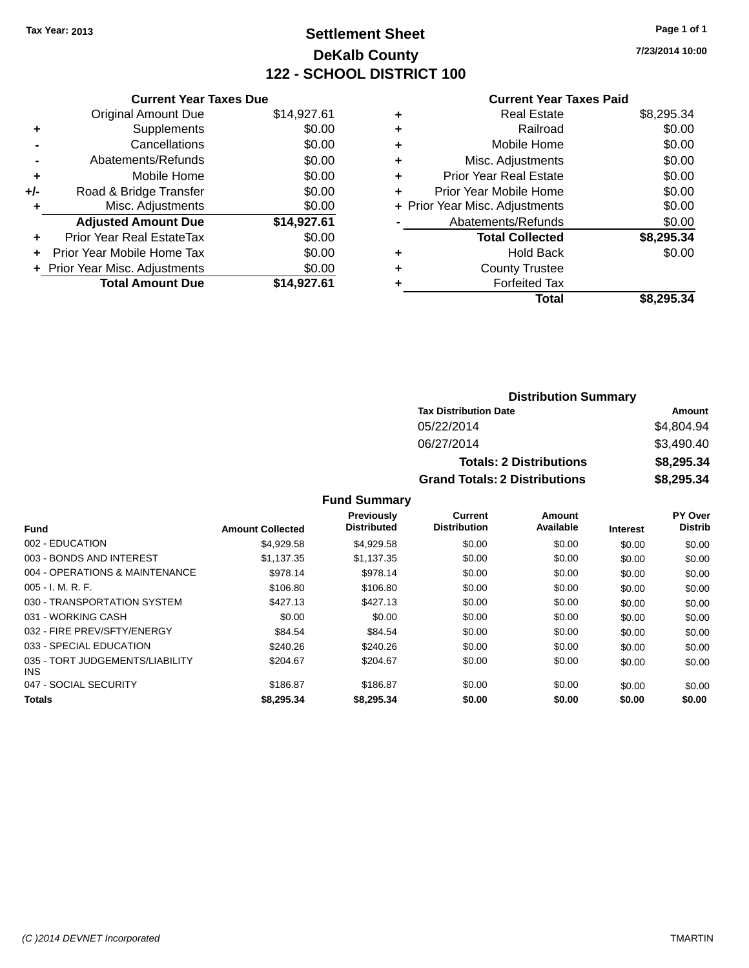# **Settlement Sheet Tax Year: 2013 Page 1 of 1 DeKalb County 122 - SCHOOL DISTRICT 100**

**7/23/2014 10:00**

| <b>Current Year Taxes Due</b>    |                                |  |  |  |  |
|----------------------------------|--------------------------------|--|--|--|--|
| <b>Original Amount Due</b>       | \$14,927.61                    |  |  |  |  |
| Supplements                      | \$0.00                         |  |  |  |  |
| Cancellations                    | \$0.00                         |  |  |  |  |
| Abatements/Refunds               | \$0.00                         |  |  |  |  |
| Mobile Home                      | \$0.00                         |  |  |  |  |
| Road & Bridge Transfer           | \$0.00                         |  |  |  |  |
| Misc. Adjustments                | \$0.00                         |  |  |  |  |
| <b>Adjusted Amount Due</b>       | \$14,927.61                    |  |  |  |  |
| <b>Prior Year Real EstateTax</b> | \$0.00                         |  |  |  |  |
| Prior Year Mobile Home Tax       | \$0.00                         |  |  |  |  |
|                                  | \$0.00                         |  |  |  |  |
| <b>Total Amount Due</b>          | \$14.927.61                    |  |  |  |  |
|                                  | + Prior Year Misc. Adjustments |  |  |  |  |

### **Current Year Taxes Paid**

| ٠ | <b>Real Estate</b>             | \$8,295.34 |
|---|--------------------------------|------------|
| ٠ | Railroad                       | \$0.00     |
| ٠ | Mobile Home                    | \$0.00     |
| ٠ | Misc. Adjustments              | \$0.00     |
| ٠ | <b>Prior Year Real Estate</b>  | \$0.00     |
| ٠ | Prior Year Mobile Home         | \$0.00     |
|   | + Prior Year Misc. Adjustments | \$0.00     |
|   | Abatements/Refunds             | \$0.00     |
|   | <b>Total Collected</b>         | \$8,295.34 |
| ٠ | Hold Back                      | \$0.00     |
| ٠ | <b>County Trustee</b>          |            |
| ٠ | <b>Forfeited Tax</b>           |            |
|   | Total                          | \$8,295.34 |
|   |                                |            |

## **Distribution Summary Tax Distribution Date Amount** 05/22/2014 \$4,804.94 06/27/2014 \$3,490.40 **Totals: 2 Distributions \$8,295.34 Grand Totals: 2 Distributions \$8,295.34**

|                                               |                         | <b>Previously</b><br><b>Distributed</b> | Current<br><b>Distribution</b> | Amount<br>Available |                 | PY Over<br><b>Distrib</b> |
|-----------------------------------------------|-------------------------|-----------------------------------------|--------------------------------|---------------------|-----------------|---------------------------|
| <b>Fund</b>                                   | <b>Amount Collected</b> |                                         |                                |                     | <b>Interest</b> |                           |
| 002 - EDUCATION                               | \$4.929.58              | \$4.929.58                              | \$0.00                         | \$0.00              | \$0.00          | \$0.00                    |
| 003 - BONDS AND INTEREST                      | \$1.137.35              | \$1.137.35                              | \$0.00                         | \$0.00              | \$0.00          | \$0.00                    |
| 004 - OPERATIONS & MAINTENANCE                | \$978.14                | \$978.14                                | \$0.00                         | \$0.00              | \$0.00          | \$0.00                    |
| $005 - I. M. R. F.$                           | \$106.80                | \$106.80                                | \$0.00                         | \$0.00              | \$0.00          | \$0.00                    |
| 030 - TRANSPORTATION SYSTEM                   | \$427.13                | \$427.13                                | \$0.00                         | \$0.00              | \$0.00          | \$0.00                    |
| 031 - WORKING CASH                            | \$0.00                  | \$0.00                                  | \$0.00                         | \$0.00              | \$0.00          | \$0.00                    |
| 032 - FIRE PREV/SFTY/ENERGY                   | \$84.54                 | \$84.54                                 | \$0.00                         | \$0.00              | \$0.00          | \$0.00                    |
| 033 - SPECIAL EDUCATION                       | \$240.26                | \$240.26                                | \$0.00                         | \$0.00              | \$0.00          | \$0.00                    |
| 035 - TORT JUDGEMENTS/LIABILITY<br><b>INS</b> | \$204.67                | \$204.67                                | \$0.00                         | \$0.00              | \$0.00          | \$0.00                    |
| 047 - SOCIAL SECURITY                         | \$186.87                | \$186.87                                | \$0.00                         | \$0.00              | \$0.00          | \$0.00                    |
| <b>Totals</b>                                 | \$8,295,34              | \$8,295,34                              | \$0.00                         | \$0.00              | \$0.00          | \$0.00                    |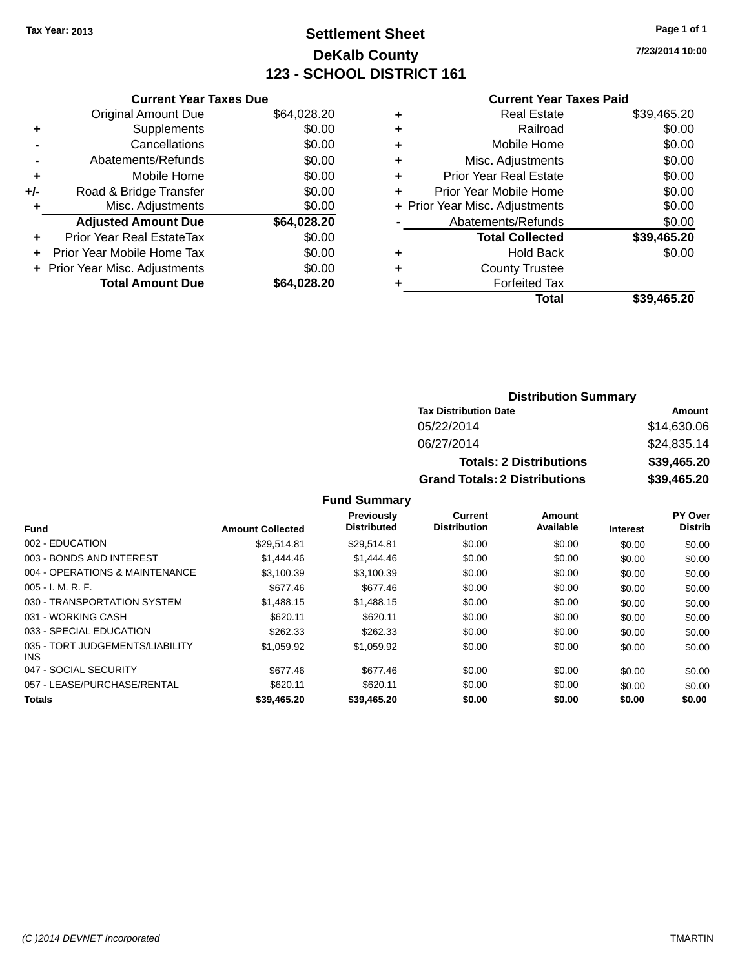# **Settlement Sheet Tax Year: 2013 Page 1 of 1 DeKalb County 123 - SCHOOL DISTRICT 161**

**7/23/2014 10:00**

### **Current Year Taxes Paid**

|     | <b>Current Year Taxes Due</b>  |             |
|-----|--------------------------------|-------------|
|     | <b>Original Amount Due</b>     | \$64,028.20 |
| ÷   | Supplements                    | \$0.00      |
|     | Cancellations                  | \$0.00      |
|     | Abatements/Refunds             | \$0.00      |
| ٠   | Mobile Home                    | \$0.00      |
| +/- | Road & Bridge Transfer         | \$0.00      |
|     | Misc. Adjustments              | \$0.00      |
|     | <b>Adjusted Amount Due</b>     | \$64,028.20 |
| ÷   | Prior Year Real EstateTax      | \$0.00      |
|     | Prior Year Mobile Home Tax     | \$0.00      |
|     | + Prior Year Misc. Adjustments | \$0.00      |
|     | <b>Total Amount Due</b>        | \$64,028.20 |
|     |                                |             |

| ٠ | <b>Real Estate</b>             | \$39,465.20 |
|---|--------------------------------|-------------|
| ٠ | Railroad                       | \$0.00      |
| ٠ | Mobile Home                    | \$0.00      |
| ٠ | Misc. Adjustments              | \$0.00      |
| ٠ | <b>Prior Year Real Estate</b>  | \$0.00      |
| ٠ | Prior Year Mobile Home         | \$0.00      |
|   | + Prior Year Misc. Adjustments | \$0.00      |
|   | Abatements/Refunds             | \$0.00      |
|   | <b>Total Collected</b>         | \$39,465.20 |
| ٠ | <b>Hold Back</b>               | \$0.00      |
| ٠ | <b>County Trustee</b>          |             |
| ٠ | <b>Forfeited Tax</b>           |             |
|   | <b>Total</b>                   | \$39,465.20 |
|   |                                |             |

## **Distribution Summary Tax Distribution Date Amount** 05/22/2014 \$14,630.06 06/27/2014 \$24,835.14 **Totals: 2 Distributions \$39,465.20 Grand Totals: 2 Distributions \$39,465.20**

| Fund                                    | <b>Amount Collected</b> | <b>Previously</b><br><b>Distributed</b> | Current<br><b>Distribution</b> | Amount<br>Available | <b>Interest</b> | PY Over<br><b>Distrib</b> |
|-----------------------------------------|-------------------------|-----------------------------------------|--------------------------------|---------------------|-----------------|---------------------------|
| 002 - EDUCATION                         | \$29.514.81             | \$29,514.81                             | \$0.00                         | \$0.00              | \$0.00          | \$0.00                    |
| 003 - BONDS AND INTEREST                | \$1,444.46              | \$1,444.46                              | \$0.00                         | \$0.00              | \$0.00          | \$0.00                    |
| 004 - OPERATIONS & MAINTENANCE          | \$3.100.39              | \$3.100.39                              | \$0.00                         | \$0.00              | \$0.00          | \$0.00                    |
| $005 - I. M. R. F.$                     | \$677.46                | \$677.46                                | \$0.00                         | \$0.00              | \$0.00          | \$0.00                    |
| 030 - TRANSPORTATION SYSTEM             | \$1.488.15              | \$1,488.15                              | \$0.00                         | \$0.00              | \$0.00          | \$0.00                    |
| 031 - WORKING CASH                      | \$620.11                | \$620.11                                | \$0.00                         | \$0.00              | \$0.00          | \$0.00                    |
| 033 - SPECIAL EDUCATION                 | \$262.33                | \$262.33                                | \$0.00                         | \$0.00              | \$0.00          | \$0.00                    |
| 035 - TORT JUDGEMENTS/LIABILITY<br>INS. | \$1,059.92              | \$1,059.92                              | \$0.00                         | \$0.00              | \$0.00          | \$0.00                    |
| 047 - SOCIAL SECURITY                   | \$677.46                | \$677.46                                | \$0.00                         | \$0.00              | \$0.00          | \$0.00                    |
| 057 - LEASE/PURCHASE/RENTAL             | \$620.11                | \$620.11                                | \$0.00                         | \$0.00              | \$0.00          | \$0.00                    |
| <b>Totals</b>                           | \$39,465.20             | \$39,465.20                             | \$0.00                         | \$0.00              | \$0.00          | \$0.00                    |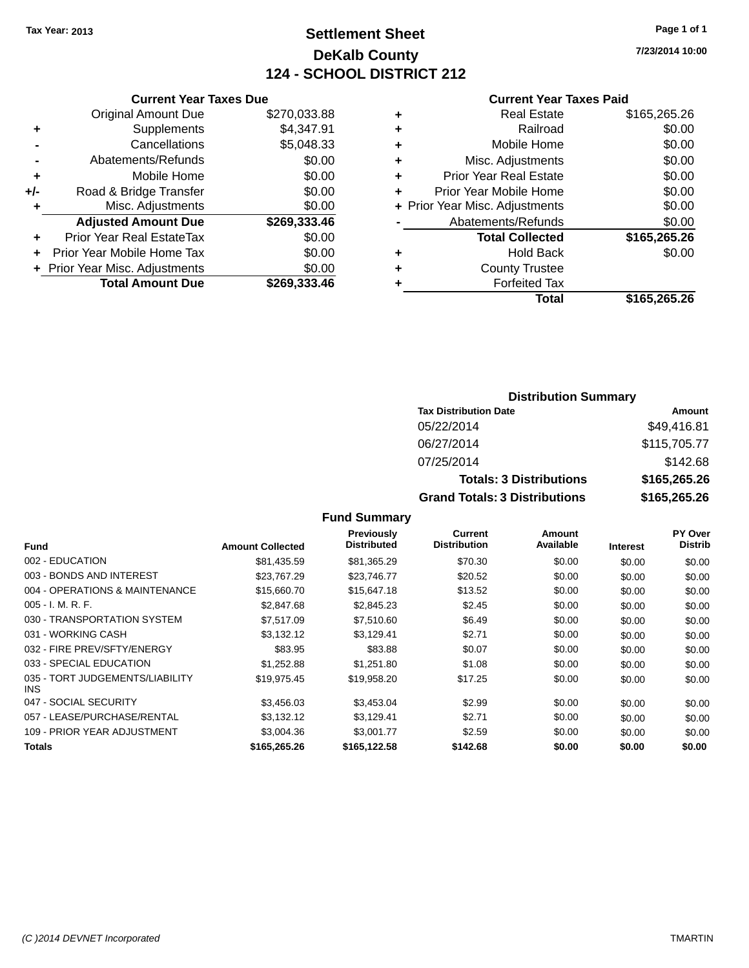# **Settlement Sheet Tax Year: 2013 Page 1 of 1 DeKalb County 124 - SCHOOL DISTRICT 212**

**7/23/2014 10:00**

## **Current Year Taxes Paid**

|       | <b>Current Year Taxes Due</b>  |              |
|-------|--------------------------------|--------------|
|       | <b>Original Amount Due</b>     | \$270,033.88 |
| ٠     | Supplements                    | \$4,347.91   |
|       | Cancellations                  | \$5,048.33   |
|       | Abatements/Refunds             | \$0.00       |
| ٠     | Mobile Home                    | \$0.00       |
| $+/-$ | Road & Bridge Transfer         | \$0.00       |
| ٠     | Misc. Adjustments              | \$0.00       |
|       | <b>Adjusted Amount Due</b>     | \$269,333.46 |
| ٠     | Prior Year Real EstateTax      | \$0.00       |
|       | Prior Year Mobile Home Tax     | \$0.00       |
|       | + Prior Year Misc. Adjustments | \$0.00       |
|       | <b>Total Amount Due</b>        | \$269,333.46 |
|       |                                |              |

| ٠ | <b>Real Estate</b>             | \$165,265.26 |
|---|--------------------------------|--------------|
| ٠ | Railroad                       | \$0.00       |
| ٠ | Mobile Home                    | \$0.00       |
| ٠ | Misc. Adjustments              | \$0.00       |
| ٠ | <b>Prior Year Real Estate</b>  | \$0.00       |
| ٠ | Prior Year Mobile Home         | \$0.00       |
|   | + Prior Year Misc. Adjustments | \$0.00       |
|   | Abatements/Refunds             | \$0.00       |
|   | <b>Total Collected</b>         | \$165,265.26 |
| ٠ | Hold Back                      | \$0.00       |
| ٠ | <b>County Trustee</b>          |              |
| ٠ | <b>Forfeited Tax</b>           |              |
|   | Total                          | \$165,265.26 |
|   |                                |              |

# **Distribution Summary Tax Distribution Date Amount** 05/22/2014 \$49,416.81 06/27/2014 \$115,705.77 07/25/2014 \$142.68 **Totals: 3 Distributions \$165,265.26 Grand Totals: 3 Distributions \$165,265.26**

| <b>Fund</b>                             | <b>Amount Collected</b> | Previously<br><b>Distributed</b> | Current<br><b>Distribution</b> | Amount<br>Available | <b>Interest</b> | <b>PY Over</b><br><b>Distrib</b> |
|-----------------------------------------|-------------------------|----------------------------------|--------------------------------|---------------------|-----------------|----------------------------------|
| 002 - EDUCATION                         | \$81.435.59             | \$81,365.29                      | \$70.30                        | \$0.00              | \$0.00          | \$0.00                           |
| 003 - BONDS AND INTEREST                | \$23.767.29             | \$23,746.77                      | \$20.52                        | \$0.00              | \$0.00          | \$0.00                           |
| 004 - OPERATIONS & MAINTENANCE          | \$15,660.70             | \$15,647.18                      | \$13.52                        | \$0.00              | \$0.00          | \$0.00                           |
| $005 - I. M. R. F.$                     | \$2,847.68              | \$2,845.23                       | \$2.45                         | \$0.00              | \$0.00          | \$0.00                           |
| 030 - TRANSPORTATION SYSTEM             | \$7.517.09              | \$7,510.60                       | \$6.49                         | \$0.00              | \$0.00          | \$0.00                           |
| 031 - WORKING CASH                      | \$3.132.12              | \$3,129.41                       | \$2.71                         | \$0.00              | \$0.00          | \$0.00                           |
| 032 - FIRE PREV/SFTY/ENERGY             | \$83.95                 | \$83.88                          | \$0.07                         | \$0.00              | \$0.00          | \$0.00                           |
| 033 - SPECIAL EDUCATION                 | \$1,252.88              | \$1,251.80                       | \$1.08                         | \$0.00              | \$0.00          | \$0.00                           |
| 035 - TORT JUDGEMENTS/LIABILITY<br>INS. | \$19.975.45             | \$19,958.20                      | \$17.25                        | \$0.00              | \$0.00          | \$0.00                           |
| 047 - SOCIAL SECURITY                   | \$3,456.03              | \$3,453.04                       | \$2.99                         | \$0.00              | \$0.00          | \$0.00                           |
| 057 - LEASE/PURCHASE/RENTAL             | \$3.132.12              | \$3.129.41                       | \$2.71                         | \$0.00              | \$0.00          | \$0.00                           |
| 109 - PRIOR YEAR ADJUSTMENT             | \$3,004.36              | \$3,001.77                       | \$2.59                         | \$0.00              | \$0.00          | \$0.00                           |
| Totals                                  | \$165,265.26            | \$165,122.58                     | \$142.68                       | \$0.00              | \$0.00          | \$0.00                           |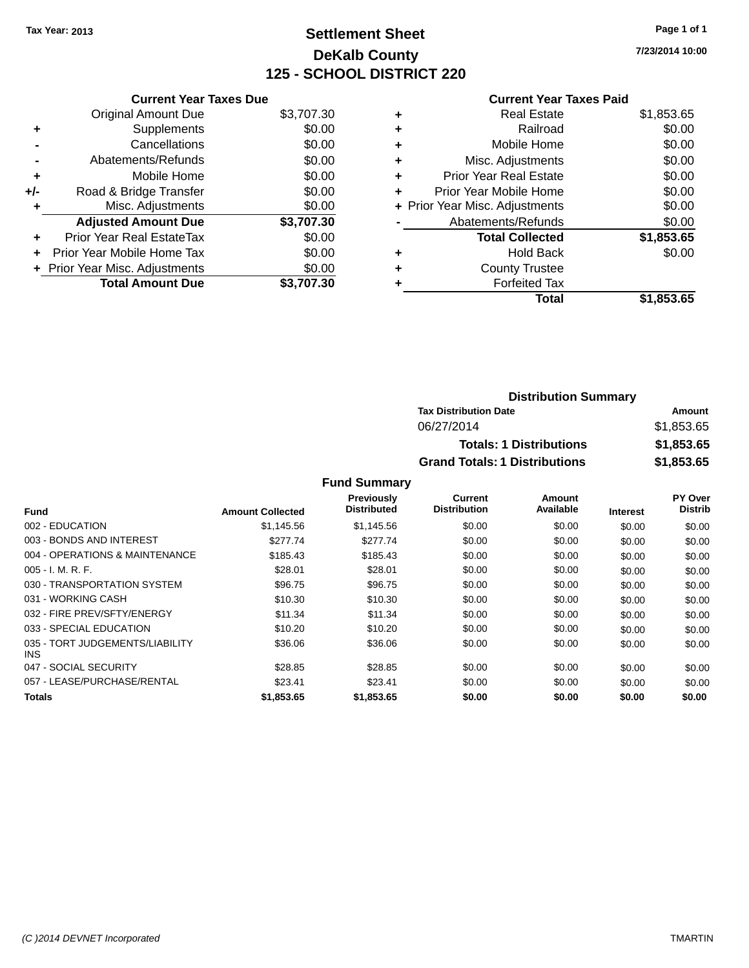### **Settlement Sheet Tax Year: 2013 Page 1 of 1 DeKalb County 125 - SCHOOL DISTRICT 220**

**7/23/2014 10:00**

#### **Current Year Taxes Paid**

|     | <b>Current Year Taxes Due</b> |            |
|-----|-------------------------------|------------|
|     | <b>Original Amount Due</b>    | \$3,707.30 |
| ٠   | Supplements                   | \$0.00     |
|     | Cancellations                 | \$0.00     |
|     | Abatements/Refunds            | \$0.00     |
| ٠   | Mobile Home                   | \$0.00     |
| +/- | Road & Bridge Transfer        | \$0.00     |
|     | Misc. Adjustments             | \$0.00     |
|     | <b>Adjusted Amount Due</b>    | \$3,707.30 |
| ÷   | Prior Year Real EstateTax     | \$0.00     |
|     | Prior Year Mobile Home Tax    | \$0.00     |
|     | Prior Year Misc. Adjustments  | \$0.00     |
|     | <b>Total Amount Due</b>       | \$3,707.30 |

|   | <b>Real Estate</b>             | \$1,853.65 |
|---|--------------------------------|------------|
| ٠ | Railroad                       | \$0.00     |
| ٠ | Mobile Home                    | \$0.00     |
| ٠ | Misc. Adjustments              | \$0.00     |
| ٠ | <b>Prior Year Real Estate</b>  | \$0.00     |
|   | Prior Year Mobile Home         | \$0.00     |
|   | + Prior Year Misc. Adjustments | \$0.00     |
|   | Abatements/Refunds             | \$0.00     |
|   | <b>Total Collected</b>         | \$1,853.65 |
| ٠ | Hold Back                      | \$0.00     |
| ٠ | <b>County Trustee</b>          |            |
| ٠ | <b>Forfeited Tax</b>           |            |
|   | Total                          | \$1,853.65 |
|   |                                |            |

| <b>Distribution Summary</b>          |            |
|--------------------------------------|------------|
| <b>Tax Distribution Date</b>         | Amount     |
| 06/27/2014                           | \$1,853.65 |
| <b>Totals: 1 Distributions</b>       | \$1,853.65 |
| <b>Grand Totals: 1 Distributions</b> | \$1,853.65 |

|                                         |                         | <b>Previously</b><br><b>Distributed</b> | <b>Current</b><br><b>Distribution</b> | Amount<br>Available |                 | PY Over<br><b>Distrib</b> |
|-----------------------------------------|-------------------------|-----------------------------------------|---------------------------------------|---------------------|-----------------|---------------------------|
| <b>Fund</b>                             | <b>Amount Collected</b> |                                         |                                       |                     | <b>Interest</b> |                           |
| 002 - EDUCATION                         | \$1.145.56              | \$1,145.56                              | \$0.00                                | \$0.00              | \$0.00          | \$0.00                    |
| 003 - BONDS AND INTEREST                | \$277.74                | \$277.74                                | \$0.00                                | \$0.00              | \$0.00          | \$0.00                    |
| 004 - OPERATIONS & MAINTENANCE          | \$185.43                | \$185.43                                | \$0.00                                | \$0.00              | \$0.00          | \$0.00                    |
| $005 - I. M. R. F.$                     | \$28.01                 | \$28.01                                 | \$0.00                                | \$0.00              | \$0.00          | \$0.00                    |
| 030 - TRANSPORTATION SYSTEM             | \$96.75                 | \$96.75                                 | \$0.00                                | \$0.00              | \$0.00          | \$0.00                    |
| 031 - WORKING CASH                      | \$10.30                 | \$10.30                                 | \$0.00                                | \$0.00              | \$0.00          | \$0.00                    |
| 032 - FIRE PREV/SFTY/ENERGY             | \$11.34                 | \$11.34                                 | \$0.00                                | \$0.00              | \$0.00          | \$0.00                    |
| 033 - SPECIAL EDUCATION                 | \$10.20                 | \$10.20                                 | \$0.00                                | \$0.00              | \$0.00          | \$0.00                    |
| 035 - TORT JUDGEMENTS/LIABILITY<br>INS. | \$36.06                 | \$36.06                                 | \$0.00                                | \$0.00              | \$0.00          | \$0.00                    |
| 047 - SOCIAL SECURITY                   | \$28.85                 | \$28.85                                 | \$0.00                                | \$0.00              | \$0.00          | \$0.00                    |
| 057 - LEASE/PURCHASE/RENTAL             | \$23.41                 | \$23.41                                 | \$0.00                                | \$0.00              | \$0.00          | \$0.00                    |
| Totals                                  | \$1,853.65              | \$1,853.65                              | \$0.00                                | \$0.00              | \$0.00          | \$0.00                    |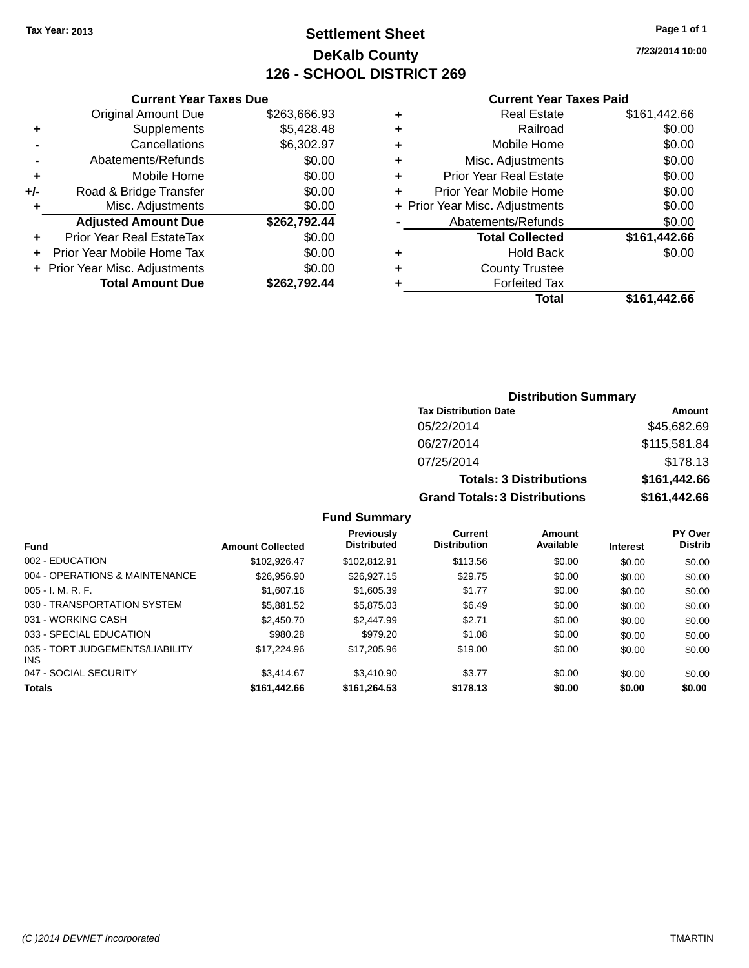### **Settlement Sheet Tax Year: 2013 Page 1 of 1 DeKalb County 126 - SCHOOL DISTRICT 269**

**7/23/2014 10:00**

| Current Year Taxes Due |  |  |  |
|------------------------|--|--|--|

|     | <b>Original Amount Due</b>       | \$263,666.93 |
|-----|----------------------------------|--------------|
| ٠   | Supplements                      | \$5,428.48   |
|     | Cancellations                    | \$6,302.97   |
|     | Abatements/Refunds               | \$0.00       |
| ٠   | Mobile Home                      | \$0.00       |
| +/- | Road & Bridge Transfer           | \$0.00       |
| ٠   | Misc. Adjustments                | \$0.00       |
|     | <b>Adjusted Amount Due</b>       | \$262,792.44 |
| ٠   | <b>Prior Year Real EstateTax</b> | \$0.00       |
| ÷   | Prior Year Mobile Home Tax       | \$0.00       |
|     | + Prior Year Misc. Adjustments   | \$0.00       |
|     | <b>Total Amount Due</b>          | \$262.792.44 |
|     |                                  |              |

#### **Current Year Taxes Paid**

| ٠ | <b>Real Estate</b>             | \$161,442.66 |
|---|--------------------------------|--------------|
| ٠ | Railroad                       | \$0.00       |
| ٠ | Mobile Home                    | \$0.00       |
| ٠ | Misc. Adjustments              | \$0.00       |
| ٠ | <b>Prior Year Real Estate</b>  | \$0.00       |
| ٠ | Prior Year Mobile Home         | \$0.00       |
|   | + Prior Year Misc. Adjustments | \$0.00       |
|   | Abatements/Refunds             | \$0.00       |
|   | <b>Total Collected</b>         | \$161,442.66 |
| ٠ | <b>Hold Back</b>               | \$0.00       |
| ٠ | <b>County Trustee</b>          |              |
| ٠ | <b>Forfeited Tax</b>           |              |
|   | Total                          | \$161,442.66 |
|   |                                |              |

### **Distribution Summary Tax Distribution Date Amount** 05/22/2014 \$45,682.69 06/27/2014 \$115,581.84 07/25/2014 \$178.13 **Totals: 3 Distributions \$161,442.66 Grand Totals: 3 Distributions \$161,442.66**

| <b>Fund</b>                             | <b>Amount Collected</b> | <b>Previously</b><br><b>Distributed</b> | Current<br><b>Distribution</b> | Amount<br>Available | <b>Interest</b> | <b>PY Over</b><br><b>Distrib</b> |
|-----------------------------------------|-------------------------|-----------------------------------------|--------------------------------|---------------------|-----------------|----------------------------------|
| 002 - EDUCATION                         | \$102.926.47            | \$102.812.91                            | \$113.56                       | \$0.00              | \$0.00          | \$0.00                           |
| 004 - OPERATIONS & MAINTENANCE          | \$26,956.90             | \$26.927.15                             | \$29.75                        | \$0.00              | \$0.00          | \$0.00                           |
| $005 - I. M. R. F.$                     | \$1,607.16              | \$1,605.39                              | \$1.77                         | \$0.00              | \$0.00          | \$0.00                           |
| 030 - TRANSPORTATION SYSTEM             | \$5,881.52              | \$5,875.03                              | \$6.49                         | \$0.00              | \$0.00          | \$0.00                           |
| 031 - WORKING CASH                      | \$2,450.70              | \$2,447.99                              | \$2.71                         | \$0.00              | \$0.00          | \$0.00                           |
| 033 - SPECIAL EDUCATION                 | \$980.28                | \$979.20                                | \$1.08                         | \$0.00              | \$0.00          | \$0.00                           |
| 035 - TORT JUDGEMENTS/LIABILITY<br>INS. | \$17,224.96             | \$17,205.96                             | \$19.00                        | \$0.00              | \$0.00          | \$0.00                           |
| 047 - SOCIAL SECURITY                   | \$3.414.67              | \$3,410.90                              | \$3.77                         | \$0.00              | \$0.00          | \$0.00                           |
| Totals                                  | \$161,442.66            | \$161,264.53                            | \$178.13                       | \$0.00              | \$0.00          | \$0.00                           |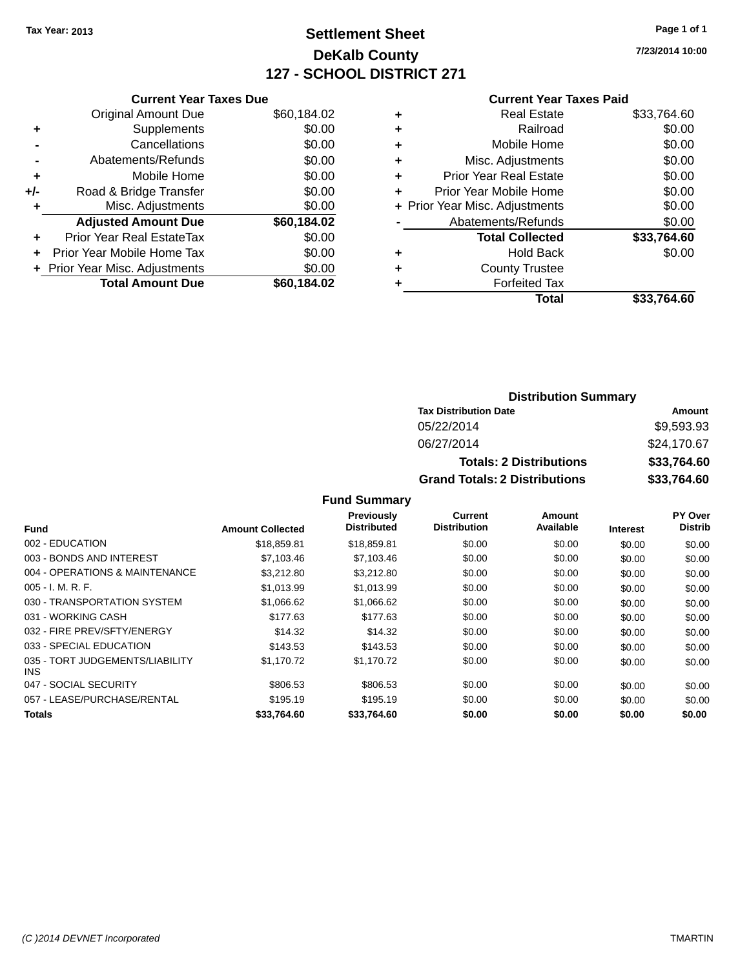### **Settlement Sheet Tax Year: 2013 Page 1 of 1 DeKalb County 127 - SCHOOL DISTRICT 271**

**7/23/2014 10:00**

#### **Current Year Taxes Paid**

|     | <b>Current Year Taxes Due</b>  |             |
|-----|--------------------------------|-------------|
|     | <b>Original Amount Due</b>     | \$60,184.02 |
| ٠   | Supplements                    | \$0.00      |
|     | Cancellations                  | \$0.00      |
|     | Abatements/Refunds             | \$0.00      |
| ٠   | Mobile Home                    | \$0.00      |
| +/- | Road & Bridge Transfer         | \$0.00      |
|     | Misc. Adjustments              | \$0.00      |
|     | <b>Adjusted Amount Due</b>     | \$60,184.02 |
| ٠   | Prior Year Real EstateTax      | \$0.00      |
|     | Prior Year Mobile Home Tax     | \$0.00      |
|     | + Prior Year Misc. Adjustments | \$0.00      |
|     | <b>Total Amount Due</b>        | \$60.184.02 |
|     |                                |             |

|   | <b>Real Estate</b>             | \$33,764.60 |
|---|--------------------------------|-------------|
| ٠ | Railroad                       | \$0.00      |
| ٠ | Mobile Home                    | \$0.00      |
| ٠ | Misc. Adjustments              | \$0.00      |
| ٠ | <b>Prior Year Real Estate</b>  | \$0.00      |
|   | Prior Year Mobile Home         | \$0.00      |
|   | + Prior Year Misc. Adjustments | \$0.00      |
|   | Abatements/Refunds             | \$0.00      |
|   | <b>Total Collected</b>         | \$33.764.60 |
| ٠ | Hold Back                      | \$0.00      |
| ٠ | <b>County Trustee</b>          |             |
| ٠ | <b>Forfeited Tax</b>           |             |
|   | Total                          | \$33.764.60 |
|   |                                |             |

### **Distribution Summary Tax Distribution Date Amount** 05/22/2014 \$9,593.93 06/27/2014 \$24,170.67 **Totals: 2 Distributions \$33,764.60 Grand Totals: 2 Distributions \$33,764.60**

|                                         |                         | Previously         | <b>Current</b>      | Amount    |                 | PY Over        |
|-----------------------------------------|-------------------------|--------------------|---------------------|-----------|-----------------|----------------|
| <b>Fund</b>                             | <b>Amount Collected</b> | <b>Distributed</b> | <b>Distribution</b> | Available | <b>Interest</b> | <b>Distrib</b> |
| 002 - EDUCATION                         | \$18,859.81             | \$18,859.81        | \$0.00              | \$0.00    | \$0.00          | \$0.00         |
| 003 - BONDS AND INTEREST                | \$7,103.46              | \$7,103.46         | \$0.00              | \$0.00    | \$0.00          | \$0.00         |
| 004 - OPERATIONS & MAINTENANCE          | \$3,212.80              | \$3,212.80         | \$0.00              | \$0.00    | \$0.00          | \$0.00         |
| $005 - I. M. R. F.$                     | \$1.013.99              | \$1,013.99         | \$0.00              | \$0.00    | \$0.00          | \$0.00         |
| 030 - TRANSPORTATION SYSTEM             | \$1,066.62              | \$1,066.62         | \$0.00              | \$0.00    | \$0.00          | \$0.00         |
| 031 - WORKING CASH                      | \$177.63                | \$177.63           | \$0.00              | \$0.00    | \$0.00          | \$0.00         |
| 032 - FIRE PREV/SFTY/ENERGY             | \$14.32                 | \$14.32            | \$0.00              | \$0.00    | \$0.00          | \$0.00         |
| 033 - SPECIAL EDUCATION                 | \$143.53                | \$143.53           | \$0.00              | \$0.00    | \$0.00          | \$0.00         |
| 035 - TORT JUDGEMENTS/LIABILITY<br>INS. | \$1,170.72              | \$1,170.72         | \$0.00              | \$0.00    | \$0.00          | \$0.00         |
| 047 - SOCIAL SECURITY                   | \$806.53                | \$806.53           | \$0.00              | \$0.00    | \$0.00          | \$0.00         |
| 057 - LEASE/PURCHASE/RENTAL             | \$195.19                | \$195.19           | \$0.00              | \$0.00    | \$0.00          | \$0.00         |
| Totals                                  | \$33.764.60             | \$33.764.60        | \$0.00              | \$0.00    | \$0.00          | \$0.00         |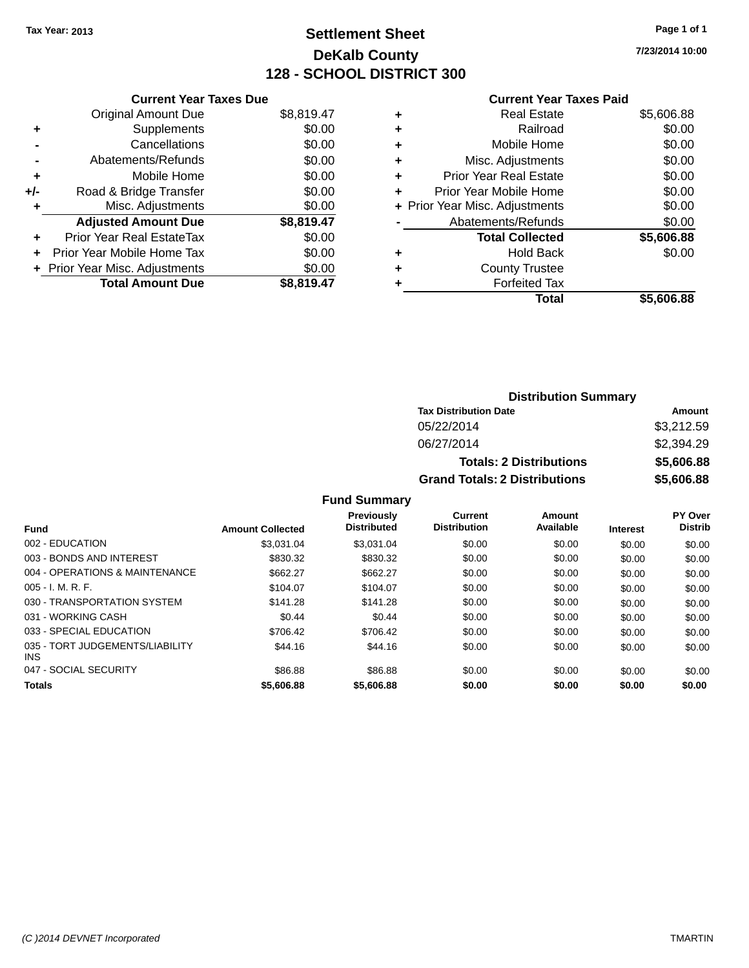### **Settlement Sheet Tax Year: 2013 Page 1 of 1 DeKalb County 128 - SCHOOL DISTRICT 300**

**7/23/2014 10:00**

| <b>Original Amount Due</b>     | \$8,819.47                                               |
|--------------------------------|----------------------------------------------------------|
| Supplements                    | \$0.00                                                   |
| Cancellations                  | \$0.00                                                   |
| Abatements/Refunds             | \$0.00                                                   |
| Mobile Home                    | \$0.00                                                   |
| Road & Bridge Transfer         | \$0.00                                                   |
| Misc. Adjustments              | \$0.00                                                   |
| <b>Adjusted Amount Due</b>     | \$8,819.47                                               |
| Prior Year Real EstateTax      | \$0.00                                                   |
| Prior Year Mobile Home Tax     | \$0.00                                                   |
| + Prior Year Misc. Adjustments | \$0.00                                                   |
|                                | \$8.819.47                                               |
|                                | <b>Current Year Taxes Due</b><br><b>Total Amount Due</b> |

#### **Current Year Taxes Paid**

| ٠ | Railroad<br>Mobile Home        | \$0.00     |
|---|--------------------------------|------------|
| ٠ |                                | \$0.00     |
| ٠ | Misc. Adjustments              | \$0.00     |
| ٠ | <b>Prior Year Real Estate</b>  | \$0.00     |
| ٠ | Prior Year Mobile Home         | \$0.00     |
|   | + Prior Year Misc. Adjustments | \$0.00     |
|   | Abatements/Refunds             | \$0.00     |
|   | <b>Total Collected</b>         |            |
|   |                                | \$5,606.88 |
| ٠ | Hold Back                      | \$0.00     |
| ٠ | <b>County Trustee</b>          |            |
| ٠ | <b>Forfeited Tax</b>           |            |

### **Distribution Summary Tax Distribution Date Amount** 05/22/2014 \$3,212.59 06/27/2014 \$2,394.29 **Totals: 2 Distributions \$5,606.88 Grand Totals: 2 Distributions \$5,606.88**

| Fund                                          | <b>Amount Collected</b> | <b>Previously</b><br><b>Distributed</b> | Current<br><b>Distribution</b> | Amount<br>Available | <b>Interest</b> | PY Over<br><b>Distrib</b> |
|-----------------------------------------------|-------------------------|-----------------------------------------|--------------------------------|---------------------|-----------------|---------------------------|
| 002 - EDUCATION                               | \$3.031.04              | \$3.031.04                              | \$0.00                         | \$0.00              | \$0.00          | \$0.00                    |
| 003 - BONDS AND INTEREST                      | \$830.32                | \$830.32                                | \$0.00                         | \$0.00              | \$0.00          | \$0.00                    |
| 004 - OPERATIONS & MAINTENANCE                | \$662.27                | \$662.27                                | \$0.00                         | \$0.00              | \$0.00          | \$0.00                    |
| $005 - I. M. R. F.$                           | \$104.07                | \$104.07                                | \$0.00                         | \$0.00              | \$0.00          | \$0.00                    |
| 030 - TRANSPORTATION SYSTEM                   | \$141.28                | \$141.28                                | \$0.00                         | \$0.00              | \$0.00          | \$0.00                    |
| 031 - WORKING CASH                            | \$0.44                  | \$0.44                                  | \$0.00                         | \$0.00              | \$0.00          | \$0.00                    |
| 033 - SPECIAL EDUCATION                       | \$706.42                | \$706.42                                | \$0.00                         | \$0.00              | \$0.00          | \$0.00                    |
| 035 - TORT JUDGEMENTS/LIABILITY<br><b>INS</b> | \$44.16                 | \$44.16                                 | \$0.00                         | \$0.00              | \$0.00          | \$0.00                    |
| 047 - SOCIAL SECURITY                         | \$86.88                 | \$86.88                                 | \$0.00                         | \$0.00              | \$0.00          | \$0.00                    |
| <b>Totals</b>                                 | \$5,606.88              | \$5,606.88                              | \$0.00                         | \$0.00              | \$0.00          | \$0.00                    |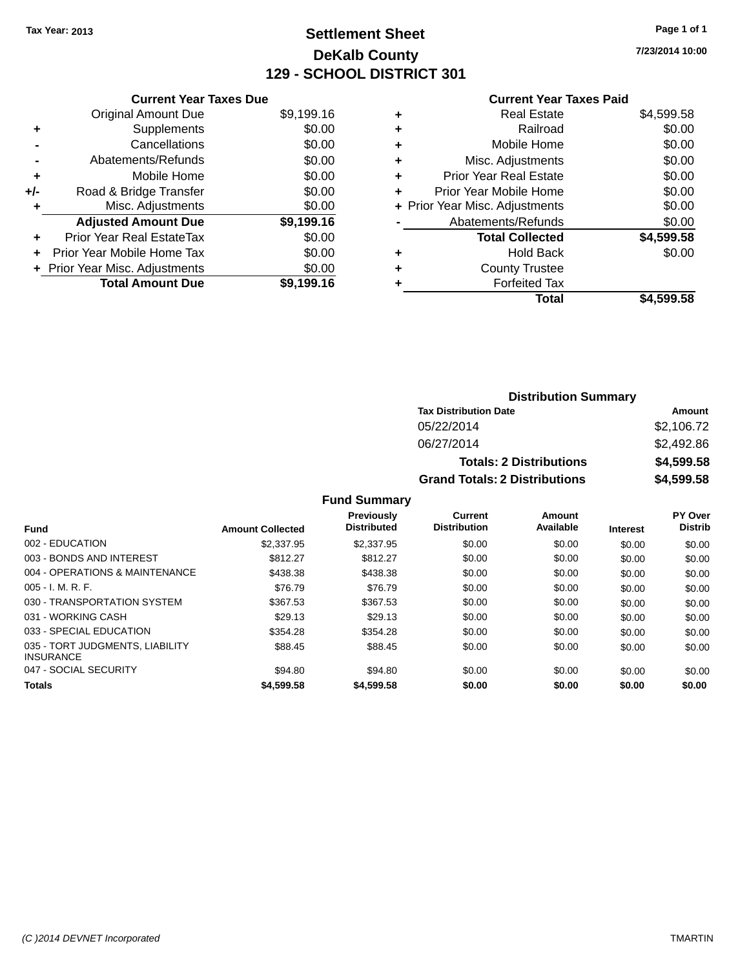### **Settlement Sheet Tax Year: 2013 Page 1 of 1 DeKalb County 129 - SCHOOL DISTRICT 301**

**7/23/2014 10:00**

### **Current Year Taxes Paid**

|     | <b>Current Year Taxes Due</b>  |            |
|-----|--------------------------------|------------|
|     | <b>Original Amount Due</b>     | \$9,199.16 |
| ٠   | Supplements                    | \$0.00     |
|     | Cancellations                  | \$0.00     |
|     | Abatements/Refunds             | \$0.00     |
| ٠   | Mobile Home                    | \$0.00     |
| +/- | Road & Bridge Transfer         | \$0.00     |
| ٠   | Misc. Adjustments              | \$0.00     |
|     | <b>Adjusted Amount Due</b>     | \$9,199.16 |
| ÷   | Prior Year Real EstateTax      | \$0.00     |
| ÷   | Prior Year Mobile Home Tax     | \$0.00     |
|     | + Prior Year Misc. Adjustments | \$0.00     |
|     | <b>Total Amount Due</b>        | \$9.199.16 |

|   | <b>Real Estate</b>             | \$4,599.58 |
|---|--------------------------------|------------|
| ٠ | Railroad                       | \$0.00     |
| ٠ | Mobile Home                    | \$0.00     |
| ٠ | Misc. Adjustments              | \$0.00     |
| ٠ | <b>Prior Year Real Estate</b>  | \$0.00     |
| ٠ | Prior Year Mobile Home         | \$0.00     |
|   | + Prior Year Misc. Adjustments | \$0.00     |
|   | Abatements/Refunds             | \$0.00     |
|   | <b>Total Collected</b>         | \$4,599.58 |
| ٠ | <b>Hold Back</b>               | \$0.00     |
| ٠ | <b>County Trustee</b>          |            |
| ٠ | <b>Forfeited Tax</b>           |            |
|   | <b>Total</b>                   | \$4,599.58 |
|   |                                |            |

| <b>Distribution Summary</b>          |            |  |  |  |
|--------------------------------------|------------|--|--|--|
| <b>Tax Distribution Date</b>         | Amount     |  |  |  |
| 05/22/2014                           | \$2,106.72 |  |  |  |
| 06/27/2014                           | \$2,492.86 |  |  |  |
| <b>Totals: 2 Distributions</b>       | \$4,599.58 |  |  |  |
| <b>Grand Totals: 2 Distributions</b> | \$4,599.58 |  |  |  |

| <b>Fund</b>                                         | <b>Amount Collected</b> | <b>Previously</b><br><b>Distributed</b> | Current<br><b>Distribution</b> | Amount<br>Available | <b>Interest</b> | PY Over<br><b>Distrib</b> |
|-----------------------------------------------------|-------------------------|-----------------------------------------|--------------------------------|---------------------|-----------------|---------------------------|
|                                                     |                         |                                         |                                |                     |                 |                           |
| 002 - EDUCATION                                     | \$2,337.95              | \$2,337.95                              | \$0.00                         | \$0.00              | \$0.00          | \$0.00                    |
| 003 - BONDS AND INTEREST                            | \$812.27                | \$812.27                                | \$0.00                         | \$0.00              | \$0.00          | \$0.00                    |
| 004 - OPERATIONS & MAINTENANCE                      | \$438.38                | \$438.38                                | \$0.00                         | \$0.00              | \$0.00          | \$0.00                    |
| $005 - I. M. R. F.$                                 | \$76.79                 | \$76.79                                 | \$0.00                         | \$0.00              | \$0.00          | \$0.00                    |
| 030 - TRANSPORTATION SYSTEM                         | \$367.53                | \$367.53                                | \$0.00                         | \$0.00              | \$0.00          | \$0.00                    |
| 031 - WORKING CASH                                  | \$29.13                 | \$29.13                                 | \$0.00                         | \$0.00              | \$0.00          | \$0.00                    |
| 033 - SPECIAL EDUCATION                             | \$354.28                | \$354.28                                | \$0.00                         | \$0.00              | \$0.00          | \$0.00                    |
| 035 - TORT JUDGMENTS, LIABILITY<br><b>INSURANCE</b> | \$88.45                 | \$88.45                                 | \$0.00                         | \$0.00              | \$0.00          | \$0.00                    |
| 047 - SOCIAL SECURITY                               | \$94.80                 | \$94.80                                 | \$0.00                         | \$0.00              | \$0.00          | \$0.00                    |
| <b>Totals</b>                                       | \$4,599.58              | \$4,599.58                              | \$0.00                         | \$0.00              | \$0.00          | \$0.00                    |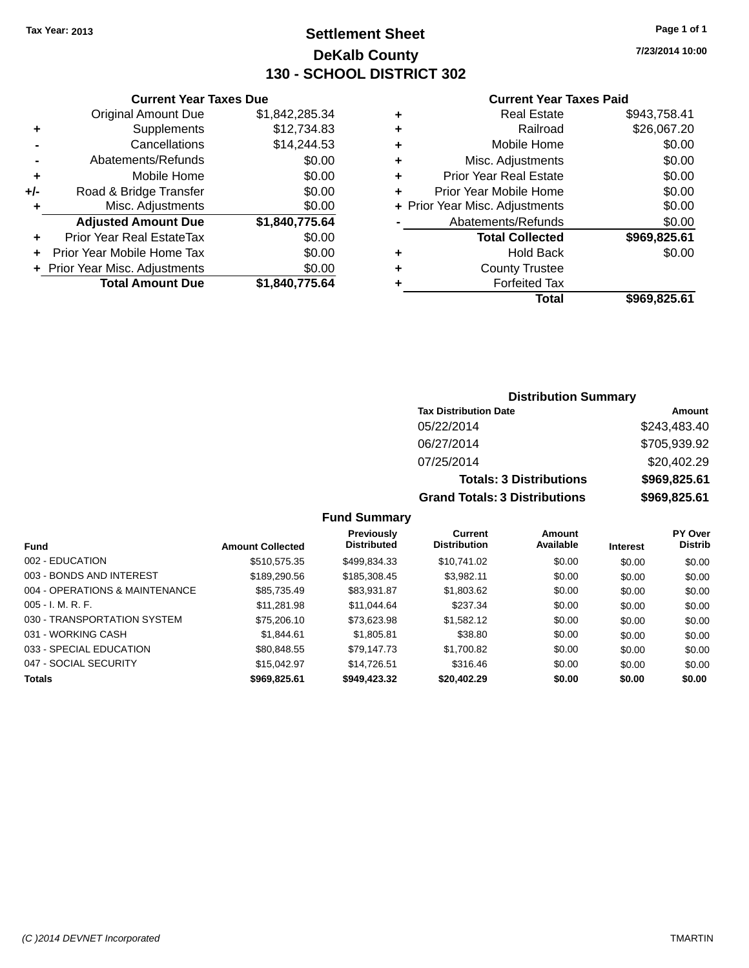### **Settlement Sheet Tax Year: 2013 Page 1 of 1 DeKalb County 130 - SCHOOL DISTRICT 302**

**7/23/2014 10:00**

#### **Current Year Taxes Paid**

| <b>Current Year Taxes Due</b> |  |  |  |  |  |  |
|-------------------------------|--|--|--|--|--|--|
| \$1,842,285.34                |  |  |  |  |  |  |
| \$12,734.83                   |  |  |  |  |  |  |
| \$14,244.53                   |  |  |  |  |  |  |
| \$0.00                        |  |  |  |  |  |  |
| \$0.00                        |  |  |  |  |  |  |
| \$0.00                        |  |  |  |  |  |  |
| \$0.00                        |  |  |  |  |  |  |
| \$1,840,775.64                |  |  |  |  |  |  |
| \$0.00                        |  |  |  |  |  |  |
| \$0.00                        |  |  |  |  |  |  |
| \$0.00                        |  |  |  |  |  |  |
|                               |  |  |  |  |  |  |
|                               |  |  |  |  |  |  |

| ٠ | <b>Real Estate</b>             | \$943,758.41 |
|---|--------------------------------|--------------|
| ٠ | Railroad                       | \$26,067.20  |
| ٠ | Mobile Home                    | \$0.00       |
| ٠ | Misc. Adjustments              | \$0.00       |
| ٠ | <b>Prior Year Real Estate</b>  | \$0.00       |
| ٠ | Prior Year Mobile Home         | \$0.00       |
|   | + Prior Year Misc. Adjustments | \$0.00       |
|   | Abatements/Refunds             | \$0.00       |
|   | <b>Total Collected</b>         | \$969,825.61 |
| ٠ | <b>Hold Back</b>               | \$0.00       |
| ٠ | <b>County Trustee</b>          |              |
| ٠ | <b>Forfeited Tax</b>           |              |
|   | Total                          | \$969,825.61 |
|   |                                |              |

# **Distribution Summary**

| <b>Tax Distribution Date</b>         | Amount       |
|--------------------------------------|--------------|
| 05/22/2014                           | \$243,483.40 |
| 06/27/2014                           | \$705,939.92 |
| 07/25/2014                           | \$20,402.29  |
| <b>Totals: 3 Distributions</b>       | \$969,825.61 |
| <b>Grand Totals: 3 Distributions</b> | \$969,825.61 |

| <b>Fund</b>                    | <b>Amount Collected</b> | Previously<br><b>Distributed</b> | Current<br><b>Distribution</b> | Amount<br>Available | <b>Interest</b> | <b>PY Over</b><br><b>Distrib</b> |
|--------------------------------|-------------------------|----------------------------------|--------------------------------|---------------------|-----------------|----------------------------------|
| 002 - EDUCATION                | \$510,575.35            | \$499.834.33                     | \$10,741.02                    | \$0.00              | \$0.00          | \$0.00                           |
| 003 - BONDS AND INTEREST       | \$189,290.56            | \$185,308.45                     | \$3,982.11                     | \$0.00              | \$0.00          | \$0.00                           |
| 004 - OPERATIONS & MAINTENANCE | \$85,735.49             | \$83,931.87                      | \$1,803.62                     | \$0.00              | \$0.00          | \$0.00                           |
| $005 - I. M. R. F.$            | \$11,281.98             | \$11,044.64                      | \$237.34                       | \$0.00              | \$0.00          | \$0.00                           |
| 030 - TRANSPORTATION SYSTEM    | \$75,206,10             | \$73.623.98                      | \$1,582.12                     | \$0.00              | \$0.00          | \$0.00                           |
| 031 - WORKING CASH             | \$1,844.61              | \$1,805.81                       | \$38.80                        | \$0.00              | \$0.00          | \$0.00                           |
| 033 - SPECIAL EDUCATION        | \$80,848.55             | \$79,147.73                      | \$1,700.82                     | \$0.00              | \$0.00          | \$0.00                           |
| 047 - SOCIAL SECURITY          | \$15,042.97             | \$14,726.51                      | \$316.46                       | \$0.00              | \$0.00          | \$0.00                           |
| <b>Totals</b>                  | \$969,825.61            | \$949,423.32                     | \$20,402.29                    | \$0.00              | \$0.00          | \$0.00                           |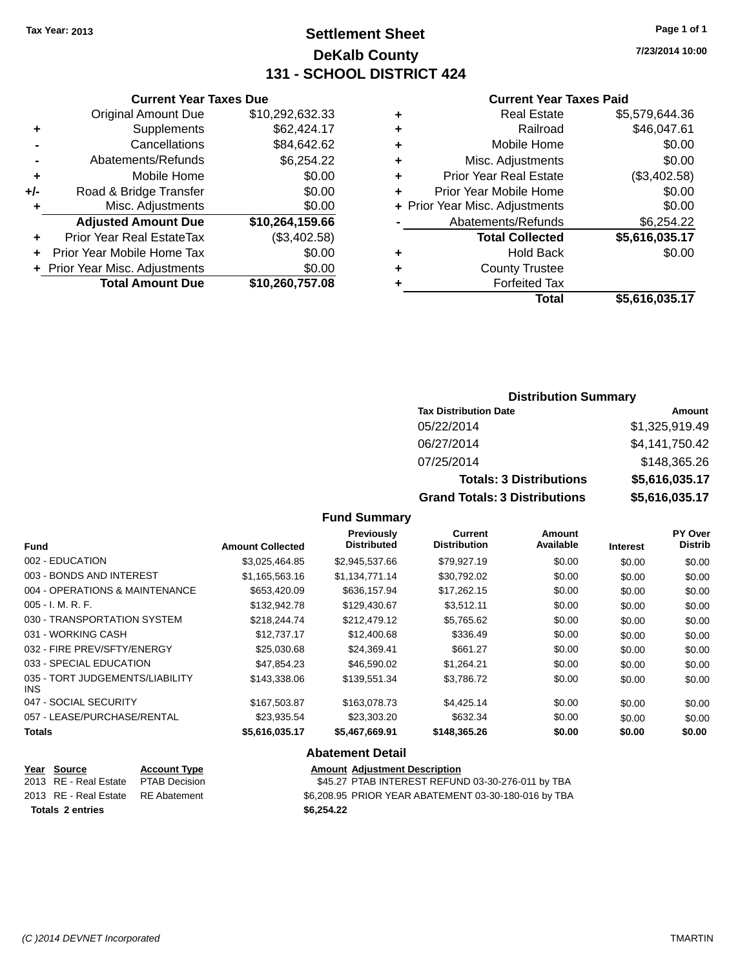### **Settlement Sheet Tax Year: 2013 Page 1 of 1 DeKalb County 131 - SCHOOL DISTRICT 424**

**7/23/2014 10:00**

#### **Current Year Taxes Paid**

|     | <b>Current Year Taxes Due</b>    |                 |  |  |  |  |
|-----|----------------------------------|-----------------|--|--|--|--|
|     | <b>Original Amount Due</b>       | \$10,292,632.33 |  |  |  |  |
| ٠   | Supplements                      | \$62,424.17     |  |  |  |  |
|     | \$84,642.62<br>Cancellations     |                 |  |  |  |  |
| -   | Abatements/Refunds               | \$6,254.22      |  |  |  |  |
| ٠   | Mobile Home                      | \$0.00          |  |  |  |  |
| +/- | Road & Bridge Transfer           | \$0.00          |  |  |  |  |
| ٠   | Misc. Adjustments                | \$0.00          |  |  |  |  |
|     | <b>Adjusted Amount Due</b>       | \$10,264,159.66 |  |  |  |  |
| ٠   | <b>Prior Year Real EstateTax</b> | (\$3,402.58)    |  |  |  |  |
|     | Prior Year Mobile Home Tax       | \$0.00          |  |  |  |  |
|     | + Prior Year Misc. Adjustments   | \$0.00          |  |  |  |  |
|     | <b>Total Amount Due</b>          | \$10,260,757.08 |  |  |  |  |
|     |                                  |                 |  |  |  |  |

| <b>Real Estate</b>            | \$5,579,644.36                 |
|-------------------------------|--------------------------------|
| Railroad                      | \$46,047.61                    |
| Mobile Home                   | \$0.00                         |
| Misc. Adjustments             | \$0.00                         |
| <b>Prior Year Real Estate</b> | (\$3,402.58)                   |
| Prior Year Mobile Home        | \$0.00                         |
|                               | \$0.00                         |
| Abatements/Refunds            | \$6,254.22                     |
| <b>Total Collected</b>        | \$5,616,035.17                 |
| <b>Hold Back</b>              | \$0.00                         |
| <b>County Trustee</b>         |                                |
| <b>Forfeited Tax</b>          |                                |
| Total                         | \$5,616,035.17                 |
|                               | + Prior Year Misc. Adjustments |

### **Distribution Summary**

| <b>Tax Distribution Date</b>         | Amount         |
|--------------------------------------|----------------|
| 05/22/2014                           | \$1,325,919.49 |
| 06/27/2014                           | \$4,141,750.42 |
| 07/25/2014                           | \$148,365.26   |
| <b>Totals: 3 Distributions</b>       | \$5,616,035.17 |
| <b>Grand Totals: 3 Distributions</b> | \$5,616,035.17 |

### **Fund Summary**

| <b>Amount Collected</b> | <b>Previously</b><br><b>Distributed</b> | Current<br><b>Distribution</b> | <b>Amount</b><br>Available | <b>Interest</b> | PY Over<br><b>Distrib</b> |
|-------------------------|-----------------------------------------|--------------------------------|----------------------------|-----------------|---------------------------|
| \$3,025,464.85          | \$2,945,537.66                          | \$79,927.19                    | \$0.00                     | \$0.00          | \$0.00                    |
| \$1,165,563.16          | \$1,134,771.14                          | \$30,792.02                    | \$0.00                     | \$0.00          | \$0.00                    |
| \$653,420.09            | \$636,157.94                            | \$17,262.15                    | \$0.00                     | \$0.00          | \$0.00                    |
| \$132,942.78            | \$129,430.67                            | \$3.512.11                     | \$0.00                     | \$0.00          | \$0.00                    |
| \$218.244.74            | \$212,479.12                            | \$5,765.62                     | \$0.00                     | \$0.00          | \$0.00                    |
| \$12,737.17             | \$12,400.68                             | \$336.49                       | \$0.00                     | \$0.00          | \$0.00                    |
| \$25,030.68             | \$24,369.41                             | \$661.27                       | \$0.00                     | \$0.00          | \$0.00                    |
| \$47.854.23             | \$46,590.02                             | \$1,264.21                     | \$0.00                     | \$0.00          | \$0.00                    |
| \$143,338,06            | \$139.551.34                            | \$3.786.72                     | \$0.00                     | \$0.00          | \$0.00                    |
| \$167,503.87            | \$163,078.73                            | \$4.425.14                     | \$0.00                     | \$0.00          | \$0.00                    |
| \$23,935.54             | \$23,303.20                             | \$632.34                       | \$0.00                     | \$0.00          | \$0.00                    |
| \$5,616,035.17          | \$5,467,669.91                          | \$148,365.26                   | \$0.00                     | \$0.00          | \$0.00                    |
|                         |                                         |                                |                            |                 |                           |

#### **Abatement Detail**

| Year Source<br>2013 RE - Real Estate<br>2013 RE - Real Estate RE Abatement | <b>Account Type</b><br>PTAB Decision |            | <b>Amount Adiustment Description</b><br>\$45.27 PTAB INTEREST REFUND 03-30-276-011 by TBA<br>\$6.208.95 PRIOR YEAR ABATEMENT 03-30-180-016 by TBA |
|----------------------------------------------------------------------------|--------------------------------------|------------|---------------------------------------------------------------------------------------------------------------------------------------------------|
| <b>Totals 2 entries</b>                                                    |                                      | \$6.254.22 |                                                                                                                                                   |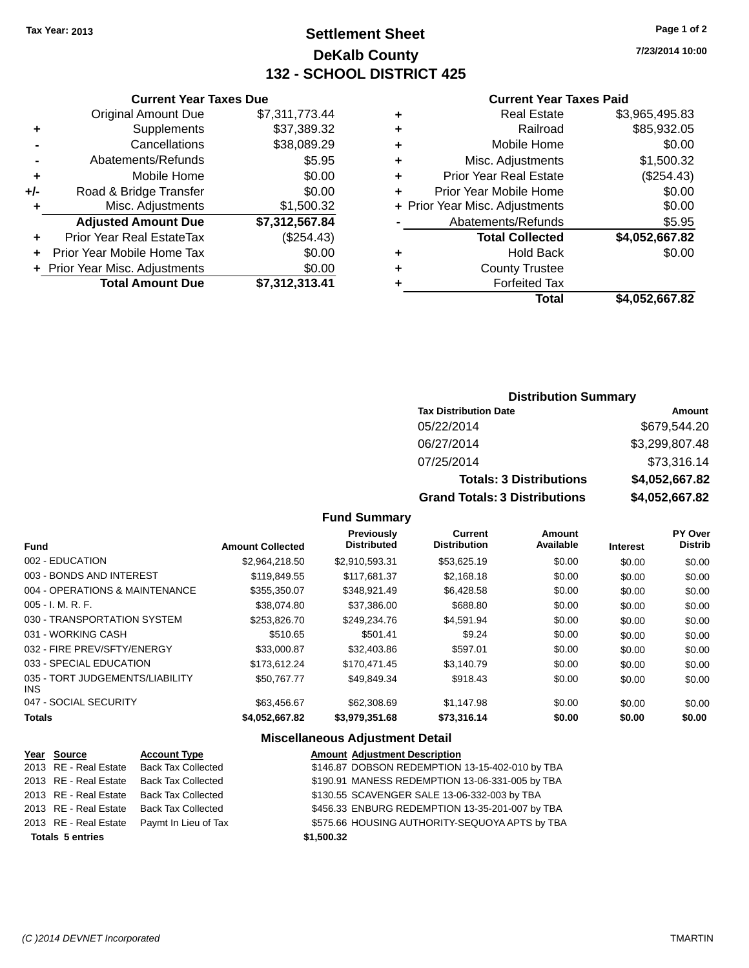### **Settlement Sheet Tax Year: 2013 Page 1 of 2 DeKalb County 132 - SCHOOL DISTRICT 425**

**7/23/2014 10:00**

### **Current Year Taxes Paid**

|     | <b>Current Year Taxes Due</b>    |                |   | <b>Current Year Taxes Paid</b> |                      |
|-----|----------------------------------|----------------|---|--------------------------------|----------------------|
|     | <b>Original Amount Due</b>       | \$7,311,773.44 |   | <b>Real Estate</b>             | \$3,965,495.83       |
| ٠   | Supplements                      | \$37,389.32    | ٠ | Railroad                       | \$85,932.05          |
|     | Cancellations                    | \$38,089.29    |   | Mobile Home                    | \$0.00               |
|     | Abatements/Refunds               | \$5.95         | ٠ | Misc. Adjustments              | \$1,500.32           |
| ٠   | Mobile Home                      | \$0.00         |   | <b>Prior Year Real Estate</b>  | (\$254.43)           |
| +/- | Road & Bridge Transfer           | \$0.00         |   | Prior Year Mobile Home         | \$0.00               |
|     | Misc. Adjustments                | \$1,500.32     |   | + Prior Year Misc. Adjustments | \$0.00               |
|     | <b>Adjusted Amount Due</b>       | \$7,312,567.84 |   | Abatements/Refunds             | \$5.95               |
| ÷.  | <b>Prior Year Real EstateTax</b> | (\$254.43)     |   | <b>Total Collected</b>         | \$4,052,667.82       |
| ÷.  | Prior Year Mobile Home Tax       | \$0.00         | ٠ | <b>Hold Back</b>               | \$0.00               |
|     | + Prior Year Misc. Adjustments   | \$0.00         |   | <b>County Trustee</b>          |                      |
|     | <b>Total Amount Due</b>          | \$7,312,313.41 |   | <b>Forfeited Tax</b>           |                      |
|     |                                  |                |   | <b>Total</b>                   | <b>CA 052 667 82</b> |

# **Total \$4,052,667.82**

### **Distribution Summary Tax Distribution Date Amount** 05/22/2014 \$679,544.20 06/27/2014 \$3,299,807.48 07/25/2014 \$73,316.14 **Totals: 3 Distributions \$4,052,667.82 Grand Totals: 3 Distributions \$4,052,667.82**

### **Fund Summary**

| <b>Amount Collected</b> | Previously<br><b>Distributed</b> | <b>Current</b><br><b>Distribution</b> | Amount<br>Available | <b>Interest</b> | PY Over<br><b>Distrib</b> |
|-------------------------|----------------------------------|---------------------------------------|---------------------|-----------------|---------------------------|
| \$2,964,218.50          | \$2,910,593.31                   | \$53,625.19                           | \$0.00              | \$0.00          | \$0.00                    |
| \$119,849.55            | \$117,681.37                     | \$2,168.18                            | \$0.00              | \$0.00          | \$0.00                    |
| \$355,350.07            | \$348.921.49                     | \$6,428.58                            | \$0.00              | \$0.00          | \$0.00                    |
| \$38.074.80             | \$37.386.00                      | \$688.80                              | \$0.00              | \$0.00          | \$0.00                    |
| \$253,826,70            | \$249.234.76                     | \$4.591.94                            | \$0.00              | \$0.00          | \$0.00                    |
| \$510.65                | \$501.41                         | \$9.24                                | \$0.00              | \$0.00          | \$0.00                    |
| \$33,000.87             | \$32,403.86                      | \$597.01                              | \$0.00              | \$0.00          | \$0.00                    |
| \$173.612.24            | \$170.471.45                     | \$3.140.79                            | \$0.00              | \$0.00          | \$0.00                    |
| \$50.767.77             | \$49,849.34                      | \$918.43                              | \$0.00              | \$0.00          | \$0.00                    |
| \$63,456.67             | \$62,308.69                      | \$1.147.98                            | \$0.00              | \$0.00          | \$0.00                    |
| \$4.052.667.82          | \$3.979.351.68                   | \$73.316.14                           | \$0.00              | \$0.00          | \$0.00                    |
|                         |                                  |                                       |                     |                 |                           |

#### **Miscellaneous Adjustment Detail**

| Year Source             | <b>Account Type</b>                        | <b>Amount Adjustment Description</b>            |
|-------------------------|--------------------------------------------|-------------------------------------------------|
|                         | 2013 RE - Real Estate Back Tax Collected   | \$146.87 DOBSON REDEMPTION 13-15-402-010 by TBA |
| 2013 RE - Real Estate   | Back Tax Collected                         | \$190.91 MANESS REDEMPTION 13-06-331-005 by TBA |
|                         | 2013 RE - Real Estate Back Tax Collected   | \$130.55 SCAVENGER SALE 13-06-332-003 by TBA    |
|                         | 2013 RE - Real Estate Back Tax Collected   | \$456.33 ENBURG REDEMPTION 13-35-201-007 by TBA |
|                         | 2013 RE - Real Estate Paymt In Lieu of Tax | \$575.66 HOUSING AUTHORITY-SEQUOYA APTS by TBA  |
| <b>Totals 5 entries</b> |                                            | \$1,500.32                                      |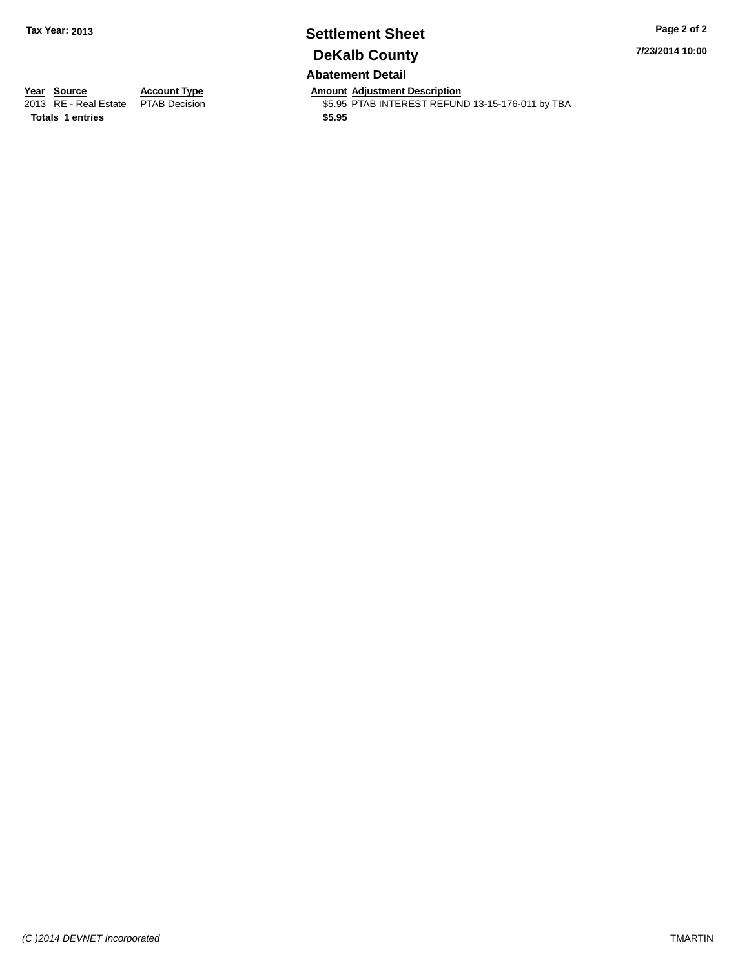### **Settlement Sheet Tax Year: 2013 Page 2 of 2 DeKalb County Abatement Detail**

**7/23/2014 10:00**

**Totals 1 entries \$5.95**

**Year Source Account Type Anneurs Amount Adjustment Description**<br>
2013 RE - Real Estate PTAB Decision **Amount Adjustment Description** \$5.95 PTAB INTEREST REFUND 13-15-176-011 by TBA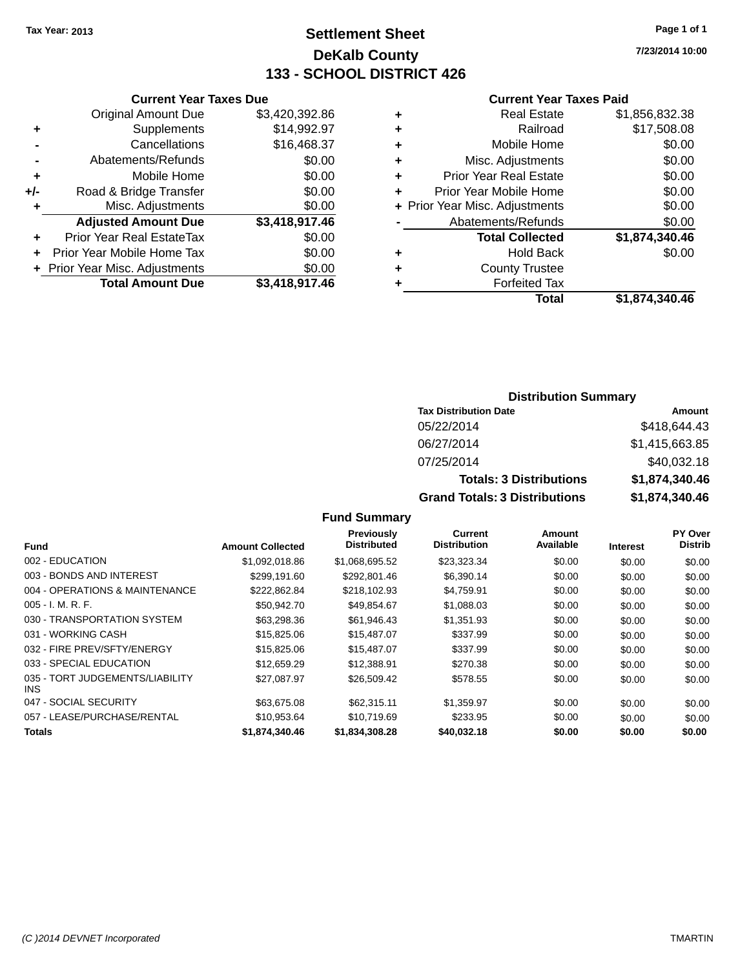### **Settlement Sheet Tax Year: 2013 Page 1 of 1 DeKalb County 133 - SCHOOL DISTRICT 426**

**7/23/2014 10:00**

#### **Current Year Taxes Paid**

| <b>Current Year Taxes Due</b> |                              |
|-------------------------------|------------------------------|
| <b>Original Amount Due</b>    | \$3,420,392.86               |
| Supplements                   | \$14,992.97                  |
| Cancellations                 | \$16,468.37                  |
| Abatements/Refunds            | \$0.00                       |
| Mobile Home                   | \$0.00                       |
| Road & Bridge Transfer        | \$0.00                       |
| Misc. Adjustments             | \$0.00                       |
| <b>Adjusted Amount Due</b>    | \$3,418,917.46               |
| Prior Year Real EstateTax     | \$0.00                       |
| Prior Year Mobile Home Tax    | \$0.00                       |
|                               | \$0.00                       |
| <b>Total Amount Due</b>       | \$3,418,917.46               |
|                               | Prior Year Misc. Adjustments |

| ٠ | <b>Real Estate</b>             | \$1,856,832.38 |
|---|--------------------------------|----------------|
| ٠ | Railroad                       | \$17,508.08    |
| ٠ | Mobile Home                    | \$0.00         |
| ٠ | Misc. Adjustments              | \$0.00         |
| ٠ | <b>Prior Year Real Estate</b>  | \$0.00         |
| ÷ | Prior Year Mobile Home         | \$0.00         |
|   | + Prior Year Misc. Adjustments | \$0.00         |
|   | Abatements/Refunds             | \$0.00         |
|   | <b>Total Collected</b>         | \$1,874,340.46 |
| ٠ | Hold Back                      | \$0.00         |
| ٠ | <b>County Trustee</b>          |                |
| ٠ | <b>Forfeited Tax</b>           |                |
|   | Total                          | \$1,874,340.46 |
|   |                                |                |

### **Distribution Summary**

| <b>Tax Distribution Date</b>         | Amount         |
|--------------------------------------|----------------|
| 05/22/2014                           | \$418,644.43   |
| 06/27/2014                           | \$1,415,663.85 |
| 07/25/2014                           | \$40,032.18    |
| <b>Totals: 3 Distributions</b>       | \$1,874,340.46 |
| <b>Grand Totals: 3 Distributions</b> | \$1,874,340.46 |

| <b>Fund</b>                                   | <b>Amount Collected</b> | Previously<br><b>Distributed</b> | Current<br><b>Distribution</b> | Amount<br>Available | <b>Interest</b> | PY Over<br><b>Distrib</b> |
|-----------------------------------------------|-------------------------|----------------------------------|--------------------------------|---------------------|-----------------|---------------------------|
| 002 - EDUCATION                               | \$1,092,018.86          | \$1,068,695.52                   | \$23,323.34                    | \$0.00              | \$0.00          | \$0.00                    |
| 003 - BONDS AND INTEREST                      | \$299.191.60            | \$292.801.46                     | \$6,390.14                     | \$0.00              | \$0.00          | \$0.00                    |
| 004 - OPERATIONS & MAINTENANCE                | \$222,862.84            | \$218,102.93                     | \$4,759.91                     | \$0.00              | \$0.00          | \$0.00                    |
| $005 - I. M. R. F.$                           | \$50,942.70             | \$49.854.67                      | \$1,088.03                     | \$0.00              | \$0.00          | \$0.00                    |
| 030 - TRANSPORTATION SYSTEM                   | \$63,298,36             | \$61,946.43                      | \$1,351.93                     | \$0.00              | \$0.00          | \$0.00                    |
| 031 - WORKING CASH                            | \$15,825,06             | \$15,487.07                      | \$337.99                       | \$0.00              | \$0.00          | \$0.00                    |
| 032 - FIRE PREV/SFTY/ENERGY                   | \$15,825.06             | \$15,487.07                      | \$337.99                       | \$0.00              | \$0.00          | \$0.00                    |
| 033 - SPECIAL EDUCATION                       | \$12,659.29             | \$12,388.91                      | \$270.38                       | \$0.00              | \$0.00          | \$0.00                    |
| 035 - TORT JUDGEMENTS/LIABILITY<br><b>INS</b> | \$27.087.97             | \$26,509.42                      | \$578.55                       | \$0.00              | \$0.00          | \$0.00                    |
| 047 - SOCIAL SECURITY                         | \$63,675,08             | \$62,315.11                      | \$1.359.97                     | \$0.00              | \$0.00          | \$0.00                    |
| 057 - LEASE/PURCHASE/RENTAL                   | \$10,953.64             | \$10.719.69                      | \$233.95                       | \$0.00              | \$0.00          | \$0.00                    |
| <b>Totals</b>                                 | \$1,874,340,46          | \$1.834.308.28                   | \$40,032.18                    | \$0.00              | \$0.00          | \$0.00                    |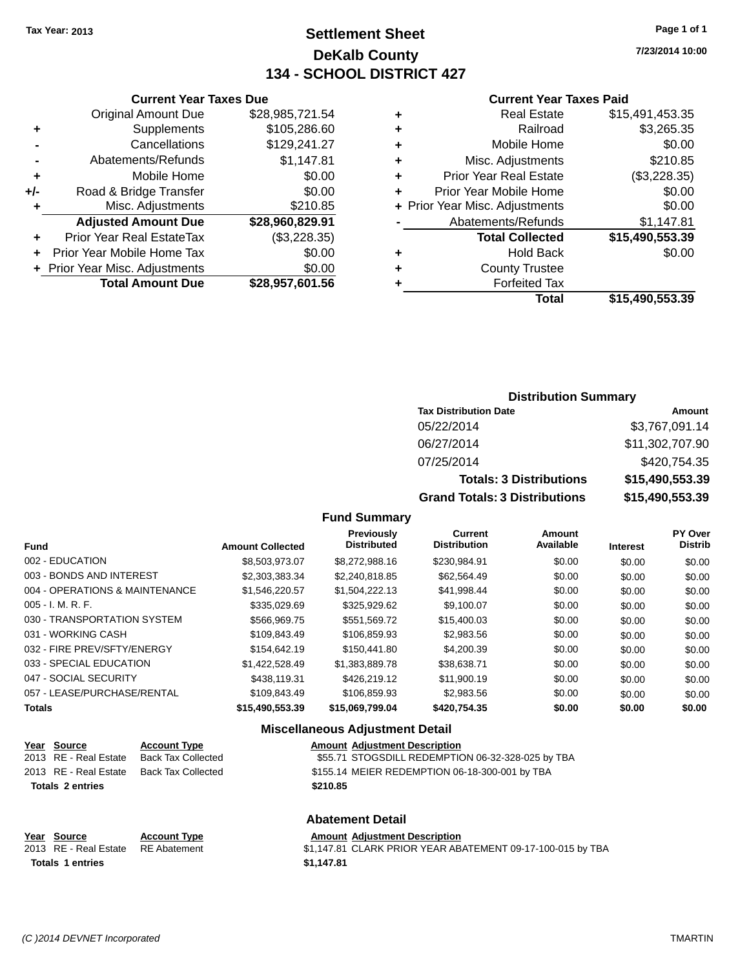**Current Year Taxes Due** Original Amount Due \$28,985,721.54

**+** Supplements \$105,286.60 **-** Cancellations \$129,241.27 **-** Abatements/Refunds \$1,147.81 **+** Mobile Home \$0.00 **+/-** Road & Bridge Transfer \$0.00 **+** Misc. Adjustments \$210.85

### **Settlement Sheet Tax Year: 2013 Page 1 of 1 DeKalb County 134 - SCHOOL DISTRICT 427**

**7/23/2014 10:00**

#### **Current Year Taxes Paid**

|   | Total                          | \$15,490,553.39 |
|---|--------------------------------|-----------------|
| ٠ | <b>Forfeited Tax</b>           |                 |
| ٠ | <b>County Trustee</b>          |                 |
| ٠ | <b>Hold Back</b>               | \$0.00          |
|   | <b>Total Collected</b>         | \$15,490,553.39 |
|   | Abatements/Refunds             | \$1,147.81      |
|   | + Prior Year Misc. Adjustments | \$0.00          |
| ٠ | Prior Year Mobile Home         | \$0.00          |
| ٠ | <b>Prior Year Real Estate</b>  | (\$3,228.35)    |
| ٠ | Misc. Adjustments              | \$210.85        |
| ٠ | Mobile Home                    | \$0.00          |
| ٠ | Railroad                       | \$3,265.35      |
| ٠ | <b>Real Estate</b>             | \$15,491,453.35 |
|   |                                |                 |

|       | <b>Adjusted Amount Due</b>       | \$28,960,829.91 | $\blacksquare$ | Abateme |
|-------|----------------------------------|-----------------|----------------|---------|
| $\pm$ | <b>Prior Year Real EstateTax</b> | (\$3,228.35)    |                | Tota    |
|       | + Prior Year Mobile Home Tax     | \$0.00          |                |         |
|       | + Prior Year Misc. Adjustments   | \$0.00          | ٠              | Cot     |
|       | <b>Total Amount Due</b>          | \$28,957,601.56 |                |         |

| <b>Distribution Summary</b> |  |
|-----------------------------|--|
|-----------------------------|--|

| <b>Tax Distribution Date</b>         | Amount          |
|--------------------------------------|-----------------|
| 05/22/2014                           | \$3,767,091.14  |
| 06/27/2014                           | \$11,302,707.90 |
| 07/25/2014                           | \$420,754.35    |
| <b>Totals: 3 Distributions</b>       | \$15,490,553.39 |
| <b>Grand Totals: 3 Distributions</b> | \$15,490,553.39 |

### **Fund Summary**

| <b>Fund</b>                    | <b>Amount Collected</b> | <b>Previously</b><br><b>Distributed</b> | <b>Current</b><br><b>Distribution</b> | <b>Amount</b><br>Available | <b>Interest</b> | <b>PY Over</b><br><b>Distrib</b> |
|--------------------------------|-------------------------|-----------------------------------------|---------------------------------------|----------------------------|-----------------|----------------------------------|
| 002 - EDUCATION                | \$8,503,973,07          | \$8,272,988.16                          | \$230.984.91                          | \$0.00                     | \$0.00          | \$0.00                           |
| 003 - BONDS AND INTEREST       | \$2.303.383.34          | \$2,240,818,85                          | \$62.564.49                           | \$0.00                     | \$0.00          | \$0.00                           |
| 004 - OPERATIONS & MAINTENANCE | \$1,546,220.57          | \$1,504,222.13                          | \$41,998.44                           | \$0.00                     | \$0.00          | \$0.00                           |
| $005 - I. M. R. F.$            | \$335,029.69            | \$325,929.62                            | \$9,100.07                            | \$0.00                     | \$0.00          | \$0.00                           |
| 030 - TRANSPORTATION SYSTEM    | \$566,969.75            | \$551.569.72                            | \$15,400.03                           | \$0.00                     | \$0.00          | \$0.00                           |
| 031 - WORKING CASH             | \$109.843.49            | \$106,859.93                            | \$2,983.56                            | \$0.00                     | \$0.00          | \$0.00                           |
| 032 - FIRE PREV/SFTY/ENERGY    | \$154,642.19            | \$150,441.80                            | \$4,200.39                            | \$0.00                     | \$0.00          | \$0.00                           |
| 033 - SPECIAL EDUCATION        | \$1.422,528.49          | \$1.383.889.78                          | \$38.638.71                           | \$0.00                     | \$0.00          | \$0.00                           |
| 047 - SOCIAL SECURITY          | \$438,119.31            | \$426,219.12                            | \$11,900.19                           | \$0.00                     | \$0.00          | \$0.00                           |
| 057 - LEASE/PURCHASE/RENTAL    | \$109.843.49            | \$106.859.93                            | \$2.983.56                            | \$0.00                     | \$0.00          | \$0.00                           |
| <b>Totals</b>                  | \$15.490.553.39         | \$15.069.799.04                         | \$420,754,35                          | \$0.00                     | \$0.00          | \$0.00                           |

#### **Miscellaneous Adjustment Detail**

**Abatement Detail**

| Year Source             | <b>Account Type</b> | <b>Amount Adjustment Description</b>              |
|-------------------------|---------------------|---------------------------------------------------|
| 2013 RE - Real Estate   | Back Tax Collected  | \$55.71 STOGSDILL REDEMPTION 06-32-328-025 by TBA |
| 2013 RE - Real Estate   | Back Tax Collected  | \$155.14 MEIER REDEMPTION 06-18-300-001 by TBA    |
| <b>Totals 2 entries</b> |                     | \$210.85                                          |
|                         |                     |                                                   |
|                         |                     |                                                   |

| Year Source             | <b>Account Type</b> | <b>Amount Adiustment Description</b>                       |
|-------------------------|---------------------|------------------------------------------------------------|
| 2013 RE - Real Estate   | RE Abatement        | \$1,147.81 CLARK PRIOR YEAR ABATEMENT 09-17-100-015 by TBA |
| <b>Totals 1 entries</b> |                     | \$1.147.81                                                 |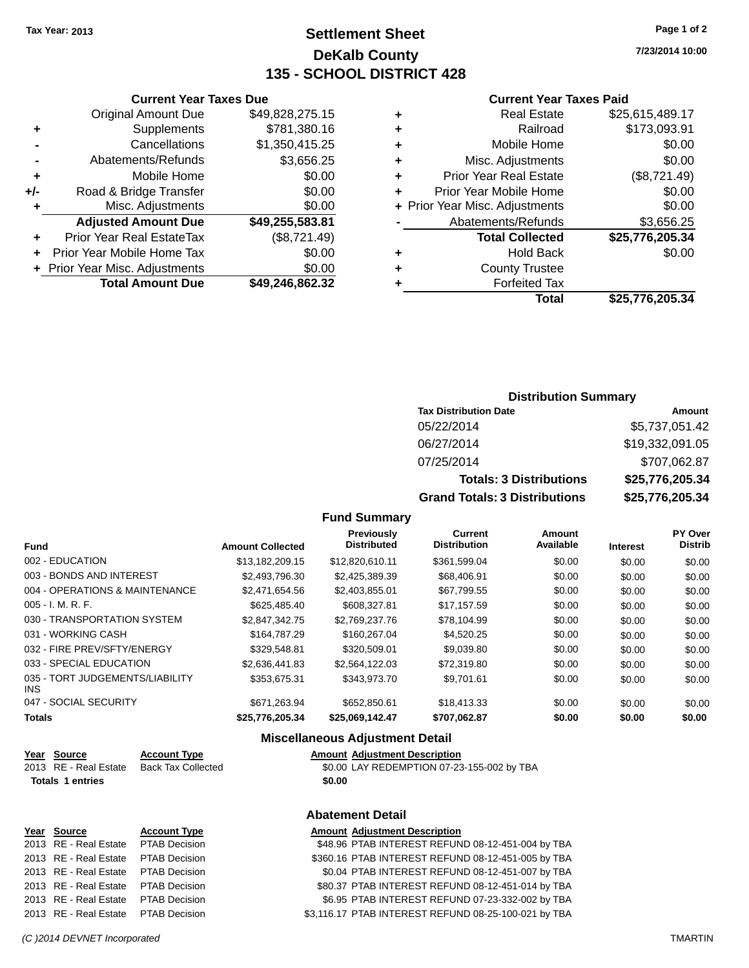### **Settlement Sheet Tax Year: 2013 Page 1 of 2 DeKalb County 135 - SCHOOL DISTRICT 428**

**7/23/2014 10:00**

#### **Current Year Taxes Paid**

| ٠ | <b>Real Estate</b>             | \$25,615,489.17 |
|---|--------------------------------|-----------------|
| ٠ | Railroad                       | \$173,093.91    |
| ٠ | Mobile Home                    | \$0.00          |
| ٠ | Misc. Adjustments              | \$0.00          |
| ٠ | <b>Prior Year Real Estate</b>  | (\$8,721.49)    |
| ٠ | Prior Year Mobile Home         | \$0.00          |
|   | + Prior Year Misc. Adjustments | \$0.00          |
|   | Abatements/Refunds             | \$3,656.25      |
|   | <b>Total Collected</b>         | \$25,776,205.34 |
| ٠ | <b>Hold Back</b>               | \$0.00          |
| ٠ | <b>County Trustee</b>          |                 |
|   | <b>Forfeited Tax</b>           |                 |
|   | Total                          | \$25,776,205.34 |

|     | <b>Current Year Taxes Due</b>    |                 |  |  |
|-----|----------------------------------|-----------------|--|--|
|     | <b>Original Amount Due</b>       | \$49,828,275.15 |  |  |
| ٠   | Supplements                      | \$781,380.16    |  |  |
|     | Cancellations                    | \$1,350,415.25  |  |  |
|     | Abatements/Refunds               | \$3,656.25      |  |  |
| ٠   | Mobile Home                      | \$0.00          |  |  |
| +/- | Road & Bridge Transfer           | \$0.00          |  |  |
| ٠   | Misc. Adjustments                | \$0.00          |  |  |
|     | <b>Adjusted Amount Due</b>       | \$49,255,583.81 |  |  |
|     | <b>Prior Year Real EstateTax</b> | (\$8,721.49)    |  |  |
|     | Prior Year Mobile Home Tax       | \$0.00          |  |  |
|     | + Prior Year Misc. Adjustments   | \$0.00          |  |  |
|     | <b>Total Amount Due</b>          | \$49,246,862.32 |  |  |
|     |                                  |                 |  |  |

### **Distribution Summary**

| <b>Tax Distribution Date</b>         | Amount          |
|--------------------------------------|-----------------|
| 05/22/2014                           | \$5,737,051.42  |
| 06/27/2014                           | \$19,332,091.05 |
| 07/25/2014                           | \$707,062.87    |
| <b>Totals: 3 Distributions</b>       | \$25,776,205.34 |
| <b>Grand Totals: 3 Distributions</b> | \$25,776,205.34 |

### **Fund Summary**

| <b>Fund</b>                             | <b>Amount Collected</b> | Previously<br><b>Distributed</b> | <b>Current</b><br><b>Distribution</b> | Amount<br>Available | <b>Interest</b> | PY Over<br><b>Distrib</b> |
|-----------------------------------------|-------------------------|----------------------------------|---------------------------------------|---------------------|-----------------|---------------------------|
| 002 - EDUCATION                         | \$13,182,209.15         | \$12,820,610.11                  | \$361,599.04                          | \$0.00              | \$0.00          | \$0.00                    |
| 003 - BONDS AND INTEREST                | \$2,493,796.30          | \$2,425,389.39                   | \$68,406.91                           | \$0.00              | \$0.00          | \$0.00                    |
| 004 - OPERATIONS & MAINTENANCE          | \$2,471,654.56          | \$2,403,855.01                   | \$67,799.55                           | \$0.00              | \$0.00          | \$0.00                    |
| $005 - I. M. R. F.$                     | \$625,485,40            | \$608,327.81                     | \$17.157.59                           | \$0.00              | \$0.00          | \$0.00                    |
| 030 - TRANSPORTATION SYSTEM             | \$2.847.342.75          | \$2,769,237.76                   | \$78.104.99                           | \$0.00              | \$0.00          | \$0.00                    |
| 031 - WORKING CASH                      | \$164,787.29            | \$160,267,04                     | \$4,520.25                            | \$0.00              | \$0.00          | \$0.00                    |
| 032 - FIRE PREV/SFTY/ENERGY             | \$329.548.81            | \$320,509.01                     | \$9.039.80                            | \$0.00              | \$0.00          | \$0.00                    |
| 033 - SPECIAL EDUCATION                 | \$2.636.441.83          | \$2.564.122.03                   | \$72,319.80                           | \$0.00              | \$0.00          | \$0.00                    |
| 035 - TORT JUDGEMENTS/LIABILITY<br>INS. | \$353,675.31            | \$343.973.70                     | \$9,701.61                            | \$0.00              | \$0.00          | \$0.00                    |
| 047 - SOCIAL SECURITY                   | \$671,263.94            | \$652,850.61                     | \$18,413.33                           | \$0.00              | \$0.00          | \$0.00                    |
| <b>Totals</b>                           | \$25.776.205.34         | \$25,069,142,47                  | \$707.062.87                          | \$0.00              | \$0.00          | \$0.00                    |

### **Miscellaneous Adjustment Detail**

| Year Source           | <b>Account Type</b> | <b>Amount Adiustment Description</b>       |
|-----------------------|---------------------|--------------------------------------------|
| 2013 RE - Real Estate | Back Tax Collected  | \$0.00 LAY REDEMPTION 07-23-155-002 by TBA |
| Totals 1 entries      |                     | \$0.00                                     |

|             |                     | <b>Abatement Detail</b>              |
|-------------|---------------------|--------------------------------------|
| Year Source | <b>Account Type</b> | <b>Amount Adiustment Description</b> |

| 2013 RE - Real Estate PTAB Decision | \$48.96 PTAB INTEREST REFUND 08-12-451-004 by TBA    |
|-------------------------------------|------------------------------------------------------|
| 2013 RE - Real Estate PTAB Decision | \$360.16 PTAB INTEREST REFUND 08-12-451-005 by TBA   |
| 2013 RE - Real Estate PTAB Decision | \$0.04 PTAB INTEREST REFUND 08-12-451-007 by TBA     |
| 2013 RE - Real Estate PTAB Decision | \$80.37 PTAB INTEREST REFUND 08-12-451-014 by TBA    |
| 2013 RE - Real Estate PTAB Decision | \$6.95 PTAB INTEREST REFUND 07-23-332-002 by TBA     |
| 2013 RE - Real Estate PTAB Decision | \$3,116.17 PTAB INTEREST REFUND 08-25-100-021 by TBA |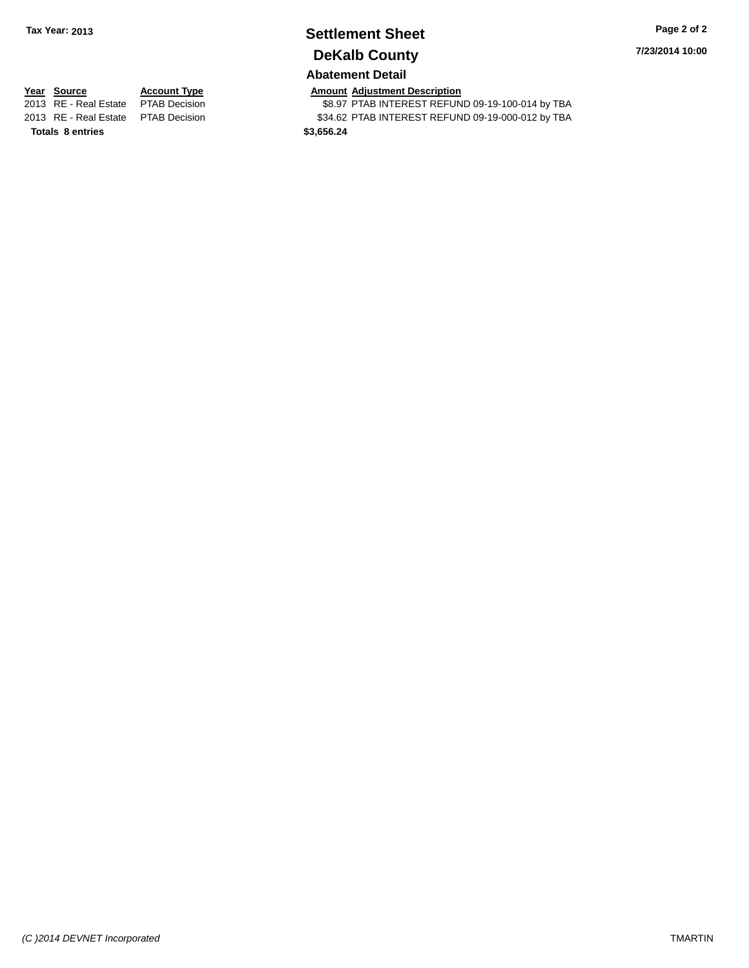# **Settlement Sheet Tax Year: 2013 Page 2 of 2 DeKalb County**

**7/23/2014 10:00**

### **Abatement Detail**

**Totals 8 entries \$3,656.24**

**Year Source Account Type Amount Adjustment Description**<br>2013 RE - Real Estate PTAB Decision **\$8.97 PTAB INTEREST REFUN** \$8.97 PTAB INTEREST REFUND 09-19-100-014 by TBA 2013 RE - Real Estate PTAB Decision \$34.62 PTAB INTEREST REFUND 09-19-000-012 by TBA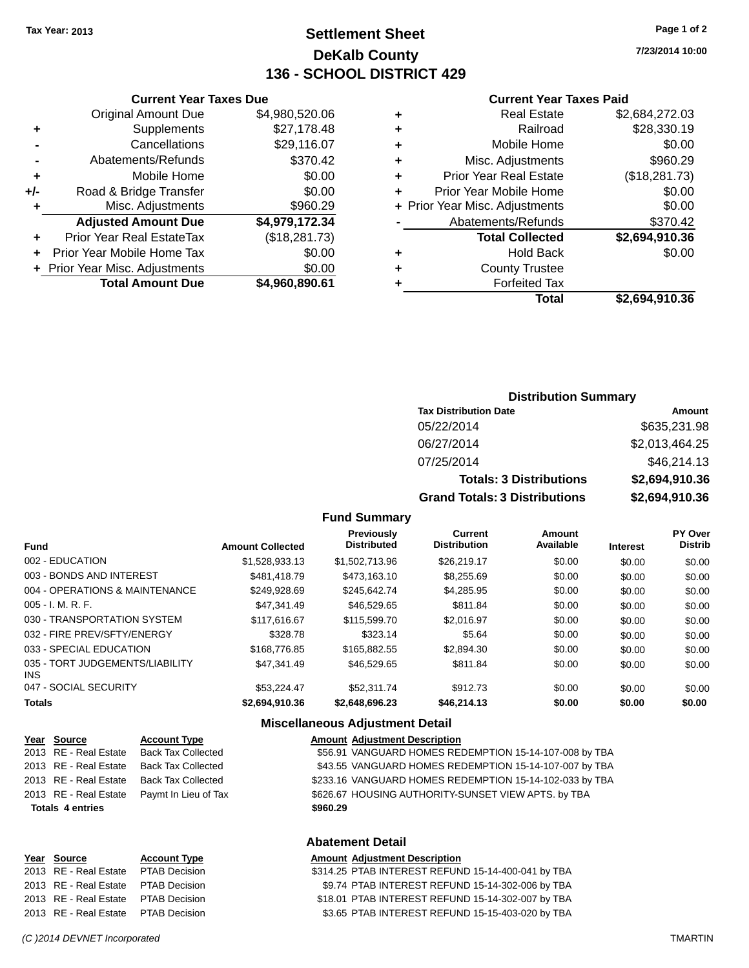### **Settlement Sheet Tax Year: 2013 Page 1 of 2 DeKalb County 136 - SCHOOL DISTRICT 429**

**7/23/2014 10:00**

#### **Current Year Taxes Paid**

| ٠ | <b>Real Estate</b>             | \$2,684,272.03 |
|---|--------------------------------|----------------|
| ٠ | Railroad                       | \$28,330.19    |
| ٠ | Mobile Home                    | \$0.00         |
| ٠ | Misc. Adjustments              | \$960.29       |
| ٠ | <b>Prior Year Real Estate</b>  | (\$18,281.73)  |
| ÷ | Prior Year Mobile Home         | \$0.00         |
|   | + Prior Year Misc. Adjustments | \$0.00         |
|   | Abatements/Refunds             | \$370.42       |
|   | <b>Total Collected</b>         | \$2,694,910.36 |
| ٠ | <b>Hold Back</b>               | \$0.00         |
| ٠ | <b>County Trustee</b>          |                |
|   | <b>Forfeited Tax</b>           |                |
|   | Total                          | \$2,694,910.36 |

|                | <b>Original Amount Due</b>       | \$4,980,520.06 |
|----------------|----------------------------------|----------------|
| ٠              | Supplements                      | \$27,178.48    |
|                | Cancellations                    | \$29,116.07    |
| $\blacksquare$ | Abatements/Refunds               | \$370.42       |
| ٠              | Mobile Home                      | \$0.00         |
| +/-            | Road & Bridge Transfer           | \$0.00         |
| ٠              | Misc. Adjustments                | \$960.29       |
|                | <b>Adjusted Amount Due</b>       | \$4,979,172.34 |
| ٠              | <b>Prior Year Real EstateTax</b> | (\$18,281.73)  |
| ÷              | Prior Year Mobile Home Tax       | \$0.00         |
|                | + Prior Year Misc. Adjustments   | \$0.00         |
|                | <b>Total Amount Due</b>          | \$4,960,890.61 |

**Current Year Taxes Due**

| <b>Distribution Summary</b> |  |
|-----------------------------|--|
|                             |  |

| <b>Tax Distribution Date</b>         | Amount         |
|--------------------------------------|----------------|
| 05/22/2014                           | \$635,231.98   |
| 06/27/2014                           | \$2,013,464.25 |
| 07/25/2014                           | \$46,214.13    |
| <b>Totals: 3 Distributions</b>       | \$2,694,910.36 |
| <b>Grand Totals: 3 Distributions</b> | \$2,694,910.36 |

### **Fund Summary**

| <b>Fund</b>                             | <b>Amount Collected</b> | <b>Previously</b><br><b>Distributed</b> | <b>Current</b><br><b>Distribution</b> | <b>Amount</b><br>Available | <b>Interest</b> | PY Over<br><b>Distrib</b> |
|-----------------------------------------|-------------------------|-----------------------------------------|---------------------------------------|----------------------------|-----------------|---------------------------|
| 002 - EDUCATION                         | \$1,528,933.13          | \$1,502,713.96                          | \$26,219.17                           | \$0.00                     | \$0.00          | \$0.00                    |
| 003 - BONDS AND INTEREST                | \$481.418.79            | \$473.163.10                            | \$8,255.69                            | \$0.00                     | \$0.00          | \$0.00                    |
| 004 - OPERATIONS & MAINTENANCE          | \$249,928.69            | \$245.642.74                            | \$4,285.95                            | \$0.00                     | \$0.00          | \$0.00                    |
| $005 - I. M. R. F.$                     | \$47.341.49             | \$46,529.65                             | \$811.84                              | \$0.00                     | \$0.00          | \$0.00                    |
| 030 - TRANSPORTATION SYSTEM             | \$117,616.67            | \$115,599.70                            | \$2.016.97                            | \$0.00                     | \$0.00          | \$0.00                    |
| 032 - FIRE PREV/SFTY/ENERGY             | \$328.78                | \$323.14                                | \$5.64                                | \$0.00                     | \$0.00          | \$0.00                    |
| 033 - SPECIAL EDUCATION                 | \$168,776.85            | \$165,882,55                            | \$2,894.30                            | \$0.00                     | \$0.00          | \$0.00                    |
| 035 - TORT JUDGEMENTS/LIABILITY<br>INS. | \$47.341.49             | \$46,529.65                             | \$811.84                              | \$0.00                     | \$0.00          | \$0.00                    |
| 047 - SOCIAL SECURITY                   | \$53.224.47             | \$52,311.74                             | \$912.73                              | \$0.00                     | \$0.00          | \$0.00                    |
| <b>Totals</b>                           | \$2.694.910.36          | \$2.648.696.23                          | \$46,214.13                           | \$0.00                     | \$0.00          | \$0.00                    |

### **Miscellaneous Adjustment Detail**

| <u>Year Source</u>      | <b>Account Type</b>       | <b>Amount Adjustment Description</b>                    |
|-------------------------|---------------------------|---------------------------------------------------------|
| 2013 RE - Real Estate   | <b>Back Tax Collected</b> | \$56.91 VANGUARD HOMES REDEMPTION 15-14-107-008 by TBA  |
| 2013 RE - Real Estate   | <b>Back Tax Collected</b> | \$43.55 VANGUARD HOMES REDEMPTION 15-14-107-007 by TBA  |
| 2013 RE - Real Estate   | <b>Back Tax Collected</b> | \$233.16 VANGUARD HOMES REDEMPTION 15-14-102-033 by TBA |
| 2013 RE - Real Estate   | Paymt In Lieu of Tax      | \$626.67 HOUSING AUTHORITY-SUNSET VIEW APTS. by TBA     |
| <b>Totals 4 entries</b> |                           | \$960.29                                                |
|                         |                           |                                                         |

#### **Abatement Detail**

#### **Year** Source **Account Type Account Adjustment Description**

2013 RE - Real Estate PTAB Decision \$314.25 PTAB INTEREST REFUND 15-14-400-041 by TBA 2013 RE - Real Estate PTAB Decision \$9.74 PTAB INTEREST REFUND 15-14-302-006 by TBA 2013 RE - Real Estate PTAB Decision \$18.01 PTAB INTEREST REFUND 15-14-302-007 by TBA 2013 RE - Real Estate PTAB Decision \$3.65 PTAB INTEREST REFUND 15-15-403-020 by TBA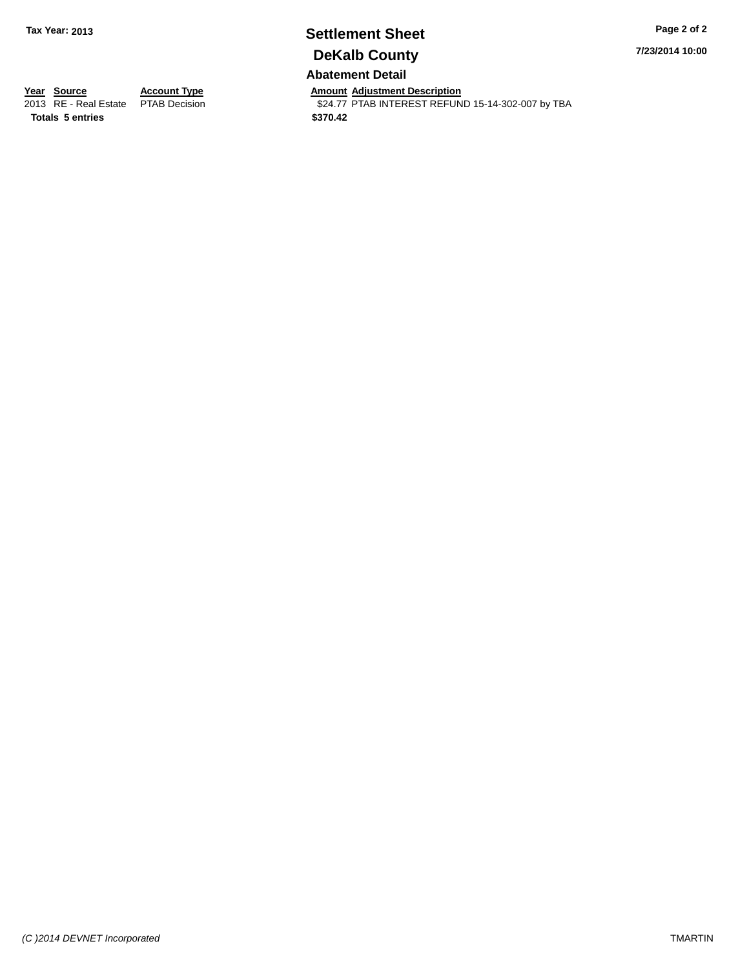# **Settlement Sheet Tax Year: 2013 Page 2 of 2 DeKalb County**

**7/23/2014 10:00**

### **Abatement Detail**

**Year Source Account Type And Amount Adjustment Description**<br>
2013 RE - Real Estate PTAB Decision **Amount Adjustment Description** 

\$24.77 PTAB INTEREST REFUND 15-14-302-007 by TBA

**Totals 5 entries \$370.42**

*(C )2014 DEVNET Incorporated* TMARTIN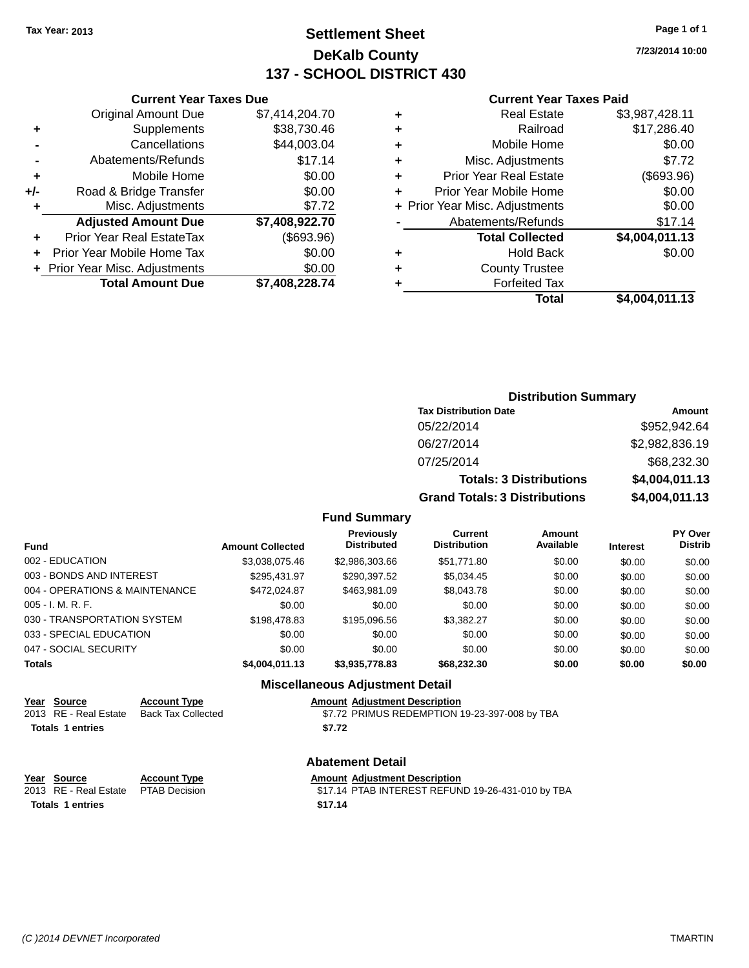### **Settlement Sheet Tax Year: 2013 Page 1 of 1 DeKalb County 137 - SCHOOL DISTRICT 430**

**7/23/2014 10:00**

#### **Current Year Taxes Paid**

| Total                          | \$4,004,011.13 |
|--------------------------------|----------------|
| <b>Forfeited Tax</b>           |                |
| <b>County Trustee</b>          |                |
| <b>Hold Back</b>               | \$0.00         |
| <b>Total Collected</b>         | \$4,004,011.13 |
| Abatements/Refunds             | \$17.14        |
| + Prior Year Misc. Adjustments | \$0.00         |
| Prior Year Mobile Home         | \$0.00         |
| <b>Prior Year Real Estate</b>  | (\$693.96)     |
| Misc. Adjustments              | \$7.72         |
| Mobile Home                    | \$0.00         |
| Railroad                       | \$17,286.40    |
| <b>Real Estate</b>             | \$3,987,428.11 |
|                                |                |

|     | <b>Current Year Taxes Due</b>    |                |
|-----|----------------------------------|----------------|
|     | <b>Original Amount Due</b>       | \$7,414,204.70 |
| ٠   | Supplements                      | \$38,730.46    |
|     | Cancellations                    | \$44,003.04    |
|     | Abatements/Refunds               | \$17.14        |
| ٠   | Mobile Home                      | \$0.00         |
| +/- | Road & Bridge Transfer           | \$0.00         |
| ٠   | Misc. Adjustments                | \$7.72         |
|     | <b>Adjusted Amount Due</b>       | \$7,408,922.70 |
|     | <b>Prior Year Real EstateTax</b> | (\$693.96)     |
|     | Prior Year Mobile Home Tax       | \$0.00         |
|     | + Prior Year Misc. Adjustments   | \$0.00         |
|     | <b>Total Amount Due</b>          | \$7,408,228.74 |
|     |                                  |                |

| <b>Distribution Summary</b>    |                |  |  |  |
|--------------------------------|----------------|--|--|--|
| <b>Tax Distribution Date</b>   | Amount         |  |  |  |
| 05/22/2014                     | \$952,942.64   |  |  |  |
| 06/27/2014                     | \$2,982,836.19 |  |  |  |
| 07/25/2014                     | \$68,232.30    |  |  |  |
| <b>Totals: 3 Distributions</b> | \$4,004,011.13 |  |  |  |

**Grand Totals: 3 Distributions \$4,004,011.13**

### **Fund Summary**

| Fund                           | <b>Amount Collected</b> | <b>Previously</b><br><b>Distributed</b> | Current<br><b>Distribution</b> | Amount<br>Available | <b>Interest</b> | PY Over<br><b>Distrib</b> |
|--------------------------------|-------------------------|-----------------------------------------|--------------------------------|---------------------|-----------------|---------------------------|
| 002 - EDUCATION                | \$3,038,075.46          | \$2,986,303.66                          | \$51,771.80                    | \$0.00              | \$0.00          | \$0.00                    |
| 003 - BONDS AND INTEREST       | \$295.431.97            | \$290.397.52                            | \$5.034.45                     | \$0.00              | \$0.00          | \$0.00                    |
| 004 - OPERATIONS & MAINTENANCE | \$472.024.87            | \$463,981.09                            | \$8,043.78                     | \$0.00              | \$0.00          | \$0.00                    |
| $005 - I. M. R. F.$            | \$0.00                  | \$0.00                                  | \$0.00                         | \$0.00              | \$0.00          | \$0.00                    |
| 030 - TRANSPORTATION SYSTEM    | \$198,478.83            | \$195,096.56                            | \$3.382.27                     | \$0.00              | \$0.00          | \$0.00                    |
| 033 - SPECIAL EDUCATION        | \$0.00                  | \$0.00                                  | \$0.00                         | \$0.00              | \$0.00          | \$0.00                    |
| 047 - SOCIAL SECURITY          | \$0.00                  | \$0.00                                  | \$0.00                         | \$0.00              | \$0.00          | \$0.00                    |
| <b>Totals</b>                  | \$4,004,011.13          | \$3,935,778.83                          | \$68,232,30                    | \$0.00              | \$0.00          | \$0.00                    |

### **Miscellaneous Adjustment Detail**

#### **Year Source • Account Type Amount Adjustment Description**

2013 RE - Real Estate Back Tax Collected \$7.72 PRIMUS REDEMPTION 19-23-397-008 by TBA **Totals 1 entries \$7.72**

#### **Abatement Detail**

#### **Year** Source **Account Type Account Adjustment Description**

2013 RE - Real Estate PTAB Decision \$17.14 PTAB INTEREST REFUND 19-26-431-010 by TBA **Totals 1 entries \$17.14**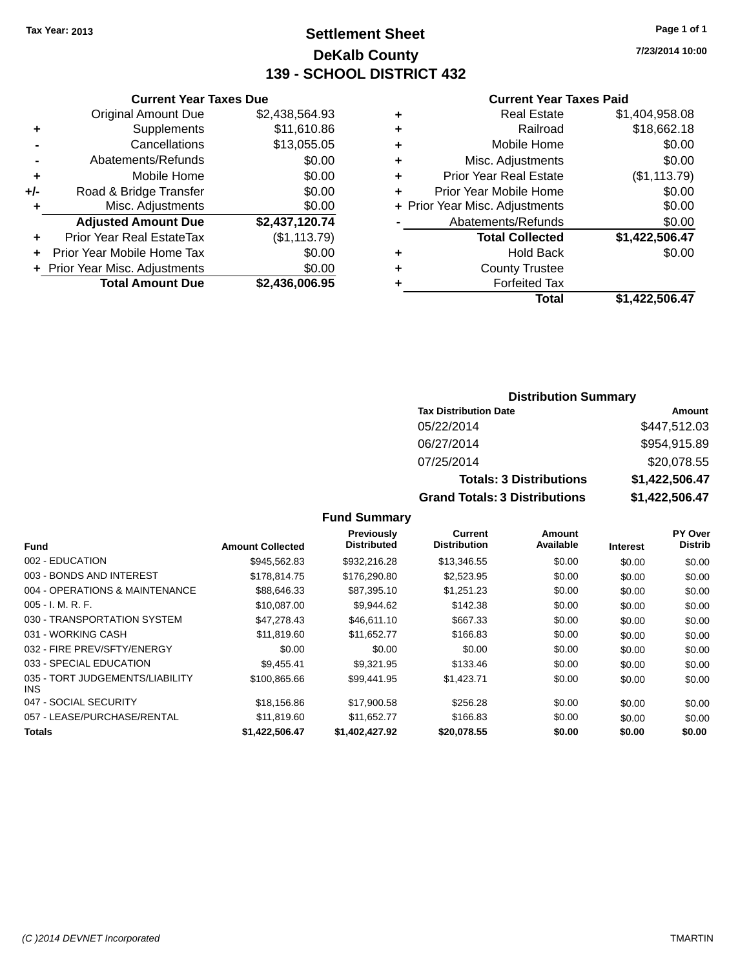### **Settlement Sheet Tax Year: 2013 Page 1 of 1 DeKalb County 139 - SCHOOL DISTRICT 432**

**7/23/2014 10:00**

#### **Current Year Taxes Paid**

|     | <b>Current Year Taxes Due</b>  |                |  |  |  |
|-----|--------------------------------|----------------|--|--|--|
|     | <b>Original Amount Due</b>     | \$2,438,564.93 |  |  |  |
| ٠   | Supplements                    | \$11,610.86    |  |  |  |
|     | Cancellations                  | \$13,055.05    |  |  |  |
|     | Abatements/Refunds             | \$0.00         |  |  |  |
| ٠   | Mobile Home                    | \$0.00         |  |  |  |
| +/- | Road & Bridge Transfer         | \$0.00         |  |  |  |
| ٠   | Misc. Adjustments              | \$0.00         |  |  |  |
|     | <b>Adjusted Amount Due</b>     | \$2,437,120.74 |  |  |  |
| ٠   | Prior Year Real EstateTax      | (\$1, 113.79)  |  |  |  |
|     | Prior Year Mobile Home Tax     | \$0.00         |  |  |  |
|     | + Prior Year Misc. Adjustments | \$0.00         |  |  |  |
|     | <b>Total Amount Due</b>        | \$2,436,006.95 |  |  |  |
|     |                                |                |  |  |  |

| ٠ | <b>Real Estate</b>             | \$1,404,958.08 |
|---|--------------------------------|----------------|
| ٠ | Railroad                       | \$18,662.18    |
| ٠ | Mobile Home                    | \$0.00         |
| ٠ | Misc. Adjustments              | \$0.00         |
| ٠ | <b>Prior Year Real Estate</b>  | (\$1,113.79)   |
| ٠ | Prior Year Mobile Home         | \$0.00         |
|   | + Prior Year Misc. Adjustments | \$0.00         |
|   | Abatements/Refunds             | \$0.00         |
|   | <b>Total Collected</b>         | \$1,422,506.47 |
| ٠ | <b>Hold Back</b>               | \$0.00         |
| ٠ | <b>County Trustee</b>          |                |
| ٠ | <b>Forfeited Tax</b>           |                |
|   | Total                          | \$1,422,506.47 |

# **Distribution Summary**

| <b>Tax Distribution Date</b>         | Amount         |
|--------------------------------------|----------------|
| 05/22/2014                           | \$447,512.03   |
| 06/27/2014                           | \$954,915.89   |
| 07/25/2014                           | \$20,078.55    |
| <b>Totals: 3 Distributions</b>       | \$1,422,506.47 |
| <b>Grand Totals: 3 Distributions</b> | \$1,422,506.47 |

| Fund                                    | <b>Amount Collected</b> | <b>Previously</b><br><b>Distributed</b> | <b>Current</b><br><b>Distribution</b> | Amount<br>Available | <b>Interest</b> | PY Over<br><b>Distrib</b> |
|-----------------------------------------|-------------------------|-----------------------------------------|---------------------------------------|---------------------|-----------------|---------------------------|
| 002 - EDUCATION                         | \$945,562.83            | \$932,216.28                            | \$13,346.55                           | \$0.00              | \$0.00          | \$0.00                    |
| 003 - BONDS AND INTEREST                | \$178,814.75            | \$176,290.80                            | \$2,523.95                            | \$0.00              | \$0.00          | \$0.00                    |
| 004 - OPERATIONS & MAINTENANCE          | \$88,646.33             | \$87,395.10                             | \$1,251.23                            | \$0.00              | \$0.00          | \$0.00                    |
| $005 - I. M. R. F.$                     | \$10,087,00             | \$9.944.62                              | \$142.38                              | \$0.00              | \$0.00          | \$0.00                    |
| 030 - TRANSPORTATION SYSTEM             | \$47,278.43             | \$46,611.10                             | \$667.33                              | \$0.00              | \$0.00          | \$0.00                    |
| 031 - WORKING CASH                      | \$11,819.60             | \$11,652.77                             | \$166.83                              | \$0.00              | \$0.00          | \$0.00                    |
| 032 - FIRE PREV/SFTY/ENERGY             | \$0.00                  | \$0.00                                  | \$0.00                                | \$0.00              | \$0.00          | \$0.00                    |
| 033 - SPECIAL EDUCATION                 | \$9.455.41              | \$9.321.95                              | \$133.46                              | \$0.00              | \$0.00          | \$0.00                    |
| 035 - TORT JUDGEMENTS/LIABILITY<br>INS. | \$100.865.66            | \$99,441.95                             | \$1,423.71                            | \$0.00              | \$0.00          | \$0.00                    |
| 047 - SOCIAL SECURITY                   | \$18,156.86             | \$17,900.58                             | \$256.28                              | \$0.00              | \$0.00          | \$0.00                    |
| 057 - LEASE/PURCHASE/RENTAL             | \$11.819.60             | \$11,652.77                             | \$166.83                              | \$0.00              | \$0.00          | \$0.00                    |
| <b>Totals</b>                           | \$1.422.506.47          | \$1.402.427.92                          | \$20,078.55                           | \$0.00              | \$0.00          | \$0.00                    |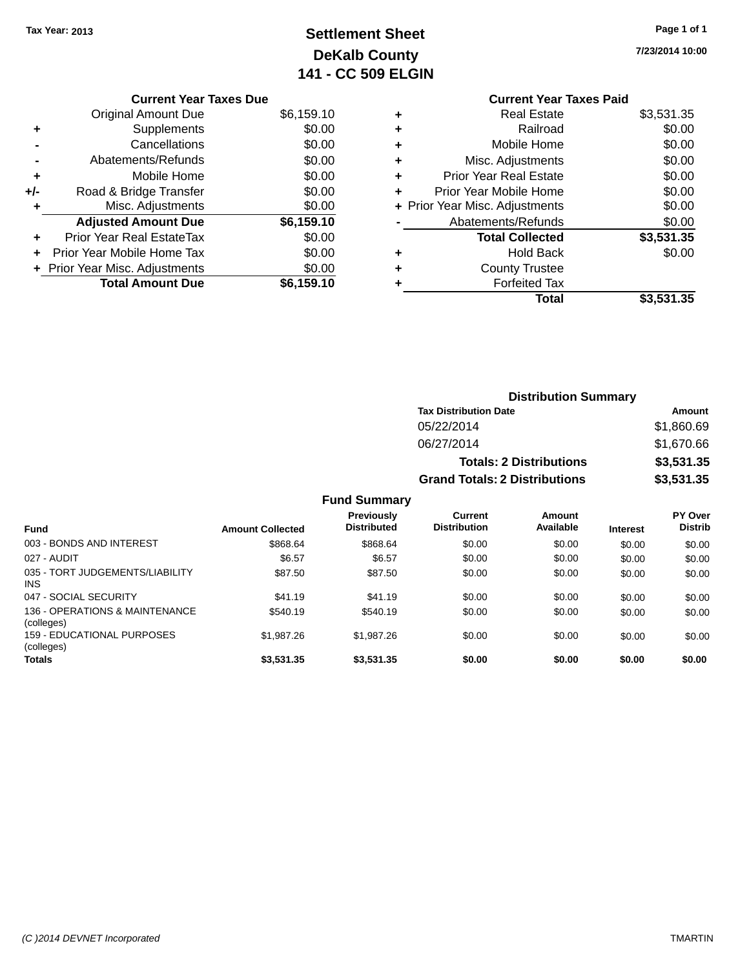## **Settlement Sheet Tax Year: 2013 Page 1 of 1 DeKalb County 141 - CC 509 ELGIN**

**7/23/2014 10:00**

### **Current Year Taxes Due**

|     | <b>Original Amount Due</b>       | \$6,159.10 |
|-----|----------------------------------|------------|
|     | Supplements                      | \$0.00     |
|     | Cancellations                    | \$0.00     |
|     | Abatements/Refunds               | \$0.00     |
| ٠   | Mobile Home                      | \$0.00     |
| +/- | Road & Bridge Transfer           | \$0.00     |
|     | Misc. Adjustments                | \$0.00     |
|     | <b>Adjusted Amount Due</b>       | \$6,159.10 |
|     | <b>Prior Year Real EstateTax</b> | \$0.00     |
|     | Prior Year Mobile Home Tax       | \$0.00     |
|     | + Prior Year Misc. Adjustments   | \$0.00     |
|     | <b>Total Amount Due</b>          | \$6,159.10 |

## **Current Year Taxes Paid +** Real Estate \$3,531.35

| ÷ | Mobile Home                    | \$0.00     |
|---|--------------------------------|------------|
| ٠ | Misc. Adjustments              | \$0.00     |
| ٠ | <b>Prior Year Real Estate</b>  | \$0.00     |
| ÷ | Prior Year Mobile Home         | \$0.00     |
|   | + Prior Year Misc. Adjustments | \$0.00     |
|   | Abatements/Refunds             | \$0.00     |
|   | <b>Total Collected</b>         | \$3,531.35 |
| ٠ | <b>Hold Back</b>               | \$0.00     |
| ٠ | <b>County Trustee</b>          |            |
|   |                                |            |
|   | <b>Forfeited Tax</b>           |            |
|   | Total                          | \$3,531.35 |

### **Distribution Summary Tax Distribution Date Amount** 05/22/2014 \$1,860.69 06/27/2014 \$1,670.66 **Totals: 2 Distributions \$3,531.35 Grand Totals: 2 Distributions \$3,531.35**

| <b>Fund</b>                                  | <b>Amount Collected</b> | Previously<br><b>Distributed</b> | Current<br><b>Distribution</b> | Amount<br>Available | <b>Interest</b> | <b>PY Over</b><br><b>Distrib</b> |
|----------------------------------------------|-------------------------|----------------------------------|--------------------------------|---------------------|-----------------|----------------------------------|
| 003 - BONDS AND INTEREST                     | \$868.64                | \$868.64                         | \$0.00                         | \$0.00              | \$0.00          | \$0.00                           |
| 027 - AUDIT                                  | \$6.57                  | \$6.57                           | \$0.00                         | \$0.00              | \$0.00          | \$0.00                           |
| 035 - TORT JUDGEMENTS/LIABILITY<br>INS.      | \$87.50                 | \$87.50                          | \$0.00                         | \$0.00              | \$0.00          | \$0.00                           |
| 047 - SOCIAL SECURITY                        | \$41.19                 | \$41.19                          | \$0.00                         | \$0.00              | \$0.00          | \$0.00                           |
| 136 - OPERATIONS & MAINTENANCE<br>(colleges) | \$540.19                | \$540.19                         | \$0.00                         | \$0.00              | \$0.00          | \$0.00                           |
| 159 - EDUCATIONAL PURPOSES<br>(colleges)     | \$1,987.26              | \$1,987.26                       | \$0.00                         | \$0.00              | \$0.00          | \$0.00                           |
| <b>Totals</b>                                | \$3,531.35              | \$3,531.35                       | \$0.00                         | \$0.00              | \$0.00          | \$0.00                           |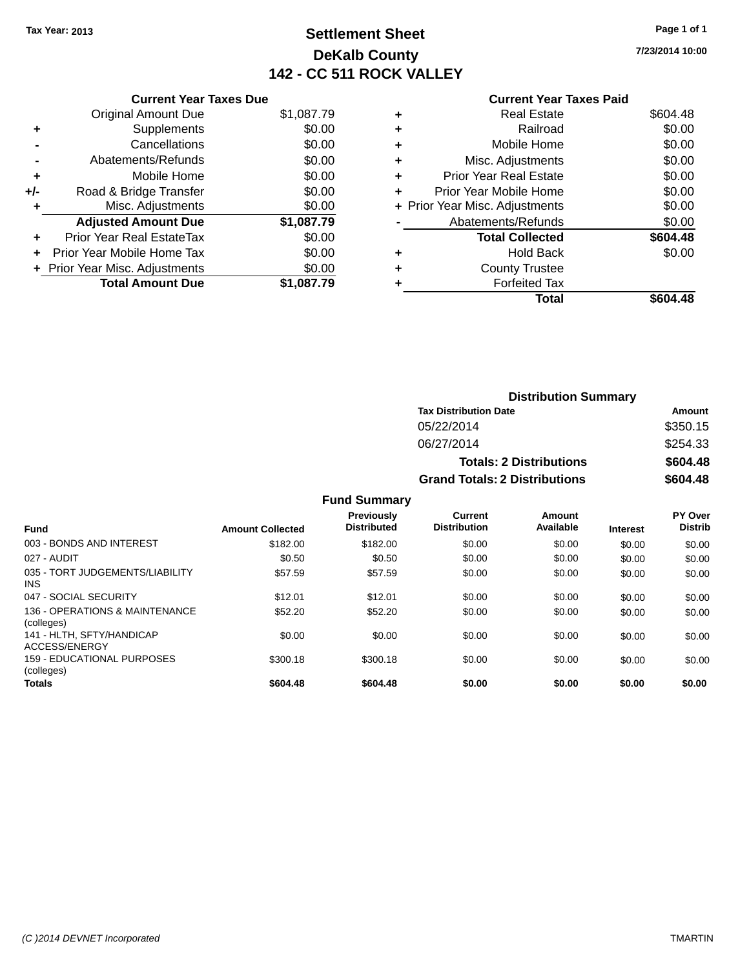### **Settlement Sheet Tax Year: 2013 Page 1 of 1 DeKalb County 142 - CC 511 ROCK VALLEY**

**7/23/2014 10:00**

|       | <b>Current Year Taxes Due</b>  |            |
|-------|--------------------------------|------------|
|       | <b>Original Amount Due</b>     | \$1,087.79 |
| ٠     | Supplements                    | \$0.00     |
|       | Cancellations                  | \$0.00     |
|       | Abatements/Refunds             | \$0.00     |
| ٠     | Mobile Home                    | \$0.00     |
| $+/-$ | Road & Bridge Transfer         | \$0.00     |
| ٠     | Misc. Adjustments              | \$0.00     |
|       | <b>Adjusted Amount Due</b>     | \$1,087.79 |
| ٠     | Prior Year Real EstateTax      | \$0.00     |
|       | Prior Year Mobile Home Tax     | \$0.00     |
|       | + Prior Year Misc. Adjustments | \$0.00     |
|       | <b>Total Amount Due</b>        | \$1,087.79 |

### **Current Year Taxes Paid**

|   | Total                          | \$604.48 |
|---|--------------------------------|----------|
| ٠ | Forfeited Tax                  |          |
| ٠ | <b>County Trustee</b>          |          |
| ٠ | <b>Hold Back</b>               | \$0.00   |
|   | <b>Total Collected</b>         | \$604.48 |
|   | Abatements/Refunds             | \$0.00   |
|   | + Prior Year Misc. Adjustments | \$0.00   |
| ٠ | Prior Year Mobile Home         | \$0.00   |
| ٠ | <b>Prior Year Real Estate</b>  | \$0.00   |
| ٠ | Misc. Adjustments              | \$0.00   |
| ٠ | Mobile Home                    | \$0.00   |
| ٠ | Railroad                       | \$0.00   |
| ٠ | Real Estate                    | \$604.48 |

| <b>Distribution Summary</b>          |          |  |  |  |
|--------------------------------------|----------|--|--|--|
| <b>Tax Distribution Date</b>         | Amount   |  |  |  |
| 05/22/2014                           | \$350.15 |  |  |  |
| 06/27/2014                           | \$254.33 |  |  |  |
| <b>Totals: 2 Distributions</b>       | \$604.48 |  |  |  |
| <b>Grand Totals: 2 Distributions</b> | \$604.48 |  |  |  |

| <b>Fund</b>                                     | <b>Amount Collected</b> | <b>Previously</b><br><b>Distributed</b> | <b>Current</b><br><b>Distribution</b> | Amount<br>Available | <b>Interest</b> | PY Over<br><b>Distrib</b> |
|-------------------------------------------------|-------------------------|-----------------------------------------|---------------------------------------|---------------------|-----------------|---------------------------|
| 003 - BONDS AND INTEREST                        | \$182.00                | \$182.00                                | \$0.00                                | \$0.00              | \$0.00          | \$0.00                    |
| 027 - AUDIT                                     | \$0.50                  | \$0.50                                  | \$0.00                                | \$0.00              | \$0.00          | \$0.00                    |
| 035 - TORT JUDGEMENTS/LIABILITY<br><b>INS</b>   | \$57.59                 | \$57.59                                 | \$0.00                                | \$0.00              | \$0.00          | \$0.00                    |
| 047 - SOCIAL SECURITY                           | \$12.01                 | \$12.01                                 | \$0.00                                | \$0.00              | \$0.00          | \$0.00                    |
| 136 - OPERATIONS & MAINTENANCE<br>(colleges)    | \$52.20                 | \$52.20                                 | \$0.00                                | \$0.00              | \$0.00          | \$0.00                    |
| 141 - HLTH, SFTY/HANDICAP<br>ACCESS/ENERGY      | \$0.00                  | \$0.00                                  | \$0.00                                | \$0.00              | \$0.00          | \$0.00                    |
| <b>159 - EDUCATIONAL PURPOSES</b><br>(colleges) | \$300.18                | \$300.18                                | \$0.00                                | \$0.00              | \$0.00          | \$0.00                    |
| <b>Totals</b>                                   | \$604.48                | \$604.48                                | \$0.00                                | \$0.00              | \$0.00          | \$0.00                    |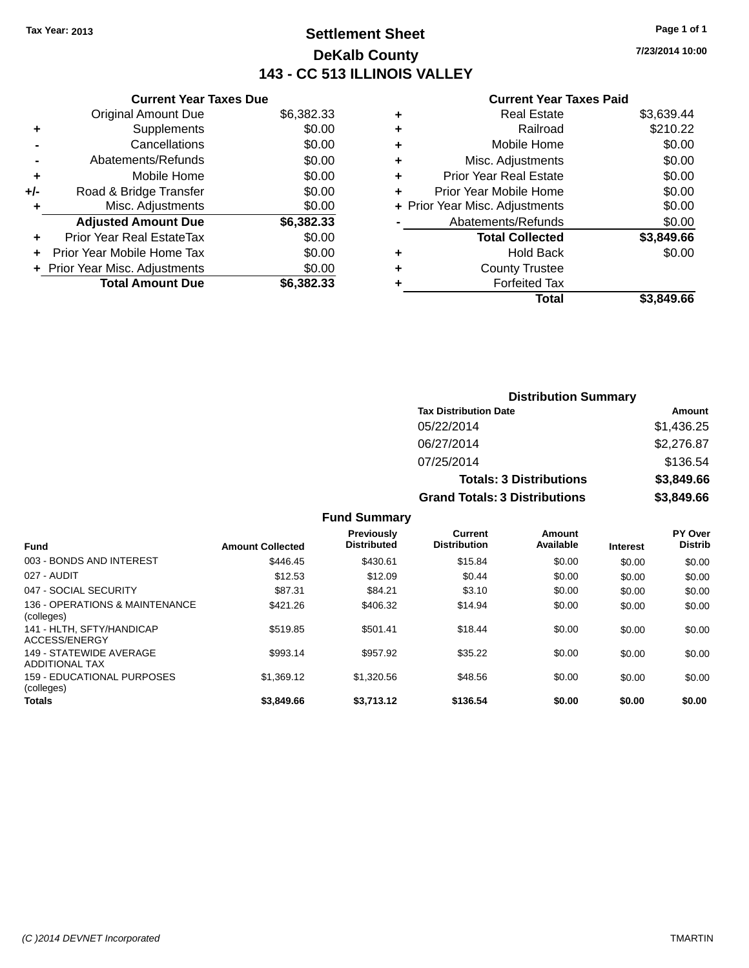### **Settlement Sheet Tax Year: 2013 Page 1 of 1 DeKalb County 143 - CC 513 ILLINOIS VALLEY**

**7/23/2014 10:00**

#### **Current Year Taxes Paid**

| <b>Current Year Taxes Due</b> |                                                           |
|-------------------------------|-----------------------------------------------------------|
| <b>Original Amount Due</b>    | \$6,382.33                                                |
| Supplements                   | \$0.00                                                    |
| Cancellations                 | \$0.00                                                    |
| Abatements/Refunds            | \$0.00                                                    |
| Mobile Home                   | \$0.00                                                    |
| Road & Bridge Transfer        | \$0.00                                                    |
| Misc. Adjustments             | \$0.00                                                    |
| <b>Adjusted Amount Due</b>    | \$6,382.33                                                |
| Prior Year Real EstateTax     | \$0.00                                                    |
| Prior Year Mobile Home Tax    | \$0.00                                                    |
|                               | \$0.00                                                    |
|                               | \$6,382.33                                                |
|                               | + Prior Year Misc. Adjustments<br><b>Total Amount Due</b> |

|   | <b>Real Estate</b>             | \$3,639.44 |
|---|--------------------------------|------------|
| ٠ | Railroad                       | \$210.22   |
| ٠ | Mobile Home                    | \$0.00     |
| ٠ | Misc. Adjustments              | \$0.00     |
| ٠ | Prior Year Real Estate         | \$0.00     |
| ÷ | Prior Year Mobile Home         | \$0.00     |
|   | + Prior Year Misc. Adjustments | \$0.00     |
|   | Abatements/Refunds             | \$0.00     |
|   | <b>Total Collected</b>         | \$3,849.66 |
| ٠ | <b>Hold Back</b>               | \$0.00     |
| ٠ | <b>County Trustee</b>          |            |
| ٠ | <b>Forfeited Tax</b>           |            |
|   | Total                          | \$3.849.66 |
|   |                                |            |

| <b>Distribution Summary</b>          |            |
|--------------------------------------|------------|
| <b>Tax Distribution Date</b>         | Amount     |
| 05/22/2014                           | \$1,436.25 |
| 06/27/2014                           | \$2,276.87 |
| 07/25/2014                           | \$136.54   |
| <b>Totals: 3 Distributions</b>       | \$3,849.66 |
| <b>Grand Totals: 3 Distributions</b> | \$3,849.66 |

|                                              |                         | <b>Previously</b>  | Current             | Amount    |                 | <b>PY Over</b> |
|----------------------------------------------|-------------------------|--------------------|---------------------|-----------|-----------------|----------------|
| <b>Fund</b>                                  | <b>Amount Collected</b> | <b>Distributed</b> | <b>Distribution</b> | Available | <b>Interest</b> | <b>Distrib</b> |
| 003 - BONDS AND INTEREST                     | \$446.45                | \$430.61           | \$15.84             | \$0.00    | \$0.00          | \$0.00         |
| 027 - AUDIT                                  | \$12.53                 | \$12.09            | \$0.44              | \$0.00    | \$0.00          | \$0.00         |
| 047 - SOCIAL SECURITY                        | \$87.31                 | \$84.21            | \$3.10              | \$0.00    | \$0.00          | \$0.00         |
| 136 - OPERATIONS & MAINTENANCE<br>(colleges) | \$421.26                | \$406.32           | \$14.94             | \$0.00    | \$0.00          | \$0.00         |
| 141 - HLTH, SFTY/HANDICAP<br>ACCESS/ENERGY   | \$519.85                | \$501.41           | \$18.44             | \$0.00    | \$0.00          | \$0.00         |
| 149 - STATEWIDE AVERAGE<br>ADDITIONAL TAX    | \$993.14                | \$957.92           | \$35.22             | \$0.00    | \$0.00          | \$0.00         |
| 159 - EDUCATIONAL PURPOSES<br>(colleges)     | \$1,369.12              | \$1,320.56         | \$48.56             | \$0.00    | \$0.00          | \$0.00         |
| <b>Totals</b>                                | \$3,849.66              | \$3.713.12         | \$136.54            | \$0.00    | \$0.00          | \$0.00         |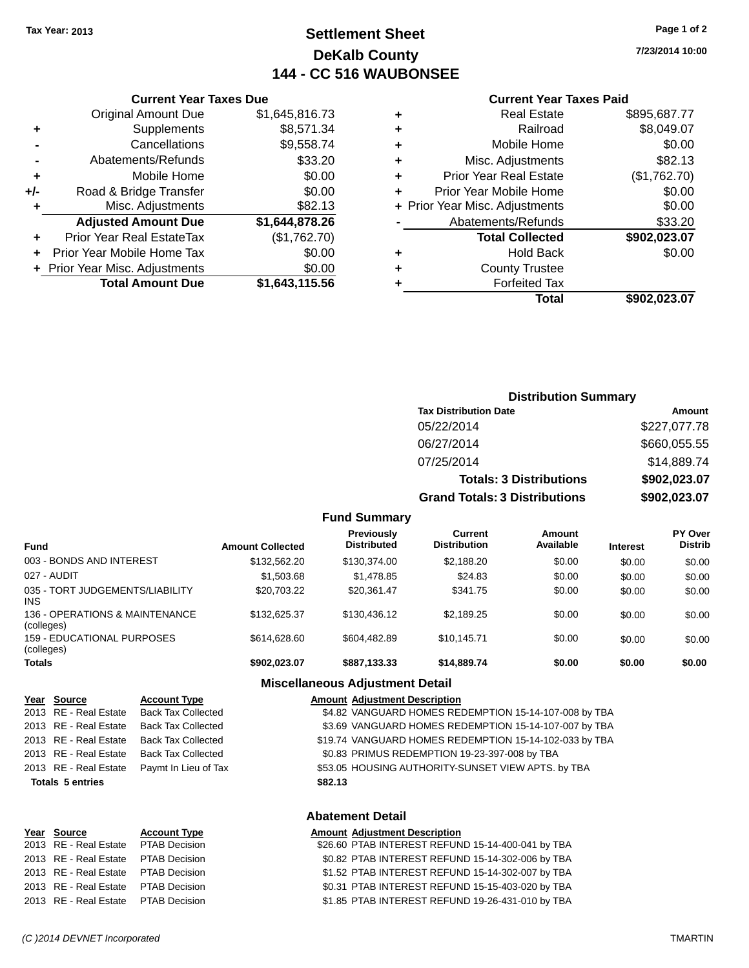### **Settlement Sheet Tax Year: 2013 Page 1 of 2 DeKalb County 144 - CC 516 WAUBONSEE**

**7/23/2014 10:00**

#### **Current Year Taxes Paid**

|     | <b>Original Amount Due</b>       | \$1,645,816.73 |
|-----|----------------------------------|----------------|
| ٠   | Supplements                      | \$8,571.34     |
|     | Cancellations                    | \$9,558.74     |
|     | Abatements/Refunds               | \$33.20        |
| ٠   | Mobile Home                      | \$0.00         |
| +/- | Road & Bridge Transfer           | \$0.00         |
| ٠   | Misc. Adjustments                | \$82.13        |
|     | <b>Adjusted Amount Due</b>       | \$1,644,878.26 |
| ٠   | <b>Prior Year Real EstateTax</b> | (\$1,762.70)   |
| ٠   | Prior Year Mobile Home Tax       | \$0.00         |
|     | + Prior Year Misc. Adjustments   | \$0.00         |
|     | <b>Total Amount Due</b>          | \$1,643,115.56 |
|     |                                  |                |

**Current Year Taxes Due**

|   | <b>Real Estate</b>             | \$895,687.77 |
|---|--------------------------------|--------------|
| ٠ | Railroad                       | \$8,049.07   |
| ٠ | Mobile Home                    | \$0.00       |
| ٠ | Misc. Adjustments              | \$82.13      |
| ٠ | <b>Prior Year Real Estate</b>  | (\$1,762.70) |
| ٠ | Prior Year Mobile Home         | \$0.00       |
|   | + Prior Year Misc. Adjustments | \$0.00       |
|   | Abatements/Refunds             | \$33.20      |
|   | <b>Total Collected</b>         | \$902,023.07 |
|   | Hold Back                      | \$0.00       |
| ٠ | <b>County Trustee</b>          |              |
| ٠ | <b>Forfeited Tax</b>           |              |
|   | Total                          | \$902,023.07 |
|   |                                |              |

### **Distribution Summary Tax Distribution Date Amount** 05/22/2014 \$227,077.78 06/27/2014 \$660,055.55 07/25/2014 \$14,889.74 **Totals: 3 Distributions \$902,023.07 Grand Totals: 3 Distributions \$902,023.07**

### **Fund Summary**

| <b>Fund</b>                                   | <b>Amount Collected</b> | Previously<br><b>Distributed</b> | Current<br><b>Distribution</b> | Amount<br>Available | <b>Interest</b> | <b>PY Over</b><br><b>Distrib</b> |
|-----------------------------------------------|-------------------------|----------------------------------|--------------------------------|---------------------|-----------------|----------------------------------|
| 003 - BONDS AND INTEREST                      | \$132,562.20            | \$130,374.00                     | \$2,188.20                     | \$0.00              | \$0.00          | \$0.00                           |
| 027 - AUDIT                                   | \$1,503.68              | \$1,478.85                       | \$24.83                        | \$0.00              | \$0.00          | \$0.00                           |
| 035 - TORT JUDGEMENTS/LIABILITY<br><b>INS</b> | \$20,703.22             | \$20.361.47                      | \$341.75                       | \$0.00              | \$0.00          | \$0.00                           |
| 136 - OPERATIONS & MAINTENANCE<br>(colleges)  | \$132.625.37            | \$130,436.12                     | \$2.189.25                     | \$0.00              | \$0.00          | \$0.00                           |
| 159 - EDUCATIONAL PURPOSES<br>(colleges)      | \$614,628,60            | \$604.482.89                     | \$10.145.71                    | \$0.00              | \$0.00          | \$0.00                           |
| <b>Totals</b>                                 | \$902.023.07            | \$887,133.33                     | \$14,889.74                    | \$0.00              | \$0.00          | \$0.00                           |

### **Miscellaneous Adjustment Detail**

| Year Source             | <b>Account Type</b>       | <b>Amount Adjustment Description</b>                   |
|-------------------------|---------------------------|--------------------------------------------------------|
| 2013 RE - Real Estate   | <b>Back Tax Collected</b> | \$4.82 VANGUARD HOMES REDEMPTION 15-14-107-008 by TBA  |
| 2013 RE - Real Estate   | <b>Back Tax Collected</b> | \$3.69 VANGUARD HOMES REDEMPTION 15-14-107-007 by TBA  |
| 2013 RE - Real Estate   | <b>Back Tax Collected</b> | \$19.74 VANGUARD HOMES REDEMPTION 15-14-102-033 by TBA |
| 2013 RE - Real Estate   | <b>Back Tax Collected</b> | \$0.83 PRIMUS REDEMPTION 19-23-397-008 by TBA          |
| 2013 RE - Real Estate   | Paymt In Lieu of Tax      | \$53.05 HOUSING AUTHORITY-SUNSET VIEW APTS. by TBA     |
| <b>Totals 5 entries</b> |                           | \$82.13                                                |
|                         |                           |                                                        |

### **Abatement Detail**

| Year Source                         | <b>Account Type</b> | <b>Amount Adjustment Description</b>              |
|-------------------------------------|---------------------|---------------------------------------------------|
| 2013 RE - Real Estate PTAB Decision |                     | \$26.60 PTAB INTEREST REFUND 15-14-400-041 by TBA |
| 2013 RE - Real Estate PTAB Decision |                     | \$0.82 PTAB INTEREST REFUND 15-14-302-006 by TBA  |
| 2013 RE - Real Estate PTAB Decision |                     | \$1.52 PTAB INTEREST REFUND 15-14-302-007 by TBA  |
| 2013 RE - Real Estate PTAB Decision |                     | \$0.31 PTAB INTEREST REFUND 15-15-403-020 by TBA  |
| 2013 RE - Real Estate PTAB Decision |                     | \$1.85 PTAB INTEREST REFUND 19-26-431-010 by TBA  |

**Year Source**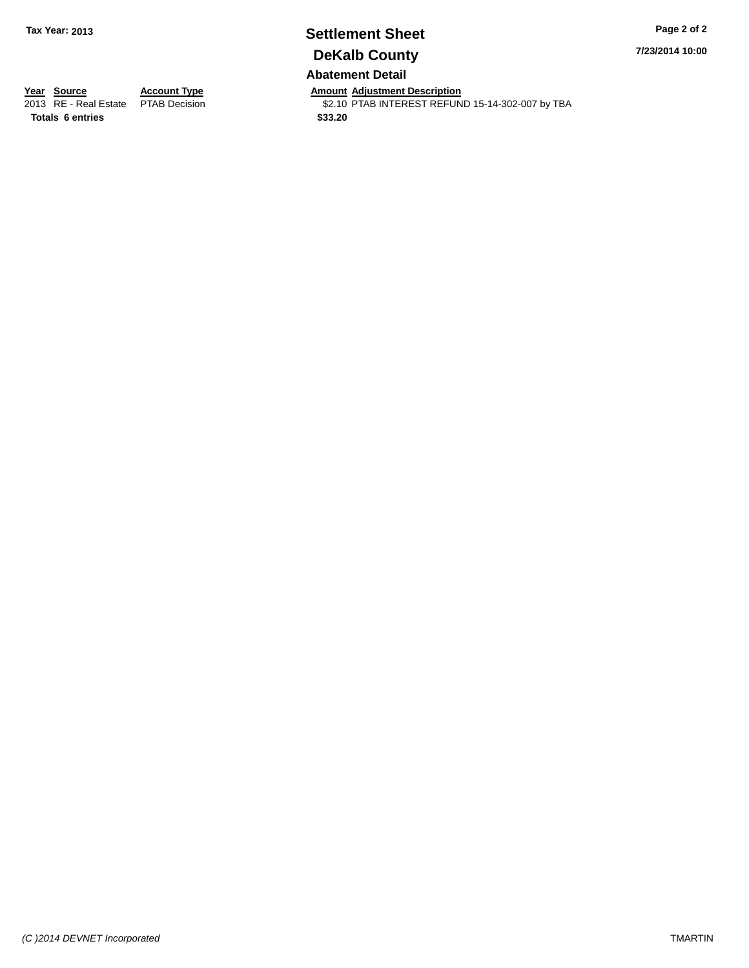# **Settlement Sheet Tax Year: 2013 Page 2 of 2 DeKalb County**

**7/23/2014 10:00**

### **Abatement Detail**

**Totals 6 entries \$33.20**

**Year Source Account Type Anneunt Adjustment Description**<br>
2013 RE - Real Estate PTAB Decision **Amount Adjustment Description** \$2.10 PTAB INTEREST REFUND 15-14-302-007 by TBA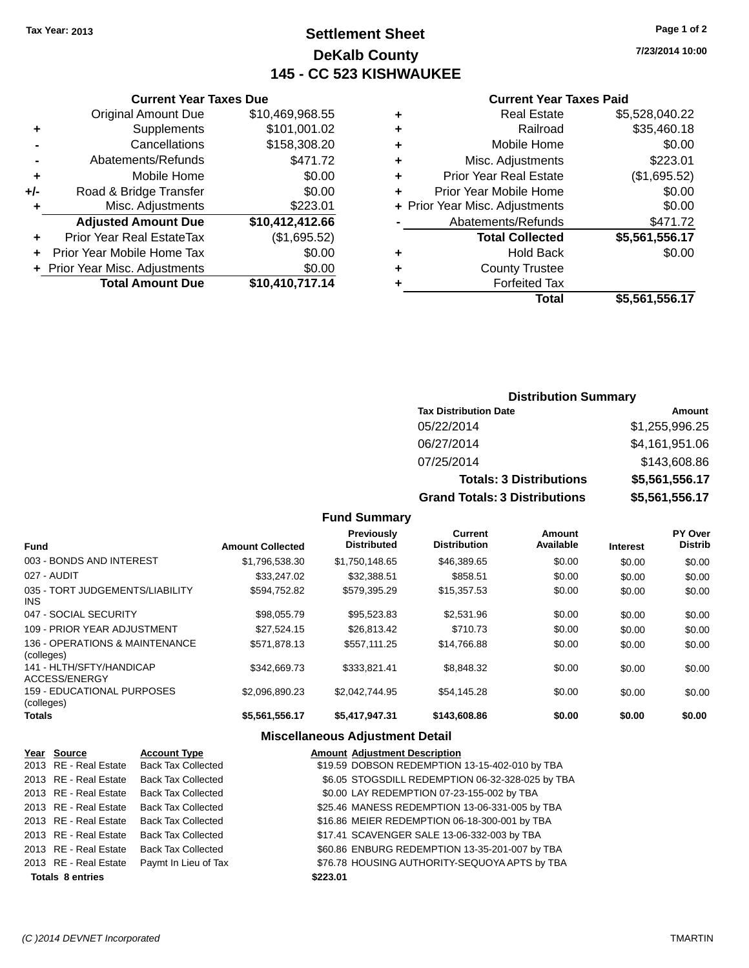### **Settlement Sheet Tax Year: 2013 Page 1 of 2 DeKalb County 145 - CC 523 KISHWAUKEE**

**7/23/2014 10:00**

### **Current Year Taxes Paid**

| \$5,528,040.22 | <b>Real Estate</b>             | ٠ |
|----------------|--------------------------------|---|
| \$35,460.18    | Railroad                       | ٠ |
| \$0.00         | Mobile Home                    | ÷ |
| \$223.01       | Misc. Adjustments              | ÷ |
| (\$1,695.52)   | <b>Prior Year Real Estate</b>  | ٠ |
| \$0.00         | Prior Year Mobile Home         | ٠ |
| \$0.00         | + Prior Year Misc. Adjustments |   |
| \$471.72       | Abatements/Refunds             |   |
| \$5,561,556.17 | <b>Total Collected</b>         |   |
| \$0.00         | <b>Hold Back</b>               | ٠ |
|                | <b>County Trustee</b>          | ٠ |
|                | <b>Forfeited Tax</b>           | ٠ |
| \$5,561,556.17 | Total                          |   |
|                |                                |   |

|     | <b>Current Year Taxes Due</b>  |                 |
|-----|--------------------------------|-----------------|
|     | <b>Original Amount Due</b>     | \$10,469,968.55 |
| ٠   | Supplements                    | \$101,001.02    |
|     | Cancellations                  | \$158,308.20    |
|     | Abatements/Refunds             | \$471.72        |
| ٠   | Mobile Home                    | \$0.00          |
| +/- | Road & Bridge Transfer         | \$0.00          |
| ٠   | Misc. Adjustments              | \$223.01        |
|     | <b>Adjusted Amount Due</b>     | \$10,412,412.66 |
|     | Prior Year Real EstateTax      | (\$1,695.52)    |
|     | Prior Year Mobile Home Tax     | \$0.00          |
|     | + Prior Year Misc. Adjustments | \$0.00          |
|     | <b>Total Amount Due</b>        | \$10,410,717.14 |
|     |                                |                 |

### **Distribution Summary**

| <b>Tax Distribution Date</b>         | Amount         |
|--------------------------------------|----------------|
| 05/22/2014                           | \$1,255,996.25 |
| 06/27/2014                           | \$4,161,951.06 |
| 07/25/2014                           | \$143,608.86   |
| <b>Totals: 3 Distributions</b>       | \$5,561,556,17 |
| <b>Grand Totals: 3 Distributions</b> | \$5,561,556.17 |

### **Fund Summary**

| <b>Fund</b>                                  | <b>Amount Collected</b> | <b>Previously</b><br><b>Distributed</b> | Current<br><b>Distribution</b> | Amount<br>Available | <b>Interest</b> | PY Over<br><b>Distrib</b> |
|----------------------------------------------|-------------------------|-----------------------------------------|--------------------------------|---------------------|-----------------|---------------------------|
| 003 - BONDS AND INTEREST                     | \$1,796,538.30          | \$1,750,148.65                          | \$46,389.65                    | \$0.00              | \$0.00          | \$0.00                    |
| 027 - AUDIT                                  | \$33,247.02             | \$32,388.51                             | \$858.51                       | \$0.00              | \$0.00          | \$0.00                    |
| 035 - TORT JUDGEMENTS/LIABILITY<br>INS.      | \$594.752.82            | \$579.395.29                            | \$15,357.53                    | \$0.00              | \$0.00          | \$0.00                    |
| 047 - SOCIAL SECURITY                        | \$98,055.79             | \$95,523.83                             | \$2,531.96                     | \$0.00              | \$0.00          | \$0.00                    |
| 109 - PRIOR YEAR ADJUSTMENT                  | \$27.524.15             | \$26,813,42                             | \$710.73                       | \$0.00              | \$0.00          | \$0.00                    |
| 136 - OPERATIONS & MAINTENANCE<br>(colleges) | \$571,878.13            | \$557.111.25                            | \$14.766.88                    | \$0.00              | \$0.00          | \$0.00                    |
| 141 - HLTH/SFTY/HANDICAP<br>ACCESS/ENERGY    | \$342,669.73            | \$333.821.41                            | \$8.848.32                     | \$0.00              | \$0.00          | \$0.00                    |
| 159 - EDUCATIONAL PURPOSES<br>(colleges)     | \$2.096.890.23          | \$2.042.744.95                          | \$54.145.28                    | \$0.00              | \$0.00          | \$0.00                    |
| <b>Totals</b>                                | \$5,561,556.17          | \$5.417.947.31                          | \$143,608.86                   | \$0.00              | \$0.00          | \$0.00                    |

### **Miscellaneous Adjustment Detail**

| Year Source             | <b>Account Type</b>       | <b>Amount Adjustment Description</b>             |
|-------------------------|---------------------------|--------------------------------------------------|
| 2013 RE - Real Estate   | <b>Back Tax Collected</b> | \$19.59 DOBSON REDEMPTION 13-15-402-010 by TBA   |
| 2013 RE - Real Estate   | <b>Back Tax Collected</b> | \$6.05 STOGSDILL REDEMPTION 06-32-328-025 by TBA |
| 2013 RE - Real Estate   | <b>Back Tax Collected</b> | \$0.00 LAY REDEMPTION 07-23-155-002 by TBA       |
| 2013 RE - Real Estate   | <b>Back Tax Collected</b> | \$25.46 MANESS REDEMPTION 13-06-331-005 by TBA   |
| 2013 RE - Real Estate   | <b>Back Tax Collected</b> | \$16.86 MEIER REDEMPTION 06-18-300-001 by TBA    |
| 2013 RE - Real Estate   | <b>Back Tax Collected</b> | \$17.41 SCAVENGER SALE 13-06-332-003 by TBA      |
| 2013 RE - Real Estate   | <b>Back Tax Collected</b> | \$60.86 ENBURG REDEMPTION 13-35-201-007 by TBA   |
| 2013 RE - Real Estate   | Paymt In Lieu of Tax      | \$76.78 HOUSING AUTHORITY-SEQUOYA APTS by TBA    |
| <b>Totals 8 entries</b> |                           | \$223.01                                         |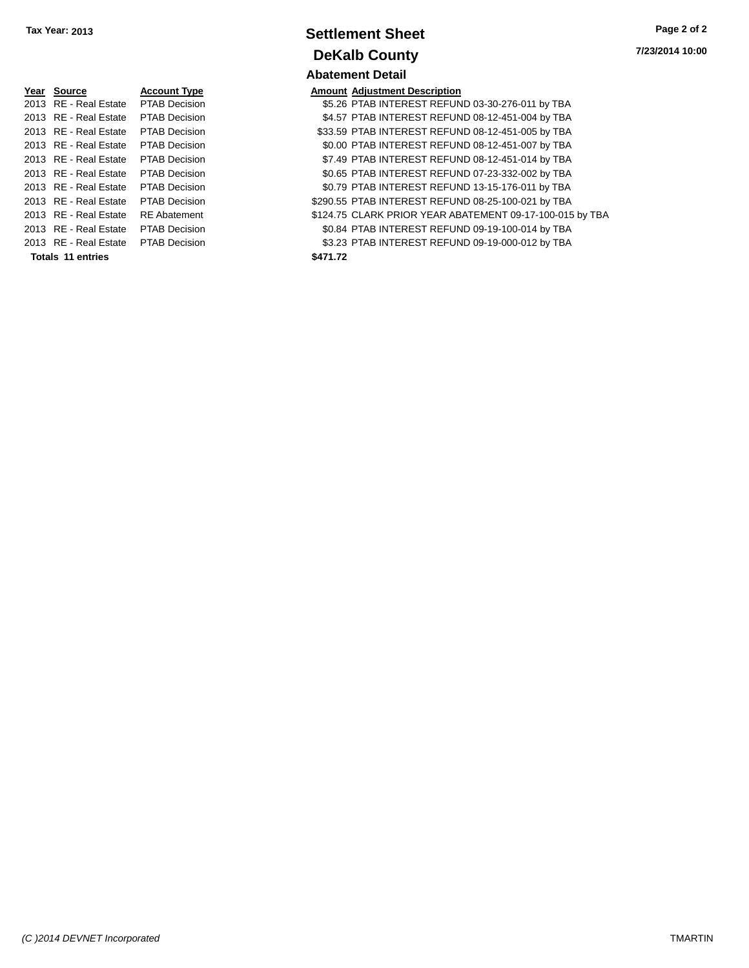| Year Source                         | <b>Account Type</b>  |          | <b>Amount Adjustment Description</b> |
|-------------------------------------|----------------------|----------|--------------------------------------|
| 2013 RE - Real Estate PTAB Decision |                      |          | \$5.26 PTAB INTEREST REFUN           |
| 2013 RE - Real Estate               | <b>PTAB Decision</b> |          | \$4.57 PTAB INTEREST REFUN           |
| 2013 RE - Real Estate               | <b>PTAB Decision</b> |          | \$33.59 PTAB INTEREST REFUN          |
| 2013 RE - Real Estate               | PTAB Decision        |          | \$0.00 PTAB INTEREST REFUN           |
| 2013 RE - Real Estate               | PTAB Decision        |          | \$7.49 PTAB INTEREST REFUN           |
| 2013 RE - Real Estate PTAB Decision |                      |          | \$0.65 PTAB INTEREST REFUN           |
| 2013 RE - Real Estate PTAB Decision |                      |          | \$0.79 PTAB INTEREST REFUN           |
| 2013 RE - Real Estate               | PTAB Decision        |          | \$290.55 PTAB INTEREST REFUN         |
| 2013 RE - Real Estate               | <b>RE</b> Abatement  |          | \$124.75 CLARK PRIOR YEAR AB         |
| 2013 RE - Real Estate               | <b>PTAB Decision</b> |          | \$0.84 PTAB INTEREST REFUN           |
| 2013 RE - Real Estate PTAB Decision |                      |          | \$3.23 PTAB INTEREST REFUN           |
| Totals 11 entries                   |                      | \$471.72 |                                      |

### **Settlement Sheet Tax Year: 2013 Page 2 of 2 DeKalb County Abatement Detail**

| Yea <u>r</u> Source   | <b>Account Type</b>  | <b>Amount Adjustment Description</b>                     |
|-----------------------|----------------------|----------------------------------------------------------|
| 2013 RE - Real Estate | <b>PTAB Decision</b> | \$5.26 PTAB INTEREST REFUND 03-30-276-011 by TBA         |
| 2013 RE - Real Estate | <b>PTAB Decision</b> | \$4.57 PTAB INTEREST REFUND 08-12-451-004 by TBA         |
| 2013 RE - Real Estate | <b>PTAB Decision</b> | \$33.59 PTAB INTEREST REFUND 08-12-451-005 by TBA        |
| 2013 RE - Real Estate | <b>PTAB Decision</b> | \$0.00 PTAB INTEREST REFUND 08-12-451-007 by TBA         |
| 2013 RE - Real Estate | <b>PTAB Decision</b> | \$7.49 PTAB INTEREST REFUND 08-12-451-014 by TBA         |
| 2013 RE - Real Estate | <b>PTAB Decision</b> | \$0.65 PTAB INTEREST REFUND 07-23-332-002 by TBA         |
| 2013 RE - Real Estate | <b>PTAB Decision</b> | \$0.79 PTAB INTEREST REFUND 13-15-176-011 by TBA         |
| 2013 RE - Real Estate | <b>PTAB Decision</b> | \$290.55 PTAB INTEREST REFUND 08-25-100-021 by TBA       |
| 2013 RE - Real Estate | <b>RE</b> Abatement  | \$124.75 CLARK PRIOR YEAR ABATEMENT 09-17-100-015 by TBA |
| 2013 RE - Real Estate | <b>PTAB Decision</b> | \$0.84 PTAB INTEREST REFUND 09-19-100-014 by TBA         |
| 2013 RE - Real Estate | PTAB Decision        | \$3.23 PTAB INTEREST REFUND 09-19-000-012 by TBA         |
| Totals 11 entries     |                      | \$471.72                                                 |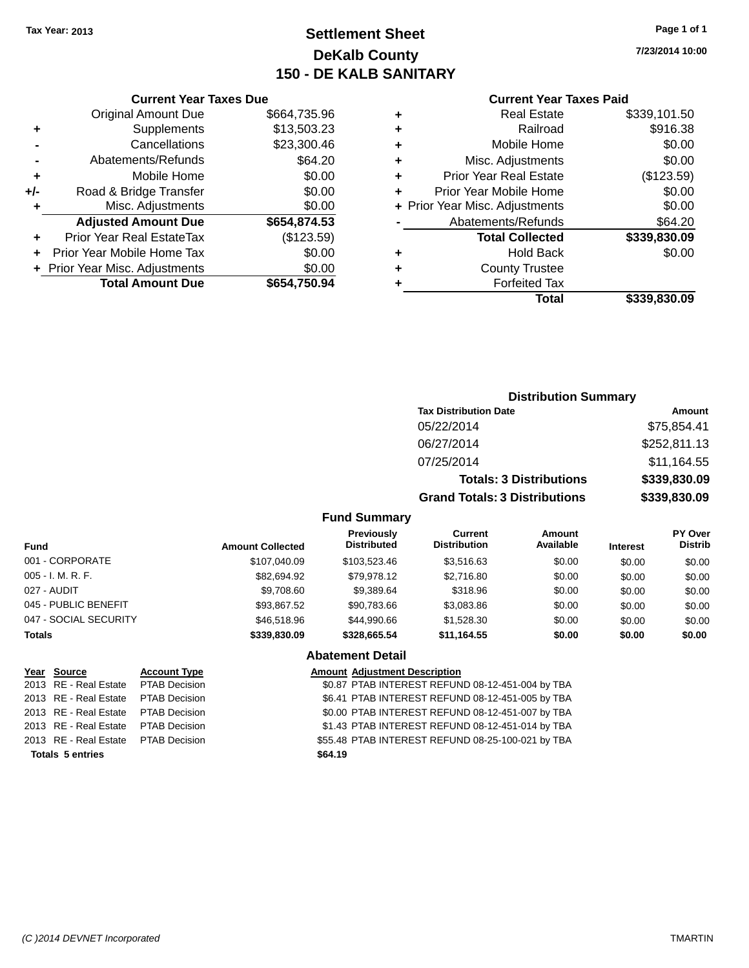### **Settlement Sheet Tax Year: 2013 Page 1 of 1 DeKalb County 150 - DE KALB SANITARY**

**7/23/2014 10:00**

#### **Current Year Taxes Paid**

| <b>Current Year</b>            |   | <b>Current Year Taxes Due</b> |                                  |       |  |  |
|--------------------------------|---|-------------------------------|----------------------------------|-------|--|--|
| <b>Real Estate</b>             | ٠ | \$664,735.96                  | <b>Original Amount Due</b>       |       |  |  |
| Railroad                       | ٠ | \$13,503.23                   | Supplements                      |       |  |  |
| Mobile Home                    | ٠ | \$23,300.46                   | Cancellations                    |       |  |  |
| Misc. Adjustments              | ٠ | \$64.20                       | Abatements/Refunds               |       |  |  |
| <b>Prior Year Real Estate</b>  | ٠ | \$0.00                        | Mobile Home                      | ٠     |  |  |
| Prior Year Mobile Home         | ٠ | \$0.00                        | Road & Bridge Transfer           | $+/-$ |  |  |
| + Prior Year Misc. Adjustments |   | \$0.00                        | Misc. Adjustments                |       |  |  |
| Abatements/Refunds             |   | \$654,874.53                  | <b>Adjusted Amount Due</b>       |       |  |  |
| <b>Total Collected</b>         |   | (\$123.59)                    | <b>Prior Year Real EstateTax</b> |       |  |  |
| <b>Hold Back</b>               | ٠ | \$0.00                        | Prior Year Mobile Home Tax       |       |  |  |
| <b>County Trustee</b>          | ٠ | \$0.00                        | + Prior Year Misc. Adjustments   |       |  |  |
| <b>Forfeited Tax</b>           |   | \$654,750.94                  | <b>Total Amount Due</b>          |       |  |  |
| $T0$ tal                       |   |                               |                                  |       |  |  |

| ٠ | <b>Real Estate</b>             | \$339,101.50 |
|---|--------------------------------|--------------|
| ٠ | Railroad                       | \$916.38     |
|   | Mobile Home                    | \$0.00       |
| ٠ | Misc. Adjustments              | \$0.00       |
| ٠ | <b>Prior Year Real Estate</b>  | (\$123.59)   |
|   | Prior Year Mobile Home         | \$0.00       |
|   | + Prior Year Misc. Adjustments | \$0.00       |
|   | Abatements/Refunds             | \$64.20      |
|   | <b>Total Collected</b>         | \$339,830.09 |
| ٠ | Hold Back                      | \$0.00       |
| ٠ | <b>County Trustee</b>          |              |
|   | <b>Forfeited Tax</b>           |              |
|   | Total                          | \$339,830.09 |
|   |                                |              |

### **Distribution Summary Tax Distribution Date Amount** 05/22/2014 \$75,854.41 06/27/2014 \$252,811.13 07/25/2014 \$11,164.55 **Totals: 3 Distributions \$339,830.09 Grand Totals: 3 Distributions \$339,830.09 Fund Summary**

| Fund                  | <b>Amount Collected</b> | <b>Previously</b><br><b>Distributed</b> | Current<br><b>Distribution</b> | Amount<br>Available | <b>Interest</b> | <b>PY Over</b><br><b>Distrib</b> |
|-----------------------|-------------------------|-----------------------------------------|--------------------------------|---------------------|-----------------|----------------------------------|
| 001 - CORPORATE       | \$107.040.09            | \$103,523,46                            | \$3.516.63                     | \$0.00              | \$0.00          | \$0.00                           |
| 005 - I. M. R. F.     | \$82,694.92             | \$79.978.12                             | \$2,716.80                     | \$0.00              | \$0.00          | \$0.00                           |
| 027 - AUDIT           | \$9,708.60              | \$9,389.64                              | \$318.96                       | \$0.00              | \$0.00          | \$0.00                           |
| 045 - PUBLIC BENEFIT  | \$93.867.52             | \$90.783.66                             | \$3,083.86                     | \$0.00              | \$0.00          | \$0.00                           |
| 047 - SOCIAL SECURITY | \$46,518.96             | \$44.990.66                             | \$1,528.30                     | \$0.00              | \$0.00          | \$0.00                           |
| <b>Totals</b>         | \$339,830.09            | \$328,665.54                            | \$11,164.55                    | \$0.00              | \$0.00          | \$0.00                           |
|                       |                         |                                         |                                |                     |                 |                                  |

#### **Abatement Detail**

| Year Source                          | <b>Account Type</b> |         | <b>Amount Adjustment Description</b>              |
|--------------------------------------|---------------------|---------|---------------------------------------------------|
| 2013 RE - Real Estate  PTAB Decision |                     |         | \$0.87 PTAB INTEREST REFUND 08-12-451-004 by TBA  |
| 2013 RE - Real Estate PTAB Decision  |                     |         | \$6.41 PTAB INTEREST REFUND 08-12-451-005 by TBA  |
| 2013 RE - Real Estate PTAB Decision  |                     |         | \$0.00 PTAB INTEREST REFUND 08-12-451-007 by TBA  |
| 2013 RE - Real Estate PTAB Decision  |                     |         | \$1.43 PTAB INTEREST REFUND 08-12-451-014 by TBA  |
| 2013 RE - Real Estate PTAB Decision  |                     |         | \$55.48 PTAB INTEREST REFUND 08-25-100-021 by TBA |
| <b>Totals 5 entries</b>              |                     | \$64.19 |                                                   |
|                                      |                     |         |                                                   |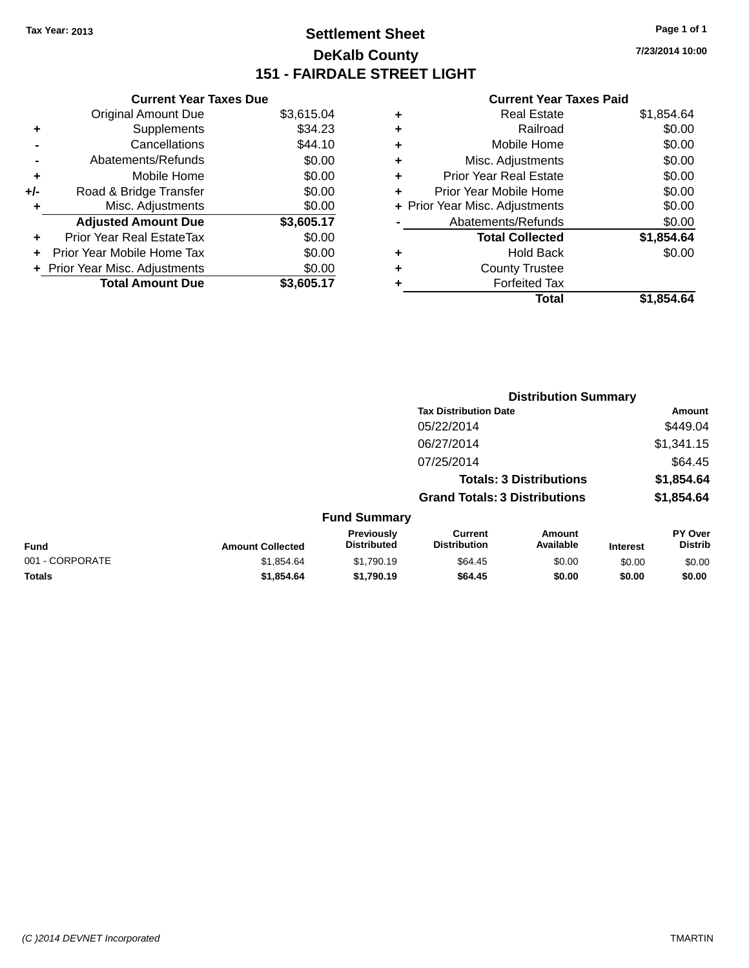### **Settlement Sheet Tax Year: 2013 Page 1 of 1 DeKalb County 151 - FAIRDALE STREET LIGHT**

**7/23/2014 10:00**

### **Current Year Taxes Paid**

| <b>Current Year Taxes Due</b>  |            |
|--------------------------------|------------|
| <b>Original Amount Due</b>     | \$3,615.04 |
| Supplements                    | \$34.23    |
| Cancellations                  | \$44.10    |
| Abatements/Refunds             | \$0.00     |
| Mobile Home                    | \$0.00     |
| Road & Bridge Transfer         | \$0.00     |
| Misc. Adjustments              | \$0.00     |
| <b>Adjusted Amount Due</b>     | \$3,605.17 |
| Prior Year Real EstateTax      | \$0.00     |
| Prior Year Mobile Home Tax     | \$0.00     |
| + Prior Year Misc. Adjustments | \$0.00     |
| <b>Total Amount Due</b>        | \$3,605.17 |
|                                |            |

| ٠ | <b>Real Estate</b>             | \$1,854.64 |
|---|--------------------------------|------------|
| ٠ | Railroad                       | \$0.00     |
| ٠ | Mobile Home                    | \$0.00     |
| ٠ | Misc. Adjustments              | \$0.00     |
| ٠ | <b>Prior Year Real Estate</b>  | \$0.00     |
|   | Prior Year Mobile Home         | \$0.00     |
|   | + Prior Year Misc. Adjustments | \$0.00     |
|   | Abatements/Refunds             | \$0.00     |
|   | <b>Total Collected</b>         | \$1,854.64 |
| ٠ | <b>Hold Back</b>               | \$0.00     |
| ٠ | <b>County Trustee</b>          |            |
|   | <b>Forfeited Tax</b>           |            |
|   | Total                          | \$1.854.64 |
|   |                                |            |

|                 |                         |                                  | <b>Distribution Summary</b>           |                                |                 |                           |
|-----------------|-------------------------|----------------------------------|---------------------------------------|--------------------------------|-----------------|---------------------------|
|                 |                         |                                  | <b>Tax Distribution Date</b>          |                                |                 | Amount                    |
|                 |                         |                                  | 05/22/2014                            |                                |                 | \$449.04                  |
|                 |                         |                                  | 06/27/2014                            |                                |                 | \$1,341.15                |
|                 |                         |                                  | 07/25/2014                            |                                |                 | \$64.45                   |
|                 |                         |                                  |                                       | <b>Totals: 3 Distributions</b> |                 | \$1,854.64                |
|                 |                         |                                  | <b>Grand Totals: 3 Distributions</b>  |                                |                 | \$1,854.64                |
|                 |                         | <b>Fund Summary</b>              |                                       |                                |                 |                           |
| <b>Fund</b>     | <b>Amount Collected</b> | Previously<br><b>Distributed</b> | <b>Current</b><br><b>Distribution</b> | Amount<br>Available            | <b>Interest</b> | PY Over<br><b>Distrib</b> |
| 001 - CORPORATE | \$1,854.64              | \$1,790.19                       | \$64.45                               | \$0.00                         | \$0.00          | \$0.00                    |
| <b>Totals</b>   | \$1,854.64              | \$1,790.19                       | \$64.45                               | \$0.00                         | \$0.00          | \$0.00                    |
|                 |                         |                                  |                                       |                                |                 |                           |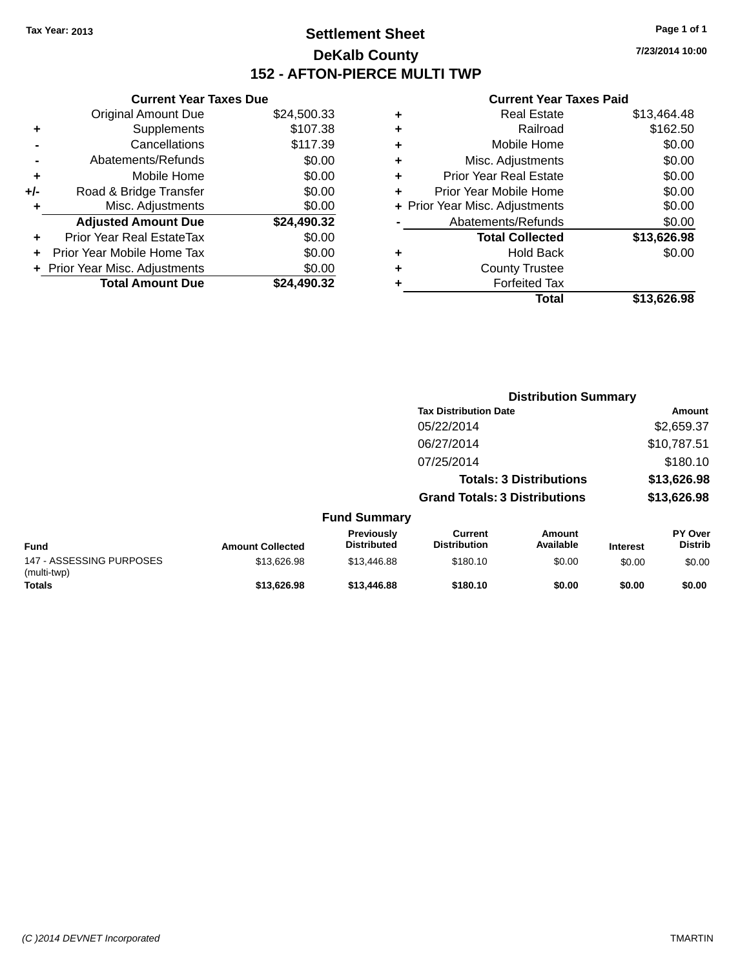### **Settlement Sheet Tax Year: 2013 Page 1 of 1 DeKalb County 152 - AFTON-PIERCE MULTI TWP**

**7/23/2014 10:00**

### **Current Year Taxes Paid**

| <b>Current Year Taxes Due</b> |                                |
|-------------------------------|--------------------------------|
| <b>Original Amount Due</b>    | \$24,500.33                    |
| Supplements                   | \$107.38                       |
| Cancellations                 | \$117.39                       |
| Abatements/Refunds            | \$0.00                         |
| Mobile Home                   | \$0.00                         |
| Road & Bridge Transfer        | \$0.00                         |
| Misc. Adjustments             | \$0.00                         |
| <b>Adjusted Amount Due</b>    | \$24,490.32                    |
| Prior Year Real EstateTax     | \$0.00                         |
| Prior Year Mobile Home Tax    | \$0.00                         |
|                               | \$0.00                         |
| <b>Total Amount Due</b>       | \$24,490.32                    |
|                               | + Prior Year Misc. Adjustments |

| ٠ | <b>Real Estate</b>             | \$13,464.48 |
|---|--------------------------------|-------------|
| ٠ | Railroad                       | \$162.50    |
| ٠ | Mobile Home                    | \$0.00      |
| ٠ | Misc. Adjustments              | \$0.00      |
| ٠ | <b>Prior Year Real Estate</b>  | \$0.00      |
| ٠ | Prior Year Mobile Home         | \$0.00      |
|   | + Prior Year Misc. Adjustments | \$0.00      |
|   | Abatements/Refunds             | \$0.00      |
|   | <b>Total Collected</b>         | \$13,626.98 |
| ٠ | <b>Hold Back</b>               | \$0.00      |
| ٠ | <b>County Trustee</b>          |             |
| ٠ | <b>Forfeited Tax</b>           |             |
|   | Total                          | \$13,626.98 |
|   |                                |             |

|                                         |                         |                                  | <b>Distribution Summary</b>           |                                |                 |                                  |
|-----------------------------------------|-------------------------|----------------------------------|---------------------------------------|--------------------------------|-----------------|----------------------------------|
|                                         |                         |                                  | <b>Tax Distribution Date</b>          |                                |                 | Amount                           |
|                                         |                         |                                  | 05/22/2014                            |                                |                 | \$2,659.37                       |
|                                         |                         |                                  | 06/27/2014                            |                                |                 | \$10,787.51                      |
|                                         |                         |                                  | 07/25/2014                            |                                |                 | \$180.10                         |
|                                         |                         |                                  |                                       | <b>Totals: 3 Distributions</b> |                 | \$13,626.98                      |
|                                         |                         |                                  | <b>Grand Totals: 3 Distributions</b>  |                                |                 | \$13,626.98                      |
|                                         |                         | <b>Fund Summary</b>              |                                       |                                |                 |                                  |
| <b>Fund</b>                             | <b>Amount Collected</b> | Previously<br><b>Distributed</b> | <b>Current</b><br><b>Distribution</b> | Amount<br>Available            | <b>Interest</b> | <b>PY Over</b><br><b>Distrib</b> |
| 147 - ASSESSING PURPOSES<br>(multi-twp) | \$13,626.98             | \$13,446.88                      | \$180.10                              | \$0.00                         | \$0.00          | \$0.00                           |
| <b>Totals</b>                           | \$13,626.98             | \$13,446.88                      | \$180.10                              | \$0.00                         | \$0.00          | \$0.00                           |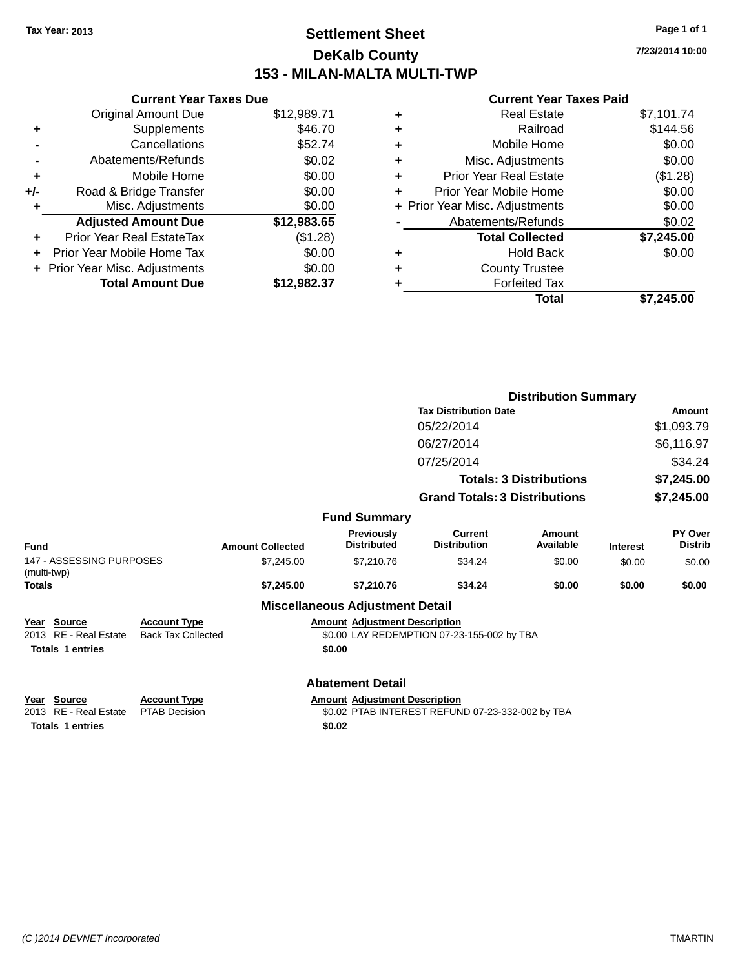### **Settlement Sheet Tax Year: 2013 Page 1 of 1 DeKalb County 153 - MILAN-MALTA MULTI-TWP**

**7/23/2014 10:00**

#### **Current Year Taxes Paid**

|     | <b>Current Year Taxes Due</b>    |             |
|-----|----------------------------------|-------------|
|     | <b>Original Amount Due</b>       | \$12,989.71 |
| ٠   | Supplements                      | \$46.70     |
|     | Cancellations                    | \$52.74     |
|     | Abatements/Refunds               | \$0.02      |
| ٠   | Mobile Home                      | \$0.00      |
| +/- | Road & Bridge Transfer           | \$0.00      |
| ٠   | Misc. Adjustments                | \$0.00      |
|     | <b>Adjusted Amount Due</b>       | \$12,983.65 |
| ÷   | <b>Prior Year Real EstateTax</b> | (\$1.28)    |
|     | Prior Year Mobile Home Tax       | \$0.00      |
|     | + Prior Year Misc. Adjustments   | \$0.00      |
|     | <b>Total Amount Due</b>          | \$12,982.37 |
|     |                                  |             |

| ٠ | <b>Real Estate</b>             | \$7,101.74 |
|---|--------------------------------|------------|
| ٠ | Railroad                       | \$144.56   |
| ٠ | Mobile Home                    | \$0.00     |
| ٠ | Misc. Adjustments              | \$0.00     |
| ٠ | <b>Prior Year Real Estate</b>  | (\$1.28)   |
| ٠ | Prior Year Mobile Home         | \$0.00     |
|   | + Prior Year Misc. Adjustments | \$0.00     |
|   | Abatements/Refunds             | \$0.02     |
|   | <b>Total Collected</b>         | \$7,245.00 |
| ٠ | <b>Hold Back</b>               | \$0.00     |
| ٠ | <b>County Trustee</b>          |            |
| ٠ | <b>Forfeited Tax</b>           |            |
|   | Total                          | \$7.245.00 |
|   |                                |            |

|                                         |                           |                         |                                         |                                            | <b>Distribution Summary</b>    |                 |                           |
|-----------------------------------------|---------------------------|-------------------------|-----------------------------------------|--------------------------------------------|--------------------------------|-----------------|---------------------------|
|                                         |                           |                         |                                         | <b>Tax Distribution Date</b>               |                                |                 | <b>Amount</b>             |
|                                         |                           |                         |                                         | 05/22/2014                                 |                                |                 | \$1,093.79                |
|                                         |                           |                         |                                         | 06/27/2014                                 |                                |                 | \$6,116.97                |
|                                         |                           |                         |                                         | 07/25/2014                                 |                                |                 | \$34.24                   |
|                                         |                           |                         |                                         |                                            | <b>Totals: 3 Distributions</b> |                 | \$7,245.00                |
|                                         |                           |                         |                                         | <b>Grand Totals: 3 Distributions</b>       |                                |                 | \$7,245.00                |
|                                         |                           |                         | <b>Fund Summary</b>                     |                                            |                                |                 |                           |
| <b>Fund</b>                             |                           | <b>Amount Collected</b> | <b>Previously</b><br><b>Distributed</b> | <b>Current</b><br><b>Distribution</b>      | Amount<br>Available            | <b>Interest</b> | PY Over<br><b>Distrib</b> |
| 147 - ASSESSING PURPOSES<br>(multi-twp) |                           | \$7,245.00              | \$7,210.76                              | \$34.24                                    | \$0.00                         | \$0.00          | \$0.00                    |
| <b>Totals</b>                           |                           | \$7,245.00              | \$7,210.76                              | \$34.24                                    | \$0.00                         | \$0.00          | \$0.00                    |
|                                         |                           |                         | <b>Miscellaneous Adjustment Detail</b>  |                                            |                                |                 |                           |
| Year Source                             | <b>Account Type</b>       |                         | <b>Amount Adjustment Description</b>    |                                            |                                |                 |                           |
| 2013 RE - Real Estate                   | <b>Back Tax Collected</b> |                         |                                         | \$0.00 LAY REDEMPTION 07-23-155-002 by TBA |                                |                 |                           |
| <b>Totals 1 entries</b>                 |                           |                         | \$0.00                                  |                                            |                                |                 |                           |
|                                         |                           |                         | <b>Abatement Detail</b>                 |                                            |                                |                 |                           |

**Totals 1 entries \$0.02**

**Year Source Account Type Amount Adjustment Description** 2013 RE - Real Estate PTAB Decision \$0.02 PTAB INTEREST REFUND 07-23-332-002 by TBA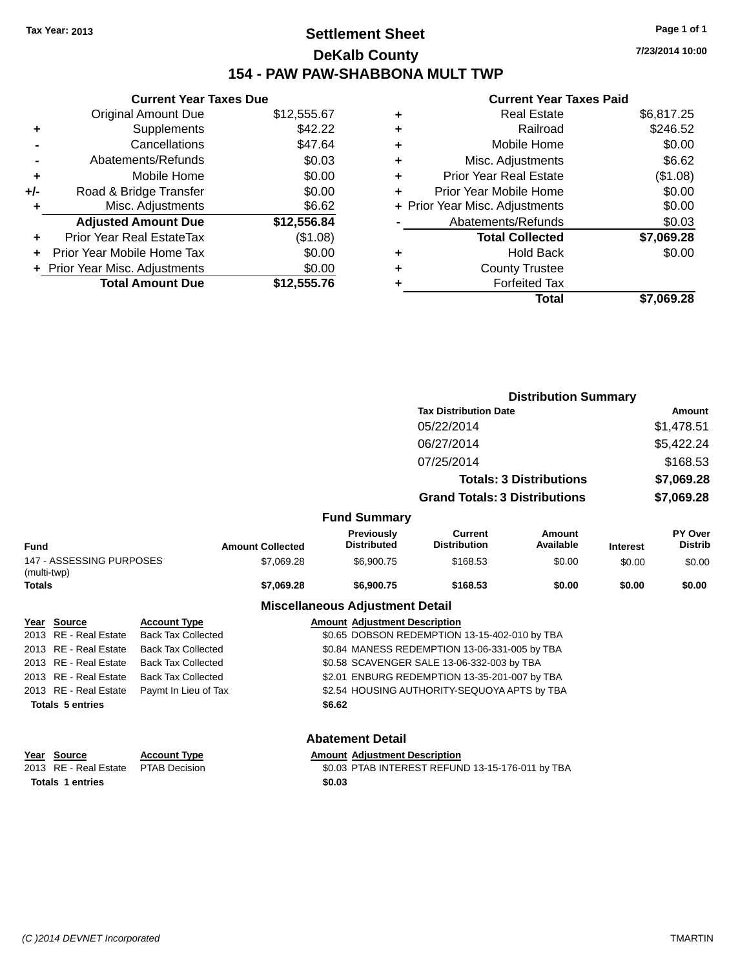### **Settlement Sheet Tax Year: 2013 Page 1 of 1 DeKalb County 154 - PAW PAW-SHABBONA MULT TWP**

|     | <b>Current Year Taxes Due</b>  |             |  |  |  |  |  |
|-----|--------------------------------|-------------|--|--|--|--|--|
|     | <b>Original Amount Due</b>     | \$12,555.67 |  |  |  |  |  |
| ٠   | \$42.22<br>Supplements         |             |  |  |  |  |  |
|     | \$47.64<br>Cancellations       |             |  |  |  |  |  |
|     | Abatements/Refunds             |             |  |  |  |  |  |
| ٠   | Mobile Home                    | \$0.00      |  |  |  |  |  |
| +/- | Road & Bridge Transfer         | \$0.00      |  |  |  |  |  |
| ٠   | Misc. Adjustments              | \$6.62      |  |  |  |  |  |
|     | <b>Adjusted Amount Due</b>     | \$12,556.84 |  |  |  |  |  |
|     | Prior Year Real EstateTax      | (\$1.08)    |  |  |  |  |  |
|     | Prior Year Mobile Home Tax     | \$0.00      |  |  |  |  |  |
|     | + Prior Year Misc. Adjustments | \$0.00      |  |  |  |  |  |
|     | <b>Total Amount Due</b>        | \$12,555.76 |  |  |  |  |  |

#### **Current Year Taxes Paid**

| ٠ | <b>Real Estate</b>             | \$6,817.25 |
|---|--------------------------------|------------|
| ٠ | Railroad                       | \$246.52   |
| ٠ | Mobile Home                    | \$0.00     |
| ٠ | Misc. Adjustments              | \$6.62     |
| ٠ | <b>Prior Year Real Estate</b>  | (\$1.08)   |
| ٠ | Prior Year Mobile Home         | \$0.00     |
|   | + Prior Year Misc. Adjustments | \$0.00     |
|   | Abatements/Refunds             | \$0.03     |
|   | <b>Total Collected</b>         | \$7,069.28 |
| ٠ | <b>Hold Back</b>               | \$0.00     |
| ٠ | <b>County Trustee</b>          |            |
| ٠ | <b>Forfeited Tax</b>           |            |
|   | Total                          | \$7,069.28 |
|   |                                |            |

|                                         |                       |                           |                         |                                               | <b>Distribution Summary</b>                   |                            |                 |                           |
|-----------------------------------------|-----------------------|---------------------------|-------------------------|-----------------------------------------------|-----------------------------------------------|----------------------------|-----------------|---------------------------|
|                                         |                       |                           |                         |                                               | <b>Tax Distribution Date</b>                  |                            |                 | Amount                    |
|                                         |                       |                           |                         |                                               | 05/22/2014                                    |                            |                 | \$1,478.51                |
|                                         |                       |                           |                         |                                               | 06/27/2014                                    |                            |                 | \$5,422.24                |
|                                         |                       |                           |                         |                                               | 07/25/2014                                    |                            |                 | \$168.53                  |
|                                         |                       |                           |                         | <b>Totals: 3 Distributions</b>                |                                               |                            | \$7,069.28      |                           |
|                                         |                       |                           |                         | <b>Grand Totals: 3 Distributions</b>          |                                               |                            | \$7,069.28      |                           |
|                                         |                       |                           |                         | <b>Fund Summary</b>                           |                                               |                            |                 |                           |
| <b>Fund</b>                             |                       |                           | <b>Amount Collected</b> | Previously<br><b>Distributed</b>              | <b>Current</b><br><b>Distribution</b>         | <b>Amount</b><br>Available | <b>Interest</b> | PY Over<br><b>Distrib</b> |
| 147 - ASSESSING PURPOSES<br>(multi-twp) |                       |                           | \$7,069.28              | \$6,900.75                                    | \$168.53                                      | \$0.00                     | \$0.00          | \$0.00                    |
| Totals                                  |                       |                           | \$7,069.28              | \$6,900.75                                    | \$168.53                                      | \$0.00                     | \$0.00          | \$0.00                    |
|                                         |                       |                           |                         | <b>Miscellaneous Adjustment Detail</b>        |                                               |                            |                 |                           |
|                                         | Year Source           | <b>Account Type</b>       |                         | <b>Amount Adjustment Description</b>          |                                               |                            |                 |                           |
| 2013                                    | RE - Real Estate      | <b>Back Tax Collected</b> |                         |                                               | \$0.65 DOBSON REDEMPTION 13-15-402-010 by TBA |                            |                 |                           |
|                                         | 2013 RE - Real Estate | <b>Back Tax Collected</b> |                         | \$0.84 MANESS REDEMPTION 13-06-331-005 by TBA |                                               |                            |                 |                           |
|                                         |                       |                           |                         |                                               |                                               |                            |                 |                           |

2013 RE - Real Estate Back Tax Collected \$0.58 SCAVENGER SALE 13-06-332-003 by TBA

2013 RE - Real Estate Back Tax Collected \$2.01 ENBURG REDEMPTION 13-35-201-007 by TBA

2013 RE - Real Estate Paymt In Lieu of Tax \$2.54 HOUSING AUTHORITY-SEQUOYA APTS by TBA

**Totals 5 entries \$6.62**

#### **Abatement Detail**

| Year Source                         | <b>Account Type</b> | <b>Amount Adjustment Description</b>             |
|-------------------------------------|---------------------|--------------------------------------------------|
| 2013 RE - Real Estate PTAB Decision |                     | \$0.03 PTAB INTEREST REFUND 13-15-176-011 by TBA |
| <b>Totals 1 entries</b>             |                     | \$0.03                                           |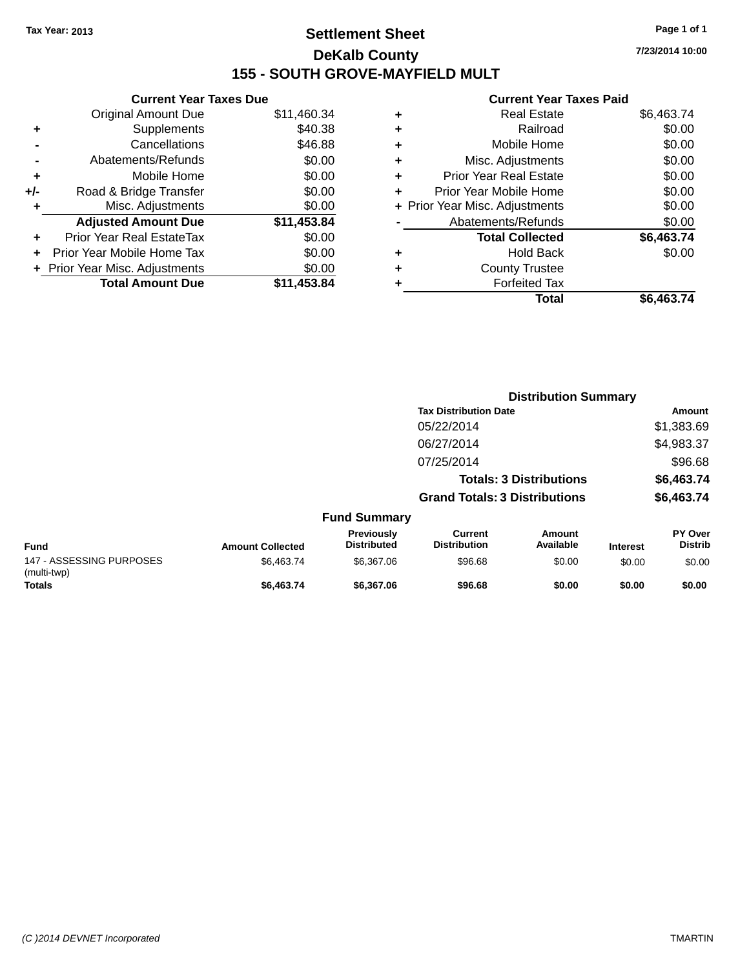### **Settlement Sheet Tax Year: 2013 Page 1 of 1 DeKalb County 155 - SOUTH GROVE-MAYFIELD MULT**

**Current Year Taxes Due** Original Amount Due \$11,460.34 **+** Supplements \$40.38 **-** Cancellations \$46.88 **-** Abatements/Refunds \$0.00 **+** Mobile Home \$0.00 **+/-** Road & Bridge Transfer \$0.00 **+** Misc. Adjustments \$0.00 **Adjusted Amount Due \$11,453.84 +** Prior Year Real EstateTax \$0.00 **+** Prior Year Mobile Home Tax \$0.00 **+ Prior Year Misc. Adjustments**  $$0.00$ **Total Amount Due \$11,453.84**

#### **Current Year Taxes Paid**

| ٠ | <b>Real Estate</b>             | \$6,463.74 |
|---|--------------------------------|------------|
| ÷ | Railroad                       | \$0.00     |
| ÷ | Mobile Home                    | \$0.00     |
| ٠ | Misc. Adjustments              | \$0.00     |
| ٠ | <b>Prior Year Real Estate</b>  | \$0.00     |
| ٠ | Prior Year Mobile Home         | \$0.00     |
|   | + Prior Year Misc. Adjustments | \$0.00     |
|   | Abatements/Refunds             | \$0.00     |
|   | <b>Total Collected</b>         | \$6,463.74 |
| ٠ | <b>Hold Back</b>               | \$0.00     |
| ٠ | <b>County Trustee</b>          |            |
| ٠ | <b>Forfeited Tax</b>           |            |
|   | Total                          | \$6,463.74 |
|   |                                |            |

|                                         |                         |                                         |                                       | <b>Distribution Summary</b>    |                 |                           |
|-----------------------------------------|-------------------------|-----------------------------------------|---------------------------------------|--------------------------------|-----------------|---------------------------|
|                                         |                         |                                         | <b>Tax Distribution Date</b>          |                                |                 | <b>Amount</b>             |
|                                         |                         |                                         | 05/22/2014                            |                                |                 | \$1,383.69                |
|                                         |                         |                                         | 06/27/2014                            |                                |                 | \$4,983.37                |
|                                         |                         |                                         | 07/25/2014                            |                                |                 | \$96.68                   |
|                                         |                         |                                         |                                       | <b>Totals: 3 Distributions</b> |                 | \$6,463.74                |
|                                         |                         |                                         | <b>Grand Totals: 3 Distributions</b>  |                                |                 | \$6,463.74                |
|                                         |                         | <b>Fund Summary</b>                     |                                       |                                |                 |                           |
| <b>Fund</b>                             | <b>Amount Collected</b> | <b>Previously</b><br><b>Distributed</b> | <b>Current</b><br><b>Distribution</b> | Amount<br>Available            | <b>Interest</b> | PY Over<br><b>Distrib</b> |
| 147 - ASSESSING PURPOSES<br>(multi-twp) | \$6,463.74              | \$6,367.06                              | \$96.68                               | \$0.00                         | \$0.00          | \$0.00                    |
| Totals                                  | \$6,463.74              | \$6,367.06                              | \$96.68                               | \$0.00                         | \$0.00          | \$0.00                    |

**7/23/2014 10:00**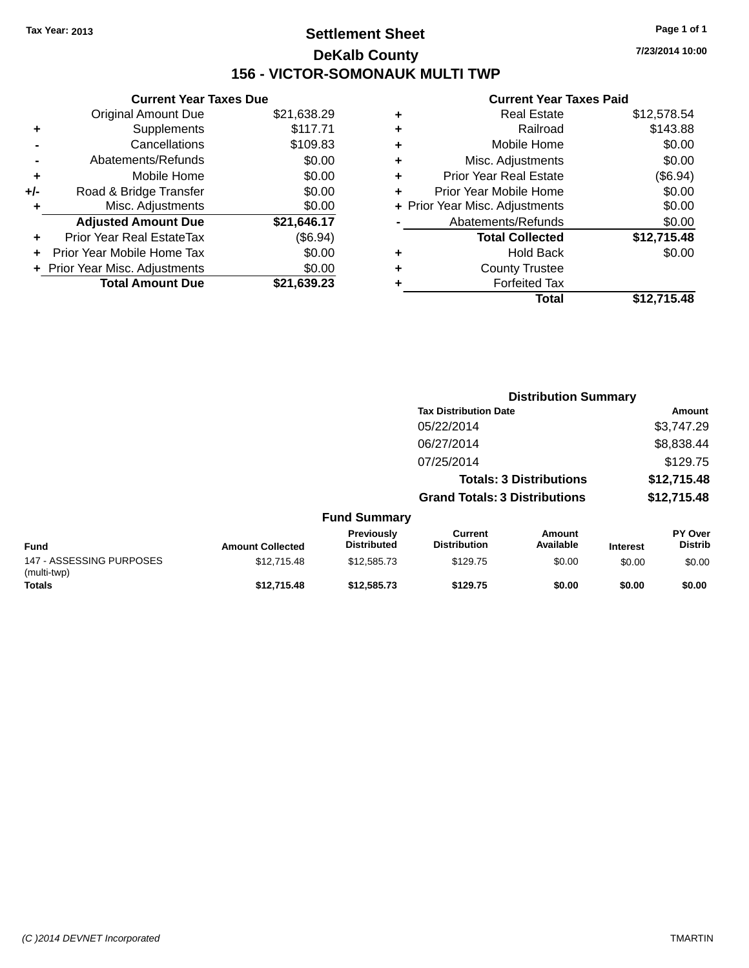### **Settlement Sheet Tax Year: 2013 Page 1 of 1 DeKalb County 156 - VICTOR-SOMONAUK MULTI TWP**

**7/23/2014 10:00**

### **Current Year Taxes Paid**

|     | <b>Current Year Taxes Due</b>  |             |
|-----|--------------------------------|-------------|
|     | <b>Original Amount Due</b>     | \$21,638.29 |
| ٠   | Supplements                    | \$117.71    |
|     | Cancellations                  | \$109.83    |
|     | Abatements/Refunds             | \$0.00      |
| ٠   | Mobile Home                    | \$0.00      |
| +/- | Road & Bridge Transfer         | \$0.00      |
| ٠   | Misc. Adjustments              | \$0.00      |
|     | <b>Adjusted Amount Due</b>     | \$21,646.17 |
| ÷   | Prior Year Real EstateTax      | (\$6.94)    |
|     | Prior Year Mobile Home Tax     | \$0.00      |
|     | + Prior Year Misc. Adjustments | \$0.00      |
|     | <b>Total Amount Due</b>        | \$21.639.23 |
|     |                                |             |

|   | <b>Real Estate</b>             | \$12,578.54 |
|---|--------------------------------|-------------|
| ٠ | Railroad                       | \$143.88    |
| ٠ | Mobile Home                    | \$0.00      |
| ٠ | Misc. Adjustments              | \$0.00      |
| ٠ | <b>Prior Year Real Estate</b>  | (\$6.94)    |
| ٠ | Prior Year Mobile Home         | \$0.00      |
|   | + Prior Year Misc. Adjustments | \$0.00      |
|   | Abatements/Refunds             | \$0.00      |
|   | <b>Total Collected</b>         | \$12,715.48 |
| ٠ | <b>Hold Back</b>               | \$0.00      |
| ٠ | <b>County Trustee</b>          |             |
|   | <b>Forfeited Tax</b>           |             |
|   | Total                          | \$12,715.48 |
|   |                                |             |

|                                         |                         |                                  |                                       | <b>Distribution Summary</b>    |                 |                                  |
|-----------------------------------------|-------------------------|----------------------------------|---------------------------------------|--------------------------------|-----------------|----------------------------------|
|                                         |                         |                                  | <b>Tax Distribution Date</b>          |                                |                 | Amount                           |
|                                         |                         |                                  | 05/22/2014                            |                                |                 | \$3,747.29                       |
|                                         |                         |                                  | 06/27/2014                            |                                |                 | \$8,838.44                       |
|                                         |                         |                                  | 07/25/2014                            |                                |                 | \$129.75                         |
|                                         |                         |                                  |                                       | <b>Totals: 3 Distributions</b> |                 | \$12,715.48                      |
|                                         |                         |                                  | <b>Grand Totals: 3 Distributions</b>  |                                |                 | \$12,715.48                      |
|                                         |                         | <b>Fund Summary</b>              |                                       |                                |                 |                                  |
| <b>Fund</b>                             | <b>Amount Collected</b> | Previously<br><b>Distributed</b> | <b>Current</b><br><b>Distribution</b> | Amount<br>Available            | <b>Interest</b> | <b>PY Over</b><br><b>Distrib</b> |
| 147 - ASSESSING PURPOSES<br>(multi-twp) | \$12,715.48             | \$12,585.73                      | \$129.75                              | \$0.00                         | \$0.00          | \$0.00                           |
| <b>Totals</b>                           | \$12,715.48             | \$12,585.73                      | \$129.75                              | \$0.00                         | \$0.00          | \$0.00                           |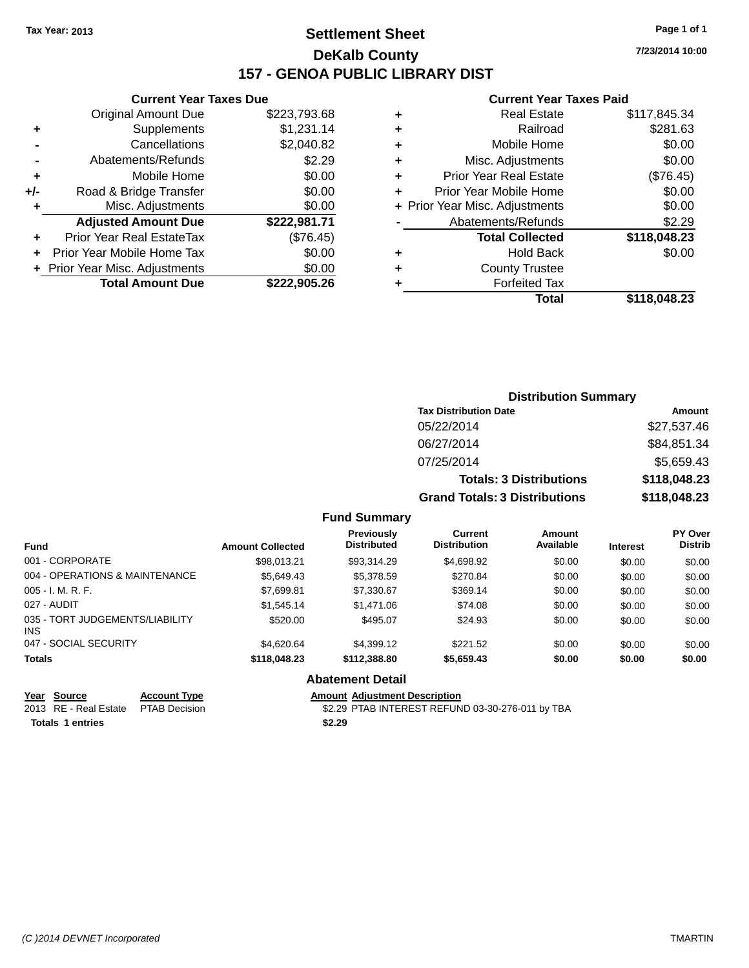### **Settlement Sheet Tax Year: 2013 Page 1 of 1 DeKalb County 157 - GENOA PUBLIC LIBRARY DIST**

**Current Year Taxes Due**

| <b>Original Amount Due</b> | \$223,793.68                   |
|----------------------------|--------------------------------|
| Supplements                | \$1,231.14                     |
| Cancellations              | \$2,040.82                     |
| Abatements/Refunds         | \$2.29                         |
| Mobile Home                | \$0.00                         |
| Road & Bridge Transfer     | \$0.00                         |
| Misc. Adjustments          | \$0.00                         |
| <b>Adjusted Amount Due</b> | \$222,981.71                   |
| Prior Year Real EstateTax  | (\$76.45)                      |
| Prior Year Mobile Home Tax | \$0.00                         |
|                            | \$0.00                         |
| <b>Total Amount Due</b>    | \$222,905.26                   |
|                            | + Prior Year Misc. Adjustments |

#### **Current Year Taxes Paid**

| ٠ | Real Estate                    | \$117,845.34 |
|---|--------------------------------|--------------|
| ٠ | Railroad                       | \$281.63     |
| ٠ | Mobile Home                    | \$0.00       |
| ٠ | Misc. Adjustments              | \$0.00       |
| ٠ | <b>Prior Year Real Estate</b>  | (\$76.45)    |
| ٠ | Prior Year Mobile Home         | \$0.00       |
|   | + Prior Year Misc. Adjustments | \$0.00       |
|   | Abatements/Refunds             | \$2.29       |
|   | <b>Total Collected</b>         | \$118,048.23 |
| ٠ | <b>Hold Back</b>               | \$0.00       |
|   | <b>County Trustee</b>          |              |
|   | <b>Forfeited Tax</b>           |              |
|   | Total                          | \$118,048.23 |
|   |                                |              |

| <b>Distribution Summary</b>          |              |  |  |  |  |
|--------------------------------------|--------------|--|--|--|--|
| <b>Tax Distribution Date</b>         | Amount       |  |  |  |  |
| 05/22/2014                           | \$27,537.46  |  |  |  |  |
| 06/27/2014                           | \$84,851.34  |  |  |  |  |
| 07/25/2014                           | \$5,659.43   |  |  |  |  |
| <b>Totals: 3 Distributions</b>       | \$118,048.23 |  |  |  |  |
| <b>Grand Totals: 3 Distributions</b> | \$118,048.23 |  |  |  |  |

### **Fund Summary**

| <b>Fund</b>                             | <b>Amount Collected</b> | Previously<br><b>Distributed</b> | <b>Current</b><br><b>Distribution</b> | Amount<br>Available | <b>Interest</b> | <b>PY Over</b><br><b>Distrib</b> |
|-----------------------------------------|-------------------------|----------------------------------|---------------------------------------|---------------------|-----------------|----------------------------------|
| 001 - CORPORATE                         | \$98.013.21             | \$93.314.29                      | \$4,698.92                            | \$0.00              | \$0.00          | \$0.00                           |
| 004 - OPERATIONS & MAINTENANCE          | \$5.649.43              | \$5,378.59                       | \$270.84                              | \$0.00              | \$0.00          | \$0.00                           |
| $005 - I. M. R. F.$                     | \$7,699.81              | \$7,330.67                       | \$369.14                              | \$0.00              | \$0.00          | \$0.00                           |
| 027 - AUDIT                             | \$1.545.14              | \$1,471.06                       | \$74.08                               | \$0.00              | \$0.00          | \$0.00                           |
| 035 - TORT JUDGEMENTS/LIABILITY<br>INS. | \$520.00                | \$495.07                         | \$24.93                               | \$0.00              | \$0.00          | \$0.00                           |
| 047 - SOCIAL SECURITY                   | \$4.620.64              | \$4,399.12                       | \$221.52                              | \$0.00              | \$0.00          | \$0.00                           |
| <b>Totals</b>                           | \$118,048.23            | \$112,388.80                     | \$5,659.43                            | \$0.00              | \$0.00          | \$0.00                           |

### **Abatement Detail**

# **Year Source Account Type Amount Adjustment Description**<br>2013 RE - Real Estate PTAB Decision **Amount Adjustment Description**

\$2.29 PTAB INTEREST REFUND 03-30-276-011 by TBA **Totals 1 entries \$2.29**

**7/23/2014 10:00**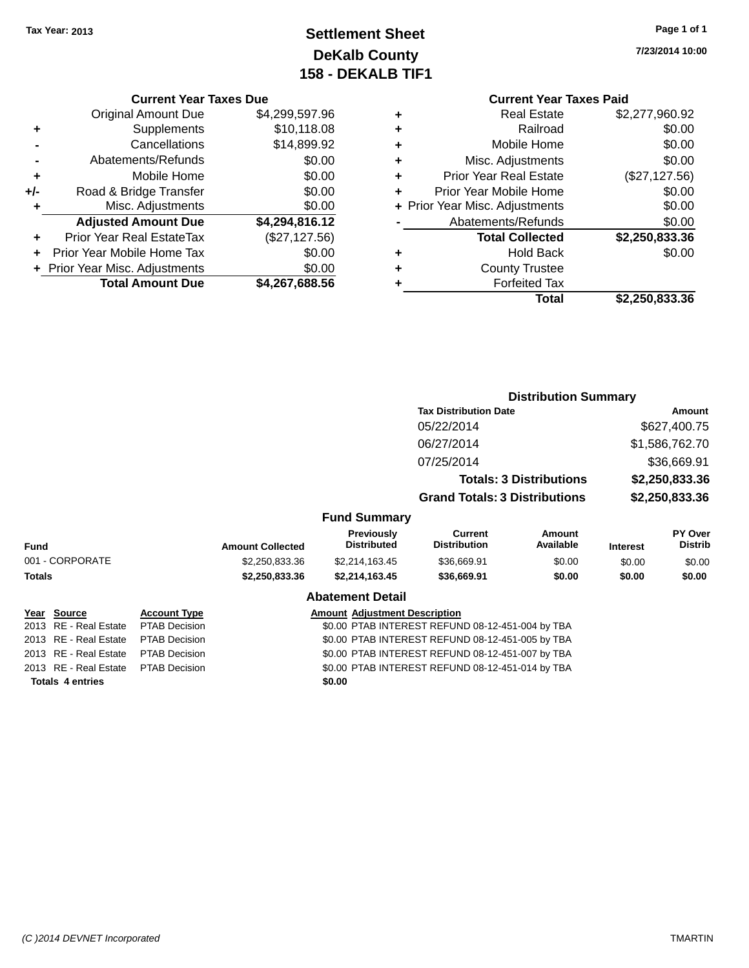### **Settlement Sheet Tax Year: 2013 Page 1 of 1 DeKalb County 158 - DEKALB TIF1**

**7/23/2014 10:00**

#### **Current Year Taxes Due**

|     | <b>Original Amount Due</b>     | \$4,299,597.96 |
|-----|--------------------------------|----------------|
| ٠   | Supplements                    | \$10,118.08    |
|     | Cancellations                  | \$14,899.92    |
|     | Abatements/Refunds             | \$0.00         |
| ٠   | Mobile Home                    | \$0.00         |
| +/- | Road & Bridge Transfer         | \$0.00         |
| ٠   | Misc. Adjustments              | \$0.00         |
|     | <b>Adjusted Amount Due</b>     | \$4,294,816.12 |
|     | Prior Year Real EstateTax      | (\$27,127.56)  |
|     | Prior Year Mobile Home Tax     | \$0.00         |
|     | + Prior Year Misc. Adjustments | \$0.00         |
|     | <b>Total Amount Due</b>        | \$4,267,688.56 |

### **Current Year Taxes Paid**

|   | <b>Real Estate</b>             | \$2,277,960.92 |
|---|--------------------------------|----------------|
| ٠ | Railroad                       | \$0.00         |
| ٠ | Mobile Home                    | \$0.00         |
| ٠ | Misc. Adjustments              | \$0.00         |
| ٠ | <b>Prior Year Real Estate</b>  | (\$27,127.56)  |
| ٠ | Prior Year Mobile Home         | \$0.00         |
|   | + Prior Year Misc. Adjustments | \$0.00         |
|   | Abatements/Refunds             | \$0.00         |
|   | <b>Total Collected</b>         | \$2,250,833.36 |
| ٠ | <b>Hold Back</b>               | \$0.00         |
| ٠ | <b>County Trustee</b>          |                |
| ٠ | <b>Forfeited Tax</b>           |                |
|   | Total                          | \$2,250,833.36 |
|   |                                |                |

#### **Distribution Summary Tax Distribution Date Amount** 05/22/2014 \$627,400.75 06/27/2014 \$1,586,762.70 07/25/2014 \$36,669.91 **Totals: 3 Distributions \$2,250,833.36 Grand Totals: 3 Distributions \$2,250,833.36 Fund Summary Fund Interest Amount Collected Distributed PY Over Distrib Amount Available Current Distribution Previously** 001 - CORPORATE \$2,250,833.36 \$2,214,163.45 \$36,669.91 \$0.00 \$0.00 \$0.00 **Totals \$2,250,833.36 \$2,214,163.45 \$36,669.91 \$0.00 \$0.00 \$0.00 Abatement Detail Year** Source **Account Type Account Adjustment Description** 2013 RE - Real Estate PTAB Decision \$0.00 PTAB INTEREST REFUND 08-12-451-004 by TBA 2013 RE - Real Estate PTAB Decision \$0.00 PTAB INTEREST REFUND 08-12-451-005 by TBA 2013 RE - Real Estate PTAB Decision \$0.00 PTAB INTEREST REFUND 08-12-451-007 by TBA

**Totals 4 entries \$0.00**

2013 RE - Real Estate PTAB Decision \$0.00 PTAB INTEREST REFUND 08-12-451-014 by TBA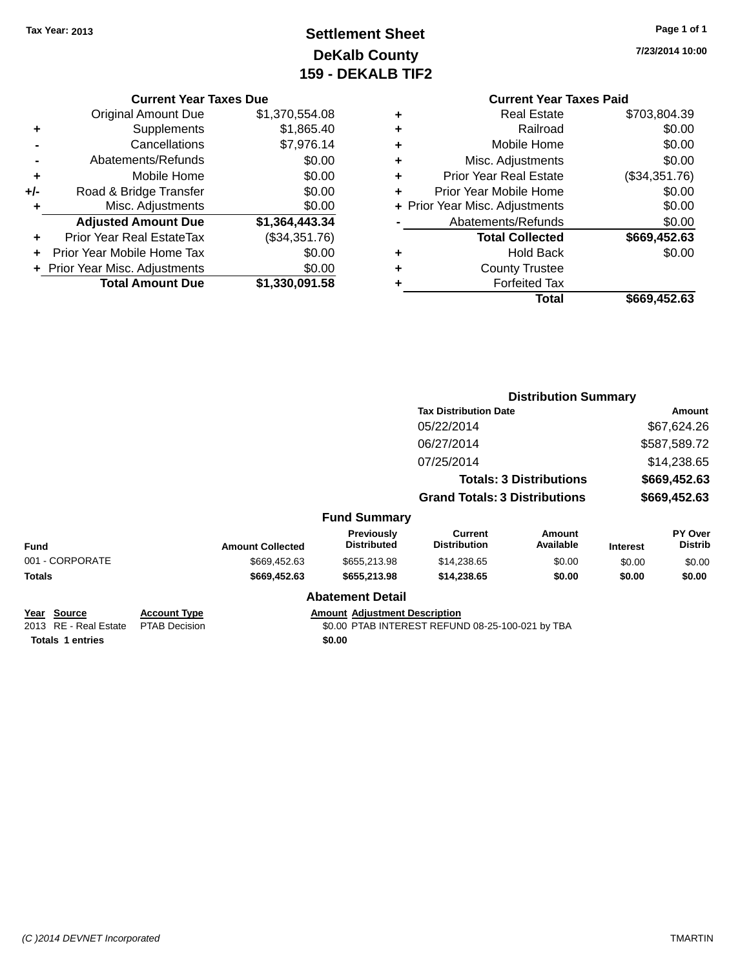## **Settlement Sheet Tax Year: 2013 Page 1 of 1 DeKalb County 159 - DEKALB TIF2**

**7/23/2014 10:00**

### **Current Year Taxes Due**

|       | <b>Original Amount Due</b>       | \$1,370,554.08 |
|-------|----------------------------------|----------------|
| ٠     | Supplements                      | \$1,865.40     |
|       | Cancellations                    | \$7,976.14     |
|       | Abatements/Refunds               | \$0.00         |
| ÷     | Mobile Home                      | \$0.00         |
| $+/-$ | Road & Bridge Transfer           | \$0.00         |
| ٠     | Misc. Adjustments                | \$0.00         |
|       | <b>Adjusted Amount Due</b>       | \$1,364,443.34 |
|       | <b>Prior Year Real EstateTax</b> | (\$34,351.76)  |
|       | Prior Year Mobile Home Tax       | \$0.00         |
|       | + Prior Year Misc. Adjustments   | \$0.00         |
|       | <b>Total Amount Due</b>          | \$1,330,091.58 |

### **Current Year Taxes Paid**

|   | Total                          | \$669,452.63  |
|---|--------------------------------|---------------|
| ٠ | <b>Forfeited Tax</b>           |               |
| ٠ | <b>County Trustee</b>          |               |
| ٠ | <b>Hold Back</b>               | \$0.00        |
|   | <b>Total Collected</b>         | \$669,452.63  |
|   | Abatements/Refunds             | \$0.00        |
|   | + Prior Year Misc. Adjustments | \$0.00        |
| ٠ | Prior Year Mobile Home         | \$0.00        |
| ٠ | <b>Prior Year Real Estate</b>  | (\$34,351.76) |
| ٠ | Misc. Adjustments              | \$0.00        |
| ٠ | Mobile Home                    | \$0.00        |
| ٠ | Railroad                       | \$0.00        |
| ٠ | <b>Real Estate</b>             | \$703,804.39  |

|                                      |                                             |                         |                                      |                                                  | <b>Distribution Summary</b>    |                 |                                  |  |
|--------------------------------------|---------------------------------------------|-------------------------|--------------------------------------|--------------------------------------------------|--------------------------------|-----------------|----------------------------------|--|
|                                      |                                             |                         |                                      | <b>Tax Distribution Date</b>                     |                                |                 | Amount                           |  |
|                                      |                                             |                         |                                      | 05/22/2014                                       |                                |                 | \$67,624.26                      |  |
|                                      |                                             |                         |                                      | 06/27/2014                                       |                                |                 | \$587,589.72                     |  |
|                                      |                                             |                         |                                      | 07/25/2014                                       |                                |                 | \$14,238.65                      |  |
|                                      |                                             |                         |                                      |                                                  | <b>Totals: 3 Distributions</b> |                 | \$669,452.63                     |  |
|                                      |                                             |                         |                                      | <b>Grand Totals: 3 Distributions</b>             |                                | \$669,452.63    |                                  |  |
|                                      |                                             |                         | <b>Fund Summary</b>                  |                                                  |                                |                 |                                  |  |
| <b>Fund</b>                          |                                             | <b>Amount Collected</b> | Previously<br><b>Distributed</b>     | <b>Current</b><br><b>Distribution</b>            | <b>Amount</b><br>Available     | <b>Interest</b> | <b>PY Over</b><br><b>Distrib</b> |  |
| 001 - CORPORATE                      |                                             | \$669,452.63            | \$655,213.98                         | \$14,238.65                                      | \$0.00                         | \$0.00          | \$0.00                           |  |
| <b>Totals</b>                        | \$669,452.63                                |                         | \$655,213.98                         | \$14,238.65                                      | \$0.00                         | \$0.00          | \$0.00                           |  |
|                                      |                                             |                         | <b>Abatement Detail</b>              |                                                  |                                |                 |                                  |  |
| Year Source<br>2013 RE - Real Estate | <b>Account Type</b><br><b>PTAB Decision</b> |                         | <b>Amount Adjustment Description</b> | \$0.00 PTAB INTEREST REFUND 08-25-100-021 by TBA |                                |                 |                                  |  |
| <b>Totals 1 entries</b>              |                                             |                         | \$0.00                               |                                                  |                                |                 |                                  |  |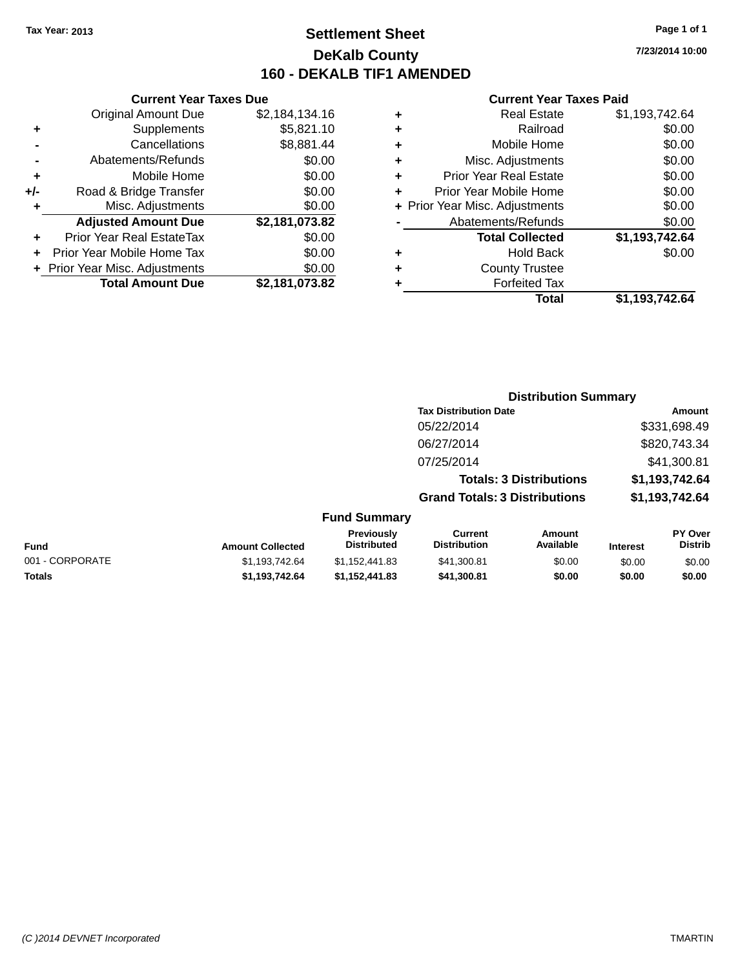### **Settlement Sheet Tax Year: 2013 Page 1 of 1 DeKalb County 160 - DEKALB TIF1 AMENDED**

**7/23/2014 10:00**

#### **Current Year Taxes Paid**

|     | <b>Current Year Taxes Due</b>  |                |
|-----|--------------------------------|----------------|
|     | <b>Original Amount Due</b>     | \$2,184,134.16 |
| ٠   | Supplements                    | \$5,821.10     |
|     | Cancellations                  | \$8,881.44     |
|     | Abatements/Refunds             | \$0.00         |
| ٠   | Mobile Home                    | \$0.00         |
| +/- | Road & Bridge Transfer         | \$0.00         |
| ٠   | Misc. Adjustments              | \$0.00         |
|     | <b>Adjusted Amount Due</b>     | \$2,181,073.82 |
| ٠   | Prior Year Real EstateTax      | \$0.00         |
| ÷   | Prior Year Mobile Home Tax     | \$0.00         |
|     | + Prior Year Misc. Adjustments | \$0.00         |
|     | <b>Total Amount Due</b>        | \$2,181,073.82 |

|   | <b>Real Estate</b>             | \$1,193,742.64 |
|---|--------------------------------|----------------|
| ٠ | Railroad                       | \$0.00         |
| ٠ | Mobile Home                    | \$0.00         |
| ٠ | Misc. Adjustments              | \$0.00         |
| ٠ | <b>Prior Year Real Estate</b>  | \$0.00         |
| ٠ | Prior Year Mobile Home         | \$0.00         |
|   | + Prior Year Misc. Adjustments | \$0.00         |
|   | Abatements/Refunds             | \$0.00         |
|   | <b>Total Collected</b>         | \$1,193,742.64 |
|   | <b>Hold Back</b>               | \$0.00         |
| ٠ | <b>County Trustee</b>          |                |
|   | <b>Forfeited Tax</b>           |                |
|   | <b>Total</b>                   | \$1,193,742.64 |
|   |                                |                |

|                         |                                         |                                      | <b>Distribution Summary</b>    |                 |                                  |
|-------------------------|-----------------------------------------|--------------------------------------|--------------------------------|-----------------|----------------------------------|
|                         |                                         | <b>Tax Distribution Date</b>         |                                |                 | Amount                           |
|                         |                                         | 05/22/2014                           |                                |                 | \$331,698.49                     |
|                         |                                         | 06/27/2014                           |                                |                 | \$820,743.34                     |
|                         |                                         | 07/25/2014                           |                                |                 | \$41,300.81                      |
|                         |                                         |                                      | <b>Totals: 3 Distributions</b> |                 | \$1,193,742.64                   |
|                         |                                         | <b>Grand Totals: 3 Distributions</b> |                                |                 | \$1,193,742.64                   |
|                         | <b>Fund Summary</b>                     |                                      |                                |                 |                                  |
| <b>Amount Collected</b> | <b>Previously</b><br><b>Distributed</b> | Current<br><b>Distribution</b>       | Amount<br>Available            | <b>Interest</b> | <b>PY Over</b><br><b>Distrib</b> |
| \$1,193,742.64          | \$1.152.441.83                          | \$41,300.81                          | \$0.00                         | \$0.00          | \$0.00                           |

| <b>Fund</b>     | <b>Amount Collected</b> | <b>Previously</b><br>Distributed | current<br><b>Distribution</b> | Amount<br>Available | <b>Interest</b> | <b>PT OVER</b><br><b>Distrib</b> |
|-----------------|-------------------------|----------------------------------|--------------------------------|---------------------|-----------------|----------------------------------|
| 001 - CORPORATE | \$1.193.742.64          | \$1.152.441.83                   | \$41,300.81                    | \$0.00              | \$0.00          | \$0.00                           |
| <b>Totals</b>   | \$1.193.742.64          | \$1.152.441.83                   | \$41.300.81                    | \$0.00              | \$0.00          | \$0.00                           |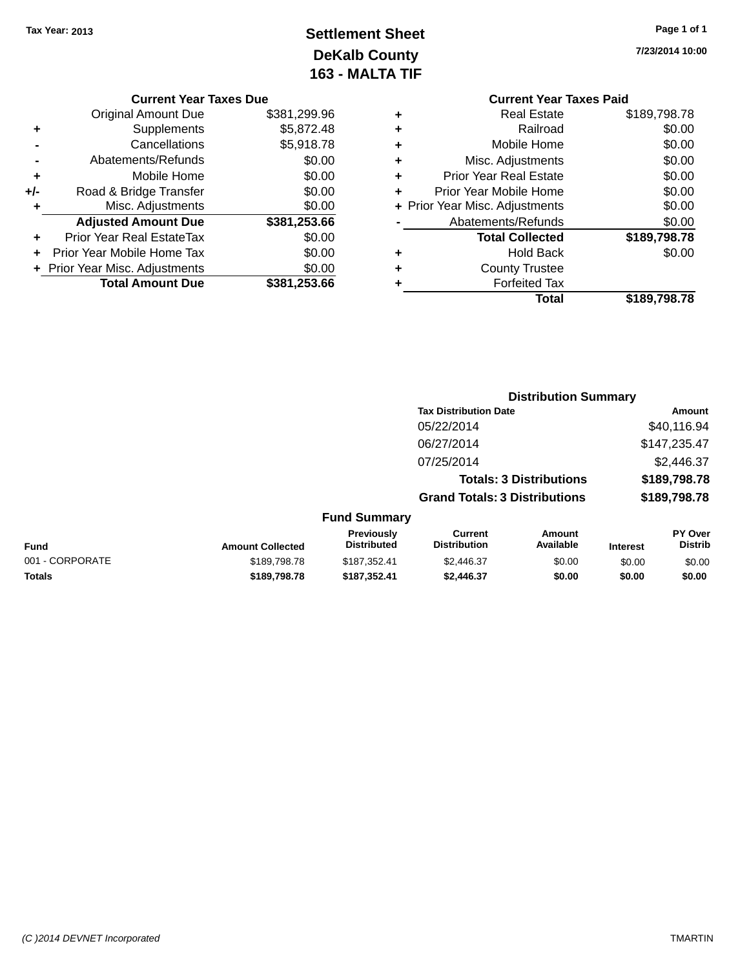## **Settlement Sheet Tax Year: 2013 Page 1 of 1 DeKalb County 163 - MALTA TIF**

**7/23/2014 10:00**

| <b>Current Year</b>            |   |              | ır Taxes Due |
|--------------------------------|---|--------------|--------------|
| <b>Real Estate</b>             | ٠ | \$381,299.96 | е            |
| Railroad                       | ٠ | \$5,872.48   | s            |
| Mobile Home                    | ٠ | \$5,918.78   | S            |
| Misc. Adjustments              | ٠ | \$0.00       | S            |
| <b>Prior Year Real Estate</b>  | ÷ | \$0.00       | e            |
| Prior Year Mobile Home         |   | \$0.00       | ۹ľ           |
| + Prior Year Misc. Adjustments |   | \$0.00       | S            |
| Abatements/Refunds             |   | \$381,253.66 | e            |
| <b>Total Collected</b>         |   | \$0.00       | x            |
| <b>Hold Back</b>               | ٠ | \$0.00       | x            |
| <b>County Trustee</b>          | ٠ | \$0.00       | S            |
| Forfeited Tax                  |   | \$381,253.66 | e            |

#### **Current Year**

|       | <b>Original Amount Due</b>       | \$381,299.96 |  |  |  |
|-------|----------------------------------|--------------|--|--|--|
| ٠     | Supplements                      | \$5,872.48   |  |  |  |
|       | Cancellations                    | \$5,918.78   |  |  |  |
|       | \$0.00<br>Abatements/Refunds     |              |  |  |  |
| ٠     | Mobile Home                      | \$0.00       |  |  |  |
| $+/-$ | Road & Bridge Transfer           | \$0.00       |  |  |  |
|       | Misc. Adjustments                | \$0.00       |  |  |  |
|       | <b>Adjusted Amount Due</b>       | \$381,253.66 |  |  |  |
| ٠     | <b>Prior Year Real EstateTax</b> | \$0.00       |  |  |  |
|       | Prior Year Mobile Home Tax       | \$0.00       |  |  |  |
|       | + Prior Year Misc. Adjustments   | \$0.00       |  |  |  |
|       | <b>Total Amount Due</b>          | \$381,253.66 |  |  |  |
|       |                                  |              |  |  |  |

### **Year Taxes Paid +** Real Estate \$189,798.78 **+** Railroad \$0.00 **+**  $\frac{1}{2}$  Mome \$0.00 **+** Misc. Adjustments  $$0.00$ **+** Prior Year Real Estate \$0.00 **+** Prior Year Mobile Home \$0.00 **+** Prior Year Misc. Adjustments  $$0.00$ **-** Abatements/Refunds \$0.00 **Total Collected \$189,798.78 Back**  $\text{\$0.00}$ ustee

| <b>Distribution Summary</b> |  |  |  |  |  |  |  |  |
|-----------------------------|--|--|--|--|--|--|--|--|
| Amount                      |  |  |  |  |  |  |  |  |
| \$40.116.94                 |  |  |  |  |  |  |  |  |
| \$147,235.47                |  |  |  |  |  |  |  |  |
| \$2,446.37                  |  |  |  |  |  |  |  |  |
| \$189,798.78                |  |  |  |  |  |  |  |  |
| \$189,798.78                |  |  |  |  |  |  |  |  |
|                             |  |  |  |  |  |  |  |  |

**Total \$189,798.78**

| Fund            | <b>Amount Collected</b> | Previously<br><b>Distributed</b> | Current<br><b>Distribution</b> | Amount<br>Available | <b>Interest</b> | <b>PY Over</b><br><b>Distrib</b> |
|-----------------|-------------------------|----------------------------------|--------------------------------|---------------------|-----------------|----------------------------------|
| 001 - CORPORATE | \$189,798,78            | \$187.352.41                     | \$2,446.37                     | \$0.00              | \$0.00          | \$0.00                           |
| Totals          | \$189.798.78            | \$187.352.41                     | \$2,446.37                     | \$0.00              | \$0.00          | \$0.00                           |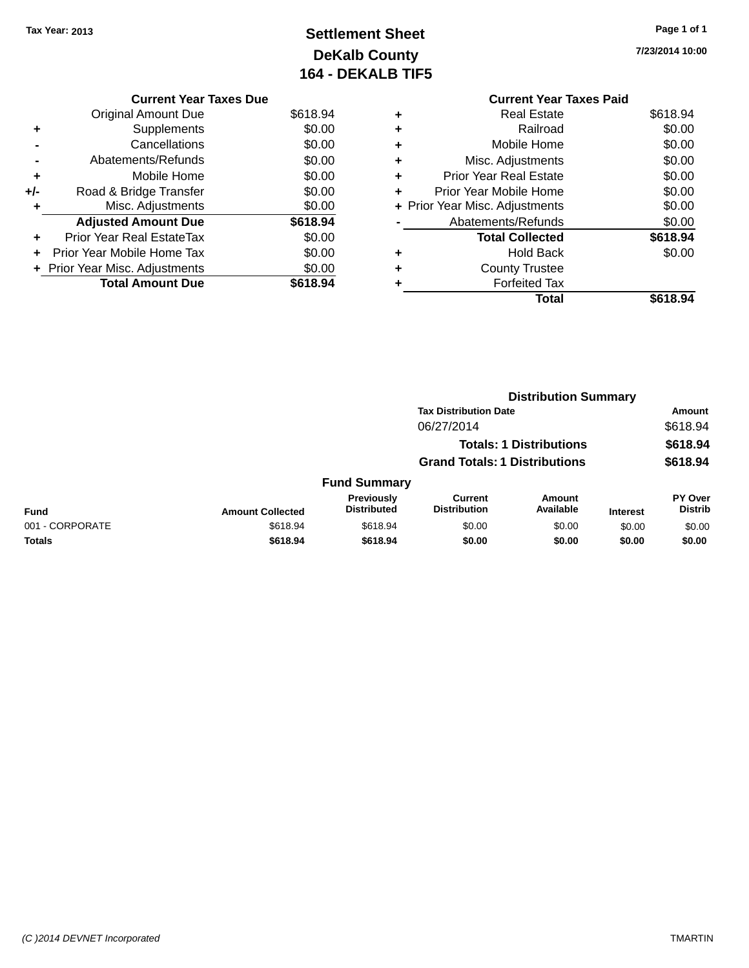## **Settlement Sheet Tax Year: 2013 Page 1 of 1 DeKalb County 164 - DEKALB TIF5**

**7/23/2014 10:00**

|     | <b>Current Year Taxes Due</b>    |          |  |  |  |
|-----|----------------------------------|----------|--|--|--|
|     | <b>Original Amount Due</b>       | \$618.94 |  |  |  |
| ٠   | Supplements                      | \$0.00   |  |  |  |
|     | \$0.00<br>Cancellations          |          |  |  |  |
|     | Abatements/Refunds               | \$0.00   |  |  |  |
| ٠   | Mobile Home                      | \$0.00   |  |  |  |
| +/- | Road & Bridge Transfer           | \$0.00   |  |  |  |
| ٠   | Misc. Adjustments                | \$0.00   |  |  |  |
|     | <b>Adjusted Amount Due</b>       | \$618.94 |  |  |  |
| ٠   | <b>Prior Year Real EstateTax</b> | \$0.00   |  |  |  |
| ÷   | Prior Year Mobile Home Tax       | \$0.00   |  |  |  |
|     | + Prior Year Misc. Adjustments   | \$0.00   |  |  |  |
|     | <b>Total Amount Due</b>          | \$618.94 |  |  |  |

|   | <b>Current Year Taxes Paid</b> |          |
|---|--------------------------------|----------|
| ٠ | <b>Real Estate</b>             | \$618.94 |
| ٠ | Railroad                       | \$0.00   |
| ٠ | Mobile Home                    | \$0.00   |
| ٠ | Misc. Adjustments              | \$0.00   |
| ٠ | Prior Year Real Estate         | \$0.00   |
| ٠ | Prior Year Mobile Home         | \$0.00   |
|   | + Prior Year Misc. Adjustments | \$0.00   |
|   | Abatements/Refunds             | \$0.00   |
|   | <b>Total Collected</b>         | \$618.94 |
|   | Hold Back                      | \$0.00   |
|   | <b>County Trustee</b>          |          |
|   | <b>Forfeited Tax</b>           |          |
|   | Total                          | \$618.94 |
|   |                                |          |

|                 |                         |                                  | <b>Distribution Summary</b>           |                                |                 |                           |  |
|-----------------|-------------------------|----------------------------------|---------------------------------------|--------------------------------|-----------------|---------------------------|--|
|                 |                         |                                  | <b>Tax Distribution Date</b>          |                                |                 | <b>Amount</b>             |  |
|                 |                         |                                  | 06/27/2014                            |                                |                 | \$618.94                  |  |
|                 |                         |                                  |                                       | <b>Totals: 1 Distributions</b> |                 | \$618.94                  |  |
|                 |                         |                                  | <b>Grand Totals: 1 Distributions</b>  |                                |                 | \$618.94                  |  |
|                 |                         | <b>Fund Summary</b>              |                                       |                                |                 |                           |  |
| <b>Fund</b>     | <b>Amount Collected</b> | Previously<br><b>Distributed</b> | <b>Current</b><br><b>Distribution</b> | Amount<br>Available            | <b>Interest</b> | PY Over<br><b>Distrib</b> |  |
| 001 - CORPORATE | \$618.94                | \$618.94                         | \$0.00                                | \$0.00                         | \$0.00          | \$0.00                    |  |
| <b>Totals</b>   | \$618.94                | \$618.94                         | \$0.00                                | \$0.00                         | \$0.00          | \$0.00                    |  |
|                 |                         |                                  |                                       |                                |                 |                           |  |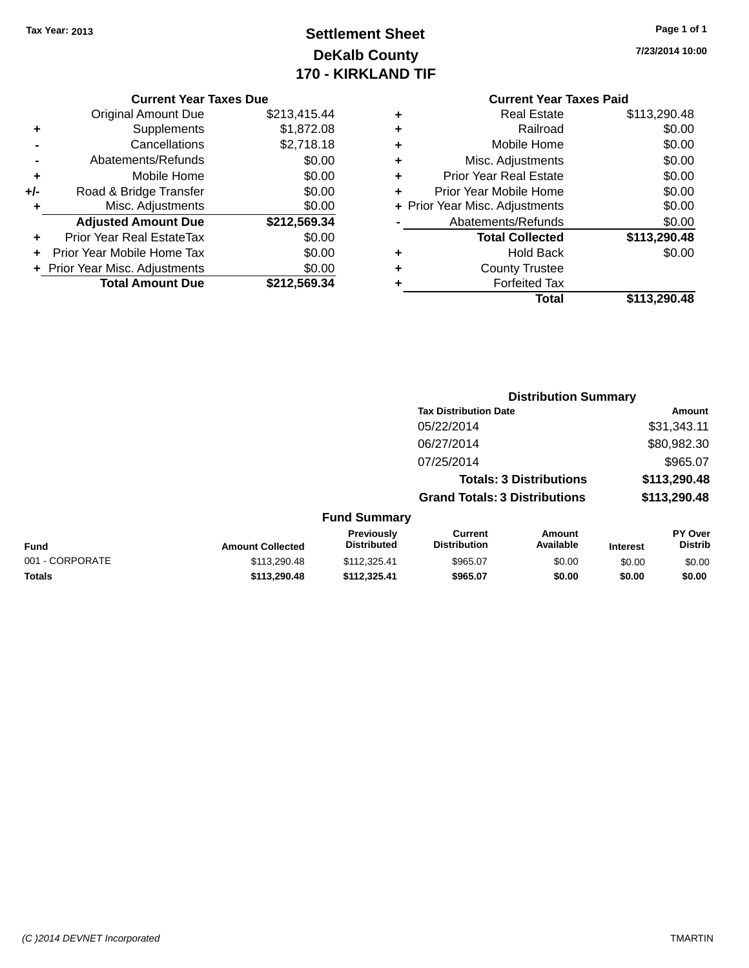## **Settlement Sheet Tax Year: 2013 Page 1 of 1 DeKalb County 170 - KIRKLAND TIF**

**7/23/2014 10:00**

#### **Current Year Taxes Due**

|     | <b>Original Amount Due</b>     | \$213,415.44 |
|-----|--------------------------------|--------------|
| ٠   | Supplements                    | \$1,872.08   |
|     | Cancellations                  | \$2,718.18   |
|     | Abatements/Refunds             | \$0.00       |
| ٠   | Mobile Home                    | \$0.00       |
| +/- | Road & Bridge Transfer         | \$0.00       |
| ٠   | Misc. Adjustments              | \$0.00       |
|     | <b>Adjusted Amount Due</b>     | \$212,569.34 |
| ÷   | Prior Year Real EstateTax      | \$0.00       |
|     | Prior Year Mobile Home Tax     | \$0.00       |
|     | + Prior Year Misc. Adjustments | \$0.00       |
|     | <b>Total Amount Due</b>        | \$212,569.34 |

|   | Total                          | \$113,290.48 |
|---|--------------------------------|--------------|
| ٠ | <b>Forfeited Tax</b>           |              |
| ٠ | <b>County Trustee</b>          |              |
| ٠ | <b>Hold Back</b>               | \$0.00       |
|   | <b>Total Collected</b>         | \$113,290.48 |
|   | Abatements/Refunds             | \$0.00       |
|   | + Prior Year Misc. Adjustments | \$0.00       |
| ٠ | Prior Year Mobile Home         | \$0.00       |
| ٠ | <b>Prior Year Real Estate</b>  | \$0.00       |
| ٠ | Misc. Adjustments              | \$0.00       |
| ٠ | Mobile Home                    | \$0.00       |
| ٠ | Railroad                       | \$0.00       |
| ٠ | <b>Real Estate</b>             | \$113,290.48 |

|                                  |                                      | <b>Distribution Summary</b>    |                                  |
|----------------------------------|--------------------------------------|--------------------------------|----------------------------------|
|                                  | <b>Tax Distribution Date</b>         |                                | Amount                           |
|                                  | 05/22/2014                           |                                | \$31,343.11                      |
|                                  | 06/27/2014                           |                                | \$80,982.30                      |
|                                  | 07/25/2014                           |                                | \$965.07                         |
|                                  |                                      | <b>Totals: 3 Distributions</b> | \$113,290.48                     |
|                                  | <b>Grand Totals: 3 Distributions</b> |                                | \$113,290.48                     |
| <b>Fund Summary</b>              |                                      |                                |                                  |
| <b>Previously</b><br>Diatrik dad | Current<br>Djatellentian             | Amount<br>A                    | <b>PY Over</b><br><b>Diatrik</b> |

| <b>Fund</b>     | <b>Amount Collected</b> | <b>Previously</b><br><b>Distributed</b> | Current<br><b>Distribution</b> | Amount<br><b>Available</b> | Interest | <b>PY Over</b><br>Distrib |
|-----------------|-------------------------|-----------------------------------------|--------------------------------|----------------------------|----------|---------------------------|
| 001 - CORPORATE | \$113,290.48            | \$112.325.41                            | \$965.07                       | \$0.00                     | \$0.00   | \$0.00                    |
| <b>Totals</b>   | \$113,290,48            | \$112.325.41                            | \$965.07                       | \$0.00                     | \$0.00   | \$0.00                    |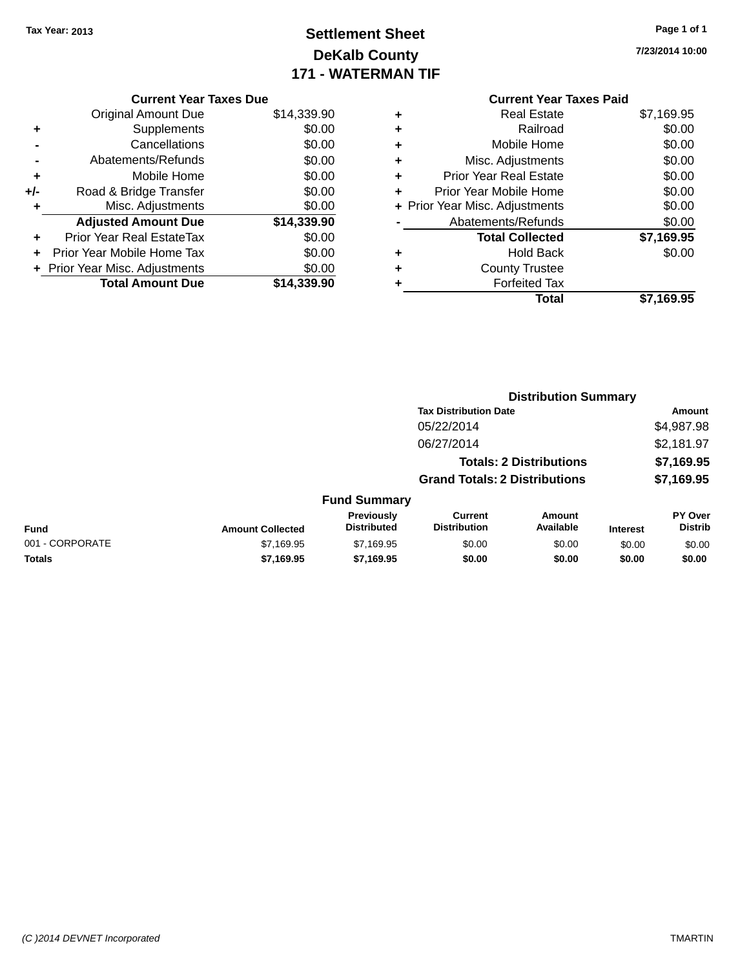## **Settlement Sheet Tax Year: 2013 Page 1 of 1 DeKalb County 171 - WATERMAN TIF**

**7/23/2014 10:00**

| <b>Current Year Taxes Due</b> |                              |  |  |  |  |
|-------------------------------|------------------------------|--|--|--|--|
| Original Amount Due           | \$14,339.90                  |  |  |  |  |
| Supplements                   | \$0.00                       |  |  |  |  |
| Cancellations                 | \$0.00                       |  |  |  |  |
| Abatements/Refunds            | \$0.00                       |  |  |  |  |
| Mobile Home                   | \$0.00                       |  |  |  |  |
| Road & Bridge Transfer        | \$0.00                       |  |  |  |  |
| Misc. Adjustments             | \$0.00                       |  |  |  |  |
| <b>Adjusted Amount Due</b>    | \$14,339.90                  |  |  |  |  |
| Prior Year Real EstateTax     | \$0.00                       |  |  |  |  |
| Prior Year Mobile Home Tax    | \$0.00                       |  |  |  |  |
|                               | \$0.00                       |  |  |  |  |
| <b>Total Amount Due</b>       | \$14.339.90                  |  |  |  |  |
|                               | Prior Year Misc. Adjustments |  |  |  |  |

|   | <b>Real Estate</b>             | \$7,169.95 |
|---|--------------------------------|------------|
|   | Railroad                       | \$0.00     |
| ٠ | Mobile Home                    | \$0.00     |
| ٠ | Misc. Adjustments              | \$0.00     |
| ٠ | <b>Prior Year Real Estate</b>  | \$0.00     |
| ٠ | Prior Year Mobile Home         | \$0.00     |
|   | + Prior Year Misc. Adjustments | \$0.00     |
|   | Abatements/Refunds             | \$0.00     |
|   | <b>Total Collected</b>         | \$7,169.95 |
|   | <b>Hold Back</b>               | \$0.00     |
|   | <b>County Trustee</b>          |            |
|   | <b>Forfeited Tax</b>           |            |
|   | Total                          | \$7,169.95 |
|   |                                |            |

|                 |                         |                                         | <b>Distribution Summary</b>           |                                |                 |                           |  |
|-----------------|-------------------------|-----------------------------------------|---------------------------------------|--------------------------------|-----------------|---------------------------|--|
|                 |                         |                                         | <b>Tax Distribution Date</b>          |                                |                 | <b>Amount</b>             |  |
|                 |                         |                                         | 05/22/2014                            |                                |                 | \$4,987.98                |  |
|                 |                         |                                         | 06/27/2014                            |                                |                 | \$2,181.97                |  |
|                 |                         |                                         |                                       | <b>Totals: 2 Distributions</b> |                 | \$7,169.95                |  |
|                 |                         |                                         | <b>Grand Totals: 2 Distributions</b>  |                                |                 | \$7,169.95                |  |
|                 |                         | <b>Fund Summary</b>                     |                                       |                                |                 |                           |  |
| <b>Fund</b>     | <b>Amount Collected</b> | <b>Previously</b><br><b>Distributed</b> | <b>Current</b><br><b>Distribution</b> | Amount<br>Available            | <b>Interest</b> | PY Over<br><b>Distrib</b> |  |
| 001 - CORPORATE | \$7,169.95              | \$7,169.95                              | \$0.00                                | \$0.00                         | \$0.00          | \$0.00                    |  |
| <b>Totals</b>   | \$7,169.95              | \$7,169.95                              | \$0.00                                | \$0.00                         | \$0.00          | \$0.00                    |  |
|                 |                         |                                         |                                       |                                |                 |                           |  |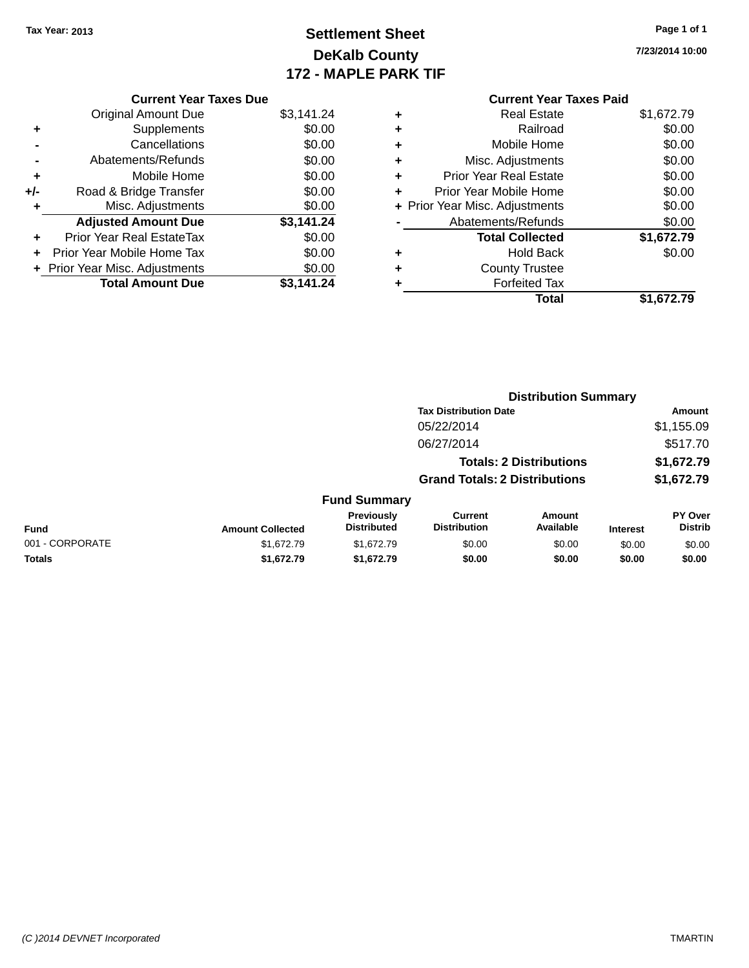## **Settlement Sheet Tax Year: 2013 Page 1 of 1 DeKalb County 172 - MAPLE PARK TIF**

**7/23/2014 10:00**

|     | <b>Current Year Taxes Due</b>  |            |  |  |  |  |
|-----|--------------------------------|------------|--|--|--|--|
|     | <b>Original Amount Due</b>     | \$3,141.24 |  |  |  |  |
| ٠   | Supplements                    | \$0.00     |  |  |  |  |
|     | Cancellations                  | \$0.00     |  |  |  |  |
|     | Abatements/Refunds             | \$0.00     |  |  |  |  |
| ٠   | Mobile Home                    | \$0.00     |  |  |  |  |
| +/- | Road & Bridge Transfer         | \$0.00     |  |  |  |  |
| ٠   | Misc. Adjustments              | \$0.00     |  |  |  |  |
|     | <b>Adjusted Amount Due</b>     | \$3,141.24 |  |  |  |  |
|     | Prior Year Real EstateTax      | \$0.00     |  |  |  |  |
|     | Prior Year Mobile Home Tax     | \$0.00     |  |  |  |  |
|     | + Prior Year Misc. Adjustments | \$0.00     |  |  |  |  |
|     | <b>Total Amount Due</b>        | \$3.141.24 |  |  |  |  |

| ٠ | <b>Real Estate</b>             | \$1,672.79 |
|---|--------------------------------|------------|
| ٠ | Railroad                       | \$0.00     |
| ٠ | Mobile Home                    | \$0.00     |
| ٠ | Misc. Adjustments              | \$0.00     |
| ٠ | <b>Prior Year Real Estate</b>  | \$0.00     |
| ٠ | Prior Year Mobile Home         | \$0.00     |
|   | + Prior Year Misc. Adjustments | \$0.00     |
|   | Abatements/Refunds             | \$0.00     |
|   | <b>Total Collected</b>         | \$1,672.79 |
| ٠ | <b>Hold Back</b>               | \$0.00     |
| ٠ | <b>County Trustee</b>          |            |
| ٠ | <b>Forfeited Tax</b>           |            |
|   | Total                          | \$1.672.79 |
|   |                                |            |

|                 |                         |                                  |                                       | <b>Distribution Summary</b>    |                 |                           |  |
|-----------------|-------------------------|----------------------------------|---------------------------------------|--------------------------------|-----------------|---------------------------|--|
|                 |                         |                                  | <b>Tax Distribution Date</b>          |                                |                 | <b>Amount</b>             |  |
|                 |                         |                                  | 05/22/2014                            |                                |                 | \$1,155.09                |  |
|                 |                         |                                  | 06/27/2014                            |                                |                 | \$517.70                  |  |
|                 |                         |                                  |                                       | <b>Totals: 2 Distributions</b> |                 | \$1,672.79                |  |
|                 |                         |                                  | <b>Grand Totals: 2 Distributions</b>  |                                |                 | \$1,672.79                |  |
|                 |                         | <b>Fund Summary</b>              |                                       |                                |                 |                           |  |
| <b>Fund</b>     | <b>Amount Collected</b> | Previously<br><b>Distributed</b> | <b>Current</b><br><b>Distribution</b> | Amount<br>Available            | <b>Interest</b> | PY Over<br><b>Distrib</b> |  |
| 001 - CORPORATE | \$1,672.79              | \$1,672.79                       | \$0.00                                | \$0.00                         | \$0.00          | \$0.00                    |  |
| <b>Totals</b>   | \$1,672.79              | \$1,672.79                       | \$0.00                                | \$0.00                         | \$0.00          | \$0.00                    |  |
|                 |                         |                                  |                                       |                                |                 |                           |  |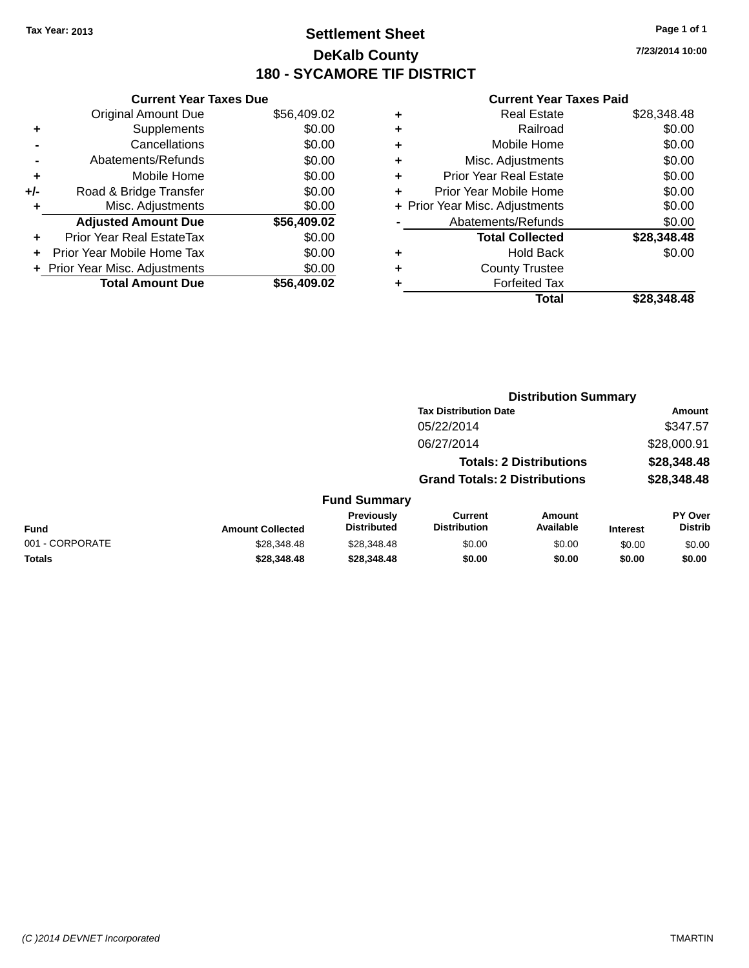## **Settlement Sheet Tax Year: 2013 Page 1 of 1 DeKalb County 180 - SYCAMORE TIF DISTRICT**

**7/23/2014 10:00**

|     | <b>Current Year Taxes Due</b>  |             |
|-----|--------------------------------|-------------|
|     | <b>Original Amount Due</b>     | \$56,409.02 |
| ٠   | Supplements                    | \$0.00      |
|     | Cancellations                  | \$0.00      |
|     | Abatements/Refunds             | \$0.00      |
| ٠   | Mobile Home                    | \$0.00      |
| +/- | Road & Bridge Transfer         | \$0.00      |
|     | Misc. Adjustments              | \$0.00      |
|     | <b>Adjusted Amount Due</b>     | \$56,409.02 |
| ÷   | Prior Year Real EstateTax      | \$0.00      |
|     | Prior Year Mobile Home Tax     | \$0.00      |
|     | + Prior Year Misc. Adjustments | \$0.00      |
|     | <b>Total Amount Due</b>        | \$56.409.02 |
|     |                                |             |

| ٠ | <b>Real Estate</b>             | \$28,348.48 |
|---|--------------------------------|-------------|
| ٠ | Railroad                       | \$0.00      |
| ٠ | Mobile Home                    | \$0.00      |
| ٠ | Misc. Adjustments              | \$0.00      |
| ٠ | <b>Prior Year Real Estate</b>  | \$0.00      |
| ٠ | Prior Year Mobile Home         | \$0.00      |
|   | + Prior Year Misc. Adjustments | \$0.00      |
|   | Abatements/Refunds             | \$0.00      |
|   | <b>Total Collected</b>         | \$28,348.48 |
| ٠ | <b>Hold Back</b>               | \$0.00      |
| ٠ | <b>County Trustee</b>          |             |
| ٠ | <b>Forfeited Tax</b>           |             |
|   | Total                          | \$28.348.48 |
|   |                                |             |

|                 |                         |                                  |                                       | <b>Distribution Summary</b>    |                 |                           |
|-----------------|-------------------------|----------------------------------|---------------------------------------|--------------------------------|-----------------|---------------------------|
|                 |                         |                                  | <b>Tax Distribution Date</b>          |                                |                 | <b>Amount</b>             |
|                 |                         |                                  | 05/22/2014                            |                                |                 | \$347.57                  |
|                 |                         |                                  | 06/27/2014                            |                                |                 | \$28,000.91               |
|                 |                         |                                  |                                       | <b>Totals: 2 Distributions</b> |                 | \$28,348.48               |
|                 |                         |                                  | <b>Grand Totals: 2 Distributions</b>  |                                |                 | \$28,348.48               |
|                 |                         | <b>Fund Summary</b>              |                                       |                                |                 |                           |
| <b>Fund</b>     | <b>Amount Collected</b> | Previously<br><b>Distributed</b> | <b>Current</b><br><b>Distribution</b> | Amount<br>Available            | <b>Interest</b> | PY Over<br><b>Distrib</b> |
| 001 - CORPORATE | \$28,348.48             | \$28,348.48                      | \$0.00                                | \$0.00                         | \$0.00          | \$0.00                    |
| <b>Totals</b>   | \$28,348.48             | \$28,348.48                      | \$0.00                                | \$0.00                         | \$0.00          | \$0.00                    |
|                 |                         |                                  |                                       |                                |                 |                           |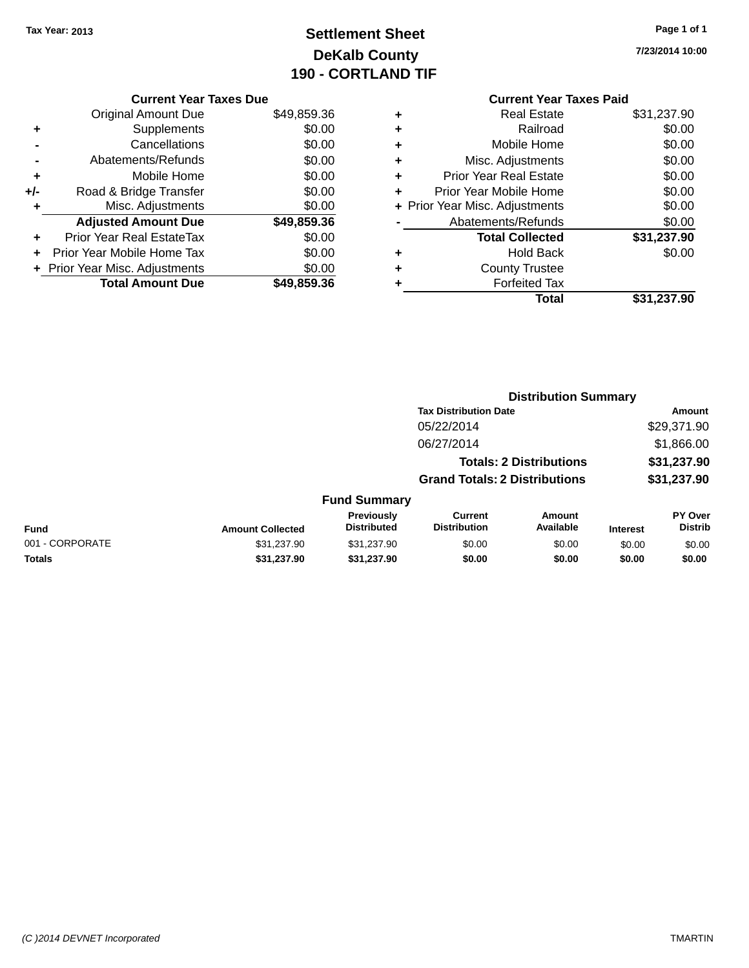## **Settlement Sheet Tax Year: 2013 Page 1 of 1 DeKalb County 190 - CORTLAND TIF**

**7/23/2014 10:00**

|     | <b>Current Year Taxes Due</b>  |             |
|-----|--------------------------------|-------------|
|     | <b>Original Amount Due</b>     | \$49,859.36 |
| ٠   | Supplements                    | \$0.00      |
|     | Cancellations                  | \$0.00      |
|     | Abatements/Refunds             | \$0.00      |
| ٠   | Mobile Home                    | \$0.00      |
| +/- | Road & Bridge Transfer         | \$0.00      |
| ٠   | Misc. Adjustments              | \$0.00      |
|     | <b>Adjusted Amount Due</b>     | \$49,859.36 |
| ٠   | Prior Year Real EstateTax      | \$0.00      |
|     | Prior Year Mobile Home Tax     | \$0.00      |
|     | + Prior Year Misc. Adjustments | \$0.00      |
|     | <b>Total Amount Due</b>        | \$49,859.36 |
|     |                                |             |

### **Current Year Taxes Paid +** Real Estate \$31,237.90 **+** Railroad \$0.00 **+** Mobile Home \$0.00 **+** Misc. Adjustments \$0.00 **+** Prior Year Real Estate \$0.00 **+** Prior Year Mobile Home \$0.00 **+ Prior Year Misc. Adjustments**  $$0.00$ **-** Abatements/Refunds \$0.00 **Total Collected \$31,237.90 +** Hold Back \$0.00 **+** County Trustee **+** Forfeited Tax **Total \$31,237.90**

**Distribution Summary**

|                 |                         |                                  |                                       | PISUINUUVII VUIIIIIIAI Y       |                 |                                  |  |
|-----------------|-------------------------|----------------------------------|---------------------------------------|--------------------------------|-----------------|----------------------------------|--|
|                 |                         |                                  | <b>Tax Distribution Date</b>          |                                |                 | Amount                           |  |
|                 |                         |                                  | 05/22/2014                            |                                |                 | \$29,371.90                      |  |
|                 |                         |                                  | 06/27/2014                            |                                |                 | \$1,866.00                       |  |
|                 |                         |                                  |                                       | <b>Totals: 2 Distributions</b> |                 | \$31,237.90                      |  |
|                 |                         |                                  | <b>Grand Totals: 2 Distributions</b>  |                                |                 | \$31,237.90                      |  |
|                 |                         | <b>Fund Summary</b>              |                                       |                                |                 |                                  |  |
| Fund            | <b>Amount Collected</b> | Previously<br><b>Distributed</b> | <b>Current</b><br><b>Distribution</b> | Amount<br>Available            | <b>Interest</b> | <b>PY Over</b><br><b>Distrib</b> |  |
| 001 - CORPORATE | \$31,237.90             | \$31,237.90                      | \$0.00                                | \$0.00                         | \$0.00          | \$0.00                           |  |
| Totals          | \$31.237.90             | \$31,237.90                      | \$0.00                                | \$0.00                         | \$0.00          | \$0.00                           |  |
|                 |                         |                                  |                                       |                                |                 |                                  |  |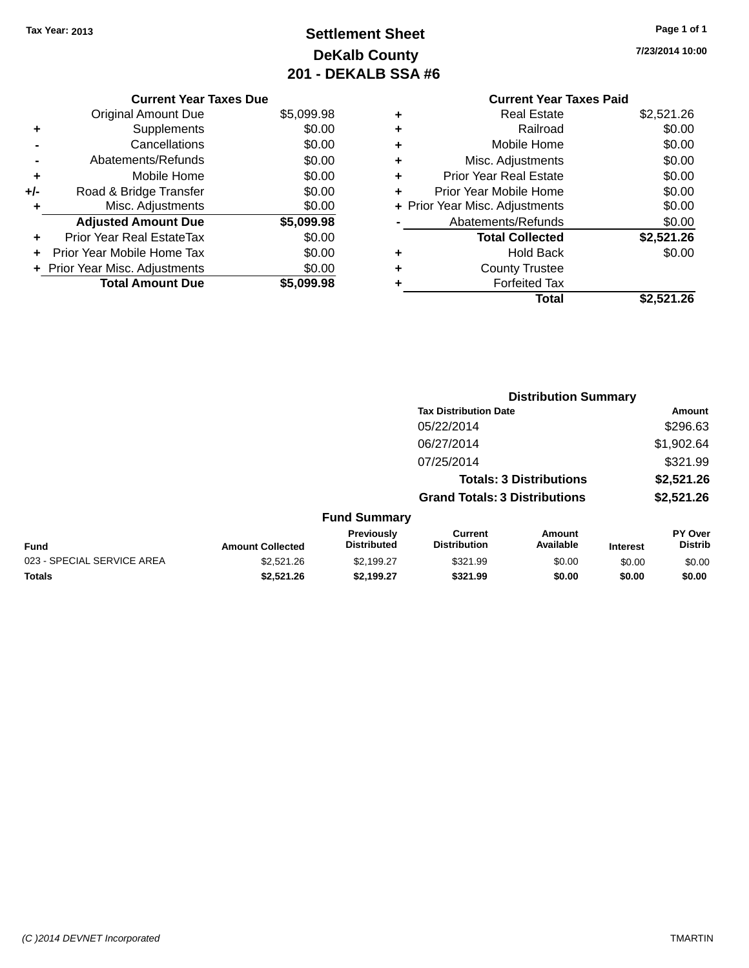## **Settlement Sheet Tax Year: 2013 Page 1 of 1 DeKalb County 201 - DEKALB SSA #6**

**7/23/2014 10:00**

|     | <b>Current Year Taxes Due</b>    |            |
|-----|----------------------------------|------------|
|     | <b>Original Amount Due</b>       | \$5,099.98 |
| ٠   | Supplements                      | \$0.00     |
|     | Cancellations                    | \$0.00     |
| -   | Abatements/Refunds               | \$0.00     |
| ٠   | Mobile Home                      | \$0.00     |
| +/- | Road & Bridge Transfer           | \$0.00     |
| ٠   | Misc. Adjustments                | \$0.00     |
|     | <b>Adjusted Amount Due</b>       | \$5,099.98 |
| ÷   | <b>Prior Year Real EstateTax</b> | \$0.00     |
| ٠   | Prior Year Mobile Home Tax       | \$0.00     |
|     | + Prior Year Misc. Adjustments   | \$0.00     |
|     | <b>Total Amount Due</b>          | \$5.099.98 |

### **Current Year Taxes Paid +** Real Estate \$2,521.26 **+** Railroad \$0.00 **+** Mobile Home \$0.00 **+** Misc. Adjustments \$0.00 **+** Prior Year Real Estate \$0.00 **+** Prior Year Mobile Home \$0.00 **+ Prior Year Misc. Adjustments \$0.00 -** Abatements/Refunds \$0.00 **Total Collected \$2,521.26 +** Hold Back \$0.00 **+** County Trustee **+** Forfeited Tax **Total \$2,521.26**

|                            |                         |                                  | <b>Distribution Summary</b>           |                                |                 |                           |
|----------------------------|-------------------------|----------------------------------|---------------------------------------|--------------------------------|-----------------|---------------------------|
|                            |                         |                                  | <b>Tax Distribution Date</b>          |                                |                 | Amount                    |
|                            |                         |                                  | 05/22/2014                            |                                |                 | \$296.63                  |
|                            |                         |                                  | 06/27/2014                            |                                |                 | \$1,902.64                |
|                            |                         |                                  | 07/25/2014                            |                                |                 | \$321.99                  |
|                            |                         |                                  |                                       | <b>Totals: 3 Distributions</b> |                 | \$2,521.26                |
|                            |                         |                                  | <b>Grand Totals: 3 Distributions</b>  |                                |                 | \$2,521.26                |
|                            |                         | <b>Fund Summary</b>              |                                       |                                |                 |                           |
| <b>Fund</b>                | <b>Amount Collected</b> | Previously<br><b>Distributed</b> | <b>Current</b><br><b>Distribution</b> | Amount<br>Available            | <b>Interest</b> | PY Over<br><b>Distrib</b> |
| 023 - SPECIAL SERVICE AREA | \$2,521.26              | \$2,199.27                       | \$321.99                              | \$0.00                         | \$0.00          | \$0.00                    |
| <b>Totals</b>              | \$2.521.26              | \$2,199.27                       | \$321.99                              | \$0.00                         | \$0.00          | \$0.00                    |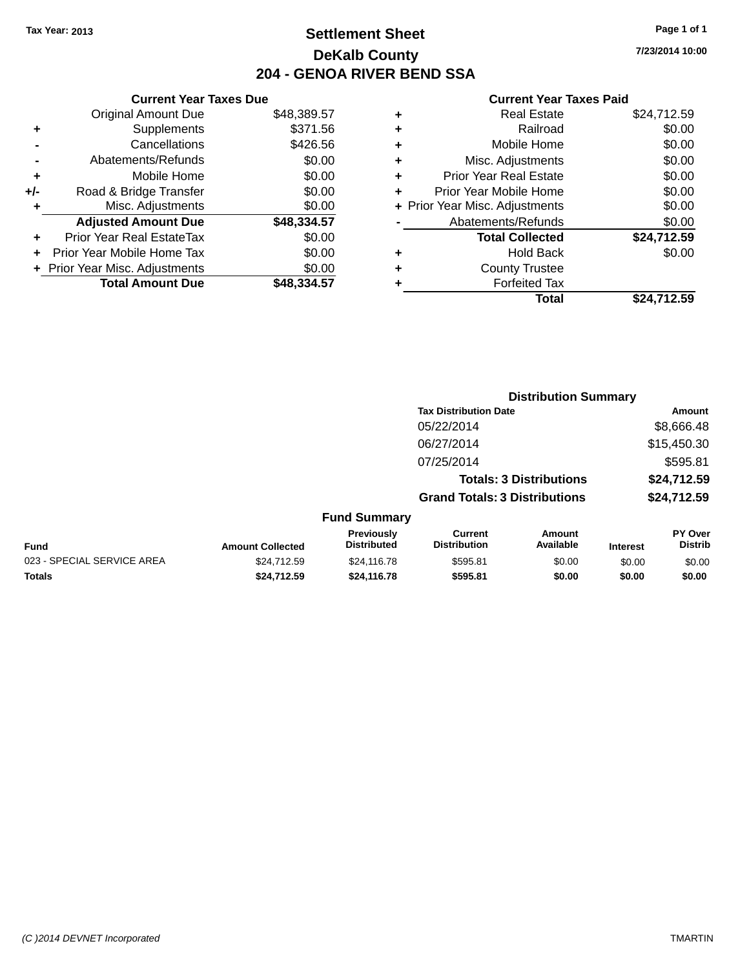## **Settlement Sheet Tax Year: 2013 Page 1 of 1 DeKalb County 204 - GENOA RIVER BEND SSA**

**7/23/2014 10:00**

|       | <b>Current Year Taxes Due</b>  |             |
|-------|--------------------------------|-------------|
|       | <b>Original Amount Due</b>     | \$48,389.57 |
| ٠     | Supplements                    | \$371.56    |
|       | Cancellations                  | \$426.56    |
|       | Abatements/Refunds             | \$0.00      |
| ٠     | Mobile Home                    | \$0.00      |
| $+/-$ | Road & Bridge Transfer         | \$0.00      |
| ٠     | Misc. Adjustments              | \$0.00      |
|       | <b>Adjusted Amount Due</b>     | \$48,334.57 |
| ٠     | Prior Year Real EstateTax      | \$0.00      |
|       | Prior Year Mobile Home Tax     | \$0.00      |
|       | + Prior Year Misc. Adjustments | \$0.00      |
|       | <b>Total Amount Due</b>        | \$48.334.57 |
|       |                                |             |

|   | <b>Real Estate</b>             | \$24,712.59 |
|---|--------------------------------|-------------|
| ٠ | Railroad                       | \$0.00      |
| ٠ | Mobile Home                    | \$0.00      |
| ٠ | Misc. Adjustments              | \$0.00      |
| ٠ | <b>Prior Year Real Estate</b>  | \$0.00      |
| ÷ | Prior Year Mobile Home         | \$0.00      |
|   | + Prior Year Misc. Adjustments | \$0.00      |
|   | Abatements/Refunds             | \$0.00      |
|   | <b>Total Collected</b>         | \$24,712.59 |
| ٠ | Hold Back                      | \$0.00      |
| ٠ | <b>County Trustee</b>          |             |
| ٠ | <b>Forfeited Tax</b>           |             |
|   | Total                          | \$24,712.59 |
|   |                                |             |

|                            |                         |                                  |                                       | <b>Distribution Summary</b>    |                 |                                  |
|----------------------------|-------------------------|----------------------------------|---------------------------------------|--------------------------------|-----------------|----------------------------------|
|                            |                         |                                  | <b>Tax Distribution Date</b>          |                                |                 | Amount                           |
|                            |                         |                                  | 05/22/2014                            |                                |                 | \$8,666.48                       |
|                            |                         |                                  | 06/27/2014                            |                                |                 | \$15,450.30                      |
|                            |                         |                                  | 07/25/2014                            |                                |                 | \$595.81                         |
|                            |                         |                                  |                                       | <b>Totals: 3 Distributions</b> |                 | \$24,712.59                      |
|                            |                         |                                  | <b>Grand Totals: 3 Distributions</b>  |                                |                 | \$24,712.59                      |
|                            |                         | <b>Fund Summary</b>              |                                       |                                |                 |                                  |
| Fund                       | <b>Amount Collected</b> | Previously<br><b>Distributed</b> | <b>Current</b><br><b>Distribution</b> | Amount<br>Available            | <b>Interest</b> | <b>PY Over</b><br><b>Distrib</b> |
| 023 - SPECIAL SERVICE AREA | \$24,712.59             | \$24,116.78                      | \$595.81                              | \$0.00                         | \$0.00          | \$0.00                           |
| <b>Totals</b>              | \$24,712.59             | \$24,116.78                      | \$595.81                              | \$0.00                         | \$0.00          | \$0.00                           |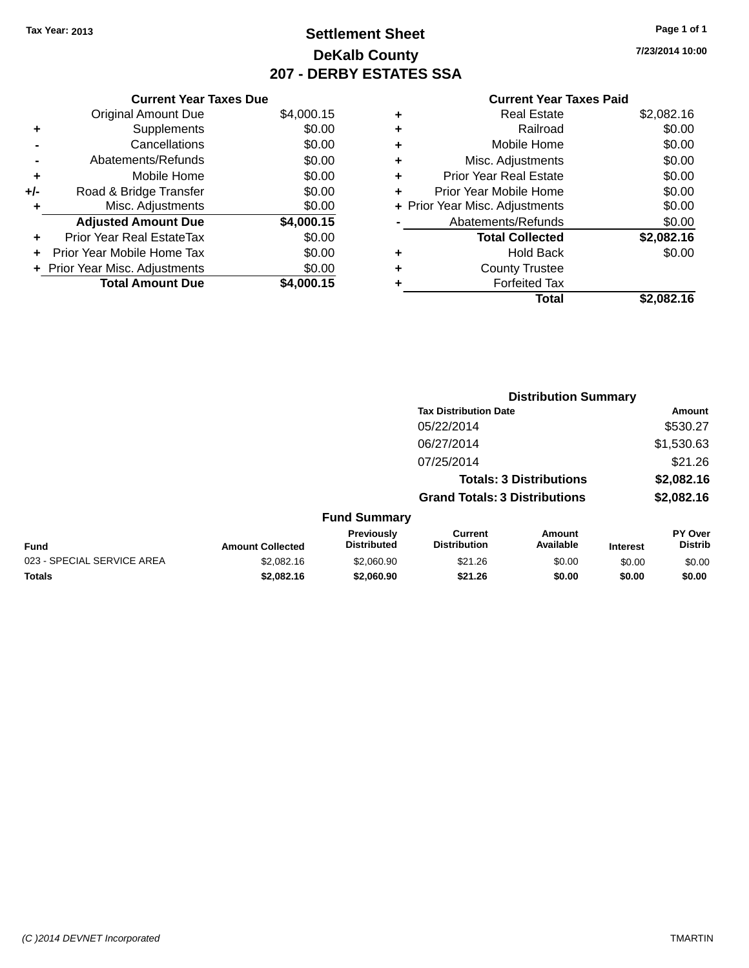## **Settlement Sheet Tax Year: 2013 Page 1 of 1 DeKalb County 207 - DERBY ESTATES SSA**

**7/23/2014 10:00**

|     | <b>Current Year Taxes Due</b>     |            |
|-----|-----------------------------------|------------|
|     | <b>Original Amount Due</b>        | \$4,000.15 |
| ٠   | Supplements                       | \$0.00     |
|     | Cancellations                     | \$0.00     |
|     | Abatements/Refunds                | \$0.00     |
| ٠   | Mobile Home                       | \$0.00     |
| +/- | Road & Bridge Transfer            | \$0.00     |
|     | Misc. Adjustments                 | \$0.00     |
|     | <b>Adjusted Amount Due</b>        | \$4,000.15 |
|     | Prior Year Real EstateTax         | \$0.00     |
|     | <b>Prior Year Mobile Home Tax</b> | \$0.00     |
|     | + Prior Year Misc. Adjustments    | \$0.00     |
|     | <b>Total Amount Due</b>           | \$4,000.15 |

|   | <b>Real Estate</b>             | \$2,082.16 |
|---|--------------------------------|------------|
| ٠ | Railroad                       | \$0.00     |
| ٠ | Mobile Home                    | \$0.00     |
| ٠ | Misc. Adjustments              | \$0.00     |
| ٠ | <b>Prior Year Real Estate</b>  | \$0.00     |
| ٠ | Prior Year Mobile Home         | \$0.00     |
|   | + Prior Year Misc. Adjustments | \$0.00     |
|   | Abatements/Refunds             | \$0.00     |
|   | <b>Total Collected</b>         | \$2,082.16 |
| ٠ | <b>Hold Back</b>               | \$0.00     |
| ٠ | <b>County Trustee</b>          |            |
| ٠ | <b>Forfeited Tax</b>           |            |
|   | Total                          | \$2.082.16 |
|   |                                |            |

|                            |                         |                                  |                                      | <b>Distribution Summary</b> |                 |                           |
|----------------------------|-------------------------|----------------------------------|--------------------------------------|-----------------------------|-----------------|---------------------------|
|                            |                         |                                  | <b>Tax Distribution Date</b>         |                             |                 | Amount                    |
|                            |                         |                                  | 05/22/2014                           |                             |                 | \$530.27                  |
|                            |                         |                                  | 06/27/2014                           |                             |                 | \$1,530.63                |
|                            |                         |                                  | 07/25/2014                           |                             |                 | \$21.26                   |
|                            |                         |                                  | <b>Totals: 3 Distributions</b>       |                             |                 | \$2,082.16                |
|                            |                         |                                  | <b>Grand Totals: 3 Distributions</b> |                             |                 | \$2,082.16                |
|                            |                         | <b>Fund Summary</b>              |                                      |                             |                 |                           |
| <b>Fund</b>                | <b>Amount Collected</b> | Previously<br><b>Distributed</b> | Current<br><b>Distribution</b>       | Amount<br>Available         | <b>Interest</b> | PY Over<br><b>Distrib</b> |
| 023 - SPECIAL SERVICE AREA | \$2,082.16              | \$2,060.90                       | \$21.26                              | \$0.00                      | \$0.00          | \$0.00                    |
| <b>Totals</b>              | \$2,082.16              | \$2,060.90                       | \$21.26                              | \$0.00                      | \$0.00          | \$0.00                    |
|                            |                         |                                  |                                      |                             |                 |                           |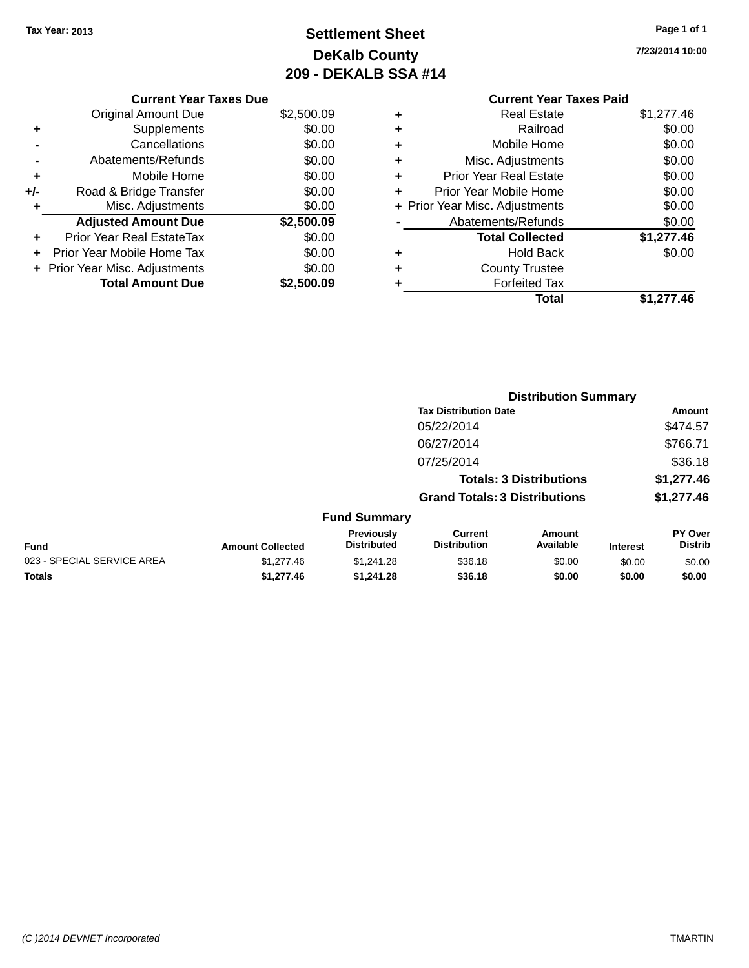## **Settlement Sheet Tax Year: 2013 Page 1 of 1 DeKalb County 209 - DEKALB SSA #14**

**7/23/2014 10:00**

|     | <b>Current Year Taxes Due</b>  |            |
|-----|--------------------------------|------------|
|     | <b>Original Amount Due</b>     | \$2,500.09 |
| ٠   | Supplements                    | \$0.00     |
|     | Cancellations                  | \$0.00     |
|     | Abatements/Refunds             | \$0.00     |
| ٠   | Mobile Home                    | \$0.00     |
| +/- | Road & Bridge Transfer         | \$0.00     |
| ٠   | Misc. Adjustments              | \$0.00     |
|     | <b>Adjusted Amount Due</b>     | \$2,500.09 |
|     | Prior Year Real EstateTax      | \$0.00     |
|     | Prior Year Mobile Home Tax     | \$0.00     |
|     | + Prior Year Misc. Adjustments | \$0.00     |
|     | <b>Total Amount Due</b>        | \$2,500.09 |
|     |                                |            |

### **Current Year Taxes Paid +** Real Estate \$1,277.46

|   | Total                          | \$1,277.46     |
|---|--------------------------------|----------------|
|   | <b>Forfeited Tax</b>           |                |
| ٠ | <b>County Trustee</b>          |                |
|   | <b>Hold Back</b>               | \$0.00         |
|   | <b>Total Collected</b>         | \$1,277.46     |
|   | Abatements/Refunds             | \$0.00         |
|   | + Prior Year Misc. Adjustments | \$0.00         |
|   | Prior Year Mobile Home         | \$0.00         |
| ÷ | <b>Prior Year Real Estate</b>  | \$0.00         |
| ÷ | Misc. Adjustments              | \$0.00         |
| ÷ | Mobile Home                    | \$0.00         |
| ÷ | Railroad                       | \$0.00         |
| ۰ | Real Estate                    | <del>9</del> 9 |

|                            |                         |                                  | <b>Distribution Summary</b>           |                                |                 |                           |
|----------------------------|-------------------------|----------------------------------|---------------------------------------|--------------------------------|-----------------|---------------------------|
|                            |                         |                                  | <b>Tax Distribution Date</b>          |                                |                 | Amount                    |
|                            |                         |                                  | 05/22/2014                            |                                |                 | \$474.57                  |
|                            |                         |                                  | 06/27/2014                            |                                |                 | \$766.71                  |
|                            |                         |                                  | 07/25/2014                            |                                |                 | \$36.18                   |
|                            |                         |                                  |                                       | <b>Totals: 3 Distributions</b> |                 | \$1,277.46                |
|                            |                         |                                  | <b>Grand Totals: 3 Distributions</b>  |                                |                 | \$1,277.46                |
|                            |                         | <b>Fund Summary</b>              |                                       |                                |                 |                           |
| <b>Fund</b>                | <b>Amount Collected</b> | Previously<br><b>Distributed</b> | <b>Current</b><br><b>Distribution</b> | Amount<br>Available            | <b>Interest</b> | PY Over<br><b>Distrib</b> |
| 023 - SPECIAL SERVICE AREA | \$1,277.46              | \$1,241.28                       | \$36.18                               | \$0.00                         | \$0.00          | \$0.00                    |
| Totals                     | \$1,277.46              | \$1,241.28                       | \$36.18                               | \$0.00                         | \$0.00          | \$0.00                    |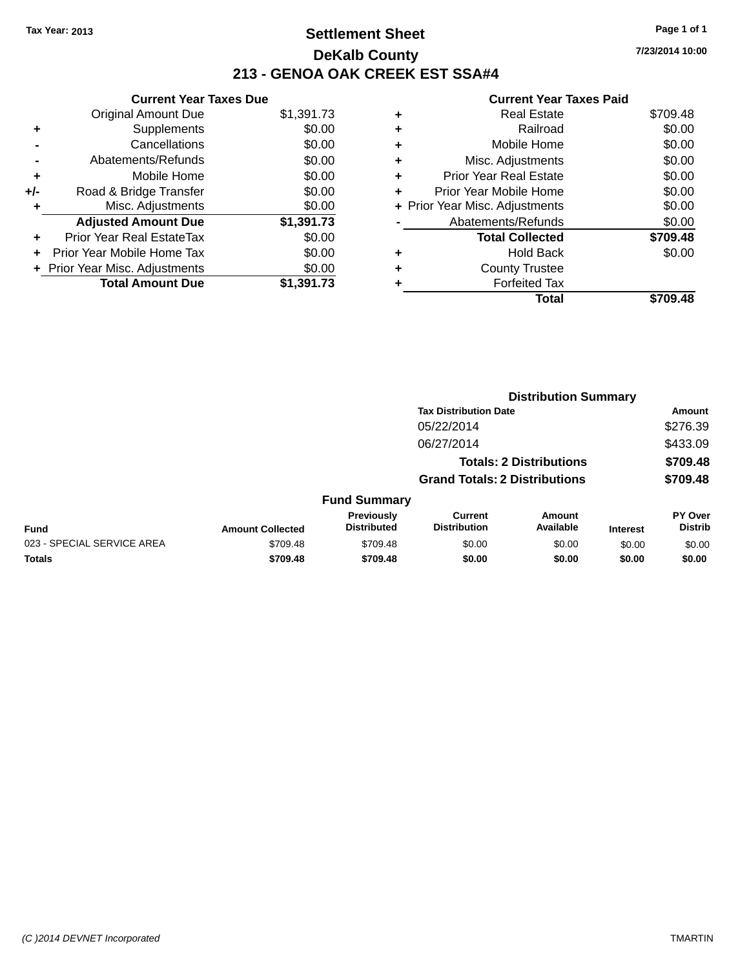## **Settlement Sheet Tax Year: 2013 Page 1 of 1 DeKalb County 213 - GENOA OAK CREEK EST SSA#4**

|       | <b>Current Year Taxes Due</b>  |            |
|-------|--------------------------------|------------|
|       | <b>Original Amount Due</b>     | \$1,391.73 |
| ٠     | Supplements                    | \$0.00     |
|       | Cancellations                  | \$0.00     |
|       | Abatements/Refunds             | \$0.00     |
| ÷     | Mobile Home                    | \$0.00     |
| $+/-$ | Road & Bridge Transfer         | \$0.00     |
| ۰     | Misc. Adjustments              | \$0.00     |
|       | <b>Adjusted Amount Due</b>     | \$1,391.73 |
| ÷     | Prior Year Real EstateTax      | \$0.00     |
|       | Prior Year Mobile Home Tax     | \$0.00     |
|       | + Prior Year Misc. Adjustments | \$0.00     |
|       | <b>Total Amount Due</b>        | \$1,391.73 |

| ٠ | Real Estate                    | \$709.48 |
|---|--------------------------------|----------|
| ٠ | Railroad                       | \$0.00   |
| ٠ | Mobile Home                    | \$0.00   |
| ٠ | Misc. Adjustments              | \$0.00   |
| ٠ | <b>Prior Year Real Estate</b>  | \$0.00   |
| ٠ | Prior Year Mobile Home         | \$0.00   |
|   | + Prior Year Misc. Adjustments | \$0.00   |
|   | Abatements/Refunds             | \$0.00   |
|   | <b>Total Collected</b>         | \$709.48 |
| ٠ | <b>Hold Back</b>               | \$0.00   |
| ٠ | <b>County Trustee</b>          |          |
|   | <b>Forfeited Tax</b>           |          |
|   | Total                          | \$709.48 |
|   |                                |          |

|                            |                         |                                         |                                       | <b>Distribution Summary</b>    |                 |                           |
|----------------------------|-------------------------|-----------------------------------------|---------------------------------------|--------------------------------|-----------------|---------------------------|
|                            |                         |                                         | <b>Tax Distribution Date</b>          |                                |                 | Amount                    |
|                            |                         |                                         | 05/22/2014                            |                                |                 | \$276.39                  |
|                            |                         |                                         | 06/27/2014                            |                                |                 | \$433.09                  |
|                            |                         |                                         |                                       | <b>Totals: 2 Distributions</b> |                 | \$709.48                  |
|                            |                         |                                         | <b>Grand Totals: 2 Distributions</b>  |                                |                 | \$709.48                  |
|                            |                         | <b>Fund Summary</b>                     |                                       |                                |                 |                           |
| <b>Fund</b>                | <b>Amount Collected</b> | <b>Previously</b><br><b>Distributed</b> | <b>Current</b><br><b>Distribution</b> | Amount<br>Available            | <b>Interest</b> | PY Over<br><b>Distrib</b> |
| 023 - SPECIAL SERVICE AREA | \$709.48                | \$709.48                                | \$0.00                                | \$0.00                         | \$0.00          | \$0.00                    |
| <b>Totals</b>              | \$709.48                | \$709.48                                | \$0.00                                | \$0.00                         | \$0.00          | \$0.00                    |
|                            |                         |                                         |                                       |                                |                 |                           |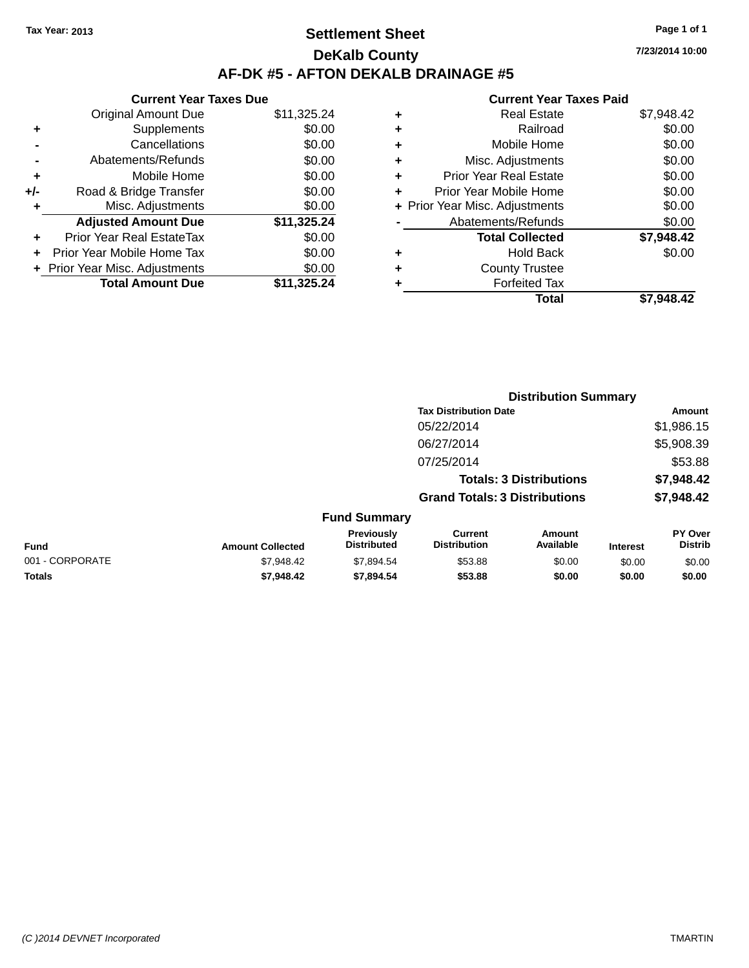## **Settlement Sheet Tax Year: 2013 Page 1 of 1 DeKalb County AF-DK #5 - AFTON DEKALB DRAINAGE #5**

| <b>Current Year Taxes Due</b>  |             |
|--------------------------------|-------------|
| <b>Original Amount Due</b>     | \$11,325.24 |
| Supplements                    | \$0.00      |
| Cancellations                  | \$0.00      |
| Abatements/Refunds             | \$0.00      |
| Mobile Home                    | \$0.00      |
| Road & Bridge Transfer         | \$0.00      |
| Misc. Adjustments              | \$0.00      |
| <b>Adjusted Amount Due</b>     | \$11,325.24 |
| Prior Year Real EstateTax      | \$0.00      |
| Prior Year Mobile Home Tax     | \$0.00      |
| + Prior Year Misc. Adjustments | \$0.00      |
| <b>Total Amount Due</b>        | \$11,325.24 |
|                                |             |

|   | <b>Real Estate</b>             | \$7,948.42 |
|---|--------------------------------|------------|
| ٠ | Railroad                       | \$0.00     |
| ٠ | Mobile Home                    | \$0.00     |
| ٠ | Misc. Adjustments              | \$0.00     |
| ٠ | <b>Prior Year Real Estate</b>  | \$0.00     |
| ٠ | Prior Year Mobile Home         | \$0.00     |
|   | + Prior Year Misc. Adjustments | \$0.00     |
|   | Abatements/Refunds             | \$0.00     |
|   | <b>Total Collected</b>         | \$7,948.42 |
| ٠ | Hold Back                      | \$0.00     |
| ٠ | <b>County Trustee</b>          |            |
| ٠ | <b>Forfeited Tax</b>           |            |
|   | Total                          | \$7.948.42 |
|   |                                |            |

|                 |                         |                                  |                                       | <b>Distribution Summary</b>    |                 |                           |
|-----------------|-------------------------|----------------------------------|---------------------------------------|--------------------------------|-----------------|---------------------------|
|                 |                         |                                  | <b>Tax Distribution Date</b>          |                                |                 | Amount                    |
|                 |                         |                                  | 05/22/2014                            |                                |                 | \$1,986.15                |
|                 |                         |                                  | 06/27/2014                            |                                |                 | \$5,908.39                |
|                 |                         |                                  | 07/25/2014                            |                                |                 | \$53.88                   |
|                 |                         |                                  |                                       | <b>Totals: 3 Distributions</b> |                 | \$7,948.42                |
|                 |                         |                                  | <b>Grand Totals: 3 Distributions</b>  |                                |                 | \$7,948.42                |
|                 |                         | <b>Fund Summary</b>              |                                       |                                |                 |                           |
| <b>Fund</b>     | <b>Amount Collected</b> | Previously<br><b>Distributed</b> | <b>Current</b><br><b>Distribution</b> | Amount<br>Available            | <b>Interest</b> | PY Over<br><b>Distrib</b> |
| 001 - CORPORATE | \$7,948.42              | \$7,894.54                       | \$53.88                               | \$0.00                         | \$0.00          | \$0.00                    |
| <b>Totals</b>   | \$7,948.42              | \$7,894.54                       | \$53.88                               | \$0.00                         | \$0.00          | \$0.00                    |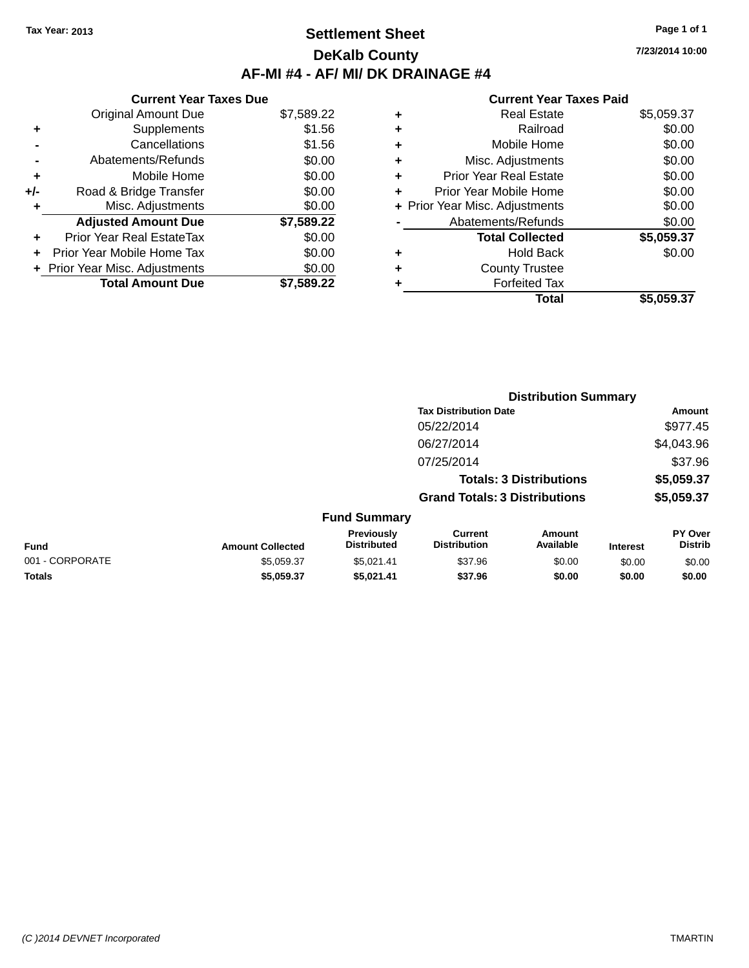## **Settlement Sheet Tax Year: 2013 Page 1 of 1 DeKalb County AF-MI #4 - AF/ MI/ DK DRAINAGE #4**

**7/23/2014 10:00**

|     | <b>Current Year Taxes Due</b>  |            |  |  |  |
|-----|--------------------------------|------------|--|--|--|
|     | <b>Original Amount Due</b>     | \$7,589.22 |  |  |  |
| ٠   | Supplements                    | \$1.56     |  |  |  |
|     | Cancellations                  | \$1.56     |  |  |  |
|     | Abatements/Refunds             | \$0.00     |  |  |  |
| ٠   | Mobile Home                    | \$0.00     |  |  |  |
| +/- | Road & Bridge Transfer         | \$0.00     |  |  |  |
|     | Misc. Adjustments              | \$0.00     |  |  |  |
|     | <b>Adjusted Amount Due</b>     | \$7,589.22 |  |  |  |
| ÷   | Prior Year Real EstateTax      | \$0.00     |  |  |  |
|     | Prior Year Mobile Home Tax     | \$0.00     |  |  |  |
|     | + Prior Year Misc. Adjustments | \$0.00     |  |  |  |
|     | <b>Total Amount Due</b>        | \$7.589.22 |  |  |  |

|   | <b>Real Estate</b>             | \$5,059.37 |
|---|--------------------------------|------------|
| ٠ | Railroad                       | \$0.00     |
| ٠ | Mobile Home                    | \$0.00     |
| ٠ | Misc. Adjustments              | \$0.00     |
| ٠ | <b>Prior Year Real Estate</b>  | \$0.00     |
| ÷ | Prior Year Mobile Home         | \$0.00     |
|   | + Prior Year Misc. Adjustments | \$0.00     |
|   | Abatements/Refunds             | \$0.00     |
|   | <b>Total Collected</b>         | \$5,059.37 |
| ٠ | Hold Back                      | \$0.00     |
| ٠ | <b>County Trustee</b>          |            |
| ٠ | <b>Forfeited Tax</b>           |            |
|   | Total                          | \$5,059.37 |
|   |                                |            |

|                 | <b>Distribution Summary</b> |                                  |                                       |                                |                 |                           |  |
|-----------------|-----------------------------|----------------------------------|---------------------------------------|--------------------------------|-----------------|---------------------------|--|
|                 |                             |                                  | <b>Tax Distribution Date</b>          |                                |                 | Amount                    |  |
|                 |                             |                                  | 05/22/2014                            |                                |                 | \$977.45                  |  |
|                 |                             |                                  | 06/27/2014                            |                                |                 | \$4,043.96                |  |
|                 |                             |                                  | 07/25/2014                            |                                |                 | \$37.96                   |  |
|                 |                             |                                  |                                       | <b>Totals: 3 Distributions</b> |                 | \$5,059.37                |  |
|                 |                             |                                  | <b>Grand Totals: 3 Distributions</b>  |                                |                 | \$5,059.37                |  |
|                 |                             | <b>Fund Summary</b>              |                                       |                                |                 |                           |  |
| <b>Fund</b>     | <b>Amount Collected</b>     | Previously<br><b>Distributed</b> | <b>Current</b><br><b>Distribution</b> | Amount<br>Available            | <b>Interest</b> | PY Over<br><b>Distrib</b> |  |
| 001 - CORPORATE | \$5,059.37                  | \$5,021.41                       | \$37.96                               | \$0.00                         | \$0.00          | \$0.00                    |  |
| <b>Totals</b>   | \$5,059.37                  | \$5,021.41                       | \$37.96                               | \$0.00                         | \$0.00          | \$0.00                    |  |
|                 |                             |                                  |                                       |                                |                 |                           |  |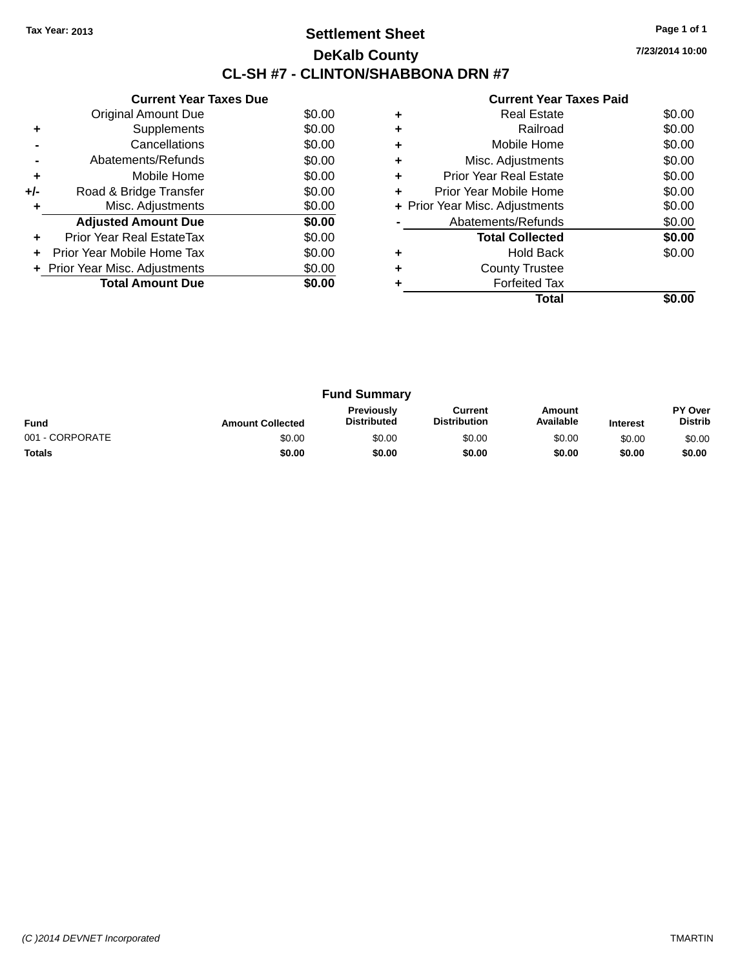## **Settlement Sheet Tax Year: 2013 Page 1 of 1 DeKalb County CL-SH #7 - CLINTON/SHABBONA DRN #7**

**7/23/2014 10:00**

| <b>Current Year Taxes Paid</b> |  |
|--------------------------------|--|

|     | <b>Current Year Taxes Due</b>  |        |
|-----|--------------------------------|--------|
|     | Original Amount Due            | \$0.00 |
|     | Supplements                    | \$0.00 |
|     | Cancellations                  | \$0.00 |
|     | Abatements/Refunds             | \$0.00 |
| ÷   | Mobile Home                    | \$0.00 |
| +/- | Road & Bridge Transfer         | \$0.00 |
|     | Misc. Adjustments              | \$0.00 |
|     | <b>Adjusted Amount Due</b>     | \$0.00 |
|     | Prior Year Real EstateTax      | \$0.00 |
|     | Prior Year Mobile Home Tax     | \$0.00 |
|     | + Prior Year Misc. Adjustments | \$0.00 |
|     | <b>Total Amount Due</b>        | \$0.00 |
|     |                                |        |

|   | <b>Real Estate</b>             | \$0.00 |
|---|--------------------------------|--------|
|   | Railroad                       | \$0.00 |
| ٠ | Mobile Home                    | \$0.00 |
| ٠ | Misc. Adjustments              | \$0.00 |
| ٠ | <b>Prior Year Real Estate</b>  | \$0.00 |
| ٠ | Prior Year Mobile Home         | \$0.00 |
|   | + Prior Year Misc. Adjustments | \$0.00 |
|   | Abatements/Refunds             | \$0.00 |
|   | <b>Total Collected</b>         | \$0.00 |
|   | <b>Hold Back</b>               | \$0.00 |
|   | <b>County Trustee</b>          |        |
|   | <b>Forfeited Tax</b>           |        |
|   | Total                          |        |

| <b>Fund Summary</b> |                         |                                         |                                |                     |                 |                                  |
|---------------------|-------------------------|-----------------------------------------|--------------------------------|---------------------|-----------------|----------------------------------|
| <b>Fund</b>         | <b>Amount Collected</b> | <b>Previously</b><br><b>Distributed</b> | Current<br><b>Distribution</b> | Amount<br>Available | <b>Interest</b> | <b>PY Over</b><br><b>Distrib</b> |
| 001 - CORPORATE     | \$0.00                  | \$0.00                                  | \$0.00                         | \$0.00              | \$0.00          | \$0.00                           |
| <b>Totals</b>       | \$0.00                  | \$0.00                                  | \$0.00                         | \$0.00              | \$0.00          | \$0.00                           |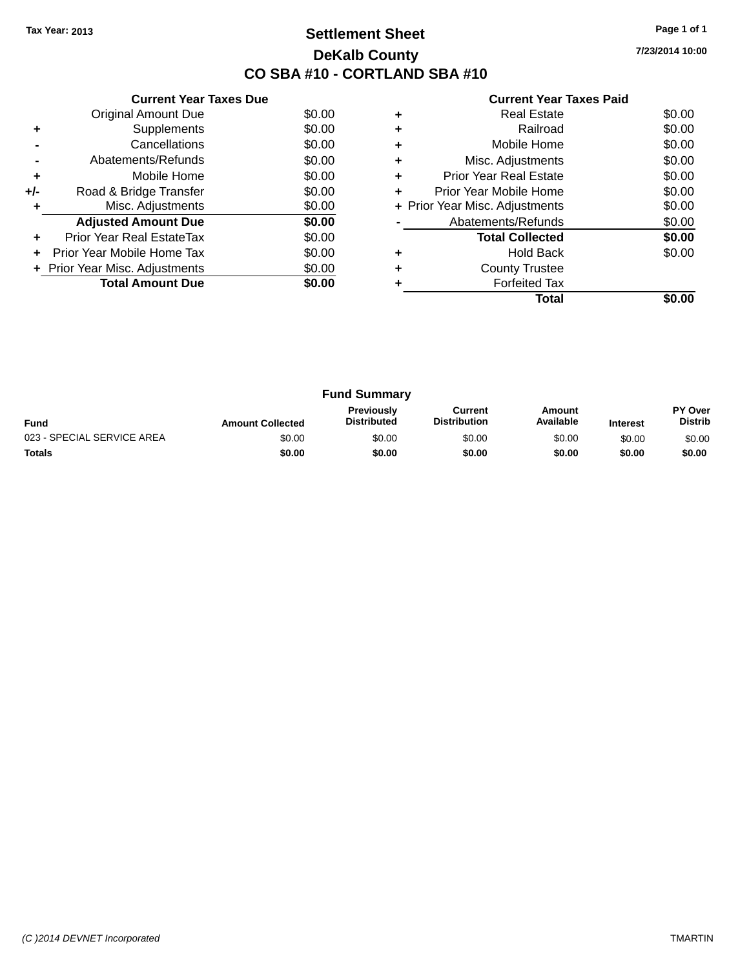## **Settlement Sheet Tax Year: 2013 Page 1 of 1 DeKalb County CO SBA #10 - CORTLAND SBA #10**

**7/23/2014 10:00**

|     | <b>Current Year Taxes Due</b>  |        |
|-----|--------------------------------|--------|
|     | <b>Original Amount Due</b>     | \$0.00 |
| ٠   | Supplements                    | \$0.00 |
|     | Cancellations                  | \$0.00 |
|     | Abatements/Refunds             | \$0.00 |
| ÷   | Mobile Home                    | \$0.00 |
| +/- | Road & Bridge Transfer         | \$0.00 |
|     | Misc. Adjustments              | \$0.00 |
|     | <b>Adjusted Amount Due</b>     | \$0.00 |
|     | Prior Year Real EstateTax      | \$0.00 |
|     | Prior Year Mobile Home Tax     | \$0.00 |
|     | + Prior Year Misc. Adjustments | \$0.00 |
|     | <b>Total Amount Due</b>        | \$0.00 |
|     |                                |        |

|   | <b>Real Estate</b>             | \$0.00 |
|---|--------------------------------|--------|
| ٠ | Railroad                       | \$0.00 |
| ٠ | Mobile Home                    | \$0.00 |
| ٠ | Misc. Adjustments              | \$0.00 |
| ٠ | <b>Prior Year Real Estate</b>  | \$0.00 |
|   | Prior Year Mobile Home         | \$0.00 |
|   | + Prior Year Misc. Adjustments | \$0.00 |
|   | Abatements/Refunds             | \$0.00 |
|   | <b>Total Collected</b>         | \$0.00 |
|   | Hold Back                      | \$0.00 |
|   | <b>County Trustee</b>          |        |
|   | <b>Forfeited Tax</b>           |        |
|   | Total                          |        |

| <b>Fund Summary</b>        |                         |                                         |                                |                     |                 |                                  |
|----------------------------|-------------------------|-----------------------------------------|--------------------------------|---------------------|-----------------|----------------------------------|
| <b>Fund</b>                | <b>Amount Collected</b> | <b>Previously</b><br><b>Distributed</b> | Current<br><b>Distribution</b> | Amount<br>Available | <b>Interest</b> | <b>PY Over</b><br><b>Distrib</b> |
| 023 - SPECIAL SERVICE AREA | \$0.00                  | \$0.00                                  | \$0.00                         | \$0.00              | \$0.00          | \$0.00                           |
| <b>Totals</b>              | \$0.00                  | \$0.00                                  | \$0.00                         | \$0.00              | \$0.00          | \$0.00                           |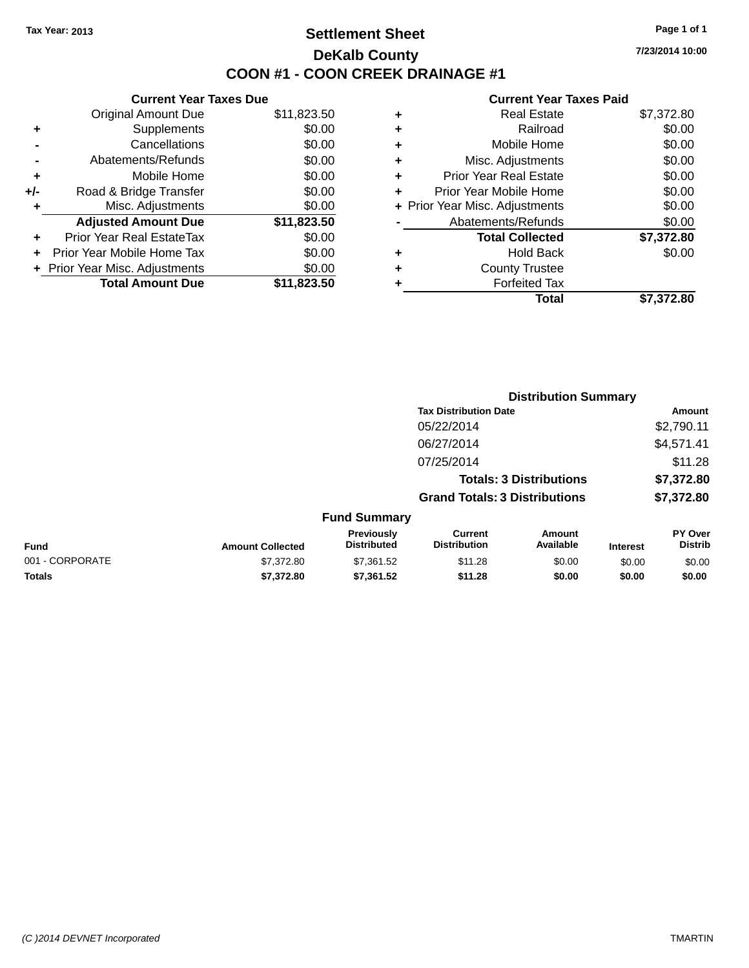## **Settlement Sheet Tax Year: 2013 Page 1 of 1 DeKalb County COON #1 - COON CREEK DRAINAGE #1**

**7/23/2014 10:00**

| <b>Current Year Taxes Due</b>  |             |  |  |  |  |  |
|--------------------------------|-------------|--|--|--|--|--|
| <b>Original Amount Due</b>     | \$11,823.50 |  |  |  |  |  |
| Supplements                    | \$0.00      |  |  |  |  |  |
| Cancellations                  | \$0.00      |  |  |  |  |  |
| Abatements/Refunds             | \$0.00      |  |  |  |  |  |
| Mobile Home                    | \$0.00      |  |  |  |  |  |
| Road & Bridge Transfer         | \$0.00      |  |  |  |  |  |
| Misc. Adjustments              | \$0.00      |  |  |  |  |  |
| <b>Adjusted Amount Due</b>     | \$11,823.50 |  |  |  |  |  |
| Prior Year Real EstateTax      | \$0.00      |  |  |  |  |  |
| Prior Year Mobile Home Tax     | \$0.00      |  |  |  |  |  |
| + Prior Year Misc. Adjustments | \$0.00      |  |  |  |  |  |
| <b>Total Amount Due</b>        | \$11,823.50 |  |  |  |  |  |
|                                |             |  |  |  |  |  |

|   | <b>Real Estate</b>             | \$7,372.80 |
|---|--------------------------------|------------|
| ٠ | Railroad                       | \$0.00     |
| ٠ | Mobile Home                    | \$0.00     |
| ٠ | Misc. Adjustments              | \$0.00     |
| ٠ | <b>Prior Year Real Estate</b>  | \$0.00     |
| ٠ | Prior Year Mobile Home         | \$0.00     |
|   | + Prior Year Misc. Adjustments | \$0.00     |
|   | Abatements/Refunds             | \$0.00     |
|   | <b>Total Collected</b>         | \$7,372.80 |
| ٠ | <b>Hold Back</b>               | \$0.00     |
| ٠ | <b>County Trustee</b>          |            |
| ٠ | <b>Forfeited Tax</b>           |            |
|   | Total                          | \$7,372.80 |
|   |                                |            |

|                 |                         |                                  | <b>Distribution Summary</b>           |                     |                 |                           |  |
|-----------------|-------------------------|----------------------------------|---------------------------------------|---------------------|-----------------|---------------------------|--|
|                 |                         | <b>Tax Distribution Date</b>     |                                       |                     |                 | <b>Amount</b>             |  |
|                 |                         |                                  | 05/22/2014                            |                     |                 | \$2,790.11                |  |
|                 |                         |                                  | 06/27/2014                            |                     |                 | \$4,571.41                |  |
|                 |                         |                                  | 07/25/2014                            |                     |                 | \$11.28                   |  |
|                 |                         | <b>Totals: 3 Distributions</b>   |                                       |                     |                 | \$7,372.80                |  |
|                 |                         |                                  | <b>Grand Totals: 3 Distributions</b>  |                     |                 | \$7,372.80                |  |
|                 |                         | <b>Fund Summary</b>              |                                       |                     |                 |                           |  |
| <b>Fund</b>     | <b>Amount Collected</b> | Previously<br><b>Distributed</b> | <b>Current</b><br><b>Distribution</b> | Amount<br>Available | <b>Interest</b> | PY Over<br><b>Distrib</b> |  |
| 001 - CORPORATE | \$7,372.80              | \$7,361.52                       | \$11.28                               | \$0.00              | \$0.00          | \$0.00                    |  |
| <b>Totals</b>   | \$7,372.80              | \$7,361.52                       | \$11.28                               | \$0.00              | \$0.00          | \$0.00                    |  |
|                 |                         |                                  |                                       |                     |                 |                           |  |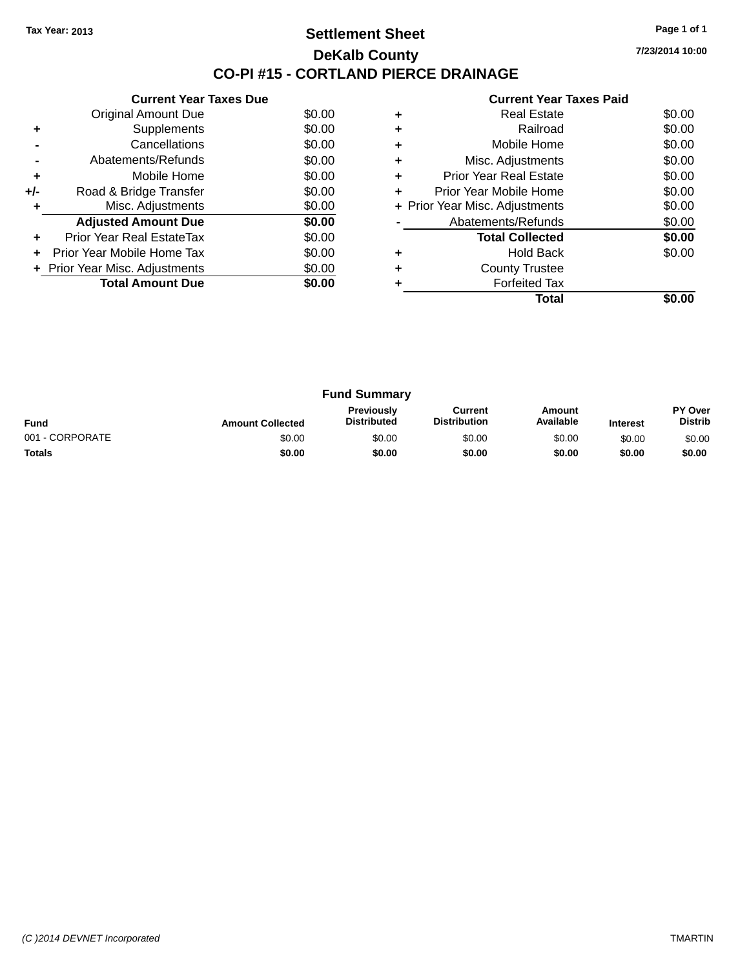### **Settlement Sheet Tax Year: 2013 Page 1 of 1 DeKalb County CO-PI #15 - CORTLAND PIERCE DRAINAGE**

**7/23/2014 10:00**

|       | <b>Current Year Taxes Due</b>  |        |
|-------|--------------------------------|--------|
|       | <b>Original Amount Due</b>     | \$0.00 |
| ٠     | Supplements                    | \$0.00 |
|       | Cancellations                  | \$0.00 |
|       | Abatements/Refunds             | \$0.00 |
| ٠     | Mobile Home                    | \$0.00 |
| $+/-$ | Road & Bridge Transfer         | \$0.00 |
|       | Misc. Adjustments              | \$0.00 |
|       | <b>Adjusted Amount Due</b>     | \$0.00 |
|       | Prior Year Real EstateTax      | \$0.00 |
|       | Prior Year Mobile Home Tax     | \$0.00 |
|       | + Prior Year Misc. Adjustments | \$0.00 |
|       | <b>Total Amount Due</b>        | \$0.00 |
|       |                                |        |

|   | <b>Real Estate</b>             | \$0.00 |
|---|--------------------------------|--------|
|   | Railroad                       | \$0.00 |
|   | Mobile Home                    | \$0.00 |
| ٠ | Misc. Adjustments              | \$0.00 |
| ٠ | <b>Prior Year Real Estate</b>  | \$0.00 |
| ٠ | Prior Year Mobile Home         | \$0.00 |
|   | + Prior Year Misc. Adjustments | \$0.00 |
|   | Abatements/Refunds             | \$0.00 |
|   | <b>Total Collected</b>         | \$0.00 |
|   | Hold Back                      | \$0.00 |
|   | <b>County Trustee</b>          |        |
|   | <b>Forfeited Tax</b>           |        |
|   | Total                          |        |

| <b>Fund Summary</b> |                         |                                         |                                |                     |                 |                           |
|---------------------|-------------------------|-----------------------------------------|--------------------------------|---------------------|-----------------|---------------------------|
| <b>Fund</b>         | <b>Amount Collected</b> | <b>Previously</b><br><b>Distributed</b> | Current<br><b>Distribution</b> | Amount<br>Available | <b>Interest</b> | PY Over<br><b>Distrib</b> |
| 001 - CORPORATE     | \$0.00                  | \$0.00                                  | \$0.00                         | \$0.00              | \$0.00          | \$0.00                    |
| <b>Totals</b>       | \$0.00                  | \$0.00                                  | \$0.00                         | \$0.00              | \$0.00          | \$0.00                    |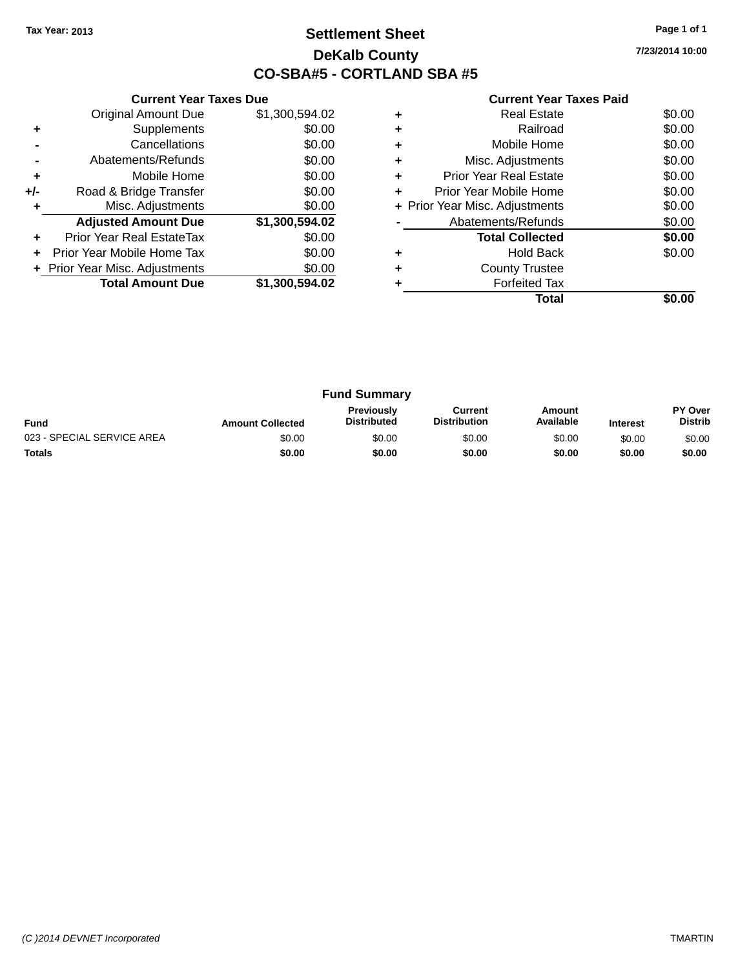## **Settlement Sheet Tax Year: 2013 Page 1 of 1 DeKalb County CO-SBA#5 - CORTLAND SBA #5**

**7/23/2014 10:00**

|     | <b>Current Year Taxes Due</b>  |                |  |  |  |
|-----|--------------------------------|----------------|--|--|--|
|     | <b>Original Amount Due</b>     | \$1,300,594.02 |  |  |  |
| ٠   | Supplements                    | \$0.00         |  |  |  |
|     | Cancellations                  | \$0.00         |  |  |  |
|     | Abatements/Refunds             | \$0.00         |  |  |  |
| ٠   | Mobile Home                    | \$0.00         |  |  |  |
| +/- | Road & Bridge Transfer         | \$0.00         |  |  |  |
| ٠   | Misc. Adjustments              | \$0.00         |  |  |  |
|     | <b>Adjusted Amount Due</b>     | \$1,300,594.02 |  |  |  |
| ٠   | Prior Year Real EstateTax      | \$0.00         |  |  |  |
| ÷   | Prior Year Mobile Home Tax     | \$0.00         |  |  |  |
|     | + Prior Year Misc. Adjustments | \$0.00         |  |  |  |
|     | <b>Total Amount Due</b>        | \$1,300,594.02 |  |  |  |
|     |                                |                |  |  |  |

|   | Real Estate                    | \$0.00 |
|---|--------------------------------|--------|
| ٠ | Railroad                       | \$0.00 |
| ٠ | Mobile Home                    | \$0.00 |
| ٠ | Misc. Adjustments              | \$0.00 |
| ٠ | <b>Prior Year Real Estate</b>  | \$0.00 |
| ٠ | Prior Year Mobile Home         | \$0.00 |
|   | + Prior Year Misc. Adjustments | \$0.00 |
|   | Abatements/Refunds             | \$0.00 |
|   | <b>Total Collected</b>         | \$0.00 |
|   | Hold Back                      | \$0.00 |
| ٠ | <b>County Trustee</b>          |        |
|   | <b>Forfeited Tax</b>           |        |
|   | Total                          |        |

| <b>Fund Summary</b>        |                         |                                         |                                |                     |                 |                           |
|----------------------------|-------------------------|-----------------------------------------|--------------------------------|---------------------|-----------------|---------------------------|
| <b>Fund</b>                | <b>Amount Collected</b> | <b>Previously</b><br><b>Distributed</b> | Current<br><b>Distribution</b> | Amount<br>Available | <b>Interest</b> | PY Over<br><b>Distrib</b> |
| 023 - SPECIAL SERVICE AREA | \$0.00                  | \$0.00                                  | \$0.00                         | \$0.00              | \$0.00          | \$0.00                    |
| <b>Totals</b>              | \$0.00                  | \$0.00                                  | \$0.00                         | \$0.00              | \$0.00          | \$0.00                    |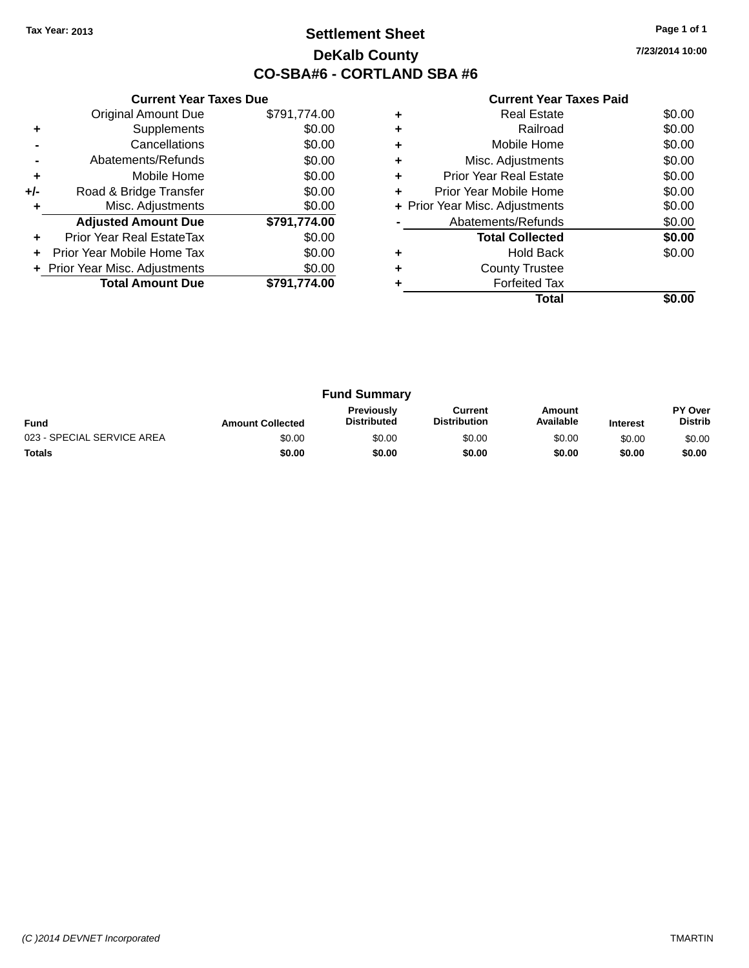## **Settlement Sheet Tax Year: 2013 Page 1 of 1 DeKalb County CO-SBA#6 - CORTLAND SBA #6**

**7/23/2014 10:00**

|     | <b>Current Year Taxes Due</b>    |              |  |  |  |
|-----|----------------------------------|--------------|--|--|--|
|     | <b>Original Amount Due</b>       | \$791,774.00 |  |  |  |
| ٠   | Supplements                      | \$0.00       |  |  |  |
|     | Cancellations                    | \$0.00       |  |  |  |
|     | Abatements/Refunds               | \$0.00       |  |  |  |
| ٠   | Mobile Home                      | \$0.00       |  |  |  |
| +/- | Road & Bridge Transfer           | \$0.00       |  |  |  |
|     | Misc. Adjustments                | \$0.00       |  |  |  |
|     | <b>Adjusted Amount Due</b>       | \$791,774.00 |  |  |  |
| ٠   | <b>Prior Year Real EstateTax</b> | \$0.00       |  |  |  |
|     | Prior Year Mobile Home Tax       | \$0.00       |  |  |  |
|     | + Prior Year Misc. Adjustments   | \$0.00       |  |  |  |
|     | <b>Total Amount Due</b>          | \$791.774.00 |  |  |  |
|     |                                  |              |  |  |  |

| ٠ | <b>Real Estate</b>             | \$0.00 |
|---|--------------------------------|--------|
| ÷ | Railroad                       | \$0.00 |
| ٠ | Mobile Home                    | \$0.00 |
| ٠ | Misc. Adjustments              | \$0.00 |
| ٠ | <b>Prior Year Real Estate</b>  | \$0.00 |
| ÷ | Prior Year Mobile Home         | \$0.00 |
|   | + Prior Year Misc. Adjustments | \$0.00 |
|   | Abatements/Refunds             | \$0.00 |
|   | <b>Total Collected</b>         | \$0.00 |
| ٠ | <b>Hold Back</b>               | \$0.00 |
| ٠ | <b>County Trustee</b>          |        |
|   | <b>Forfeited Tax</b>           |        |
|   | Total                          |        |
|   |                                |        |

| <b>Fund Summary</b>        |                         |                                         |                                |                     |                 |                           |
|----------------------------|-------------------------|-----------------------------------------|--------------------------------|---------------------|-----------------|---------------------------|
| <b>Fund</b>                | <b>Amount Collected</b> | <b>Previously</b><br><b>Distributed</b> | Current<br><b>Distribution</b> | Amount<br>Available | <b>Interest</b> | PY Over<br><b>Distrib</b> |
| 023 - SPECIAL SERVICE AREA | \$0.00                  | \$0.00                                  | \$0.00                         | \$0.00              | \$0.00          | \$0.00                    |
| <b>Totals</b>              | \$0.00                  | \$0.00                                  | \$0.00                         | \$0.00              | \$0.00          | \$0.00                    |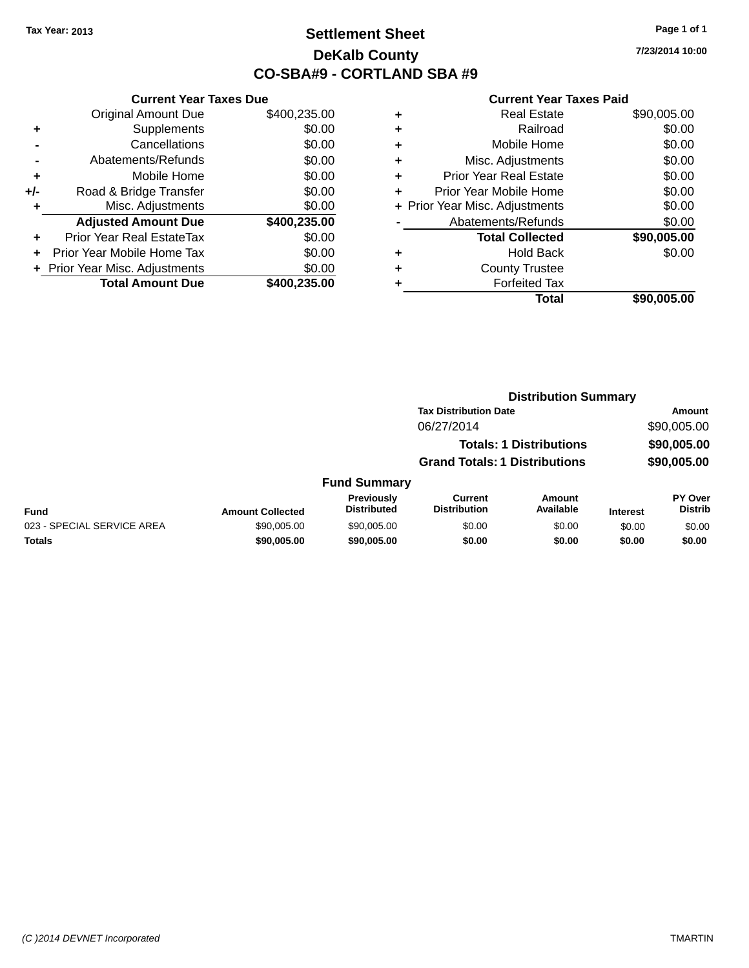## **Settlement Sheet Tax Year: 2013 Page 1 of 1 DeKalb County CO-SBA#9 - CORTLAND SBA #9**

**7/23/2014 10:00**

|     | <b>Current Year Taxes Due</b>  |              |
|-----|--------------------------------|--------------|
|     | <b>Original Amount Due</b>     | \$400,235.00 |
| ٠   | Supplements                    | \$0.00       |
|     | Cancellations                  | \$0.00       |
|     | Abatements/Refunds             | \$0.00       |
| ٠   | Mobile Home                    | \$0.00       |
| +/- | Road & Bridge Transfer         | \$0.00       |
| ٠   | Misc. Adjustments              | \$0.00       |
|     | <b>Adjusted Amount Due</b>     | \$400,235.00 |
| ٠   | Prior Year Real EstateTax      | \$0.00       |
|     | Prior Year Mobile Home Tax     | \$0.00       |
|     | + Prior Year Misc. Adjustments | \$0.00       |
|     | <b>Total Amount Due</b>        | \$400,235.00 |
|     |                                |              |

| ٠ | <b>Real Estate</b>             | \$90,005.00 |
|---|--------------------------------|-------------|
| ٠ | Railroad                       | \$0.00      |
| ٠ | Mobile Home                    | \$0.00      |
| ٠ | Misc. Adjustments              | \$0.00      |
| ٠ | <b>Prior Year Real Estate</b>  | \$0.00      |
| ٠ | Prior Year Mobile Home         | \$0.00      |
|   | + Prior Year Misc. Adjustments | \$0.00      |
|   | Abatements/Refunds             | \$0.00      |
|   | <b>Total Collected</b>         | \$90,005.00 |
| ٠ | Hold Back                      | \$0.00      |
| ٠ | <b>County Trustee</b>          |             |
|   | <b>Forfeited Tax</b>           |             |
|   | Total                          | \$90,005.00 |
|   |                                |             |

|                            |                         | <b>Distribution Summary</b>      |                                       |                                |                 |                                  |  |
|----------------------------|-------------------------|----------------------------------|---------------------------------------|--------------------------------|-----------------|----------------------------------|--|
|                            |                         | <b>Tax Distribution Date</b>     |                                       |                                | Amount          |                                  |  |
|                            |                         |                                  | 06/27/2014                            |                                |                 | \$90,005.00                      |  |
|                            |                         |                                  |                                       | <b>Totals: 1 Distributions</b> |                 | \$90,005.00                      |  |
|                            |                         |                                  | <b>Grand Totals: 1 Distributions</b>  |                                |                 | \$90,005.00                      |  |
|                            |                         | <b>Fund Summary</b>              |                                       |                                |                 |                                  |  |
| <b>Fund</b>                | <b>Amount Collected</b> | Previously<br><b>Distributed</b> | <b>Current</b><br><b>Distribution</b> | <b>Amount</b><br>Available     | <b>Interest</b> | <b>PY Over</b><br><b>Distrib</b> |  |
| 023 - SPECIAL SERVICE AREA | \$90,005,00             | \$90,005,00                      | \$0.00                                | \$0.00                         | \$0.00          | \$0.00                           |  |
| <b>Totals</b>              | \$90,005.00             | \$90,005.00                      | \$0.00                                | \$0.00                         | \$0.00          | \$0.00                           |  |
|                            |                         |                                  |                                       |                                |                 |                                  |  |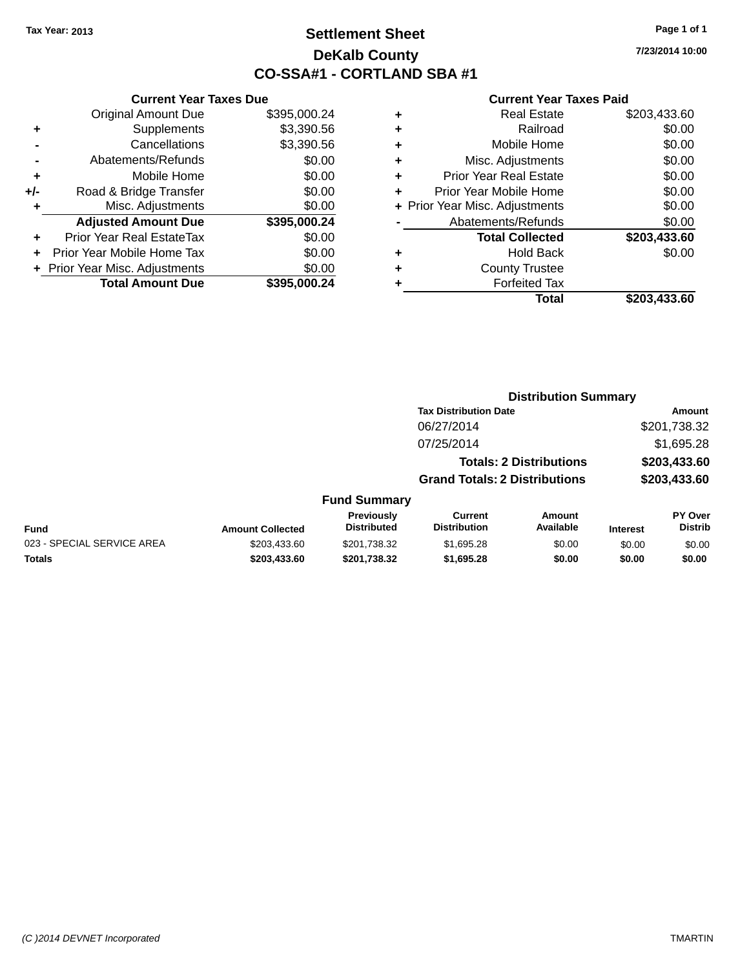## **Settlement Sheet Tax Year: 2013 Page 1 of 1 DeKalb County CO-SSA#1 - CORTLAND SBA #1**

**7/23/2014 10:00**

|     | <b>Current Year Taxes Due</b>  |              |       |
|-----|--------------------------------|--------------|-------|
|     | <b>Original Amount Due</b>     | \$395,000.24 | ÷     |
|     | Supplements                    | \$3,390.56   | ٠     |
|     | Cancellations                  | \$3,390.56   | ٠     |
|     | Abatements/Refunds             | \$0.00       | ٠     |
|     | Mobile Home                    | \$0.00       | ٠     |
| +/- | Road & Bridge Transfer         | \$0.00       | ٠     |
|     | Misc. Adjustments              | \$0.00       | Prior |
|     | <b>Adjusted Amount Due</b>     | \$395,000.24 |       |
|     | Prior Year Real EstateTax      | \$0.00       |       |
|     | Prior Year Mobile Home Tax     | \$0.00       | ٠     |
|     | + Prior Year Misc. Adjustments | \$0.00       | ٠     |
|     | <b>Total Amount Due</b>        | \$395,000.24 |       |
|     |                                |              |       |

| ٠ | <b>Real Estate</b>             | \$203,433.60 |
|---|--------------------------------|--------------|
| ٠ | Railroad                       | \$0.00       |
| ٠ | Mobile Home                    | \$0.00       |
| ٠ | Misc. Adjustments              | \$0.00       |
| ٠ | <b>Prior Year Real Estate</b>  | \$0.00       |
| ٠ | Prior Year Mobile Home         | \$0.00       |
|   | + Prior Year Misc. Adjustments | \$0.00       |
|   | Abatements/Refunds             | \$0.00       |
|   | <b>Total Collected</b>         | \$203,433.60 |
| ٠ | <b>Hold Back</b>               | \$0.00       |
| ٠ | <b>County Trustee</b>          |              |
| ٠ | <b>Forfeited Tax</b>           |              |
|   | Total                          | \$203,433.60 |
|   |                                |              |

|                            |                         |                                         |                                       | <b>Distribution Summary</b>    |                 |                           |
|----------------------------|-------------------------|-----------------------------------------|---------------------------------------|--------------------------------|-----------------|---------------------------|
|                            |                         |                                         | <b>Tax Distribution Date</b>          |                                |                 | Amount                    |
|                            |                         |                                         | 06/27/2014                            |                                |                 | \$201,738.32              |
|                            |                         |                                         | 07/25/2014                            |                                |                 | \$1,695.28                |
|                            |                         |                                         |                                       | <b>Totals: 2 Distributions</b> |                 | \$203,433.60              |
|                            |                         |                                         | <b>Grand Totals: 2 Distributions</b>  |                                |                 | \$203,433.60              |
|                            |                         | <b>Fund Summary</b>                     |                                       |                                |                 |                           |
| Fund                       | <b>Amount Collected</b> | <b>Previously</b><br><b>Distributed</b> | <b>Current</b><br><b>Distribution</b> | Amount<br>Available            | <b>Interest</b> | PY Over<br><b>Distrib</b> |
| 023 - SPECIAL SERVICE AREA | \$203,433,60            | \$201.738.32                            | \$1,695.28                            | \$0.00                         | \$0.00          | \$0.00                    |
| <b>Totals</b>              | \$203,433.60            | \$201,738.32                            | \$1,695.28                            | \$0.00                         | \$0.00          | \$0.00                    |
|                            |                         |                                         |                                       |                                |                 |                           |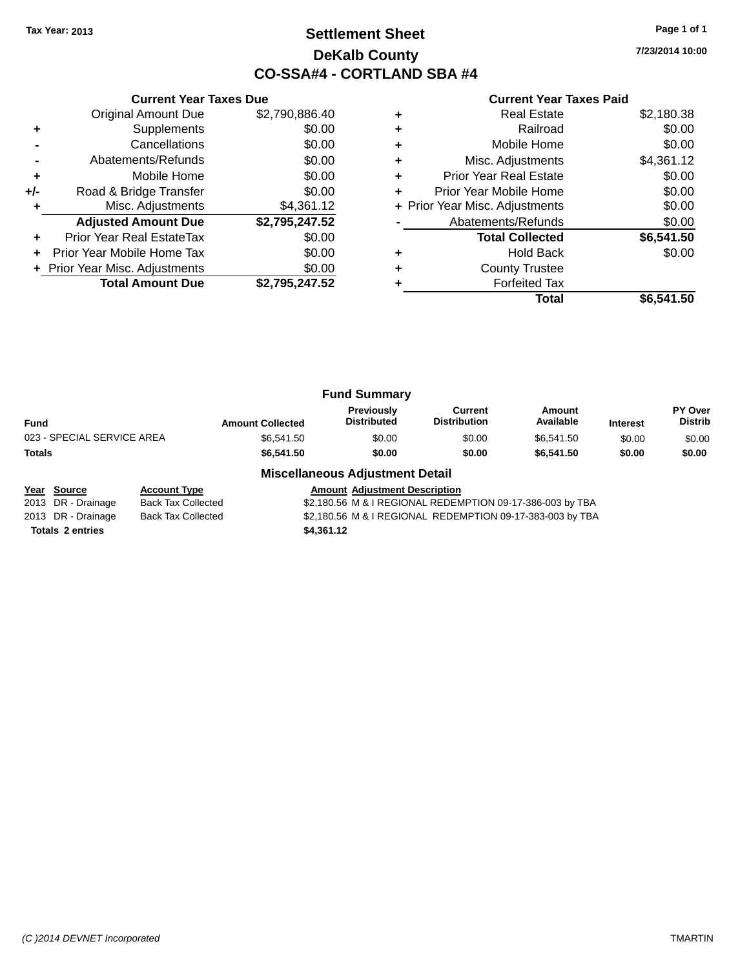## **Settlement Sheet Tax Year: 2013 Page 1 of 1 DeKalb County CO-SSA#4 - CORTLAND SBA #4**

**7/23/2014 10:00**

|     | <b>Current Year Taxes Due</b>    |                |  |  |  |
|-----|----------------------------------|----------------|--|--|--|
|     | Original Amount Due              | \$2,790,886.40 |  |  |  |
| ٠   | Supplements                      | \$0.00         |  |  |  |
|     | Cancellations                    | \$0.00         |  |  |  |
|     | Abatements/Refunds               | \$0.00         |  |  |  |
| ٠   | Mobile Home                      | \$0.00         |  |  |  |
| +/- | Road & Bridge Transfer           | \$0.00         |  |  |  |
| ٠   | Misc. Adjustments                | \$4,361.12     |  |  |  |
|     | <b>Adjusted Amount Due</b>       | \$2,795,247.52 |  |  |  |
| ÷   | <b>Prior Year Real EstateTax</b> | \$0.00         |  |  |  |
| ÷   | Prior Year Mobile Home Tax       | \$0.00         |  |  |  |
|     | + Prior Year Misc. Adjustments   | \$0.00         |  |  |  |
|     | <b>Total Amount Due</b>          | \$2.795.247.52 |  |  |  |
|     |                                  |                |  |  |  |

|   | <b>Real Estate</b>             | \$2,180.38 |
|---|--------------------------------|------------|
|   | Railroad                       | \$0.00     |
|   | Mobile Home                    | \$0.00     |
| ٠ | Misc. Adjustments              | \$4,361.12 |
| ٠ | <b>Prior Year Real Estate</b>  | \$0.00     |
| ٠ | Prior Year Mobile Home         | \$0.00     |
|   | + Prior Year Misc. Adjustments | \$0.00     |
|   | Abatements/Refunds             | \$0.00     |
|   | <b>Total Collected</b>         | \$6,541.50 |
|   | <b>Hold Back</b>               | \$0.00     |
| ٠ | <b>County Trustee</b>          |            |
|   | <b>Forfeited Tax</b>           |            |
|   | Total                          | \$6.541.50 |

|                            | <b>Fund Summary</b>     |                                         |                                |                     |                 |                           |
|----------------------------|-------------------------|-----------------------------------------|--------------------------------|---------------------|-----------------|---------------------------|
| <b>Fund</b>                | <b>Amount Collected</b> | <b>Previously</b><br><b>Distributed</b> | Current<br><b>Distribution</b> | Amount<br>Available | <b>Interest</b> | PY Over<br><b>Distrib</b> |
| 023 - SPECIAL SERVICE AREA | \$6,541.50              | \$0.00                                  | \$0.00                         | \$6.541.50          | \$0.00          | \$0.00                    |
| Totals                     | \$6,541.50              | \$0.00                                  | \$0.00                         | \$6,541.50          | \$0.00          | \$0.00                    |
|                            | ---<br>.                |                                         |                                |                     |                 |                           |

### **Miscellaneous Adjustment Detail**

|                         | <u>Year Source</u> | <b>Account Type</b>       |            | <b>Amount Adiustment Description</b>                      |
|-------------------------|--------------------|---------------------------|------------|-----------------------------------------------------------|
|                         | 2013 DR - Drainage | Back Tax Collected        |            | \$2,180.56 M & I REGIONAL REDEMPTION 09-17-386-003 by TBA |
|                         | 2013 DR - Drainage | <b>Back Tax Collected</b> |            | \$2.180.56 M & I REGIONAL REDEMPTION 09-17-383-003 by TBA |
| <b>Totals 2 entries</b> |                    |                           | \$4,361.12 |                                                           |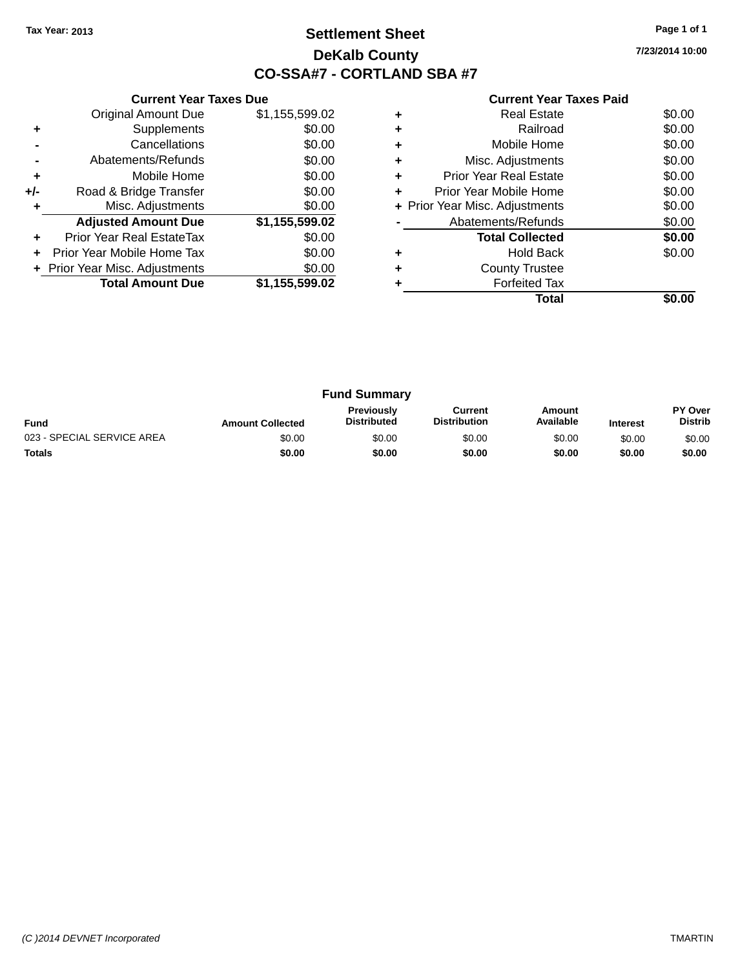## **Settlement Sheet Tax Year: 2013 Page 1 of 1 DeKalb County CO-SSA#7 - CORTLAND SBA #7**

**7/23/2014 10:00**

|     | <b>Current Year Taxes Due</b>  |                |  |  |  |  |
|-----|--------------------------------|----------------|--|--|--|--|
|     | <b>Original Amount Due</b>     | \$1,155,599.02 |  |  |  |  |
| ٠   | Supplements                    | \$0.00         |  |  |  |  |
|     | Cancellations                  | \$0.00         |  |  |  |  |
|     | Abatements/Refunds             | \$0.00         |  |  |  |  |
| ÷   | Mobile Home                    | \$0.00         |  |  |  |  |
| +/- | Road & Bridge Transfer         | \$0.00         |  |  |  |  |
|     | Misc. Adjustments              | \$0.00         |  |  |  |  |
|     | <b>Adjusted Amount Due</b>     | \$1,155,599.02 |  |  |  |  |
| ٠   | Prior Year Real EstateTax      | \$0.00         |  |  |  |  |
|     | Prior Year Mobile Home Tax     | \$0.00         |  |  |  |  |
|     | + Prior Year Misc. Adjustments | \$0.00         |  |  |  |  |
|     | <b>Total Amount Due</b>        | \$1,155,599.02 |  |  |  |  |
|     |                                |                |  |  |  |  |

|   | Total                          |        |
|---|--------------------------------|--------|
|   | <b>Forfeited Tax</b>           |        |
| ٠ | <b>County Trustee</b>          |        |
|   | <b>Hold Back</b>               | \$0.00 |
|   | <b>Total Collected</b>         | \$0.00 |
|   | Abatements/Refunds             | \$0.00 |
|   | + Prior Year Misc. Adjustments | \$0.00 |
| ÷ | Prior Year Mobile Home         | \$0.00 |
| ٠ | Prior Year Real Estate         | \$0.00 |
| ٠ | Misc. Adjustments              | \$0.00 |
| ٠ | Mobile Home                    | \$0.00 |
|   | Railroad                       | \$0.00 |
|   | <b>Real Estate</b>             | \$0.00 |

| <b>Fund Summary</b>        |                         |                                  |                                |                     |                 |                           |
|----------------------------|-------------------------|----------------------------------|--------------------------------|---------------------|-----------------|---------------------------|
| <b>Fund</b>                | <b>Amount Collected</b> | Previously<br><b>Distributed</b> | Current<br><b>Distribution</b> | Amount<br>Available | <b>Interest</b> | PY Over<br><b>Distrib</b> |
| 023 - SPECIAL SERVICE AREA | \$0.00                  | \$0.00                           | \$0.00                         | \$0.00              | \$0.00          | \$0.00                    |
| <b>Totals</b>              | \$0.00                  | \$0.00                           | \$0.00                         | \$0.00              | \$0.00          | \$0.00                    |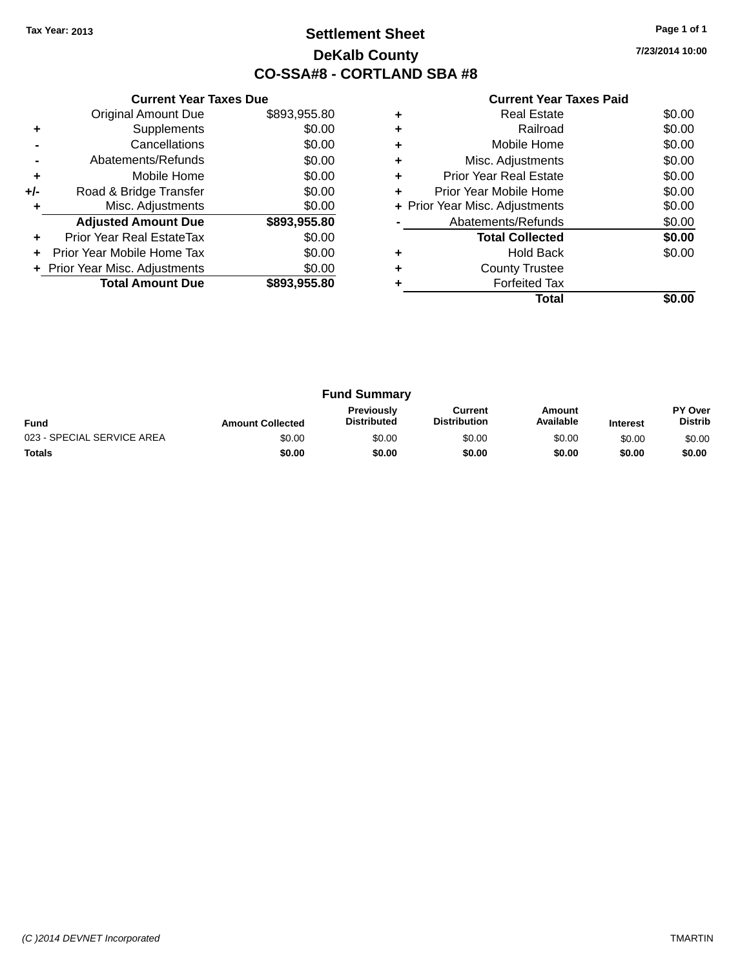## **Settlement Sheet Tax Year: 2013 Page 1 of 1 DeKalb County CO-SSA#8 - CORTLAND SBA #8**

**7/23/2014 10:00**

|     | <b>Current Year Taxes Due</b>  |              |  |  |  |
|-----|--------------------------------|--------------|--|--|--|
|     | <b>Original Amount Due</b>     | \$893,955.80 |  |  |  |
| ٠   | Supplements                    | \$0.00       |  |  |  |
|     | Cancellations                  | \$0.00       |  |  |  |
|     | Abatements/Refunds             | \$0.00       |  |  |  |
| ٠   | Mobile Home                    | \$0.00       |  |  |  |
| +/- | Road & Bridge Transfer         | \$0.00       |  |  |  |
| ٠   | Misc. Adjustments              | \$0.00       |  |  |  |
|     | <b>Adjusted Amount Due</b>     | \$893,955.80 |  |  |  |
| ٠   | Prior Year Real EstateTax      | \$0.00       |  |  |  |
|     | Prior Year Mobile Home Tax     | \$0.00       |  |  |  |
|     | + Prior Year Misc. Adjustments | \$0.00       |  |  |  |
|     | <b>Total Amount Due</b>        | \$893,955.80 |  |  |  |
|     |                                |              |  |  |  |

|   | Real Estate                    | \$0.00 |
|---|--------------------------------|--------|
| ٠ | Railroad                       | \$0.00 |
| ٠ | Mobile Home                    | \$0.00 |
| ٠ | Misc. Adjustments              | \$0.00 |
| ٠ | <b>Prior Year Real Estate</b>  | \$0.00 |
| ٠ | Prior Year Mobile Home         | \$0.00 |
|   | + Prior Year Misc. Adjustments | \$0.00 |
|   | Abatements/Refunds             | \$0.00 |
|   | <b>Total Collected</b>         | \$0.00 |
|   | Hold Back                      | \$0.00 |
| ٠ | <b>County Trustee</b>          |        |
|   | <b>Forfeited Tax</b>           |        |
|   | Total                          |        |

|                            |                         | <b>Fund Summary</b>                     |                                |                     |                 |                                  |
|----------------------------|-------------------------|-----------------------------------------|--------------------------------|---------------------|-----------------|----------------------------------|
| <b>Fund</b>                | <b>Amount Collected</b> | <b>Previously</b><br><b>Distributed</b> | Current<br><b>Distribution</b> | Amount<br>Available | <b>Interest</b> | <b>PY Over</b><br><b>Distrib</b> |
| 023 - SPECIAL SERVICE AREA | \$0.00                  | \$0.00                                  | \$0.00                         | \$0.00              | \$0.00          | \$0.00                           |
| <b>Totals</b>              | \$0.00                  | \$0.00                                  | \$0.00                         | \$0.00              | \$0.00          | \$0.00                           |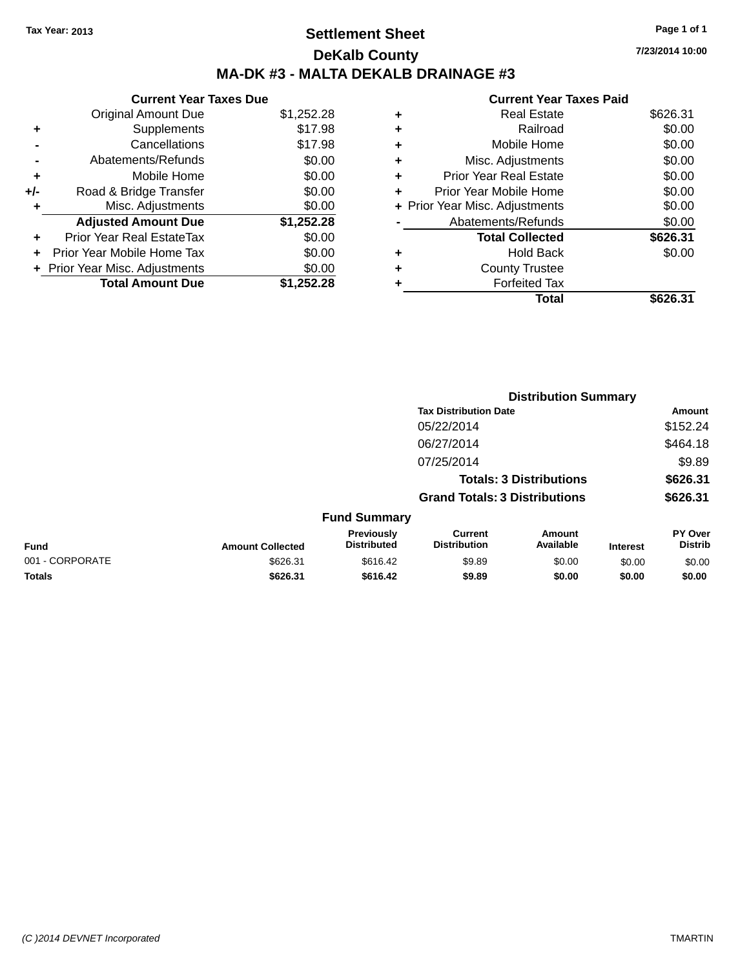## **Settlement Sheet Tax Year: 2013 Page 1 of 1 DeKalb County MA-DK #3 - MALTA DEKALB DRAINAGE #3**

### **Current Year Taxes Due**

|     | <b>Original Amount Due</b>       | \$1,252.28 |
|-----|----------------------------------|------------|
| ٠   | Supplements                      | \$17.98    |
|     | Cancellations                    | \$17.98    |
|     | Abatements/Refunds               | \$0.00     |
| ٠   | Mobile Home                      | \$0.00     |
| +/- | Road & Bridge Transfer           | \$0.00     |
| ٠   | Misc. Adjustments                | \$0.00     |
|     | <b>Adjusted Amount Due</b>       | \$1,252.28 |
|     | <b>Prior Year Real EstateTax</b> | \$0.00     |
|     | Prior Year Mobile Home Tax       | \$0.00     |
|     | + Prior Year Misc. Adjustments   | \$0.00     |
|     | <b>Total Amount Due</b>          | \$1.252.28 |

| <b>Current Year Taxes Paid</b> |                                |
|--------------------------------|--------------------------------|
| <b>Real Estate</b>             | \$626.31                       |
| Railroad                       | \$0.00                         |
| Mobile Home                    | \$0.00                         |
| Misc. Adjustments              | \$0.00                         |
| <b>Prior Year Real Estate</b>  | \$0.00                         |
| Prior Year Mobile Home         | \$0.00                         |
|                                | \$0.00                         |
| Abatements/Refunds             | \$0.00                         |
| <b>Total Collected</b>         | \$626.31                       |
| <b>Hold Back</b>               | \$0.00                         |
| <b>County Trustee</b>          |                                |
| <b>Forfeited Tax</b>           |                                |
| Total                          | \$626.                         |
|                                | + Prior Year Misc. Adjustments |

|                 |                         |                                         |                                                                        | <b>Distribution Summary</b> |                 |                           |
|-----------------|-------------------------|-----------------------------------------|------------------------------------------------------------------------|-----------------------------|-----------------|---------------------------|
|                 |                         |                                         | <b>Tax Distribution Date</b>                                           |                             |                 | Amount                    |
|                 |                         |                                         | 05/22/2014                                                             |                             |                 | \$152.24                  |
|                 |                         |                                         | 06/27/2014                                                             |                             |                 | \$464.18                  |
|                 |                         |                                         | 07/25/2014                                                             |                             |                 | \$9.89                    |
|                 |                         |                                         | <b>Totals: 3 Distributions</b><br><b>Grand Totals: 3 Distributions</b> |                             |                 | \$626.31                  |
|                 |                         |                                         |                                                                        |                             |                 | \$626.31                  |
|                 |                         | <b>Fund Summary</b>                     |                                                                        |                             |                 |                           |
| <b>Fund</b>     | <b>Amount Collected</b> | <b>Previously</b><br><b>Distributed</b> | <b>Current</b><br><b>Distribution</b>                                  | Amount<br>Available         | <b>Interest</b> | PY Over<br><b>Distrib</b> |
| 001 - CORPORATE | \$626.31                | \$616.42                                | \$9.89                                                                 | \$0.00                      | \$0.00          | \$0.00                    |
| <b>Totals</b>   | \$626.31                | \$616.42                                | \$9.89                                                                 | \$0.00                      | \$0.00          | \$0.00                    |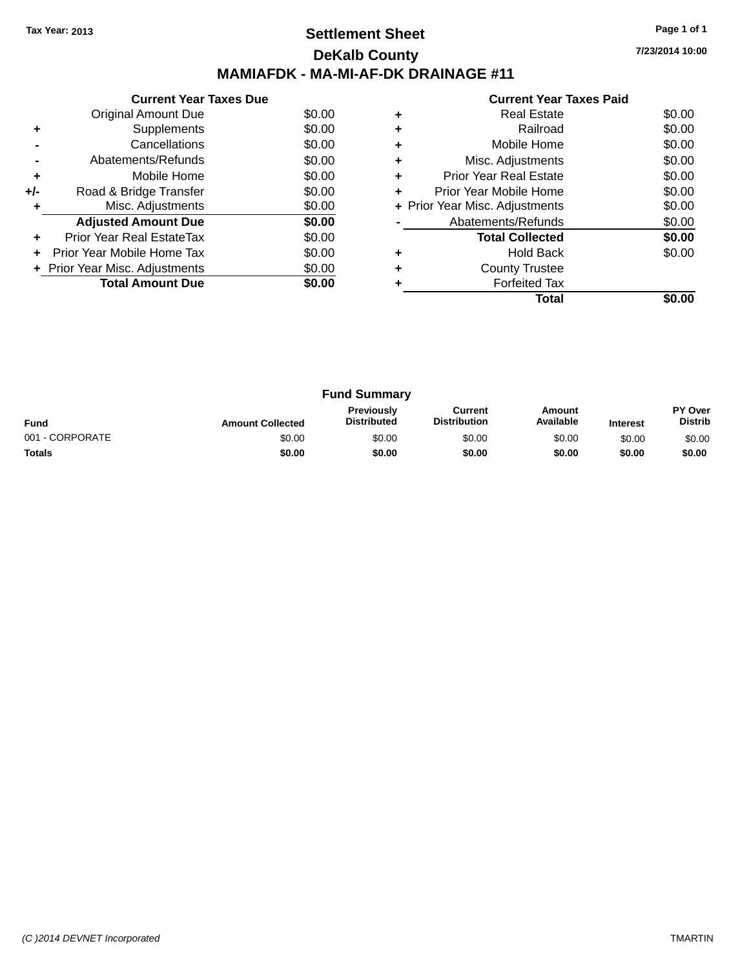## **Settlement Sheet Tax Year: 2013 Page 1 of 1 DeKalb County MAMIAFDK - MA-MI-AF-DK DRAINAGE #11**

**7/23/2014 10:00**

|       | <b>Current Year Taxes Due</b>  |        |  |  |  |  |  |
|-------|--------------------------------|--------|--|--|--|--|--|
|       | Original Amount Due            | \$0.00 |  |  |  |  |  |
|       | Supplements                    | \$0.00 |  |  |  |  |  |
|       | Cancellations                  | \$0.00 |  |  |  |  |  |
|       | Abatements/Refunds             | \$0.00 |  |  |  |  |  |
| ÷     | Mobile Home                    | \$0.00 |  |  |  |  |  |
| $+/-$ | Road & Bridge Transfer         | \$0.00 |  |  |  |  |  |
|       | Misc. Adjustments              | \$0.00 |  |  |  |  |  |
|       | <b>Adjusted Amount Due</b>     | \$0.00 |  |  |  |  |  |
| ٠     | Prior Year Real EstateTax      | \$0.00 |  |  |  |  |  |
|       | Prior Year Mobile Home Tax     | \$0.00 |  |  |  |  |  |
|       | + Prior Year Misc. Adjustments | \$0.00 |  |  |  |  |  |
|       | <b>Total Amount Due</b>        | \$0.00 |  |  |  |  |  |
|       |                                |        |  |  |  |  |  |

|   | <b>Current Year Taxes Paid</b> |        |
|---|--------------------------------|--------|
|   | Real Estate                    | \$0.00 |
| ٠ | Railroad                       | \$0.00 |
|   | Mobile Home                    | \$0.00 |
|   | Misc. Adjustments              | \$0.00 |
| ٠ | <b>Prior Year Real Estate</b>  | \$0.00 |
|   | Prior Year Mobile Home         | \$0.00 |
|   | + Prior Year Misc. Adjustments | \$0.00 |
|   | Abatements/Refunds             | \$0.00 |
|   | <b>Total Collected</b>         | \$0.00 |
|   | Hold Back                      | \$0.00 |
|   | <b>County Trustee</b>          |        |
|   | <b>Forfeited Tax</b>           |        |
|   | Total                          |        |

|                 |                         | <b>Fund Summary</b>              |                                |                     |                 |                           |
|-----------------|-------------------------|----------------------------------|--------------------------------|---------------------|-----------------|---------------------------|
| <b>Fund</b>     | <b>Amount Collected</b> | Previously<br><b>Distributed</b> | Current<br><b>Distribution</b> | Amount<br>Available | <b>Interest</b> | PY Over<br><b>Distrib</b> |
| 001 - CORPORATE | \$0.00                  | \$0.00                           | \$0.00                         | \$0.00              | \$0.00          | \$0.00                    |
| <b>Totals</b>   | \$0.00                  | \$0.00                           | \$0.00                         | \$0.00              | \$0.00          | \$0.00                    |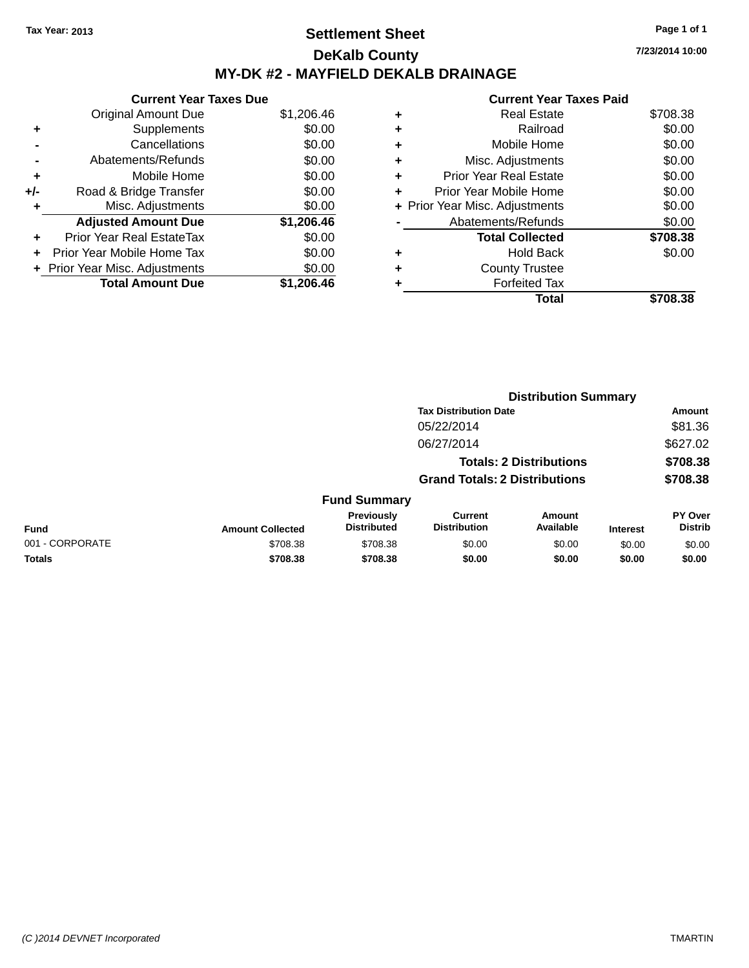## **Settlement Sheet Tax Year: 2013 Page 1 of 1 DeKalb County MY-DK #2 - MAYFIELD DEKALB DRAINAGE**

**7/23/2014 10:00**

|     | <b>Current Year Taxes Due</b>  |            |  |  |  |  |
|-----|--------------------------------|------------|--|--|--|--|
|     | Original Amount Due            | \$1,206.46 |  |  |  |  |
| ٠   | Supplements                    | \$0.00     |  |  |  |  |
|     | Cancellations                  | \$0.00     |  |  |  |  |
|     | Abatements/Refunds             | \$0.00     |  |  |  |  |
| ٠   | Mobile Home                    | \$0.00     |  |  |  |  |
| +/- | Road & Bridge Transfer         | \$0.00     |  |  |  |  |
|     | Misc. Adjustments              | \$0.00     |  |  |  |  |
|     | <b>Adjusted Amount Due</b>     | \$1,206.46 |  |  |  |  |
|     | Prior Year Real EstateTax      | \$0.00     |  |  |  |  |
|     | Prior Year Mobile Home Tax     | \$0.00     |  |  |  |  |
|     | + Prior Year Misc. Adjustments | \$0.00     |  |  |  |  |
|     | <b>Total Amount Due</b>        | \$1,206.46 |  |  |  |  |
|     |                                |            |  |  |  |  |

| ٠ | <b>Real Estate</b>             | \$708.38 |
|---|--------------------------------|----------|
| ٠ | Railroad                       | \$0.00   |
| ٠ | Mobile Home                    | \$0.00   |
| ٠ | Misc. Adjustments              | \$0.00   |
| ÷ | <b>Prior Year Real Estate</b>  | \$0.00   |
| ٠ | Prior Year Mobile Home         | \$0.00   |
|   | + Prior Year Misc. Adjustments | \$0.00   |
|   | Abatements/Refunds             | \$0.00   |
|   | <b>Total Collected</b>         | \$708.38 |
| ٠ | Hold Back                      | \$0.00   |
| ٠ | <b>County Trustee</b>          |          |
| ٠ | <b>Forfeited Tax</b>           |          |
|   | Total                          | \$708.38 |
|   |                                |          |

|                 | <b>Distribution Summary</b>    |                                  |                                       |                     |                 |                           |  |
|-----------------|--------------------------------|----------------------------------|---------------------------------------|---------------------|-----------------|---------------------------|--|
|                 |                                |                                  | <b>Tax Distribution Date</b>          |                     |                 | <b>Amount</b>             |  |
|                 |                                |                                  | 05/22/2014                            |                     |                 | \$81.36                   |  |
|                 |                                |                                  | 06/27/2014                            |                     |                 | \$627.02                  |  |
|                 | <b>Totals: 2 Distributions</b> |                                  |                                       | \$708.38            |                 |                           |  |
|                 |                                |                                  | <b>Grand Totals: 2 Distributions</b>  |                     |                 | \$708.38                  |  |
|                 |                                | <b>Fund Summary</b>              |                                       |                     |                 |                           |  |
| <b>Fund</b>     | <b>Amount Collected</b>        | Previously<br><b>Distributed</b> | <b>Current</b><br><b>Distribution</b> | Amount<br>Available | <b>Interest</b> | PY Over<br><b>Distrib</b> |  |
| 001 - CORPORATE | \$708.38                       | \$708.38                         | \$0.00                                | \$0.00              | \$0.00          | \$0.00                    |  |
| <b>Totals</b>   | \$708.38                       | \$708.38                         | \$0.00                                | \$0.00              | \$0.00          | \$0.00                    |  |
|                 |                                |                                  |                                       |                     |                 |                           |  |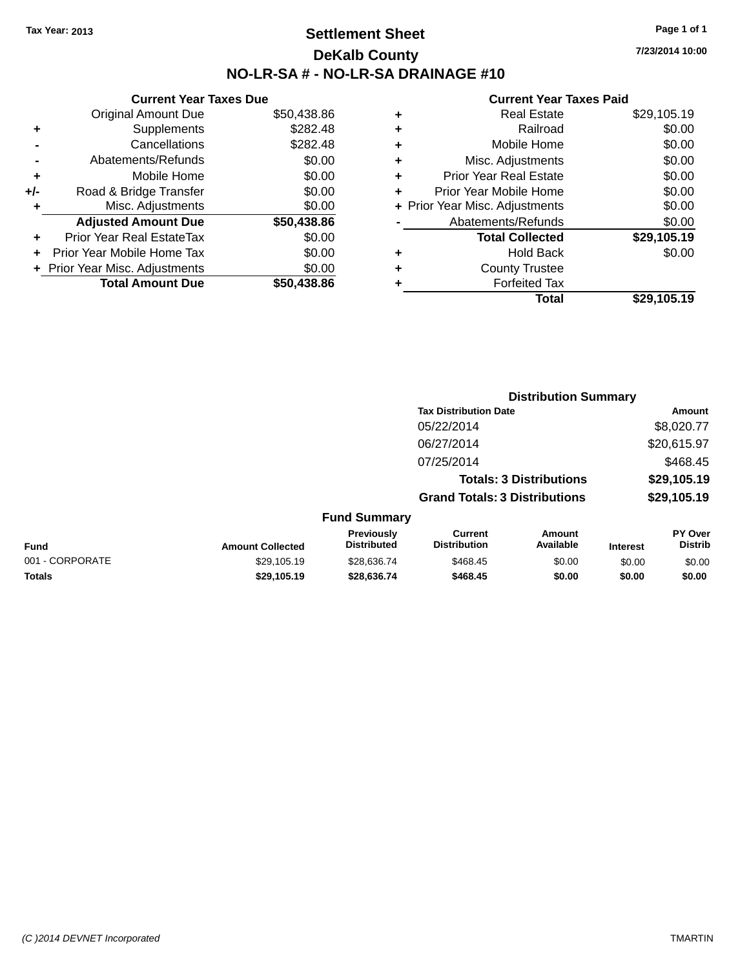## **Settlement Sheet Tax Year: 2013 Page 1 of 1 DeKalb County NO-LR-SA # - NO-LR-SA DRAINAGE #10**

**7/23/2014 10:00**

|     | <b>Current Year Taxes Due</b>  |             |  |  |
|-----|--------------------------------|-------------|--|--|
|     | <b>Original Amount Due</b>     | \$50,438.86 |  |  |
| ٠   | Supplements                    | \$282.48    |  |  |
|     | Cancellations                  | \$282.48    |  |  |
|     | Abatements/Refunds             | \$0.00      |  |  |
| ٠   | Mobile Home                    | \$0.00      |  |  |
| +/- | Road & Bridge Transfer         | \$0.00      |  |  |
| ٠   | Misc. Adjustments              | \$0.00      |  |  |
|     | <b>Adjusted Amount Due</b>     | \$50,438.86 |  |  |
| ٠   | Prior Year Real EstateTax      | \$0.00      |  |  |
| ٠   | Prior Year Mobile Home Tax     | \$0.00      |  |  |
|     | + Prior Year Misc. Adjustments | \$0.00      |  |  |
|     | <b>Total Amount Due</b>        | \$50.438.86 |  |  |
|     |                                |             |  |  |

| ٠ | <b>Real Estate</b>             | \$29,105.19 |
|---|--------------------------------|-------------|
| ٠ | Railroad                       | \$0.00      |
| ٠ | Mobile Home                    | \$0.00      |
| ٠ | Misc. Adjustments              | \$0.00      |
| ٠ | <b>Prior Year Real Estate</b>  | \$0.00      |
| ٠ | Prior Year Mobile Home         | \$0.00      |
|   | + Prior Year Misc. Adjustments | \$0.00      |
|   | Abatements/Refunds             | \$0.00      |
|   | <b>Total Collected</b>         | \$29,105.19 |
| ٠ | Hold Back                      | \$0.00      |
|   | <b>County Trustee</b>          |             |
| ٠ | <b>Forfeited Tax</b>           |             |
|   | Total                          | \$29,105.19 |
|   |                                |             |

|                 |                         |                                  |                                       | <b>Distribution Summary</b>    |                 |                           |
|-----------------|-------------------------|----------------------------------|---------------------------------------|--------------------------------|-----------------|---------------------------|
|                 |                         |                                  | <b>Tax Distribution Date</b>          |                                |                 | <b>Amount</b>             |
|                 |                         |                                  | 05/22/2014                            |                                |                 | \$8,020.77                |
|                 |                         |                                  | 06/27/2014                            |                                |                 | \$20,615.97               |
|                 |                         |                                  | 07/25/2014                            |                                |                 | \$468.45                  |
|                 |                         |                                  |                                       | <b>Totals: 3 Distributions</b> |                 | \$29,105.19               |
|                 |                         |                                  | <b>Grand Totals: 3 Distributions</b>  |                                |                 | \$29,105.19               |
|                 |                         | <b>Fund Summary</b>              |                                       |                                |                 |                           |
| <b>Fund</b>     | <b>Amount Collected</b> | Previously<br><b>Distributed</b> | <b>Current</b><br><b>Distribution</b> | Amount<br>Available            | <b>Interest</b> | PY Over<br><b>Distrib</b> |
| 001 - CORPORATE | \$29,105.19             | \$28,636.74                      | \$468.45                              | \$0.00                         | \$0.00          | \$0.00                    |
| <b>Totals</b>   | \$29,105.19             | \$28,636.74                      | \$468.45                              | \$0.00                         | \$0.00          | \$0.00                    |
|                 |                         |                                  |                                       |                                |                 |                           |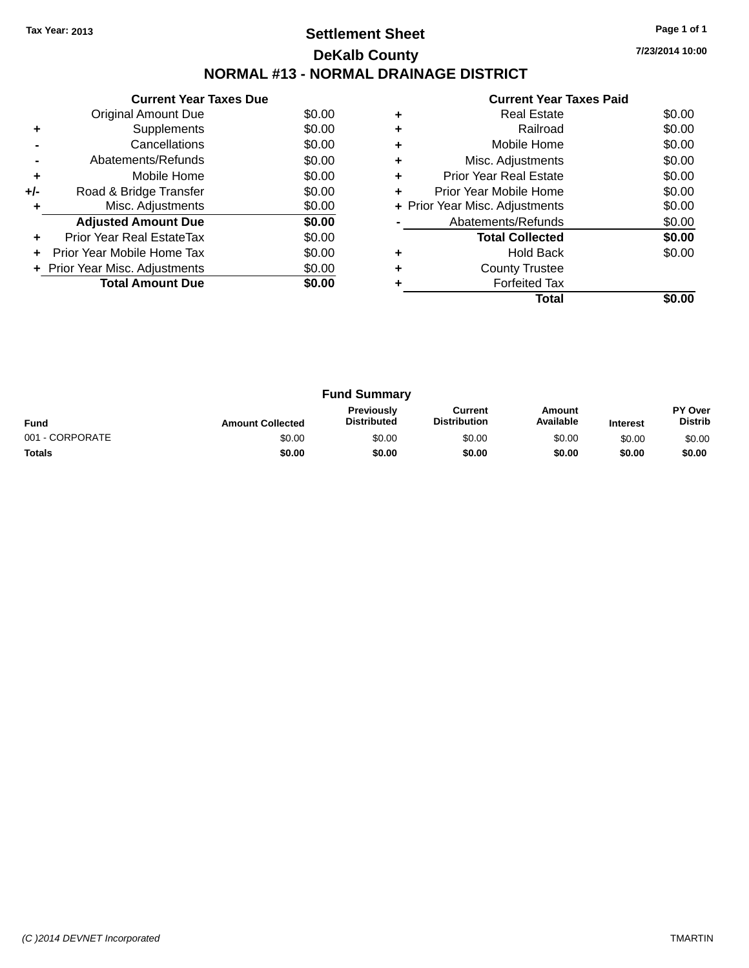## **Settlement Sheet Tax Year: 2013 Page 1 of 1 DeKalb County NORMAL #13 - NORMAL DRAINAGE DISTRICT**

**7/23/2014 10:00**

| <b>Current Year Taxes Paid</b> |                               |        |  |
|--------------------------------|-------------------------------|--------|--|
| $\ddot{}$                      | <b>Real Estate</b>            | \$0.00 |  |
| $\ddot{}$                      | Railroad                      | \$0.00 |  |
| $\ddot{}$                      | Mobile Home                   | \$0.00 |  |
| $\ddot{}$                      | Misc. Adjustments             | \$0.00 |  |
| $\ddot{}$                      | <b>Prior Year Real Estate</b> | \$0.00 |  |
|                                |                               |        |  |

|       | Supplements                    | \$0.00 |
|-------|--------------------------------|--------|
|       | Cancellations                  | \$0.00 |
|       | Abatements/Refunds             | \$0.00 |
| ٠     | Mobile Home                    | \$0.00 |
| $+/-$ | Road & Bridge Transfer         | \$0.00 |
| ٠     | Misc. Adjustments              | \$0.00 |
|       | <b>Adjusted Amount Due</b>     | \$0.00 |
|       | Prior Year Real EstateTax      | \$0.00 |
| ÷     | Prior Year Mobile Home Tax     | \$0.00 |
|       | + Prior Year Misc. Adjustments | \$0.00 |
|       | <b>Total Amount Due</b>        | \$0.00 |
|       |                                |        |

**Current Year Taxes Due** Original Amount Due \$0.00

|   | <b>Forfeited Tax</b><br>Total  | \$0.00 |
|---|--------------------------------|--------|
| ÷ | <b>County Trustee</b>          |        |
| ÷ | <b>Hold Back</b>               | \$0.00 |
|   | <b>Total Collected</b>         | \$0.00 |
|   | Abatements/Refunds             | \$0.00 |
|   | + Prior Year Misc. Adjustments | \$0.00 |
| ÷ | Prior Year Mobile Home         | \$0.00 |
| ÷ | <b>Prior Year Real Estate</b>  | \$0.00 |
| ÷ | Misc. Adjustments              | \$0.00 |

| <b>Fund Summary</b> |                         |                                  |                                |                     |                 |                           |
|---------------------|-------------------------|----------------------------------|--------------------------------|---------------------|-----------------|---------------------------|
| <b>Fund</b>         | <b>Amount Collected</b> | Previously<br><b>Distributed</b> | Current<br><b>Distribution</b> | Amount<br>Available | <b>Interest</b> | PY Over<br><b>Distrib</b> |
| 001 - CORPORATE     | \$0.00                  | \$0.00                           | \$0.00                         | \$0.00              | \$0.00          | \$0.00                    |
| <b>Totals</b>       | \$0.00                  | \$0.00                           | \$0.00                         | \$0.00              | \$0.00          | \$0.00                    |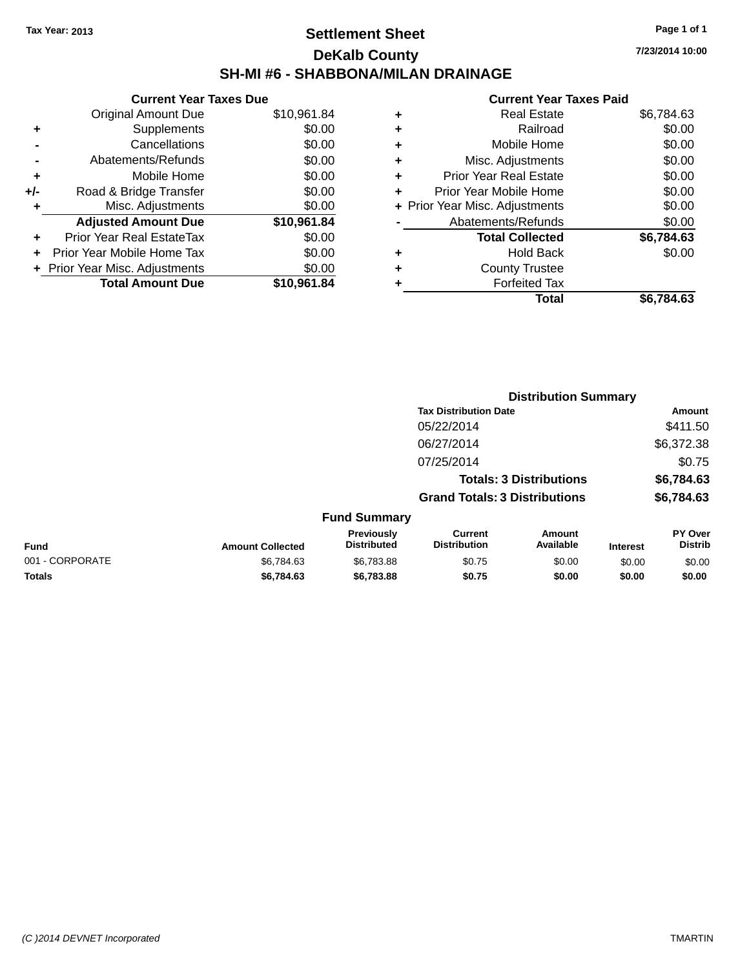## **Settlement Sheet Tax Year: 2013 Page 1 of 1 DeKalb County SH-MI #6 - SHABBONA/MILAN DRAINAGE**

|     | <b>Current Year Taxes Due</b>  |             |
|-----|--------------------------------|-------------|
|     | <b>Original Amount Due</b>     | \$10,961.84 |
| ٠   | Supplements                    | \$0.00      |
|     | Cancellations                  | \$0.00      |
|     | Abatements/Refunds             | \$0.00      |
| ٠   | Mobile Home                    | \$0.00      |
| +/- | Road & Bridge Transfer         | \$0.00      |
| ٠   | Misc. Adjustments              | \$0.00      |
|     | <b>Adjusted Amount Due</b>     | \$10,961.84 |
| ÷   | Prior Year Real EstateTax      | \$0.00      |
|     | Prior Year Mobile Home Tax     | \$0.00      |
|     | + Prior Year Misc. Adjustments | \$0.00      |
|     | <b>Total Amount Due</b>        | \$10,961.84 |

|   | Real Estate                    | \$6,784.63 |
|---|--------------------------------|------------|
| ٠ | Railroad                       | \$0.00     |
| ٠ | Mobile Home                    | \$0.00     |
| ٠ | Misc. Adjustments              | \$0.00     |
| ٠ | <b>Prior Year Real Estate</b>  | \$0.00     |
| ÷ | Prior Year Mobile Home         | \$0.00     |
|   | + Prior Year Misc. Adjustments | \$0.00     |
|   | Abatements/Refunds             | \$0.00     |
|   | <b>Total Collected</b>         | \$6,784.63 |
| ٠ | Hold Back                      | \$0.00     |
| ٠ | <b>County Trustee</b>          |            |
| ٠ | <b>Forfeited Tax</b>           |            |
|   | Total                          | \$6,784.63 |
|   |                                |            |

|                 |                         |                                  |                                       | <b>Distribution Summary</b>    |                 |                           |
|-----------------|-------------------------|----------------------------------|---------------------------------------|--------------------------------|-----------------|---------------------------|
|                 |                         |                                  | <b>Tax Distribution Date</b>          |                                |                 | Amount                    |
|                 |                         |                                  | 05/22/2014                            |                                |                 | \$411.50                  |
|                 |                         |                                  | 06/27/2014                            |                                |                 | \$6,372.38                |
|                 |                         |                                  | 07/25/2014                            |                                |                 | \$0.75                    |
|                 |                         |                                  |                                       | <b>Totals: 3 Distributions</b> |                 | \$6,784.63                |
|                 |                         |                                  | <b>Grand Totals: 3 Distributions</b>  |                                |                 | \$6,784.63                |
|                 |                         | <b>Fund Summary</b>              |                                       |                                |                 |                           |
| <b>Fund</b>     | <b>Amount Collected</b> | Previously<br><b>Distributed</b> | <b>Current</b><br><b>Distribution</b> | Amount<br>Available            | <b>Interest</b> | PY Over<br><b>Distrib</b> |
| 001 - CORPORATE | \$6,784.63              | \$6,783.88                       | \$0.75                                | \$0.00                         | \$0.00          | \$0.00                    |
| <b>Totals</b>   | \$6,784.63              | \$6,783.88                       | \$0.75                                | \$0.00                         | \$0.00          | \$0.00                    |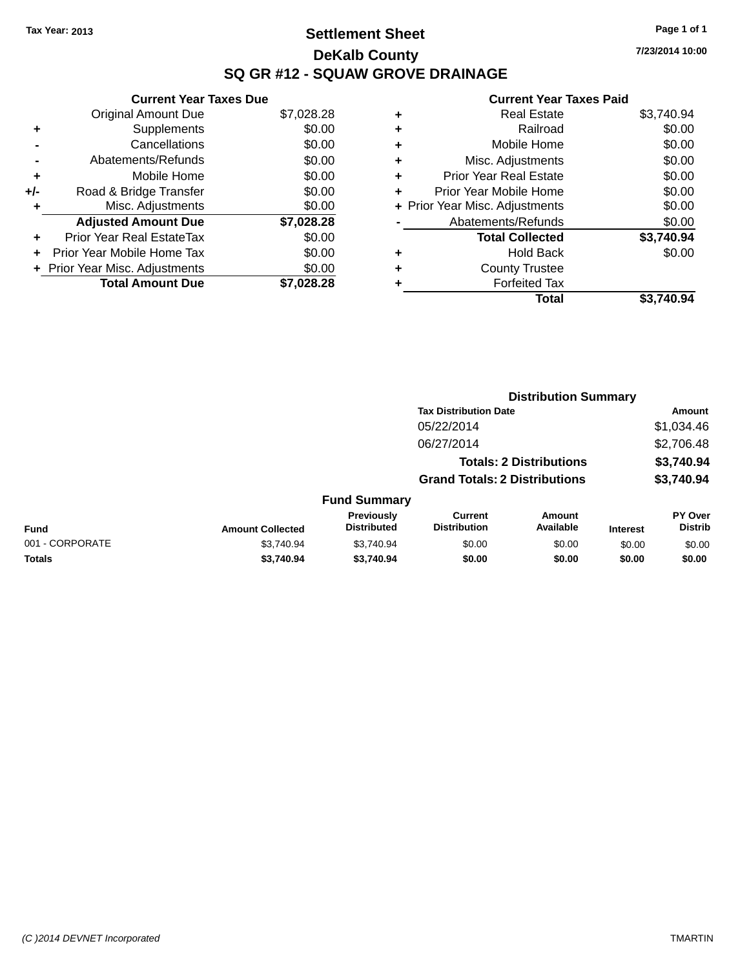## **Settlement Sheet Tax Year: 2013 Page 1 of 1 DeKalb County SQ GR #12 - SQUAW GROVE DRAINAGE**

**7/23/2014 10:00**

|     | <b>Current Year Taxes Due</b>    |            |
|-----|----------------------------------|------------|
|     | <b>Original Amount Due</b>       | \$7,028.28 |
| ٠   | Supplements                      | \$0.00     |
|     | Cancellations                    | \$0.00     |
|     | Abatements/Refunds               | \$0.00     |
| ٠   | Mobile Home                      | \$0.00     |
| +/- | Road & Bridge Transfer           | \$0.00     |
| ٠   | Misc. Adjustments                | \$0.00     |
|     | <b>Adjusted Amount Due</b>       | \$7,028.28 |
| ÷   | <b>Prior Year Real EstateTax</b> | \$0.00     |
| ÷   | Prior Year Mobile Home Tax       | \$0.00     |
|     | + Prior Year Misc. Adjustments   | \$0.00     |
|     | <b>Total Amount Due</b>          | \$7.028.28 |

| ٠ | <b>Real Estate</b>             | \$3,740.94 |
|---|--------------------------------|------------|
| ٠ | Railroad                       | \$0.00     |
| ٠ | Mobile Home                    | \$0.00     |
| ٠ | Misc. Adjustments              | \$0.00     |
| ٠ | <b>Prior Year Real Estate</b>  | \$0.00     |
| ٠ | Prior Year Mobile Home         | \$0.00     |
|   | + Prior Year Misc. Adjustments | \$0.00     |
|   | Abatements/Refunds             | \$0.00     |
|   | <b>Total Collected</b>         | \$3,740.94 |
| ٠ | <b>Hold Back</b>               | \$0.00     |
| ٠ | <b>County Trustee</b>          |            |
|   | <b>Forfeited Tax</b>           |            |
|   | Total                          | \$3.740.94 |
|   |                                |            |

|                 |                         |                                  | <b>Distribution Summary</b>           |                                |                 |                           |
|-----------------|-------------------------|----------------------------------|---------------------------------------|--------------------------------|-----------------|---------------------------|
|                 |                         |                                  | <b>Tax Distribution Date</b>          |                                |                 | Amount                    |
|                 |                         |                                  | 05/22/2014                            |                                |                 | \$1,034.46                |
|                 |                         |                                  | 06/27/2014                            |                                |                 | \$2,706.48                |
|                 |                         |                                  |                                       | <b>Totals: 2 Distributions</b> |                 | \$3,740.94                |
|                 |                         |                                  | <b>Grand Totals: 2 Distributions</b>  |                                |                 | \$3,740.94                |
|                 |                         | <b>Fund Summary</b>              |                                       |                                |                 |                           |
| <b>Fund</b>     | <b>Amount Collected</b> | Previously<br><b>Distributed</b> | <b>Current</b><br><b>Distribution</b> | Amount<br>Available            | <b>Interest</b> | PY Over<br><b>Distrib</b> |
| 001 - CORPORATE | \$3,740.94              | \$3,740.94                       | \$0.00                                | \$0.00                         | \$0.00          | \$0.00                    |
| Totals          | \$3,740.94              | \$3,740.94                       | \$0.00                                | \$0.00                         | \$0.00          | \$0.00                    |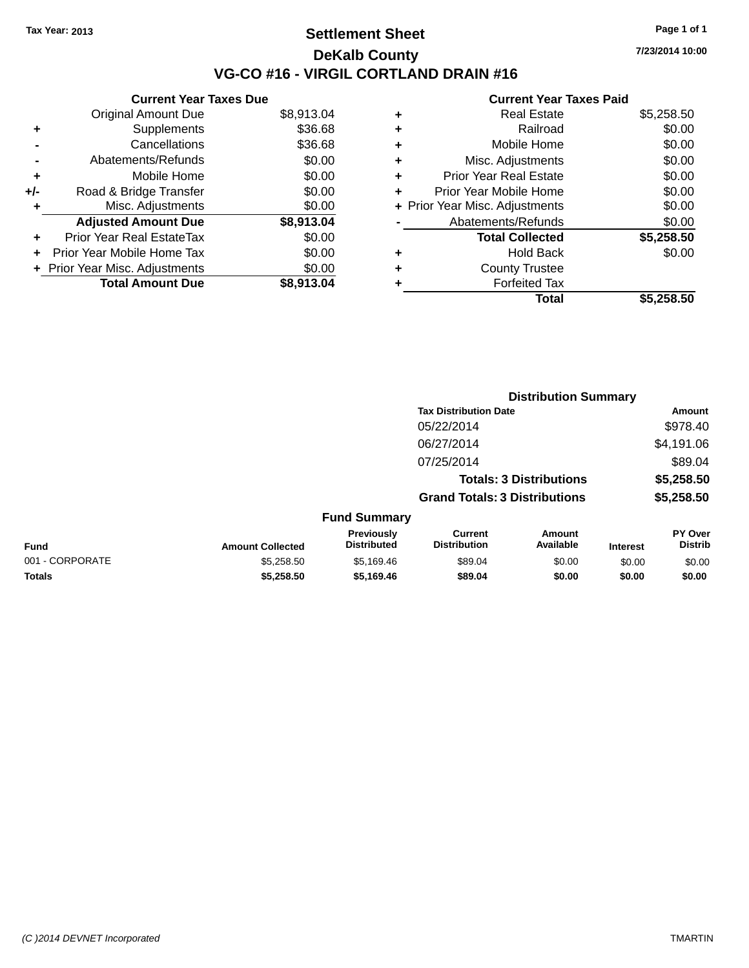### **Settlement Sheet Tax Year: 2013 Page 1 of 1 DeKalb County VG-CO #16 - VIRGIL CORTLAND DRAIN #16**

**Current Year Taxes Due**

|       | <b>Original Amount Due</b>     | \$8,913.04 |
|-------|--------------------------------|------------|
| ٠     | Supplements                    | \$36.68    |
|       | Cancellations                  | \$36.68    |
|       | Abatements/Refunds             | \$0.00     |
| ÷     | Mobile Home                    | \$0.00     |
| $+/-$ | Road & Bridge Transfer         | \$0.00     |
| ۰     | Misc. Adjustments              | \$0.00     |
|       | <b>Adjusted Amount Due</b>     | \$8,913.04 |
| ÷     | Prior Year Real EstateTax      | \$0.00     |
|       | Prior Year Mobile Home Tax     | \$0.00     |
|       | + Prior Year Misc. Adjustments | \$0.00     |
|       | <b>Total Amount Due</b>        | \$8,913.04 |
|       |                                |            |

### **Current Year Taxes Paid**

|   | <b>Real Estate</b>             | \$5,258.50 |
|---|--------------------------------|------------|
| ٠ | Railroad                       | \$0.00     |
| ٠ | Mobile Home                    | \$0.00     |
| ٠ | Misc. Adjustments              | \$0.00     |
| ٠ | <b>Prior Year Real Estate</b>  | \$0.00     |
| ÷ | Prior Year Mobile Home         | \$0.00     |
|   | + Prior Year Misc. Adjustments | \$0.00     |
|   | Abatements/Refunds             | \$0.00     |
|   | <b>Total Collected</b>         | \$5,258.50 |
| ٠ | <b>Hold Back</b>               | \$0.00     |
| ٠ | <b>County Trustee</b>          |            |
| ٠ | <b>Forfeited Tax</b>           |            |
|   | Total                          | \$5,258.50 |
|   |                                |            |

|                                         |                                  |                                      | <b>Distribution Summary</b>    |                 |                                  |
|-----------------------------------------|----------------------------------|--------------------------------------|--------------------------------|-----------------|----------------------------------|
|                                         |                                  | <b>Tax Distribution Date</b>         |                                |                 | Amount                           |
|                                         |                                  | 05/22/2014                           |                                |                 | \$978.40                         |
|                                         |                                  | 06/27/2014                           |                                |                 | \$4,191.06                       |
|                                         |                                  | 07/25/2014                           |                                |                 | \$89.04                          |
|                                         |                                  |                                      | <b>Totals: 3 Distributions</b> |                 | \$5,258.50                       |
|                                         |                                  | <b>Grand Totals: 3 Distributions</b> |                                |                 | \$5,258.50                       |
|                                         | <b>Fund Summary</b>              |                                      |                                |                 |                                  |
| <b>Amount Collected</b>                 | Previously<br><b>Distributed</b> | Current<br><b>Distribution</b>       | Amount<br>Available            | <b>Interest</b> | <b>PY Over</b><br><b>Distrib</b> |
| $\bullet - \bullet - \bullet - \bullet$ | $\cdots$                         | $\cdots$                             | $\cdots$                       |                 |                                  |

**Fund Interest** 001 - CORPORATE 6000 \$55,258.50 \$5,169.46 \$89.04 \$0.00 \$0.00 \$0.00 \$0.00 **Totals \$5,258.50 \$5,169.46 \$89.04 \$0.00 \$0.00 \$0.00**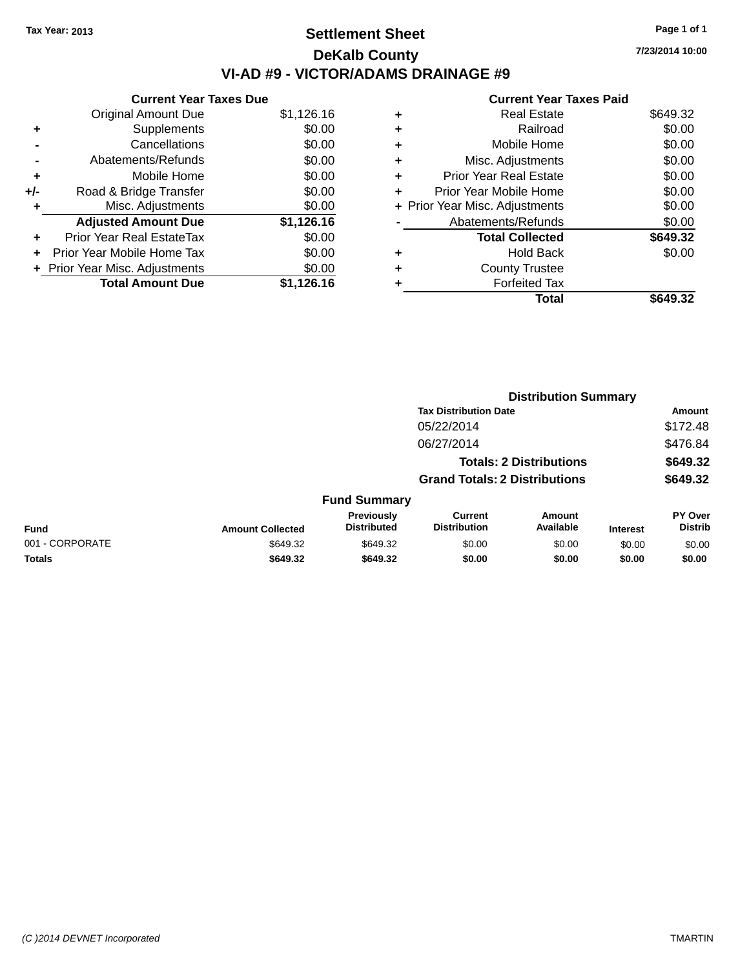## **Settlement Sheet Tax Year: 2013 Page 1 of 1 DeKalb County VI-AD #9 - VICTOR/ADAMS DRAINAGE #9**

**Current Year Taxes Due** Original Amount Due \$1,126.16 **+** Supplements \$0.00 **-** Cancellations \$0.00 **-** Abatements/Refunds \$0.00 **+** Mobile Home \$0.00 **+/-** Road & Bridge Transfer \$0.00 **+** Misc. Adjustments \$0.00 **Adjusted Amount Due \$1,126.16 +** Prior Year Real EstateTax \$0.00 **+** Prior Year Mobile Home Tax \$0.00 **+ Prior Year Misc. Adjustments**  $$0.00$ **Total Amount Due \$1,126.16**

### **Current Year Taxes Paid**

|   | Real Estate                    | \$649.32 |
|---|--------------------------------|----------|
| ٠ | Railroad                       | \$0.00   |
| ٠ | Mobile Home                    | \$0.00   |
| ٠ | Misc. Adjustments              | \$0.00   |
| ٠ | <b>Prior Year Real Estate</b>  | \$0.00   |
|   | Prior Year Mobile Home         | \$0.00   |
|   | + Prior Year Misc. Adjustments | \$0.00   |
|   | Abatements/Refunds             | \$0.00   |
|   | <b>Total Collected</b>         | \$649.32 |
| ٠ | Hold Back                      | \$0.00   |
| ٠ | <b>County Trustee</b>          |          |
|   | <b>Forfeited Tax</b>           |          |
|   | Total                          | \$649.32 |
|   |                                |          |

**Distribution Summary**

|                 |                         |                                  | <b>Tax Distribution Date</b>          |                                |                 | Amount                    |
|-----------------|-------------------------|----------------------------------|---------------------------------------|--------------------------------|-----------------|---------------------------|
|                 |                         |                                  | 05/22/2014                            |                                |                 | \$172.48                  |
|                 |                         |                                  | 06/27/2014                            |                                |                 | \$476.84                  |
|                 |                         |                                  |                                       | <b>Totals: 2 Distributions</b> |                 | \$649.32                  |
|                 |                         |                                  | <b>Grand Totals: 2 Distributions</b>  |                                |                 | \$649.32                  |
|                 |                         | <b>Fund Summary</b>              |                                       |                                |                 |                           |
| <b>Fund</b>     | <b>Amount Collected</b> | Previously<br><b>Distributed</b> | <b>Current</b><br><b>Distribution</b> | Amount<br>Available            | <b>Interest</b> | PY Over<br><b>Distrib</b> |
| 001 - CORPORATE | \$649.32                | \$649.32                         | \$0.00                                | \$0.00                         | \$0.00          | \$0.00                    |
| <b>Totals</b>   | \$649.32                | \$649.32                         | \$0.00                                | \$0.00                         | \$0.00          | \$0.00                    |
|                 |                         |                                  |                                       |                                |                 |                           |

**7/23/2014 10:00**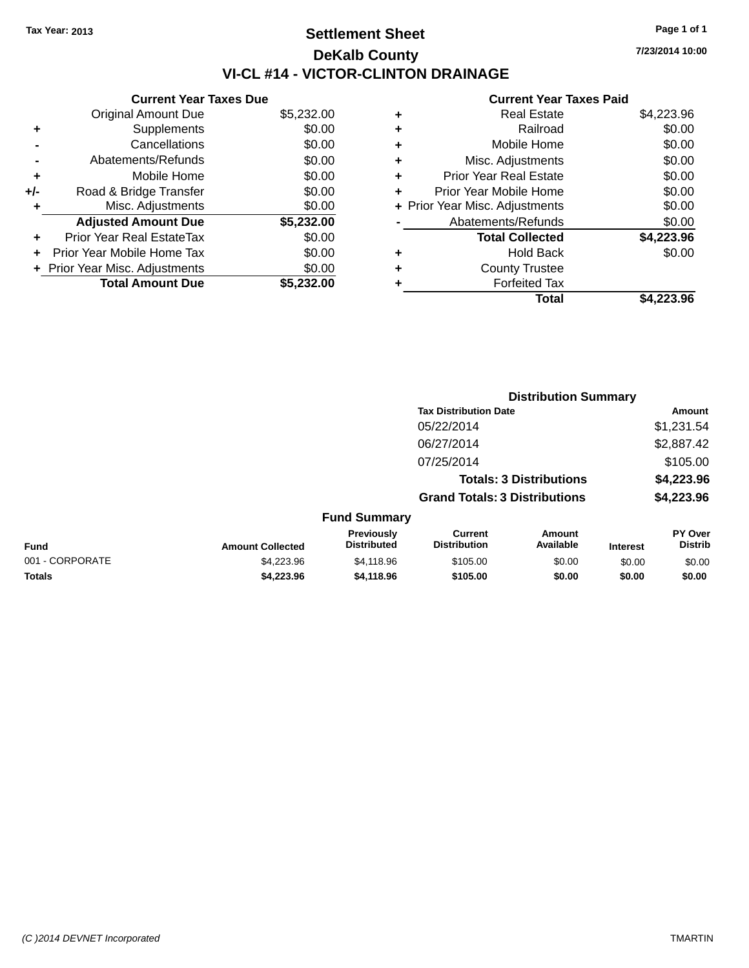## **Settlement Sheet Tax Year: 2013 Page 1 of 1 DeKalb County VI-CL #14 - VICTOR-CLINTON DRAINAGE**

**7/23/2014 10:00**

| <b>Current Year Taxes Due</b> |            |
|-------------------------------|------------|
| <b>Original Amount Due</b>    | \$5,232.00 |
| Supplements                   | \$0.00     |
| Cancellations                 | \$0.00     |
| Abatements/Refunds            | \$0.00     |
| Mobile Home                   | \$0.00     |
| Road & Bridge Transfer        | \$0.00     |
| Misc. Adjustments             | \$0.00     |
| <b>Adjusted Amount Due</b>    | \$5,232.00 |
| Prior Year Real EstateTax     | \$0.00     |
| Prior Year Mobile Home Tax    | \$0.00     |
| Prior Year Misc. Adjustments  | \$0.00     |
| <b>Total Amount Due</b>       | \$5.232.00 |
|                               |            |

| ٠ | <b>Real Estate</b>             | \$4,223.96 |
|---|--------------------------------|------------|
| ٠ | Railroad                       | \$0.00     |
| ٠ | Mobile Home                    | \$0.00     |
| ٠ | Misc. Adjustments              | \$0.00     |
| ٠ | <b>Prior Year Real Estate</b>  | \$0.00     |
| ÷ | Prior Year Mobile Home         | \$0.00     |
|   | + Prior Year Misc. Adjustments | \$0.00     |
|   | Abatements/Refunds             | \$0.00     |
|   | <b>Total Collected</b>         | \$4,223.96 |
| ٠ | Hold Back                      | \$0.00     |
| ٠ | <b>County Trustee</b>          |            |
| ٠ | <b>Forfeited Tax</b>           |            |
|   | Total                          | \$4,223.96 |
|   |                                |            |

|                 |                         |                                  | <b>Distribution Summary</b>           |                                |                 |                           |
|-----------------|-------------------------|----------------------------------|---------------------------------------|--------------------------------|-----------------|---------------------------|
|                 |                         |                                  | <b>Tax Distribution Date</b>          |                                |                 | <b>Amount</b>             |
|                 |                         |                                  | 05/22/2014                            |                                |                 | \$1,231.54                |
|                 |                         |                                  | 06/27/2014                            |                                |                 | \$2,887.42                |
|                 |                         |                                  | 07/25/2014                            |                                |                 | \$105.00                  |
|                 |                         |                                  |                                       | <b>Totals: 3 Distributions</b> |                 | \$4,223.96                |
|                 |                         |                                  | <b>Grand Totals: 3 Distributions</b>  |                                |                 | \$4,223.96                |
|                 |                         | <b>Fund Summary</b>              |                                       |                                |                 |                           |
| Fund            | <b>Amount Collected</b> | Previously<br><b>Distributed</b> | <b>Current</b><br><b>Distribution</b> | Amount<br>Available            | <b>Interest</b> | PY Over<br><b>Distrib</b> |
| 001 - CORPORATE | \$4,223.96              | \$4,118.96                       | \$105.00                              | \$0.00                         | \$0.00          | \$0.00                    |
| <b>Totals</b>   | \$4,223.96              | \$4,118.96                       | \$105.00                              | \$0.00                         | \$0.00          | \$0.00                    |
|                 |                         |                                  |                                       |                                |                 |                           |